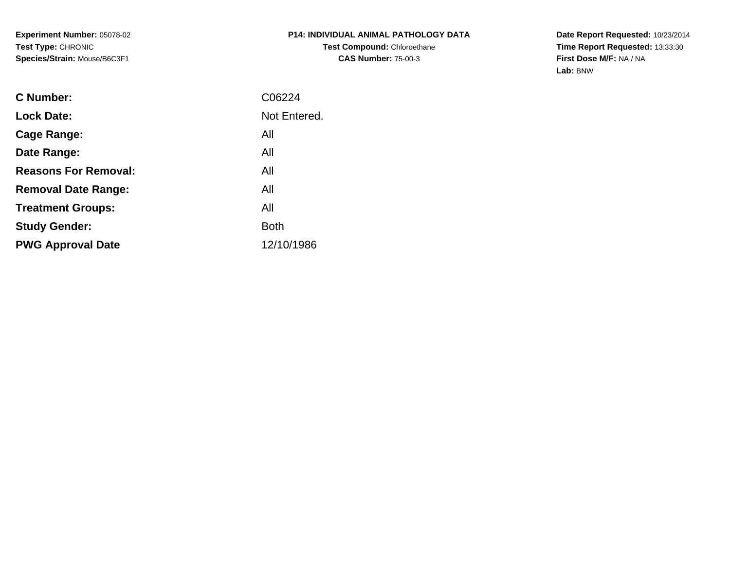**Experiment Number:** 05078-02**Test Type:** CHRONIC**Species/Strain:** Mouse/B6C3F1

**Date Report Requested:** 10/23/2014 **Time Report Requested:** 13:33:30**First Dose M/F:** NA / NA**Lab:** BNW

| <b>C</b> Number:            | C06224       |
|-----------------------------|--------------|
| <b>Lock Date:</b>           | Not Entered. |
| Cage Range:                 | All          |
| Date Range:                 | All          |
| <b>Reasons For Removal:</b> | All          |
| <b>Removal Date Range:</b>  | All          |
| <b>Treatment Groups:</b>    | All          |
| <b>Study Gender:</b>        | <b>Both</b>  |
| <b>PWG Approval Date</b>    | 12/10/1986   |
|                             |              |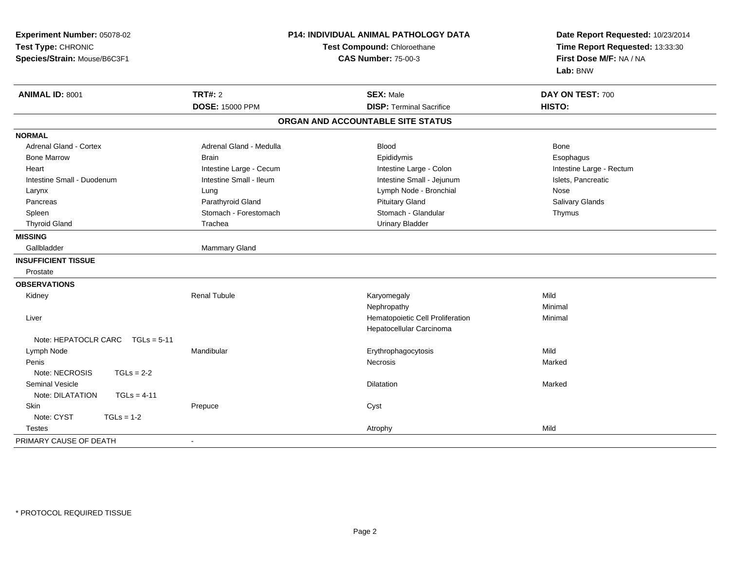| Experiment Number: 05078-02<br>Test Type: CHRONIC<br>Species/Strain: Mouse/B6C3F1 |                         | P14: INDIVIDUAL ANIMAL PATHOLOGY DATA<br>Test Compound: Chloroethane<br><b>CAS Number: 75-00-3</b> | Date Report Requested: 10/23/2014<br>Time Report Requested: 13:33:30<br>First Dose M/F: NA / NA<br>Lab: BNW |  |
|-----------------------------------------------------------------------------------|-------------------------|----------------------------------------------------------------------------------------------------|-------------------------------------------------------------------------------------------------------------|--|
| ANIMAL ID: 8001                                                                   | <b>TRT#: 2</b>          | <b>SEX: Male</b>                                                                                   | DAY ON TEST: 700                                                                                            |  |
|                                                                                   | <b>DOSE: 15000 PPM</b>  | <b>DISP: Terminal Sacrifice</b>                                                                    | HISTO:                                                                                                      |  |
|                                                                                   |                         | ORGAN AND ACCOUNTABLE SITE STATUS                                                                  |                                                                                                             |  |
| <b>NORMAL</b>                                                                     |                         |                                                                                                    |                                                                                                             |  |
| <b>Adrenal Gland - Cortex</b>                                                     | Adrenal Gland - Medulla | <b>Blood</b>                                                                                       | <b>Bone</b>                                                                                                 |  |
| <b>Bone Marrow</b>                                                                | <b>Brain</b>            | Epididymis                                                                                         | Esophagus                                                                                                   |  |
| Heart                                                                             | Intestine Large - Cecum | Intestine Large - Colon                                                                            | Intestine Large - Rectum                                                                                    |  |
| Intestine Small - Duodenum                                                        | Intestine Small - Ileum | Intestine Small - Jejunum                                                                          | Islets, Pancreatic                                                                                          |  |
| Larynx                                                                            | Lung                    | Lymph Node - Bronchial                                                                             | Nose                                                                                                        |  |
| Pancreas                                                                          | Parathyroid Gland       | <b>Pituitary Gland</b>                                                                             | Salivary Glands                                                                                             |  |
| Spleen                                                                            | Stomach - Forestomach   | Stomach - Glandular                                                                                | Thymus                                                                                                      |  |
| <b>Thyroid Gland</b>                                                              | Trachea                 | <b>Urinary Bladder</b>                                                                             |                                                                                                             |  |
| <b>MISSING</b>                                                                    |                         |                                                                                                    |                                                                                                             |  |
| Gallbladder                                                                       | Mammary Gland           |                                                                                                    |                                                                                                             |  |
| <b>INSUFFICIENT TISSUE</b>                                                        |                         |                                                                                                    |                                                                                                             |  |
| Prostate                                                                          |                         |                                                                                                    |                                                                                                             |  |
| <b>OBSERVATIONS</b>                                                               |                         |                                                                                                    |                                                                                                             |  |
| Kidney                                                                            | <b>Renal Tubule</b>     | Karyomegaly                                                                                        | Mild                                                                                                        |  |
|                                                                                   |                         | Nephropathy                                                                                        | Minimal                                                                                                     |  |
| Liver                                                                             |                         | Hematopoietic Cell Proliferation                                                                   | Minimal                                                                                                     |  |
|                                                                                   |                         | Hepatocellular Carcinoma                                                                           |                                                                                                             |  |
| Note: HEPATOCLR CARC $TGLs = 5-11$                                                |                         |                                                                                                    |                                                                                                             |  |
| Lymph Node                                                                        | Mandibular              | Erythrophagocytosis                                                                                | Mild                                                                                                        |  |
| Penis                                                                             |                         | Necrosis                                                                                           | Marked                                                                                                      |  |
| Note: NECROSIS<br>$TGLs = 2-2$                                                    |                         |                                                                                                    |                                                                                                             |  |
| <b>Seminal Vesicle</b>                                                            |                         | <b>Dilatation</b>                                                                                  | Marked                                                                                                      |  |
| Note: DILATATION<br>$TGLs = 4-11$                                                 |                         |                                                                                                    |                                                                                                             |  |
| Skin                                                                              | Prepuce                 | Cyst                                                                                               |                                                                                                             |  |
| Note: CYST<br>$TGLs = 1-2$                                                        |                         |                                                                                                    |                                                                                                             |  |
| <b>Testes</b>                                                                     |                         | Atrophy                                                                                            | Mild                                                                                                        |  |
| PRIMARY CAUSE OF DEATH                                                            | $\blacksquare$          |                                                                                                    |                                                                                                             |  |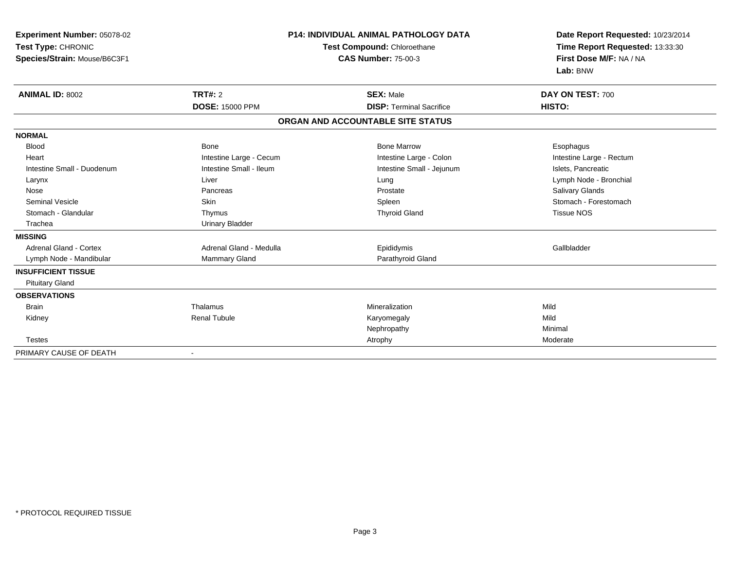| Experiment Number: 05078-02<br>Test Type: CHRONIC<br>Species/Strain: Mouse/B6C3F1 |                         | <b>P14: INDIVIDUAL ANIMAL PATHOLOGY DATA</b><br>Test Compound: Chloroethane<br><b>CAS Number: 75-00-3</b> | Date Report Requested: 10/23/2014<br>Time Report Requested: 13:33:30<br>First Dose M/F: NA / NA<br>Lab: BNW |
|-----------------------------------------------------------------------------------|-------------------------|-----------------------------------------------------------------------------------------------------------|-------------------------------------------------------------------------------------------------------------|
| <b>ANIMAL ID: 8002</b>                                                            | TRT#: 2                 | <b>SEX: Male</b>                                                                                          | DAY ON TEST: 700                                                                                            |
|                                                                                   | <b>DOSE: 15000 PPM</b>  | <b>DISP: Terminal Sacrifice</b>                                                                           | HISTO:                                                                                                      |
|                                                                                   |                         | ORGAN AND ACCOUNTABLE SITE STATUS                                                                         |                                                                                                             |
| <b>NORMAL</b>                                                                     |                         |                                                                                                           |                                                                                                             |
| <b>Blood</b>                                                                      | Bone                    | <b>Bone Marrow</b>                                                                                        | Esophagus                                                                                                   |
| Heart                                                                             | Intestine Large - Cecum | Intestine Large - Colon                                                                                   | Intestine Large - Rectum                                                                                    |
| Intestine Small - Duodenum                                                        | Intestine Small - Ileum | Intestine Small - Jejunum                                                                                 | Islets, Pancreatic                                                                                          |
| Larynx                                                                            | Liver                   | Lung                                                                                                      | Lymph Node - Bronchial                                                                                      |
| Nose                                                                              | Pancreas                | Prostate                                                                                                  | Salivary Glands                                                                                             |
| <b>Seminal Vesicle</b>                                                            | Skin                    | Spleen                                                                                                    | Stomach - Forestomach                                                                                       |
| Stomach - Glandular                                                               | Thymus                  | <b>Thyroid Gland</b>                                                                                      | <b>Tissue NOS</b>                                                                                           |
| Trachea                                                                           | <b>Urinary Bladder</b>  |                                                                                                           |                                                                                                             |
| <b>MISSING</b>                                                                    |                         |                                                                                                           |                                                                                                             |
| <b>Adrenal Gland - Cortex</b>                                                     | Adrenal Gland - Medulla | Epididymis                                                                                                | Gallbladder                                                                                                 |
| Lymph Node - Mandibular                                                           | <b>Mammary Gland</b>    | Parathyroid Gland                                                                                         |                                                                                                             |
| <b>INSUFFICIENT TISSUE</b>                                                        |                         |                                                                                                           |                                                                                                             |
| <b>Pituitary Gland</b>                                                            |                         |                                                                                                           |                                                                                                             |
| <b>OBSERVATIONS</b>                                                               |                         |                                                                                                           |                                                                                                             |
| <b>Brain</b>                                                                      | Thalamus                | Mineralization                                                                                            | Mild                                                                                                        |
| Kidney                                                                            | <b>Renal Tubule</b>     | Karyomegaly                                                                                               | Mild                                                                                                        |
|                                                                                   |                         | Nephropathy                                                                                               | Minimal                                                                                                     |
| <b>Testes</b>                                                                     |                         | Atrophy                                                                                                   | Moderate                                                                                                    |
| PRIMARY CAUSE OF DEATH                                                            |                         |                                                                                                           |                                                                                                             |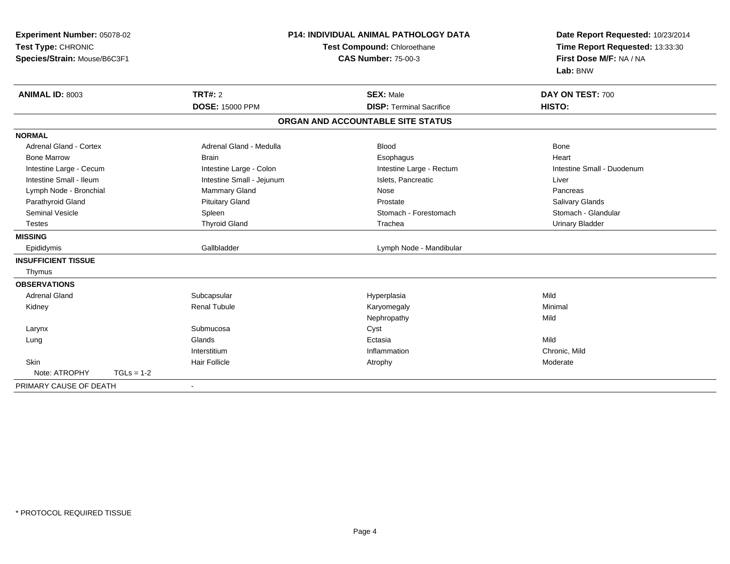| Experiment Number: 05078-02<br>Test Type: CHRONIC<br>Species/Strain: Mouse/B6C3F1 |              |                                          | <b>P14: INDIVIDUAL ANIMAL PATHOLOGY DATA</b><br>Test Compound: Chloroethane<br><b>CAS Number: 75-00-3</b> | Date Report Requested: 10/23/2014<br>Time Report Requested: 13:33:30<br>First Dose M/F: NA / NA<br>Lab: BNW |
|-----------------------------------------------------------------------------------|--------------|------------------------------------------|-----------------------------------------------------------------------------------------------------------|-------------------------------------------------------------------------------------------------------------|
| <b>ANIMAL ID: 8003</b>                                                            |              | <b>TRT#: 2</b><br><b>DOSE: 15000 PPM</b> | <b>SEX: Male</b><br><b>DISP: Terminal Sacrifice</b>                                                       | DAY ON TEST: 700<br>HISTO:                                                                                  |
|                                                                                   |              |                                          | ORGAN AND ACCOUNTABLE SITE STATUS                                                                         |                                                                                                             |
| <b>NORMAL</b>                                                                     |              |                                          |                                                                                                           |                                                                                                             |
| Adrenal Gland - Cortex                                                            |              | Adrenal Gland - Medulla                  | <b>Blood</b>                                                                                              | Bone                                                                                                        |
| <b>Bone Marrow</b>                                                                |              | <b>Brain</b>                             | Esophagus                                                                                                 | Heart                                                                                                       |
| Intestine Large - Cecum                                                           |              | Intestine Large - Colon                  | Intestine Large - Rectum                                                                                  | Intestine Small - Duodenum                                                                                  |
| Intestine Small - Ileum                                                           |              | Intestine Small - Jejunum                | Islets, Pancreatic                                                                                        | Liver                                                                                                       |
| Lymph Node - Bronchial                                                            |              | Mammary Gland                            | Nose                                                                                                      | Pancreas                                                                                                    |
| Parathyroid Gland                                                                 |              | <b>Pituitary Gland</b>                   | Prostate                                                                                                  | Salivary Glands                                                                                             |
| <b>Seminal Vesicle</b>                                                            |              | Spleen                                   | Stomach - Forestomach                                                                                     | Stomach - Glandular                                                                                         |
| <b>Testes</b>                                                                     |              | <b>Thyroid Gland</b>                     | Trachea                                                                                                   | <b>Urinary Bladder</b>                                                                                      |
| <b>MISSING</b>                                                                    |              |                                          |                                                                                                           |                                                                                                             |
| Epididymis                                                                        |              | Gallbladder                              | Lymph Node - Mandibular                                                                                   |                                                                                                             |
| <b>INSUFFICIENT TISSUE</b>                                                        |              |                                          |                                                                                                           |                                                                                                             |
| Thymus                                                                            |              |                                          |                                                                                                           |                                                                                                             |
| <b>OBSERVATIONS</b>                                                               |              |                                          |                                                                                                           |                                                                                                             |
| <b>Adrenal Gland</b>                                                              |              | Subcapsular                              | Hyperplasia                                                                                               | Mild                                                                                                        |
| Kidney                                                                            |              | <b>Renal Tubule</b>                      | Karyomegaly                                                                                               | Minimal                                                                                                     |
|                                                                                   |              |                                          | Nephropathy                                                                                               | Mild                                                                                                        |
| Larynx                                                                            |              | Submucosa                                | Cyst                                                                                                      |                                                                                                             |
| Lung                                                                              |              | Glands                                   | Ectasia                                                                                                   | Mild                                                                                                        |
|                                                                                   |              | Interstitium                             | Inflammation                                                                                              | Chronic, Mild                                                                                               |
| Skin                                                                              |              | <b>Hair Follicle</b>                     | Atrophy                                                                                                   | Moderate                                                                                                    |
| Note: ATROPHY                                                                     | $TGLs = 1-2$ |                                          |                                                                                                           |                                                                                                             |
| PRIMARY CAUSE OF DEATH                                                            |              | $\blacksquare$                           |                                                                                                           |                                                                                                             |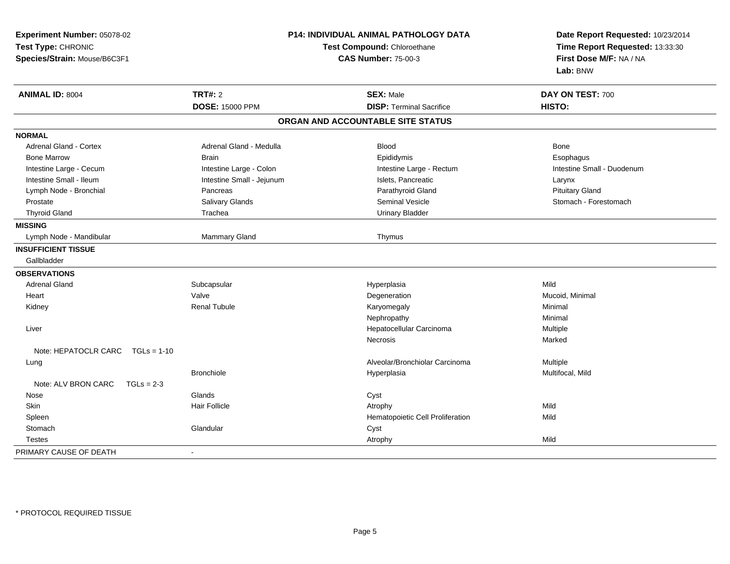| Experiment Number: 05078-02<br>Test Type: CHRONIC<br>Species/Strain: Mouse/B6C3F1 |                           | P14: INDIVIDUAL ANIMAL PATHOLOGY DATA<br>Test Compound: Chloroethane<br><b>CAS Number: 75-00-3</b> | Date Report Requested: 10/23/2014<br>Time Report Requested: 13:33:30<br>First Dose M/F: NA / NA<br>Lab: BNW |  |
|-----------------------------------------------------------------------------------|---------------------------|----------------------------------------------------------------------------------------------------|-------------------------------------------------------------------------------------------------------------|--|
| <b>ANIMAL ID: 8004</b>                                                            | <b>TRT#: 2</b>            | <b>SEX: Male</b>                                                                                   | DAY ON TEST: 700                                                                                            |  |
|                                                                                   | <b>DOSE: 15000 PPM</b>    | <b>DISP: Terminal Sacrifice</b>                                                                    | HISTO:                                                                                                      |  |
|                                                                                   |                           | ORGAN AND ACCOUNTABLE SITE STATUS                                                                  |                                                                                                             |  |
| <b>NORMAL</b>                                                                     |                           |                                                                                                    |                                                                                                             |  |
| <b>Adrenal Gland - Cortex</b>                                                     | Adrenal Gland - Medulla   | <b>Blood</b>                                                                                       | <b>Bone</b>                                                                                                 |  |
| <b>Bone Marrow</b>                                                                | <b>Brain</b>              | Epididymis                                                                                         | Esophagus                                                                                                   |  |
| Intestine Large - Cecum                                                           | Intestine Large - Colon   | Intestine Large - Rectum                                                                           | Intestine Small - Duodenum                                                                                  |  |
| Intestine Small - Ileum                                                           | Intestine Small - Jejunum | Islets, Pancreatic                                                                                 | Larynx                                                                                                      |  |
| Lymph Node - Bronchial                                                            | Pancreas                  | Parathyroid Gland                                                                                  | <b>Pituitary Gland</b>                                                                                      |  |
| Prostate                                                                          | Salivary Glands           | <b>Seminal Vesicle</b>                                                                             | Stomach - Forestomach                                                                                       |  |
| <b>Thyroid Gland</b>                                                              | Trachea                   | <b>Urinary Bladder</b>                                                                             |                                                                                                             |  |
| <b>MISSING</b>                                                                    |                           |                                                                                                    |                                                                                                             |  |
| Lymph Node - Mandibular                                                           | Mammary Gland             | Thymus                                                                                             |                                                                                                             |  |
| <b>INSUFFICIENT TISSUE</b>                                                        |                           |                                                                                                    |                                                                                                             |  |
| Gallbladder                                                                       |                           |                                                                                                    |                                                                                                             |  |
| <b>OBSERVATIONS</b>                                                               |                           |                                                                                                    |                                                                                                             |  |
| <b>Adrenal Gland</b>                                                              | Subcapsular               | Hyperplasia                                                                                        | Mild                                                                                                        |  |
| Heart                                                                             | Valve                     | Degeneration                                                                                       | Mucoid, Minimal                                                                                             |  |
| Kidney                                                                            | <b>Renal Tubule</b>       | Karyomegaly                                                                                        | Minimal                                                                                                     |  |
|                                                                                   |                           | Nephropathy                                                                                        | Minimal                                                                                                     |  |
| Liver                                                                             |                           | Hepatocellular Carcinoma                                                                           | Multiple                                                                                                    |  |
|                                                                                   |                           | Necrosis                                                                                           | Marked                                                                                                      |  |
| Note: HEPATOCLR CARC $TGLs = 1-10$                                                |                           |                                                                                                    |                                                                                                             |  |
| Lung                                                                              |                           | Alveolar/Bronchiolar Carcinoma                                                                     | Multiple                                                                                                    |  |
|                                                                                   | <b>Bronchiole</b>         | Hyperplasia                                                                                        | Multifocal, Mild                                                                                            |  |
| Note: ALV BRON CARC<br>$TGLs = 2-3$                                               |                           |                                                                                                    |                                                                                                             |  |
| Nose                                                                              | Glands                    | Cyst                                                                                               |                                                                                                             |  |
| Skin                                                                              | <b>Hair Follicle</b>      | Atrophy                                                                                            | Mild                                                                                                        |  |
| Spleen                                                                            |                           | Hematopoietic Cell Proliferation                                                                   | Mild                                                                                                        |  |
| Stomach                                                                           | Glandular                 | Cyst                                                                                               |                                                                                                             |  |
| <b>Testes</b>                                                                     |                           | Atrophy                                                                                            | Mild                                                                                                        |  |
| PRIMARY CAUSE OF DEATH                                                            |                           |                                                                                                    |                                                                                                             |  |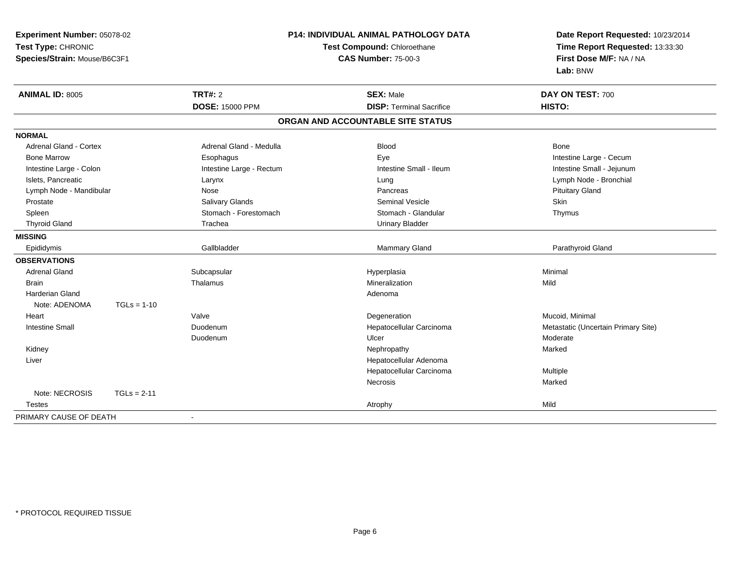| Experiment Number: 05078-02<br>Test Type: CHRONIC<br>Species/Strain: Mouse/B6C3F1 |               |                          | <b>P14: INDIVIDUAL ANIMAL PATHOLOGY DATA</b><br>Date Report Requested: 10/23/2014<br>Test Compound: Chloroethane<br>Time Report Requested: 13:33:30<br>First Dose M/F: NA / NA<br><b>CAS Number: 75-00-3</b><br>Lab: BNW |                                     |
|-----------------------------------------------------------------------------------|---------------|--------------------------|--------------------------------------------------------------------------------------------------------------------------------------------------------------------------------------------------------------------------|-------------------------------------|
| <b>ANIMAL ID: 8005</b>                                                            |               | <b>TRT#: 2</b>           | <b>SEX: Male</b>                                                                                                                                                                                                         | DAY ON TEST: 700                    |
|                                                                                   |               | <b>DOSE: 15000 PPM</b>   | <b>DISP: Terminal Sacrifice</b>                                                                                                                                                                                          | HISTO:                              |
|                                                                                   |               |                          | ORGAN AND ACCOUNTABLE SITE STATUS                                                                                                                                                                                        |                                     |
| <b>NORMAL</b>                                                                     |               |                          |                                                                                                                                                                                                                          |                                     |
| <b>Adrenal Gland - Cortex</b>                                                     |               | Adrenal Gland - Medulla  | <b>Blood</b>                                                                                                                                                                                                             | Bone                                |
| <b>Bone Marrow</b>                                                                |               | Esophagus                | Eye                                                                                                                                                                                                                      | Intestine Large - Cecum             |
| Intestine Large - Colon                                                           |               | Intestine Large - Rectum | Intestine Small - Ileum                                                                                                                                                                                                  | Intestine Small - Jejunum           |
| Islets, Pancreatic                                                                |               | Larynx                   | Lung                                                                                                                                                                                                                     | Lymph Node - Bronchial              |
| Lymph Node - Mandibular                                                           |               | Nose                     | Pancreas                                                                                                                                                                                                                 | <b>Pituitary Gland</b>              |
| Prostate                                                                          |               | Salivary Glands          | <b>Seminal Vesicle</b>                                                                                                                                                                                                   | Skin                                |
| Spleen                                                                            |               | Stomach - Forestomach    | Stomach - Glandular                                                                                                                                                                                                      | Thymus                              |
| <b>Thyroid Gland</b>                                                              |               | Trachea                  | <b>Urinary Bladder</b>                                                                                                                                                                                                   |                                     |
| <b>MISSING</b>                                                                    |               |                          |                                                                                                                                                                                                                          |                                     |
| Epididymis                                                                        |               | Gallbladder              | <b>Mammary Gland</b>                                                                                                                                                                                                     | Parathyroid Gland                   |
| <b>OBSERVATIONS</b>                                                               |               |                          |                                                                                                                                                                                                                          |                                     |
| <b>Adrenal Gland</b>                                                              |               | Subcapsular              | Hyperplasia                                                                                                                                                                                                              | Minimal                             |
| <b>Brain</b>                                                                      |               | Thalamus                 | Mineralization                                                                                                                                                                                                           | Mild                                |
| <b>Harderian Gland</b>                                                            |               |                          | Adenoma                                                                                                                                                                                                                  |                                     |
| Note: ADENOMA                                                                     | $TGLs = 1-10$ |                          |                                                                                                                                                                                                                          |                                     |
| Heart                                                                             |               | Valve                    | Degeneration                                                                                                                                                                                                             | Mucoid, Minimal                     |
| <b>Intestine Small</b>                                                            |               | Duodenum                 | Hepatocellular Carcinoma                                                                                                                                                                                                 | Metastatic (Uncertain Primary Site) |
|                                                                                   |               | Duodenum                 | Ulcer                                                                                                                                                                                                                    | Moderate                            |
| Kidney                                                                            |               |                          | Nephropathy                                                                                                                                                                                                              | Marked                              |
| Liver                                                                             |               |                          | Hepatocellular Adenoma                                                                                                                                                                                                   |                                     |
|                                                                                   |               |                          | Hepatocellular Carcinoma                                                                                                                                                                                                 | Multiple                            |
|                                                                                   |               |                          | Necrosis                                                                                                                                                                                                                 | Marked                              |
| Note: NECROSIS                                                                    | $TGLs = 2-11$ |                          |                                                                                                                                                                                                                          |                                     |
| <b>Testes</b>                                                                     |               |                          | Atrophy                                                                                                                                                                                                                  | Mild                                |
| PRIMARY CAUSE OF DEATH                                                            |               |                          |                                                                                                                                                                                                                          |                                     |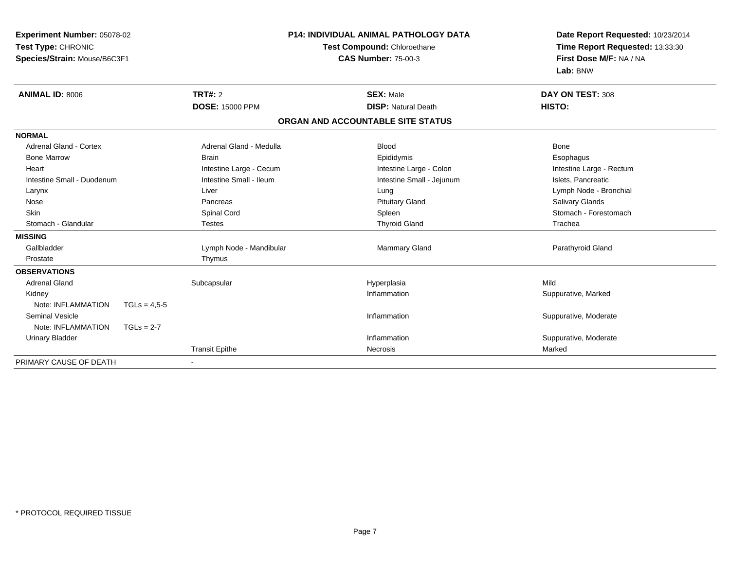| Experiment Number: 05078-02  |                | <b>P14: INDIVIDUAL ANIMAL PATHOLOGY DATA</b> |                                   | Date Report Requested: 10/23/2014 |
|------------------------------|----------------|----------------------------------------------|-----------------------------------|-----------------------------------|
| Test Type: CHRONIC           |                | Test Compound: Chloroethane                  |                                   | Time Report Requested: 13:33:30   |
| Species/Strain: Mouse/B6C3F1 |                |                                              | <b>CAS Number: 75-00-3</b>        | First Dose M/F: NA / NA           |
|                              |                |                                              |                                   | Lab: BNW                          |
| <b>ANIMAL ID: 8006</b>       |                | TRT#: 2                                      | <b>SEX: Male</b>                  | DAY ON TEST: 308                  |
|                              |                | <b>DOSE: 15000 PPM</b>                       | <b>DISP: Natural Death</b>        | HISTO:                            |
|                              |                |                                              | ORGAN AND ACCOUNTABLE SITE STATUS |                                   |
| <b>NORMAL</b>                |                |                                              |                                   |                                   |
| Adrenal Gland - Cortex       |                | Adrenal Gland - Medulla                      | <b>Blood</b>                      | Bone                              |
| <b>Bone Marrow</b>           |                | <b>Brain</b>                                 | Epididymis                        | Esophagus                         |
| Heart                        |                | Intestine Large - Cecum                      | Intestine Large - Colon           | Intestine Large - Rectum          |
| Intestine Small - Duodenum   |                | Intestine Small - Ileum                      | Intestine Small - Jejunum         | Islets, Pancreatic                |
| Larynx                       |                | Liver                                        | Lung                              | Lymph Node - Bronchial            |
| Nose                         |                | Pancreas                                     | <b>Pituitary Gland</b>            | Salivary Glands                   |
| <b>Skin</b>                  |                | Spinal Cord                                  | Spleen                            | Stomach - Forestomach             |
| Stomach - Glandular          |                | <b>Testes</b>                                | <b>Thyroid Gland</b>              | Trachea                           |
| <b>MISSING</b>               |                |                                              |                                   |                                   |
| Gallbladder                  |                | Lymph Node - Mandibular                      | <b>Mammary Gland</b>              | Parathyroid Gland                 |
| Prostate                     |                | Thymus                                       |                                   |                                   |
| <b>OBSERVATIONS</b>          |                |                                              |                                   |                                   |
| <b>Adrenal Gland</b>         |                | Subcapsular                                  | Hyperplasia                       | Mild                              |
| Kidney                       |                |                                              | Inflammation                      | Suppurative, Marked               |
| Note: INFLAMMATION           | $TGLs = 4,5-5$ |                                              |                                   |                                   |
| <b>Seminal Vesicle</b>       |                |                                              | Inflammation                      | Suppurative, Moderate             |
| Note: INFLAMMATION           | $TGLs = 2-7$   |                                              |                                   |                                   |
| <b>Urinary Bladder</b>       |                |                                              | Inflammation                      | Suppurative, Moderate             |
|                              |                | <b>Transit Epithe</b>                        | <b>Necrosis</b>                   | Marked                            |
| PRIMARY CAUSE OF DEATH       |                |                                              |                                   |                                   |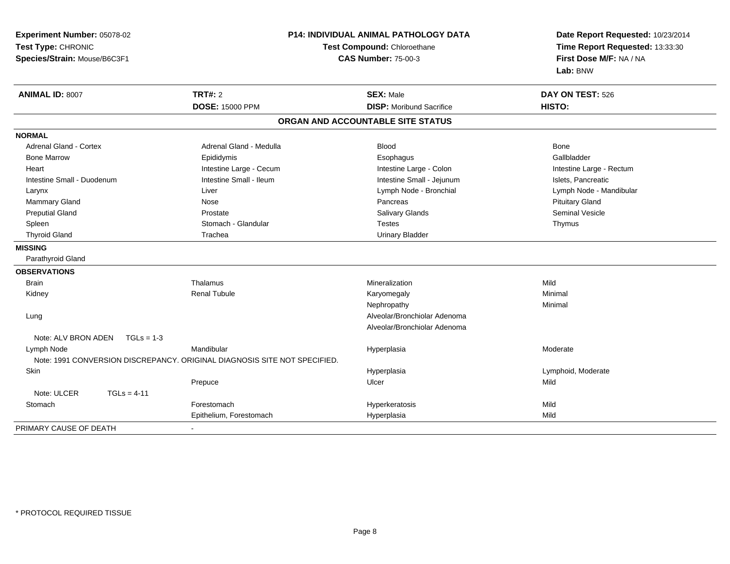| Experiment Number: 05078-02                                               | <b>P14: INDIVIDUAL ANIMAL PATHOLOGY DATA</b><br>Test Compound: Chloroethane |                                   | Date Report Requested: 10/23/2014 |
|---------------------------------------------------------------------------|-----------------------------------------------------------------------------|-----------------------------------|-----------------------------------|
| Test Type: CHRONIC                                                        |                                                                             |                                   | Time Report Requested: 13:33:30   |
| Species/Strain: Mouse/B6C3F1                                              |                                                                             | <b>CAS Number: 75-00-3</b>        | First Dose M/F: NA / NA           |
|                                                                           |                                                                             |                                   | Lab: BNW                          |
| <b>ANIMAL ID: 8007</b>                                                    | <b>TRT#: 2</b>                                                              | <b>SEX: Male</b>                  | DAY ON TEST: 526                  |
|                                                                           | <b>DOSE: 15000 PPM</b>                                                      | <b>DISP:</b> Moribund Sacrifice   | HISTO:                            |
|                                                                           |                                                                             | ORGAN AND ACCOUNTABLE SITE STATUS |                                   |
| <b>NORMAL</b>                                                             |                                                                             |                                   |                                   |
| Adrenal Gland - Cortex                                                    | Adrenal Gland - Medulla                                                     | <b>Blood</b>                      | <b>Bone</b>                       |
| <b>Bone Marrow</b>                                                        | Epididymis                                                                  | Esophagus                         | Gallbladder                       |
| Heart                                                                     | Intestine Large - Cecum                                                     | Intestine Large - Colon           | Intestine Large - Rectum          |
| Intestine Small - Duodenum                                                | Intestine Small - Ileum                                                     | Intestine Small - Jejunum         | Islets, Pancreatic                |
| Larynx                                                                    | Liver                                                                       | Lymph Node - Bronchial            | Lymph Node - Mandibular           |
| <b>Mammary Gland</b>                                                      | Nose                                                                        | Pancreas                          | <b>Pituitary Gland</b>            |
| <b>Preputial Gland</b>                                                    | Prostate                                                                    | <b>Salivary Glands</b>            | <b>Seminal Vesicle</b>            |
| Spleen                                                                    | Stomach - Glandular                                                         | Testes                            | Thymus                            |
| <b>Thyroid Gland</b>                                                      | Trachea                                                                     | <b>Urinary Bladder</b>            |                                   |
| <b>MISSING</b>                                                            |                                                                             |                                   |                                   |
| Parathyroid Gland                                                         |                                                                             |                                   |                                   |
| <b>OBSERVATIONS</b>                                                       |                                                                             |                                   |                                   |
| <b>Brain</b>                                                              | Thalamus                                                                    | Mineralization                    | Mild                              |
| Kidney                                                                    | <b>Renal Tubule</b>                                                         | Karyomegaly                       | Minimal                           |
|                                                                           |                                                                             | Nephropathy                       | Minimal                           |
| Lung                                                                      |                                                                             | Alveolar/Bronchiolar Adenoma      |                                   |
|                                                                           |                                                                             | Alveolar/Bronchiolar Adenoma      |                                   |
| Note: ALV BRON ADEN<br>$TGLs = 1-3$                                       |                                                                             |                                   |                                   |
| Lymph Node                                                                | Mandibular                                                                  | Hyperplasia                       | Moderate                          |
| Note: 1991 CONVERSION DISCREPANCY. ORIGINAL DIAGNOSIS SITE NOT SPECIFIED. |                                                                             |                                   |                                   |
| Skin                                                                      |                                                                             | Hyperplasia                       | Lymphoid, Moderate                |
|                                                                           | Prepuce                                                                     | Ulcer                             | Mild                              |
| Note: ULCER<br>$TGLs = 4-11$                                              |                                                                             |                                   |                                   |
| Stomach                                                                   | Forestomach                                                                 | Hyperkeratosis                    | Mild                              |
|                                                                           | Epithelium, Forestomach                                                     | Hyperplasia                       | Mild                              |
| PRIMARY CAUSE OF DEATH                                                    | $\blacksquare$                                                              |                                   |                                   |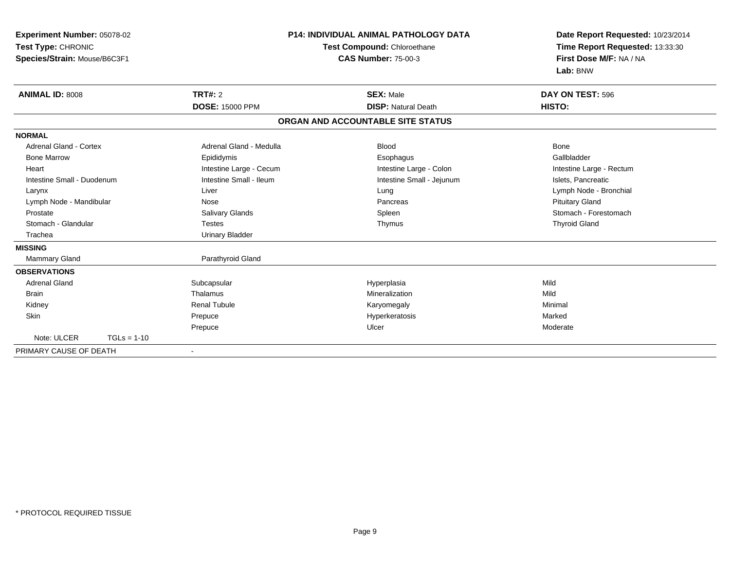| Experiment Number: 05078-02  | <b>P14: INDIVIDUAL ANIMAL PATHOLOGY DATA</b> |                                    | Date Report Requested: 10/23/2014 |
|------------------------------|----------------------------------------------|------------------------------------|-----------------------------------|
| Test Type: CHRONIC           |                                              | <b>Test Compound: Chloroethane</b> | Time Report Requested: 13:33:30   |
| Species/Strain: Mouse/B6C3F1 |                                              | <b>CAS Number: 75-00-3</b>         | First Dose M/F: NA / NA           |
|                              |                                              |                                    | Lab: BNW                          |
| <b>ANIMAL ID: 8008</b>       | TRT#: 2                                      | <b>SEX: Male</b>                   | DAY ON TEST: 596                  |
|                              | <b>DOSE: 15000 PPM</b>                       | <b>DISP: Natural Death</b>         | HISTO:                            |
|                              |                                              | ORGAN AND ACCOUNTABLE SITE STATUS  |                                   |
| <b>NORMAL</b>                |                                              |                                    |                                   |
| Adrenal Gland - Cortex       | Adrenal Gland - Medulla                      | <b>Blood</b>                       | <b>Bone</b>                       |
| <b>Bone Marrow</b>           | Epididymis                                   | Esophagus                          | Gallbladder                       |
| Heart                        | Intestine Large - Cecum                      | Intestine Large - Colon            | Intestine Large - Rectum          |
| Intestine Small - Duodenum   | Intestine Small - Ileum                      | Intestine Small - Jejunum          | Islets, Pancreatic                |
| Larynx                       | Liver                                        | Lung                               | Lymph Node - Bronchial            |
| Lymph Node - Mandibular      | Nose                                         | Pancreas                           | <b>Pituitary Gland</b>            |
| Prostate                     | Salivary Glands                              | Spleen                             | Stomach - Forestomach             |
| Stomach - Glandular          | <b>Testes</b>                                | Thymus                             | <b>Thyroid Gland</b>              |
| Trachea                      | <b>Urinary Bladder</b>                       |                                    |                                   |
| <b>MISSING</b>               |                                              |                                    |                                   |
| <b>Mammary Gland</b>         | Parathyroid Gland                            |                                    |                                   |
| <b>OBSERVATIONS</b>          |                                              |                                    |                                   |
| <b>Adrenal Gland</b>         | Subcapsular                                  | Hyperplasia                        | Mild                              |
| <b>Brain</b>                 | Thalamus                                     | Mineralization                     | Mild                              |
| Kidney                       | <b>Renal Tubule</b>                          | Karyomegaly                        | Minimal                           |
| Skin                         | Prepuce                                      | Hyperkeratosis                     | Marked                            |
|                              | Prepuce                                      | Ulcer                              | Moderate                          |
| Note: ULCER<br>$TGLs = 1-10$ |                                              |                                    |                                   |
| PRIMARY CAUSE OF DEATH       |                                              |                                    |                                   |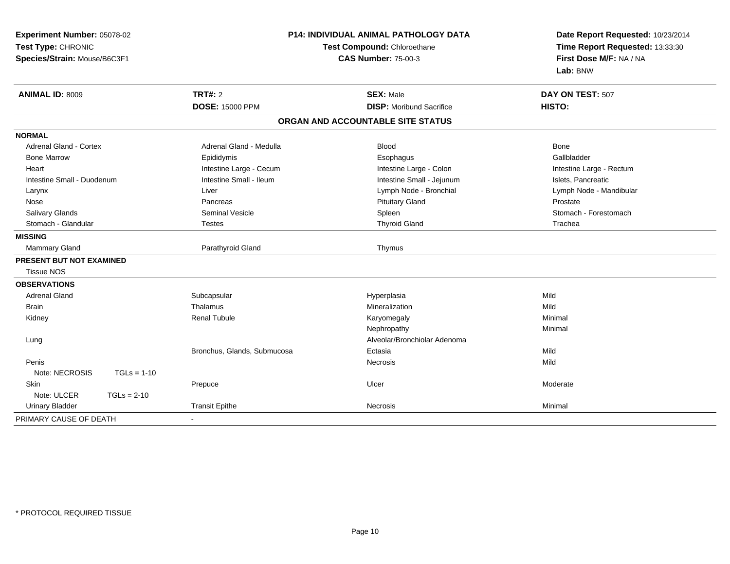| Experiment Number: 05078-02<br>Test Type: CHRONIC<br>Species/Strain: Mouse/B6C3F1 | <b>P14: INDIVIDUAL ANIMAL PATHOLOGY DATA</b><br>Test Compound: Chloroethane<br><b>CAS Number: 75-00-3</b> |                                   | Date Report Requested: 10/23/2014<br>Time Report Requested: 13:33:30<br>First Dose M/F: NA / NA<br>Lab: BNW |
|-----------------------------------------------------------------------------------|-----------------------------------------------------------------------------------------------------------|-----------------------------------|-------------------------------------------------------------------------------------------------------------|
| <b>ANIMAL ID: 8009</b>                                                            | <b>TRT#: 2</b>                                                                                            | <b>SEX: Male</b>                  | DAY ON TEST: 507                                                                                            |
|                                                                                   | <b>DOSE: 15000 PPM</b>                                                                                    | <b>DISP:</b> Moribund Sacrifice   | HISTO:                                                                                                      |
|                                                                                   |                                                                                                           | ORGAN AND ACCOUNTABLE SITE STATUS |                                                                                                             |
| <b>NORMAL</b>                                                                     |                                                                                                           |                                   |                                                                                                             |
| <b>Adrenal Gland - Cortex</b>                                                     | Adrenal Gland - Medulla                                                                                   | <b>Blood</b>                      | Bone                                                                                                        |
| <b>Bone Marrow</b>                                                                | Epididymis                                                                                                | Esophagus                         | Gallbladder                                                                                                 |
| Heart                                                                             | Intestine Large - Cecum                                                                                   | Intestine Large - Colon           | Intestine Large - Rectum                                                                                    |
| Intestine Small - Duodenum                                                        | Intestine Small - Ileum                                                                                   | Intestine Small - Jejunum         | Islets, Pancreatic                                                                                          |
| Larynx                                                                            | Liver                                                                                                     | Lymph Node - Bronchial            | Lymph Node - Mandibular                                                                                     |
| Nose                                                                              | Pancreas                                                                                                  | <b>Pituitary Gland</b>            | Prostate                                                                                                    |
| Salivary Glands                                                                   | <b>Seminal Vesicle</b>                                                                                    | Spleen                            | Stomach - Forestomach                                                                                       |
| Stomach - Glandular                                                               | <b>Testes</b>                                                                                             | <b>Thyroid Gland</b>              | Trachea                                                                                                     |
| <b>MISSING</b>                                                                    |                                                                                                           |                                   |                                                                                                             |
| Mammary Gland                                                                     | Parathyroid Gland                                                                                         | Thymus                            |                                                                                                             |
| <b>PRESENT BUT NOT EXAMINED</b><br><b>Tissue NOS</b>                              |                                                                                                           |                                   |                                                                                                             |
| <b>OBSERVATIONS</b>                                                               |                                                                                                           |                                   |                                                                                                             |
| <b>Adrenal Gland</b>                                                              | Subcapsular                                                                                               | Hyperplasia                       | Mild                                                                                                        |
| <b>Brain</b>                                                                      | Thalamus                                                                                                  | Mineralization                    | Mild                                                                                                        |
| Kidney                                                                            | <b>Renal Tubule</b>                                                                                       | Karyomegaly                       | Minimal                                                                                                     |
|                                                                                   |                                                                                                           | Nephropathy                       | Minimal                                                                                                     |
| Lung                                                                              |                                                                                                           | Alveolar/Bronchiolar Adenoma      |                                                                                                             |
|                                                                                   | Bronchus, Glands, Submucosa                                                                               | Ectasia                           | Mild                                                                                                        |
| Penis                                                                             |                                                                                                           | Necrosis                          | Mild                                                                                                        |
| Note: NECROSIS<br>$TGLs = 1-10$                                                   |                                                                                                           |                                   |                                                                                                             |
| Skin                                                                              | Prepuce                                                                                                   | Ulcer                             | Moderate                                                                                                    |
| Note: ULCER<br>$TGLs = 2-10$                                                      |                                                                                                           |                                   |                                                                                                             |
| <b>Urinary Bladder</b>                                                            | <b>Transit Epithe</b>                                                                                     | <b>Necrosis</b>                   | Minimal                                                                                                     |
| PRIMARY CAUSE OF DEATH                                                            | $\sim$                                                                                                    |                                   |                                                                                                             |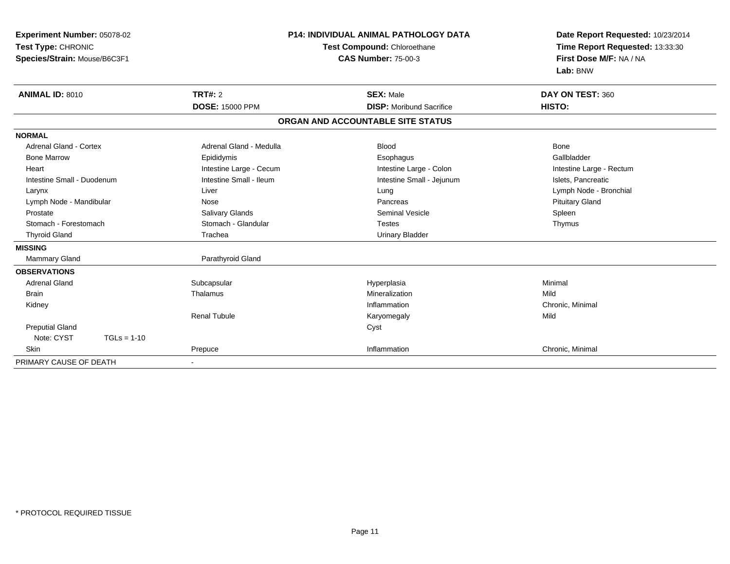| Experiment Number: 05078-02   | <b>P14: INDIVIDUAL ANIMAL PATHOLOGY DATA</b><br>Test Compound: Chloroethane |                                   | Date Report Requested: 10/23/2014 |
|-------------------------------|-----------------------------------------------------------------------------|-----------------------------------|-----------------------------------|
| Test Type: CHRONIC            |                                                                             |                                   | Time Report Requested: 13:33:30   |
| Species/Strain: Mouse/B6C3F1  |                                                                             | <b>CAS Number: 75-00-3</b>        | First Dose M/F: NA / NA           |
|                               |                                                                             |                                   | Lab: BNW                          |
| <b>ANIMAL ID: 8010</b>        | <b>TRT#: 2</b>                                                              | <b>SEX: Male</b>                  | DAY ON TEST: 360                  |
|                               | <b>DOSE: 15000 PPM</b>                                                      | <b>DISP:</b> Moribund Sacrifice   | HISTO:                            |
|                               |                                                                             | ORGAN AND ACCOUNTABLE SITE STATUS |                                   |
| <b>NORMAL</b>                 |                                                                             |                                   |                                   |
| <b>Adrenal Gland - Cortex</b> | Adrenal Gland - Medulla                                                     | <b>Blood</b>                      | Bone                              |
| <b>Bone Marrow</b>            | Epididymis                                                                  | Esophagus                         | Gallbladder                       |
| Heart                         | Intestine Large - Cecum                                                     | Intestine Large - Colon           | Intestine Large - Rectum          |
| Intestine Small - Duodenum    | Intestine Small - Ileum                                                     | Intestine Small - Jejunum         | Islets, Pancreatic                |
| Larynx                        | Liver                                                                       | Lung                              | Lymph Node - Bronchial            |
| Lymph Node - Mandibular       | Nose                                                                        | Pancreas                          | <b>Pituitary Gland</b>            |
| Prostate                      | <b>Salivary Glands</b>                                                      | <b>Seminal Vesicle</b>            | Spleen                            |
| Stomach - Forestomach         | Stomach - Glandular                                                         | <b>Testes</b>                     | Thymus                            |
| <b>Thyroid Gland</b>          | Trachea                                                                     | <b>Urinary Bladder</b>            |                                   |
| <b>MISSING</b>                |                                                                             |                                   |                                   |
| Mammary Gland                 | Parathyroid Gland                                                           |                                   |                                   |
| <b>OBSERVATIONS</b>           |                                                                             |                                   |                                   |
| <b>Adrenal Gland</b>          | Subcapsular                                                                 | Hyperplasia                       | Minimal                           |
| <b>Brain</b>                  | Thalamus                                                                    | Mineralization                    | Mild                              |
| Kidney                        |                                                                             | Inflammation                      | Chronic, Minimal                  |
|                               | <b>Renal Tubule</b>                                                         | Karyomegaly                       | Mild                              |
| <b>Preputial Gland</b>        |                                                                             | Cyst                              |                                   |
| Note: CYST<br>$TGLs = 1-10$   |                                                                             |                                   |                                   |
| Skin                          | Prepuce                                                                     | Inflammation                      | Chronic, Minimal                  |
| PRIMARY CAUSE OF DEATH        |                                                                             |                                   |                                   |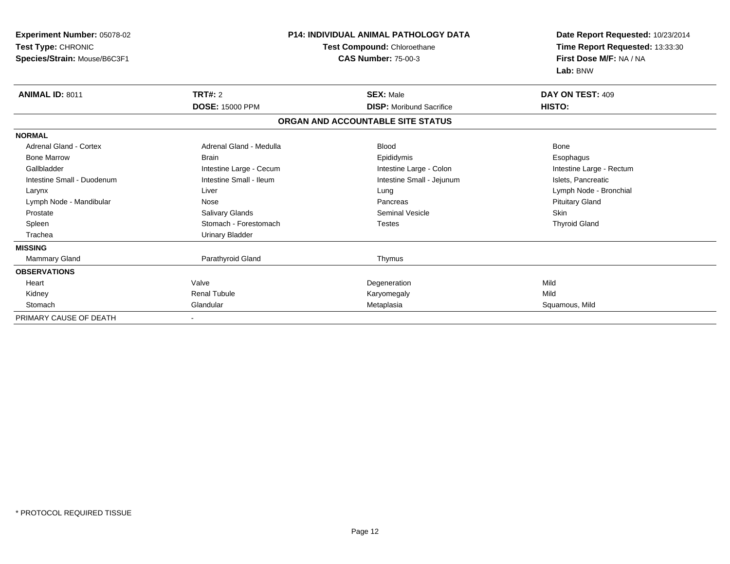| Experiment Number: 05078-02<br>Test Type: CHRONIC<br>Species/Strain: Mouse/B6C3F1 |                         | <b>P14: INDIVIDUAL ANIMAL PATHOLOGY DATA</b><br>Test Compound: Chloroethane<br><b>CAS Number: 75-00-3</b> | Date Report Requested: 10/23/2014<br>Time Report Requested: 13:33:30<br>First Dose M/F: NA / NA<br>Lab: BNW |  |
|-----------------------------------------------------------------------------------|-------------------------|-----------------------------------------------------------------------------------------------------------|-------------------------------------------------------------------------------------------------------------|--|
| <b>ANIMAL ID: 8011</b>                                                            | <b>TRT#: 2</b>          | <b>SEX: Male</b>                                                                                          | DAY ON TEST: 409                                                                                            |  |
|                                                                                   | <b>DOSE: 15000 PPM</b>  | <b>DISP:</b> Moribund Sacrifice                                                                           | HISTO:                                                                                                      |  |
|                                                                                   |                         | ORGAN AND ACCOUNTABLE SITE STATUS                                                                         |                                                                                                             |  |
| <b>NORMAL</b>                                                                     |                         |                                                                                                           |                                                                                                             |  |
| <b>Adrenal Gland - Cortex</b>                                                     | Adrenal Gland - Medulla | Blood                                                                                                     | <b>Bone</b>                                                                                                 |  |
| <b>Bone Marrow</b>                                                                | <b>Brain</b>            | Epididymis                                                                                                | Esophagus                                                                                                   |  |
| Gallbladder                                                                       | Intestine Large - Cecum | Intestine Large - Colon                                                                                   | Intestine Large - Rectum                                                                                    |  |
| Intestine Small - Duodenum                                                        | Intestine Small - Ileum | Intestine Small - Jejunum                                                                                 | Islets, Pancreatic                                                                                          |  |
| Larynx                                                                            | Liver                   | Lung                                                                                                      | Lymph Node - Bronchial                                                                                      |  |
| Lymph Node - Mandibular                                                           | Nose                    | Pancreas                                                                                                  | <b>Pituitary Gland</b>                                                                                      |  |
| Prostate                                                                          | Salivary Glands         | <b>Seminal Vesicle</b>                                                                                    | Skin                                                                                                        |  |
| Spleen                                                                            | Stomach - Forestomach   | <b>Testes</b>                                                                                             | <b>Thyroid Gland</b>                                                                                        |  |
| Trachea                                                                           | <b>Urinary Bladder</b>  |                                                                                                           |                                                                                                             |  |
| <b>MISSING</b>                                                                    |                         |                                                                                                           |                                                                                                             |  |
| Mammary Gland                                                                     | Parathyroid Gland       | Thymus                                                                                                    |                                                                                                             |  |
| <b>OBSERVATIONS</b>                                                               |                         |                                                                                                           |                                                                                                             |  |
| Heart                                                                             | Valve                   | Degeneration                                                                                              | Mild                                                                                                        |  |
| Kidney                                                                            | <b>Renal Tubule</b>     | Karyomegaly                                                                                               | Mild                                                                                                        |  |
| Stomach                                                                           | Glandular               | Metaplasia                                                                                                | Squamous, Mild                                                                                              |  |
| PRIMARY CAUSE OF DEATH                                                            |                         |                                                                                                           |                                                                                                             |  |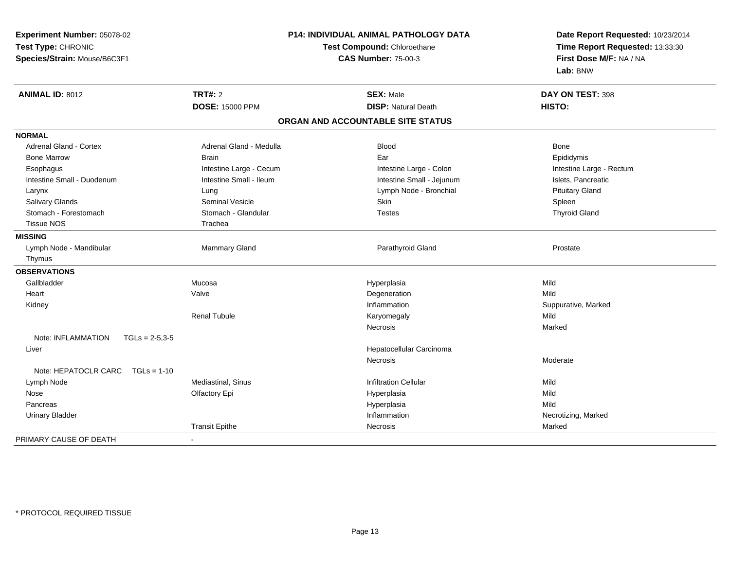|                                          |                                                           |                                   | Date Report Requested: 10/23/2014 |  |
|------------------------------------------|-----------------------------------------------------------|-----------------------------------|-----------------------------------|--|
| Test Type: CHRONIC                       | Test Compound: Chloroethane<br><b>CAS Number: 75-00-3</b> |                                   | Time Report Requested: 13:33:30   |  |
| Species/Strain: Mouse/B6C3F1             |                                                           |                                   | First Dose M/F: NA / NA           |  |
|                                          |                                                           |                                   | Lab: BNW                          |  |
| <b>ANIMAL ID: 8012</b>                   | TRT#: 2                                                   | <b>SEX: Male</b>                  | DAY ON TEST: 398                  |  |
|                                          | <b>DOSE: 15000 PPM</b>                                    | <b>DISP: Natural Death</b>        | HISTO:                            |  |
|                                          |                                                           | ORGAN AND ACCOUNTABLE SITE STATUS |                                   |  |
| <b>NORMAL</b>                            |                                                           |                                   |                                   |  |
| <b>Adrenal Gland - Cortex</b>            | Adrenal Gland - Medulla                                   | <b>Blood</b>                      | <b>Bone</b>                       |  |
| <b>Bone Marrow</b>                       | <b>Brain</b>                                              | Ear                               | Epididymis                        |  |
| Esophagus                                | Intestine Large - Cecum                                   | Intestine Large - Colon           | Intestine Large - Rectum          |  |
| Intestine Small - Duodenum               | Intestine Small - Ileum                                   | Intestine Small - Jejunum         | Islets, Pancreatic                |  |
| Larynx                                   | Lung                                                      | Lymph Node - Bronchial            | <b>Pituitary Gland</b>            |  |
| Salivary Glands                          | Seminal Vesicle                                           | Skin                              | Spleen                            |  |
| Stomach - Forestomach                    | Stomach - Glandular                                       | <b>Testes</b>                     | <b>Thyroid Gland</b>              |  |
| <b>Tissue NOS</b>                        | Trachea                                                   |                                   |                                   |  |
| <b>MISSING</b>                           |                                                           |                                   |                                   |  |
| Lymph Node - Mandibular                  | <b>Mammary Gland</b>                                      | Parathyroid Gland                 | Prostate                          |  |
| Thymus                                   |                                                           |                                   |                                   |  |
| <b>OBSERVATIONS</b>                      |                                                           |                                   |                                   |  |
| Gallbladder                              | Mucosa                                                    | Hyperplasia                       | Mild                              |  |
| Heart                                    | Valve                                                     | Degeneration                      | Mild                              |  |
| Kidney                                   |                                                           | Inflammation                      | Suppurative, Marked               |  |
|                                          | <b>Renal Tubule</b>                                       | Karyomegaly                       | Mild                              |  |
|                                          |                                                           | Necrosis                          | Marked                            |  |
| Note: INFLAMMATION<br>$TGLs = 2-5,3-5$   |                                                           |                                   |                                   |  |
| Liver                                    |                                                           | Hepatocellular Carcinoma          |                                   |  |
|                                          |                                                           | Necrosis                          | Moderate                          |  |
| Note: HEPATOCLR CARC<br>$TGLs = 1-10$    |                                                           |                                   |                                   |  |
| Lymph Node                               | Mediastinal, Sinus                                        | <b>Infiltration Cellular</b>      | Mild                              |  |
| Nose                                     | Olfactory Epi                                             | Hyperplasia                       | Mild                              |  |
| Pancreas                                 |                                                           | Hyperplasia                       | Mild                              |  |
| <b>Urinary Bladder</b>                   |                                                           | Inflammation                      | Necrotizing, Marked               |  |
|                                          | <b>Transit Epithe</b>                                     | Necrosis                          | Marked                            |  |
| PRIMARY CAUSE OF DEATH<br>$\blacksquare$ |                                                           |                                   |                                   |  |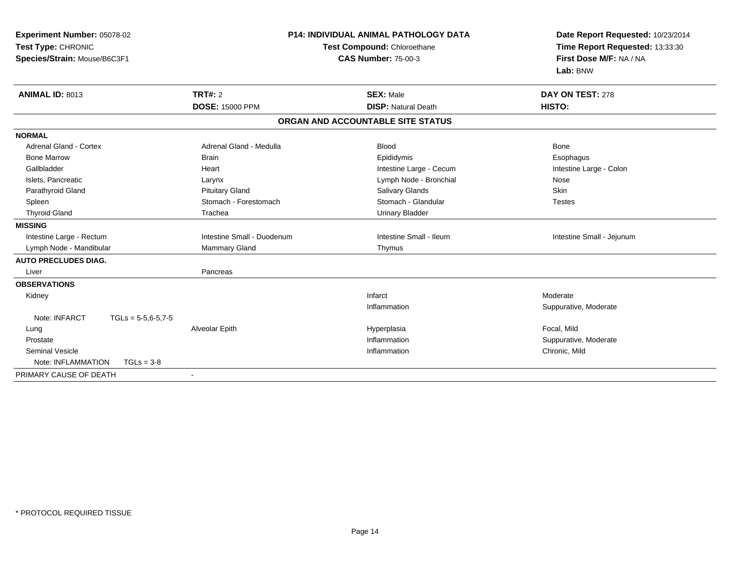| Experiment Number: 05078-02<br>Test Type: CHRONIC<br>Species/Strain: Mouse/B6C3F1 |                                          | <b>P14: INDIVIDUAL ANIMAL PATHOLOGY DATA</b><br>Test Compound: Chloroethane<br><b>CAS Number: 75-00-3</b> | Date Report Requested: 10/23/2014<br>Time Report Requested: 13:33:30<br>First Dose M/F: NA / NA<br>Lab: BNW |
|-----------------------------------------------------------------------------------|------------------------------------------|-----------------------------------------------------------------------------------------------------------|-------------------------------------------------------------------------------------------------------------|
| <b>ANIMAL ID: 8013</b>                                                            | <b>TRT#: 2</b><br><b>DOSE: 15000 PPM</b> | <b>SEX: Male</b><br><b>DISP: Natural Death</b>                                                            | DAY ON TEST: 278<br>HISTO:                                                                                  |
|                                                                                   |                                          |                                                                                                           |                                                                                                             |
|                                                                                   |                                          | ORGAN AND ACCOUNTABLE SITE STATUS                                                                         |                                                                                                             |
| <b>NORMAL</b>                                                                     |                                          |                                                                                                           |                                                                                                             |
| Adrenal Gland - Cortex                                                            | Adrenal Gland - Medulla                  | <b>Blood</b>                                                                                              | <b>Bone</b>                                                                                                 |
| <b>Bone Marrow</b>                                                                | <b>Brain</b>                             | Epididymis                                                                                                | Esophagus                                                                                                   |
| Gallbladder                                                                       | Heart                                    | Intestine Large - Cecum                                                                                   | Intestine Large - Colon                                                                                     |
| Islets, Pancreatic                                                                | Larynx                                   | Lymph Node - Bronchial                                                                                    | Nose                                                                                                        |
| Parathyroid Gland                                                                 | <b>Pituitary Gland</b>                   | <b>Salivary Glands</b>                                                                                    | Skin                                                                                                        |
| Spleen                                                                            | Stomach - Forestomach                    | Stomach - Glandular                                                                                       | <b>Testes</b>                                                                                               |
| <b>Thyroid Gland</b>                                                              | Trachea                                  | <b>Urinary Bladder</b>                                                                                    |                                                                                                             |
| <b>MISSING</b>                                                                    |                                          |                                                                                                           |                                                                                                             |
| Intestine Large - Rectum                                                          | Intestine Small - Duodenum               | Intestine Small - Ileum                                                                                   | Intestine Small - Jejunum                                                                                   |
| Lymph Node - Mandibular                                                           | Mammary Gland                            | Thymus                                                                                                    |                                                                                                             |
| <b>AUTO PRECLUDES DIAG.</b>                                                       |                                          |                                                                                                           |                                                                                                             |
| Liver                                                                             | Pancreas                                 |                                                                                                           |                                                                                                             |
| <b>OBSERVATIONS</b>                                                               |                                          |                                                                                                           |                                                                                                             |
| Kidney                                                                            |                                          | Infarct                                                                                                   | Moderate                                                                                                    |
|                                                                                   |                                          | Inflammation                                                                                              | Suppurative, Moderate                                                                                       |
| Note: INFARCT<br>$TGLs = 5-5.6-5.7-5$                                             |                                          |                                                                                                           |                                                                                                             |
| Lung                                                                              | Alveolar Epith                           | Hyperplasia                                                                                               | Focal, Mild                                                                                                 |
| Prostate                                                                          |                                          | Inflammation                                                                                              | Suppurative, Moderate                                                                                       |
| <b>Seminal Vesicle</b>                                                            |                                          | Inflammation                                                                                              | Chronic, Mild                                                                                               |
| Note: INFLAMMATION<br>$TGLs = 3-8$                                                |                                          |                                                                                                           |                                                                                                             |
| PRIMARY CAUSE OF DEATH                                                            | $\overline{\phantom{a}}$                 |                                                                                                           |                                                                                                             |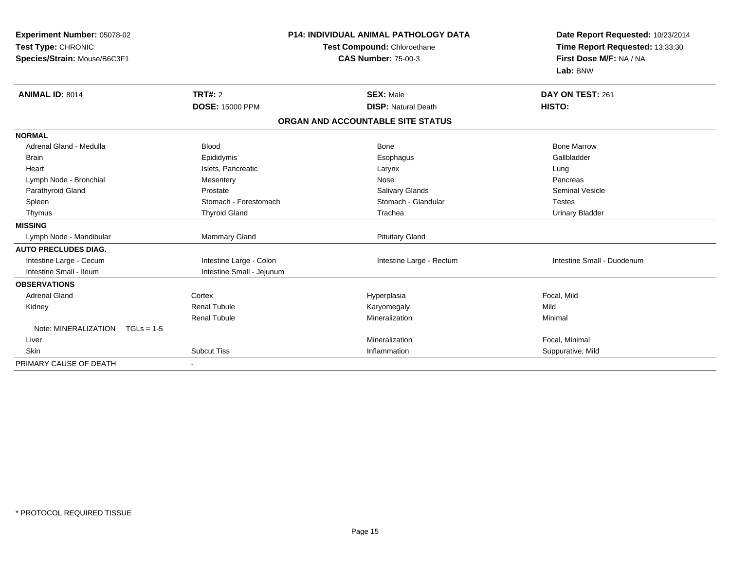| Experiment Number: 05078-02<br>Test Type: CHRONIC<br>Species/Strain: Mouse/B6C3F1<br><b>ANIMAL ID: 8014</b> | <b>TRT#: 2</b>            | <b>P14: INDIVIDUAL ANIMAL PATHOLOGY DATA</b><br>Test Compound: Chloroethane<br><b>CAS Number: 75-00-3</b><br><b>SEX: Male</b> | Date Report Requested: 10/23/2014<br>Time Report Requested: 13:33:30<br>First Dose M/F: NA / NA<br>Lab: BNW<br>DAY ON TEST: 261 |
|-------------------------------------------------------------------------------------------------------------|---------------------------|-------------------------------------------------------------------------------------------------------------------------------|---------------------------------------------------------------------------------------------------------------------------------|
|                                                                                                             | <b>DOSE: 15000 PPM</b>    | <b>DISP: Natural Death</b>                                                                                                    | HISTO:                                                                                                                          |
|                                                                                                             |                           | ORGAN AND ACCOUNTABLE SITE STATUS                                                                                             |                                                                                                                                 |
| <b>NORMAL</b>                                                                                               |                           |                                                                                                                               |                                                                                                                                 |
| Adrenal Gland - Medulla                                                                                     | <b>Blood</b>              | Bone                                                                                                                          | <b>Bone Marrow</b>                                                                                                              |
| <b>Brain</b>                                                                                                | Epididymis                | Esophagus                                                                                                                     | Gallbladder                                                                                                                     |
| Heart                                                                                                       | Islets, Pancreatic        | Larynx                                                                                                                        | Lung                                                                                                                            |
| Lymph Node - Bronchial                                                                                      | Mesentery                 | Nose                                                                                                                          | Pancreas                                                                                                                        |
| Parathyroid Gland                                                                                           | Prostate                  | Salivary Glands                                                                                                               | <b>Seminal Vesicle</b>                                                                                                          |
| Spleen                                                                                                      | Stomach - Forestomach     | Stomach - Glandular                                                                                                           | <b>Testes</b>                                                                                                                   |
| Thymus                                                                                                      | <b>Thyroid Gland</b>      | Trachea                                                                                                                       | <b>Urinary Bladder</b>                                                                                                          |
| <b>MISSING</b>                                                                                              |                           |                                                                                                                               |                                                                                                                                 |
| Lymph Node - Mandibular                                                                                     | <b>Mammary Gland</b>      | <b>Pituitary Gland</b>                                                                                                        |                                                                                                                                 |
| <b>AUTO PRECLUDES DIAG.</b>                                                                                 |                           |                                                                                                                               |                                                                                                                                 |
| Intestine Large - Cecum                                                                                     | Intestine Large - Colon   | Intestine Large - Rectum                                                                                                      | Intestine Small - Duodenum                                                                                                      |
| Intestine Small - Ileum                                                                                     | Intestine Small - Jejunum |                                                                                                                               |                                                                                                                                 |
| <b>OBSERVATIONS</b>                                                                                         |                           |                                                                                                                               |                                                                                                                                 |
| <b>Adrenal Gland</b>                                                                                        | Cortex                    | Hyperplasia                                                                                                                   | Focal, Mild                                                                                                                     |
| Kidney                                                                                                      | <b>Renal Tubule</b>       | Karyomegaly                                                                                                                   | Mild                                                                                                                            |
|                                                                                                             | <b>Renal Tubule</b>       | Mineralization                                                                                                                | Minimal                                                                                                                         |
| Note: MINERALIZATION<br>$TGLs = 1-5$                                                                        |                           |                                                                                                                               |                                                                                                                                 |
| Liver                                                                                                       |                           | Mineralization                                                                                                                | Focal, Minimal                                                                                                                  |
| <b>Skin</b>                                                                                                 | <b>Subcut Tiss</b>        | Inflammation                                                                                                                  | Suppurative, Mild                                                                                                               |
| PRIMARY CAUSE OF DEATH                                                                                      | $\blacksquare$            |                                                                                                                               |                                                                                                                                 |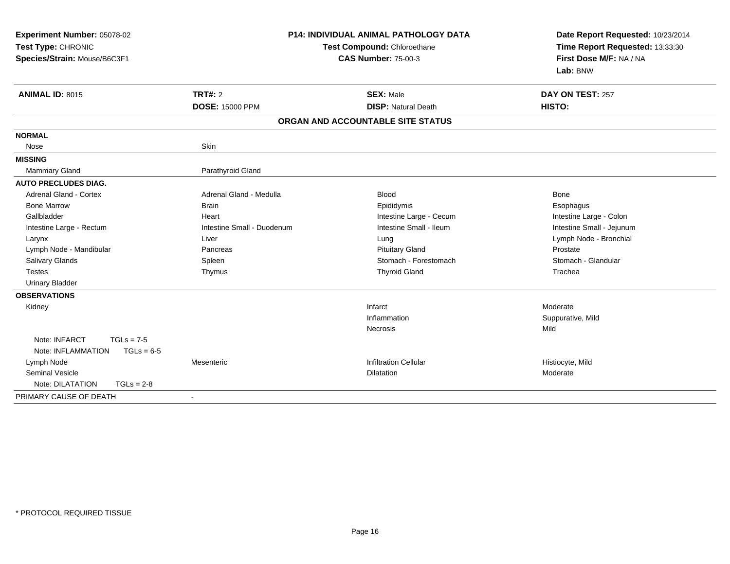| Experiment Number: 05078-02<br>Test Type: CHRONIC<br>Species/Strain: Mouse/B6C3F1 | <b>P14: INDIVIDUAL ANIMAL PATHOLOGY DATA</b><br>Test Compound: Chloroethane<br><b>CAS Number: 75-00-3</b> |                                                | Date Report Requested: 10/23/2014<br>Time Report Requested: 13:33:30<br>First Dose M/F: NA / NA<br>Lab: BNW |  |
|-----------------------------------------------------------------------------------|-----------------------------------------------------------------------------------------------------------|------------------------------------------------|-------------------------------------------------------------------------------------------------------------|--|
| <b>ANIMAL ID: 8015</b>                                                            | <b>TRT#: 2</b><br><b>DOSE: 15000 PPM</b>                                                                  | <b>SEX: Male</b><br><b>DISP: Natural Death</b> | DAY ON TEST: 257<br>HISTO:                                                                                  |  |
|                                                                                   |                                                                                                           | ORGAN AND ACCOUNTABLE SITE STATUS              |                                                                                                             |  |
| <b>NORMAL</b>                                                                     |                                                                                                           |                                                |                                                                                                             |  |
| Nose                                                                              | Skin                                                                                                      |                                                |                                                                                                             |  |
| <b>MISSING</b>                                                                    |                                                                                                           |                                                |                                                                                                             |  |
| <b>Mammary Gland</b>                                                              | Parathyroid Gland                                                                                         |                                                |                                                                                                             |  |
| <b>AUTO PRECLUDES DIAG.</b>                                                       |                                                                                                           |                                                |                                                                                                             |  |
| Adrenal Gland - Cortex                                                            | Adrenal Gland - Medulla                                                                                   | <b>Blood</b>                                   | Bone                                                                                                        |  |
| <b>Bone Marrow</b>                                                                | <b>Brain</b>                                                                                              | Epididymis                                     | Esophagus                                                                                                   |  |
| Gallbladder                                                                       | Heart                                                                                                     | Intestine Large - Cecum                        | Intestine Large - Colon                                                                                     |  |
| Intestine Large - Rectum                                                          | Intestine Small - Duodenum                                                                                | Intestine Small - Ileum                        | Intestine Small - Jejunum                                                                                   |  |
| Larynx                                                                            | Liver                                                                                                     | Lung                                           | Lymph Node - Bronchial                                                                                      |  |
| Lymph Node - Mandibular                                                           | Pancreas                                                                                                  | <b>Pituitary Gland</b>                         | Prostate                                                                                                    |  |
| <b>Salivary Glands</b>                                                            | Spleen                                                                                                    | Stomach - Forestomach                          | Stomach - Glandular                                                                                         |  |
| <b>Testes</b>                                                                     | Thymus                                                                                                    | <b>Thyroid Gland</b>                           | Trachea                                                                                                     |  |
| <b>Urinary Bladder</b>                                                            |                                                                                                           |                                                |                                                                                                             |  |
| <b>OBSERVATIONS</b>                                                               |                                                                                                           |                                                |                                                                                                             |  |
| Kidney                                                                            |                                                                                                           | Infarct                                        | Moderate                                                                                                    |  |
|                                                                                   |                                                                                                           | Inflammation                                   | Suppurative, Mild                                                                                           |  |
|                                                                                   |                                                                                                           | Necrosis                                       | Mild                                                                                                        |  |
| Note: INFARCT<br>$TGLs = 7-5$                                                     |                                                                                                           |                                                |                                                                                                             |  |
| Note: INFLAMMATION<br>$TGLs = 6-5$                                                |                                                                                                           |                                                |                                                                                                             |  |
| Lymph Node                                                                        | Mesenteric                                                                                                | <b>Infiltration Cellular</b>                   | Histiocyte, Mild                                                                                            |  |
| <b>Seminal Vesicle</b>                                                            |                                                                                                           | <b>Dilatation</b>                              | Moderate                                                                                                    |  |
| $TGLs = 2-8$<br>Note: DILATATION                                                  |                                                                                                           |                                                |                                                                                                             |  |
| PRIMARY CAUSE OF DEATH                                                            | $\sim$                                                                                                    |                                                |                                                                                                             |  |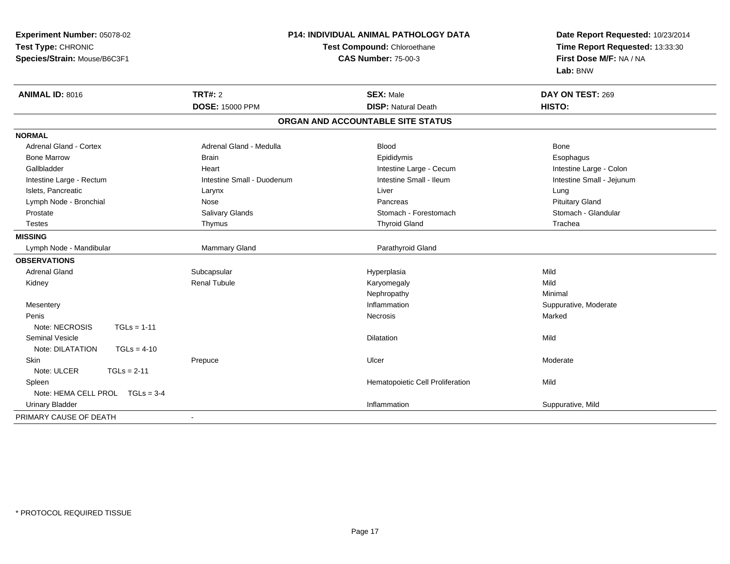| Experiment Number: 05078-02       | P14: INDIVIDUAL ANIMAL PATHOLOGY DATA<br><b>Test Compound: Chloroethane</b><br><b>CAS Number: 75-00-3</b> |                                   | Date Report Requested: 10/23/2014<br>Time Report Requested: 13:33:30 |
|-----------------------------------|-----------------------------------------------------------------------------------------------------------|-----------------------------------|----------------------------------------------------------------------|
| Test Type: CHRONIC                |                                                                                                           |                                   |                                                                      |
| Species/Strain: Mouse/B6C3F1      |                                                                                                           |                                   | First Dose M/F: NA / NA                                              |
|                                   |                                                                                                           |                                   | Lab: BNW                                                             |
| <b>ANIMAL ID: 8016</b>            | TRT#: 2                                                                                                   | <b>SEX: Male</b>                  | DAY ON TEST: 269                                                     |
|                                   | <b>DOSE: 15000 PPM</b>                                                                                    | <b>DISP: Natural Death</b>        | HISTO:                                                               |
|                                   |                                                                                                           | ORGAN AND ACCOUNTABLE SITE STATUS |                                                                      |
| <b>NORMAL</b>                     |                                                                                                           |                                   |                                                                      |
| <b>Adrenal Gland - Cortex</b>     | Adrenal Gland - Medulla                                                                                   | <b>Blood</b>                      | <b>Bone</b>                                                          |
| <b>Bone Marrow</b>                | <b>Brain</b>                                                                                              | Epididymis                        | Esophagus                                                            |
| Gallbladder                       | Heart                                                                                                     | Intestine Large - Cecum           | Intestine Large - Colon                                              |
| Intestine Large - Rectum          | Intestine Small - Duodenum                                                                                | Intestine Small - Ileum           | Intestine Small - Jejunum                                            |
| Islets, Pancreatic                | Larynx                                                                                                    | Liver                             | Lung                                                                 |
| Lymph Node - Bronchial            | Nose                                                                                                      | Pancreas                          | <b>Pituitary Gland</b>                                               |
| Prostate                          | Salivary Glands                                                                                           | Stomach - Forestomach             | Stomach - Glandular                                                  |
| <b>Testes</b>                     | Thymus                                                                                                    | <b>Thyroid Gland</b>              | Trachea                                                              |
| <b>MISSING</b>                    |                                                                                                           |                                   |                                                                      |
| Lymph Node - Mandibular           | <b>Mammary Gland</b>                                                                                      | Parathyroid Gland                 |                                                                      |
| <b>OBSERVATIONS</b>               |                                                                                                           |                                   |                                                                      |
| <b>Adrenal Gland</b>              | Subcapsular                                                                                               | Hyperplasia                       | Mild                                                                 |
| Kidney                            | <b>Renal Tubule</b>                                                                                       | Karyomegaly                       | Mild                                                                 |
|                                   |                                                                                                           | Nephropathy                       | Minimal                                                              |
| Mesentery                         |                                                                                                           | Inflammation                      | Suppurative, Moderate                                                |
| Penis                             |                                                                                                           | Necrosis                          | Marked                                                               |
| Note: NECROSIS<br>$TGLs = 1-11$   |                                                                                                           |                                   |                                                                      |
| <b>Seminal Vesicle</b>            |                                                                                                           | Dilatation                        | Mild                                                                 |
| Note: DILATATION<br>$TGLs = 4-10$ |                                                                                                           |                                   |                                                                      |
| Skin                              | Prepuce                                                                                                   | Ulcer                             | Moderate                                                             |
| Note: ULCER<br>$TGLs = 2-11$      |                                                                                                           |                                   |                                                                      |
| Spleen                            |                                                                                                           | Hematopoietic Cell Proliferation  | Mild                                                                 |
| Note: HEMA CELL PROL TGLs = 3-4   |                                                                                                           |                                   |                                                                      |
| <b>Urinary Bladder</b>            |                                                                                                           | Inflammation                      | Suppurative, Mild                                                    |
| PRIMARY CAUSE OF DEATH            |                                                                                                           |                                   |                                                                      |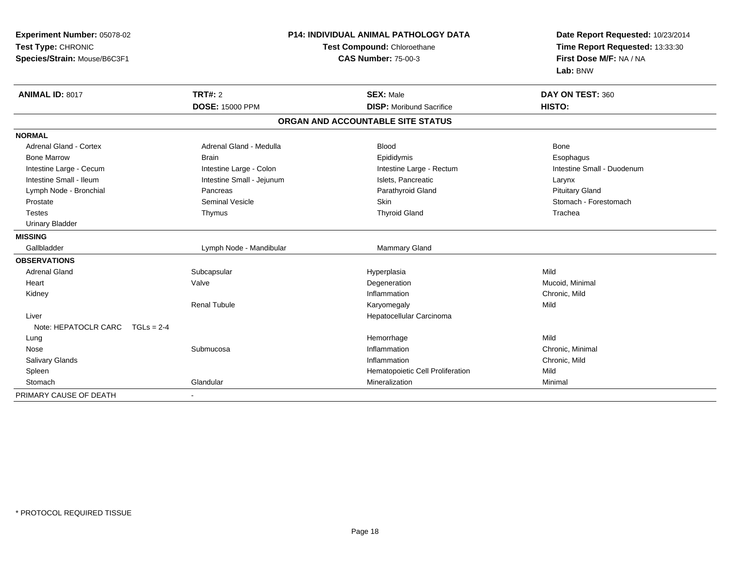| <b>Experiment Number: 05078-02</b><br>Test Type: CHRONIC<br>Species/Strain: Mouse/B6C3F1 | <b>P14: INDIVIDUAL ANIMAL PATHOLOGY DATA</b><br>Test Compound: Chloroethane<br><b>CAS Number: 75-00-3</b> |                                                     | Date Report Requested: 10/23/2014<br>Time Report Requested: 13:33:30<br>First Dose M/F: NA / NA<br>Lab: BNW |  |
|------------------------------------------------------------------------------------------|-----------------------------------------------------------------------------------------------------------|-----------------------------------------------------|-------------------------------------------------------------------------------------------------------------|--|
| ANIMAL ID: 8017                                                                          | <b>TRT#: 2</b><br><b>DOSE: 15000 PPM</b>                                                                  | <b>SEX: Male</b><br><b>DISP: Moribund Sacrifice</b> | DAY ON TEST: 360<br>HISTO:                                                                                  |  |
|                                                                                          |                                                                                                           |                                                     |                                                                                                             |  |
|                                                                                          |                                                                                                           | ORGAN AND ACCOUNTABLE SITE STATUS                   |                                                                                                             |  |
| <b>NORMAL</b>                                                                            |                                                                                                           |                                                     |                                                                                                             |  |
| Adrenal Gland - Cortex                                                                   | Adrenal Gland - Medulla                                                                                   | <b>Blood</b>                                        | <b>Bone</b>                                                                                                 |  |
| <b>Bone Marrow</b>                                                                       | <b>Brain</b>                                                                                              | Epididymis                                          | Esophagus                                                                                                   |  |
| Intestine Large - Cecum                                                                  | Intestine Large - Colon                                                                                   | Intestine Large - Rectum                            | Intestine Small - Duodenum                                                                                  |  |
| Intestine Small - Ileum                                                                  | Intestine Small - Jejunum                                                                                 | Islets, Pancreatic                                  | Larynx                                                                                                      |  |
| Lymph Node - Bronchial                                                                   | Pancreas                                                                                                  | Parathyroid Gland                                   | <b>Pituitary Gland</b>                                                                                      |  |
| Prostate                                                                                 | <b>Seminal Vesicle</b>                                                                                    | Skin                                                | Stomach - Forestomach                                                                                       |  |
| <b>Testes</b>                                                                            | Thymus                                                                                                    | <b>Thyroid Gland</b>                                | Trachea                                                                                                     |  |
| <b>Urinary Bladder</b>                                                                   |                                                                                                           |                                                     |                                                                                                             |  |
| <b>MISSING</b>                                                                           |                                                                                                           |                                                     |                                                                                                             |  |
| Gallbladder                                                                              | Lymph Node - Mandibular                                                                                   | Mammary Gland                                       |                                                                                                             |  |
| <b>OBSERVATIONS</b>                                                                      |                                                                                                           |                                                     |                                                                                                             |  |
| <b>Adrenal Gland</b>                                                                     | Subcapsular                                                                                               | Hyperplasia                                         | Mild                                                                                                        |  |
| Heart                                                                                    | Valve                                                                                                     | Degeneration                                        | Mucoid, Minimal                                                                                             |  |
| Kidney                                                                                   |                                                                                                           | Inflammation                                        | Chronic, Mild                                                                                               |  |
|                                                                                          | <b>Renal Tubule</b>                                                                                       | Karyomegaly                                         | Mild                                                                                                        |  |
| Liver                                                                                    |                                                                                                           | Hepatocellular Carcinoma                            |                                                                                                             |  |
| Note: HEPATOCLR CARC $TGLs = 2-4$                                                        |                                                                                                           |                                                     |                                                                                                             |  |
| Lung                                                                                     |                                                                                                           | Hemorrhage                                          | Mild                                                                                                        |  |
| Nose                                                                                     | Submucosa                                                                                                 | Inflammation                                        | Chronic, Minimal                                                                                            |  |
| <b>Salivary Glands</b>                                                                   |                                                                                                           | Inflammation                                        | Chronic, Mild                                                                                               |  |
| Spleen                                                                                   |                                                                                                           | Hematopoietic Cell Proliferation                    | Mild                                                                                                        |  |
| Stomach                                                                                  | Glandular                                                                                                 | Mineralization                                      | Minimal                                                                                                     |  |
| PRIMARY CAUSE OF DEATH                                                                   | $\blacksquare$                                                                                            |                                                     |                                                                                                             |  |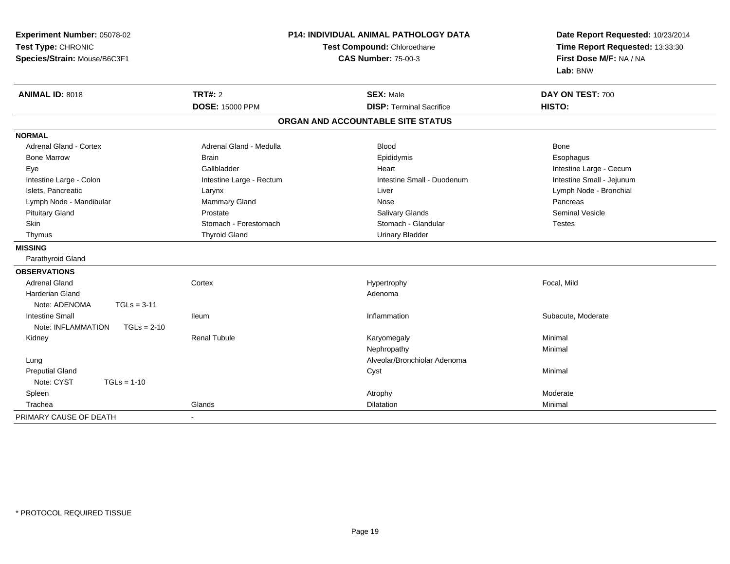| Experiment Number: 05078-02<br>Test Type: CHRONIC<br>Species/Strain: Mouse/B6C3F1 |                          | <b>P14: INDIVIDUAL ANIMAL PATHOLOGY DATA</b><br>Test Compound: Chloroethane<br><b>CAS Number: 75-00-3</b> | Date Report Requested: 10/23/2014<br>Time Report Requested: 13:33:30<br>First Dose M/F: NA / NA<br>Lab: BNW |
|-----------------------------------------------------------------------------------|--------------------------|-----------------------------------------------------------------------------------------------------------|-------------------------------------------------------------------------------------------------------------|
| <b>ANIMAL ID: 8018</b>                                                            | <b>TRT#: 2</b>           | <b>SEX: Male</b>                                                                                          | DAY ON TEST: 700                                                                                            |
|                                                                                   | <b>DOSE: 15000 PPM</b>   | <b>DISP: Terminal Sacrifice</b>                                                                           | HISTO:                                                                                                      |
|                                                                                   |                          | ORGAN AND ACCOUNTABLE SITE STATUS                                                                         |                                                                                                             |
| <b>NORMAL</b>                                                                     |                          |                                                                                                           |                                                                                                             |
| Adrenal Gland - Cortex                                                            | Adrenal Gland - Medulla  | <b>Blood</b>                                                                                              | Bone                                                                                                        |
| <b>Bone Marrow</b>                                                                | <b>Brain</b>             | Epididymis                                                                                                | Esophagus                                                                                                   |
| Eye                                                                               | Gallbladder              | Heart                                                                                                     | Intestine Large - Cecum                                                                                     |
| Intestine Large - Colon                                                           | Intestine Large - Rectum | Intestine Small - Duodenum                                                                                | Intestine Small - Jejunum                                                                                   |
| Islets, Pancreatic                                                                | Larynx                   | Liver                                                                                                     | Lymph Node - Bronchial                                                                                      |
| Lymph Node - Mandibular                                                           | Mammary Gland            | Nose                                                                                                      | Pancreas                                                                                                    |
| <b>Pituitary Gland</b>                                                            | Prostate                 | <b>Salivary Glands</b>                                                                                    | Seminal Vesicle                                                                                             |
| Skin                                                                              | Stomach - Forestomach    | Stomach - Glandular                                                                                       | <b>Testes</b>                                                                                               |
| Thymus                                                                            | <b>Thyroid Gland</b>     | <b>Urinary Bladder</b>                                                                                    |                                                                                                             |
| <b>MISSING</b>                                                                    |                          |                                                                                                           |                                                                                                             |
| Parathyroid Gland                                                                 |                          |                                                                                                           |                                                                                                             |
| <b>OBSERVATIONS</b>                                                               |                          |                                                                                                           |                                                                                                             |
| <b>Adrenal Gland</b>                                                              | Cortex                   | Hypertrophy                                                                                               | Focal, Mild                                                                                                 |
| <b>Harderian Gland</b>                                                            |                          | Adenoma                                                                                                   |                                                                                                             |
| Note: ADENOMA<br>$TGLs = 3-11$                                                    |                          |                                                                                                           |                                                                                                             |
| <b>Intestine Small</b>                                                            | <b>Ileum</b>             | Inflammation                                                                                              | Subacute, Moderate                                                                                          |
| Note: INFLAMMATION<br>$TGLs = 2-10$                                               |                          |                                                                                                           |                                                                                                             |
| Kidney                                                                            | <b>Renal Tubule</b>      | Karyomegaly                                                                                               | Minimal                                                                                                     |
|                                                                                   |                          | Nephropathy                                                                                               | Minimal                                                                                                     |
| Lung                                                                              |                          | Alveolar/Bronchiolar Adenoma                                                                              |                                                                                                             |
| <b>Preputial Gland</b>                                                            |                          | Cyst                                                                                                      | Minimal                                                                                                     |
| Note: CYST<br>$TGLs = 1-10$                                                       |                          |                                                                                                           |                                                                                                             |
| Spleen                                                                            |                          | Atrophy                                                                                                   | Moderate                                                                                                    |
| Trachea                                                                           | Glands                   | Dilatation                                                                                                | Minimal                                                                                                     |
| PRIMARY CAUSE OF DEATH                                                            |                          |                                                                                                           |                                                                                                             |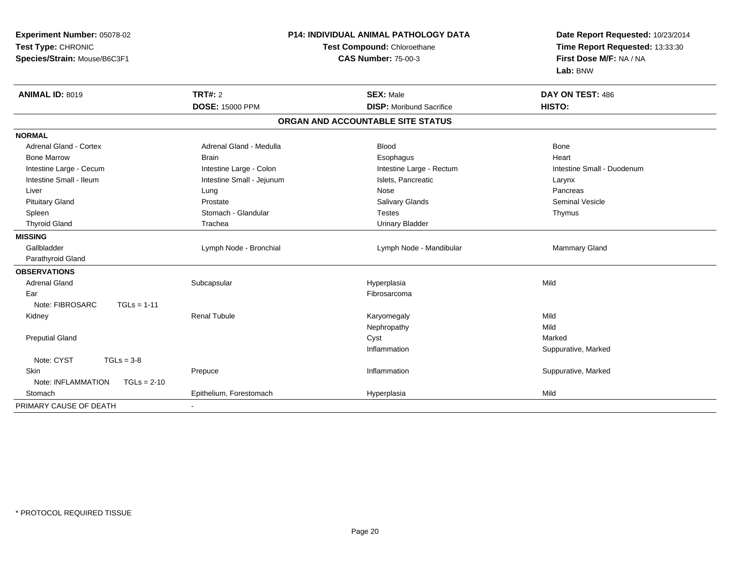| Experiment Number: 05078-02<br>Test Type: CHRONIC<br>Species/Strain: Mouse/B6C3F1 | P14: INDIVIDUAL ANIMAL PATHOLOGY DATA<br>Test Compound: Chloroethane<br><b>CAS Number: 75-00-3</b> |                                   | Date Report Requested: 10/23/2014<br>Time Report Requested: 13:33:30<br>First Dose M/F: NA / NA<br>Lab: BNW |
|-----------------------------------------------------------------------------------|----------------------------------------------------------------------------------------------------|-----------------------------------|-------------------------------------------------------------------------------------------------------------|
| <b>ANIMAL ID: 8019</b>                                                            | <b>TRT#: 2</b>                                                                                     | <b>SEX: Male</b>                  | DAY ON TEST: 486                                                                                            |
|                                                                                   | <b>DOSE: 15000 PPM</b>                                                                             | <b>DISP:</b> Moribund Sacrifice   | HISTO:                                                                                                      |
|                                                                                   |                                                                                                    | ORGAN AND ACCOUNTABLE SITE STATUS |                                                                                                             |
| <b>NORMAL</b>                                                                     |                                                                                                    |                                   |                                                                                                             |
| <b>Adrenal Gland - Cortex</b>                                                     | Adrenal Gland - Medulla                                                                            | <b>Blood</b>                      | <b>Bone</b>                                                                                                 |
| <b>Bone Marrow</b>                                                                | <b>Brain</b>                                                                                       | Esophagus                         | Heart                                                                                                       |
| Intestine Large - Cecum                                                           | Intestine Large - Colon                                                                            | Intestine Large - Rectum          | Intestine Small - Duodenum                                                                                  |
| Intestine Small - Ileum                                                           | Intestine Small - Jejunum                                                                          | Islets, Pancreatic                | Larynx                                                                                                      |
| Liver                                                                             | Lung                                                                                               | Nose                              | Pancreas                                                                                                    |
| <b>Pituitary Gland</b>                                                            | Prostate                                                                                           | Salivary Glands                   | <b>Seminal Vesicle</b>                                                                                      |
| Spleen                                                                            | Stomach - Glandular                                                                                | <b>Testes</b>                     | Thymus                                                                                                      |
| <b>Thyroid Gland</b>                                                              | Trachea                                                                                            | <b>Urinary Bladder</b>            |                                                                                                             |
| <b>MISSING</b>                                                                    |                                                                                                    |                                   |                                                                                                             |
| Gallbladder                                                                       | Lymph Node - Bronchial                                                                             | Lymph Node - Mandibular           | Mammary Gland                                                                                               |
| Parathyroid Gland                                                                 |                                                                                                    |                                   |                                                                                                             |
| <b>OBSERVATIONS</b>                                                               |                                                                                                    |                                   |                                                                                                             |
| <b>Adrenal Gland</b>                                                              | Subcapsular                                                                                        | Hyperplasia                       | Mild                                                                                                        |
| Ear                                                                               |                                                                                                    | Fibrosarcoma                      |                                                                                                             |
| Note: FIBROSARC<br>$TGLs = 1-11$                                                  |                                                                                                    |                                   |                                                                                                             |
| Kidney                                                                            | <b>Renal Tubule</b>                                                                                | Karyomegaly                       | Mild                                                                                                        |
|                                                                                   |                                                                                                    | Nephropathy                       | Mild                                                                                                        |
| <b>Preputial Gland</b>                                                            |                                                                                                    | Cyst                              | Marked                                                                                                      |
|                                                                                   |                                                                                                    | Inflammation                      | Suppurative, Marked                                                                                         |
| Note: CYST<br>$TGLs = 3-8$                                                        |                                                                                                    |                                   |                                                                                                             |
| Skin                                                                              | Prepuce                                                                                            | Inflammation                      | Suppurative, Marked                                                                                         |
| Note: INFLAMMATION<br>$TGLs = 2-10$                                               |                                                                                                    |                                   |                                                                                                             |
| Stomach                                                                           | Epithelium, Forestomach                                                                            | Hyperplasia                       | Mild                                                                                                        |
| PRIMARY CAUSE OF DEATH                                                            |                                                                                                    |                                   |                                                                                                             |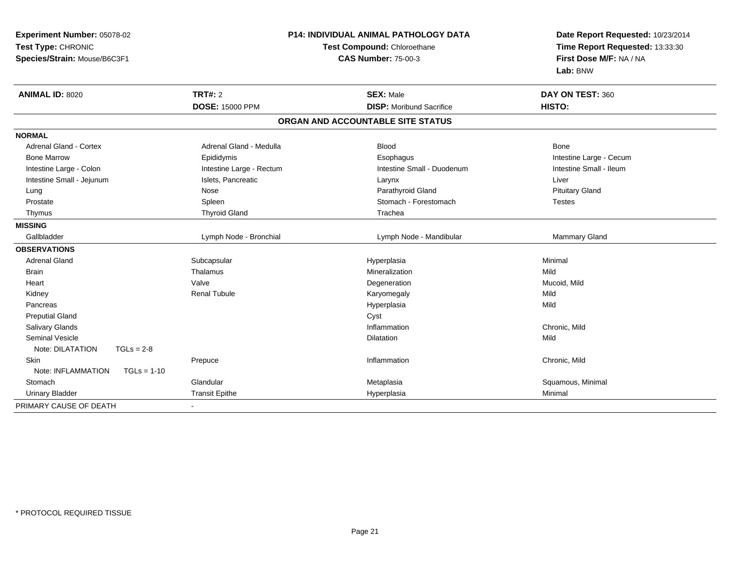| Experiment Number: 05078-02<br>Test Type: CHRONIC<br>Species/Strain: Mouse/B6C3F1 | P14: INDIVIDUAL ANIMAL PATHOLOGY DATA<br>Test Compound: Chloroethane<br><b>CAS Number: 75-00-3</b> |                                   | Date Report Requested: 10/23/2014<br>Time Report Requested: 13:33:30<br>First Dose M/F: NA / NA<br>Lab: BNW |
|-----------------------------------------------------------------------------------|----------------------------------------------------------------------------------------------------|-----------------------------------|-------------------------------------------------------------------------------------------------------------|
| <b>ANIMAL ID: 8020</b>                                                            | <b>TRT#: 2</b>                                                                                     | <b>SEX: Male</b>                  | DAY ON TEST: 360                                                                                            |
|                                                                                   | <b>DOSE: 15000 PPM</b>                                                                             | <b>DISP:</b> Moribund Sacrifice   | HISTO:                                                                                                      |
|                                                                                   |                                                                                                    | ORGAN AND ACCOUNTABLE SITE STATUS |                                                                                                             |
| <b>NORMAL</b>                                                                     |                                                                                                    |                                   |                                                                                                             |
| <b>Adrenal Gland - Cortex</b>                                                     | Adrenal Gland - Medulla                                                                            | <b>Blood</b>                      | <b>Bone</b>                                                                                                 |
| <b>Bone Marrow</b>                                                                | Epididymis                                                                                         | Esophagus                         | Intestine Large - Cecum                                                                                     |
| Intestine Large - Colon                                                           | Intestine Large - Rectum                                                                           | Intestine Small - Duodenum        | Intestine Small - Ileum                                                                                     |
| Intestine Small - Jejunum                                                         | Islets, Pancreatic                                                                                 | Larynx                            | Liver                                                                                                       |
| Lung                                                                              | Nose                                                                                               | Parathyroid Gland                 | <b>Pituitary Gland</b>                                                                                      |
| Prostate                                                                          | Spleen                                                                                             | Stomach - Forestomach             | <b>Testes</b>                                                                                               |
| Thymus                                                                            | <b>Thyroid Gland</b>                                                                               | Trachea                           |                                                                                                             |
| <b>MISSING</b>                                                                    |                                                                                                    |                                   |                                                                                                             |
| Gallbladder                                                                       | Lymph Node - Bronchial                                                                             | Lymph Node - Mandibular           | <b>Mammary Gland</b>                                                                                        |
| <b>OBSERVATIONS</b>                                                               |                                                                                                    |                                   |                                                                                                             |
| <b>Adrenal Gland</b>                                                              | Subcapsular                                                                                        | Hyperplasia                       | Minimal                                                                                                     |
| <b>Brain</b>                                                                      | Thalamus                                                                                           | Mineralization                    | Mild                                                                                                        |
| Heart                                                                             | Valve                                                                                              | Degeneration                      | Mucoid, Mild                                                                                                |
| Kidney                                                                            | <b>Renal Tubule</b>                                                                                | Karyomegaly                       | Mild                                                                                                        |
| Pancreas                                                                          |                                                                                                    | Hyperplasia                       | Mild                                                                                                        |
| <b>Preputial Gland</b>                                                            |                                                                                                    | Cyst                              |                                                                                                             |
| <b>Salivary Glands</b>                                                            |                                                                                                    | Inflammation                      | Chronic, Mild                                                                                               |
| Seminal Vesicle<br>$TGLs = 2-8$<br>Note: DILATATION                               |                                                                                                    | <b>Dilatation</b>                 | Mild                                                                                                        |
| <b>Skin</b>                                                                       | Prepuce                                                                                            | Inflammation                      | Chronic, Mild                                                                                               |
| Note: INFLAMMATION<br>$TGLs = 1-10$                                               |                                                                                                    |                                   |                                                                                                             |
| Stomach                                                                           | Glandular                                                                                          | Metaplasia                        | Squamous, Minimal                                                                                           |
| <b>Urinary Bladder</b>                                                            | <b>Transit Epithe</b>                                                                              | Hyperplasia                       | Minimal                                                                                                     |
| PRIMARY CAUSE OF DEATH                                                            |                                                                                                    |                                   |                                                                                                             |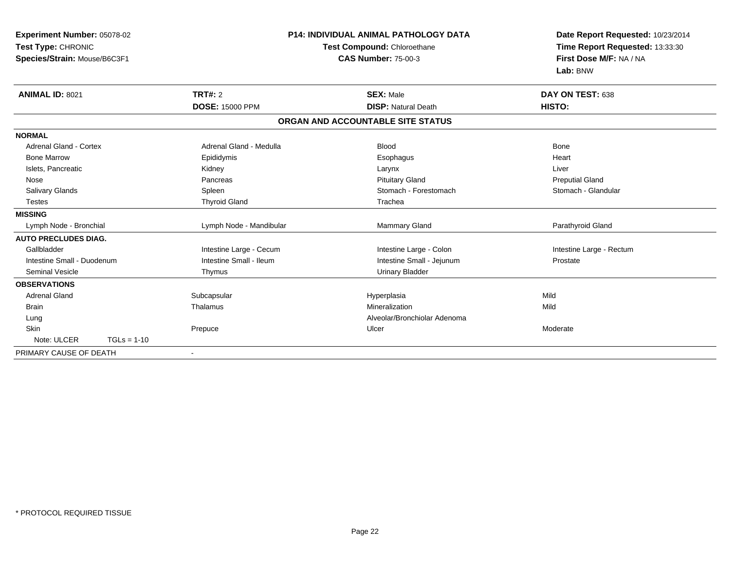| Experiment Number: 05078-02<br>Test Type: CHRONIC<br>Species/Strain: Mouse/B6C3F1 |                         | <b>P14: INDIVIDUAL ANIMAL PATHOLOGY DATA</b><br>Test Compound: Chloroethane<br><b>CAS Number: 75-00-3</b> | Date Report Requested: 10/23/2014<br>Time Report Requested: 13:33:30<br>First Dose M/F: NA / NA<br>Lab: BNW |
|-----------------------------------------------------------------------------------|-------------------------|-----------------------------------------------------------------------------------------------------------|-------------------------------------------------------------------------------------------------------------|
| <b>ANIMAL ID: 8021</b>                                                            | TRT#: 2                 | <b>SEX: Male</b>                                                                                          | DAY ON TEST: 638                                                                                            |
|                                                                                   | <b>DOSE: 15000 PPM</b>  | <b>DISP: Natural Death</b>                                                                                | HISTO:                                                                                                      |
|                                                                                   |                         | ORGAN AND ACCOUNTABLE SITE STATUS                                                                         |                                                                                                             |
| <b>NORMAL</b>                                                                     |                         |                                                                                                           |                                                                                                             |
| <b>Adrenal Gland - Cortex</b>                                                     | Adrenal Gland - Medulla | <b>Blood</b>                                                                                              | Bone                                                                                                        |
| <b>Bone Marrow</b>                                                                | Epididymis              | Esophagus                                                                                                 | Heart                                                                                                       |
| Islets, Pancreatic                                                                | Kidney                  | Larynx                                                                                                    | Liver                                                                                                       |
| Nose                                                                              | Pancreas                | <b>Pituitary Gland</b>                                                                                    | <b>Preputial Gland</b>                                                                                      |
| Salivary Glands                                                                   | Spleen                  | Stomach - Forestomach                                                                                     | Stomach - Glandular                                                                                         |
| Testes                                                                            | <b>Thyroid Gland</b>    | Trachea                                                                                                   |                                                                                                             |
| <b>MISSING</b>                                                                    |                         |                                                                                                           |                                                                                                             |
| Lymph Node - Bronchial                                                            | Lymph Node - Mandibular | Mammary Gland                                                                                             | Parathyroid Gland                                                                                           |
| <b>AUTO PRECLUDES DIAG.</b>                                                       |                         |                                                                                                           |                                                                                                             |
| Gallbladder                                                                       | Intestine Large - Cecum | Intestine Large - Colon                                                                                   | Intestine Large - Rectum                                                                                    |
| Intestine Small - Duodenum                                                        | Intestine Small - Ileum | Intestine Small - Jejunum                                                                                 | Prostate                                                                                                    |
| Seminal Vesicle                                                                   | Thymus                  | <b>Urinary Bladder</b>                                                                                    |                                                                                                             |
| <b>OBSERVATIONS</b>                                                               |                         |                                                                                                           |                                                                                                             |
| <b>Adrenal Gland</b>                                                              | Subcapsular             | Hyperplasia                                                                                               | Mild                                                                                                        |
| <b>Brain</b>                                                                      | Thalamus                | Mineralization                                                                                            | Mild                                                                                                        |
| Lung                                                                              |                         | Alveolar/Bronchiolar Adenoma                                                                              |                                                                                                             |
| <b>Skin</b>                                                                       | Prepuce                 | Ulcer                                                                                                     | Moderate                                                                                                    |
| Note: ULCER<br>$TGLs = 1-10$                                                      |                         |                                                                                                           |                                                                                                             |
| PRIMARY CAUSE OF DEATH                                                            | $\blacksquare$          |                                                                                                           |                                                                                                             |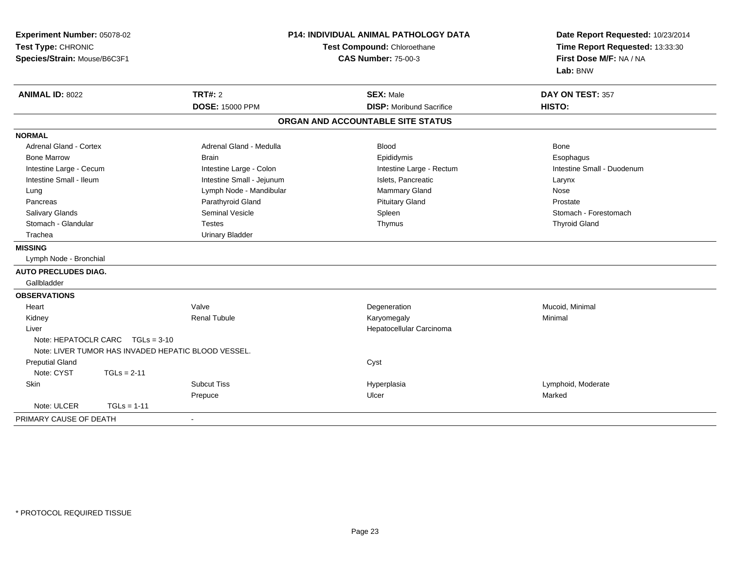| Experiment Number: 05078-02<br>Test Type: CHRONIC<br>Species/Strain: Mouse/B6C3F1 |                                    | <b>P14: INDIVIDUAL ANIMAL PATHOLOGY DATA</b><br>Test Compound: Chloroethane<br><b>CAS Number: 75-00-3</b> |                                                     | Date Report Requested: 10/23/2014<br>Time Report Requested: 13:33:30<br>First Dose M/F: NA / NA<br>Lab: BNW |
|-----------------------------------------------------------------------------------|------------------------------------|-----------------------------------------------------------------------------------------------------------|-----------------------------------------------------|-------------------------------------------------------------------------------------------------------------|
| <b>ANIMAL ID: 8022</b>                                                            |                                    | <b>TRT#: 2</b><br><b>DOSE: 15000 PPM</b>                                                                  | <b>SEX: Male</b><br><b>DISP:</b> Moribund Sacrifice | DAY ON TEST: 357<br>HISTO:                                                                                  |
|                                                                                   |                                    |                                                                                                           |                                                     |                                                                                                             |
|                                                                                   |                                    |                                                                                                           | ORGAN AND ACCOUNTABLE SITE STATUS                   |                                                                                                             |
| <b>NORMAL</b>                                                                     |                                    |                                                                                                           |                                                     |                                                                                                             |
| Adrenal Gland - Cortex                                                            |                                    | Adrenal Gland - Medulla                                                                                   | <b>Blood</b>                                        | Bone                                                                                                        |
| <b>Bone Marrow</b>                                                                |                                    | <b>Brain</b>                                                                                              | Epididymis                                          | Esophagus                                                                                                   |
| Intestine Large - Cecum                                                           |                                    | Intestine Large - Colon                                                                                   | Intestine Large - Rectum                            | Intestine Small - Duodenum                                                                                  |
| Intestine Small - Ileum                                                           |                                    | Intestine Small - Jejunum                                                                                 | Islets, Pancreatic                                  | Larynx                                                                                                      |
| Lung                                                                              |                                    | Lymph Node - Mandibular                                                                                   | Mammary Gland                                       | Nose                                                                                                        |
| Pancreas                                                                          |                                    | Parathyroid Gland                                                                                         | <b>Pituitary Gland</b>                              | Prostate                                                                                                    |
| <b>Salivary Glands</b>                                                            |                                    | Seminal Vesicle                                                                                           | Spleen                                              | Stomach - Forestomach                                                                                       |
| Stomach - Glandular                                                               |                                    | Testes                                                                                                    | Thymus                                              | <b>Thyroid Gland</b>                                                                                        |
| Trachea                                                                           |                                    | <b>Urinary Bladder</b>                                                                                    |                                                     |                                                                                                             |
| <b>MISSING</b>                                                                    |                                    |                                                                                                           |                                                     |                                                                                                             |
| Lymph Node - Bronchial                                                            |                                    |                                                                                                           |                                                     |                                                                                                             |
| <b>AUTO PRECLUDES DIAG.</b>                                                       |                                    |                                                                                                           |                                                     |                                                                                                             |
| Gallbladder                                                                       |                                    |                                                                                                           |                                                     |                                                                                                             |
| <b>OBSERVATIONS</b>                                                               |                                    |                                                                                                           |                                                     |                                                                                                             |
| Heart                                                                             |                                    | Valve                                                                                                     | Degeneration                                        | Mucoid, Minimal                                                                                             |
| Kidney                                                                            |                                    | <b>Renal Tubule</b>                                                                                       | Karyomegaly                                         | Minimal                                                                                                     |
| Liver                                                                             |                                    |                                                                                                           | Hepatocellular Carcinoma                            |                                                                                                             |
|                                                                                   | Note: HEPATOCLR CARC $TGLs = 3-10$ |                                                                                                           |                                                     |                                                                                                             |
|                                                                                   |                                    | Note: LIVER TUMOR HAS INVADED HEPATIC BLOOD VESSEL.                                                       |                                                     |                                                                                                             |
| <b>Preputial Gland</b>                                                            |                                    |                                                                                                           | Cyst                                                |                                                                                                             |
| Note: CYST                                                                        | $TGLs = 2-11$                      |                                                                                                           |                                                     |                                                                                                             |
| Skin                                                                              |                                    | <b>Subcut Tiss</b>                                                                                        | Hyperplasia                                         | Lymphoid, Moderate                                                                                          |
|                                                                                   |                                    | Prepuce                                                                                                   | Ulcer                                               | Marked                                                                                                      |
| Note: ULCER                                                                       | $TGLs = 1-11$                      |                                                                                                           |                                                     |                                                                                                             |
| PRIMARY CAUSE OF DEATH                                                            |                                    | $\sim$                                                                                                    |                                                     |                                                                                                             |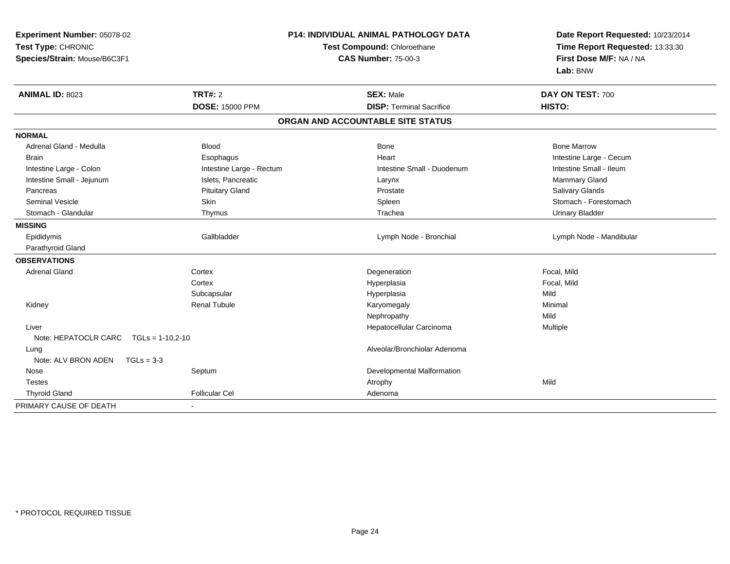| Experiment Number: 05078-02<br>Test Type: CHRONIC<br>Species/Strain: Mouse/B6C3F1 |                          | <b>P14: INDIVIDUAL ANIMAL PATHOLOGY DATA</b><br>Test Compound: Chloroethane<br><b>CAS Number: 75-00-3</b> | Date Report Requested: 10/23/2014<br>Time Report Requested: 13:33:30<br>First Dose M/F: NA / NA<br>Lab: BNW |  |
|-----------------------------------------------------------------------------------|--------------------------|-----------------------------------------------------------------------------------------------------------|-------------------------------------------------------------------------------------------------------------|--|
| <b>ANIMAL ID: 8023</b>                                                            | <b>TRT#: 2</b>           | <b>SEX: Male</b>                                                                                          | DAY ON TEST: 700                                                                                            |  |
|                                                                                   | <b>DOSE: 15000 PPM</b>   | <b>DISP: Terminal Sacrifice</b>                                                                           | HISTO:                                                                                                      |  |
|                                                                                   |                          | ORGAN AND ACCOUNTABLE SITE STATUS                                                                         |                                                                                                             |  |
| <b>NORMAL</b>                                                                     |                          |                                                                                                           |                                                                                                             |  |
| Adrenal Gland - Medulla                                                           | <b>Blood</b>             | <b>Bone</b>                                                                                               | <b>Bone Marrow</b>                                                                                          |  |
| <b>Brain</b>                                                                      | Esophagus                | Heart                                                                                                     | Intestine Large - Cecum                                                                                     |  |
| Intestine Large - Colon                                                           | Intestine Large - Rectum | Intestine Small - Duodenum                                                                                | Intestine Small - Ileum                                                                                     |  |
| Intestine Small - Jejunum                                                         | Islets, Pancreatic       | Larynx                                                                                                    | Mammary Gland                                                                                               |  |
| Pancreas                                                                          | <b>Pituitary Gland</b>   | Prostate                                                                                                  | Salivary Glands                                                                                             |  |
| <b>Seminal Vesicle</b>                                                            | Skin                     | Spleen                                                                                                    | Stomach - Forestomach                                                                                       |  |
| Stomach - Glandular                                                               | Thymus                   | Trachea                                                                                                   | <b>Urinary Bladder</b>                                                                                      |  |
| <b>MISSING</b>                                                                    |                          |                                                                                                           |                                                                                                             |  |
| Epididymis                                                                        | Gallbladder              | Lymph Node - Bronchial                                                                                    | Lymph Node - Mandibular                                                                                     |  |
| Parathyroid Gland                                                                 |                          |                                                                                                           |                                                                                                             |  |
| <b>OBSERVATIONS</b>                                                               |                          |                                                                                                           |                                                                                                             |  |
| <b>Adrenal Gland</b>                                                              | Cortex                   | Degeneration                                                                                              | Focal, Mild                                                                                                 |  |
|                                                                                   | Cortex                   | Hyperplasia                                                                                               | Focal, Mild                                                                                                 |  |
|                                                                                   | Subcapsular              | Hyperplasia                                                                                               | Mild                                                                                                        |  |
| Kidney                                                                            | <b>Renal Tubule</b>      | Karyomegaly                                                                                               | Minimal                                                                                                     |  |
|                                                                                   |                          | Nephropathy                                                                                               | Mild                                                                                                        |  |
| Liver                                                                             |                          | Hepatocellular Carcinoma                                                                                  | Multiple                                                                                                    |  |
| Note: HEPATOCLR CARC<br>$TGLs = 1-10,2-10$                                        |                          |                                                                                                           |                                                                                                             |  |
| Lung                                                                              |                          | Alveolar/Bronchiolar Adenoma                                                                              |                                                                                                             |  |
| Note: ALV BRON ADEN<br>$TGLs = 3-3$                                               |                          |                                                                                                           |                                                                                                             |  |
| Nose                                                                              | Septum                   | Developmental Malformation                                                                                |                                                                                                             |  |
| <b>Testes</b>                                                                     |                          | Atrophy                                                                                                   | Mild                                                                                                        |  |
| <b>Thyroid Gland</b>                                                              | <b>Follicular Cel</b>    | Adenoma                                                                                                   |                                                                                                             |  |
| PRIMARY CAUSE OF DEATH                                                            |                          |                                                                                                           |                                                                                                             |  |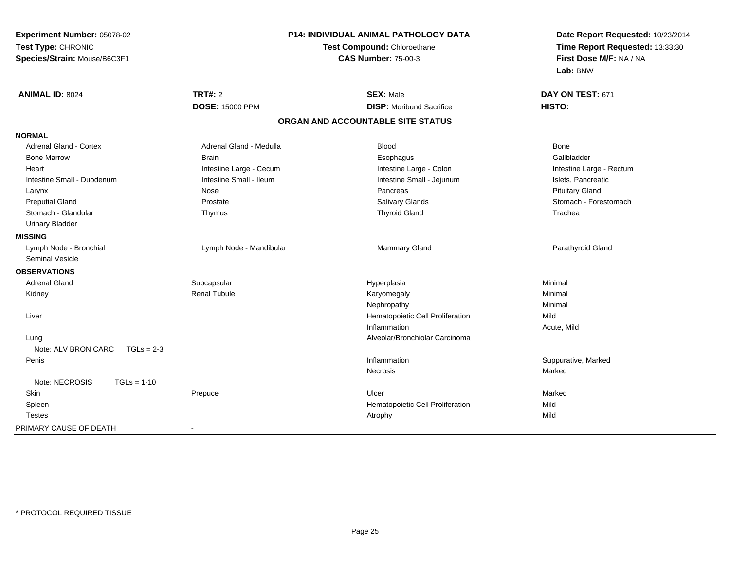| Experiment Number: 05078-02         | P14: INDIVIDUAL ANIMAL PATHOLOGY DATA |                                   | Date Report Requested: 10/23/2014 |  |
|-------------------------------------|---------------------------------------|-----------------------------------|-----------------------------------|--|
| Test Type: CHRONIC                  |                                       | Test Compound: Chloroethane       | Time Report Requested: 13:33:30   |  |
| Species/Strain: Mouse/B6C3F1        |                                       | <b>CAS Number: 75-00-3</b>        | First Dose M/F: NA / NA           |  |
|                                     |                                       |                                   | Lab: BNW                          |  |
| <b>ANIMAL ID: 8024</b>              | <b>TRT#: 2</b>                        | <b>SEX: Male</b>                  | DAY ON TEST: 671                  |  |
|                                     | <b>DOSE: 15000 PPM</b>                | <b>DISP:</b> Moribund Sacrifice   | HISTO:                            |  |
|                                     |                                       | ORGAN AND ACCOUNTABLE SITE STATUS |                                   |  |
| <b>NORMAL</b>                       |                                       |                                   |                                   |  |
| <b>Adrenal Gland - Cortex</b>       | Adrenal Gland - Medulla               | <b>Blood</b>                      | <b>Bone</b>                       |  |
| <b>Bone Marrow</b>                  | <b>Brain</b>                          | Esophagus                         | Gallbladder                       |  |
| Heart                               | Intestine Large - Cecum               | Intestine Large - Colon           | Intestine Large - Rectum          |  |
| Intestine Small - Duodenum          | Intestine Small - Ileum               | Intestine Small - Jejunum         | Islets, Pancreatic                |  |
| Larynx                              | Nose                                  | Pancreas                          | <b>Pituitary Gland</b>            |  |
| <b>Preputial Gland</b>              | Prostate                              | Salivary Glands                   | Stomach - Forestomach             |  |
| Stomach - Glandular                 | Thymus                                | <b>Thyroid Gland</b>              | Trachea                           |  |
| <b>Urinary Bladder</b>              |                                       |                                   |                                   |  |
| <b>MISSING</b>                      |                                       |                                   |                                   |  |
| Lymph Node - Bronchial              | Lymph Node - Mandibular               | Mammary Gland                     | Parathyroid Gland                 |  |
| <b>Seminal Vesicle</b>              |                                       |                                   |                                   |  |
| <b>OBSERVATIONS</b>                 |                                       |                                   |                                   |  |
| Adrenal Gland                       | Subcapsular                           | Hyperplasia                       | Minimal                           |  |
| Kidney                              | <b>Renal Tubule</b>                   | Karyomegaly                       | Minimal                           |  |
|                                     |                                       | Nephropathy                       | Minimal                           |  |
| Liver                               |                                       | Hematopoietic Cell Proliferation  | Mild                              |  |
|                                     |                                       | Inflammation                      | Acute, Mild                       |  |
| Lung                                |                                       | Alveolar/Bronchiolar Carcinoma    |                                   |  |
| Note: ALV BRON CARC<br>$TGLs = 2-3$ |                                       |                                   |                                   |  |
| Penis                               |                                       | Inflammation                      | Suppurative, Marked               |  |
|                                     |                                       | Necrosis                          | Marked                            |  |
| Note: NECROSIS<br>$TGLs = 1-10$     |                                       |                                   |                                   |  |
| Skin                                | Prepuce                               | Ulcer                             | Marked                            |  |
| Spleen                              |                                       | Hematopoietic Cell Proliferation  | Mild                              |  |
| <b>Testes</b>                       |                                       | Atrophy                           | Mild                              |  |
| PRIMARY CAUSE OF DEATH              | $\sim$                                |                                   |                                   |  |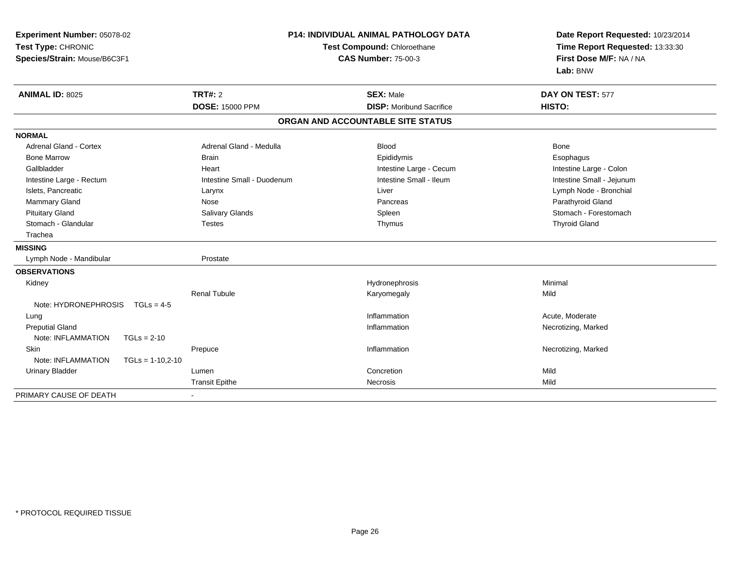| Experiment Number: 05078-02<br>Test Type: CHRONIC<br>Species/Strain: Mouse/B6C3F1 |                    | <b>P14: INDIVIDUAL ANIMAL PATHOLOGY DATA</b><br>Test Compound: Chloroethane<br><b>CAS Number: 75-00-3</b> |                                   | Date Report Requested: 10/23/2014<br>Time Report Requested: 13:33:30<br>First Dose M/F: NA / NA<br>Lab: BNW |  |
|-----------------------------------------------------------------------------------|--------------------|-----------------------------------------------------------------------------------------------------------|-----------------------------------|-------------------------------------------------------------------------------------------------------------|--|
| <b>ANIMAL ID: 8025</b>                                                            |                    | <b>TRT#: 2</b>                                                                                            | <b>SEX: Male</b>                  | DAY ON TEST: 577                                                                                            |  |
|                                                                                   |                    | <b>DOSE: 15000 PPM</b>                                                                                    | <b>DISP: Moribund Sacrifice</b>   | HISTO:                                                                                                      |  |
|                                                                                   |                    |                                                                                                           | ORGAN AND ACCOUNTABLE SITE STATUS |                                                                                                             |  |
| <b>NORMAL</b>                                                                     |                    |                                                                                                           |                                   |                                                                                                             |  |
| Adrenal Gland - Cortex                                                            |                    | Adrenal Gland - Medulla                                                                                   | <b>Blood</b>                      | Bone                                                                                                        |  |
| <b>Bone Marrow</b>                                                                |                    | <b>Brain</b>                                                                                              | Epididymis                        | Esophagus                                                                                                   |  |
| Gallbladder                                                                       |                    | Heart                                                                                                     | Intestine Large - Cecum           | Intestine Large - Colon                                                                                     |  |
| Intestine Large - Rectum                                                          |                    | Intestine Small - Duodenum                                                                                | Intestine Small - Ileum           | Intestine Small - Jejunum                                                                                   |  |
| Islets, Pancreatic                                                                |                    | Larynx                                                                                                    | Liver                             | Lymph Node - Bronchial                                                                                      |  |
| Mammary Gland                                                                     |                    | Nose                                                                                                      | Pancreas                          | Parathyroid Gland                                                                                           |  |
| <b>Pituitary Gland</b>                                                            |                    | Salivary Glands                                                                                           | Spleen                            | Stomach - Forestomach                                                                                       |  |
| Stomach - Glandular                                                               |                    | <b>Testes</b>                                                                                             | Thymus                            | <b>Thyroid Gland</b>                                                                                        |  |
| Trachea                                                                           |                    |                                                                                                           |                                   |                                                                                                             |  |
| <b>MISSING</b>                                                                    |                    |                                                                                                           |                                   |                                                                                                             |  |
| Lymph Node - Mandibular                                                           |                    | Prostate                                                                                                  |                                   |                                                                                                             |  |
| <b>OBSERVATIONS</b>                                                               |                    |                                                                                                           |                                   |                                                                                                             |  |
| Kidney                                                                            |                    |                                                                                                           | Hydronephrosis                    | Minimal                                                                                                     |  |
|                                                                                   |                    | <b>Renal Tubule</b>                                                                                       | Karyomegaly                       | Mild                                                                                                        |  |
| Note: HYDRONEPHROSIS                                                              | $TGLs = 4-5$       |                                                                                                           |                                   |                                                                                                             |  |
| Lung                                                                              |                    |                                                                                                           | Inflammation                      | Acute, Moderate                                                                                             |  |
| <b>Preputial Gland</b>                                                            |                    |                                                                                                           | Inflammation                      | Necrotizing, Marked                                                                                         |  |
| Note: INFLAMMATION                                                                | $TGLs = 2-10$      |                                                                                                           |                                   |                                                                                                             |  |
| Skin                                                                              |                    | Prepuce                                                                                                   | Inflammation                      | Necrotizing, Marked                                                                                         |  |
| Note: INFLAMMATION                                                                | $TGLs = 1-10,2-10$ |                                                                                                           |                                   |                                                                                                             |  |
| <b>Urinary Bladder</b>                                                            |                    | Lumen                                                                                                     | Concretion                        | Mild                                                                                                        |  |
|                                                                                   |                    | <b>Transit Epithe</b>                                                                                     | Necrosis                          | Mild                                                                                                        |  |
| PRIMARY CAUSE OF DEATH                                                            |                    |                                                                                                           |                                   |                                                                                                             |  |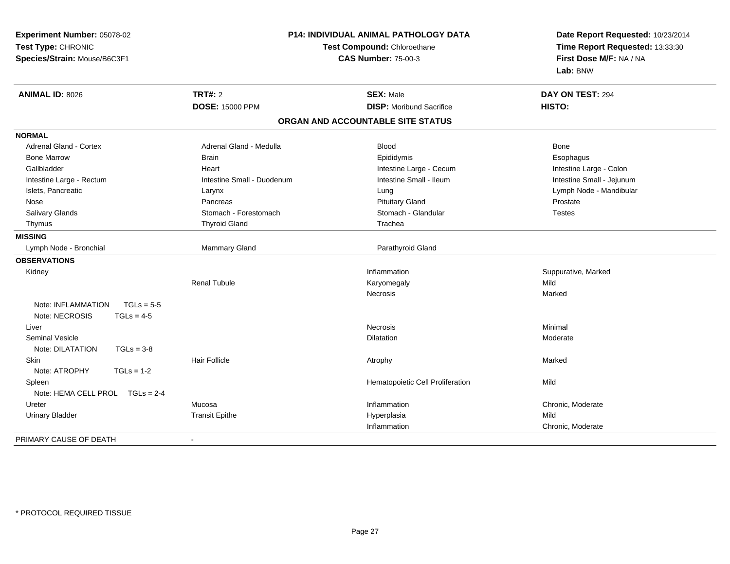| Experiment Number: 05078-02        |                            | <b>P14: INDIVIDUAL ANIMAL PATHOLOGY DATA</b> | Date Report Requested: 10/23/2014 |  |
|------------------------------------|----------------------------|----------------------------------------------|-----------------------------------|--|
| Test Type: CHRONIC                 |                            | Test Compound: Chloroethane                  | Time Report Requested: 13:33:30   |  |
| Species/Strain: Mouse/B6C3F1       |                            | <b>CAS Number: 75-00-3</b>                   | First Dose M/F: NA / NA           |  |
|                                    |                            |                                              | Lab: BNW                          |  |
| <b>ANIMAL ID: 8026</b>             | <b>TRT#: 2</b>             | <b>SEX: Male</b>                             | DAY ON TEST: 294                  |  |
|                                    | <b>DOSE: 15000 PPM</b>     | <b>DISP:</b> Moribund Sacrifice              | HISTO:                            |  |
|                                    |                            | ORGAN AND ACCOUNTABLE SITE STATUS            |                                   |  |
| <b>NORMAL</b>                      |                            |                                              |                                   |  |
| <b>Adrenal Gland - Cortex</b>      | Adrenal Gland - Medulla    | <b>Blood</b>                                 | Bone                              |  |
| <b>Bone Marrow</b>                 | Brain                      | Epididymis                                   | Esophagus                         |  |
| Gallbladder                        | Heart                      | Intestine Large - Cecum                      | Intestine Large - Colon           |  |
| Intestine Large - Rectum           | Intestine Small - Duodenum | Intestine Small - Ileum                      | Intestine Small - Jejunum         |  |
| Islets, Pancreatic                 | Larynx                     | Lung                                         | Lymph Node - Mandibular           |  |
| Nose                               | Pancreas                   | <b>Pituitary Gland</b>                       | Prostate                          |  |
| Salivary Glands                    | Stomach - Forestomach      | Stomach - Glandular                          | <b>Testes</b>                     |  |
| Thymus                             | <b>Thyroid Gland</b>       | Trachea                                      |                                   |  |
| <b>MISSING</b>                     |                            |                                              |                                   |  |
| Lymph Node - Bronchial             | Mammary Gland              | Parathyroid Gland                            |                                   |  |
| <b>OBSERVATIONS</b>                |                            |                                              |                                   |  |
| Kidney                             |                            | Inflammation                                 | Suppurative, Marked               |  |
|                                    | <b>Renal Tubule</b>        | Karyomegaly                                  | Mild                              |  |
|                                    |                            | <b>Necrosis</b>                              | Marked                            |  |
| $TGLs = 5-5$<br>Note: INFLAMMATION |                            |                                              |                                   |  |
| Note: NECROSIS<br>$TGLs = 4-5$     |                            |                                              |                                   |  |
| Liver                              |                            | <b>Necrosis</b>                              | Minimal                           |  |
| <b>Seminal Vesicle</b>             |                            | <b>Dilatation</b>                            | Moderate                          |  |
| Note: DILATATION<br>$TGLs = 3-8$   |                            |                                              |                                   |  |
| Skin                               | <b>Hair Follicle</b>       | Atrophy                                      | Marked                            |  |
| Note: ATROPHY<br>$TGLs = 1-2$      |                            |                                              |                                   |  |
| Spleen                             |                            | Hematopoietic Cell Proliferation             | Mild                              |  |
| Note: HEMA CELL PROL TGLs = 2-4    |                            |                                              |                                   |  |
| Ureter                             | Mucosa                     | Inflammation                                 | Chronic, Moderate                 |  |
| <b>Urinary Bladder</b>             | <b>Transit Epithe</b>      | Hyperplasia                                  | Mild                              |  |
|                                    |                            | Inflammation                                 | Chronic, Moderate                 |  |
| PRIMARY CAUSE OF DEATH             |                            |                                              |                                   |  |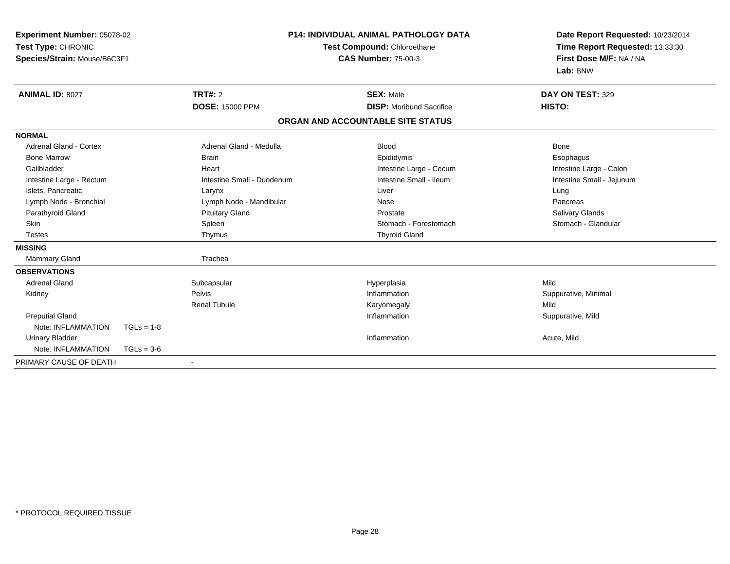| Experiment Number: 05078-02<br>Test Type: CHRONIC<br>Species/Strain: Mouse/B6C3F1 |              |                            | <b>P14: INDIVIDUAL ANIMAL PATHOLOGY DATA</b><br>Test Compound: Chloroethane<br><b>CAS Number: 75-00-3</b> |                                   | Date Report Requested: 10/23/2014<br>Time Report Requested: 13:33:30<br>First Dose M/F: NA / NA<br>Lab: BNW |
|-----------------------------------------------------------------------------------|--------------|----------------------------|-----------------------------------------------------------------------------------------------------------|-----------------------------------|-------------------------------------------------------------------------------------------------------------|
| <b>ANIMAL ID: 8027</b>                                                            |              | <b>TRT#: 2</b>             |                                                                                                           | <b>SEX: Male</b>                  | DAY ON TEST: 329                                                                                            |
|                                                                                   |              | <b>DOSE: 15000 PPM</b>     |                                                                                                           | <b>DISP:</b> Moribund Sacrifice   | HISTO:                                                                                                      |
|                                                                                   |              |                            |                                                                                                           | ORGAN AND ACCOUNTABLE SITE STATUS |                                                                                                             |
| <b>NORMAL</b>                                                                     |              |                            |                                                                                                           |                                   |                                                                                                             |
| Adrenal Gland - Cortex                                                            |              | Adrenal Gland - Medulla    |                                                                                                           | <b>Blood</b>                      | <b>Bone</b>                                                                                                 |
| <b>Bone Marrow</b>                                                                |              | <b>Brain</b>               |                                                                                                           | Epididymis                        | Esophagus                                                                                                   |
| Gallbladder                                                                       |              | Heart                      |                                                                                                           | Intestine Large - Cecum           | Intestine Large - Colon                                                                                     |
| Intestine Large - Rectum                                                          |              | Intestine Small - Duodenum |                                                                                                           | Intestine Small - Ileum           | Intestine Small - Jejunum                                                                                   |
| Islets, Pancreatic                                                                |              | Larynx                     |                                                                                                           | Liver                             | Lung                                                                                                        |
| Lymph Node - Bronchial                                                            |              | Lymph Node - Mandibular    |                                                                                                           | Nose                              | Pancreas                                                                                                    |
| Parathyroid Gland                                                                 |              | <b>Pituitary Gland</b>     |                                                                                                           | Prostate                          | Salivary Glands                                                                                             |
| <b>Skin</b>                                                                       |              | Spleen                     |                                                                                                           | Stomach - Forestomach             | Stomach - Glandular                                                                                         |
| <b>Testes</b>                                                                     |              | Thymus                     |                                                                                                           | <b>Thyroid Gland</b>              |                                                                                                             |
| <b>MISSING</b>                                                                    |              |                            |                                                                                                           |                                   |                                                                                                             |
| Mammary Gland                                                                     |              | Trachea                    |                                                                                                           |                                   |                                                                                                             |
| <b>OBSERVATIONS</b>                                                               |              |                            |                                                                                                           |                                   |                                                                                                             |
| <b>Adrenal Gland</b>                                                              |              | Subcapsular                |                                                                                                           | Hyperplasia                       | Mild                                                                                                        |
| Kidney                                                                            |              | Pelvis                     |                                                                                                           | Inflammation                      | Suppurative, Minimal                                                                                        |
|                                                                                   |              | <b>Renal Tubule</b>        |                                                                                                           | Karyomegaly                       | Mild                                                                                                        |
| <b>Preputial Gland</b>                                                            |              |                            |                                                                                                           | Inflammation                      | Suppurative, Mild                                                                                           |
| Note: INFLAMMATION                                                                | $TGLs = 1-8$ |                            |                                                                                                           |                                   |                                                                                                             |
| <b>Urinary Bladder</b>                                                            |              |                            |                                                                                                           | Inflammation                      | Acute, Mild                                                                                                 |
| Note: INFLAMMATION                                                                | $TGLs = 3-6$ |                            |                                                                                                           |                                   |                                                                                                             |
| PRIMARY CAUSE OF DEATH                                                            |              |                            |                                                                                                           |                                   |                                                                                                             |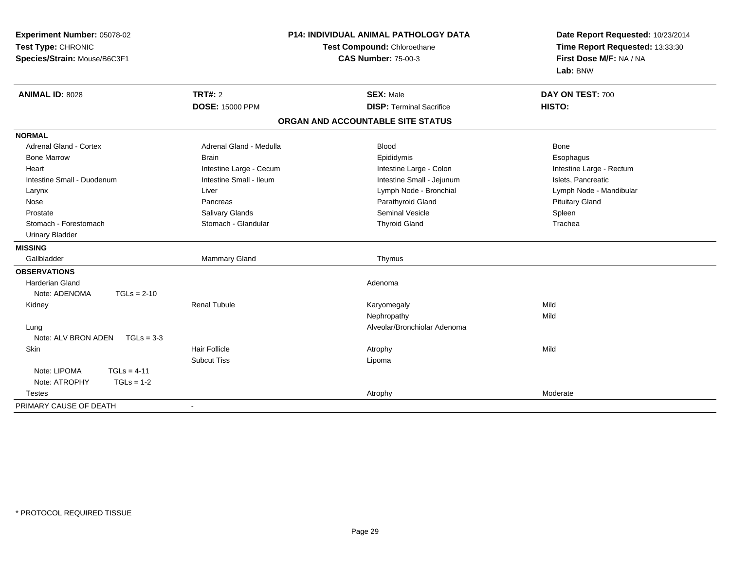| Experiment Number: 05078-02         |                         | <b>P14: INDIVIDUAL ANIMAL PATHOLOGY DATA</b> | Date Report Requested: 10/23/2014 |
|-------------------------------------|-------------------------|----------------------------------------------|-----------------------------------|
| Test Type: CHRONIC                  |                         | Test Compound: Chloroethane                  | Time Report Requested: 13:33:30   |
| Species/Strain: Mouse/B6C3F1        |                         | <b>CAS Number: 75-00-3</b>                   | First Dose M/F: NA / NA           |
|                                     |                         |                                              | Lab: BNW                          |
| <b>ANIMAL ID: 8028</b>              | <b>TRT#: 2</b>          | <b>SEX: Male</b>                             | DAY ON TEST: 700                  |
|                                     | <b>DOSE: 15000 PPM</b>  | <b>DISP: Terminal Sacrifice</b>              | HISTO:                            |
|                                     |                         | ORGAN AND ACCOUNTABLE SITE STATUS            |                                   |
| <b>NORMAL</b>                       |                         |                                              |                                   |
| <b>Adrenal Gland - Cortex</b>       | Adrenal Gland - Medulla | <b>Blood</b>                                 | <b>Bone</b>                       |
| <b>Bone Marrow</b>                  | <b>Brain</b>            | Epididymis                                   | Esophagus                         |
| Heart                               | Intestine Large - Cecum | Intestine Large - Colon                      | Intestine Large - Rectum          |
| Intestine Small - Duodenum          | Intestine Small - Ileum | Intestine Small - Jejunum                    | Islets, Pancreatic                |
| Larynx                              | Liver                   | Lymph Node - Bronchial                       | Lymph Node - Mandibular           |
| Nose                                | Pancreas                | Parathyroid Gland                            | <b>Pituitary Gland</b>            |
| Prostate                            | Salivary Glands         | <b>Seminal Vesicle</b>                       | Spleen                            |
| Stomach - Forestomach               | Stomach - Glandular     | <b>Thyroid Gland</b>                         | Trachea                           |
| <b>Urinary Bladder</b>              |                         |                                              |                                   |
| <b>MISSING</b>                      |                         |                                              |                                   |
| Gallbladder                         | Mammary Gland           | Thymus                                       |                                   |
| <b>OBSERVATIONS</b>                 |                         |                                              |                                   |
| <b>Harderian Gland</b>              |                         | Adenoma                                      |                                   |
| Note: ADENOMA<br>$TGLs = 2-10$      |                         |                                              |                                   |
| Kidney                              | <b>Renal Tubule</b>     | Karyomegaly                                  | Mild                              |
|                                     |                         | Nephropathy                                  | Mild                              |
| Lung                                |                         | Alveolar/Bronchiolar Adenoma                 |                                   |
| Note: ALV BRON ADEN<br>$TGLs = 3-3$ |                         |                                              |                                   |
| Skin                                | Hair Follicle           | Atrophy                                      | Mild                              |
|                                     | <b>Subcut Tiss</b>      | Lipoma                                       |                                   |
| Note: LIPOMA<br>$TGLs = 4-11$       |                         |                                              |                                   |
| Note: ATROPHY<br>$TGLs = 1-2$       |                         |                                              |                                   |
| <b>Testes</b>                       |                         | Atrophy                                      | Moderate                          |
| PRIMARY CAUSE OF DEATH              | $\blacksquare$          |                                              |                                   |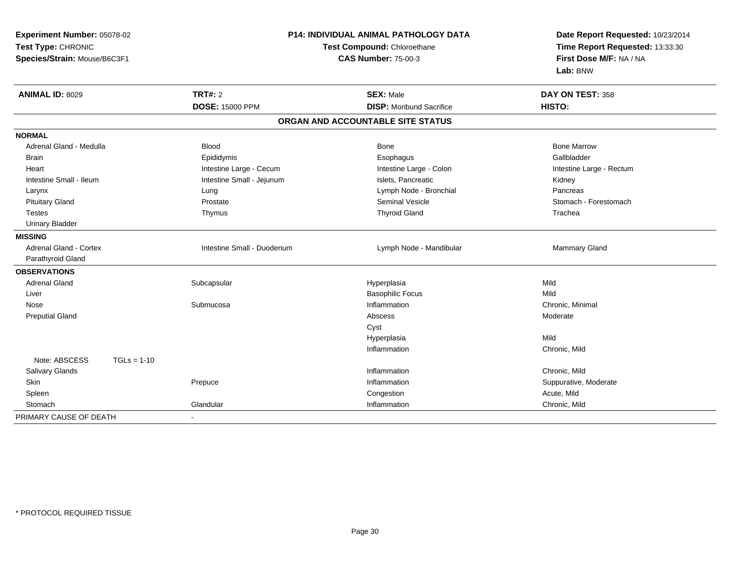| Experiment Number: 05078-02    | P14: INDIVIDUAL ANIMAL PATHOLOGY DATA |                                   | Date Report Requested: 10/23/2014                          |  |
|--------------------------------|---------------------------------------|-----------------------------------|------------------------------------------------------------|--|
| Test Type: CHRONIC             |                                       | Test Compound: Chloroethane       |                                                            |  |
| Species/Strain: Mouse/B6C3F1   |                                       | <b>CAS Number: 75-00-3</b>        | Time Report Requested: 13:33:30<br>First Dose M/F: NA / NA |  |
|                                |                                       |                                   | Lab: BNW                                                   |  |
| <b>ANIMAL ID: 8029</b>         | TRT#: 2                               | <b>SEX: Male</b>                  | DAY ON TEST: 358                                           |  |
|                                | <b>DOSE: 15000 PPM</b>                | <b>DISP:</b> Moribund Sacrifice   | HISTO:                                                     |  |
|                                |                                       | ORGAN AND ACCOUNTABLE SITE STATUS |                                                            |  |
| <b>NORMAL</b>                  |                                       |                                   |                                                            |  |
| Adrenal Gland - Medulla        | <b>Blood</b>                          | Bone                              | <b>Bone Marrow</b>                                         |  |
| <b>Brain</b>                   | Epididymis                            | Esophagus                         | Gallbladder                                                |  |
| Heart                          | Intestine Large - Cecum               | Intestine Large - Colon           | Intestine Large - Rectum                                   |  |
| Intestine Small - Ileum        | Intestine Small - Jejunum             | Islets, Pancreatic                | Kidney                                                     |  |
| Larynx                         | Lung                                  | Lymph Node - Bronchial            | Pancreas                                                   |  |
| <b>Pituitary Gland</b>         | Prostate                              | <b>Seminal Vesicle</b>            | Stomach - Forestomach                                      |  |
| <b>Testes</b>                  | Thymus                                | <b>Thyroid Gland</b>              | Trachea                                                    |  |
| <b>Urinary Bladder</b>         |                                       |                                   |                                                            |  |
| <b>MISSING</b>                 |                                       |                                   |                                                            |  |
| Adrenal Gland - Cortex         | Intestine Small - Duodenum            | Lymph Node - Mandibular           | Mammary Gland                                              |  |
| Parathyroid Gland              |                                       |                                   |                                                            |  |
| <b>OBSERVATIONS</b>            |                                       |                                   |                                                            |  |
| <b>Adrenal Gland</b>           | Subcapsular                           | Hyperplasia                       | Mild                                                       |  |
| Liver                          |                                       | <b>Basophilic Focus</b>           | Mild                                                       |  |
| Nose                           | Submucosa                             | Inflammation                      | Chronic, Minimal                                           |  |
| <b>Preputial Gland</b>         |                                       | Abscess                           | Moderate                                                   |  |
|                                |                                       | Cyst                              |                                                            |  |
|                                |                                       | Hyperplasia                       | Mild                                                       |  |
|                                |                                       | Inflammation                      | Chronic, Mild                                              |  |
| Note: ABSCESS<br>$TGLs = 1-10$ |                                       |                                   |                                                            |  |
| Salivary Glands                |                                       | Inflammation                      | Chronic, Mild                                              |  |
| Skin                           | Prepuce                               | Inflammation                      | Suppurative, Moderate                                      |  |
| Spleen                         |                                       | Congestion                        | Acute, Mild                                                |  |
| Stomach                        | Glandular                             | Inflammation                      | Chronic, Mild                                              |  |
| PRIMARY CAUSE OF DEATH         | $\blacksquare$                        |                                   |                                                            |  |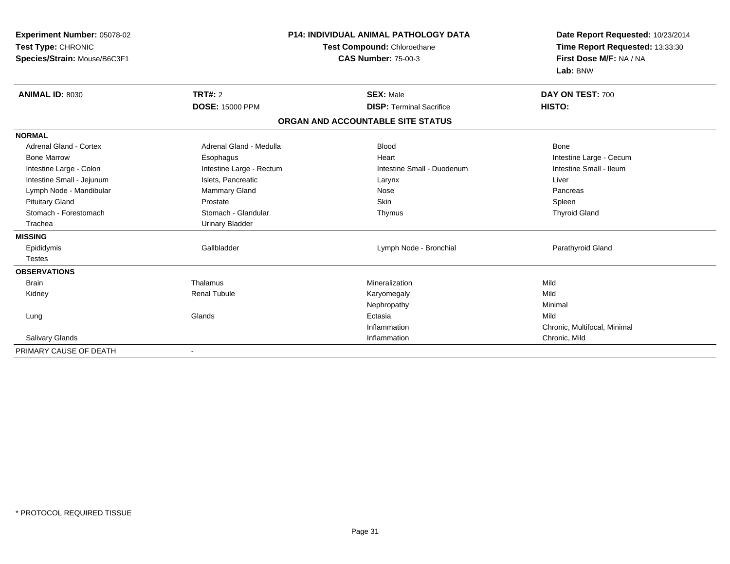| Experiment Number: 05078-02<br>Test Type: CHRONIC<br>Species/Strain: Mouse/B6C3F1 |                                          | <b>P14: INDIVIDUAL ANIMAL PATHOLOGY DATA</b><br>Test Compound: Chloroethane<br><b>CAS Number: 75-00-3</b> | Date Report Requested: 10/23/2014<br>Time Report Requested: 13:33:30<br>First Dose M/F: NA / NA<br>Lab: BNW |  |
|-----------------------------------------------------------------------------------|------------------------------------------|-----------------------------------------------------------------------------------------------------------|-------------------------------------------------------------------------------------------------------------|--|
| <b>ANIMAL ID: 8030</b>                                                            | <b>TRT#: 2</b><br><b>DOSE: 15000 PPM</b> | <b>SEX: Male</b><br><b>DISP: Terminal Sacrifice</b>                                                       | DAY ON TEST: 700<br>HISTO:                                                                                  |  |
|                                                                                   |                                          | ORGAN AND ACCOUNTABLE SITE STATUS                                                                         |                                                                                                             |  |
| <b>NORMAL</b>                                                                     |                                          |                                                                                                           |                                                                                                             |  |
| <b>Adrenal Gland - Cortex</b>                                                     | Adrenal Gland - Medulla                  | <b>Blood</b>                                                                                              | Bone                                                                                                        |  |
| <b>Bone Marrow</b>                                                                | Esophagus                                | Heart                                                                                                     | Intestine Large - Cecum                                                                                     |  |
| Intestine Large - Colon                                                           | Intestine Large - Rectum                 | Intestine Small - Duodenum                                                                                | Intestine Small - Ileum                                                                                     |  |
| Intestine Small - Jejunum                                                         | Islets, Pancreatic                       | Larynx                                                                                                    | Liver                                                                                                       |  |
| Lymph Node - Mandibular                                                           | <b>Mammary Gland</b>                     | Nose                                                                                                      | Pancreas                                                                                                    |  |
| <b>Pituitary Gland</b>                                                            | Prostate                                 | <b>Skin</b>                                                                                               | Spleen                                                                                                      |  |
| Stomach - Forestomach                                                             | Stomach - Glandular                      | Thymus                                                                                                    | <b>Thyroid Gland</b>                                                                                        |  |
| Trachea                                                                           | <b>Urinary Bladder</b>                   |                                                                                                           |                                                                                                             |  |
| <b>MISSING</b>                                                                    |                                          |                                                                                                           |                                                                                                             |  |
| Epididymis                                                                        | Gallbladder                              | Lymph Node - Bronchial                                                                                    | Parathyroid Gland                                                                                           |  |
| <b>Testes</b>                                                                     |                                          |                                                                                                           |                                                                                                             |  |
| <b>OBSERVATIONS</b>                                                               |                                          |                                                                                                           |                                                                                                             |  |
| <b>Brain</b>                                                                      | Thalamus                                 | Mineralization                                                                                            | Mild                                                                                                        |  |
| Kidney                                                                            | <b>Renal Tubule</b>                      | Karyomegaly                                                                                               | Mild                                                                                                        |  |
|                                                                                   |                                          | Nephropathy                                                                                               | Minimal                                                                                                     |  |
| Lung                                                                              | Glands                                   | Ectasia                                                                                                   | Mild                                                                                                        |  |
|                                                                                   |                                          | Inflammation                                                                                              | Chronic, Multifocal, Minimal                                                                                |  |
| Salivary Glands                                                                   |                                          | Inflammation                                                                                              | Chronic, Mild                                                                                               |  |
| PRIMARY CAUSE OF DEATH                                                            |                                          |                                                                                                           |                                                                                                             |  |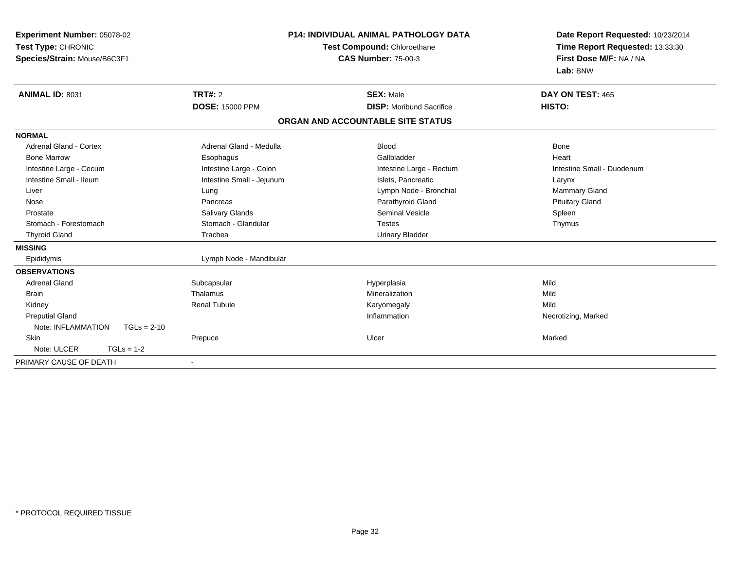| Experiment Number: 05078-02<br>Test Type: CHRONIC<br>Species/Strain: Mouse/B6C3F1 |                           | P14: INDIVIDUAL ANIMAL PATHOLOGY DATA<br>Test Compound: Chloroethane<br><b>CAS Number: 75-00-3</b> | Date Report Requested: 10/23/2014<br>Time Report Requested: 13:33:30<br>First Dose M/F: NA / NA<br>Lab: BNW |  |
|-----------------------------------------------------------------------------------|---------------------------|----------------------------------------------------------------------------------------------------|-------------------------------------------------------------------------------------------------------------|--|
| <b>ANIMAL ID: 8031</b>                                                            | <b>TRT#: 2</b>            | <b>SEX: Male</b>                                                                                   | DAY ON TEST: 465                                                                                            |  |
|                                                                                   | <b>DOSE: 15000 PPM</b>    | <b>DISP:</b> Moribund Sacrifice                                                                    | HISTO:                                                                                                      |  |
|                                                                                   |                           | ORGAN AND ACCOUNTABLE SITE STATUS                                                                  |                                                                                                             |  |
| <b>NORMAL</b>                                                                     |                           |                                                                                                    |                                                                                                             |  |
| Adrenal Gland - Cortex                                                            | Adrenal Gland - Medulla   | <b>Blood</b>                                                                                       | Bone                                                                                                        |  |
| <b>Bone Marrow</b>                                                                | Esophagus                 | Gallbladder                                                                                        | Heart                                                                                                       |  |
| Intestine Large - Cecum                                                           | Intestine Large - Colon   | Intestine Large - Rectum                                                                           | Intestine Small - Duodenum                                                                                  |  |
| Intestine Small - Ileum                                                           | Intestine Small - Jejunum | Islets, Pancreatic                                                                                 | Larynx                                                                                                      |  |
| Liver                                                                             | Lung                      | Lymph Node - Bronchial                                                                             | Mammary Gland                                                                                               |  |
| Nose                                                                              | Pancreas                  | Parathyroid Gland                                                                                  | <b>Pituitary Gland</b>                                                                                      |  |
| Prostate                                                                          | Salivary Glands           | <b>Seminal Vesicle</b>                                                                             | Spleen                                                                                                      |  |
| Stomach - Forestomach                                                             | Stomach - Glandular       | <b>Testes</b>                                                                                      | Thymus                                                                                                      |  |
| <b>Thyroid Gland</b>                                                              | Trachea                   | <b>Urinary Bladder</b>                                                                             |                                                                                                             |  |
| <b>MISSING</b>                                                                    |                           |                                                                                                    |                                                                                                             |  |
| Epididymis                                                                        | Lymph Node - Mandibular   |                                                                                                    |                                                                                                             |  |
| <b>OBSERVATIONS</b>                                                               |                           |                                                                                                    |                                                                                                             |  |
| <b>Adrenal Gland</b>                                                              | Subcapsular               | Hyperplasia                                                                                        | Mild                                                                                                        |  |
| <b>Brain</b>                                                                      | Thalamus                  | Mineralization                                                                                     | Mild                                                                                                        |  |
| Kidney                                                                            | <b>Renal Tubule</b>       | Karyomegaly                                                                                        | Mild                                                                                                        |  |
| <b>Preputial Gland</b>                                                            |                           | Inflammation                                                                                       | Necrotizing, Marked                                                                                         |  |
| Note: INFLAMMATION<br>$TGLs = 2-10$                                               |                           |                                                                                                    |                                                                                                             |  |
| Skin                                                                              | Prepuce                   | Ulcer                                                                                              | Marked                                                                                                      |  |
| Note: ULCER<br>$TGLs = 1-2$                                                       |                           |                                                                                                    |                                                                                                             |  |
| PRIMARY CAUSE OF DEATH                                                            |                           |                                                                                                    |                                                                                                             |  |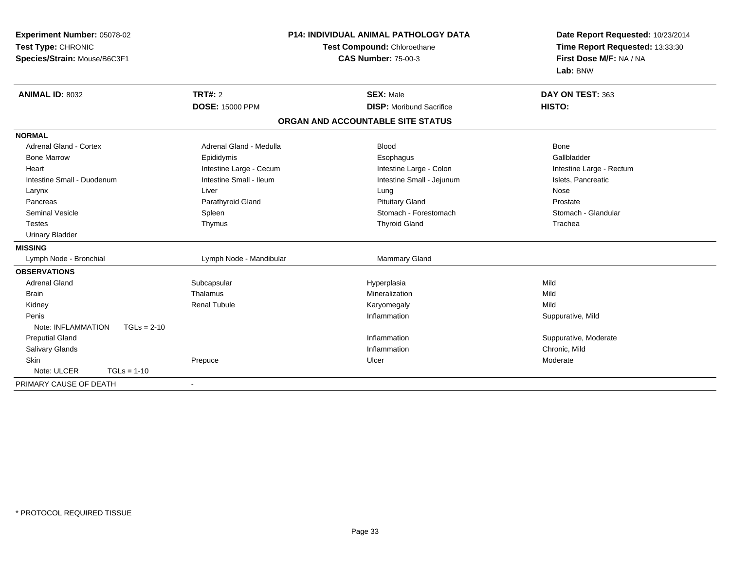| Experiment Number: 05078-02         | <b>P14: INDIVIDUAL ANIMAL PATHOLOGY DATA</b><br>Test Compound: Chloroethane |                                   | Date Report Requested: 10/23/2014 |
|-------------------------------------|-----------------------------------------------------------------------------|-----------------------------------|-----------------------------------|
| Test Type: CHRONIC                  |                                                                             |                                   | Time Report Requested: 13:33:30   |
| Species/Strain: Mouse/B6C3F1        |                                                                             | <b>CAS Number: 75-00-3</b>        | First Dose M/F: NA / NA           |
|                                     |                                                                             |                                   | Lab: BNW                          |
| <b>ANIMAL ID: 8032</b>              | <b>TRT#: 2</b>                                                              | <b>SEX: Male</b>                  | DAY ON TEST: 363                  |
|                                     | <b>DOSE: 15000 PPM</b>                                                      | <b>DISP:</b> Moribund Sacrifice   | HISTO:                            |
|                                     |                                                                             | ORGAN AND ACCOUNTABLE SITE STATUS |                                   |
| <b>NORMAL</b>                       |                                                                             |                                   |                                   |
| <b>Adrenal Gland - Cortex</b>       | Adrenal Gland - Medulla                                                     | <b>Blood</b>                      | <b>Bone</b>                       |
| <b>Bone Marrow</b>                  | Epididymis                                                                  | Esophagus                         | Gallbladder                       |
| Heart                               | Intestine Large - Cecum                                                     | Intestine Large - Colon           | Intestine Large - Rectum          |
| Intestine Small - Duodenum          | Intestine Small - Ileum                                                     | Intestine Small - Jejunum         | Islets, Pancreatic                |
| Larynx                              | Liver                                                                       | Lung                              | Nose                              |
| Pancreas                            | Parathyroid Gland                                                           | <b>Pituitary Gland</b>            | Prostate                          |
| <b>Seminal Vesicle</b>              | Spleen                                                                      | Stomach - Forestomach             | Stomach - Glandular               |
| <b>Testes</b>                       | Thymus                                                                      | <b>Thyroid Gland</b>              | Trachea                           |
| <b>Urinary Bladder</b>              |                                                                             |                                   |                                   |
| <b>MISSING</b>                      |                                                                             |                                   |                                   |
| Lymph Node - Bronchial              | Lymph Node - Mandibular                                                     | Mammary Gland                     |                                   |
| <b>OBSERVATIONS</b>                 |                                                                             |                                   |                                   |
| <b>Adrenal Gland</b>                | Subcapsular                                                                 | Hyperplasia                       | Mild                              |
| <b>Brain</b>                        | Thalamus                                                                    | Mineralization                    | Mild                              |
| Kidney                              | <b>Renal Tubule</b>                                                         | Karyomegaly                       | Mild                              |
| Penis                               |                                                                             | Inflammation                      | Suppurative, Mild                 |
| Note: INFLAMMATION<br>$TGLs = 2-10$ |                                                                             |                                   |                                   |
| <b>Preputial Gland</b>              |                                                                             | Inflammation                      | Suppurative, Moderate             |
| <b>Salivary Glands</b>              |                                                                             | Inflammation                      | Chronic, Mild                     |
| <b>Skin</b>                         | Prepuce                                                                     | Ulcer                             | Moderate                          |
| Note: ULCER<br>$TGLs = 1-10$        |                                                                             |                                   |                                   |
| PRIMARY CAUSE OF DEATH              | $\blacksquare$                                                              |                                   |                                   |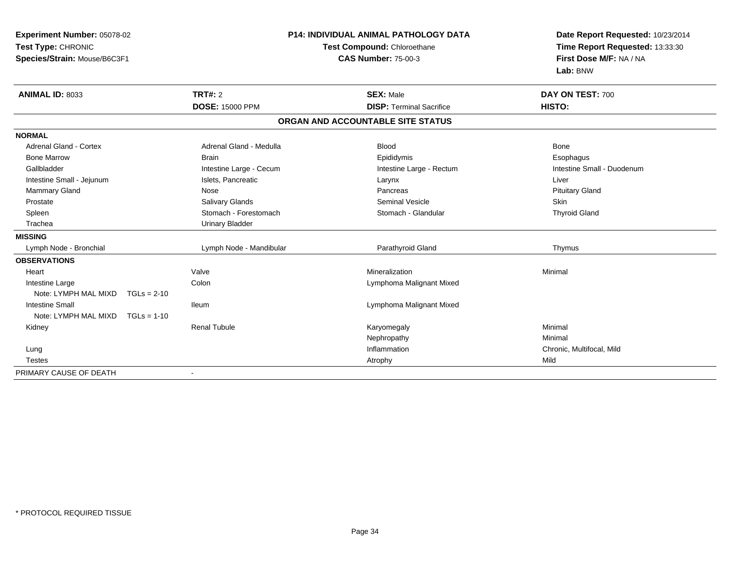| Experiment Number: 05078-02           |                             | <b>P14: INDIVIDUAL ANIMAL PATHOLOGY DATA</b> | Date Report Requested: 10/23/2014                          |
|---------------------------------------|-----------------------------|----------------------------------------------|------------------------------------------------------------|
| Test Type: CHRONIC                    | Test Compound: Chloroethane |                                              | Time Report Requested: 13:33:30<br>First Dose M/F: NA / NA |
| Species/Strain: Mouse/B6C3F1          |                             | <b>CAS Number: 75-00-3</b>                   | Lab: BNW                                                   |
| <b>ANIMAL ID: 8033</b>                | <b>TRT#: 2</b>              | <b>SEX: Male</b>                             | DAY ON TEST: 700                                           |
|                                       | <b>DOSE: 15000 PPM</b>      | <b>DISP: Terminal Sacrifice</b>              | HISTO:                                                     |
|                                       |                             | ORGAN AND ACCOUNTABLE SITE STATUS            |                                                            |
| <b>NORMAL</b>                         |                             |                                              |                                                            |
| <b>Adrenal Gland - Cortex</b>         | Adrenal Gland - Medulla     | <b>Blood</b>                                 | <b>Bone</b>                                                |
| <b>Bone Marrow</b>                    | <b>Brain</b>                | Epididymis                                   | Esophagus                                                  |
| Gallbladder                           | Intestine Large - Cecum     | Intestine Large - Rectum                     | Intestine Small - Duodenum                                 |
| Intestine Small - Jejunum             | Islets, Pancreatic          | Larynx                                       | Liver                                                      |
| <b>Mammary Gland</b>                  | Nose                        | Pancreas                                     | <b>Pituitary Gland</b>                                     |
| Prostate                              | Salivary Glands             | <b>Seminal Vesicle</b>                       | <b>Skin</b>                                                |
| Spleen                                | Stomach - Forestomach       | Stomach - Glandular                          | <b>Thyroid Gland</b>                                       |
| Trachea                               | <b>Urinary Bladder</b>      |                                              |                                                            |
| <b>MISSING</b>                        |                             |                                              |                                                            |
| Lymph Node - Bronchial                | Lymph Node - Mandibular     | Parathyroid Gland                            | Thymus                                                     |
| <b>OBSERVATIONS</b>                   |                             |                                              |                                                            |
| Heart                                 | Valve                       | Mineralization                               | Minimal                                                    |
| Intestine Large                       | Colon                       | Lymphoma Malignant Mixed                     |                                                            |
| Note: LYMPH MAL MIXD<br>$TGLs = 2-10$ |                             |                                              |                                                            |
| <b>Intestine Small</b>                | lleum                       | Lymphoma Malignant Mixed                     |                                                            |
| Note: LYMPH MAL MIXD<br>$TGLs = 1-10$ |                             |                                              |                                                            |
| Kidney                                | <b>Renal Tubule</b>         | Karyomegaly                                  | Minimal                                                    |
|                                       |                             | Nephropathy                                  | Minimal                                                    |
| Lung                                  |                             | Inflammation                                 | Chronic, Multifocal, Mild                                  |
| <b>Testes</b>                         |                             | Atrophy                                      | Mild                                                       |
| PRIMARY CAUSE OF DEATH                |                             |                                              |                                                            |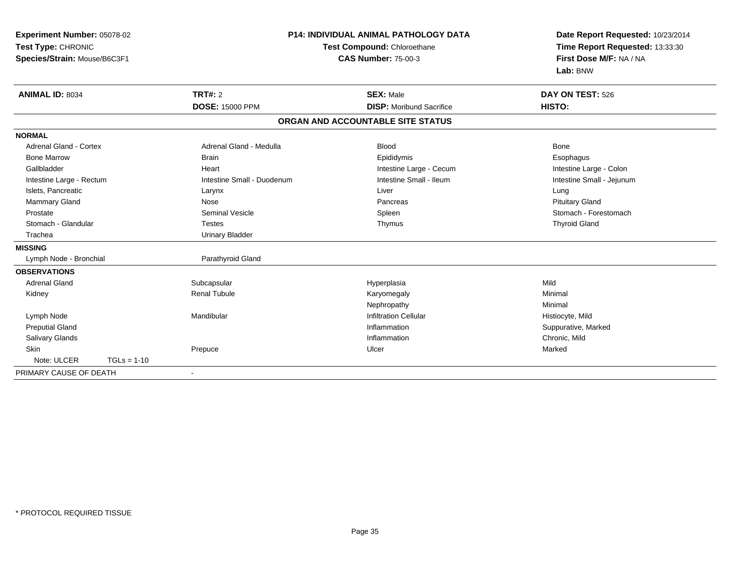| Experiment Number: 05078-02   |                            | <b>P14: INDIVIDUAL ANIMAL PATHOLOGY DATA</b> | Date Report Requested: 10/23/2014 |
|-------------------------------|----------------------------|----------------------------------------------|-----------------------------------|
| Test Type: CHRONIC            |                            | Test Compound: Chloroethane                  | Time Report Requested: 13:33:30   |
| Species/Strain: Mouse/B6C3F1  |                            | <b>CAS Number: 75-00-3</b>                   | First Dose M/F: NA / NA           |
|                               |                            |                                              | Lab: BNW                          |
| <b>ANIMAL ID: 8034</b>        | TRT#: 2                    | <b>SEX: Male</b>                             | DAY ON TEST: 526                  |
|                               | <b>DOSE: 15000 PPM</b>     | <b>DISP:</b> Moribund Sacrifice              | HISTO:                            |
|                               |                            | ORGAN AND ACCOUNTABLE SITE STATUS            |                                   |
| <b>NORMAL</b>                 |                            |                                              |                                   |
| <b>Adrenal Gland - Cortex</b> | Adrenal Gland - Medulla    | <b>Blood</b>                                 | <b>Bone</b>                       |
| <b>Bone Marrow</b>            | <b>Brain</b>               | Epididymis                                   | Esophagus                         |
| Gallbladder                   | Heart                      | Intestine Large - Cecum                      | Intestine Large - Colon           |
| Intestine Large - Rectum      | Intestine Small - Duodenum | Intestine Small - Ileum                      | Intestine Small - Jejunum         |
| Islets, Pancreatic            | Larynx                     | Liver                                        | Lung                              |
| Mammary Gland                 | Nose                       | Pancreas                                     | <b>Pituitary Gland</b>            |
| Prostate                      | <b>Seminal Vesicle</b>     | Spleen                                       | Stomach - Forestomach             |
| Stomach - Glandular           | <b>Testes</b>              | Thymus                                       | <b>Thyroid Gland</b>              |
| Trachea                       | <b>Urinary Bladder</b>     |                                              |                                   |
| <b>MISSING</b>                |                            |                                              |                                   |
| Lymph Node - Bronchial        | Parathyroid Gland          |                                              |                                   |
| <b>OBSERVATIONS</b>           |                            |                                              |                                   |
| <b>Adrenal Gland</b>          | Subcapsular                | Hyperplasia                                  | Mild                              |
| Kidney                        | <b>Renal Tubule</b>        | Karyomegaly                                  | Minimal                           |
|                               |                            | Nephropathy                                  | Minimal                           |
| Lymph Node                    | Mandibular                 | <b>Infiltration Cellular</b>                 | Histiocyte, Mild                  |
| <b>Preputial Gland</b>        |                            | Inflammation                                 | Suppurative, Marked               |
| Salivary Glands               |                            | Inflammation                                 | Chronic, Mild                     |
| <b>Skin</b>                   | Prepuce                    | Ulcer                                        | Marked                            |
| Note: ULCER<br>$TGLs = 1-10$  |                            |                                              |                                   |
| PRIMARY CAUSE OF DEATH        |                            |                                              |                                   |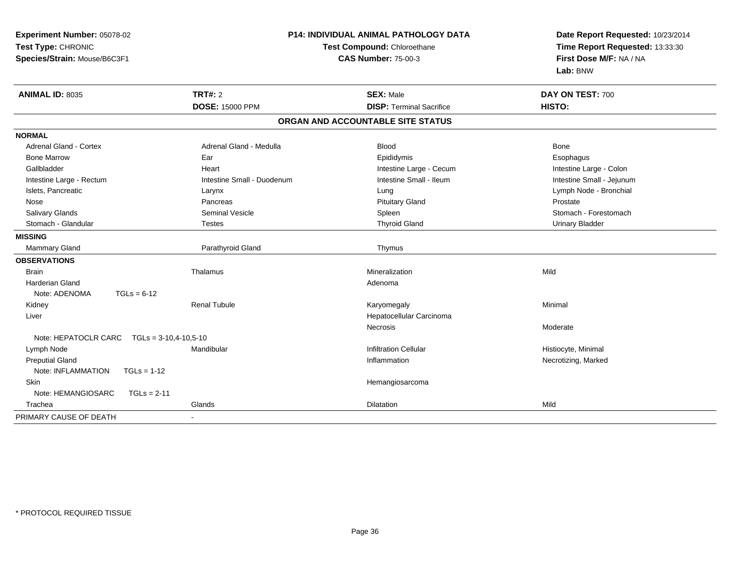| Experiment Number: 05078-02                       |                                                           | <b>P14: INDIVIDUAL ANIMAL PATHOLOGY DATA</b> | Date Report Requested: 10/23/2014 |  |
|---------------------------------------------------|-----------------------------------------------------------|----------------------------------------------|-----------------------------------|--|
| Test Type: CHRONIC                                | Test Compound: Chloroethane<br><b>CAS Number: 75-00-3</b> |                                              | Time Report Requested: 13:33:30   |  |
| Species/Strain: Mouse/B6C3F1                      |                                                           |                                              | First Dose M/F: NA / NA           |  |
|                                                   |                                                           |                                              | Lab: BNW                          |  |
| ANIMAL ID: 8035                                   | <b>TRT#: 2</b>                                            | <b>SEX: Male</b>                             | DAY ON TEST: 700                  |  |
|                                                   | <b>DOSE: 15000 PPM</b>                                    | <b>DISP: Terminal Sacrifice</b>              | HISTO:                            |  |
|                                                   |                                                           | ORGAN AND ACCOUNTABLE SITE STATUS            |                                   |  |
| <b>NORMAL</b>                                     |                                                           |                                              |                                   |  |
| <b>Adrenal Gland - Cortex</b>                     | Adrenal Gland - Medulla                                   | <b>Blood</b>                                 | <b>Bone</b>                       |  |
| <b>Bone Marrow</b>                                | Ear                                                       | Epididymis                                   | Esophagus                         |  |
| Gallbladder                                       | Heart                                                     | Intestine Large - Cecum                      | Intestine Large - Colon           |  |
| Intestine Large - Rectum                          | Intestine Small - Duodenum                                | Intestine Small - Ileum                      | Intestine Small - Jejunum         |  |
| Islets, Pancreatic                                | Larynx                                                    | Lung                                         | Lymph Node - Bronchial            |  |
| Nose                                              | Pancreas                                                  | <b>Pituitary Gland</b>                       | Prostate                          |  |
| Salivary Glands                                   | Seminal Vesicle                                           | Spleen                                       | Stomach - Forestomach             |  |
| Stomach - Glandular                               | <b>Testes</b>                                             | <b>Thyroid Gland</b>                         | <b>Urinary Bladder</b>            |  |
| <b>MISSING</b>                                    |                                                           |                                              |                                   |  |
| Mammary Gland                                     | Parathyroid Gland                                         | Thymus                                       |                                   |  |
| <b>OBSERVATIONS</b>                               |                                                           |                                              |                                   |  |
| <b>Brain</b>                                      | Thalamus                                                  | Mineralization                               | Mild                              |  |
| Harderian Gland                                   |                                                           | Adenoma                                      |                                   |  |
| Note: ADENOMA<br>$TGLs = 6-12$                    |                                                           |                                              |                                   |  |
| Kidney                                            | <b>Renal Tubule</b>                                       | Karyomegaly                                  | Minimal                           |  |
| Liver                                             |                                                           | Hepatocellular Carcinoma                     |                                   |  |
|                                                   |                                                           | Necrosis                                     | Moderate                          |  |
| Note: HEPATOCLR CARC<br>$TGLs = 3-10, 4-10, 5-10$ |                                                           |                                              |                                   |  |
| Lymph Node                                        | Mandibular                                                | <b>Infiltration Cellular</b>                 | Histiocyte, Minimal               |  |
| <b>Preputial Gland</b>                            |                                                           | Inflammation                                 | Necrotizing, Marked               |  |
| Note: INFLAMMATION<br>$TGLs = 1-12$               |                                                           |                                              |                                   |  |
| Skin                                              |                                                           | Hemangiosarcoma                              |                                   |  |
| Note: HEMANGIOSARC<br>$TGLs = 2-11$               |                                                           |                                              |                                   |  |
| Trachea                                           | Glands                                                    | Dilatation                                   | Mild                              |  |
| PRIMARY CAUSE OF DEATH                            |                                                           |                                              |                                   |  |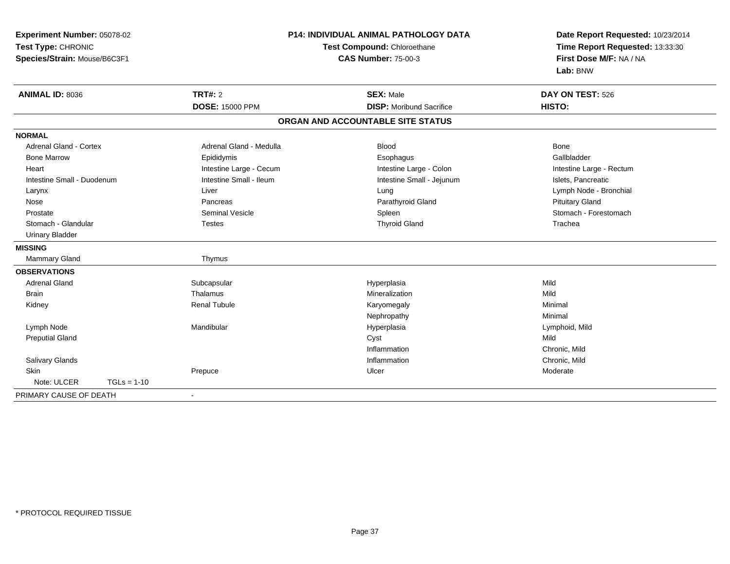| Experiment Number: 05078-02              | <b>P14: INDIVIDUAL ANIMAL PATHOLOGY DATA</b><br>Test Compound: Chloroethane |                                   | Date Report Requested: 10/23/2014<br>Time Report Requested: 13:33:30 |
|------------------------------------------|-----------------------------------------------------------------------------|-----------------------------------|----------------------------------------------------------------------|
| Test Type: CHRONIC                       |                                                                             |                                   |                                                                      |
| Species/Strain: Mouse/B6C3F1             |                                                                             | <b>CAS Number: 75-00-3</b>        | First Dose M/F: NA / NA                                              |
|                                          |                                                                             |                                   | Lab: BNW                                                             |
| <b>ANIMAL ID: 8036</b>                   | TRT#: 2                                                                     | <b>SEX: Male</b>                  | DAY ON TEST: 526                                                     |
|                                          | DOSE: 15000 PPM                                                             | <b>DISP:</b> Moribund Sacrifice   | HISTO:                                                               |
|                                          |                                                                             | ORGAN AND ACCOUNTABLE SITE STATUS |                                                                      |
| <b>NORMAL</b>                            |                                                                             |                                   |                                                                      |
| Adrenal Gland - Cortex                   | Adrenal Gland - Medulla                                                     | <b>Blood</b>                      | Bone                                                                 |
| <b>Bone Marrow</b>                       | Epididymis                                                                  | Esophagus                         | Gallbladder                                                          |
| Heart                                    | Intestine Large - Cecum                                                     | Intestine Large - Colon           | Intestine Large - Rectum                                             |
| Intestine Small - Duodenum               | Intestine Small - Ileum                                                     | Intestine Small - Jejunum         | Islets, Pancreatic                                                   |
| Larynx                                   | Liver                                                                       | Lung                              | Lymph Node - Bronchial                                               |
| Nose                                     | Pancreas                                                                    | Parathyroid Gland                 | <b>Pituitary Gland</b>                                               |
| Prostate                                 | <b>Seminal Vesicle</b>                                                      | Spleen                            | Stomach - Forestomach                                                |
| Stomach - Glandular                      | <b>Testes</b>                                                               | <b>Thyroid Gland</b>              | Trachea                                                              |
| <b>Urinary Bladder</b>                   |                                                                             |                                   |                                                                      |
| <b>MISSING</b>                           |                                                                             |                                   |                                                                      |
| <b>Mammary Gland</b>                     | Thymus                                                                      |                                   |                                                                      |
| <b>OBSERVATIONS</b>                      |                                                                             |                                   |                                                                      |
| <b>Adrenal Gland</b>                     | Subcapsular                                                                 | Hyperplasia                       | Mild                                                                 |
| <b>Brain</b>                             | Thalamus                                                                    | Mineralization                    | Mild                                                                 |
| Kidney                                   | <b>Renal Tubule</b>                                                         | Karyomegaly                       | Minimal                                                              |
|                                          |                                                                             | Nephropathy                       | Minimal                                                              |
| Lymph Node                               | Mandibular                                                                  | Hyperplasia                       | Lymphoid, Mild                                                       |
| <b>Preputial Gland</b>                   |                                                                             | Cyst                              | Mild                                                                 |
|                                          |                                                                             | Inflammation                      | Chronic, Mild                                                        |
| Salivary Glands                          |                                                                             | Inflammation                      | Chronic, Mild                                                        |
| Skin                                     | Prepuce                                                                     | Ulcer                             | Moderate                                                             |
| Note: ULCER<br>$TGLs = 1-10$             |                                                                             |                                   |                                                                      |
| PRIMARY CAUSE OF DEATH<br>$\blacksquare$ |                                                                             |                                   |                                                                      |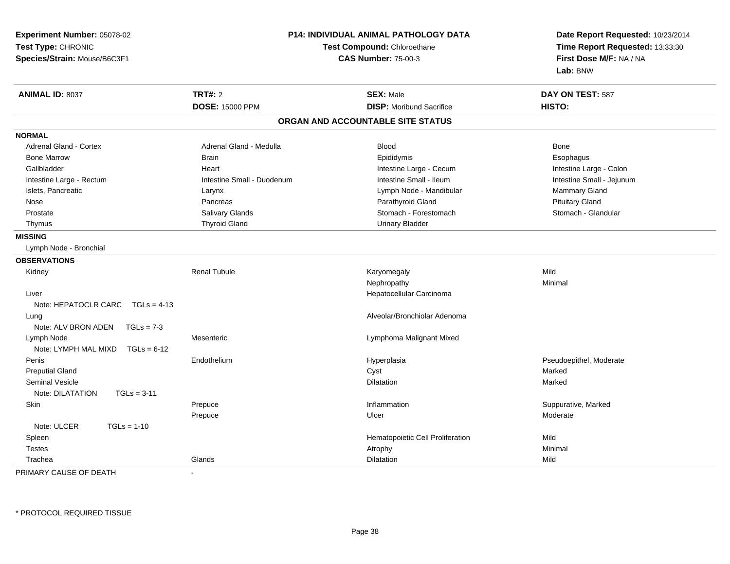| Experiment Number: 05078-02<br>Test Type: CHRONIC<br>Species/Strain: Mouse/B6C3F1 | <b>P14: INDIVIDUAL ANIMAL PATHOLOGY DATA</b><br>Test Compound: Chloroethane<br><b>CAS Number: 75-00-3</b> |                                   | Date Report Requested: 10/23/2014<br>Time Report Requested: 13:33:30<br>First Dose M/F: NA / NA<br>Lab: BNW |
|-----------------------------------------------------------------------------------|-----------------------------------------------------------------------------------------------------------|-----------------------------------|-------------------------------------------------------------------------------------------------------------|
| <b>ANIMAL ID: 8037</b>                                                            | <b>TRT#: 2</b>                                                                                            | <b>SEX: Male</b>                  | DAY ON TEST: 587                                                                                            |
|                                                                                   | <b>DOSE: 15000 PPM</b>                                                                                    | <b>DISP:</b> Moribund Sacrifice   | HISTO:                                                                                                      |
|                                                                                   |                                                                                                           | ORGAN AND ACCOUNTABLE SITE STATUS |                                                                                                             |
| <b>NORMAL</b>                                                                     |                                                                                                           |                                   |                                                                                                             |
| <b>Adrenal Gland - Cortex</b>                                                     | Adrenal Gland - Medulla                                                                                   | <b>Blood</b>                      | <b>Bone</b>                                                                                                 |
| <b>Bone Marrow</b>                                                                | <b>Brain</b>                                                                                              | Epididymis                        | Esophagus                                                                                                   |
| Gallbladder                                                                       | Heart                                                                                                     | Intestine Large - Cecum           | Intestine Large - Colon                                                                                     |
| Intestine Large - Rectum                                                          | Intestine Small - Duodenum                                                                                | Intestine Small - Ileum           | Intestine Small - Jejunum                                                                                   |
| Islets, Pancreatic                                                                | Larynx                                                                                                    | Lymph Node - Mandibular           | Mammary Gland                                                                                               |
| Nose                                                                              | Pancreas                                                                                                  | Parathyroid Gland                 | <b>Pituitary Gland</b>                                                                                      |
| Prostate                                                                          | Salivary Glands                                                                                           | Stomach - Forestomach             | Stomach - Glandular                                                                                         |
| Thymus                                                                            | <b>Thyroid Gland</b>                                                                                      | <b>Urinary Bladder</b>            |                                                                                                             |
| <b>MISSING</b>                                                                    |                                                                                                           |                                   |                                                                                                             |
| Lymph Node - Bronchial                                                            |                                                                                                           |                                   |                                                                                                             |
| <b>OBSERVATIONS</b>                                                               |                                                                                                           |                                   |                                                                                                             |
| Kidney                                                                            | <b>Renal Tubule</b>                                                                                       | Karyomegaly                       | Mild                                                                                                        |
|                                                                                   |                                                                                                           | Nephropathy                       | Minimal                                                                                                     |
| Liver                                                                             |                                                                                                           | Hepatocellular Carcinoma          |                                                                                                             |
| Note: HEPATOCLR CARC<br>$TGLs = 4-13$                                             |                                                                                                           |                                   |                                                                                                             |
| Lung                                                                              |                                                                                                           | Alveolar/Bronchiolar Adenoma      |                                                                                                             |
| Note: ALV BRON ADEN<br>$TGLs = 7-3$                                               |                                                                                                           |                                   |                                                                                                             |
| Lymph Node                                                                        | Mesenteric                                                                                                | Lymphoma Malignant Mixed          |                                                                                                             |
| Note: LYMPH MAL MIXD<br>$TGLs = 6-12$                                             |                                                                                                           |                                   |                                                                                                             |
| Penis                                                                             | Endothelium                                                                                               | Hyperplasia                       | Pseudoepithel, Moderate                                                                                     |
| <b>Preputial Gland</b>                                                            |                                                                                                           | Cyst                              | Marked                                                                                                      |
| Seminal Vesicle                                                                   |                                                                                                           | Dilatation                        | Marked                                                                                                      |
| Note: DILATATION<br>$TGLs = 3-11$                                                 |                                                                                                           |                                   |                                                                                                             |
| Skin                                                                              | Prepuce                                                                                                   | Inflammation                      | Suppurative, Marked                                                                                         |
|                                                                                   | Prepuce                                                                                                   | Ulcer                             | Moderate                                                                                                    |
| Note: ULCER<br>$TGLs = 1-10$                                                      |                                                                                                           |                                   |                                                                                                             |
| Spleen                                                                            |                                                                                                           | Hematopoietic Cell Proliferation  | Mild                                                                                                        |
| <b>Testes</b>                                                                     |                                                                                                           | Atrophy                           | Minimal                                                                                                     |
| Trachea                                                                           | Glands                                                                                                    | Dilatation                        | Mild                                                                                                        |

PRIMARY CAUSE OF DEATH-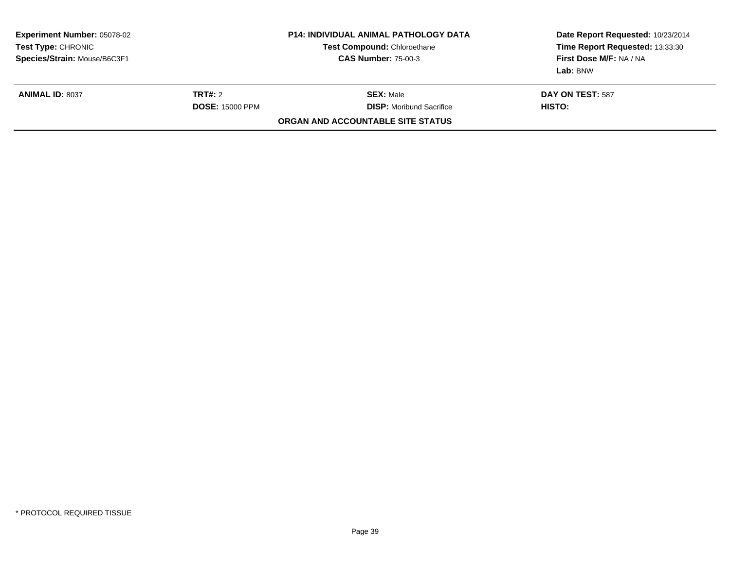| <b>Experiment Number: 05078-02</b><br>Test Type: CHRONIC<br>Species/Strain: Mouse/B6C3F1 | P14: INDIVIDUAL ANIMAL PATHOLOGY DATA<br><b>Test Compound: Chloroethane</b><br><b>CAS Number: 75-00-3</b> |                                                                                          | Date Report Requested: 10/23/2014<br>Time Report Requested: 13:33:30<br>First Dose M/F: NA / NA<br>Lab: BNW |
|------------------------------------------------------------------------------------------|-----------------------------------------------------------------------------------------------------------|------------------------------------------------------------------------------------------|-------------------------------------------------------------------------------------------------------------|
| <b>ANIMAL ID: 8037</b>                                                                   | <b>TRT#: 2</b><br><b>DOSE: 15000 PPM</b>                                                                  | <b>SEX: Male</b><br><b>DISP:</b> Moribund Sacrifice<br>ORGAN AND ACCOUNTABLE SITE STATUS | <b>DAY ON TEST: 587</b><br>HISTO:                                                                           |
|                                                                                          |                                                                                                           |                                                                                          |                                                                                                             |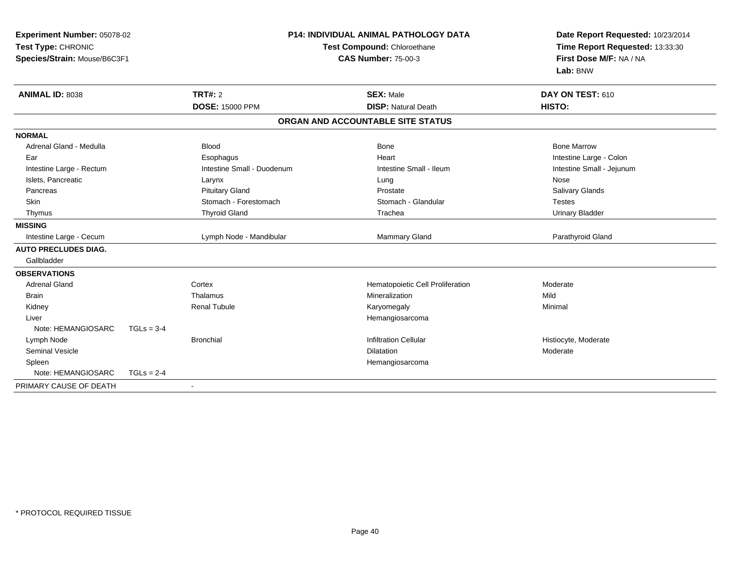| Experiment Number: 05078-02<br>Test Type: CHRONIC<br>Species/Strain: Mouse/B6C3F1 |              |                            | <b>P14: INDIVIDUAL ANIMAL PATHOLOGY DATA</b><br>Test Compound: Chloroethane<br><b>CAS Number: 75-00-3</b> | Date Report Requested: 10/23/2014<br>Time Report Requested: 13:33:30<br>First Dose M/F: NA / NA |
|-----------------------------------------------------------------------------------|--------------|----------------------------|-----------------------------------------------------------------------------------------------------------|-------------------------------------------------------------------------------------------------|
|                                                                                   |              |                            |                                                                                                           | Lab: BNW                                                                                        |
| <b>ANIMAL ID: 8038</b>                                                            |              | TRT#: 2                    | <b>SEX: Male</b>                                                                                          | DAY ON TEST: 610                                                                                |
|                                                                                   |              | <b>DOSE: 15000 PPM</b>     | <b>DISP: Natural Death</b>                                                                                | HISTO:                                                                                          |
|                                                                                   |              |                            | ORGAN AND ACCOUNTABLE SITE STATUS                                                                         |                                                                                                 |
| <b>NORMAL</b>                                                                     |              |                            |                                                                                                           |                                                                                                 |
| Adrenal Gland - Medulla                                                           |              | <b>Blood</b>               | <b>Bone</b>                                                                                               | <b>Bone Marrow</b>                                                                              |
| Ear                                                                               |              | Esophagus                  | Heart                                                                                                     | Intestine Large - Colon                                                                         |
| Intestine Large - Rectum                                                          |              | Intestine Small - Duodenum | Intestine Small - Ileum                                                                                   | Intestine Small - Jejunum                                                                       |
| Islets, Pancreatic                                                                |              | Larynx                     | Lung                                                                                                      | Nose                                                                                            |
| Pancreas                                                                          |              | <b>Pituitary Gland</b>     | Prostate                                                                                                  | Salivary Glands                                                                                 |
| Skin                                                                              |              | Stomach - Forestomach      | Stomach - Glandular                                                                                       | <b>Testes</b>                                                                                   |
| Thymus                                                                            |              | <b>Thyroid Gland</b>       | Trachea                                                                                                   | <b>Urinary Bladder</b>                                                                          |
| <b>MISSING</b>                                                                    |              |                            |                                                                                                           |                                                                                                 |
| Intestine Large - Cecum                                                           |              | Lymph Node - Mandibular    | Mammary Gland                                                                                             | Parathyroid Gland                                                                               |
| <b>AUTO PRECLUDES DIAG.</b>                                                       |              |                            |                                                                                                           |                                                                                                 |
| Gallbladder                                                                       |              |                            |                                                                                                           |                                                                                                 |
| <b>OBSERVATIONS</b>                                                               |              |                            |                                                                                                           |                                                                                                 |
| <b>Adrenal Gland</b>                                                              |              | Cortex                     | Hematopoietic Cell Proliferation                                                                          | Moderate                                                                                        |
| <b>Brain</b>                                                                      |              | Thalamus                   | Mineralization                                                                                            | Mild                                                                                            |
| Kidney                                                                            |              | <b>Renal Tubule</b>        | Karyomegaly                                                                                               | Minimal                                                                                         |
| Liver                                                                             |              |                            | Hemangiosarcoma                                                                                           |                                                                                                 |
| Note: HEMANGIOSARC                                                                | $TGLs = 3-4$ |                            |                                                                                                           |                                                                                                 |
| Lymph Node                                                                        |              | <b>Bronchial</b>           | <b>Infiltration Cellular</b>                                                                              | Histiocyte, Moderate                                                                            |
| <b>Seminal Vesicle</b>                                                            |              |                            | <b>Dilatation</b>                                                                                         | Moderate                                                                                        |
| Spleen                                                                            |              |                            | Hemangiosarcoma                                                                                           |                                                                                                 |
| Note: HEMANGIOSARC                                                                | $TGLs = 2-4$ |                            |                                                                                                           |                                                                                                 |
| PRIMARY CAUSE OF DEATH                                                            |              |                            |                                                                                                           |                                                                                                 |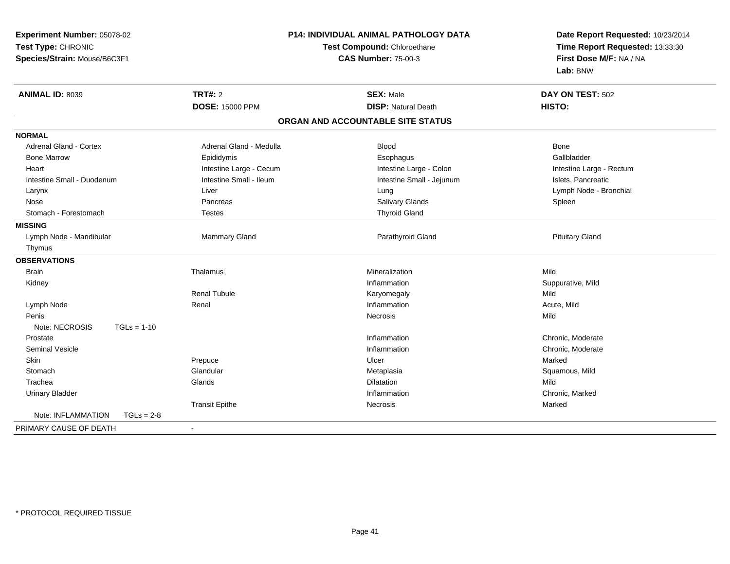| Experiment Number: 05078-02        |                            | P14: INDIVIDUAL ANIMAL PATHOLOGY DATA | Date Report Requested: 10/23/2014<br>Time Report Requested: 13:33:30 |
|------------------------------------|----------------------------|---------------------------------------|----------------------------------------------------------------------|
| Test Type: CHRONIC                 |                            | Test Compound: Chloroethane           |                                                                      |
| Species/Strain: Mouse/B6C3F1       | <b>CAS Number: 75-00-3</b> |                                       | First Dose M/F: NA / NA                                              |
|                                    |                            |                                       | Lab: BNW                                                             |
| <b>ANIMAL ID: 8039</b>             | <b>TRT#: 2</b>             | <b>SEX: Male</b>                      | DAY ON TEST: 502                                                     |
|                                    | <b>DOSE: 15000 PPM</b>     | <b>DISP: Natural Death</b>            | HISTO:                                                               |
|                                    |                            | ORGAN AND ACCOUNTABLE SITE STATUS     |                                                                      |
| <b>NORMAL</b>                      |                            |                                       |                                                                      |
| <b>Adrenal Gland - Cortex</b>      | Adrenal Gland - Medulla    | Blood                                 | Bone                                                                 |
| <b>Bone Marrow</b>                 | Epididymis                 | Esophagus                             | Gallbladder                                                          |
| Heart                              | Intestine Large - Cecum    | Intestine Large - Colon               | Intestine Large - Rectum                                             |
| Intestine Small - Duodenum         | Intestine Small - Ileum    | Intestine Small - Jejunum             | Islets, Pancreatic                                                   |
| Larynx                             | Liver                      | Lung                                  | Lymph Node - Bronchial                                               |
| Nose                               | Pancreas                   | Salivary Glands                       | Spleen                                                               |
| Stomach - Forestomach              | <b>Testes</b>              | <b>Thyroid Gland</b>                  |                                                                      |
| <b>MISSING</b>                     |                            |                                       |                                                                      |
| Lymph Node - Mandibular            | Mammary Gland              | Parathyroid Gland                     | <b>Pituitary Gland</b>                                               |
| Thymus                             |                            |                                       |                                                                      |
| <b>OBSERVATIONS</b>                |                            |                                       |                                                                      |
| Brain                              | Thalamus                   | Mineralization                        | Mild                                                                 |
| Kidney                             |                            | Inflammation                          | Suppurative, Mild                                                    |
|                                    | <b>Renal Tubule</b>        | Karyomegaly                           | Mild                                                                 |
| Lymph Node                         | Renal                      | Inflammation                          | Acute, Mild                                                          |
| Penis                              |                            | Necrosis                              | Mild                                                                 |
| Note: NECROSIS<br>$TGLs = 1-10$    |                            |                                       |                                                                      |
| Prostate                           |                            | Inflammation                          | Chronic, Moderate                                                    |
| <b>Seminal Vesicle</b>             |                            | Inflammation                          | Chronic, Moderate                                                    |
| <b>Skin</b>                        | Prepuce                    | Ulcer                                 | Marked                                                               |
| Stomach                            | Glandular                  | Metaplasia                            | Squamous, Mild                                                       |
| Trachea                            | Glands                     | Dilatation                            | Mild                                                                 |
| <b>Urinary Bladder</b>             |                            | Inflammation                          | Chronic, Marked                                                      |
|                                    | <b>Transit Epithe</b>      | Necrosis                              | Marked                                                               |
| Note: INFLAMMATION<br>$TGLs = 2-8$ |                            |                                       |                                                                      |
| PRIMARY CAUSE OF DEATH             | $\overline{\phantom{a}}$   |                                       |                                                                      |
|                                    |                            |                                       |                                                                      |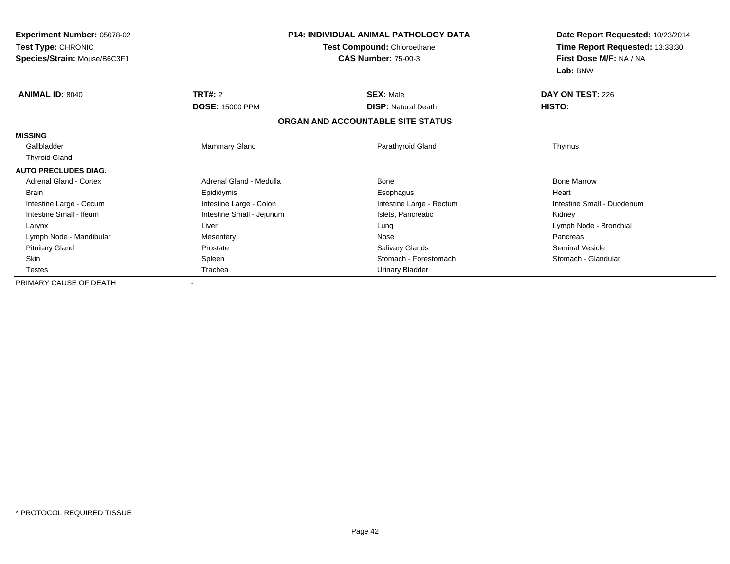| <b>Experiment Number: 05078-02</b> |                             | <b>P14: INDIVIDUAL ANIMAL PATHOLOGY DATA</b> | Date Report Requested: 10/23/2014 |
|------------------------------------|-----------------------------|----------------------------------------------|-----------------------------------|
| Test Type: CHRONIC                 | Test Compound: Chloroethane |                                              | Time Report Requested: 13:33:30   |
| Species/Strain: Mouse/B6C3F1       |                             | <b>CAS Number: 75-00-3</b>                   | First Dose M/F: NA / NA           |
|                                    |                             |                                              | Lab: BNW                          |
| <b>ANIMAL ID: 8040</b>             | <b>TRT#: 2</b>              | <b>SEX: Male</b>                             | DAY ON TEST: 226                  |
|                                    | <b>DOSE: 15000 PPM</b>      | <b>DISP: Natural Death</b>                   | HISTO:                            |
|                                    |                             | ORGAN AND ACCOUNTABLE SITE STATUS            |                                   |
| <b>MISSING</b>                     |                             |                                              |                                   |
| Gallbladder                        | Mammary Gland               | Parathyroid Gland                            | Thymus                            |
| <b>Thyroid Gland</b>               |                             |                                              |                                   |
| <b>AUTO PRECLUDES DIAG.</b>        |                             |                                              |                                   |
| <b>Adrenal Gland - Cortex</b>      | Adrenal Gland - Medulla     | <b>Bone</b>                                  | <b>Bone Marrow</b>                |
| <b>Brain</b>                       | Epididymis                  | Esophagus                                    | Heart                             |
| Intestine Large - Cecum            | Intestine Large - Colon     | Intestine Large - Rectum                     | Intestine Small - Duodenum        |
| Intestine Small - Ileum            | Intestine Small - Jejunum   | Islets, Pancreatic                           | Kidney                            |
| Larynx                             | Liver                       | Lung                                         | Lymph Node - Bronchial            |
| Lymph Node - Mandibular            | Mesentery                   | Nose                                         | Pancreas                          |
| <b>Pituitary Gland</b>             | Prostate                    | Salivary Glands                              | <b>Seminal Vesicle</b>            |
| Skin                               | Spleen                      | Stomach - Forestomach                        | Stomach - Glandular               |
| <b>Testes</b>                      | Trachea                     | Urinary Bladder                              |                                   |
| PRIMARY CAUSE OF DEATH             |                             |                                              |                                   |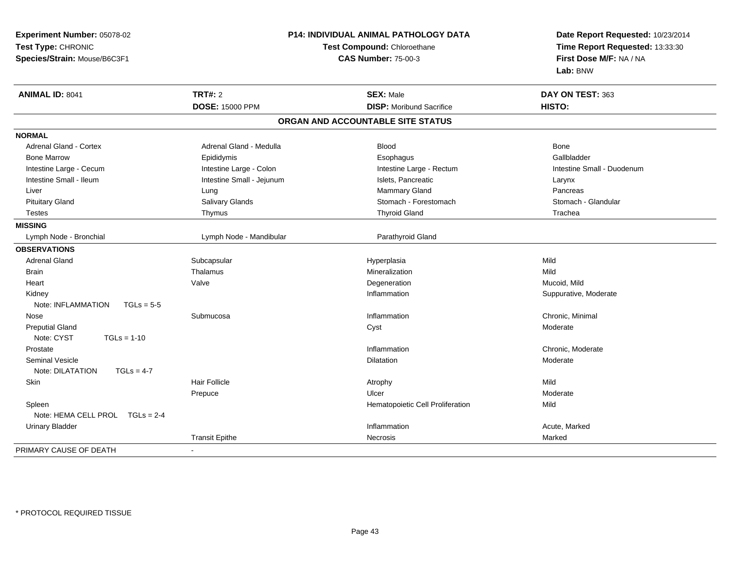| Experiment Number: 05078-02        |                                                           | P14: INDIVIDUAL ANIMAL PATHOLOGY DATA | Date Report Requested: 10/23/2014                          |
|------------------------------------|-----------------------------------------------------------|---------------------------------------|------------------------------------------------------------|
| Test Type: CHRONIC                 | Test Compound: Chloroethane<br><b>CAS Number: 75-00-3</b> |                                       | Time Report Requested: 13:33:30<br>First Dose M/F: NA / NA |
| Species/Strain: Mouse/B6C3F1       |                                                           |                                       |                                                            |
|                                    |                                                           |                                       | Lab: BNW                                                   |
| <b>ANIMAL ID: 8041</b>             | <b>TRT#: 2</b>                                            | <b>SEX: Male</b>                      | DAY ON TEST: 363                                           |
|                                    | <b>DOSE: 15000 PPM</b>                                    | <b>DISP: Moribund Sacrifice</b>       | HISTO:                                                     |
|                                    |                                                           | ORGAN AND ACCOUNTABLE SITE STATUS     |                                                            |
| <b>NORMAL</b>                      |                                                           |                                       |                                                            |
| <b>Adrenal Gland - Cortex</b>      | Adrenal Gland - Medulla                                   | <b>Blood</b>                          | Bone                                                       |
| <b>Bone Marrow</b>                 | Epididymis                                                | Esophagus                             | Gallbladder                                                |
| Intestine Large - Cecum            | Intestine Large - Colon                                   | Intestine Large - Rectum              | Intestine Small - Duodenum                                 |
| Intestine Small - Ileum            | Intestine Small - Jejunum                                 | Islets, Pancreatic                    | Larynx                                                     |
| Liver                              | Lung                                                      | <b>Mammary Gland</b>                  | Pancreas                                                   |
| <b>Pituitary Gland</b>             | Salivary Glands                                           | Stomach - Forestomach                 | Stomach - Glandular                                        |
| <b>Testes</b>                      | Thymus                                                    | <b>Thyroid Gland</b>                  | Trachea                                                    |
| <b>MISSING</b>                     |                                                           |                                       |                                                            |
| Lymph Node - Bronchial             | Lymph Node - Mandibular                                   | Parathyroid Gland                     |                                                            |
| <b>OBSERVATIONS</b>                |                                                           |                                       |                                                            |
| <b>Adrenal Gland</b>               | Subcapsular                                               | Hyperplasia                           | Mild                                                       |
| <b>Brain</b>                       | Thalamus                                                  | Mineralization                        | Mild                                                       |
| Heart                              | Valve                                                     | Degeneration                          | Mucoid, Mild                                               |
| Kidney                             |                                                           | Inflammation                          | Suppurative, Moderate                                      |
| Note: INFLAMMATION<br>$TGLs = 5-5$ |                                                           |                                       |                                                            |
| Nose                               | Submucosa                                                 | Inflammation                          | Chronic, Minimal                                           |
| <b>Preputial Gland</b>             |                                                           | Cyst                                  | Moderate                                                   |
| Note: CYST<br>$TGLs = 1-10$        |                                                           |                                       |                                                            |
| Prostate                           |                                                           | Inflammation                          | Chronic, Moderate                                          |
| <b>Seminal Vesicle</b>             |                                                           | <b>Dilatation</b>                     | Moderate                                                   |
| Note: DILATATION<br>$TGLs = 4-7$   |                                                           |                                       |                                                            |
| Skin                               | <b>Hair Follicle</b>                                      | Atrophy                               | Mild                                                       |
|                                    | Prepuce                                                   | Ulcer                                 | Moderate                                                   |
| Spleen                             |                                                           | Hematopoietic Cell Proliferation      | Mild                                                       |
| Note: HEMA CELL PROL TGLs = 2-4    |                                                           |                                       |                                                            |
| <b>Urinary Bladder</b>             |                                                           | Inflammation                          | Acute, Marked                                              |
|                                    | <b>Transit Epithe</b>                                     | <b>Necrosis</b>                       | Marked                                                     |
| PRIMARY CAUSE OF DEATH             | $\blacksquare$                                            |                                       |                                                            |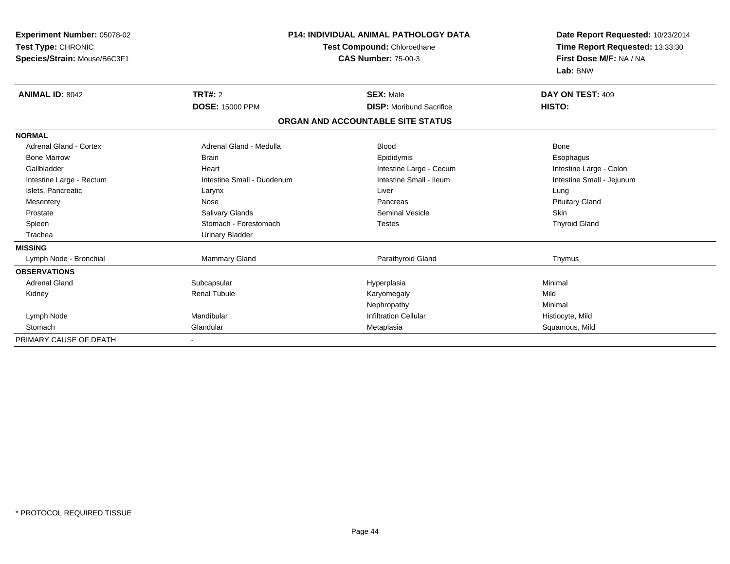| Experiment Number: 05078-02<br>Test Type: CHRONIC<br>Species/Strain: Mouse/B6C3F1 | <b>P14: INDIVIDUAL ANIMAL PATHOLOGY DATA</b><br>Test Compound: Chloroethane<br><b>CAS Number: 75-00-3</b> |                                                     | Date Report Requested: 10/23/2014<br>Time Report Requested: 13:33:30<br>First Dose M/F: NA / NA<br>Lab: BNW |
|-----------------------------------------------------------------------------------|-----------------------------------------------------------------------------------------------------------|-----------------------------------------------------|-------------------------------------------------------------------------------------------------------------|
| <b>ANIMAL ID: 8042</b>                                                            | <b>TRT#: 2</b><br><b>DOSE: 15000 PPM</b>                                                                  | <b>SEX: Male</b><br><b>DISP:</b> Moribund Sacrifice | DAY ON TEST: 409<br>HISTO:                                                                                  |
|                                                                                   |                                                                                                           | ORGAN AND ACCOUNTABLE SITE STATUS                   |                                                                                                             |
| <b>NORMAL</b>                                                                     |                                                                                                           |                                                     |                                                                                                             |
| Adrenal Gland - Cortex                                                            | Adrenal Gland - Medulla                                                                                   | <b>Blood</b>                                        | <b>Bone</b>                                                                                                 |
| <b>Bone Marrow</b>                                                                | <b>Brain</b>                                                                                              | Epididymis                                          | Esophagus                                                                                                   |
| Gallbladder                                                                       | Heart                                                                                                     | Intestine Large - Cecum                             | Intestine Large - Colon                                                                                     |
| Intestine Large - Rectum                                                          | Intestine Small - Duodenum                                                                                | Intestine Small - Ileum                             | Intestine Small - Jejunum                                                                                   |
| Islets, Pancreatic                                                                | Larynx                                                                                                    | Liver                                               | Lung                                                                                                        |
| Mesentery                                                                         | Nose                                                                                                      | Pancreas                                            | <b>Pituitary Gland</b>                                                                                      |
| Prostate                                                                          | Salivary Glands                                                                                           | <b>Seminal Vesicle</b>                              | <b>Skin</b>                                                                                                 |
| Spleen                                                                            | Stomach - Forestomach                                                                                     | <b>Testes</b>                                       | <b>Thyroid Gland</b>                                                                                        |
| Trachea                                                                           | Urinary Bladder                                                                                           |                                                     |                                                                                                             |
| <b>MISSING</b>                                                                    |                                                                                                           |                                                     |                                                                                                             |
| Lymph Node - Bronchial                                                            | Mammary Gland                                                                                             | Parathyroid Gland                                   | Thymus                                                                                                      |
| <b>OBSERVATIONS</b>                                                               |                                                                                                           |                                                     |                                                                                                             |
| <b>Adrenal Gland</b>                                                              | Subcapsular                                                                                               | Hyperplasia                                         | Minimal                                                                                                     |
| Kidney                                                                            | <b>Renal Tubule</b>                                                                                       | Karyomegaly                                         | Mild                                                                                                        |
|                                                                                   |                                                                                                           | Nephropathy                                         | Minimal                                                                                                     |
| Lymph Node                                                                        | Mandibular                                                                                                | <b>Infiltration Cellular</b>                        | Histiocyte, Mild                                                                                            |
| Stomach                                                                           | Glandular                                                                                                 | Metaplasia                                          | Squamous, Mild                                                                                              |
| PRIMARY CAUSE OF DEATH                                                            | $\blacksquare$                                                                                            |                                                     |                                                                                                             |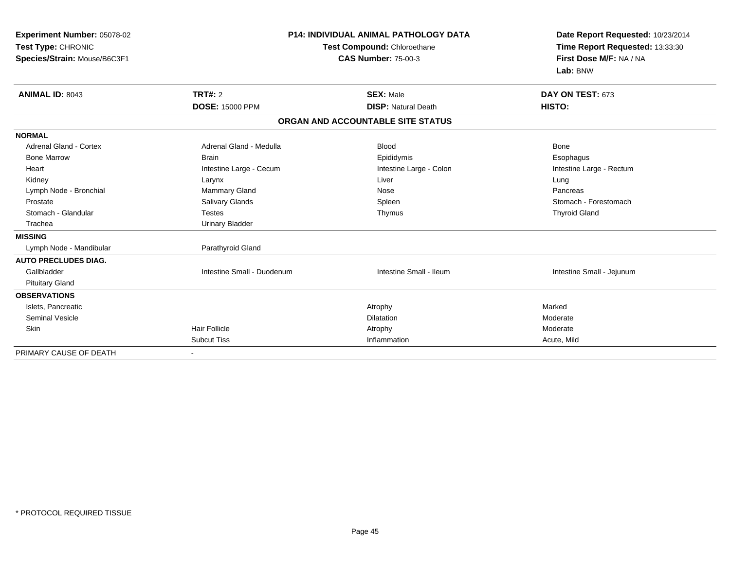| Experiment Number: 05078-02<br>Test Type: CHRONIC<br>Species/Strain: Mouse/B6C3F1 |                            | <b>P14: INDIVIDUAL ANIMAL PATHOLOGY DATA</b><br>Test Compound: Chloroethane<br><b>CAS Number: 75-00-3</b> | Date Report Requested: 10/23/2014<br>Time Report Requested: 13:33:30<br>First Dose M/F: NA / NA<br>Lab: BNW |  |
|-----------------------------------------------------------------------------------|----------------------------|-----------------------------------------------------------------------------------------------------------|-------------------------------------------------------------------------------------------------------------|--|
| <b>ANIMAL ID: 8043</b>                                                            | TRT#: 2                    | <b>SEX: Male</b>                                                                                          | DAY ON TEST: 673                                                                                            |  |
|                                                                                   | <b>DOSE: 15000 PPM</b>     | <b>DISP: Natural Death</b>                                                                                | HISTO:                                                                                                      |  |
|                                                                                   |                            | ORGAN AND ACCOUNTABLE SITE STATUS                                                                         |                                                                                                             |  |
| <b>NORMAL</b>                                                                     |                            |                                                                                                           |                                                                                                             |  |
| Adrenal Gland - Cortex                                                            | Adrenal Gland - Medulla    | <b>Blood</b>                                                                                              | <b>Bone</b>                                                                                                 |  |
| <b>Bone Marrow</b>                                                                | <b>Brain</b>               | Epididymis                                                                                                | Esophagus                                                                                                   |  |
| Heart                                                                             | Intestine Large - Cecum    | Intestine Large - Colon                                                                                   | Intestine Large - Rectum                                                                                    |  |
| Kidney                                                                            | Larynx                     | Liver                                                                                                     | Lung                                                                                                        |  |
| Lymph Node - Bronchial                                                            | <b>Mammary Gland</b>       | Nose                                                                                                      | Pancreas                                                                                                    |  |
| Prostate                                                                          | Salivary Glands            | Spleen                                                                                                    | Stomach - Forestomach                                                                                       |  |
| Stomach - Glandular                                                               | <b>Testes</b>              | Thymus                                                                                                    | <b>Thyroid Gland</b>                                                                                        |  |
| Trachea                                                                           | <b>Urinary Bladder</b>     |                                                                                                           |                                                                                                             |  |
| <b>MISSING</b>                                                                    |                            |                                                                                                           |                                                                                                             |  |
| Lymph Node - Mandibular                                                           | Parathyroid Gland          |                                                                                                           |                                                                                                             |  |
| <b>AUTO PRECLUDES DIAG.</b>                                                       |                            |                                                                                                           |                                                                                                             |  |
| Gallbladder                                                                       | Intestine Small - Duodenum | Intestine Small - Ileum                                                                                   | Intestine Small - Jejunum                                                                                   |  |
| <b>Pituitary Gland</b>                                                            |                            |                                                                                                           |                                                                                                             |  |
| <b>OBSERVATIONS</b>                                                               |                            |                                                                                                           |                                                                                                             |  |
| Islets, Pancreatic                                                                |                            | Atrophy                                                                                                   | Marked                                                                                                      |  |
| <b>Seminal Vesicle</b>                                                            |                            | <b>Dilatation</b>                                                                                         | Moderate                                                                                                    |  |
| Skin                                                                              | <b>Hair Follicle</b>       | Atrophy                                                                                                   | Moderate                                                                                                    |  |
|                                                                                   | <b>Subcut Tiss</b>         | Inflammation                                                                                              | Acute, Mild                                                                                                 |  |
| PRIMARY CAUSE OF DEATH                                                            |                            |                                                                                                           |                                                                                                             |  |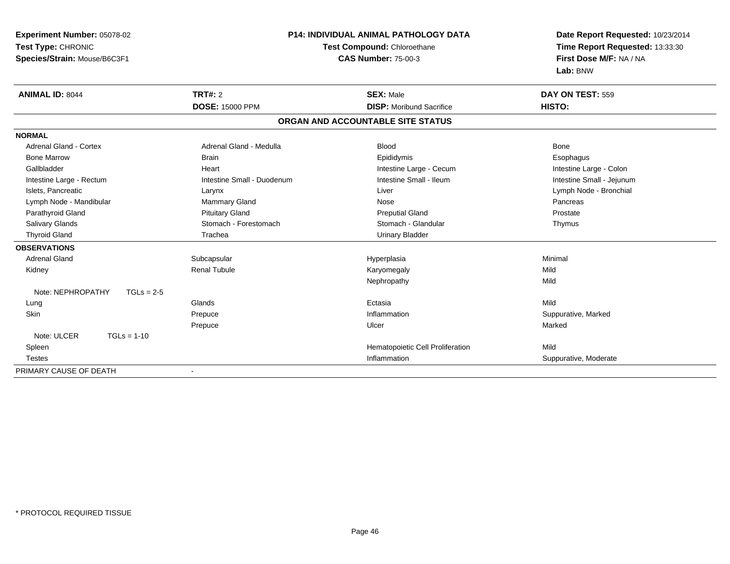| Experiment Number: 05078-02       | P14: INDIVIDUAL ANIMAL PATHOLOGY DATA |                                   | Date Report Requested: 10/23/2014                          |
|-----------------------------------|---------------------------------------|-----------------------------------|------------------------------------------------------------|
| Test Type: CHRONIC                |                                       | Test Compound: Chloroethane       | Time Report Requested: 13:33:30<br>First Dose M/F: NA / NA |
| Species/Strain: Mouse/B6C3F1      |                                       | <b>CAS Number: 75-00-3</b>        |                                                            |
|                                   |                                       |                                   | Lab: BNW                                                   |
| <b>ANIMAL ID: 8044</b>            | <b>TRT#: 2</b>                        | <b>SEX: Male</b>                  | DAY ON TEST: 559                                           |
|                                   | <b>DOSE: 15000 PPM</b>                | <b>DISP:</b> Moribund Sacrifice   | HISTO:                                                     |
|                                   |                                       | ORGAN AND ACCOUNTABLE SITE STATUS |                                                            |
| <b>NORMAL</b>                     |                                       |                                   |                                                            |
| <b>Adrenal Gland - Cortex</b>     | Adrenal Gland - Medulla               | <b>Blood</b>                      | <b>Bone</b>                                                |
| <b>Bone Marrow</b>                | <b>Brain</b>                          | Epididymis                        | Esophagus                                                  |
| Gallbladder                       | Heart                                 | Intestine Large - Cecum           | Intestine Large - Colon                                    |
| Intestine Large - Rectum          | Intestine Small - Duodenum            | Intestine Small - Ileum           | Intestine Small - Jejunum                                  |
| Islets, Pancreatic                | Larynx                                | Liver                             | Lymph Node - Bronchial                                     |
| Lymph Node - Mandibular           | Mammary Gland                         | Nose                              | Pancreas                                                   |
| Parathyroid Gland                 | <b>Pituitary Gland</b>                | <b>Preputial Gland</b>            | Prostate                                                   |
| <b>Salivary Glands</b>            | Stomach - Forestomach                 | Stomach - Glandular               | Thymus                                                     |
| <b>Thyroid Gland</b>              | Trachea                               | <b>Urinary Bladder</b>            |                                                            |
| <b>OBSERVATIONS</b>               |                                       |                                   |                                                            |
| <b>Adrenal Gland</b>              | Subcapsular                           | Hyperplasia                       | Minimal                                                    |
| Kidney                            | Renal Tubule                          | Karyomegaly                       | Mild                                                       |
|                                   |                                       | Nephropathy                       | Mild                                                       |
| Note: NEPHROPATHY<br>$TGLs = 2-5$ |                                       |                                   |                                                            |
| Lung                              | Glands                                | Ectasia                           | Mild                                                       |
| Skin                              | Prepuce                               | Inflammation                      | Suppurative, Marked                                        |
|                                   | Prepuce                               | Ulcer                             | Marked                                                     |
| Note: ULCER<br>$TGLs = 1-10$      |                                       |                                   |                                                            |
| Spleen                            |                                       | Hematopoietic Cell Proliferation  | Mild                                                       |
| <b>Testes</b>                     |                                       | Inflammation                      | Suppurative, Moderate                                      |
| PRIMARY CAUSE OF DEATH            |                                       |                                   |                                                            |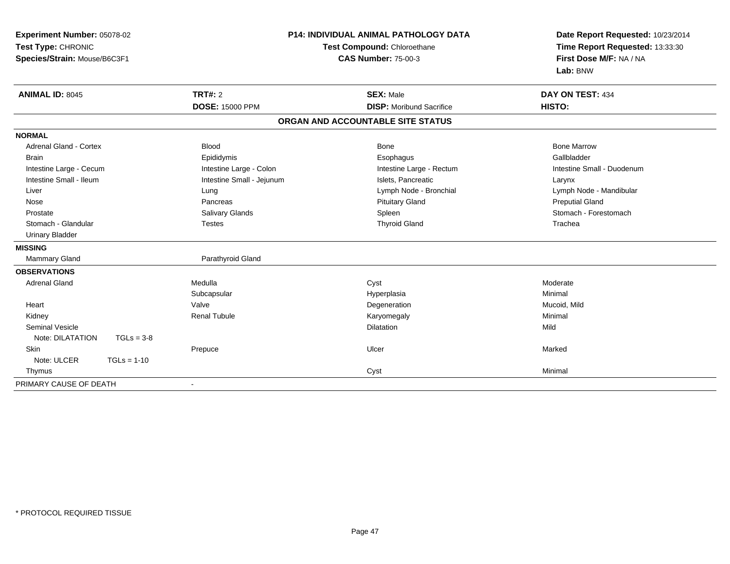| Experiment Number: 05078-02      | P14: INDIVIDUAL ANIMAL PATHOLOGY DATA<br>Test Compound: Chloroethane |                                   | Date Report Requested: 10/23/2014<br>Time Report Requested: 13:33:30 |
|----------------------------------|----------------------------------------------------------------------|-----------------------------------|----------------------------------------------------------------------|
| Test Type: CHRONIC               |                                                                      |                                   |                                                                      |
| Species/Strain: Mouse/B6C3F1     |                                                                      | <b>CAS Number: 75-00-3</b>        | First Dose M/F: NA / NA                                              |
|                                  |                                                                      |                                   | Lab: BNW                                                             |
| <b>ANIMAL ID: 8045</b>           | <b>TRT#: 2</b>                                                       | <b>SEX: Male</b>                  | DAY ON TEST: 434                                                     |
|                                  | <b>DOSE: 15000 PPM</b>                                               | <b>DISP:</b> Moribund Sacrifice   | HISTO:                                                               |
|                                  |                                                                      | ORGAN AND ACCOUNTABLE SITE STATUS |                                                                      |
| <b>NORMAL</b>                    |                                                                      |                                   |                                                                      |
| <b>Adrenal Gland - Cortex</b>    | Blood                                                                | Bone                              | <b>Bone Marrow</b>                                                   |
| <b>Brain</b>                     | Epididymis                                                           | Esophagus                         | Gallbladder                                                          |
| Intestine Large - Cecum          | Intestine Large - Colon                                              | Intestine Large - Rectum          | Intestine Small - Duodenum                                           |
| Intestine Small - Ileum          | Intestine Small - Jejunum                                            | Islets, Pancreatic                | Larynx                                                               |
| Liver                            | Lung                                                                 | Lymph Node - Bronchial            | Lymph Node - Mandibular                                              |
| Nose                             | Pancreas                                                             | <b>Pituitary Gland</b>            | <b>Preputial Gland</b>                                               |
| Prostate                         | Salivary Glands                                                      | Spleen                            | Stomach - Forestomach                                                |
| Stomach - Glandular              | <b>Testes</b>                                                        | <b>Thyroid Gland</b>              | Trachea                                                              |
| <b>Urinary Bladder</b>           |                                                                      |                                   |                                                                      |
| <b>MISSING</b>                   |                                                                      |                                   |                                                                      |
| Mammary Gland                    | Parathyroid Gland                                                    |                                   |                                                                      |
| <b>OBSERVATIONS</b>              |                                                                      |                                   |                                                                      |
| <b>Adrenal Gland</b>             | Medulla                                                              | Cyst                              | Moderate                                                             |
|                                  | Subcapsular                                                          | Hyperplasia                       | Minimal                                                              |
| Heart                            | Valve                                                                | Degeneration                      | Mucoid, Mild                                                         |
| Kidney                           | <b>Renal Tubule</b>                                                  | Karyomegaly                       | Minimal                                                              |
| <b>Seminal Vesicle</b>           |                                                                      | Dilatation                        | Mild                                                                 |
| Note: DILATATION<br>$TGLs = 3-8$ |                                                                      |                                   |                                                                      |
| Skin                             | Prepuce                                                              | Ulcer                             | Marked                                                               |
| $TGLs = 1-10$<br>Note: ULCER     |                                                                      |                                   |                                                                      |
| Thymus                           |                                                                      | Cyst                              | Minimal                                                              |
| PRIMARY CAUSE OF DEATH           | $\blacksquare$                                                       |                                   |                                                                      |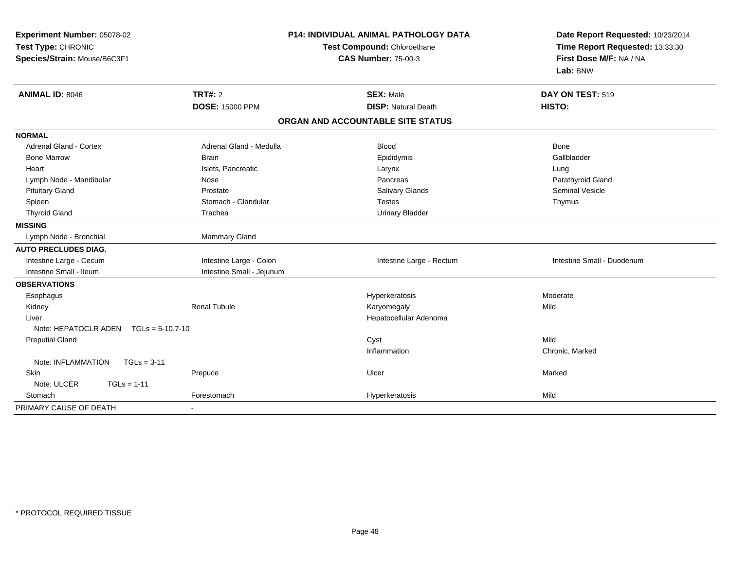| Experiment Number: 05078-02<br>Test Type: CHRONIC<br>Species/Strain: Mouse/B6C3F1 | <b>P14: INDIVIDUAL ANIMAL PATHOLOGY DATA</b><br>Test Compound: Chloroethane<br><b>CAS Number: 75-00-3</b> |                                                | Date Report Requested: 10/23/2014<br>Time Report Requested: 13:33:30<br>First Dose M/F: NA / NA<br>Lab: BNW |  |
|-----------------------------------------------------------------------------------|-----------------------------------------------------------------------------------------------------------|------------------------------------------------|-------------------------------------------------------------------------------------------------------------|--|
| <b>ANIMAL ID: 8046</b>                                                            | TRT#: 2<br><b>DOSE: 15000 PPM</b>                                                                         | <b>SEX: Male</b><br><b>DISP: Natural Death</b> | DAY ON TEST: 519<br>HISTO:                                                                                  |  |
|                                                                                   |                                                                                                           | ORGAN AND ACCOUNTABLE SITE STATUS              |                                                                                                             |  |
| <b>NORMAL</b>                                                                     |                                                                                                           |                                                |                                                                                                             |  |
| Adrenal Gland - Cortex                                                            | Adrenal Gland - Medulla                                                                                   | <b>Blood</b>                                   | Bone                                                                                                        |  |
| <b>Bone Marrow</b>                                                                | <b>Brain</b>                                                                                              | Epididymis                                     | Gallbladder                                                                                                 |  |
| Heart                                                                             | Islets, Pancreatic                                                                                        | Larynx                                         | Lung                                                                                                        |  |
| Lymph Node - Mandibular                                                           | Nose                                                                                                      | Pancreas                                       | Parathyroid Gland                                                                                           |  |
| <b>Pituitary Gland</b>                                                            | Prostate                                                                                                  | Salivary Glands                                | <b>Seminal Vesicle</b>                                                                                      |  |
| Spleen                                                                            | Stomach - Glandular                                                                                       | <b>Testes</b>                                  | Thymus                                                                                                      |  |
| <b>Thyroid Gland</b>                                                              | Trachea                                                                                                   | <b>Urinary Bladder</b>                         |                                                                                                             |  |
| <b>MISSING</b>                                                                    |                                                                                                           |                                                |                                                                                                             |  |
| Lymph Node - Bronchial                                                            | Mammary Gland                                                                                             |                                                |                                                                                                             |  |
| <b>AUTO PRECLUDES DIAG.</b>                                                       |                                                                                                           |                                                |                                                                                                             |  |
| Intestine Large - Cecum                                                           | Intestine Large - Colon                                                                                   | Intestine Large - Rectum                       | Intestine Small - Duodenum                                                                                  |  |
| Intestine Small - Ileum                                                           | Intestine Small - Jejunum                                                                                 |                                                |                                                                                                             |  |
| <b>OBSERVATIONS</b>                                                               |                                                                                                           |                                                |                                                                                                             |  |
| Esophagus                                                                         |                                                                                                           | Hyperkeratosis                                 | Moderate                                                                                                    |  |
| Kidney                                                                            | <b>Renal Tubule</b>                                                                                       | Karyomegaly                                    | Mild                                                                                                        |  |
| Liver                                                                             |                                                                                                           | Hepatocellular Adenoma                         |                                                                                                             |  |
| Note: HEPATOCLR ADEN<br>$TGLs = 5-10.7-10$                                        |                                                                                                           |                                                |                                                                                                             |  |
| <b>Preputial Gland</b>                                                            |                                                                                                           | Cyst                                           | Mild                                                                                                        |  |
|                                                                                   |                                                                                                           | Inflammation                                   | Chronic, Marked                                                                                             |  |
| Note: INFLAMMATION<br>$TGLs = 3-11$                                               |                                                                                                           |                                                |                                                                                                             |  |
| Skin                                                                              | Prepuce                                                                                                   | Ulcer                                          | Marked                                                                                                      |  |
| Note: ULCER<br>$TGLs = 1-11$                                                      |                                                                                                           |                                                |                                                                                                             |  |
| Stomach                                                                           | Forestomach                                                                                               | Hyperkeratosis                                 | Mild                                                                                                        |  |
| PRIMARY CAUSE OF DEATH                                                            |                                                                                                           |                                                |                                                                                                             |  |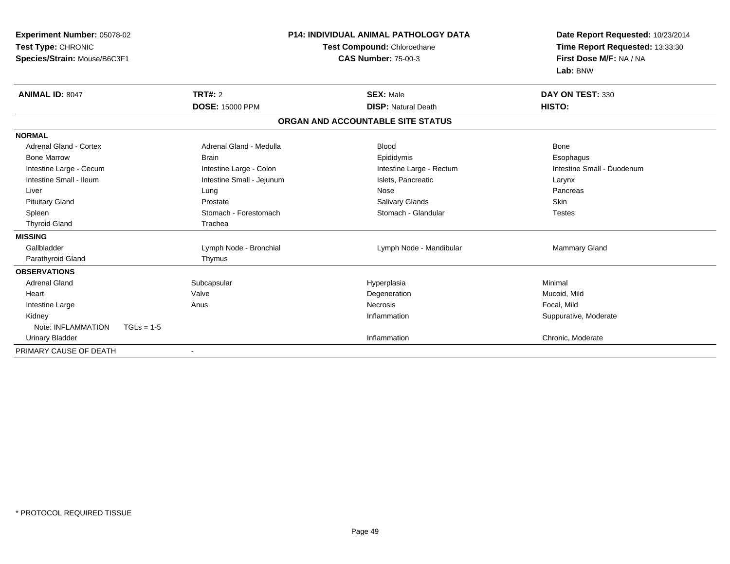| Experiment Number: 05078-02<br>Test Type: CHRONIC<br>Species/Strain: Mouse/B6C3F1 |                           | <b>P14: INDIVIDUAL ANIMAL PATHOLOGY DATA</b><br>Test Compound: Chloroethane<br><b>CAS Number: 75-00-3</b> | Date Report Requested: 10/23/2014<br>Time Report Requested: 13:33:30<br>First Dose M/F: NA / NA<br>Lab: BNW |
|-----------------------------------------------------------------------------------|---------------------------|-----------------------------------------------------------------------------------------------------------|-------------------------------------------------------------------------------------------------------------|
| <b>ANIMAL ID: 8047</b>                                                            | <b>TRT#: 2</b>            | <b>SEX: Male</b>                                                                                          | DAY ON TEST: 330                                                                                            |
|                                                                                   | <b>DOSE: 15000 PPM</b>    | <b>DISP: Natural Death</b>                                                                                | HISTO:                                                                                                      |
|                                                                                   |                           | ORGAN AND ACCOUNTABLE SITE STATUS                                                                         |                                                                                                             |
| <b>NORMAL</b>                                                                     |                           |                                                                                                           |                                                                                                             |
| <b>Adrenal Gland - Cortex</b>                                                     | Adrenal Gland - Medulla   | <b>Blood</b>                                                                                              | <b>Bone</b>                                                                                                 |
| <b>Bone Marrow</b>                                                                | <b>Brain</b>              | Epididymis                                                                                                | Esophagus                                                                                                   |
| Intestine Large - Cecum                                                           | Intestine Large - Colon   | Intestine Large - Rectum                                                                                  | Intestine Small - Duodenum                                                                                  |
| Intestine Small - Ileum                                                           | Intestine Small - Jejunum | Islets, Pancreatic                                                                                        | Larynx                                                                                                      |
| Liver                                                                             | Lung                      | <b>Nose</b>                                                                                               | Pancreas                                                                                                    |
| <b>Pituitary Gland</b>                                                            | Prostate                  | Salivary Glands                                                                                           | <b>Skin</b>                                                                                                 |
| Spleen                                                                            | Stomach - Forestomach     | Stomach - Glandular                                                                                       | <b>Testes</b>                                                                                               |
| <b>Thyroid Gland</b>                                                              | Trachea                   |                                                                                                           |                                                                                                             |
| <b>MISSING</b>                                                                    |                           |                                                                                                           |                                                                                                             |
| Gallbladder                                                                       | Lymph Node - Bronchial    | Lymph Node - Mandibular                                                                                   | <b>Mammary Gland</b>                                                                                        |
| Parathyroid Gland                                                                 | Thymus                    |                                                                                                           |                                                                                                             |
| <b>OBSERVATIONS</b>                                                               |                           |                                                                                                           |                                                                                                             |
| <b>Adrenal Gland</b>                                                              | Subcapsular               | Hyperplasia                                                                                               | Minimal                                                                                                     |
| Heart                                                                             | Valve                     | Degeneration                                                                                              | Mucoid, Mild                                                                                                |
| Intestine Large                                                                   | Anus                      | <b>Necrosis</b>                                                                                           | Focal, Mild                                                                                                 |
| Kidney                                                                            |                           | Inflammation                                                                                              | Suppurative, Moderate                                                                                       |
| Note: INFLAMMATION                                                                | $TGLs = 1-5$              |                                                                                                           |                                                                                                             |
| <b>Urinary Bladder</b>                                                            |                           | Inflammation                                                                                              | Chronic, Moderate                                                                                           |
| PRIMARY CAUSE OF DEATH                                                            |                           |                                                                                                           |                                                                                                             |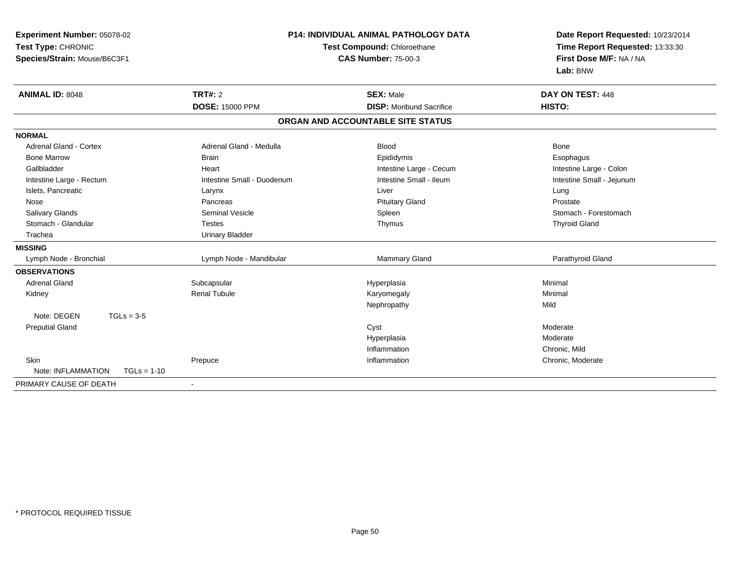| Experiment Number: 05078-02         |                             | <b>P14: INDIVIDUAL ANIMAL PATHOLOGY DATA</b> | Date Report Requested: 10/23/2014 |
|-------------------------------------|-----------------------------|----------------------------------------------|-----------------------------------|
| Test Type: CHRONIC                  | Test Compound: Chloroethane |                                              | Time Report Requested: 13:33:30   |
| Species/Strain: Mouse/B6C3F1        |                             | <b>CAS Number: 75-00-3</b>                   | First Dose M/F: NA / NA           |
|                                     |                             |                                              | Lab: BNW                          |
| <b>ANIMAL ID: 8048</b>              | <b>TRT#: 2</b>              | <b>SEX: Male</b>                             | DAY ON TEST: 448                  |
|                                     | <b>DOSE: 15000 PPM</b>      | <b>DISP:</b> Moribund Sacrifice              | HISTO:                            |
|                                     |                             | ORGAN AND ACCOUNTABLE SITE STATUS            |                                   |
| <b>NORMAL</b>                       |                             |                                              |                                   |
| Adrenal Gland - Cortex              | Adrenal Gland - Medulla     | <b>Blood</b>                                 | <b>Bone</b>                       |
| <b>Bone Marrow</b>                  | <b>Brain</b>                | Epididymis                                   | Esophagus                         |
| Gallbladder                         | Heart                       | Intestine Large - Cecum                      | Intestine Large - Colon           |
| Intestine Large - Rectum            | Intestine Small - Duodenum  | Intestine Small - Ileum                      | Intestine Small - Jejunum         |
| Islets, Pancreatic                  | Larynx                      | Liver                                        | Lung                              |
| Nose                                | Pancreas                    | <b>Pituitary Gland</b>                       | Prostate                          |
| Salivary Glands                     | <b>Seminal Vesicle</b>      | Spleen                                       | Stomach - Forestomach             |
| Stomach - Glandular                 | <b>Testes</b>               | Thymus                                       | <b>Thyroid Gland</b>              |
| Trachea                             | <b>Urinary Bladder</b>      |                                              |                                   |
| <b>MISSING</b>                      |                             |                                              |                                   |
| Lymph Node - Bronchial              | Lymph Node - Mandibular     | <b>Mammary Gland</b>                         | Parathyroid Gland                 |
| <b>OBSERVATIONS</b>                 |                             |                                              |                                   |
| <b>Adrenal Gland</b>                | Subcapsular                 | Hyperplasia                                  | Minimal                           |
| Kidney                              | <b>Renal Tubule</b>         | Karyomegaly                                  | Minimal                           |
|                                     |                             | Nephropathy                                  | Mild                              |
| Note: DEGEN<br>$TGLs = 3-5$         |                             |                                              |                                   |
| <b>Preputial Gland</b>              |                             | Cyst                                         | Moderate                          |
|                                     |                             | Hyperplasia                                  | Moderate                          |
|                                     |                             | Inflammation                                 | Chronic, Mild                     |
| <b>Skin</b>                         | Prepuce                     | Inflammation                                 | Chronic, Moderate                 |
| Note: INFLAMMATION<br>$TGLs = 1-10$ |                             |                                              |                                   |
| PRIMARY CAUSE OF DEATH              |                             |                                              |                                   |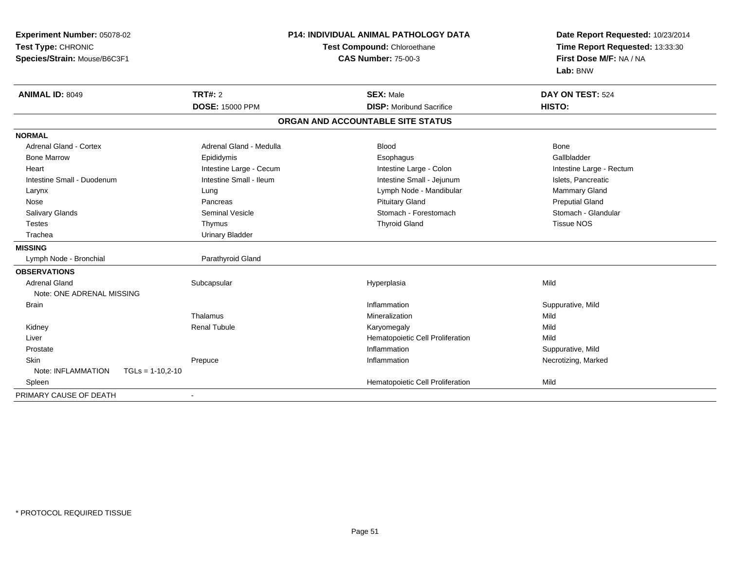| <b>Experiment Number: 05078-02</b>       | <b>P14: INDIVIDUAL ANIMAL PATHOLOGY DATA</b><br>Test Compound: Chloroethane |                                   | Date Report Requested: 10/23/2014<br>Time Report Requested: 13:33:30 |  |
|------------------------------------------|-----------------------------------------------------------------------------|-----------------------------------|----------------------------------------------------------------------|--|
| Test Type: CHRONIC                       |                                                                             |                                   |                                                                      |  |
| Species/Strain: Mouse/B6C3F1             |                                                                             | <b>CAS Number: 75-00-3</b>        | First Dose M/F: NA / NA                                              |  |
|                                          |                                                                             |                                   | Lab: BNW                                                             |  |
| <b>ANIMAL ID: 8049</b>                   | <b>TRT#: 2</b>                                                              | <b>SEX: Male</b>                  | DAY ON TEST: 524                                                     |  |
|                                          | <b>DOSE: 15000 PPM</b>                                                      | <b>DISP: Moribund Sacrifice</b>   | HISTO:                                                               |  |
|                                          |                                                                             | ORGAN AND ACCOUNTABLE SITE STATUS |                                                                      |  |
| <b>NORMAL</b>                            |                                                                             |                                   |                                                                      |  |
| <b>Adrenal Gland - Cortex</b>            | Adrenal Gland - Medulla                                                     | <b>Blood</b>                      | Bone                                                                 |  |
| <b>Bone Marrow</b>                       | Epididymis                                                                  | Esophagus                         | Gallbladder                                                          |  |
| Heart                                    | Intestine Large - Cecum                                                     | Intestine Large - Colon           | Intestine Large - Rectum                                             |  |
| Intestine Small - Duodenum               | Intestine Small - Ileum                                                     | Intestine Small - Jejunum         | Islets, Pancreatic                                                   |  |
| Larynx                                   | Lung                                                                        | Lymph Node - Mandibular           | Mammary Gland                                                        |  |
| Nose                                     | Pancreas                                                                    | <b>Pituitary Gland</b>            | <b>Preputial Gland</b>                                               |  |
| Salivary Glands                          | <b>Seminal Vesicle</b>                                                      | Stomach - Forestomach             | Stomach - Glandular                                                  |  |
| <b>Testes</b>                            | Thymus                                                                      | <b>Thyroid Gland</b>              | <b>Tissue NOS</b>                                                    |  |
| Trachea                                  | <b>Urinary Bladder</b>                                                      |                                   |                                                                      |  |
| <b>MISSING</b>                           |                                                                             |                                   |                                                                      |  |
| Lymph Node - Bronchial                   | Parathyroid Gland                                                           |                                   |                                                                      |  |
| <b>OBSERVATIONS</b>                      |                                                                             |                                   |                                                                      |  |
| <b>Adrenal Gland</b>                     | Subcapsular                                                                 | Hyperplasia                       | Mild                                                                 |  |
| Note: ONE ADRENAL MISSING                |                                                                             |                                   |                                                                      |  |
| <b>Brain</b>                             |                                                                             | Inflammation                      | Suppurative, Mild                                                    |  |
|                                          | Thalamus                                                                    | Mineralization                    | Mild                                                                 |  |
| Kidney                                   | <b>Renal Tubule</b>                                                         | Karyomegaly                       | Mild                                                                 |  |
| Liver                                    |                                                                             | Hematopoietic Cell Proliferation  | Mild                                                                 |  |
| Prostate                                 |                                                                             | Inflammation                      | Suppurative, Mild                                                    |  |
| Skin                                     | Prepuce                                                                     | Inflammation                      | Necrotizing, Marked                                                  |  |
| Note: INFLAMMATION<br>$TGLs = 1-10,2-10$ |                                                                             |                                   |                                                                      |  |
| Spleen                                   |                                                                             | Hematopoietic Cell Proliferation  | Mild                                                                 |  |
| PRIMARY CAUSE OF DEATH                   |                                                                             |                                   |                                                                      |  |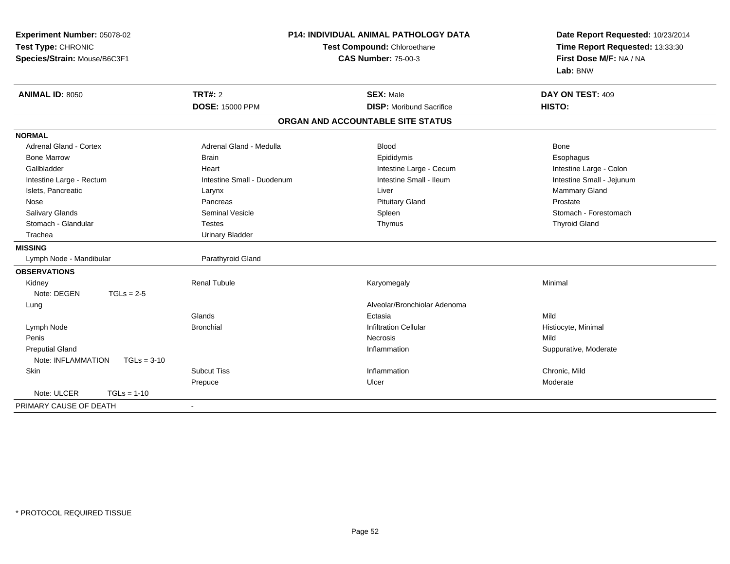| Experiment Number: 05078-02         | <b>P14: INDIVIDUAL ANIMAL PATHOLOGY DATA</b><br>Test Compound: Chloroethane |                                   | Date Report Requested: 10/23/2014 |  |
|-------------------------------------|-----------------------------------------------------------------------------|-----------------------------------|-----------------------------------|--|
| Test Type: CHRONIC                  |                                                                             |                                   | Time Report Requested: 13:33:30   |  |
| Species/Strain: Mouse/B6C3F1        |                                                                             | <b>CAS Number: 75-00-3</b>        | First Dose M/F: NA / NA           |  |
|                                     |                                                                             |                                   | Lab: BNW                          |  |
| <b>ANIMAL ID: 8050</b>              | <b>TRT#: 2</b>                                                              | <b>SEX: Male</b>                  | DAY ON TEST: 409                  |  |
|                                     | <b>DOSE: 15000 PPM</b>                                                      | <b>DISP: Moribund Sacrifice</b>   | HISTO:                            |  |
|                                     |                                                                             | ORGAN AND ACCOUNTABLE SITE STATUS |                                   |  |
| <b>NORMAL</b>                       |                                                                             |                                   |                                   |  |
| <b>Adrenal Gland - Cortex</b>       | Adrenal Gland - Medulla                                                     | <b>Blood</b>                      | Bone                              |  |
| <b>Bone Marrow</b>                  | <b>Brain</b>                                                                | Epididymis                        | Esophagus                         |  |
| Gallbladder                         | Heart                                                                       | Intestine Large - Cecum           | Intestine Large - Colon           |  |
| Intestine Large - Rectum            | Intestine Small - Duodenum                                                  | Intestine Small - Ileum           | Intestine Small - Jejunum         |  |
| Islets, Pancreatic                  | Larynx                                                                      | Liver                             | Mammary Gland                     |  |
| Nose                                | Pancreas                                                                    | <b>Pituitary Gland</b>            | Prostate                          |  |
| Salivary Glands                     | <b>Seminal Vesicle</b>                                                      | Spleen                            | Stomach - Forestomach             |  |
| Stomach - Glandular                 | <b>Testes</b>                                                               | Thymus                            | <b>Thyroid Gland</b>              |  |
| Trachea                             | <b>Urinary Bladder</b>                                                      |                                   |                                   |  |
| <b>MISSING</b>                      |                                                                             |                                   |                                   |  |
| Lymph Node - Mandibular             | Parathyroid Gland                                                           |                                   |                                   |  |
| <b>OBSERVATIONS</b>                 |                                                                             |                                   |                                   |  |
| Kidney                              | <b>Renal Tubule</b>                                                         | Karyomegaly                       | Minimal                           |  |
| Note: DEGEN<br>$TGLs = 2-5$         |                                                                             |                                   |                                   |  |
| Lung                                |                                                                             | Alveolar/Bronchiolar Adenoma      |                                   |  |
|                                     | Glands                                                                      | Ectasia                           | Mild                              |  |
| Lymph Node                          | <b>Bronchial</b>                                                            | <b>Infiltration Cellular</b>      | Histiocyte, Minimal               |  |
| Penis                               |                                                                             | Necrosis                          | Mild                              |  |
| <b>Preputial Gland</b>              |                                                                             | Inflammation                      | Suppurative, Moderate             |  |
| Note: INFLAMMATION<br>$TGLs = 3-10$ |                                                                             |                                   |                                   |  |
| Skin                                | <b>Subcut Tiss</b>                                                          | Inflammation                      | Chronic, Mild                     |  |
|                                     | Prepuce                                                                     | Ulcer                             | Moderate                          |  |
| Note: ULCER<br>$TGLs = 1-10$        |                                                                             |                                   |                                   |  |
| PRIMARY CAUSE OF DEATH              |                                                                             |                                   |                                   |  |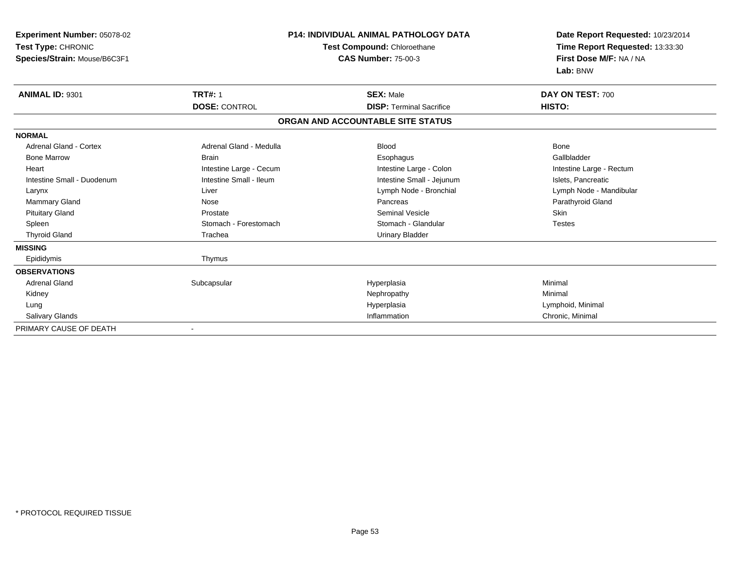| <b>Experiment Number: 05078-02</b><br>Test Type: CHRONIC<br>Species/Strain: Mouse/B6C3F1 | <b>P14: INDIVIDUAL ANIMAL PATHOLOGY DATA</b><br>Test Compound: Chloroethane<br><b>CAS Number: 75-00-3</b> |                                   | Date Report Requested: 10/23/2014<br>Time Report Requested: 13:33:30<br>First Dose M/F: NA / NA |  |
|------------------------------------------------------------------------------------------|-----------------------------------------------------------------------------------------------------------|-----------------------------------|-------------------------------------------------------------------------------------------------|--|
|                                                                                          |                                                                                                           |                                   | Lab: BNW                                                                                        |  |
| <b>ANIMAL ID: 9301</b>                                                                   | <b>TRT#: 1</b>                                                                                            | <b>SEX: Male</b>                  | DAY ON TEST: 700                                                                                |  |
|                                                                                          | <b>DOSE: CONTROL</b>                                                                                      | <b>DISP: Terminal Sacrifice</b>   | HISTO:                                                                                          |  |
|                                                                                          |                                                                                                           | ORGAN AND ACCOUNTABLE SITE STATUS |                                                                                                 |  |
| <b>NORMAL</b>                                                                            |                                                                                                           |                                   |                                                                                                 |  |
| <b>Adrenal Gland - Cortex</b>                                                            | Adrenal Gland - Medulla                                                                                   | <b>Blood</b>                      | <b>Bone</b>                                                                                     |  |
| <b>Bone Marrow</b>                                                                       | <b>Brain</b>                                                                                              | Esophagus                         | Gallbladder                                                                                     |  |
| Heart                                                                                    | Intestine Large - Cecum                                                                                   | Intestine Large - Colon           | Intestine Large - Rectum                                                                        |  |
| Intestine Small - Duodenum                                                               | Intestine Small - Ileum                                                                                   | Intestine Small - Jejunum         | Islets, Pancreatic                                                                              |  |
| Larynx                                                                                   | Liver                                                                                                     | Lymph Node - Bronchial            | Lymph Node - Mandibular                                                                         |  |
| <b>Mammary Gland</b>                                                                     | Nose                                                                                                      | Pancreas                          | Parathyroid Gland                                                                               |  |
| <b>Pituitary Gland</b>                                                                   | Prostate                                                                                                  | <b>Seminal Vesicle</b>            | Skin                                                                                            |  |
| Spleen                                                                                   | Stomach - Forestomach                                                                                     | Stomach - Glandular               | <b>Testes</b>                                                                                   |  |
| <b>Thyroid Gland</b>                                                                     | Trachea                                                                                                   | <b>Urinary Bladder</b>            |                                                                                                 |  |
| <b>MISSING</b>                                                                           |                                                                                                           |                                   |                                                                                                 |  |
| Epididymis                                                                               | Thymus                                                                                                    |                                   |                                                                                                 |  |
| <b>OBSERVATIONS</b>                                                                      |                                                                                                           |                                   |                                                                                                 |  |
| <b>Adrenal Gland</b>                                                                     | Subcapsular                                                                                               | Hyperplasia                       | Minimal                                                                                         |  |
| Kidney                                                                                   |                                                                                                           | Nephropathy                       | Minimal                                                                                         |  |
| Lung                                                                                     |                                                                                                           | Hyperplasia                       | Lymphoid, Minimal                                                                               |  |
| Salivary Glands                                                                          |                                                                                                           | Inflammation                      | Chronic, Minimal                                                                                |  |
| PRIMARY CAUSE OF DEATH                                                                   |                                                                                                           |                                   |                                                                                                 |  |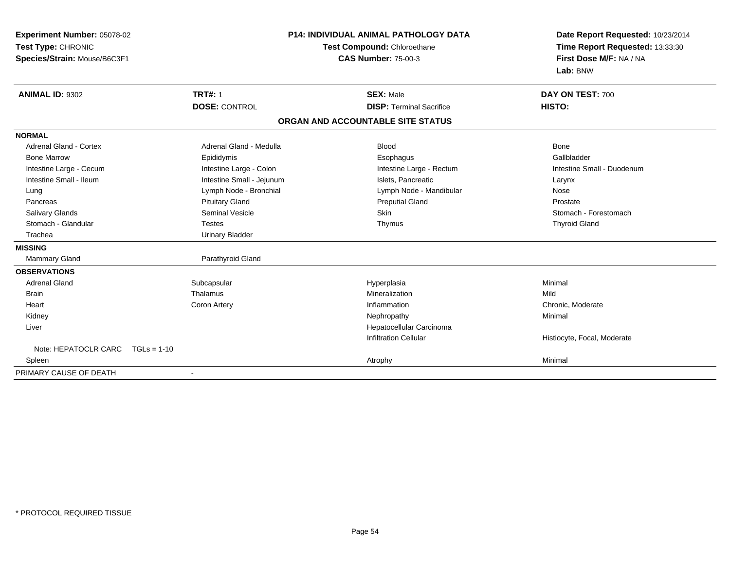| Experiment Number: 05078-02<br>Test Type: CHRONIC<br>Species/Strain: Mouse/B6C3F1 | <b>P14: INDIVIDUAL ANIMAL PATHOLOGY DATA</b><br>Test Compound: Chloroethane<br><b>CAS Number: 75-00-3</b> |                                   | Date Report Requested: 10/23/2014<br>Time Report Requested: 13:33:30<br>First Dose M/F: NA / NA<br>Lab: BNW |
|-----------------------------------------------------------------------------------|-----------------------------------------------------------------------------------------------------------|-----------------------------------|-------------------------------------------------------------------------------------------------------------|
| <b>ANIMAL ID: 9302</b>                                                            | <b>TRT#: 1</b>                                                                                            | <b>SEX: Male</b>                  | DAY ON TEST: 700                                                                                            |
|                                                                                   | <b>DOSE: CONTROL</b>                                                                                      | <b>DISP: Terminal Sacrifice</b>   | HISTO:                                                                                                      |
|                                                                                   |                                                                                                           | ORGAN AND ACCOUNTABLE SITE STATUS |                                                                                                             |
| <b>NORMAL</b>                                                                     |                                                                                                           |                                   |                                                                                                             |
| <b>Adrenal Gland - Cortex</b>                                                     | Adrenal Gland - Medulla                                                                                   | <b>Blood</b>                      | <b>Bone</b>                                                                                                 |
| <b>Bone Marrow</b>                                                                | Epididymis                                                                                                | Esophagus                         | Gallbladder                                                                                                 |
| Intestine Large - Cecum                                                           | Intestine Large - Colon                                                                                   | Intestine Large - Rectum          | Intestine Small - Duodenum                                                                                  |
| Intestine Small - Ileum                                                           | Intestine Small - Jejunum                                                                                 | Islets, Pancreatic                | Larynx                                                                                                      |
| Lung                                                                              | Lymph Node - Bronchial                                                                                    | Lymph Node - Mandibular           | Nose                                                                                                        |
| Pancreas                                                                          | <b>Pituitary Gland</b>                                                                                    | <b>Preputial Gland</b>            | Prostate                                                                                                    |
| Salivary Glands                                                                   | <b>Seminal Vesicle</b>                                                                                    | Skin                              | Stomach - Forestomach                                                                                       |
| Stomach - Glandular                                                               | <b>Testes</b>                                                                                             | Thymus                            | <b>Thyroid Gland</b>                                                                                        |
| Trachea                                                                           | <b>Urinary Bladder</b>                                                                                    |                                   |                                                                                                             |
| <b>MISSING</b>                                                                    |                                                                                                           |                                   |                                                                                                             |
| Mammary Gland                                                                     | Parathyroid Gland                                                                                         |                                   |                                                                                                             |
| <b>OBSERVATIONS</b>                                                               |                                                                                                           |                                   |                                                                                                             |
| <b>Adrenal Gland</b>                                                              | Subcapsular                                                                                               | Hyperplasia                       | Minimal                                                                                                     |
| <b>Brain</b>                                                                      | Thalamus                                                                                                  | Mineralization                    | Mild                                                                                                        |
| Heart                                                                             | <b>Coron Artery</b>                                                                                       | Inflammation                      | Chronic, Moderate                                                                                           |
| Kidney                                                                            |                                                                                                           | Nephropathy                       | Minimal                                                                                                     |
| Liver                                                                             |                                                                                                           | Hepatocellular Carcinoma          |                                                                                                             |
|                                                                                   |                                                                                                           | <b>Infiltration Cellular</b>      | Histiocyte, Focal, Moderate                                                                                 |
| Note: HEPATOCLR CARC<br>$TGLs = 1-10$                                             |                                                                                                           |                                   |                                                                                                             |
| Spleen                                                                            |                                                                                                           | Atrophy                           | Minimal                                                                                                     |
| PRIMARY CAUSE OF DEATH                                                            |                                                                                                           |                                   |                                                                                                             |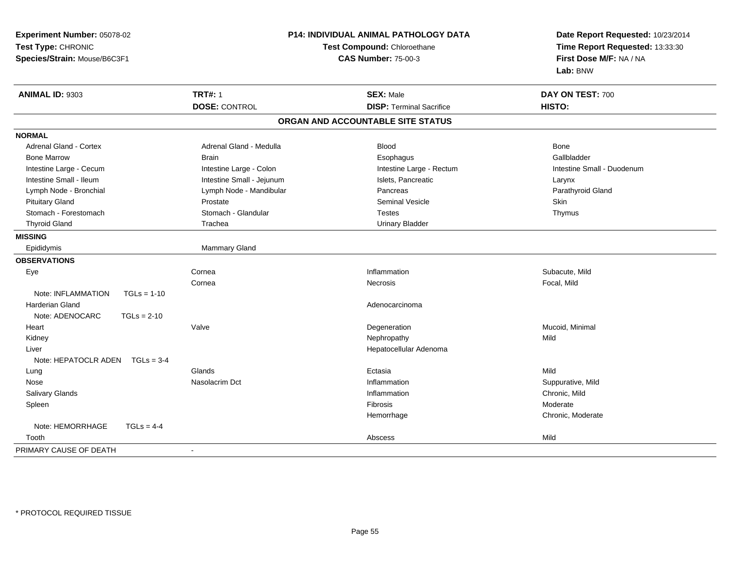| Experiment Number: 05078-02<br>Test Type: CHRONIC<br>Species/Strain: Mouse/B6C3F1 | <b>P14: INDIVIDUAL ANIMAL PATHOLOGY DATA</b><br>Test Compound: Chloroethane<br><b>CAS Number: 75-00-3</b> |                                   | Date Report Requested: 10/23/2014<br>Time Report Requested: 13:33:30<br>First Dose M/F: NA / NA<br>Lab: BNW |
|-----------------------------------------------------------------------------------|-----------------------------------------------------------------------------------------------------------|-----------------------------------|-------------------------------------------------------------------------------------------------------------|
| ANIMAL ID: 9303                                                                   | <b>TRT#: 1</b>                                                                                            | <b>SEX: Male</b>                  | DAY ON TEST: 700                                                                                            |
|                                                                                   | <b>DOSE: CONTROL</b>                                                                                      | <b>DISP: Terminal Sacrifice</b>   | HISTO:                                                                                                      |
|                                                                                   |                                                                                                           | ORGAN AND ACCOUNTABLE SITE STATUS |                                                                                                             |
| <b>NORMAL</b>                                                                     |                                                                                                           |                                   |                                                                                                             |
| <b>Adrenal Gland - Cortex</b>                                                     | Adrenal Gland - Medulla                                                                                   | Blood                             | Bone                                                                                                        |
| <b>Bone Marrow</b>                                                                | <b>Brain</b>                                                                                              | Esophagus                         | Gallbladder                                                                                                 |
| Intestine Large - Cecum                                                           | Intestine Large - Colon                                                                                   | Intestine Large - Rectum          | Intestine Small - Duodenum                                                                                  |
| Intestine Small - Ileum                                                           | Intestine Small - Jejunum                                                                                 | Islets, Pancreatic                | Larynx                                                                                                      |
| Lymph Node - Bronchial                                                            | Lymph Node - Mandibular                                                                                   | Pancreas                          | Parathyroid Gland                                                                                           |
| <b>Pituitary Gland</b>                                                            | Prostate                                                                                                  | <b>Seminal Vesicle</b>            | Skin                                                                                                        |
| Stomach - Forestomach                                                             | Stomach - Glandular                                                                                       | <b>Testes</b>                     | Thymus                                                                                                      |
| <b>Thyroid Gland</b>                                                              | Trachea                                                                                                   | <b>Urinary Bladder</b>            |                                                                                                             |
| <b>MISSING</b>                                                                    |                                                                                                           |                                   |                                                                                                             |
| Epididymis                                                                        | Mammary Gland                                                                                             |                                   |                                                                                                             |
| <b>OBSERVATIONS</b>                                                               |                                                                                                           |                                   |                                                                                                             |
| Eye                                                                               | Cornea                                                                                                    | Inflammation                      | Subacute, Mild                                                                                              |
|                                                                                   | Cornea                                                                                                    | Necrosis                          | Focal, Mild                                                                                                 |
| Note: INFLAMMATION<br>$TGLs = 1-10$                                               |                                                                                                           |                                   |                                                                                                             |
| <b>Harderian Gland</b>                                                            |                                                                                                           | Adenocarcinoma                    |                                                                                                             |
| Note: ADENOCARC<br>$TGLs = 2-10$                                                  |                                                                                                           |                                   |                                                                                                             |
| Heart                                                                             | Valve                                                                                                     | Degeneration                      | Mucoid, Minimal                                                                                             |
| Kidney                                                                            |                                                                                                           | Nephropathy                       | Mild                                                                                                        |
| Liver                                                                             |                                                                                                           | Hepatocellular Adenoma            |                                                                                                             |
| Note: HEPATOCLR ADEN $TGLs = 3-4$                                                 |                                                                                                           |                                   |                                                                                                             |
| Lung                                                                              | Glands                                                                                                    | Ectasia                           | Mild                                                                                                        |
| Nose                                                                              | Nasolacrim Dct                                                                                            | Inflammation                      | Suppurative, Mild                                                                                           |
| Salivary Glands                                                                   |                                                                                                           | Inflammation                      | Chronic, Mild                                                                                               |
| Spleen                                                                            |                                                                                                           | <b>Fibrosis</b>                   | Moderate                                                                                                    |
|                                                                                   |                                                                                                           | Hemorrhage                        | Chronic, Moderate                                                                                           |
| Note: HEMORRHAGE<br>$TGLS = 4-4$                                                  |                                                                                                           |                                   |                                                                                                             |
| Tooth                                                                             |                                                                                                           | Abscess                           | Mild                                                                                                        |
| PRIMARY CAUSE OF DEATH                                                            | $\blacksquare$                                                                                            |                                   |                                                                                                             |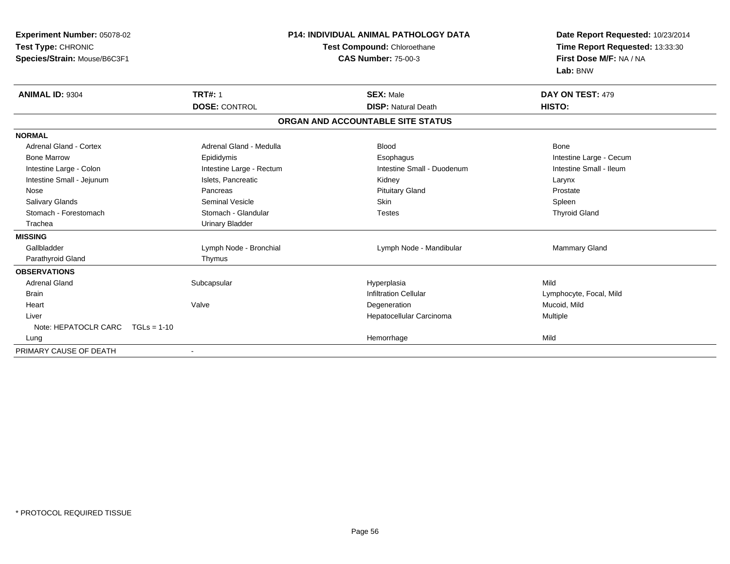| Experiment Number: 05078-02<br>Test Type: CHRONIC<br>Species/Strain: Mouse/B6C3F1<br><b>ANIMAL ID: 9304</b> | <b>TRT#: 1</b>           | <b>P14: INDIVIDUAL ANIMAL PATHOLOGY DATA</b><br>Test Compound: Chloroethane<br><b>CAS Number: 75-00-3</b><br><b>SEX: Male</b> | Date Report Requested: 10/23/2014<br>Time Report Requested: 13:33:30<br>First Dose M/F: NA / NA<br>Lab: BNW<br>DAY ON TEST: 479 |
|-------------------------------------------------------------------------------------------------------------|--------------------------|-------------------------------------------------------------------------------------------------------------------------------|---------------------------------------------------------------------------------------------------------------------------------|
|                                                                                                             | <b>DOSE: CONTROL</b>     | <b>DISP: Natural Death</b>                                                                                                    | HISTO:                                                                                                                          |
|                                                                                                             |                          | ORGAN AND ACCOUNTABLE SITE STATUS                                                                                             |                                                                                                                                 |
| <b>NORMAL</b>                                                                                               |                          |                                                                                                                               |                                                                                                                                 |
| Adrenal Gland - Cortex                                                                                      | Adrenal Gland - Medulla  | <b>Blood</b>                                                                                                                  | Bone                                                                                                                            |
| <b>Bone Marrow</b>                                                                                          | Epididymis               | Esophagus                                                                                                                     | Intestine Large - Cecum                                                                                                         |
| Intestine Large - Colon                                                                                     | Intestine Large - Rectum | Intestine Small - Duodenum                                                                                                    | Intestine Small - Ileum                                                                                                         |
| Intestine Small - Jejunum                                                                                   | Islets, Pancreatic       | Kidney                                                                                                                        | Larynx                                                                                                                          |
| Nose                                                                                                        | Pancreas                 | <b>Pituitary Gland</b>                                                                                                        | Prostate                                                                                                                        |
| Salivary Glands                                                                                             | Seminal Vesicle          | <b>Skin</b>                                                                                                                   | Spleen                                                                                                                          |
| Stomach - Forestomach                                                                                       | Stomach - Glandular      | <b>Testes</b>                                                                                                                 | <b>Thyroid Gland</b>                                                                                                            |
| Trachea                                                                                                     | <b>Urinary Bladder</b>   |                                                                                                                               |                                                                                                                                 |
| <b>MISSING</b>                                                                                              |                          |                                                                                                                               |                                                                                                                                 |
| Gallbladder                                                                                                 | Lymph Node - Bronchial   | Lymph Node - Mandibular                                                                                                       | Mammary Gland                                                                                                                   |
| Parathyroid Gland                                                                                           | Thymus                   |                                                                                                                               |                                                                                                                                 |
| <b>OBSERVATIONS</b>                                                                                         |                          |                                                                                                                               |                                                                                                                                 |
| <b>Adrenal Gland</b>                                                                                        | Subcapsular              | Hyperplasia                                                                                                                   | Mild                                                                                                                            |
| <b>Brain</b>                                                                                                |                          | <b>Infiltration Cellular</b>                                                                                                  | Lymphocyte, Focal, Mild                                                                                                         |
| Heart                                                                                                       | Valve                    | Degeneration                                                                                                                  | Mucoid, Mild                                                                                                                    |
| Liver                                                                                                       |                          | Hepatocellular Carcinoma                                                                                                      | Multiple                                                                                                                        |
| Note: HEPATOCLR CARC                                                                                        | $TGLs = 1-10$            |                                                                                                                               |                                                                                                                                 |
| Lung                                                                                                        |                          | Hemorrhage                                                                                                                    | Mild                                                                                                                            |
| PRIMARY CAUSE OF DEATH                                                                                      |                          |                                                                                                                               |                                                                                                                                 |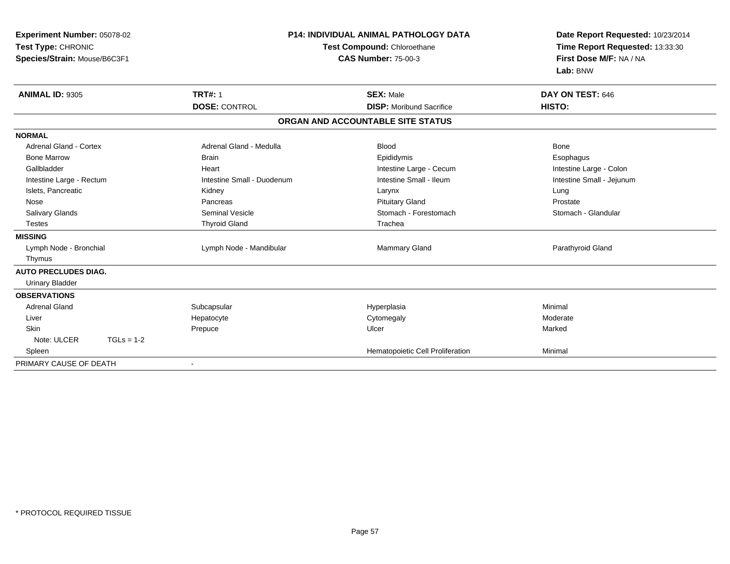| Experiment Number: 05078-02<br>Test Type: CHRONIC<br>Species/Strain: Mouse/B6C3F1 |                            | <b>P14: INDIVIDUAL ANIMAL PATHOLOGY DATA</b><br>Test Compound: Chloroethane<br><b>CAS Number: 75-00-3</b> | Date Report Requested: 10/23/2014<br>Time Report Requested: 13:33:30<br>First Dose M/F: NA / NA<br>Lab: BNW |
|-----------------------------------------------------------------------------------|----------------------------|-----------------------------------------------------------------------------------------------------------|-------------------------------------------------------------------------------------------------------------|
| <b>ANIMAL ID: 9305</b>                                                            | <b>TRT#: 1</b>             | <b>SEX: Male</b>                                                                                          | DAY ON TEST: 646                                                                                            |
|                                                                                   | <b>DOSE: CONTROL</b>       | <b>DISP:</b> Moribund Sacrifice                                                                           | HISTO:                                                                                                      |
|                                                                                   |                            | ORGAN AND ACCOUNTABLE SITE STATUS                                                                         |                                                                                                             |
| <b>NORMAL</b>                                                                     |                            |                                                                                                           |                                                                                                             |
| Adrenal Gland - Cortex                                                            | Adrenal Gland - Medulla    | <b>Blood</b>                                                                                              | Bone                                                                                                        |
| <b>Bone Marrow</b>                                                                | <b>Brain</b>               | Epididymis                                                                                                | Esophagus                                                                                                   |
| Gallbladder                                                                       | Heart                      | Intestine Large - Cecum                                                                                   | Intestine Large - Colon                                                                                     |
| Intestine Large - Rectum                                                          | Intestine Small - Duodenum | Intestine Small - Ileum                                                                                   | Intestine Small - Jejunum                                                                                   |
| Islets, Pancreatic                                                                | Kidney                     | Larynx                                                                                                    | Lung                                                                                                        |
| Nose                                                                              | Pancreas                   | <b>Pituitary Gland</b>                                                                                    | Prostate                                                                                                    |
| <b>Salivary Glands</b>                                                            | Seminal Vesicle            | Stomach - Forestomach                                                                                     | Stomach - Glandular                                                                                         |
| <b>Testes</b>                                                                     | <b>Thyroid Gland</b>       | Trachea                                                                                                   |                                                                                                             |
| <b>MISSING</b>                                                                    |                            |                                                                                                           |                                                                                                             |
| Lymph Node - Bronchial                                                            | Lymph Node - Mandibular    | Mammary Gland                                                                                             | Parathyroid Gland                                                                                           |
| Thymus                                                                            |                            |                                                                                                           |                                                                                                             |
| <b>AUTO PRECLUDES DIAG.</b>                                                       |                            |                                                                                                           |                                                                                                             |
| <b>Urinary Bladder</b>                                                            |                            |                                                                                                           |                                                                                                             |
| <b>OBSERVATIONS</b>                                                               |                            |                                                                                                           |                                                                                                             |
| <b>Adrenal Gland</b>                                                              | Subcapsular                | Hyperplasia                                                                                               | Minimal                                                                                                     |
| Liver                                                                             | Hepatocyte                 | Cytomegaly                                                                                                | Moderate                                                                                                    |
| <b>Skin</b>                                                                       | Prepuce                    | Ulcer                                                                                                     | Marked                                                                                                      |
| Note: ULCER<br>$TGLs = 1-2$                                                       |                            |                                                                                                           |                                                                                                             |
| Spleen                                                                            |                            | Hematopoietic Cell Proliferation                                                                          | Minimal                                                                                                     |
| PRIMARY CAUSE OF DEATH                                                            | $\blacksquare$             |                                                                                                           |                                                                                                             |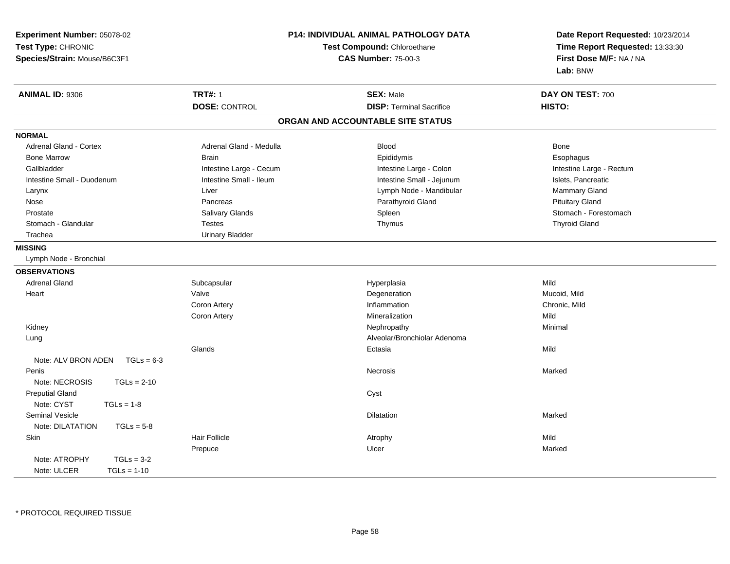| Experiment Number: 05078-02         |                                                                  | <b>P14: INDIVIDUAL ANIMAL PATHOLOGY DATA</b> |                                                                                                 |  |
|-------------------------------------|------------------------------------------------------------------|----------------------------------------------|-------------------------------------------------------------------------------------------------|--|
| Test Type: CHRONIC                  | <b>Test Compound: Chloroethane</b><br><b>CAS Number: 75-00-3</b> |                                              | Date Report Requested: 10/23/2014<br>Time Report Requested: 13:33:30<br>First Dose M/F: NA / NA |  |
| Species/Strain: Mouse/B6C3F1        |                                                                  |                                              |                                                                                                 |  |
|                                     |                                                                  |                                              | Lab: BNW                                                                                        |  |
|                                     |                                                                  |                                              |                                                                                                 |  |
| <b>ANIMAL ID: 9306</b>              | <b>TRT#: 1</b>                                                   | <b>SEX: Male</b>                             | DAY ON TEST: 700                                                                                |  |
|                                     | <b>DOSE: CONTROL</b>                                             | <b>DISP: Terminal Sacrifice</b>              | HISTO:                                                                                          |  |
|                                     |                                                                  | ORGAN AND ACCOUNTABLE SITE STATUS            |                                                                                                 |  |
| <b>NORMAL</b>                       |                                                                  |                                              |                                                                                                 |  |
| <b>Adrenal Gland - Cortex</b>       | Adrenal Gland - Medulla                                          | <b>Blood</b>                                 | Bone                                                                                            |  |
| <b>Bone Marrow</b>                  | <b>Brain</b>                                                     | Epididymis                                   | Esophagus                                                                                       |  |
| Gallbladder                         | Intestine Large - Cecum                                          | Intestine Large - Colon                      | Intestine Large - Rectum                                                                        |  |
| Intestine Small - Duodenum          | Intestine Small - Ileum                                          | Intestine Small - Jejunum                    | Islets, Pancreatic                                                                              |  |
| Larynx                              | Liver                                                            | Lymph Node - Mandibular                      | Mammary Gland                                                                                   |  |
| Nose                                | Pancreas                                                         | Parathyroid Gland                            | <b>Pituitary Gland</b>                                                                          |  |
| Prostate                            | <b>Salivary Glands</b>                                           | Spleen                                       | Stomach - Forestomach                                                                           |  |
| Stomach - Glandular                 | <b>Testes</b>                                                    | Thymus                                       | <b>Thyroid Gland</b>                                                                            |  |
| Trachea                             | <b>Urinary Bladder</b>                                           |                                              |                                                                                                 |  |
| <b>MISSING</b>                      |                                                                  |                                              |                                                                                                 |  |
| Lymph Node - Bronchial              |                                                                  |                                              |                                                                                                 |  |
| <b>OBSERVATIONS</b>                 |                                                                  |                                              |                                                                                                 |  |
| <b>Adrenal Gland</b>                | Subcapsular                                                      | Hyperplasia                                  | Mild                                                                                            |  |
| Heart                               | Valve                                                            | Degeneration                                 | Mucoid, Mild                                                                                    |  |
|                                     | Coron Artery                                                     | Inflammation                                 | Chronic, Mild                                                                                   |  |
|                                     | Coron Artery                                                     | Mineralization                               | Mild                                                                                            |  |
| Kidney                              |                                                                  | Nephropathy                                  | Minimal                                                                                         |  |
| Lung                                |                                                                  | Alveolar/Bronchiolar Adenoma                 |                                                                                                 |  |
|                                     | Glands                                                           | Ectasia                                      | Mild                                                                                            |  |
| Note: ALV BRON ADEN<br>$TGLs = 6-3$ |                                                                  |                                              |                                                                                                 |  |
| Penis                               |                                                                  | Necrosis                                     | Marked                                                                                          |  |
| Note: NECROSIS<br>$TGLs = 2-10$     |                                                                  |                                              |                                                                                                 |  |
| <b>Preputial Gland</b>              |                                                                  | Cyst                                         |                                                                                                 |  |
| Note: CYST<br>$TGLs = 1-8$          |                                                                  |                                              |                                                                                                 |  |
| <b>Seminal Vesicle</b>              |                                                                  | <b>Dilatation</b>                            | Marked                                                                                          |  |
| Note: DILATATION<br>$TGLs = 5-8$    |                                                                  |                                              |                                                                                                 |  |
| Skin                                | <b>Hair Follicle</b>                                             | Atrophy                                      | Mild                                                                                            |  |
|                                     | Prepuce                                                          | Ulcer                                        | Marked                                                                                          |  |
| Note: ATROPHY<br>$TGLs = 3-2$       |                                                                  |                                              |                                                                                                 |  |
| Note: ULCER<br>$TGLs = 1-10$        |                                                                  |                                              |                                                                                                 |  |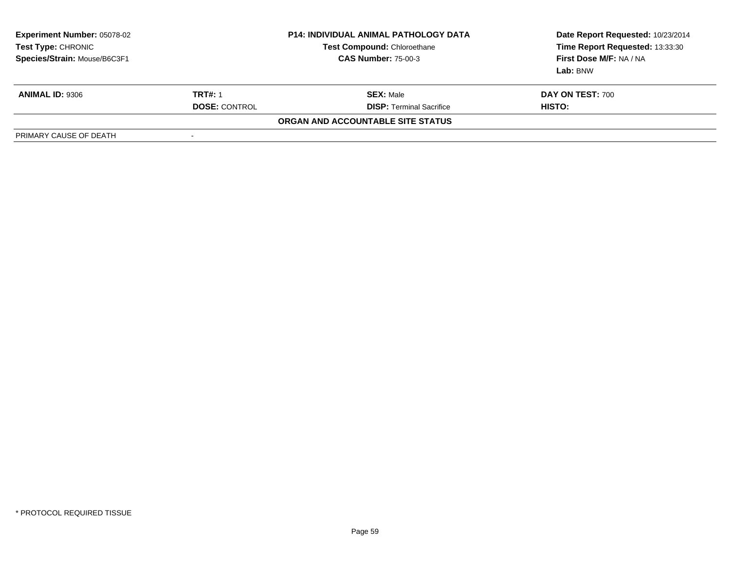| <b>Experiment Number: 05078-02</b><br>Test Type: CHRONIC<br>Species/Strain: Mouse/B6C3F1 |                      | <b>P14: INDIVIDUAL ANIMAL PATHOLOGY DATA</b><br><b>Test Compound: Chloroethane</b><br><b>CAS Number: 75-00-3</b> | Date Report Requested: 10/23/2014<br>Time Report Requested: 13:33:30<br>First Dose M/F: NA / NA<br>Lab: BNW |
|------------------------------------------------------------------------------------------|----------------------|------------------------------------------------------------------------------------------------------------------|-------------------------------------------------------------------------------------------------------------|
| <b>ANIMAL ID: 9306</b>                                                                   | <b>TRT#: 1</b>       | <b>SEX:</b> Male                                                                                                 | <b>DAY ON TEST: 700</b>                                                                                     |
|                                                                                          | <b>DOSE: CONTROL</b> | <b>DISP: Terminal Sacrifice</b>                                                                                  | HISTO:                                                                                                      |
|                                                                                          |                      | ORGAN AND ACCOUNTABLE SITE STATUS                                                                                |                                                                                                             |
| PRIMARY CAUSE OF DEATH                                                                   | ٠                    |                                                                                                                  |                                                                                                             |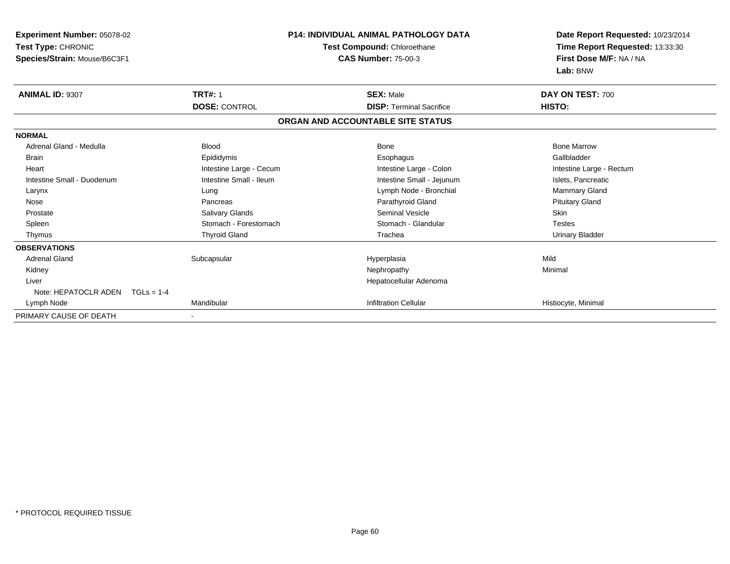| <b>Experiment Number: 05078-02</b><br>Test Type: CHRONIC<br>Species/Strain: Mouse/B6C3F1 |                         | <b>P14: INDIVIDUAL ANIMAL PATHOLOGY DATA</b><br>Test Compound: Chloroethane<br><b>CAS Number: 75-00-3</b> | Date Report Requested: 10/23/2014<br>Time Report Requested: 13:33:30<br>First Dose M/F: NA / NA<br>Lab: BNW |
|------------------------------------------------------------------------------------------|-------------------------|-----------------------------------------------------------------------------------------------------------|-------------------------------------------------------------------------------------------------------------|
| <b>ANIMAL ID: 9307</b>                                                                   | <b>TRT#: 1</b>          | <b>SEX: Male</b>                                                                                          | DAY ON TEST: 700                                                                                            |
|                                                                                          | <b>DOSE: CONTROL</b>    | <b>DISP: Terminal Sacrifice</b>                                                                           | HISTO:                                                                                                      |
|                                                                                          |                         | ORGAN AND ACCOUNTABLE SITE STATUS                                                                         |                                                                                                             |
| <b>NORMAL</b>                                                                            |                         |                                                                                                           |                                                                                                             |
| Adrenal Gland - Medulla                                                                  | <b>Blood</b>            | <b>Bone</b>                                                                                               | <b>Bone Marrow</b>                                                                                          |
| <b>Brain</b>                                                                             | Epididymis              | Esophagus                                                                                                 | Gallbladder                                                                                                 |
| Heart                                                                                    | Intestine Large - Cecum | Intestine Large - Colon                                                                                   | Intestine Large - Rectum                                                                                    |
| Intestine Small - Duodenum                                                               | Intestine Small - Ileum | Intestine Small - Jejunum                                                                                 | Islets, Pancreatic                                                                                          |
| Larynx                                                                                   | Lung                    | Lymph Node - Bronchial                                                                                    | <b>Mammary Gland</b>                                                                                        |
| Nose                                                                                     | Pancreas                | Parathyroid Gland                                                                                         | <b>Pituitary Gland</b>                                                                                      |
| Prostate                                                                                 | <b>Salivary Glands</b>  | <b>Seminal Vesicle</b>                                                                                    | <b>Skin</b>                                                                                                 |
| Spleen                                                                                   | Stomach - Forestomach   | Stomach - Glandular                                                                                       | <b>Testes</b>                                                                                               |
| Thymus                                                                                   | <b>Thyroid Gland</b>    | Trachea                                                                                                   | <b>Urinary Bladder</b>                                                                                      |
| <b>OBSERVATIONS</b>                                                                      |                         |                                                                                                           |                                                                                                             |
| <b>Adrenal Gland</b>                                                                     | Subcapsular             | Hyperplasia                                                                                               | Mild                                                                                                        |
| Kidney                                                                                   |                         | Nephropathy                                                                                               | Minimal                                                                                                     |
| Liver                                                                                    |                         | Hepatocellular Adenoma                                                                                    |                                                                                                             |
| Note: HEPATOCLR ADEN $TGLs = 1-4$                                                        |                         |                                                                                                           |                                                                                                             |
| Lymph Node                                                                               | Mandibular              | <b>Infiltration Cellular</b>                                                                              | Histiocyte, Minimal                                                                                         |
| PRIMARY CAUSE OF DEATH                                                                   |                         |                                                                                                           |                                                                                                             |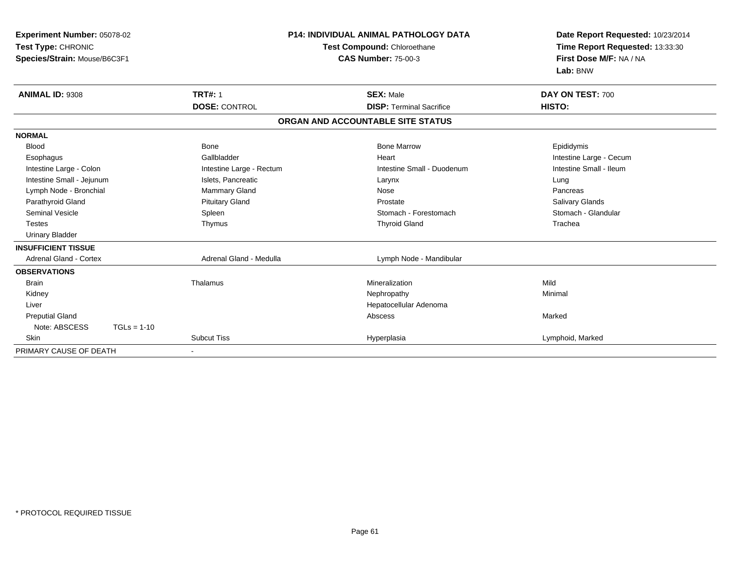| Experiment Number: 05078-02<br>Test Type: CHRONIC<br>Species/Strain: Mouse/B6C3F1 |                                        | <b>P14: INDIVIDUAL ANIMAL PATHOLOGY DATA</b><br>Test Compound: Chloroethane<br><b>CAS Number: 75-00-3</b> | Date Report Requested: 10/23/2014<br>Time Report Requested: 13:33:30<br>First Dose M/F: NA / NA<br>Lab: BNW |
|-----------------------------------------------------------------------------------|----------------------------------------|-----------------------------------------------------------------------------------------------------------|-------------------------------------------------------------------------------------------------------------|
| <b>ANIMAL ID: 9308</b>                                                            | <b>TRT#: 1</b><br><b>DOSE: CONTROL</b> | <b>SEX: Male</b><br><b>DISP: Terminal Sacrifice</b>                                                       | DAY ON TEST: 700<br>HISTO:                                                                                  |
|                                                                                   |                                        | ORGAN AND ACCOUNTABLE SITE STATUS                                                                         |                                                                                                             |
|                                                                                   |                                        |                                                                                                           |                                                                                                             |
| <b>NORMAL</b>                                                                     |                                        |                                                                                                           |                                                                                                             |
| <b>Blood</b>                                                                      | <b>Bone</b>                            | <b>Bone Marrow</b>                                                                                        | Epididymis                                                                                                  |
| Esophagus                                                                         | Gallbladder                            | Heart                                                                                                     | Intestine Large - Cecum                                                                                     |
| Intestine Large - Colon                                                           | Intestine Large - Rectum               | Intestine Small - Duodenum                                                                                | Intestine Small - Ileum                                                                                     |
| Intestine Small - Jejunum                                                         | Islets, Pancreatic                     | Larynx                                                                                                    | Lung                                                                                                        |
| Lymph Node - Bronchial                                                            | <b>Mammary Gland</b>                   | Nose                                                                                                      | Pancreas                                                                                                    |
| Parathyroid Gland                                                                 | <b>Pituitary Gland</b>                 | Prostate                                                                                                  | Salivary Glands                                                                                             |
| <b>Seminal Vesicle</b>                                                            | Spleen                                 | Stomach - Forestomach                                                                                     | Stomach - Glandular                                                                                         |
| <b>Testes</b>                                                                     | Thymus                                 | <b>Thyroid Gland</b>                                                                                      | Trachea                                                                                                     |
| <b>Urinary Bladder</b>                                                            |                                        |                                                                                                           |                                                                                                             |
| <b>INSUFFICIENT TISSUE</b>                                                        |                                        |                                                                                                           |                                                                                                             |
| <b>Adrenal Gland - Cortex</b>                                                     | Adrenal Gland - Medulla                | Lymph Node - Mandibular                                                                                   |                                                                                                             |
| <b>OBSERVATIONS</b>                                                               |                                        |                                                                                                           |                                                                                                             |
| <b>Brain</b>                                                                      | Thalamus                               | Mineralization                                                                                            | Mild                                                                                                        |
| Kidney                                                                            |                                        | Nephropathy                                                                                               | Minimal                                                                                                     |
| Liver                                                                             |                                        | Hepatocellular Adenoma                                                                                    |                                                                                                             |
| <b>Preputial Gland</b>                                                            |                                        | Abscess                                                                                                   | Marked                                                                                                      |
| Note: ABSCESS<br>$TGLs = 1-10$                                                    |                                        |                                                                                                           |                                                                                                             |
| <b>Skin</b>                                                                       | <b>Subcut Tiss</b>                     | Hyperplasia                                                                                               | Lymphoid, Marked                                                                                            |
| PRIMARY CAUSE OF DEATH                                                            |                                        |                                                                                                           |                                                                                                             |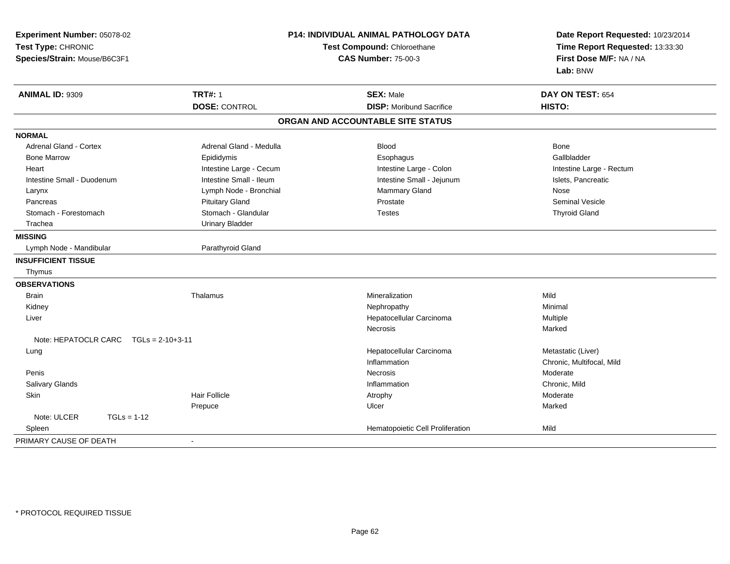| Experiment Number: 05078-02<br>Test Type: CHRONIC<br>Species/Strain: Mouse/B6C3F1 |                         | P14: INDIVIDUAL ANIMAL PATHOLOGY DATA<br>Test Compound: Chloroethane<br><b>CAS Number: 75-00-3</b> | Date Report Requested: 10/23/2014<br>Time Report Requested: 13:33:30<br>First Dose M/F: NA / NA<br>Lab: BNW |
|-----------------------------------------------------------------------------------|-------------------------|----------------------------------------------------------------------------------------------------|-------------------------------------------------------------------------------------------------------------|
| <b>ANIMAL ID: 9309</b>                                                            | <b>TRT#: 1</b>          | <b>SEX: Male</b>                                                                                   | DAY ON TEST: 654                                                                                            |
|                                                                                   | <b>DOSE: CONTROL</b>    | <b>DISP:</b> Moribund Sacrifice                                                                    | HISTO:                                                                                                      |
|                                                                                   |                         | ORGAN AND ACCOUNTABLE SITE STATUS                                                                  |                                                                                                             |
| <b>NORMAL</b>                                                                     |                         |                                                                                                    |                                                                                                             |
| <b>Adrenal Gland - Cortex</b>                                                     | Adrenal Gland - Medulla | Blood                                                                                              | <b>Bone</b>                                                                                                 |
| <b>Bone Marrow</b>                                                                | Epididymis              | Esophagus                                                                                          | Gallbladder                                                                                                 |
| Heart                                                                             | Intestine Large - Cecum | Intestine Large - Colon                                                                            | Intestine Large - Rectum                                                                                    |
| Intestine Small - Duodenum                                                        | Intestine Small - Ileum | Intestine Small - Jejunum                                                                          | Islets, Pancreatic                                                                                          |
| Larynx                                                                            | Lymph Node - Bronchial  | Mammary Gland                                                                                      | Nose                                                                                                        |
| Pancreas                                                                          | <b>Pituitary Gland</b>  | Prostate                                                                                           | <b>Seminal Vesicle</b>                                                                                      |
| Stomach - Forestomach                                                             | Stomach - Glandular     | <b>Testes</b>                                                                                      | <b>Thyroid Gland</b>                                                                                        |
| Trachea                                                                           | <b>Urinary Bladder</b>  |                                                                                                    |                                                                                                             |
| <b>MISSING</b>                                                                    |                         |                                                                                                    |                                                                                                             |
| Lymph Node - Mandibular                                                           | Parathyroid Gland       |                                                                                                    |                                                                                                             |
| <b>INSUFFICIENT TISSUE</b>                                                        |                         |                                                                                                    |                                                                                                             |
| Thymus                                                                            |                         |                                                                                                    |                                                                                                             |
| <b>OBSERVATIONS</b>                                                               |                         |                                                                                                    |                                                                                                             |
| <b>Brain</b>                                                                      | Thalamus                | Mineralization                                                                                     | Mild                                                                                                        |
| Kidney                                                                            |                         | Nephropathy                                                                                        | Minimal                                                                                                     |
| Liver                                                                             |                         | Hepatocellular Carcinoma                                                                           | Multiple                                                                                                    |
|                                                                                   |                         | <b>Necrosis</b>                                                                                    | Marked                                                                                                      |
| Note: HEPATOCLR CARC<br>$TGLs = 2-10+3-11$                                        |                         |                                                                                                    |                                                                                                             |
| Lung                                                                              |                         | Hepatocellular Carcinoma                                                                           | Metastatic (Liver)                                                                                          |
|                                                                                   |                         | Inflammation                                                                                       | Chronic, Multifocal, Mild                                                                                   |
| Penis                                                                             |                         | Necrosis                                                                                           | Moderate                                                                                                    |
| Salivary Glands                                                                   |                         | Inflammation                                                                                       | Chronic, Mild                                                                                               |
| <b>Skin</b>                                                                       | Hair Follicle           | Atrophy                                                                                            | Moderate                                                                                                    |
|                                                                                   | Prepuce                 | Ulcer                                                                                              | Marked                                                                                                      |
| Note: ULCER<br>$TGLs = 1-12$                                                      |                         |                                                                                                    |                                                                                                             |
| Spleen                                                                            |                         | Hematopoietic Cell Proliferation                                                                   | Mild                                                                                                        |
| PRIMARY CAUSE OF DEATH                                                            | $\blacksquare$          |                                                                                                    |                                                                                                             |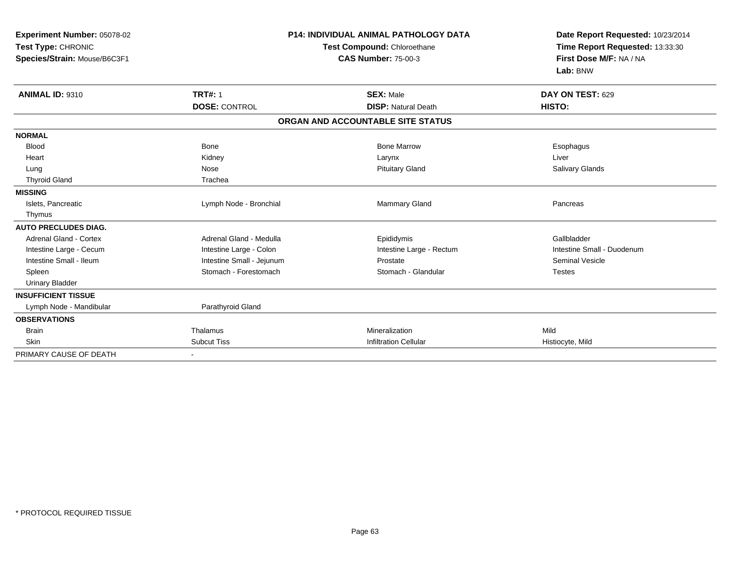| Experiment Number: 05078-02<br>Test Type: CHRONIC<br>Species/Strain: Mouse/B6C3F1 | <b>P14: INDIVIDUAL ANIMAL PATHOLOGY DATA</b><br>Test Compound: Chloroethane<br><b>CAS Number: 75-00-3</b> |                                   | Date Report Requested: 10/23/2014<br>Time Report Requested: 13:33:30<br>First Dose M/F: NA / NA<br>Lab: BNW |  |
|-----------------------------------------------------------------------------------|-----------------------------------------------------------------------------------------------------------|-----------------------------------|-------------------------------------------------------------------------------------------------------------|--|
| <b>ANIMAL ID: 9310</b>                                                            | <b>TRT#: 1</b>                                                                                            | <b>SEX: Male</b>                  | DAY ON TEST: 629                                                                                            |  |
|                                                                                   | <b>DOSE: CONTROL</b>                                                                                      | <b>DISP: Natural Death</b>        | HISTO:                                                                                                      |  |
|                                                                                   |                                                                                                           | ORGAN AND ACCOUNTABLE SITE STATUS |                                                                                                             |  |
| <b>NORMAL</b>                                                                     |                                                                                                           |                                   |                                                                                                             |  |
| <b>Blood</b>                                                                      | <b>Bone</b>                                                                                               | <b>Bone Marrow</b>                | Esophagus                                                                                                   |  |
| Heart                                                                             | Kidney                                                                                                    | Larynx                            | Liver                                                                                                       |  |
| Lung                                                                              | Nose                                                                                                      | <b>Pituitary Gland</b>            | Salivary Glands                                                                                             |  |
| <b>Thyroid Gland</b>                                                              | Trachea                                                                                                   |                                   |                                                                                                             |  |
| <b>MISSING</b>                                                                    |                                                                                                           |                                   |                                                                                                             |  |
| Islets, Pancreatic                                                                | Lymph Node - Bronchial                                                                                    | Mammary Gland                     | Pancreas                                                                                                    |  |
| Thymus                                                                            |                                                                                                           |                                   |                                                                                                             |  |
| <b>AUTO PRECLUDES DIAG.</b>                                                       |                                                                                                           |                                   |                                                                                                             |  |
| <b>Adrenal Gland - Cortex</b>                                                     | Adrenal Gland - Medulla                                                                                   | Epididymis                        | Gallbladder                                                                                                 |  |
| Intestine Large - Cecum                                                           | Intestine Large - Colon                                                                                   | Intestine Large - Rectum          | Intestine Small - Duodenum                                                                                  |  |
| Intestine Small - Ileum                                                           | Intestine Small - Jejunum                                                                                 | Prostate                          | <b>Seminal Vesicle</b>                                                                                      |  |
| Spleen                                                                            | Stomach - Forestomach                                                                                     | Stomach - Glandular               | <b>Testes</b>                                                                                               |  |
| <b>Urinary Bladder</b>                                                            |                                                                                                           |                                   |                                                                                                             |  |
| <b>INSUFFICIENT TISSUE</b>                                                        |                                                                                                           |                                   |                                                                                                             |  |
| Lymph Node - Mandibular                                                           | Parathyroid Gland                                                                                         |                                   |                                                                                                             |  |
| <b>OBSERVATIONS</b>                                                               |                                                                                                           |                                   |                                                                                                             |  |
| <b>Brain</b>                                                                      | Thalamus                                                                                                  | Mineralization                    | Mild                                                                                                        |  |
| <b>Skin</b>                                                                       | <b>Subcut Tiss</b>                                                                                        | <b>Infiltration Cellular</b>      | Histiocyte, Mild                                                                                            |  |
| PRIMARY CAUSE OF DEATH                                                            |                                                                                                           |                                   |                                                                                                             |  |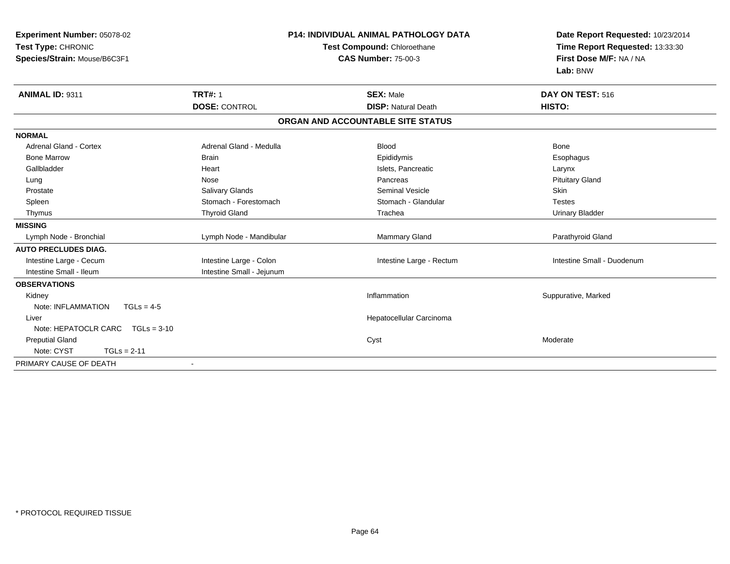| Experiment Number: 05078-02<br>Test Type: CHRONIC<br>Species/Strain: Mouse/B6C3F1<br>ANIMAL ID: 9311 | <b>TRT#: 1</b>            | <b>P14: INDIVIDUAL ANIMAL PATHOLOGY DATA</b><br>Test Compound: Chloroethane<br><b>CAS Number: 75-00-3</b><br><b>SEX: Male</b> | Date Report Requested: 10/23/2014<br>Time Report Requested: 13:33:30<br>First Dose M/F: NA / NA<br>Lab: BNW<br><b>DAY ON TEST: 516</b> |
|------------------------------------------------------------------------------------------------------|---------------------------|-------------------------------------------------------------------------------------------------------------------------------|----------------------------------------------------------------------------------------------------------------------------------------|
|                                                                                                      | <b>DOSE: CONTROL</b>      | <b>DISP: Natural Death</b>                                                                                                    | HISTO:                                                                                                                                 |
|                                                                                                      |                           | ORGAN AND ACCOUNTABLE SITE STATUS                                                                                             |                                                                                                                                        |
| <b>NORMAL</b>                                                                                        |                           |                                                                                                                               |                                                                                                                                        |
| <b>Adrenal Gland - Cortex</b>                                                                        | Adrenal Gland - Medulla   | <b>Blood</b>                                                                                                                  | Bone                                                                                                                                   |
| <b>Bone Marrow</b>                                                                                   | <b>Brain</b>              | Epididymis                                                                                                                    | Esophagus                                                                                                                              |
| Gallbladder                                                                                          | Heart                     | Islets, Pancreatic                                                                                                            | Larynx                                                                                                                                 |
| Lung                                                                                                 | Nose                      | Pancreas                                                                                                                      | <b>Pituitary Gland</b>                                                                                                                 |
| Prostate                                                                                             | Salivary Glands           | Seminal Vesicle                                                                                                               | Skin                                                                                                                                   |
| Spleen                                                                                               | Stomach - Forestomach     | Stomach - Glandular                                                                                                           | <b>Testes</b>                                                                                                                          |
| Thymus                                                                                               | <b>Thyroid Gland</b>      | Trachea                                                                                                                       | <b>Urinary Bladder</b>                                                                                                                 |
| <b>MISSING</b>                                                                                       |                           |                                                                                                                               |                                                                                                                                        |
| Lymph Node - Bronchial                                                                               | Lymph Node - Mandibular   | <b>Mammary Gland</b>                                                                                                          | Parathyroid Gland                                                                                                                      |
| <b>AUTO PRECLUDES DIAG.</b>                                                                          |                           |                                                                                                                               |                                                                                                                                        |
| Intestine Large - Cecum                                                                              | Intestine Large - Colon   | Intestine Large - Rectum                                                                                                      | Intestine Small - Duodenum                                                                                                             |
| Intestine Small - Ileum                                                                              | Intestine Small - Jejunum |                                                                                                                               |                                                                                                                                        |
| <b>OBSERVATIONS</b>                                                                                  |                           |                                                                                                                               |                                                                                                                                        |
| Kidney                                                                                               |                           | Inflammation                                                                                                                  | Suppurative, Marked                                                                                                                    |
| Note: INFLAMMATION<br>$TGLs = 4-5$                                                                   |                           |                                                                                                                               |                                                                                                                                        |
| Liver                                                                                                |                           | Hepatocellular Carcinoma                                                                                                      |                                                                                                                                        |
| Note: HEPATOCLR CARC TGLs = 3-10                                                                     |                           |                                                                                                                               |                                                                                                                                        |
| <b>Preputial Gland</b>                                                                               |                           | Cyst                                                                                                                          | Moderate                                                                                                                               |
| Note: CYST<br>$TGLs = 2-11$                                                                          |                           |                                                                                                                               |                                                                                                                                        |
| PRIMARY CAUSE OF DEATH                                                                               | $\overline{\phantom{a}}$  |                                                                                                                               |                                                                                                                                        |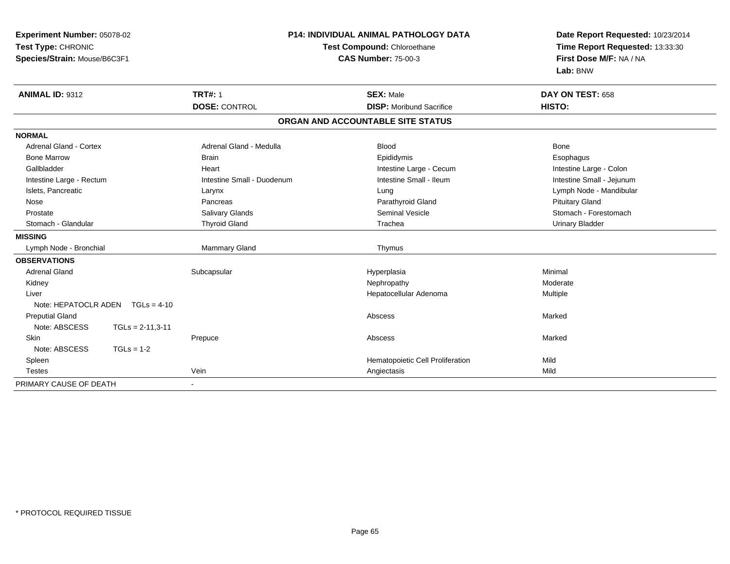|                               | Experiment Number: 05078-02        |                             | <b>P14: INDIVIDUAL ANIMAL PATHOLOGY DATA</b> | Date Report Requested: 10/23/2014 |
|-------------------------------|------------------------------------|-----------------------------|----------------------------------------------|-----------------------------------|
| Test Type: CHRONIC            |                                    | Test Compound: Chloroethane |                                              | Time Report Requested: 13:33:30   |
| Species/Strain: Mouse/B6C3F1  |                                    |                             | <b>CAS Number: 75-00-3</b>                   | First Dose M/F: NA / NA           |
|                               |                                    |                             |                                              | Lab: BNW                          |
| <b>ANIMAL ID: 9312</b>        |                                    | <b>TRT#: 1</b>              | <b>SEX: Male</b>                             | DAY ON TEST: 658                  |
|                               |                                    | <b>DOSE: CONTROL</b>        | <b>DISP:</b> Moribund Sacrifice              | HISTO:                            |
|                               |                                    |                             | ORGAN AND ACCOUNTABLE SITE STATUS            |                                   |
| <b>NORMAL</b>                 |                                    |                             |                                              |                                   |
| <b>Adrenal Gland - Cortex</b> |                                    | Adrenal Gland - Medulla     | <b>Blood</b>                                 | <b>Bone</b>                       |
| <b>Bone Marrow</b>            |                                    | <b>Brain</b>                | Epididymis                                   | Esophagus                         |
| Gallbladder                   |                                    | Heart                       | Intestine Large - Cecum                      | Intestine Large - Colon           |
| Intestine Large - Rectum      |                                    | Intestine Small - Duodenum  | Intestine Small - Ileum                      | Intestine Small - Jejunum         |
| Islets, Pancreatic            |                                    | Larynx                      | Lung                                         | Lymph Node - Mandibular           |
| Nose                          |                                    | Pancreas                    | Parathyroid Gland                            | <b>Pituitary Gland</b>            |
| Prostate                      |                                    | Salivary Glands             | <b>Seminal Vesicle</b>                       | Stomach - Forestomach             |
| Stomach - Glandular           |                                    | <b>Thyroid Gland</b>        | Trachea                                      | <b>Urinary Bladder</b>            |
| <b>MISSING</b>                |                                    |                             |                                              |                                   |
| Lymph Node - Bronchial        |                                    | Mammary Gland               | Thymus                                       |                                   |
| <b>OBSERVATIONS</b>           |                                    |                             |                                              |                                   |
| <b>Adrenal Gland</b>          |                                    | Subcapsular                 | Hyperplasia                                  | Minimal                           |
| Kidney                        |                                    |                             | Nephropathy                                  | Moderate                          |
| Liver                         |                                    |                             | Hepatocellular Adenoma                       | Multiple                          |
|                               | Note: HEPATOCLR ADEN $TGLs = 4-10$ |                             |                                              |                                   |
| <b>Preputial Gland</b>        |                                    |                             | Abscess                                      | Marked                            |
| Note: ABSCESS                 | $TGLs = 2-11,3-11$                 |                             |                                              |                                   |
| Skin                          |                                    | Prepuce                     | Abscess                                      | Marked                            |
| Note: ABSCESS                 | $TGLs = 1-2$                       |                             |                                              |                                   |
| Spleen                        |                                    |                             | Hematopoietic Cell Proliferation             | Mild                              |
| <b>Testes</b>                 |                                    | Vein                        | Angiectasis                                  | Mild                              |
| PRIMARY CAUSE OF DEATH        |                                    |                             |                                              |                                   |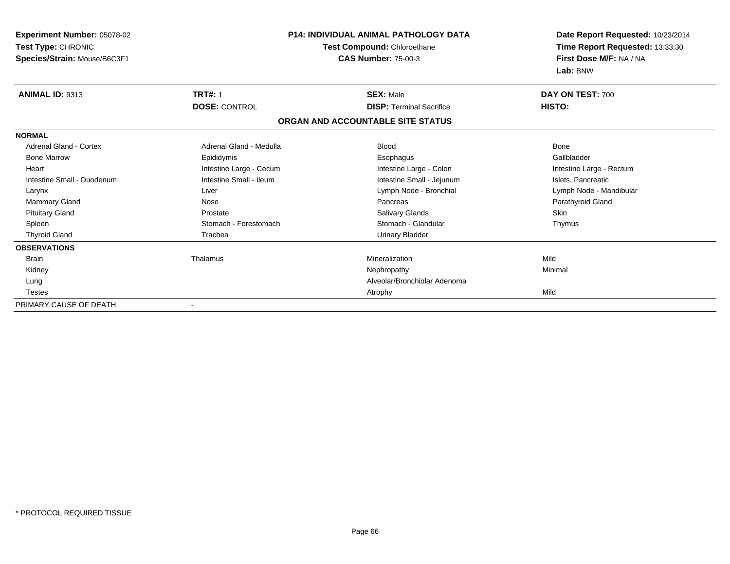| Experiment Number: 05078-02<br>Test Type: CHRONIC<br>Species/Strain: Mouse/B6C3F1 |                         | <b>P14: INDIVIDUAL ANIMAL PATHOLOGY DATA</b><br>Test Compound: Chloroethane<br><b>CAS Number: 75-00-3</b> | Date Report Requested: 10/23/2014<br>Time Report Requested: 13:33:30<br>First Dose M/F: NA / NA |  |
|-----------------------------------------------------------------------------------|-------------------------|-----------------------------------------------------------------------------------------------------------|-------------------------------------------------------------------------------------------------|--|
|                                                                                   |                         |                                                                                                           | Lab: BNW                                                                                        |  |
| ANIMAL ID: 9313                                                                   | <b>TRT#: 1</b>          | <b>SEX: Male</b>                                                                                          | DAY ON TEST: 700                                                                                |  |
|                                                                                   | <b>DOSE: CONTROL</b>    | <b>DISP: Terminal Sacrifice</b>                                                                           | HISTO:                                                                                          |  |
|                                                                                   |                         | ORGAN AND ACCOUNTABLE SITE STATUS                                                                         |                                                                                                 |  |
| <b>NORMAL</b>                                                                     |                         |                                                                                                           |                                                                                                 |  |
| <b>Adrenal Gland - Cortex</b>                                                     | Adrenal Gland - Medulla | <b>Blood</b>                                                                                              | Bone                                                                                            |  |
| <b>Bone Marrow</b>                                                                | Epididymis              | Esophagus                                                                                                 | Gallbladder                                                                                     |  |
| Heart                                                                             | Intestine Large - Cecum | Intestine Large - Colon                                                                                   | Intestine Large - Rectum                                                                        |  |
| Intestine Small - Duodenum                                                        | Intestine Small - Ileum | Intestine Small - Jejunum                                                                                 | Islets, Pancreatic                                                                              |  |
| Larynx                                                                            | Liver                   | Lymph Node - Bronchial                                                                                    | Lymph Node - Mandibular                                                                         |  |
| Mammary Gland                                                                     | Nose                    | Pancreas                                                                                                  | Parathyroid Gland                                                                               |  |
| <b>Pituitary Gland</b>                                                            | Prostate                | Salivary Glands                                                                                           | Skin                                                                                            |  |
| Spleen                                                                            | Stomach - Forestomach   | Stomach - Glandular                                                                                       | Thymus                                                                                          |  |
| <b>Thyroid Gland</b>                                                              | Trachea                 | <b>Urinary Bladder</b>                                                                                    |                                                                                                 |  |
| <b>OBSERVATIONS</b>                                                               |                         |                                                                                                           |                                                                                                 |  |
| <b>Brain</b>                                                                      | Thalamus                | Mineralization                                                                                            | Mild                                                                                            |  |
| Kidney                                                                            |                         | Nephropathy                                                                                               | Minimal                                                                                         |  |
| Lung                                                                              |                         | Alveolar/Bronchiolar Adenoma                                                                              |                                                                                                 |  |
| Testes                                                                            |                         | Atrophy                                                                                                   | Mild                                                                                            |  |
| PRIMARY CAUSE OF DEATH                                                            |                         |                                                                                                           |                                                                                                 |  |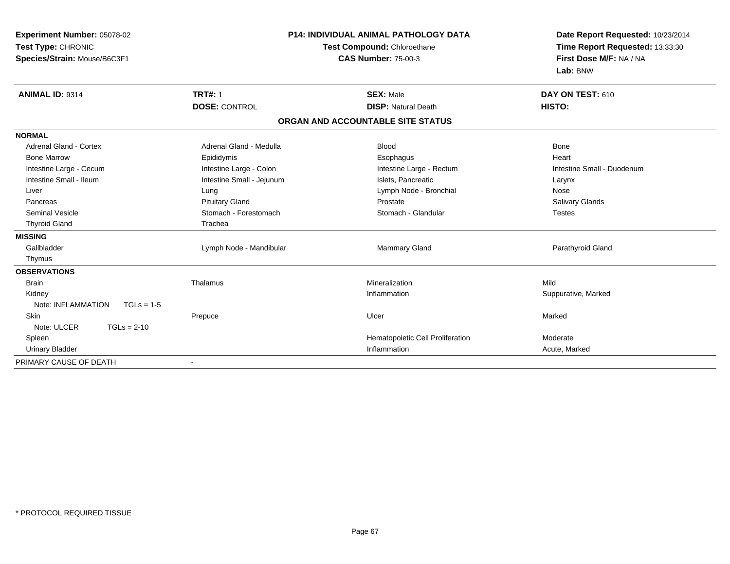| Experiment Number: 05078-02<br>Test Type: CHRONIC<br>Species/Strain: Mouse/B6C3F1 |                           | P14: INDIVIDUAL ANIMAL PATHOLOGY DATA<br>Test Compound: Chloroethane<br><b>CAS Number: 75-00-3</b> | Date Report Requested: 10/23/2014<br>Time Report Requested: 13:33:30<br>First Dose M/F: NA / NA<br>Lab: BNW |
|-----------------------------------------------------------------------------------|---------------------------|----------------------------------------------------------------------------------------------------|-------------------------------------------------------------------------------------------------------------|
| <b>ANIMAL ID: 9314</b>                                                            | <b>TRT#: 1</b>            | <b>SEX: Male</b>                                                                                   | DAY ON TEST: 610                                                                                            |
|                                                                                   | <b>DOSE: CONTROL</b>      | <b>DISP: Natural Death</b>                                                                         | HISTO:                                                                                                      |
|                                                                                   |                           | ORGAN AND ACCOUNTABLE SITE STATUS                                                                  |                                                                                                             |
| <b>NORMAL</b>                                                                     |                           |                                                                                                    |                                                                                                             |
| Adrenal Gland - Cortex                                                            | Adrenal Gland - Medulla   | <b>Blood</b>                                                                                       | <b>Bone</b>                                                                                                 |
| <b>Bone Marrow</b>                                                                | Epididymis                | Esophagus                                                                                          | Heart                                                                                                       |
| Intestine Large - Cecum                                                           | Intestine Large - Colon   | Intestine Large - Rectum                                                                           | Intestine Small - Duodenum                                                                                  |
| Intestine Small - Ileum                                                           | Intestine Small - Jejunum | Islets, Pancreatic                                                                                 | Larynx                                                                                                      |
| Liver                                                                             | Lung                      | Lymph Node - Bronchial                                                                             | Nose                                                                                                        |
| Pancreas                                                                          | <b>Pituitary Gland</b>    | Prostate                                                                                           | <b>Salivary Glands</b>                                                                                      |
| Seminal Vesicle                                                                   | Stomach - Forestomach     | Stomach - Glandular                                                                                | <b>Testes</b>                                                                                               |
| <b>Thyroid Gland</b>                                                              | Trachea                   |                                                                                                    |                                                                                                             |
| <b>MISSING</b>                                                                    |                           |                                                                                                    |                                                                                                             |
| Gallbladder                                                                       | Lymph Node - Mandibular   | <b>Mammary Gland</b>                                                                               | Parathyroid Gland                                                                                           |
| Thymus                                                                            |                           |                                                                                                    |                                                                                                             |
| <b>OBSERVATIONS</b>                                                               |                           |                                                                                                    |                                                                                                             |
| <b>Brain</b>                                                                      | Thalamus                  | Mineralization                                                                                     | Mild                                                                                                        |
| Kidney                                                                            |                           | Inflammation                                                                                       | Suppurative, Marked                                                                                         |
| Note: INFLAMMATION<br>$TGLs = 1-5$                                                |                           |                                                                                                    |                                                                                                             |
| <b>Skin</b>                                                                       | Prepuce                   | Ulcer                                                                                              | Marked                                                                                                      |
| Note: ULCER<br>$TGLs = 2-10$                                                      |                           |                                                                                                    |                                                                                                             |
| Spleen                                                                            |                           | Hematopoietic Cell Proliferation                                                                   | Moderate                                                                                                    |
| <b>Urinary Bladder</b>                                                            |                           | Inflammation                                                                                       | Acute, Marked                                                                                               |
| PRIMARY CAUSE OF DEATH                                                            |                           |                                                                                                    |                                                                                                             |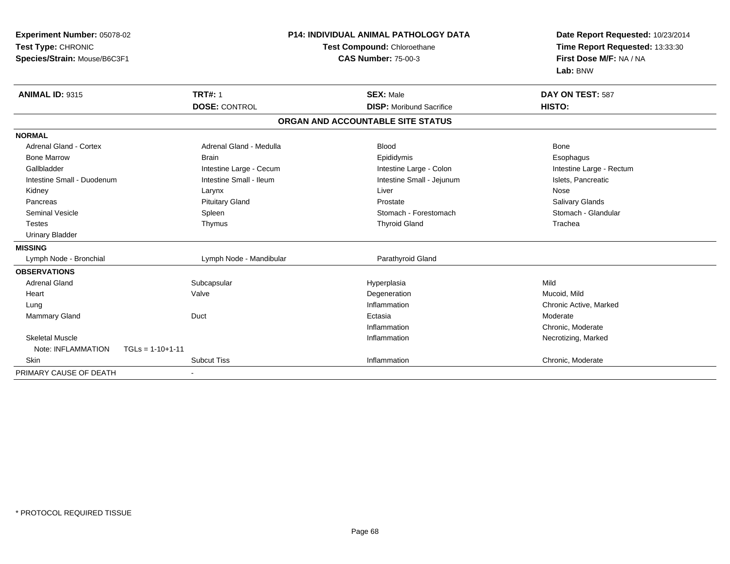| <b>Experiment Number: 05078-02</b>       |                         | <b>P14: INDIVIDUAL ANIMAL PATHOLOGY DATA</b> | Date Report Requested: 10/23/2014<br>Time Report Requested: 13:33:30 |
|------------------------------------------|-------------------------|----------------------------------------------|----------------------------------------------------------------------|
| Test Type: CHRONIC                       |                         | Test Compound: Chloroethane                  |                                                                      |
| Species/Strain: Mouse/B6C3F1             |                         | <b>CAS Number: 75-00-3</b>                   | First Dose M/F: NA / NA                                              |
|                                          |                         |                                              | Lab: BNW                                                             |
| <b>ANIMAL ID: 9315</b>                   | <b>TRT#: 1</b>          | <b>SEX: Male</b>                             | DAY ON TEST: 587                                                     |
|                                          | <b>DOSE: CONTROL</b>    | <b>DISP:</b> Moribund Sacrifice              | HISTO:                                                               |
|                                          |                         | ORGAN AND ACCOUNTABLE SITE STATUS            |                                                                      |
| <b>NORMAL</b>                            |                         |                                              |                                                                      |
| <b>Adrenal Gland - Cortex</b>            | Adrenal Gland - Medulla | <b>Blood</b>                                 | Bone                                                                 |
| <b>Bone Marrow</b>                       | <b>Brain</b>            | Epididymis                                   | Esophagus                                                            |
| Gallbladder                              | Intestine Large - Cecum | Intestine Large - Colon                      | Intestine Large - Rectum                                             |
| Intestine Small - Duodenum               | Intestine Small - Ileum | Intestine Small - Jejunum                    | Islets, Pancreatic                                                   |
| Kidney                                   | Larynx                  | Liver                                        | Nose                                                                 |
| Pancreas                                 | <b>Pituitary Gland</b>  | Prostate                                     | Salivary Glands                                                      |
| <b>Seminal Vesicle</b>                   | Spleen                  | Stomach - Forestomach                        | Stomach - Glandular                                                  |
| Testes                                   | Thymus                  | <b>Thyroid Gland</b>                         | Trachea                                                              |
| <b>Urinary Bladder</b>                   |                         |                                              |                                                                      |
| <b>MISSING</b>                           |                         |                                              |                                                                      |
| Lymph Node - Bronchial                   | Lymph Node - Mandibular | Parathyroid Gland                            |                                                                      |
| <b>OBSERVATIONS</b>                      |                         |                                              |                                                                      |
| <b>Adrenal Gland</b>                     | Subcapsular             | Hyperplasia                                  | Mild                                                                 |
| Heart                                    | Valve                   | Degeneration                                 | Mucoid, Mild                                                         |
| Lung                                     |                         | Inflammation                                 | Chronic Active, Marked                                               |
| <b>Mammary Gland</b>                     | Duct                    | Ectasia                                      | Moderate                                                             |
|                                          |                         | Inflammation                                 | Chronic, Moderate                                                    |
| <b>Skeletal Muscle</b>                   |                         | Inflammation                                 | Necrotizing, Marked                                                  |
| Note: INFLAMMATION<br>$TGLs = 1-10+1-11$ |                         |                                              |                                                                      |
| Skin                                     | <b>Subcut Tiss</b>      | Inflammation                                 | Chronic, Moderate                                                    |
| PRIMARY CAUSE OF DEATH                   |                         |                                              |                                                                      |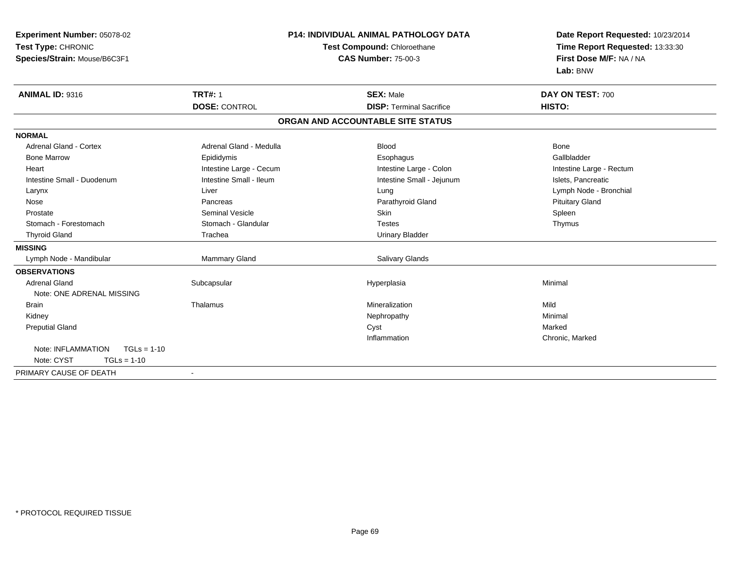| Experiment Number: 05078-02         |                         | P14: INDIVIDUAL ANIMAL PATHOLOGY DATA | Date Report Requested: 10/23/2014 |
|-------------------------------------|-------------------------|---------------------------------------|-----------------------------------|
| Test Type: CHRONIC                  |                         | Test Compound: Chloroethane           | Time Report Requested: 13:33:30   |
| Species/Strain: Mouse/B6C3F1        |                         | <b>CAS Number: 75-00-3</b>            | First Dose M/F: NA / NA           |
|                                     |                         |                                       | Lab: BNW                          |
| <b>ANIMAL ID: 9316</b>              | <b>TRT#: 1</b>          | <b>SEX: Male</b>                      | DAY ON TEST: 700                  |
|                                     | <b>DOSE: CONTROL</b>    | <b>DISP: Terminal Sacrifice</b>       | HISTO:                            |
|                                     |                         | ORGAN AND ACCOUNTABLE SITE STATUS     |                                   |
| <b>NORMAL</b>                       |                         |                                       |                                   |
| Adrenal Gland - Cortex              | Adrenal Gland - Medulla | <b>Blood</b>                          | Bone                              |
| <b>Bone Marrow</b>                  | Epididymis              | Esophagus                             | Gallbladder                       |
| Heart                               | Intestine Large - Cecum | Intestine Large - Colon               | Intestine Large - Rectum          |
| Intestine Small - Duodenum          | Intestine Small - Ileum | Intestine Small - Jejunum             | Islets, Pancreatic                |
| Larynx                              | Liver                   | Lung                                  | Lymph Node - Bronchial            |
| Nose                                | Pancreas                | Parathyroid Gland                     | <b>Pituitary Gland</b>            |
| Prostate                            | <b>Seminal Vesicle</b>  | <b>Skin</b>                           | Spleen                            |
| Stomach - Forestomach               | Stomach - Glandular     | <b>Testes</b>                         | Thymus                            |
| <b>Thyroid Gland</b>                | Trachea                 | <b>Urinary Bladder</b>                |                                   |
| <b>MISSING</b>                      |                         |                                       |                                   |
| Lymph Node - Mandibular             | <b>Mammary Gland</b>    | <b>Salivary Glands</b>                |                                   |
| <b>OBSERVATIONS</b>                 |                         |                                       |                                   |
| <b>Adrenal Gland</b>                | Subcapsular             | Hyperplasia                           | Minimal                           |
| Note: ONE ADRENAL MISSING           |                         |                                       |                                   |
| <b>Brain</b>                        | Thalamus                | Mineralization                        | Mild                              |
| Kidney                              |                         | Nephropathy                           | Minimal                           |
| <b>Preputial Gland</b>              |                         | Cyst                                  | Marked                            |
|                                     |                         | Inflammation                          | Chronic, Marked                   |
| Note: INFLAMMATION<br>$TGLs = 1-10$ |                         |                                       |                                   |
| Note: CYST<br>$TGLs = 1-10$         |                         |                                       |                                   |
| PRIMARY CAUSE OF DEATH              |                         |                                       |                                   |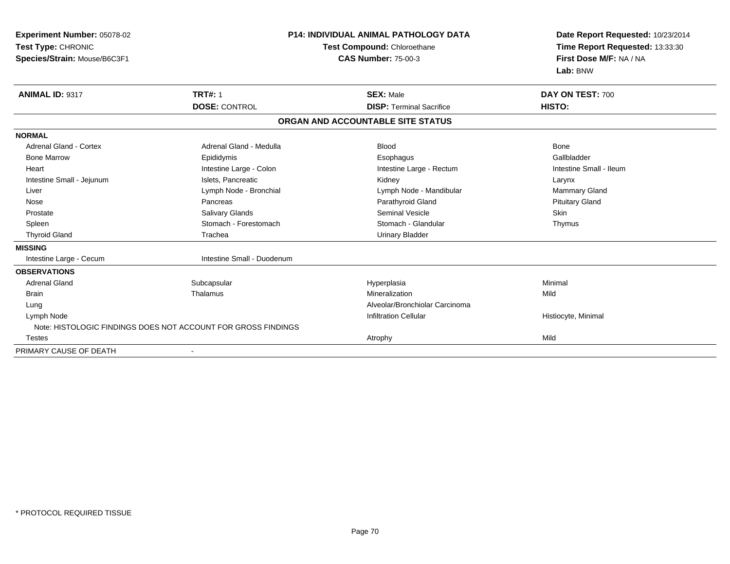| Experiment Number: 05078-02<br>Test Type: CHRONIC<br>Species/Strain: Mouse/B6C3F1 |                                                               | <b>P14: INDIVIDUAL ANIMAL PATHOLOGY DATA</b><br>Test Compound: Chloroethane<br><b>CAS Number: 75-00-3</b> | Date Report Requested: 10/23/2014<br>Time Report Requested: 13:33:30<br>First Dose M/F: NA / NA<br>Lab: BNW |
|-----------------------------------------------------------------------------------|---------------------------------------------------------------|-----------------------------------------------------------------------------------------------------------|-------------------------------------------------------------------------------------------------------------|
| <b>ANIMAL ID: 9317</b>                                                            | <b>TRT#: 1</b><br><b>DOSE: CONTROL</b>                        | <b>SEX: Male</b><br><b>DISP: Terminal Sacrifice</b>                                                       | DAY ON TEST: 700<br>HISTO:                                                                                  |
|                                                                                   |                                                               | ORGAN AND ACCOUNTABLE SITE STATUS                                                                         |                                                                                                             |
| <b>NORMAL</b>                                                                     |                                                               |                                                                                                           |                                                                                                             |
| Adrenal Gland - Cortex                                                            | Adrenal Gland - Medulla                                       | <b>Blood</b>                                                                                              | <b>Bone</b>                                                                                                 |
| <b>Bone Marrow</b>                                                                | Epididymis                                                    | Esophagus                                                                                                 | Gallbladder                                                                                                 |
| Heart                                                                             | Intestine Large - Colon                                       | Intestine Large - Rectum                                                                                  | Intestine Small - Ileum                                                                                     |
| Intestine Small - Jejunum                                                         | Islets. Pancreatic                                            | Kidney                                                                                                    | Larynx                                                                                                      |
| Liver                                                                             | Lymph Node - Bronchial                                        | Lymph Node - Mandibular                                                                                   | <b>Mammary Gland</b>                                                                                        |
| Nose                                                                              | Pancreas                                                      | Parathyroid Gland                                                                                         | <b>Pituitary Gland</b>                                                                                      |
| Prostate                                                                          | <b>Salivary Glands</b>                                        | <b>Seminal Vesicle</b>                                                                                    | <b>Skin</b>                                                                                                 |
| Spleen                                                                            | Stomach - Forestomach                                         | Stomach - Glandular                                                                                       | Thymus                                                                                                      |
| <b>Thyroid Gland</b>                                                              | Trachea                                                       | <b>Urinary Bladder</b>                                                                                    |                                                                                                             |
| <b>MISSING</b>                                                                    |                                                               |                                                                                                           |                                                                                                             |
| Intestine Large - Cecum                                                           | Intestine Small - Duodenum                                    |                                                                                                           |                                                                                                             |
| <b>OBSERVATIONS</b>                                                               |                                                               |                                                                                                           |                                                                                                             |
| <b>Adrenal Gland</b>                                                              | Subcapsular                                                   | Hyperplasia                                                                                               | Minimal                                                                                                     |
| <b>Brain</b>                                                                      | Thalamus                                                      | Mineralization                                                                                            | Mild                                                                                                        |
| Lung                                                                              |                                                               | Alveolar/Bronchiolar Carcinoma                                                                            |                                                                                                             |
| Lymph Node                                                                        |                                                               | <b>Infiltration Cellular</b>                                                                              | Histiocyte, Minimal                                                                                         |
|                                                                                   | Note: HISTOLOGIC FINDINGS DOES NOT ACCOUNT FOR GROSS FINDINGS |                                                                                                           |                                                                                                             |
| <b>Testes</b>                                                                     |                                                               | Atrophy                                                                                                   | Mild                                                                                                        |
| PRIMARY CAUSE OF DEATH                                                            | $\blacksquare$                                                |                                                                                                           |                                                                                                             |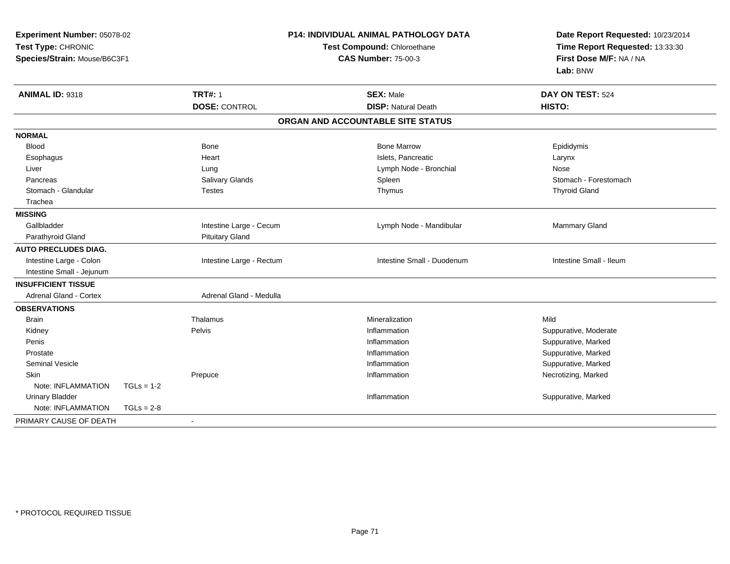| <b>Experiment Number: 05078-02</b><br>Test Type: CHRONIC<br>Species/Strain: Mouse/B6C3F1 |              |                          | P14: INDIVIDUAL ANIMAL PATHOLOGY DATA<br>Test Compound: Chloroethane<br><b>CAS Number: 75-00-3</b> | Date Report Requested: 10/23/2014<br>Time Report Requested: 13:33:30<br>First Dose M/F: NA / NA<br>Lab: BNW |
|------------------------------------------------------------------------------------------|--------------|--------------------------|----------------------------------------------------------------------------------------------------|-------------------------------------------------------------------------------------------------------------|
| ANIMAL ID: 9318                                                                          |              | <b>TRT#: 1</b>           | <b>SEX: Male</b><br><b>DISP: Natural Death</b>                                                     | DAY ON TEST: 524<br>HISTO:                                                                                  |
|                                                                                          |              | <b>DOSE: CONTROL</b>     |                                                                                                    |                                                                                                             |
|                                                                                          |              |                          | ORGAN AND ACCOUNTABLE SITE STATUS                                                                  |                                                                                                             |
| <b>NORMAL</b>                                                                            |              |                          |                                                                                                    |                                                                                                             |
| <b>Blood</b>                                                                             |              | <b>Bone</b>              | <b>Bone Marrow</b>                                                                                 | Epididymis                                                                                                  |
| Esophagus                                                                                |              | Heart                    | Islets, Pancreatic                                                                                 | Larynx                                                                                                      |
| Liver                                                                                    |              | Lung                     | Lymph Node - Bronchial                                                                             | Nose                                                                                                        |
| Pancreas                                                                                 |              | Salivary Glands          | Spleen                                                                                             | Stomach - Forestomach                                                                                       |
| Stomach - Glandular                                                                      |              | <b>Testes</b>            | Thymus                                                                                             | <b>Thyroid Gland</b>                                                                                        |
| Trachea                                                                                  |              |                          |                                                                                                    |                                                                                                             |
| <b>MISSING</b>                                                                           |              |                          |                                                                                                    |                                                                                                             |
| Gallbladder                                                                              |              | Intestine Large - Cecum  | Lymph Node - Mandibular                                                                            | Mammary Gland                                                                                               |
| Parathyroid Gland                                                                        |              | <b>Pituitary Gland</b>   |                                                                                                    |                                                                                                             |
| <b>AUTO PRECLUDES DIAG.</b>                                                              |              |                          |                                                                                                    |                                                                                                             |
| Intestine Large - Colon                                                                  |              | Intestine Large - Rectum | Intestine Small - Duodenum                                                                         | Intestine Small - Ileum                                                                                     |
| Intestine Small - Jejunum                                                                |              |                          |                                                                                                    |                                                                                                             |
| <b>INSUFFICIENT TISSUE</b>                                                               |              |                          |                                                                                                    |                                                                                                             |
| <b>Adrenal Gland - Cortex</b>                                                            |              | Adrenal Gland - Medulla  |                                                                                                    |                                                                                                             |
| <b>OBSERVATIONS</b>                                                                      |              |                          |                                                                                                    |                                                                                                             |
| <b>Brain</b>                                                                             |              | Thalamus                 | Mineralization                                                                                     | Mild                                                                                                        |
| Kidney                                                                                   |              | Pelvis                   | Inflammation                                                                                       | Suppurative, Moderate                                                                                       |
| Penis                                                                                    |              |                          | Inflammation                                                                                       | Suppurative, Marked                                                                                         |
| Prostate                                                                                 |              |                          | Inflammation                                                                                       | Suppurative, Marked                                                                                         |
| <b>Seminal Vesicle</b>                                                                   |              |                          | Inflammation                                                                                       | Suppurative, Marked                                                                                         |
| Skin                                                                                     |              | Prepuce                  | Inflammation                                                                                       | Necrotizing, Marked                                                                                         |
| Note: INFLAMMATION                                                                       | $TGLs = 1-2$ |                          |                                                                                                    |                                                                                                             |
| <b>Urinary Bladder</b>                                                                   |              |                          | Inflammation                                                                                       | Suppurative, Marked                                                                                         |
| Note: INFLAMMATION                                                                       | $TGLs = 2-8$ |                          |                                                                                                    |                                                                                                             |
| PRIMARY CAUSE OF DEATH                                                                   |              |                          |                                                                                                    |                                                                                                             |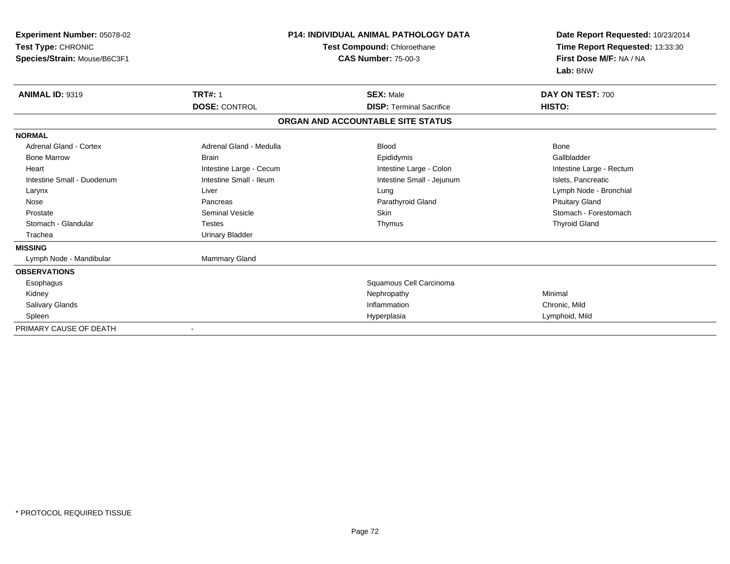| Experiment Number: 05078-02<br>Test Type: CHRONIC<br>Species/Strain: Mouse/B6C3F1 |                              | <b>P14: INDIVIDUAL ANIMAL PATHOLOGY DATA</b><br>Test Compound: Chloroethane<br><b>CAS Number: 75-00-3</b> | Date Report Requested: 10/23/2014<br>Time Report Requested: 13:33:30<br>First Dose M/F: NA / NA<br>Lab: BNW |  |
|-----------------------------------------------------------------------------------|------------------------------|-----------------------------------------------------------------------------------------------------------|-------------------------------------------------------------------------------------------------------------|--|
| <b>ANIMAL ID: 9319</b>                                                            | <b>TRT#: 1</b>               | <b>SEX: Male</b>                                                                                          | DAY ON TEST: 700                                                                                            |  |
|                                                                                   | <b>DOSE: CONTROL</b>         | <b>DISP: Terminal Sacrifice</b>                                                                           | HISTO:                                                                                                      |  |
|                                                                                   |                              | ORGAN AND ACCOUNTABLE SITE STATUS                                                                         |                                                                                                             |  |
| <b>NORMAL</b>                                                                     |                              |                                                                                                           |                                                                                                             |  |
| <b>Adrenal Gland - Cortex</b>                                                     | Adrenal Gland - Medulla      | <b>Blood</b>                                                                                              | <b>Bone</b>                                                                                                 |  |
| <b>Bone Marrow</b>                                                                | <b>Brain</b>                 | Epididymis                                                                                                | Gallbladder                                                                                                 |  |
| Heart                                                                             | Intestine Large - Cecum      | Intestine Large - Colon                                                                                   | Intestine Large - Rectum                                                                                    |  |
| Intestine Small - Duodenum                                                        | Intestine Small - Ileum      | Intestine Small - Jejunum                                                                                 | Islets, Pancreatic                                                                                          |  |
| Larynx                                                                            | Liver                        | Lung                                                                                                      | Lymph Node - Bronchial                                                                                      |  |
| Nose                                                                              | Pancreas                     | Parathyroid Gland                                                                                         | <b>Pituitary Gland</b>                                                                                      |  |
| Prostate                                                                          | <b>Seminal Vesicle</b>       | <b>Skin</b>                                                                                               | Stomach - Forestomach                                                                                       |  |
| Stomach - Glandular                                                               | <b>Testes</b>                | Thymus                                                                                                    | <b>Thyroid Gland</b>                                                                                        |  |
| Trachea                                                                           | <b>Urinary Bladder</b>       |                                                                                                           |                                                                                                             |  |
| <b>MISSING</b>                                                                    |                              |                                                                                                           |                                                                                                             |  |
| Lymph Node - Mandibular                                                           | Mammary Gland                |                                                                                                           |                                                                                                             |  |
| <b>OBSERVATIONS</b>                                                               |                              |                                                                                                           |                                                                                                             |  |
| Esophagus                                                                         |                              | Squamous Cell Carcinoma                                                                                   |                                                                                                             |  |
| Kidney                                                                            |                              | Nephropathy                                                                                               | Minimal                                                                                                     |  |
| <b>Salivary Glands</b>                                                            |                              | Inflammation                                                                                              | Chronic, Mild                                                                                               |  |
| Spleen                                                                            |                              | Hyperplasia                                                                                               | Lymphoid, Mild                                                                                              |  |
| PRIMARY CAUSE OF DEATH                                                            | $\qquad \qquad \blacksquare$ |                                                                                                           |                                                                                                             |  |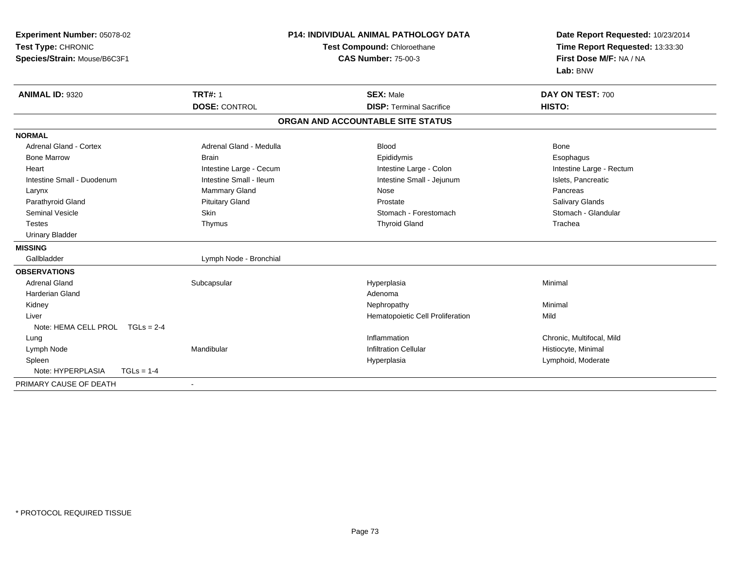| Experiment Number: 05078-02       | <b>P14: INDIVIDUAL ANIMAL PATHOLOGY DATA</b> |                                   | Date Report Requested: 10/23/2014 |  |
|-----------------------------------|----------------------------------------------|-----------------------------------|-----------------------------------|--|
| Test Type: CHRONIC                |                                              | Test Compound: Chloroethane       | Time Report Requested: 13:33:30   |  |
| Species/Strain: Mouse/B6C3F1      |                                              | <b>CAS Number: 75-00-3</b>        | First Dose M/F: NA / NA           |  |
|                                   |                                              |                                   | Lab: BNW                          |  |
| <b>ANIMAL ID: 9320</b>            | <b>TRT#: 1</b>                               | <b>SEX: Male</b>                  | DAY ON TEST: 700                  |  |
|                                   | <b>DOSE: CONTROL</b>                         | <b>DISP: Terminal Sacrifice</b>   | HISTO:                            |  |
|                                   |                                              | ORGAN AND ACCOUNTABLE SITE STATUS |                                   |  |
| <b>NORMAL</b>                     |                                              |                                   |                                   |  |
| Adrenal Gland - Cortex            | Adrenal Gland - Medulla                      | <b>Blood</b>                      | <b>Bone</b>                       |  |
| <b>Bone Marrow</b>                | <b>Brain</b>                                 | Epididymis                        | Esophagus                         |  |
| Heart                             | Intestine Large - Cecum                      | Intestine Large - Colon           | Intestine Large - Rectum          |  |
| Intestine Small - Duodenum        | Intestine Small - Ileum                      | Intestine Small - Jejunum         | Islets, Pancreatic                |  |
| Larynx                            | Mammary Gland                                | Nose                              | Pancreas                          |  |
| Parathyroid Gland                 | <b>Pituitary Gland</b>                       | Prostate                          | Salivary Glands                   |  |
| Seminal Vesicle                   | Skin                                         | Stomach - Forestomach             | Stomach - Glandular               |  |
| <b>Testes</b>                     | Thymus                                       | <b>Thyroid Gland</b>              | Trachea                           |  |
| <b>Urinary Bladder</b>            |                                              |                                   |                                   |  |
| <b>MISSING</b>                    |                                              |                                   |                                   |  |
| Gallbladder                       | Lymph Node - Bronchial                       |                                   |                                   |  |
| <b>OBSERVATIONS</b>               |                                              |                                   |                                   |  |
| <b>Adrenal Gland</b>              | Subcapsular                                  | Hyperplasia                       | Minimal                           |  |
| <b>Harderian Gland</b>            |                                              | Adenoma                           |                                   |  |
| Kidney                            |                                              | Nephropathy                       | Minimal                           |  |
| Liver                             |                                              | Hematopoietic Cell Proliferation  | Mild                              |  |
| Note: HEMA CELL PROL TGLs = 2-4   |                                              |                                   |                                   |  |
| Lung                              |                                              | Inflammation                      | Chronic, Multifocal, Mild         |  |
| Lymph Node                        | Mandibular                                   | <b>Infiltration Cellular</b>      | Histiocyte, Minimal               |  |
| Spleen                            |                                              | Hyperplasia                       | Lymphoid, Moderate                |  |
| Note: HYPERPLASIA<br>$TGLs = 1-4$ |                                              |                                   |                                   |  |
| PRIMARY CAUSE OF DEATH            | $\blacksquare$                               |                                   |                                   |  |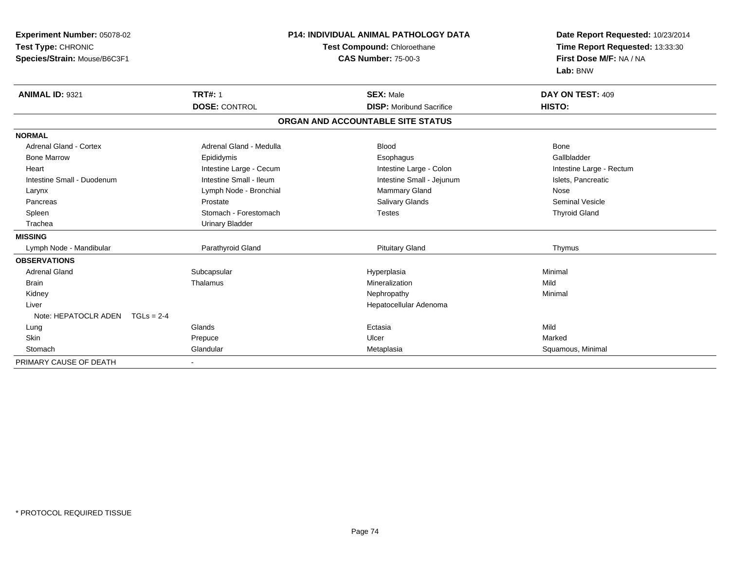| Experiment Number: 05078-02          | <b>P14: INDIVIDUAL ANIMAL PATHOLOGY DATA</b><br>Test Compound: Chloroethane |                                   | Date Report Requested: 10/23/2014 |
|--------------------------------------|-----------------------------------------------------------------------------|-----------------------------------|-----------------------------------|
| Test Type: CHRONIC                   |                                                                             |                                   | Time Report Requested: 13:33:30   |
| Species/Strain: Mouse/B6C3F1         |                                                                             | <b>CAS Number: 75-00-3</b>        | First Dose M/F: NA / NA           |
|                                      |                                                                             |                                   | Lab: BNW                          |
| <b>ANIMAL ID: 9321</b>               | <b>TRT#: 1</b>                                                              | <b>SEX: Male</b>                  | DAY ON TEST: 409                  |
|                                      | <b>DOSE: CONTROL</b>                                                        | <b>DISP:</b> Moribund Sacrifice   | HISTO:                            |
|                                      |                                                                             | ORGAN AND ACCOUNTABLE SITE STATUS |                                   |
| <b>NORMAL</b>                        |                                                                             |                                   |                                   |
| <b>Adrenal Gland - Cortex</b>        | Adrenal Gland - Medulla                                                     | <b>Blood</b>                      | <b>Bone</b>                       |
| <b>Bone Marrow</b>                   | Epididymis                                                                  | Esophagus                         | Gallbladder                       |
| Heart                                | Intestine Large - Cecum                                                     | Intestine Large - Colon           | Intestine Large - Rectum          |
| Intestine Small - Duodenum           | Intestine Small - Ileum                                                     | Intestine Small - Jejunum         | Islets, Pancreatic                |
| Larynx                               | Lymph Node - Bronchial                                                      | Mammary Gland                     | Nose                              |
| Pancreas                             | Prostate                                                                    | Salivary Glands                   | <b>Seminal Vesicle</b>            |
| Spleen                               | Stomach - Forestomach                                                       | <b>Testes</b>                     | <b>Thyroid Gland</b>              |
| Trachea                              | <b>Urinary Bladder</b>                                                      |                                   |                                   |
| <b>MISSING</b>                       |                                                                             |                                   |                                   |
| Lymph Node - Mandibular              | Parathyroid Gland                                                           | <b>Pituitary Gland</b>            | Thymus                            |
| <b>OBSERVATIONS</b>                  |                                                                             |                                   |                                   |
| <b>Adrenal Gland</b>                 | Subcapsular                                                                 | Hyperplasia                       | Minimal                           |
| <b>Brain</b>                         | Thalamus                                                                    | Mineralization                    | Mild                              |
| Kidney                               |                                                                             | Nephropathy                       | Minimal                           |
| Liver                                |                                                                             | Hepatocellular Adenoma            |                                   |
| Note: HEPATOCLR ADEN<br>$TGLs = 2-4$ |                                                                             |                                   |                                   |
| Lung                                 | Glands                                                                      | Ectasia                           | Mild                              |
| Skin                                 | Prepuce                                                                     | Ulcer                             | Marked                            |
| Stomach                              | Glandular                                                                   | Metaplasia                        | Squamous, Minimal                 |
| PRIMARY CAUSE OF DEATH               |                                                                             |                                   |                                   |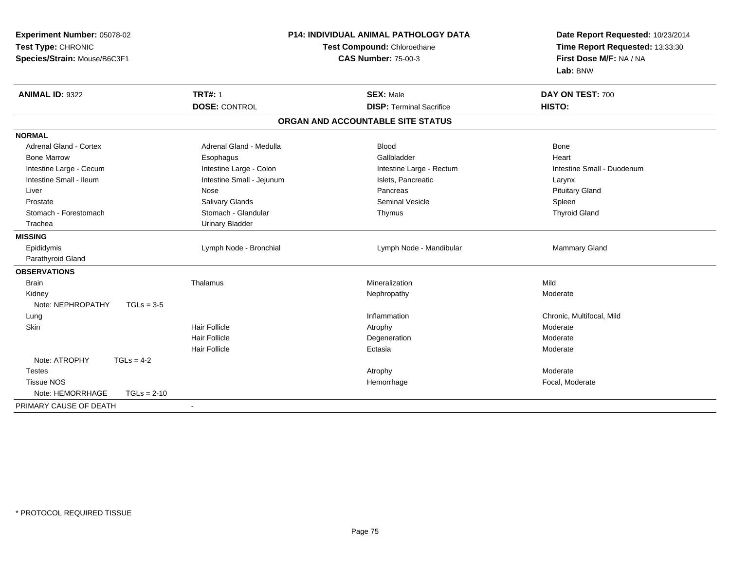| Experiment Number: 05078-02<br>Test Type: CHRONIC<br>Species/Strain: Mouse/B6C3F1 |                           | P14: INDIVIDUAL ANIMAL PATHOLOGY DATA<br>Test Compound: Chloroethane<br><b>CAS Number: 75-00-3</b> | Date Report Requested: 10/23/2014<br>Time Report Requested: 13:33:30<br>First Dose M/F: NA / NA<br>Lab: BNW |  |
|-----------------------------------------------------------------------------------|---------------------------|----------------------------------------------------------------------------------------------------|-------------------------------------------------------------------------------------------------------------|--|
| <b>ANIMAL ID: 9322</b>                                                            | <b>TRT#: 1</b>            | <b>SEX: Male</b>                                                                                   | DAY ON TEST: 700                                                                                            |  |
|                                                                                   | <b>DOSE: CONTROL</b>      | <b>DISP: Terminal Sacrifice</b>                                                                    | HISTO:                                                                                                      |  |
|                                                                                   |                           | ORGAN AND ACCOUNTABLE SITE STATUS                                                                  |                                                                                                             |  |
| <b>NORMAL</b>                                                                     |                           |                                                                                                    |                                                                                                             |  |
| <b>Adrenal Gland - Cortex</b>                                                     | Adrenal Gland - Medulla   | Blood                                                                                              | Bone                                                                                                        |  |
| <b>Bone Marrow</b>                                                                | Esophagus                 | Gallbladder                                                                                        | Heart                                                                                                       |  |
| Intestine Large - Cecum                                                           | Intestine Large - Colon   | Intestine Large - Rectum                                                                           | Intestine Small - Duodenum                                                                                  |  |
| Intestine Small - Ileum                                                           | Intestine Small - Jejunum | Islets, Pancreatic                                                                                 | Larynx                                                                                                      |  |
| Liver                                                                             | Nose                      | Pancreas                                                                                           | <b>Pituitary Gland</b>                                                                                      |  |
| Prostate                                                                          | <b>Salivary Glands</b>    | <b>Seminal Vesicle</b>                                                                             | Spleen                                                                                                      |  |
| Stomach - Forestomach                                                             | Stomach - Glandular       | Thymus                                                                                             | <b>Thyroid Gland</b>                                                                                        |  |
| Trachea                                                                           | <b>Urinary Bladder</b>    |                                                                                                    |                                                                                                             |  |
| <b>MISSING</b>                                                                    |                           |                                                                                                    |                                                                                                             |  |
| Epididymis                                                                        | Lymph Node - Bronchial    | Lymph Node - Mandibular                                                                            | Mammary Gland                                                                                               |  |
| Parathyroid Gland                                                                 |                           |                                                                                                    |                                                                                                             |  |
| <b>OBSERVATIONS</b>                                                               |                           |                                                                                                    |                                                                                                             |  |
| <b>Brain</b>                                                                      | Thalamus                  | Mineralization                                                                                     | Mild                                                                                                        |  |
| Kidney                                                                            |                           | Nephropathy                                                                                        | Moderate                                                                                                    |  |
| Note: NEPHROPATHY<br>$TGLs = 3-5$                                                 |                           |                                                                                                    |                                                                                                             |  |
| Lung                                                                              |                           | Inflammation                                                                                       | Chronic, Multifocal, Mild                                                                                   |  |
| Skin                                                                              | <b>Hair Follicle</b>      | Atrophy                                                                                            | Moderate                                                                                                    |  |
|                                                                                   | <b>Hair Follicle</b>      | Degeneration                                                                                       | Moderate                                                                                                    |  |
|                                                                                   | <b>Hair Follicle</b>      | Ectasia                                                                                            | Moderate                                                                                                    |  |
| Note: ATROPHY<br>$TGLs = 4-2$                                                     |                           |                                                                                                    |                                                                                                             |  |
| <b>Testes</b>                                                                     |                           | Atrophy                                                                                            | Moderate                                                                                                    |  |
| <b>Tissue NOS</b>                                                                 |                           | Hemorrhage                                                                                         | Focal, Moderate                                                                                             |  |
| Note: HEMORRHAGE<br>$TGLs = 2-10$                                                 |                           |                                                                                                    |                                                                                                             |  |
| PRIMARY CAUSE OF DEATH                                                            | $\blacksquare$            |                                                                                                    |                                                                                                             |  |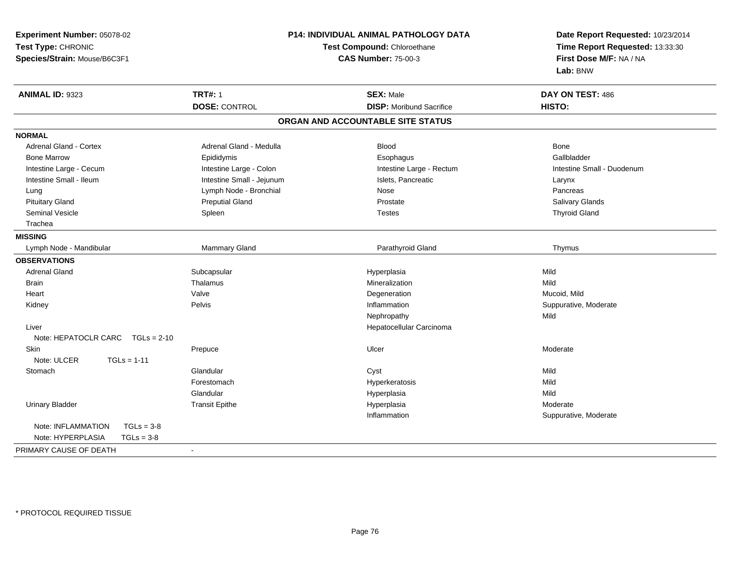| Experiment Number: 05078-02        |                            | P14: INDIVIDUAL ANIMAL PATHOLOGY DATA | Date Report Requested: 10/23/2014 |  |
|------------------------------------|----------------------------|---------------------------------------|-----------------------------------|--|
| Test Type: CHRONIC                 |                            | Test Compound: Chloroethane           | Time Report Requested: 13:33:30   |  |
| Species/Strain: Mouse/B6C3F1       | <b>CAS Number: 75-00-3</b> |                                       | First Dose M/F: NA / NA           |  |
|                                    |                            |                                       | Lab: BNW                          |  |
| <b>ANIMAL ID: 9323</b>             | <b>TRT#: 1</b>             | <b>SEX: Male</b>                      | DAY ON TEST: 486                  |  |
|                                    | <b>DOSE: CONTROL</b>       | <b>DISP:</b> Moribund Sacrifice       | HISTO:                            |  |
|                                    |                            | ORGAN AND ACCOUNTABLE SITE STATUS     |                                   |  |
| <b>NORMAL</b>                      |                            |                                       |                                   |  |
| <b>Adrenal Gland - Cortex</b>      | Adrenal Gland - Medulla    | <b>Blood</b>                          | <b>Bone</b>                       |  |
| <b>Bone Marrow</b>                 | Epididymis                 | Esophagus                             | Gallbladder                       |  |
| Intestine Large - Cecum            | Intestine Large - Colon    | Intestine Large - Rectum              | Intestine Small - Duodenum        |  |
| Intestine Small - Ileum            | Intestine Small - Jejunum  | Islets, Pancreatic                    | Larynx                            |  |
| Lung                               | Lymph Node - Bronchial     | Nose                                  | Pancreas                          |  |
| <b>Pituitary Gland</b>             | <b>Preputial Gland</b>     | Prostate                              | Salivary Glands                   |  |
| <b>Seminal Vesicle</b>             | Spleen                     | <b>Testes</b>                         | <b>Thyroid Gland</b>              |  |
| Trachea                            |                            |                                       |                                   |  |
| <b>MISSING</b>                     |                            |                                       |                                   |  |
| Lymph Node - Mandibular            | Mammary Gland              | Parathyroid Gland                     | Thymus                            |  |
| <b>OBSERVATIONS</b>                |                            |                                       |                                   |  |
| <b>Adrenal Gland</b>               | Subcapsular                | Hyperplasia                           | Mild                              |  |
| <b>Brain</b>                       | Thalamus                   | Mineralization                        | Mild                              |  |
| Heart                              | Valve                      | Degeneration                          | Mucoid, Mild                      |  |
| Kidney                             | Pelvis                     | Inflammation                          | Suppurative, Moderate             |  |
|                                    |                            | Nephropathy                           | Mild                              |  |
| Liver                              |                            | Hepatocellular Carcinoma              |                                   |  |
| Note: HEPATOCLR CARC TGLs = 2-10   |                            |                                       |                                   |  |
| Skin                               | Prepuce                    | Ulcer                                 | Moderate                          |  |
| Note: ULCER<br>$TGLs = 1-11$       |                            |                                       |                                   |  |
| Stomach                            | Glandular                  | Cyst                                  | Mild                              |  |
|                                    | Forestomach                | Hyperkeratosis                        | Mild                              |  |
|                                    | Glandular                  | Hyperplasia                           | Mild                              |  |
| <b>Urinary Bladder</b>             | <b>Transit Epithe</b>      | Hyperplasia                           | Moderate                          |  |
|                                    |                            | Inflammation                          | Suppurative, Moderate             |  |
| Note: INFLAMMATION<br>$TGLs = 3-8$ |                            |                                       |                                   |  |
| Note: HYPERPLASIA<br>$TGLs = 3-8$  |                            |                                       |                                   |  |
| PRIMARY CAUSE OF DEATH             | $\blacksquare$             |                                       |                                   |  |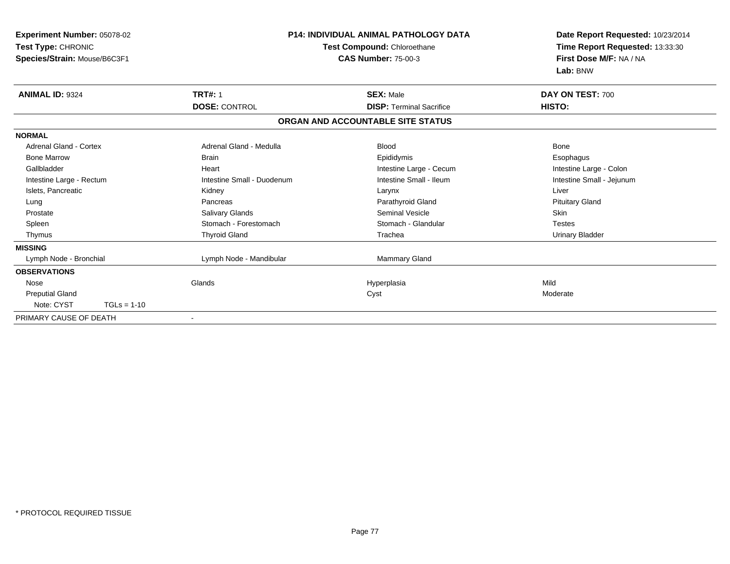| Experiment Number: 05078-02<br>Test Type: CHRONIC<br>Species/Strain: Mouse/B6C3F1 |                            | <b>P14: INDIVIDUAL ANIMAL PATHOLOGY DATA</b><br>Test Compound: Chloroethane<br><b>CAS Number: 75-00-3</b> | Date Report Requested: 10/23/2014<br>Time Report Requested: 13:33:30<br>First Dose M/F: NA / NA<br>Lab: BNW |  |
|-----------------------------------------------------------------------------------|----------------------------|-----------------------------------------------------------------------------------------------------------|-------------------------------------------------------------------------------------------------------------|--|
| <b>ANIMAL ID: 9324</b>                                                            | <b>TRT#: 1</b>             | <b>SEX: Male</b>                                                                                          | DAY ON TEST: 700                                                                                            |  |
|                                                                                   | <b>DOSE: CONTROL</b>       | <b>DISP: Terminal Sacrifice</b>                                                                           | HISTO:                                                                                                      |  |
|                                                                                   |                            | ORGAN AND ACCOUNTABLE SITE STATUS                                                                         |                                                                                                             |  |
| <b>NORMAL</b>                                                                     |                            |                                                                                                           |                                                                                                             |  |
| <b>Adrenal Gland - Cortex</b>                                                     | Adrenal Gland - Medulla    | <b>Blood</b>                                                                                              | Bone                                                                                                        |  |
| <b>Bone Marrow</b>                                                                | <b>Brain</b>               | Epididymis                                                                                                | Esophagus                                                                                                   |  |
| Gallbladder                                                                       | Heart                      | Intestine Large - Cecum                                                                                   | Intestine Large - Colon                                                                                     |  |
| Intestine Large - Rectum                                                          | Intestine Small - Duodenum | Intestine Small - Ileum                                                                                   | Intestine Small - Jejunum                                                                                   |  |
| Islets, Pancreatic                                                                | Kidney                     | Larynx                                                                                                    | Liver                                                                                                       |  |
| Lung                                                                              | Pancreas                   | Parathyroid Gland                                                                                         | <b>Pituitary Gland</b>                                                                                      |  |
| Prostate                                                                          | Salivary Glands            | Seminal Vesicle                                                                                           | <b>Skin</b>                                                                                                 |  |
| Spleen                                                                            | Stomach - Forestomach      | Stomach - Glandular                                                                                       | <b>Testes</b>                                                                                               |  |
| Thymus                                                                            | <b>Thyroid Gland</b>       | Trachea                                                                                                   | <b>Urinary Bladder</b>                                                                                      |  |
| <b>MISSING</b>                                                                    |                            |                                                                                                           |                                                                                                             |  |
| Lymph Node - Bronchial                                                            | Lymph Node - Mandibular    | Mammary Gland                                                                                             |                                                                                                             |  |
| <b>OBSERVATIONS</b>                                                               |                            |                                                                                                           |                                                                                                             |  |
| Nose                                                                              | Glands                     | Hyperplasia                                                                                               | Mild                                                                                                        |  |
| <b>Preputial Gland</b>                                                            |                            | Cyst                                                                                                      | Moderate                                                                                                    |  |
| Note: CYST<br>$TGLs = 1-10$                                                       |                            |                                                                                                           |                                                                                                             |  |
| PRIMARY CAUSE OF DEATH                                                            | $\overline{\phantom{a}}$   |                                                                                                           |                                                                                                             |  |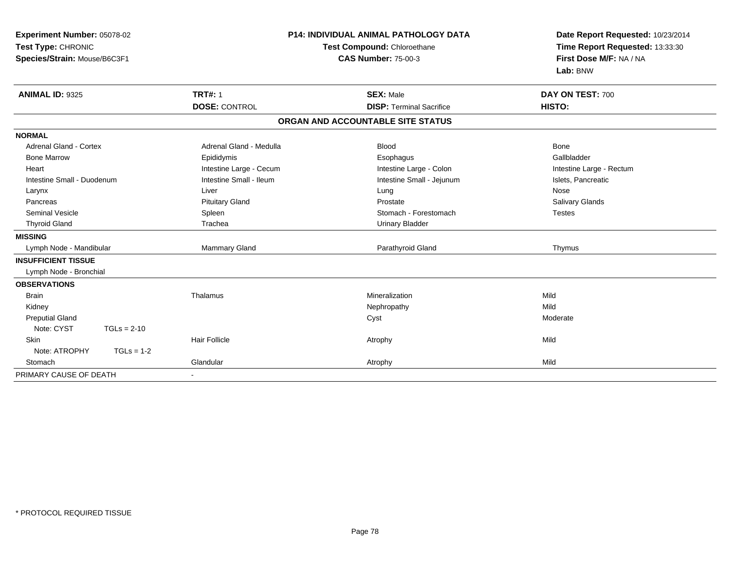| Experiment Number: 05078-02<br>Test Type: CHRONIC<br>Species/Strain: Mouse/B6C3F1 |                         | <b>P14: INDIVIDUAL ANIMAL PATHOLOGY DATA</b><br>Test Compound: Chloroethane<br><b>CAS Number: 75-00-3</b> | Date Report Requested: 10/23/2014<br>Time Report Requested: 13:33:30<br>First Dose M/F: NA / NA<br>Lab: BNW |
|-----------------------------------------------------------------------------------|-------------------------|-----------------------------------------------------------------------------------------------------------|-------------------------------------------------------------------------------------------------------------|
| <b>ANIMAL ID: 9325</b>                                                            | <b>TRT#: 1</b>          | <b>SEX: Male</b>                                                                                          | DAY ON TEST: 700                                                                                            |
|                                                                                   | <b>DOSE: CONTROL</b>    | <b>DISP: Terminal Sacrifice</b>                                                                           | HISTO:                                                                                                      |
|                                                                                   |                         | ORGAN AND ACCOUNTABLE SITE STATUS                                                                         |                                                                                                             |
| <b>NORMAL</b>                                                                     |                         |                                                                                                           |                                                                                                             |
| <b>Adrenal Gland - Cortex</b>                                                     | Adrenal Gland - Medulla | <b>Blood</b>                                                                                              | <b>Bone</b>                                                                                                 |
| <b>Bone Marrow</b>                                                                | Epididymis              | Esophagus                                                                                                 | Gallbladder                                                                                                 |
| Heart                                                                             | Intestine Large - Cecum | Intestine Large - Colon                                                                                   | Intestine Large - Rectum                                                                                    |
| Intestine Small - Duodenum                                                        | Intestine Small - Ileum | Intestine Small - Jejunum                                                                                 | Islets, Pancreatic                                                                                          |
| Larynx                                                                            | Liver                   | Lung                                                                                                      | Nose                                                                                                        |
| Pancreas                                                                          | <b>Pituitary Gland</b>  | Prostate                                                                                                  | <b>Salivary Glands</b>                                                                                      |
| Seminal Vesicle                                                                   | Spleen                  | Stomach - Forestomach                                                                                     | <b>Testes</b>                                                                                               |
| <b>Thyroid Gland</b>                                                              | Trachea                 | <b>Urinary Bladder</b>                                                                                    |                                                                                                             |
| <b>MISSING</b>                                                                    |                         |                                                                                                           |                                                                                                             |
| Lymph Node - Mandibular                                                           | <b>Mammary Gland</b>    | Parathyroid Gland                                                                                         | Thymus                                                                                                      |
| <b>INSUFFICIENT TISSUE</b>                                                        |                         |                                                                                                           |                                                                                                             |
| Lymph Node - Bronchial                                                            |                         |                                                                                                           |                                                                                                             |
| <b>OBSERVATIONS</b>                                                               |                         |                                                                                                           |                                                                                                             |
| <b>Brain</b>                                                                      | Thalamus                | Mineralization                                                                                            | Mild                                                                                                        |
| Kidney                                                                            |                         | Nephropathy                                                                                               | Mild                                                                                                        |
| <b>Preputial Gland</b>                                                            |                         | Cyst                                                                                                      | Moderate                                                                                                    |
| Note: CYST<br>$TGLs = 2-10$                                                       |                         |                                                                                                           |                                                                                                             |
| Skin                                                                              | <b>Hair Follicle</b>    | Atrophy                                                                                                   | Mild                                                                                                        |
| Note: ATROPHY<br>$TGLs = 1-2$                                                     |                         |                                                                                                           |                                                                                                             |
| Stomach                                                                           | Glandular               | Atrophy                                                                                                   | Mild                                                                                                        |
| PRIMARY CAUSE OF DEATH                                                            | $\blacksquare$          |                                                                                                           |                                                                                                             |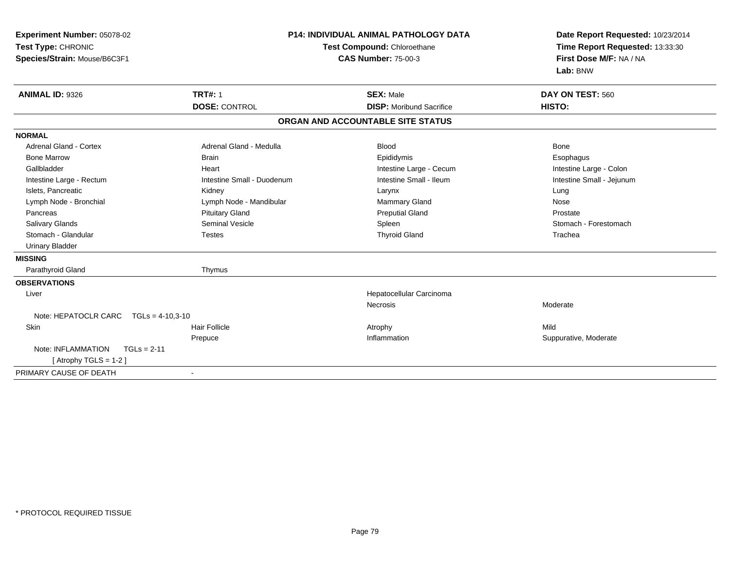| Experiment Number: 05078-02<br>Test Type: CHRONIC<br>Species/Strain: Mouse/B6C3F1 |                            | <b>P14: INDIVIDUAL ANIMAL PATHOLOGY DATA</b><br>Test Compound: Chloroethane<br><b>CAS Number: 75-00-3</b> | Date Report Requested: 10/23/2014<br>Time Report Requested: 13:33:30<br>First Dose M/F: NA / NA<br>Lab: BNW |
|-----------------------------------------------------------------------------------|----------------------------|-----------------------------------------------------------------------------------------------------------|-------------------------------------------------------------------------------------------------------------|
| <b>ANIMAL ID: 9326</b>                                                            | <b>TRT#: 1</b>             | <b>SEX: Male</b>                                                                                          | DAY ON TEST: 560                                                                                            |
|                                                                                   | <b>DOSE: CONTROL</b>       | <b>DISP:</b> Moribund Sacrifice                                                                           | HISTO:                                                                                                      |
|                                                                                   |                            | ORGAN AND ACCOUNTABLE SITE STATUS                                                                         |                                                                                                             |
| <b>NORMAL</b>                                                                     |                            |                                                                                                           |                                                                                                             |
| Adrenal Gland - Cortex                                                            | Adrenal Gland - Medulla    | <b>Blood</b>                                                                                              | Bone                                                                                                        |
| <b>Bone Marrow</b>                                                                | <b>Brain</b>               | Epididymis                                                                                                | Esophagus                                                                                                   |
| Gallbladder                                                                       | Heart                      | Intestine Large - Cecum                                                                                   | Intestine Large - Colon                                                                                     |
| Intestine Large - Rectum                                                          | Intestine Small - Duodenum | Intestine Small - Ileum                                                                                   | Intestine Small - Jejunum                                                                                   |
| Islets, Pancreatic                                                                | Kidney                     | Larynx                                                                                                    | Lung                                                                                                        |
| Lymph Node - Bronchial                                                            | Lymph Node - Mandibular    | Mammary Gland                                                                                             | Nose                                                                                                        |
| Pancreas                                                                          | <b>Pituitary Gland</b>     | <b>Preputial Gland</b>                                                                                    | Prostate                                                                                                    |
| Salivary Glands                                                                   | Seminal Vesicle            | Spleen                                                                                                    | Stomach - Forestomach                                                                                       |
| Stomach - Glandular                                                               | <b>Testes</b>              | <b>Thyroid Gland</b>                                                                                      | Trachea                                                                                                     |
| <b>Urinary Bladder</b>                                                            |                            |                                                                                                           |                                                                                                             |
| <b>MISSING</b>                                                                    |                            |                                                                                                           |                                                                                                             |
| Parathyroid Gland                                                                 | Thymus                     |                                                                                                           |                                                                                                             |
| <b>OBSERVATIONS</b>                                                               |                            |                                                                                                           |                                                                                                             |
| Liver                                                                             |                            | Hepatocellular Carcinoma                                                                                  |                                                                                                             |
|                                                                                   |                            | <b>Necrosis</b>                                                                                           | Moderate                                                                                                    |
| Note: HEPATOCLR CARC<br>$TGLs = 4-10.3-10$                                        |                            |                                                                                                           |                                                                                                             |
| Skin                                                                              | Hair Follicle              | Atrophy                                                                                                   | Mild                                                                                                        |
|                                                                                   | Prepuce                    | Inflammation                                                                                              | Suppurative, Moderate                                                                                       |
| Note: INFLAMMATION<br>$TGLs = 2-11$                                               |                            |                                                                                                           |                                                                                                             |
| [Atrophy TGLS = $1-2$ ]                                                           |                            |                                                                                                           |                                                                                                             |
| PRIMARY CAUSE OF DEATH                                                            | $\blacksquare$             |                                                                                                           |                                                                                                             |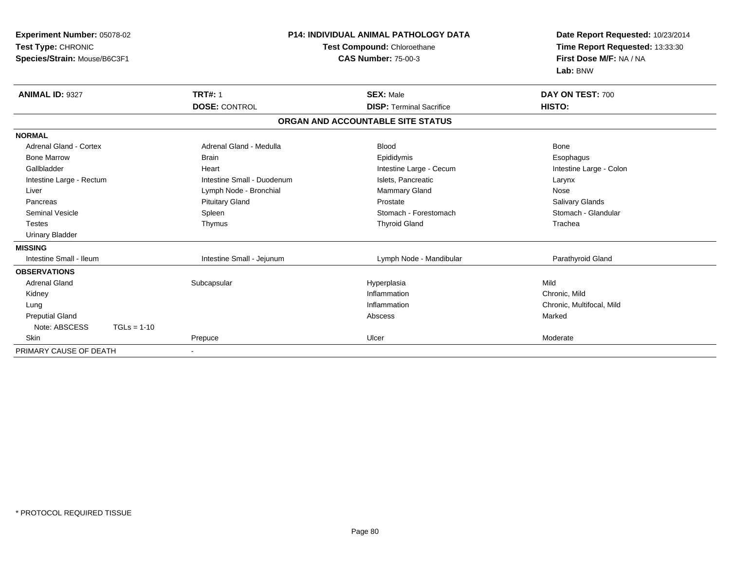| Test Type: CHRONIC                      | <b>Experiment Number: 05078-02</b><br>Species/Strain: Mouse/B6C3F1 |                                        | <b>P14: INDIVIDUAL ANIMAL PATHOLOGY DATA</b><br>Test Compound: Chloroethane<br><b>CAS Number: 75-00-3</b> |  | Date Report Requested: 10/23/2014<br>Time Report Requested: 13:33:30<br>First Dose M/F: NA / NA<br>Lab: BNW |  |
|-----------------------------------------|--------------------------------------------------------------------|----------------------------------------|-----------------------------------------------------------------------------------------------------------|--|-------------------------------------------------------------------------------------------------------------|--|
| <b>ANIMAL ID: 9327</b>                  |                                                                    | <b>TRT#: 1</b><br><b>DOSE: CONTROL</b> | <b>SEX: Male</b><br><b>DISP: Terminal Sacrifice</b>                                                       |  | DAY ON TEST: 700<br>HISTO:                                                                                  |  |
|                                         |                                                                    |                                        | ORGAN AND ACCOUNTABLE SITE STATUS                                                                         |  |                                                                                                             |  |
|                                         |                                                                    |                                        |                                                                                                           |  |                                                                                                             |  |
| <b>NORMAL</b><br>Adrenal Gland - Cortex |                                                                    | Adrenal Gland - Medulla                | <b>Blood</b>                                                                                              |  | <b>Bone</b>                                                                                                 |  |
| <b>Bone Marrow</b>                      |                                                                    | <b>Brain</b>                           | Epididymis                                                                                                |  | Esophagus                                                                                                   |  |
| Gallbladder                             |                                                                    | Heart                                  | Intestine Large - Cecum                                                                                   |  | Intestine Large - Colon                                                                                     |  |
| Intestine Large - Rectum                |                                                                    | Intestine Small - Duodenum             | Islets, Pancreatic                                                                                        |  | Larynx                                                                                                      |  |
| Liver                                   |                                                                    | Lymph Node - Bronchial                 | Mammary Gland                                                                                             |  | Nose                                                                                                        |  |
| Pancreas                                |                                                                    | <b>Pituitary Gland</b>                 | Prostate                                                                                                  |  | Salivary Glands                                                                                             |  |
| <b>Seminal Vesicle</b>                  |                                                                    | Spleen                                 | Stomach - Forestomach                                                                                     |  | Stomach - Glandular                                                                                         |  |
| <b>Testes</b>                           |                                                                    | Thymus                                 | <b>Thyroid Gland</b>                                                                                      |  | Trachea                                                                                                     |  |
| <b>Urinary Bladder</b>                  |                                                                    |                                        |                                                                                                           |  |                                                                                                             |  |
| <b>MISSING</b>                          |                                                                    |                                        |                                                                                                           |  |                                                                                                             |  |
| Intestine Small - Ileum                 |                                                                    | Intestine Small - Jejunum              | Lymph Node - Mandibular                                                                                   |  | Parathyroid Gland                                                                                           |  |
| <b>OBSERVATIONS</b>                     |                                                                    |                                        |                                                                                                           |  |                                                                                                             |  |
| <b>Adrenal Gland</b>                    |                                                                    | Subcapsular                            | Hyperplasia                                                                                               |  | Mild                                                                                                        |  |
| Kidney                                  |                                                                    |                                        | Inflammation                                                                                              |  | Chronic, Mild                                                                                               |  |
| Lung                                    |                                                                    |                                        | Inflammation                                                                                              |  | Chronic, Multifocal, Mild                                                                                   |  |
| <b>Preputial Gland</b>                  |                                                                    |                                        | Abscess                                                                                                   |  | Marked                                                                                                      |  |
| Note: ABSCESS                           | $TGLs = 1-10$                                                      |                                        |                                                                                                           |  |                                                                                                             |  |
| Skin                                    |                                                                    | Prepuce                                | Ulcer                                                                                                     |  | Moderate                                                                                                    |  |
| PRIMARY CAUSE OF DEATH                  |                                                                    |                                        |                                                                                                           |  |                                                                                                             |  |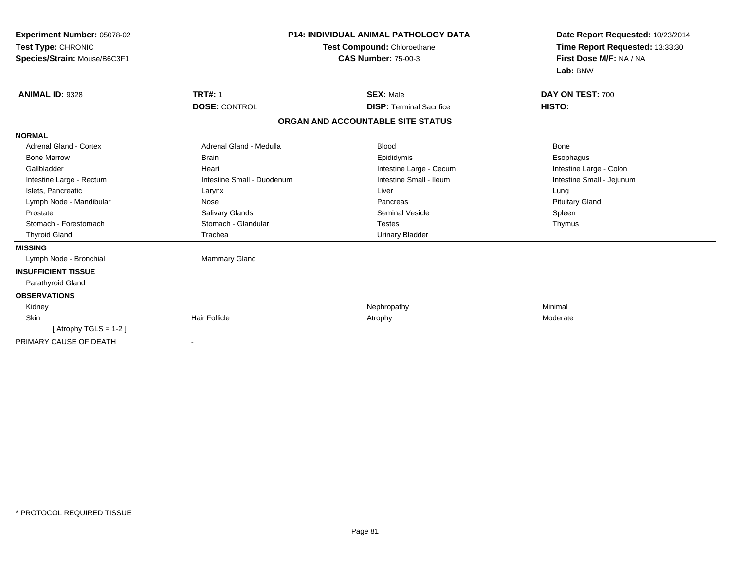| Experiment Number: 05078-02<br>Test Type: CHRONIC<br>Species/Strain: Mouse/B6C3F1 | <b>P14: INDIVIDUAL ANIMAL PATHOLOGY DATA</b><br>Test Compound: Chloroethane<br><b>CAS Number: 75-00-3</b> |                                   | Date Report Requested: 10/23/2014<br>Time Report Requested: 13:33:30<br>First Dose M/F: NA / NA<br>Lab: BNW |
|-----------------------------------------------------------------------------------|-----------------------------------------------------------------------------------------------------------|-----------------------------------|-------------------------------------------------------------------------------------------------------------|
| <b>ANIMAL ID: 9328</b>                                                            | <b>TRT#: 1</b>                                                                                            | <b>SEX: Male</b>                  | DAY ON TEST: 700                                                                                            |
|                                                                                   | <b>DOSE: CONTROL</b>                                                                                      | <b>DISP: Terminal Sacrifice</b>   | HISTO:                                                                                                      |
|                                                                                   |                                                                                                           | ORGAN AND ACCOUNTABLE SITE STATUS |                                                                                                             |
| <b>NORMAL</b>                                                                     |                                                                                                           |                                   |                                                                                                             |
| <b>Adrenal Gland - Cortex</b>                                                     | Adrenal Gland - Medulla                                                                                   | <b>Blood</b>                      | <b>Bone</b>                                                                                                 |
| <b>Bone Marrow</b>                                                                | <b>Brain</b>                                                                                              | Epididymis                        | Esophagus                                                                                                   |
| Gallbladder                                                                       | Heart                                                                                                     | Intestine Large - Cecum           | Intestine Large - Colon                                                                                     |
| Intestine Large - Rectum                                                          | Intestine Small - Duodenum                                                                                | Intestine Small - Ileum           | Intestine Small - Jejunum                                                                                   |
| Islets, Pancreatic                                                                | Larynx                                                                                                    | Liver                             | Lung                                                                                                        |
| Lymph Node - Mandibular                                                           | Nose                                                                                                      | Pancreas                          | <b>Pituitary Gland</b>                                                                                      |
| Prostate                                                                          | Salivary Glands                                                                                           | <b>Seminal Vesicle</b>            | Spleen                                                                                                      |
| Stomach - Forestomach                                                             | Stomach - Glandular                                                                                       | <b>Testes</b>                     | Thymus                                                                                                      |
| <b>Thyroid Gland</b>                                                              | Trachea                                                                                                   | <b>Urinary Bladder</b>            |                                                                                                             |
| <b>MISSING</b>                                                                    |                                                                                                           |                                   |                                                                                                             |
| Lymph Node - Bronchial                                                            | Mammary Gland                                                                                             |                                   |                                                                                                             |
| <b>INSUFFICIENT TISSUE</b>                                                        |                                                                                                           |                                   |                                                                                                             |
| Parathyroid Gland                                                                 |                                                                                                           |                                   |                                                                                                             |
| <b>OBSERVATIONS</b>                                                               |                                                                                                           |                                   |                                                                                                             |
| Kidney                                                                            |                                                                                                           | Nephropathy                       | Minimal                                                                                                     |
| Skin                                                                              | <b>Hair Follicle</b>                                                                                      | Atrophy                           | Moderate                                                                                                    |
| [Atrophy TGLS = $1-2$ ]                                                           |                                                                                                           |                                   |                                                                                                             |
| PRIMARY CAUSE OF DEATH                                                            | ٠                                                                                                         |                                   |                                                                                                             |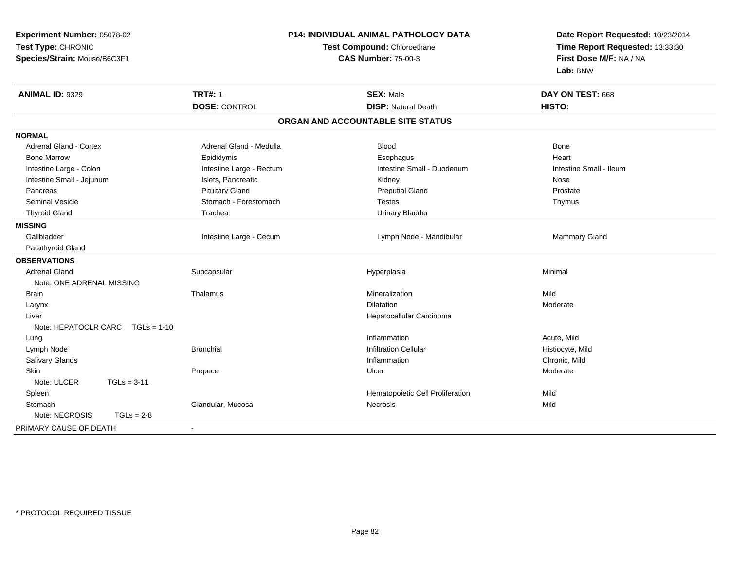| Experiment Number: 05078-02<br>Test Type: CHRONIC<br>Species/Strain: Mouse/B6C3F1 |                          | P14: INDIVIDUAL ANIMAL PATHOLOGY DATA<br>Test Compound: Chloroethane<br><b>CAS Number: 75-00-3</b> | Date Report Requested: 10/23/2014<br>Time Report Requested: 13:33:30<br>First Dose M/F: NA / NA<br>Lab: BNW |  |
|-----------------------------------------------------------------------------------|--------------------------|----------------------------------------------------------------------------------------------------|-------------------------------------------------------------------------------------------------------------|--|
| <b>ANIMAL ID: 9329</b>                                                            | <b>TRT#: 1</b>           | <b>SEX: Male</b>                                                                                   | DAY ON TEST: 668                                                                                            |  |
|                                                                                   | <b>DOSE: CONTROL</b>     | <b>DISP: Natural Death</b>                                                                         | HISTO:                                                                                                      |  |
|                                                                                   |                          | ORGAN AND ACCOUNTABLE SITE STATUS                                                                  |                                                                                                             |  |
| <b>NORMAL</b>                                                                     |                          |                                                                                                    |                                                                                                             |  |
| Adrenal Gland - Cortex                                                            | Adrenal Gland - Medulla  | <b>Blood</b>                                                                                       | Bone                                                                                                        |  |
| <b>Bone Marrow</b>                                                                | Epididymis               | Esophagus                                                                                          | Heart                                                                                                       |  |
| Intestine Large - Colon                                                           | Intestine Large - Rectum | Intestine Small - Duodenum                                                                         | Intestine Small - Ileum                                                                                     |  |
| Intestine Small - Jejunum                                                         | Islets, Pancreatic       | Kidney                                                                                             | Nose                                                                                                        |  |
| Pancreas                                                                          | <b>Pituitary Gland</b>   | <b>Preputial Gland</b>                                                                             | Prostate                                                                                                    |  |
| <b>Seminal Vesicle</b>                                                            | Stomach - Forestomach    | <b>Testes</b>                                                                                      | Thymus                                                                                                      |  |
| <b>Thyroid Gland</b>                                                              | Trachea                  | <b>Urinary Bladder</b>                                                                             |                                                                                                             |  |
| <b>MISSING</b>                                                                    |                          |                                                                                                    |                                                                                                             |  |
| Gallbladder                                                                       | Intestine Large - Cecum  | Lymph Node - Mandibular                                                                            | Mammary Gland                                                                                               |  |
| Parathyroid Gland                                                                 |                          |                                                                                                    |                                                                                                             |  |
| <b>OBSERVATIONS</b>                                                               |                          |                                                                                                    |                                                                                                             |  |
| <b>Adrenal Gland</b>                                                              | Subcapsular              | Hyperplasia                                                                                        | Minimal                                                                                                     |  |
| Note: ONE ADRENAL MISSING                                                         |                          |                                                                                                    |                                                                                                             |  |
| <b>Brain</b>                                                                      | Thalamus                 | Mineralization                                                                                     | Mild                                                                                                        |  |
| Larynx                                                                            |                          | <b>Dilatation</b>                                                                                  | Moderate                                                                                                    |  |
| Liver                                                                             |                          | Hepatocellular Carcinoma                                                                           |                                                                                                             |  |
| Note: HEPATOCLR CARC TGLs = 1-10                                                  |                          |                                                                                                    |                                                                                                             |  |
| Lung                                                                              |                          | Inflammation                                                                                       | Acute, Mild                                                                                                 |  |
| Lymph Node                                                                        | <b>Bronchial</b>         | <b>Infiltration Cellular</b>                                                                       | Histiocyte, Mild                                                                                            |  |
| Salivary Glands                                                                   |                          | Inflammation                                                                                       | Chronic, Mild                                                                                               |  |
| <b>Skin</b>                                                                       | Prepuce                  | Ulcer                                                                                              | Moderate                                                                                                    |  |
| Note: ULCER<br>$TGLs = 3-11$                                                      |                          |                                                                                                    |                                                                                                             |  |
| Spleen                                                                            |                          | Hematopoietic Cell Proliferation                                                                   | Mild                                                                                                        |  |
| Stomach                                                                           | Glandular, Mucosa        | <b>Necrosis</b>                                                                                    | Mild                                                                                                        |  |
| Note: NECROSIS<br>$TGLs = 2-8$                                                    |                          |                                                                                                    |                                                                                                             |  |
| PRIMARY CAUSE OF DEATH                                                            | $\blacksquare$           |                                                                                                    |                                                                                                             |  |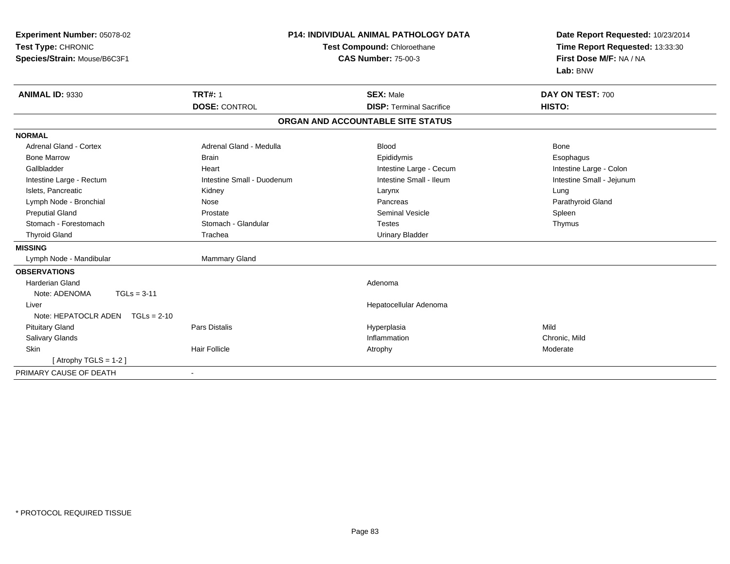| Experiment Number: 05078-02<br>Test Type: CHRONIC<br>Species/Strain: Mouse/B6C3F1 | <b>P14: INDIVIDUAL ANIMAL PATHOLOGY DATA</b><br>Test Compound: Chloroethane<br><b>CAS Number: 75-00-3</b> |  | Date Report Requested: 10/23/2014<br>Time Report Requested: 13:33:30<br>First Dose M/F: NA / NA<br>Lab: BNW |                           |
|-----------------------------------------------------------------------------------|-----------------------------------------------------------------------------------------------------------|--|-------------------------------------------------------------------------------------------------------------|---------------------------|
| <b>ANIMAL ID: 9330</b>                                                            | <b>TRT#: 1</b>                                                                                            |  | <b>SEX: Male</b>                                                                                            | DAY ON TEST: 700          |
|                                                                                   | <b>DOSE: CONTROL</b>                                                                                      |  | <b>DISP: Terminal Sacrifice</b>                                                                             | HISTO:                    |
|                                                                                   |                                                                                                           |  | ORGAN AND ACCOUNTABLE SITE STATUS                                                                           |                           |
| <b>NORMAL</b>                                                                     |                                                                                                           |  |                                                                                                             |                           |
| Adrenal Gland - Cortex                                                            | Adrenal Gland - Medulla                                                                                   |  | <b>Blood</b>                                                                                                | Bone                      |
| <b>Bone Marrow</b>                                                                | <b>Brain</b>                                                                                              |  | Epididymis                                                                                                  | Esophagus                 |
| Gallbladder                                                                       | Heart                                                                                                     |  | Intestine Large - Cecum                                                                                     | Intestine Large - Colon   |
| Intestine Large - Rectum                                                          | Intestine Small - Duodenum                                                                                |  | Intestine Small - Ileum                                                                                     | Intestine Small - Jejunum |
| Islets, Pancreatic                                                                | Kidney                                                                                                    |  | Larynx                                                                                                      | Lung                      |
| Lymph Node - Bronchial                                                            | Nose                                                                                                      |  | Pancreas                                                                                                    | Parathyroid Gland         |
| <b>Preputial Gland</b>                                                            | Prostate                                                                                                  |  | <b>Seminal Vesicle</b>                                                                                      | Spleen                    |
| Stomach - Forestomach                                                             | Stomach - Glandular                                                                                       |  | <b>Testes</b>                                                                                               | Thymus                    |
| <b>Thyroid Gland</b>                                                              | Trachea                                                                                                   |  | <b>Urinary Bladder</b>                                                                                      |                           |
| <b>MISSING</b>                                                                    |                                                                                                           |  |                                                                                                             |                           |
| Lymph Node - Mandibular                                                           | Mammary Gland                                                                                             |  |                                                                                                             |                           |
| <b>OBSERVATIONS</b>                                                               |                                                                                                           |  |                                                                                                             |                           |
| <b>Harderian Gland</b>                                                            |                                                                                                           |  | Adenoma                                                                                                     |                           |
| $TGLs = 3-11$<br>Note: ADENOMA                                                    |                                                                                                           |  |                                                                                                             |                           |
| Liver                                                                             |                                                                                                           |  | Hepatocellular Adenoma                                                                                      |                           |
| Note: HEPATOCLR ADEN<br>$TGLs = 2-10$                                             |                                                                                                           |  |                                                                                                             |                           |
| <b>Pituitary Gland</b>                                                            | <b>Pars Distalis</b>                                                                                      |  | Hyperplasia                                                                                                 | Mild                      |
| Salivary Glands                                                                   |                                                                                                           |  | Inflammation                                                                                                | Chronic, Mild             |
| <b>Skin</b>                                                                       | <b>Hair Follicle</b>                                                                                      |  | Atrophy                                                                                                     | Moderate                  |
| [Atrophy TGLS = $1-2$ ]                                                           |                                                                                                           |  |                                                                                                             |                           |
| PRIMARY CAUSE OF DEATH                                                            | ۰                                                                                                         |  |                                                                                                             |                           |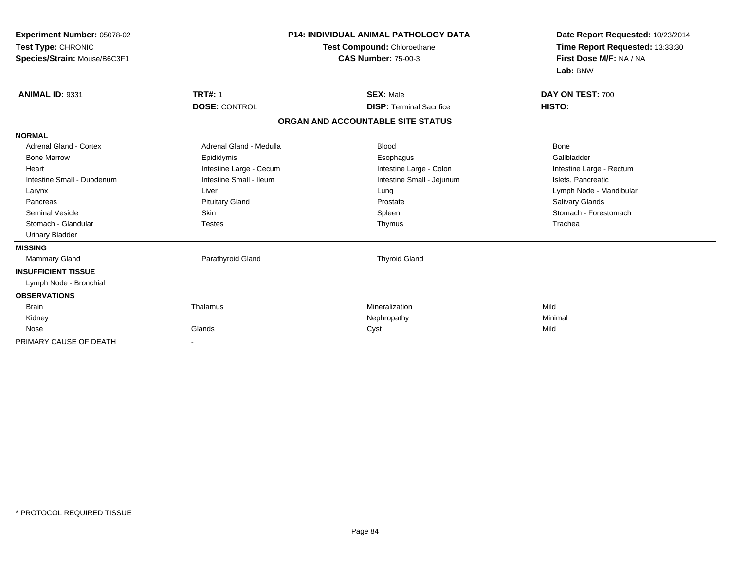| Experiment Number: 05078-02<br>Test Type: CHRONIC<br>Species/Strain: Mouse/B6C3F1 |                         | <b>P14: INDIVIDUAL ANIMAL PATHOLOGY DATA</b><br>Test Compound: Chloroethane<br><b>CAS Number: 75-00-3</b> | Date Report Requested: 10/23/2014<br>Time Report Requested: 13:33:30<br>First Dose M/F: NA / NA<br>Lab: BNW |
|-----------------------------------------------------------------------------------|-------------------------|-----------------------------------------------------------------------------------------------------------|-------------------------------------------------------------------------------------------------------------|
| <b>ANIMAL ID: 9331</b>                                                            | <b>TRT#: 1</b>          | <b>SEX: Male</b>                                                                                          | DAY ON TEST: 700                                                                                            |
|                                                                                   | <b>DOSE: CONTROL</b>    | <b>DISP: Terminal Sacrifice</b>                                                                           | HISTO:                                                                                                      |
|                                                                                   |                         | ORGAN AND ACCOUNTABLE SITE STATUS                                                                         |                                                                                                             |
| <b>NORMAL</b>                                                                     |                         |                                                                                                           |                                                                                                             |
| <b>Adrenal Gland - Cortex</b>                                                     | Adrenal Gland - Medulla | <b>Blood</b>                                                                                              | <b>Bone</b>                                                                                                 |
| <b>Bone Marrow</b>                                                                | Epididymis              | Esophagus                                                                                                 | Gallbladder                                                                                                 |
| Heart                                                                             | Intestine Large - Cecum | Intestine Large - Colon                                                                                   | Intestine Large - Rectum                                                                                    |
| Intestine Small - Duodenum                                                        | Intestine Small - Ileum | Intestine Small - Jejunum                                                                                 | Islets, Pancreatic                                                                                          |
| Larynx                                                                            | Liver                   | Lung                                                                                                      | Lymph Node - Mandibular                                                                                     |
| Pancreas                                                                          | <b>Pituitary Gland</b>  | Prostate                                                                                                  | <b>Salivary Glands</b>                                                                                      |
| <b>Seminal Vesicle</b>                                                            | <b>Skin</b>             | Spleen                                                                                                    | Stomach - Forestomach                                                                                       |
| Stomach - Glandular                                                               | <b>Testes</b>           | Thymus                                                                                                    | Trachea                                                                                                     |
| <b>Urinary Bladder</b>                                                            |                         |                                                                                                           |                                                                                                             |
| <b>MISSING</b>                                                                    |                         |                                                                                                           |                                                                                                             |
| Mammary Gland                                                                     | Parathyroid Gland       | <b>Thyroid Gland</b>                                                                                      |                                                                                                             |
| <b>INSUFFICIENT TISSUE</b>                                                        |                         |                                                                                                           |                                                                                                             |
| Lymph Node - Bronchial                                                            |                         |                                                                                                           |                                                                                                             |
| <b>OBSERVATIONS</b>                                                               |                         |                                                                                                           |                                                                                                             |
| <b>Brain</b>                                                                      | Thalamus                | Mineralization                                                                                            | Mild                                                                                                        |
| Kidney                                                                            |                         | Nephropathy                                                                                               | Minimal                                                                                                     |
| Nose                                                                              | Glands                  | Cyst                                                                                                      | Mild                                                                                                        |
| PRIMARY CAUSE OF DEATH                                                            |                         |                                                                                                           |                                                                                                             |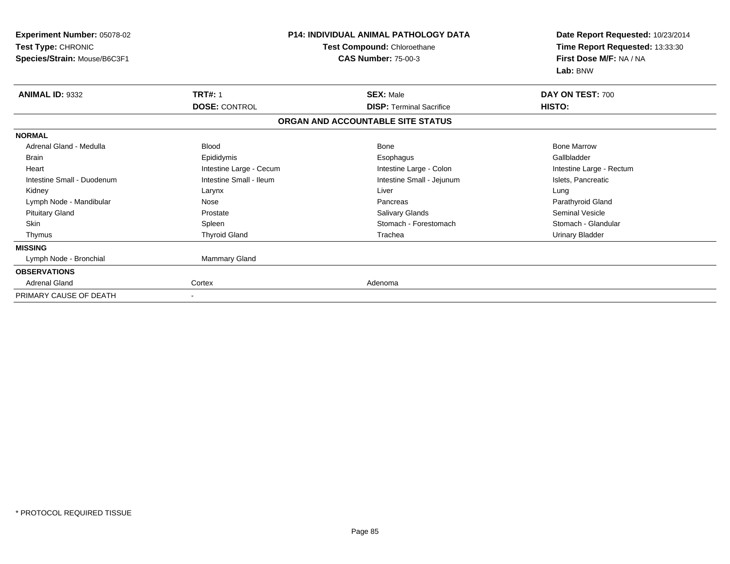| Experiment Number: 05078-02<br>Test Type: CHRONIC<br>Species/Strain: Mouse/B6C3F1 |                         | <b>P14: INDIVIDUAL ANIMAL PATHOLOGY DATA</b><br><b>Test Compound: Chloroethane</b><br><b>CAS Number: 75-00-3</b> | Date Report Requested: 10/23/2014<br>Time Report Requested: 13:33:30<br>First Dose M/F: NA / NA<br>Lab: BNW |  |
|-----------------------------------------------------------------------------------|-------------------------|------------------------------------------------------------------------------------------------------------------|-------------------------------------------------------------------------------------------------------------|--|
| <b>ANIMAL ID: 9332</b>                                                            | <b>TRT#: 1</b>          | <b>SEX: Male</b>                                                                                                 | DAY ON TEST: 700                                                                                            |  |
|                                                                                   | <b>DOSE: CONTROL</b>    | <b>DISP: Terminal Sacrifice</b>                                                                                  | HISTO:                                                                                                      |  |
|                                                                                   |                         | ORGAN AND ACCOUNTABLE SITE STATUS                                                                                |                                                                                                             |  |
| <b>NORMAL</b>                                                                     |                         |                                                                                                                  |                                                                                                             |  |
| Adrenal Gland - Medulla                                                           | <b>Blood</b>            | <b>Bone</b>                                                                                                      | <b>Bone Marrow</b>                                                                                          |  |
| <b>Brain</b>                                                                      | Epididymis              | Esophagus                                                                                                        | Gallbladder                                                                                                 |  |
| Heart                                                                             | Intestine Large - Cecum | Intestine Large - Colon                                                                                          | Intestine Large - Rectum                                                                                    |  |
| Intestine Small - Duodenum                                                        | Intestine Small - Ileum | Intestine Small - Jejunum                                                                                        | Islets, Pancreatic                                                                                          |  |
| Kidney                                                                            | Larynx                  | Liver                                                                                                            | Lung                                                                                                        |  |
| Lymph Node - Mandibular                                                           | Nose                    | Pancreas                                                                                                         | Parathyroid Gland                                                                                           |  |
| <b>Pituitary Gland</b>                                                            | Prostate                | Salivary Glands                                                                                                  | <b>Seminal Vesicle</b>                                                                                      |  |
| Skin                                                                              | Spleen                  | Stomach - Forestomach                                                                                            | Stomach - Glandular                                                                                         |  |
| Thymus                                                                            | <b>Thyroid Gland</b>    | Trachea                                                                                                          | <b>Urinary Bladder</b>                                                                                      |  |
| <b>MISSING</b>                                                                    |                         |                                                                                                                  |                                                                                                             |  |
| Lymph Node - Bronchial                                                            | Mammary Gland           |                                                                                                                  |                                                                                                             |  |
| <b>OBSERVATIONS</b>                                                               |                         |                                                                                                                  |                                                                                                             |  |
| <b>Adrenal Gland</b>                                                              | Cortex                  | Adenoma                                                                                                          |                                                                                                             |  |
| PRIMARY CAUSE OF DEATH                                                            |                         |                                                                                                                  |                                                                                                             |  |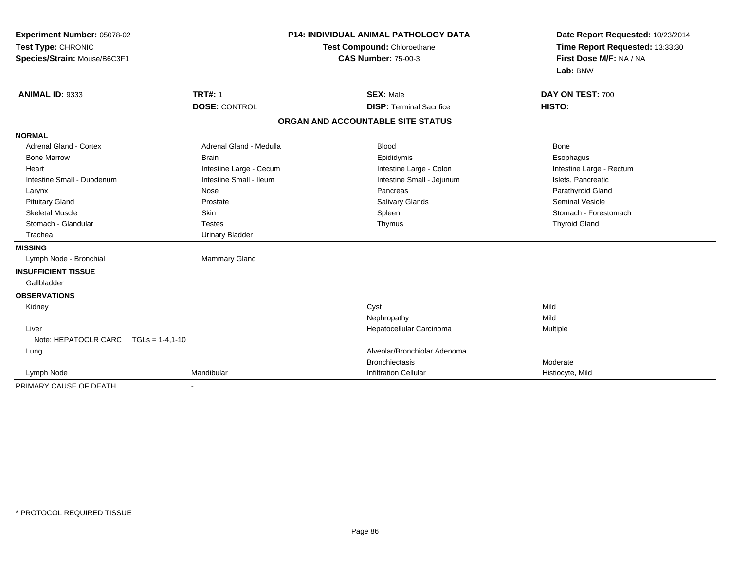| Experiment Number: 05078-02<br>Test Type: CHRONIC<br>Species/Strain: Mouse/B6C3F1 |                         | P14: INDIVIDUAL ANIMAL PATHOLOGY DATA<br>Test Compound: Chloroethane<br><b>CAS Number: 75-00-3</b> | Date Report Requested: 10/23/2014<br>Time Report Requested: 13:33:30<br>First Dose M/F: NA / NA<br>Lab: BNW |  |
|-----------------------------------------------------------------------------------|-------------------------|----------------------------------------------------------------------------------------------------|-------------------------------------------------------------------------------------------------------------|--|
| ANIMAL ID: 9333                                                                   | <b>TRT#: 1</b>          | <b>SEX: Male</b>                                                                                   | DAY ON TEST: 700                                                                                            |  |
|                                                                                   | <b>DOSE: CONTROL</b>    | <b>DISP: Terminal Sacrifice</b>                                                                    | HISTO:                                                                                                      |  |
|                                                                                   |                         | ORGAN AND ACCOUNTABLE SITE STATUS                                                                  |                                                                                                             |  |
| <b>NORMAL</b>                                                                     |                         |                                                                                                    |                                                                                                             |  |
| Adrenal Gland - Cortex                                                            | Adrenal Gland - Medulla | <b>Blood</b>                                                                                       | Bone                                                                                                        |  |
| <b>Bone Marrow</b>                                                                | <b>Brain</b>            | Epididymis                                                                                         | Esophagus                                                                                                   |  |
| Heart                                                                             | Intestine Large - Cecum | Intestine Large - Colon                                                                            | Intestine Large - Rectum                                                                                    |  |
| Intestine Small - Duodenum                                                        | Intestine Small - Ileum | Intestine Small - Jejunum                                                                          | Islets, Pancreatic                                                                                          |  |
| Larynx                                                                            | Nose                    | Pancreas                                                                                           | Parathyroid Gland                                                                                           |  |
| <b>Pituitary Gland</b>                                                            | Prostate                | Salivary Glands                                                                                    | <b>Seminal Vesicle</b>                                                                                      |  |
| <b>Skeletal Muscle</b>                                                            | <b>Skin</b>             | Spleen                                                                                             | Stomach - Forestomach                                                                                       |  |
| Stomach - Glandular                                                               | <b>Testes</b>           | Thymus                                                                                             | <b>Thyroid Gland</b>                                                                                        |  |
| Trachea                                                                           | <b>Urinary Bladder</b>  |                                                                                                    |                                                                                                             |  |
| <b>MISSING</b>                                                                    |                         |                                                                                                    |                                                                                                             |  |
| Lymph Node - Bronchial                                                            | Mammary Gland           |                                                                                                    |                                                                                                             |  |
| <b>INSUFFICIENT TISSUE</b>                                                        |                         |                                                                                                    |                                                                                                             |  |
| Gallbladder                                                                       |                         |                                                                                                    |                                                                                                             |  |
| <b>OBSERVATIONS</b>                                                               |                         |                                                                                                    |                                                                                                             |  |
| Kidney                                                                            |                         | Cyst                                                                                               | Mild                                                                                                        |  |
|                                                                                   |                         | Nephropathy                                                                                        | Mild                                                                                                        |  |
| Liver                                                                             |                         | Hepatocellular Carcinoma                                                                           | Multiple                                                                                                    |  |
| Note: HEPATOCLR CARC TGLs = 1-4,1-10                                              |                         |                                                                                                    |                                                                                                             |  |
| Lung                                                                              |                         | Alveolar/Bronchiolar Adenoma                                                                       |                                                                                                             |  |
|                                                                                   |                         | <b>Bronchiectasis</b>                                                                              | Moderate                                                                                                    |  |
| Lymph Node                                                                        | Mandibular              | <b>Infiltration Cellular</b>                                                                       | Histiocyte, Mild                                                                                            |  |
| PRIMARY CAUSE OF DEATH                                                            |                         |                                                                                                    |                                                                                                             |  |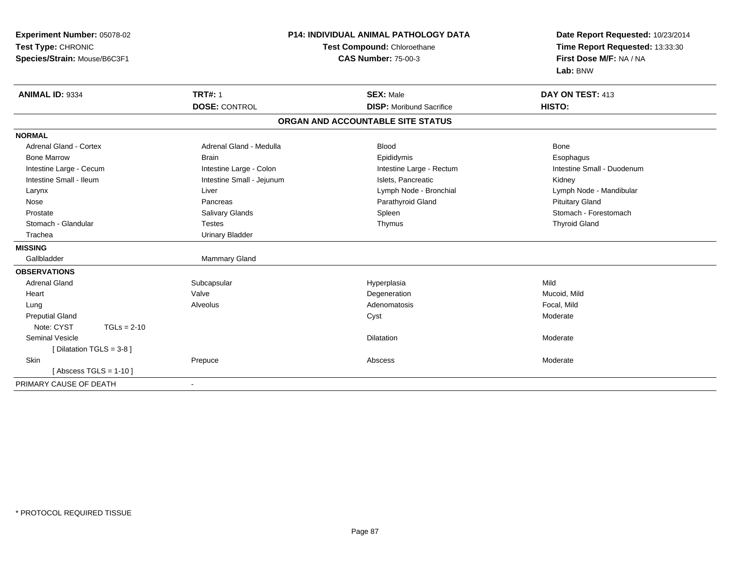| <b>Experiment Number: 05078-02</b> |                           | P14: INDIVIDUAL ANIMAL PATHOLOGY DATA | Date Report Requested: 10/23/2014 |  |
|------------------------------------|---------------------------|---------------------------------------|-----------------------------------|--|
| Test Type: CHRONIC                 |                           | Test Compound: Chloroethane           | Time Report Requested: 13:33:30   |  |
| Species/Strain: Mouse/B6C3F1       |                           | First Dose M/F: NA / NA               |                                   |  |
|                                    |                           |                                       | Lab: BNW                          |  |
| ANIMAL ID: 9334                    | <b>TRT#: 1</b>            | <b>SEX: Male</b>                      | DAY ON TEST: 413                  |  |
|                                    | <b>DOSE: CONTROL</b>      | <b>DISP:</b> Moribund Sacrifice       | HISTO:                            |  |
|                                    |                           | ORGAN AND ACCOUNTABLE SITE STATUS     |                                   |  |
| <b>NORMAL</b>                      |                           |                                       |                                   |  |
| <b>Adrenal Gland - Cortex</b>      | Adrenal Gland - Medulla   | <b>Blood</b>                          | <b>Bone</b>                       |  |
| <b>Bone Marrow</b>                 | <b>Brain</b>              | Epididymis                            | Esophagus                         |  |
| Intestine Large - Cecum            | Intestine Large - Colon   | Intestine Large - Rectum              | Intestine Small - Duodenum        |  |
| Intestine Small - Ileum            | Intestine Small - Jejunum | Islets, Pancreatic                    | Kidney                            |  |
| Larynx                             | Liver                     | Lymph Node - Bronchial                | Lymph Node - Mandibular           |  |
| Nose                               | Pancreas                  | Parathyroid Gland                     | <b>Pituitary Gland</b>            |  |
| Prostate                           | Salivary Glands           | Spleen                                | Stomach - Forestomach             |  |
| Stomach - Glandular                | <b>Testes</b>             | Thymus                                | <b>Thyroid Gland</b>              |  |
| Trachea                            | <b>Urinary Bladder</b>    |                                       |                                   |  |
| <b>MISSING</b>                     |                           |                                       |                                   |  |
| Gallbladder                        | Mammary Gland             |                                       |                                   |  |
| <b>OBSERVATIONS</b>                |                           |                                       |                                   |  |
| <b>Adrenal Gland</b>               | Subcapsular               | Hyperplasia                           | Mild                              |  |
| Heart                              | Valve                     | Degeneration                          | Mucoid, Mild                      |  |
| Lung                               | Alveolus                  | Adenomatosis                          | Focal, Mild                       |  |
| <b>Preputial Gland</b>             |                           | Cyst                                  | Moderate                          |  |
| Note: CYST<br>$TGLs = 2-10$        |                           |                                       |                                   |  |
| <b>Seminal Vesicle</b>             |                           | <b>Dilatation</b>                     | Moderate                          |  |
| [ Dilatation TGLS = $3-8$ ]        |                           |                                       |                                   |  |
| Skin                               | Prepuce                   | Abscess                               | Moderate                          |  |
| [Abscess TGLS = $1-10$ ]           |                           |                                       |                                   |  |
| PRIMARY CAUSE OF DEATH             | $\blacksquare$            |                                       |                                   |  |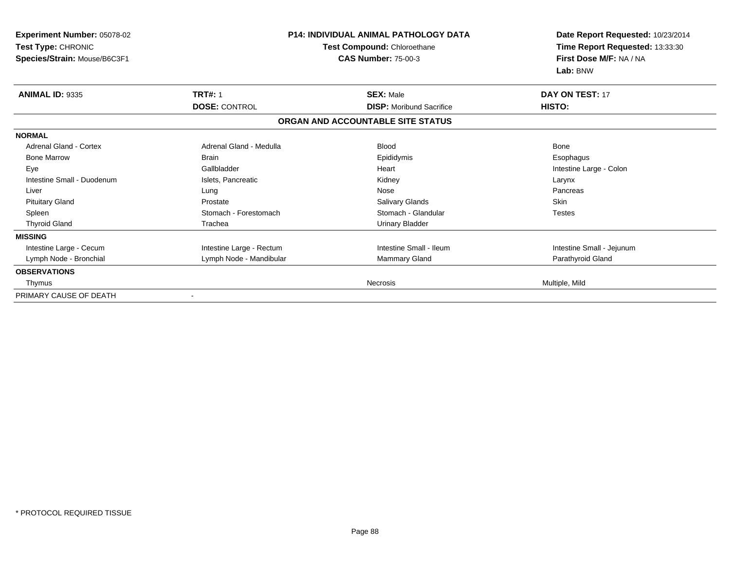| Experiment Number: 05078-02<br>Test Type: CHRONIC<br>Species/Strain: Mouse/B6C3F1 |                          | <b>P14: INDIVIDUAL ANIMAL PATHOLOGY DATA</b><br>Test Compound: Chloroethane<br><b>CAS Number: 75-00-3</b> | Date Report Requested: 10/23/2014<br>Time Report Requested: 13:33:30<br>First Dose M/F: NA / NA<br>Lab: BNW |  |
|-----------------------------------------------------------------------------------|--------------------------|-----------------------------------------------------------------------------------------------------------|-------------------------------------------------------------------------------------------------------------|--|
| <b>ANIMAL ID: 9335</b>                                                            | <b>TRT#: 1</b>           | <b>SEX: Male</b>                                                                                          | DAY ON TEST: 17                                                                                             |  |
|                                                                                   | <b>DOSE: CONTROL</b>     | <b>DISP:</b> Moribund Sacrifice                                                                           | <b>HISTO:</b>                                                                                               |  |
|                                                                                   |                          | ORGAN AND ACCOUNTABLE SITE STATUS                                                                         |                                                                                                             |  |
| <b>NORMAL</b>                                                                     |                          |                                                                                                           |                                                                                                             |  |
| Adrenal Gland - Cortex                                                            | Adrenal Gland - Medulla  | <b>Blood</b>                                                                                              | Bone                                                                                                        |  |
| <b>Bone Marrow</b>                                                                | <b>Brain</b>             | Epididymis                                                                                                | Esophagus                                                                                                   |  |
| Eye                                                                               | Gallbladder              | Heart                                                                                                     | Intestine Large - Colon                                                                                     |  |
| Intestine Small - Duodenum                                                        | Islets, Pancreatic       | Kidney                                                                                                    | Larynx                                                                                                      |  |
| Liver                                                                             | Lung                     | Nose                                                                                                      | Pancreas                                                                                                    |  |
| <b>Pituitary Gland</b>                                                            | Prostate                 | <b>Salivary Glands</b>                                                                                    | <b>Skin</b>                                                                                                 |  |
| Spleen                                                                            | Stomach - Forestomach    | Stomach - Glandular                                                                                       | <b>Testes</b>                                                                                               |  |
| <b>Thyroid Gland</b>                                                              | Trachea                  | <b>Urinary Bladder</b>                                                                                    |                                                                                                             |  |
| <b>MISSING</b>                                                                    |                          |                                                                                                           |                                                                                                             |  |
| Intestine Large - Cecum                                                           | Intestine Large - Rectum | Intestine Small - Ileum                                                                                   | Intestine Small - Jejunum                                                                                   |  |
| Lymph Node - Bronchial                                                            | Lymph Node - Mandibular  | <b>Mammary Gland</b>                                                                                      | Parathyroid Gland                                                                                           |  |
| <b>OBSERVATIONS</b>                                                               |                          |                                                                                                           |                                                                                                             |  |
| Thymus                                                                            |                          | <b>Necrosis</b>                                                                                           | Multiple, Mild                                                                                              |  |
| PRIMARY CAUSE OF DEATH                                                            | $\overline{\phantom{a}}$ |                                                                                                           |                                                                                                             |  |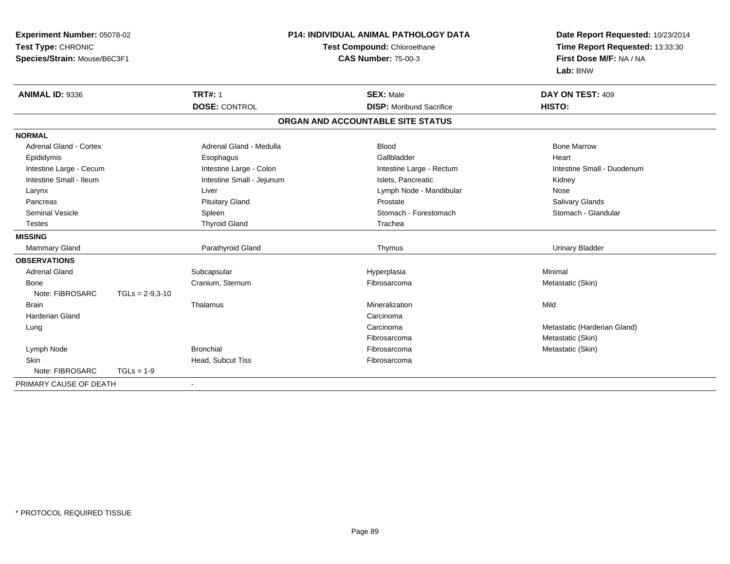| Experiment Number: 05078-02<br>Test Type: CHRONIC |                   |                            | P14: INDIVIDUAL ANIMAL PATHOLOGY DATA | Date Report Requested: 10/23/2014 |  |
|---------------------------------------------------|-------------------|----------------------------|---------------------------------------|-----------------------------------|--|
|                                                   |                   |                            | Test Compound: Chloroethane           | Time Report Requested: 13:33:30   |  |
| Species/Strain: Mouse/B6C3F1                      |                   | <b>CAS Number: 75-00-3</b> |                                       | First Dose M/F: NA / NA           |  |
|                                                   |                   |                            |                                       | Lab: BNW                          |  |
| ANIMAL ID: 9336                                   |                   | <b>TRT#: 1</b>             | <b>SEX: Male</b>                      | DAY ON TEST: 409                  |  |
|                                                   |                   | <b>DOSE: CONTROL</b>       | <b>DISP:</b> Moribund Sacrifice       | HISTO:                            |  |
|                                                   |                   |                            | ORGAN AND ACCOUNTABLE SITE STATUS     |                                   |  |
| <b>NORMAL</b>                                     |                   |                            |                                       |                                   |  |
| <b>Adrenal Gland - Cortex</b>                     |                   | Adrenal Gland - Medulla    | <b>Blood</b>                          | <b>Bone Marrow</b>                |  |
| Epididymis                                        |                   | Esophagus                  | Gallbladder                           | Heart                             |  |
| Intestine Large - Cecum                           |                   | Intestine Large - Colon    | Intestine Large - Rectum              | Intestine Small - Duodenum        |  |
| Intestine Small - Ileum                           |                   | Intestine Small - Jejunum  | Islets, Pancreatic                    | Kidney                            |  |
| Larynx                                            |                   | Liver                      | Lymph Node - Mandibular               | Nose                              |  |
| Pancreas                                          |                   | <b>Pituitary Gland</b>     | Prostate                              | Salivary Glands                   |  |
| <b>Seminal Vesicle</b>                            |                   | Spleen                     | Stomach - Forestomach                 | Stomach - Glandular               |  |
| <b>Testes</b>                                     |                   | <b>Thyroid Gland</b>       | Trachea                               |                                   |  |
| <b>MISSING</b>                                    |                   |                            |                                       |                                   |  |
| <b>Mammary Gland</b>                              |                   | Parathyroid Gland          | Thymus                                | <b>Urinary Bladder</b>            |  |
| <b>OBSERVATIONS</b>                               |                   |                            |                                       |                                   |  |
| <b>Adrenal Gland</b>                              |                   | Subcapsular                | Hyperplasia                           | Minimal                           |  |
| Bone                                              |                   | Cranium, Sternum           | Fibrosarcoma                          | Metastatic (Skin)                 |  |
| Note: FIBROSARC                                   | $TGLs = 2-9,3-10$ |                            |                                       |                                   |  |
| <b>Brain</b>                                      |                   | Thalamus                   | Mineralization                        | Mild                              |  |
| <b>Harderian Gland</b>                            |                   |                            | Carcinoma                             |                                   |  |
| Lung                                              |                   |                            | Carcinoma                             | Metastatic (Harderian Gland)      |  |
|                                                   |                   |                            | Fibrosarcoma                          | Metastatic (Skin)                 |  |
| Lymph Node                                        |                   | <b>Bronchial</b>           | Fibrosarcoma                          | Metastatic (Skin)                 |  |
| Skin                                              |                   | Head, Subcut Tiss          | Fibrosarcoma                          |                                   |  |
| Note: FIBROSARC                                   | $TGLs = 1-9$      |                            |                                       |                                   |  |
| PRIMARY CAUSE OF DEATH                            |                   | $\blacksquare$             |                                       |                                   |  |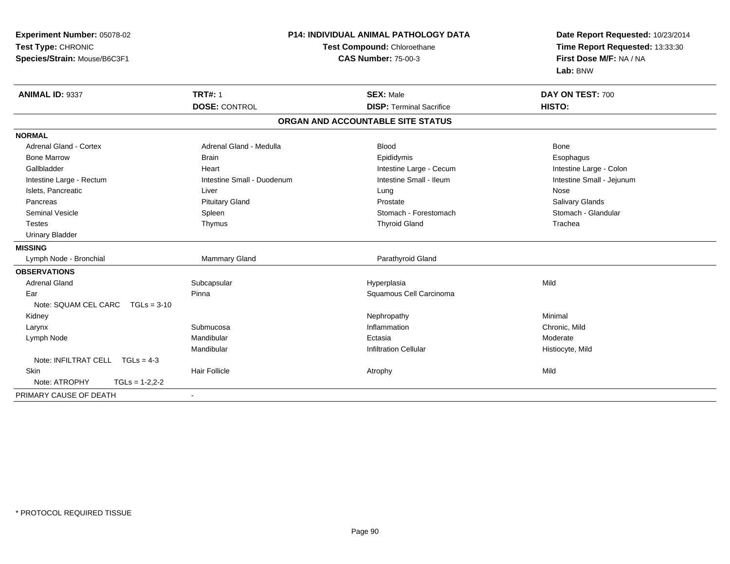| Experiment Number: 05078-02<br>Test Type: CHRONIC<br>Species/Strain: Mouse/B6C3F1 |                            | <b>P14: INDIVIDUAL ANIMAL PATHOLOGY DATA</b><br>Test Compound: Chloroethane<br><b>CAS Number: 75-00-3</b> | Date Report Requested: 10/23/2014<br>Time Report Requested: 13:33:30<br>First Dose M/F: NA / NA |  |
|-----------------------------------------------------------------------------------|----------------------------|-----------------------------------------------------------------------------------------------------------|-------------------------------------------------------------------------------------------------|--|
|                                                                                   |                            |                                                                                                           | Lab: BNW                                                                                        |  |
| ANIMAL ID: 9337                                                                   | <b>TRT#: 1</b>             | <b>SEX: Male</b>                                                                                          | DAY ON TEST: 700                                                                                |  |
|                                                                                   | <b>DOSE: CONTROL</b>       | <b>DISP: Terminal Sacrifice</b>                                                                           | HISTO:                                                                                          |  |
|                                                                                   |                            | ORGAN AND ACCOUNTABLE SITE STATUS                                                                         |                                                                                                 |  |
| <b>NORMAL</b>                                                                     |                            |                                                                                                           |                                                                                                 |  |
| Adrenal Gland - Cortex                                                            | Adrenal Gland - Medulla    | <b>Blood</b>                                                                                              | <b>Bone</b>                                                                                     |  |
| <b>Bone Marrow</b>                                                                | <b>Brain</b>               | Epididymis                                                                                                | Esophagus                                                                                       |  |
| Gallbladder                                                                       | Heart                      | Intestine Large - Cecum                                                                                   | Intestine Large - Colon                                                                         |  |
| Intestine Large - Rectum                                                          | Intestine Small - Duodenum | Intestine Small - Ileum                                                                                   | Intestine Small - Jejunum                                                                       |  |
| Islets, Pancreatic                                                                | Liver                      | Lung                                                                                                      | Nose                                                                                            |  |
| Pancreas                                                                          | <b>Pituitary Gland</b>     | Prostate                                                                                                  | Salivary Glands                                                                                 |  |
| <b>Seminal Vesicle</b>                                                            | Spleen                     | Stomach - Forestomach                                                                                     | Stomach - Glandular                                                                             |  |
| <b>Testes</b>                                                                     | Thymus                     | <b>Thyroid Gland</b>                                                                                      | Trachea                                                                                         |  |
| <b>Urinary Bladder</b>                                                            |                            |                                                                                                           |                                                                                                 |  |
| <b>MISSING</b>                                                                    |                            |                                                                                                           |                                                                                                 |  |
| Lymph Node - Bronchial                                                            | Mammary Gland              | Parathyroid Gland                                                                                         |                                                                                                 |  |
| <b>OBSERVATIONS</b>                                                               |                            |                                                                                                           |                                                                                                 |  |
| <b>Adrenal Gland</b>                                                              | Subcapsular                | Hyperplasia                                                                                               | Mild                                                                                            |  |
| Ear                                                                               | Pinna                      | Squamous Cell Carcinoma                                                                                   |                                                                                                 |  |
| Note: SQUAM CEL CARC<br>$TGLs = 3-10$                                             |                            |                                                                                                           |                                                                                                 |  |
| Kidney                                                                            |                            | Nephropathy                                                                                               | Minimal                                                                                         |  |
| Larynx                                                                            | Submucosa                  | Inflammation                                                                                              | Chronic, Mild                                                                                   |  |
| Lymph Node                                                                        | Mandibular                 | Ectasia                                                                                                   | Moderate                                                                                        |  |
|                                                                                   | Mandibular                 | <b>Infiltration Cellular</b>                                                                              | Histiocyte, Mild                                                                                |  |
| Note: INFILTRAT CELL TGLs = 4-3                                                   |                            |                                                                                                           |                                                                                                 |  |
| <b>Skin</b>                                                                       | <b>Hair Follicle</b>       | Atrophy                                                                                                   | Mild                                                                                            |  |
| Note: ATROPHY<br>$TGLs = 1-2,2-2$                                                 |                            |                                                                                                           |                                                                                                 |  |
| PRIMARY CAUSE OF DEATH                                                            |                            |                                                                                                           |                                                                                                 |  |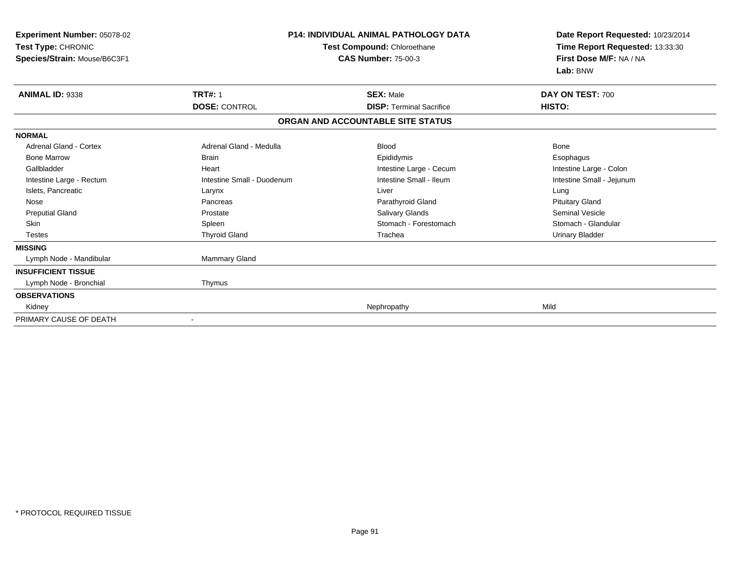| Experiment Number: 05078-02<br>Test Type: CHRONIC<br>Species/Strain: Mouse/B6C3F1 |                            | <b>P14: INDIVIDUAL ANIMAL PATHOLOGY DATA</b><br>Test Compound: Chloroethane<br><b>CAS Number: 75-00-3</b> | Date Report Requested: 10/23/2014<br>Time Report Requested: 13:33:30<br>First Dose M/F: NA / NA<br>Lab: BNW |  |
|-----------------------------------------------------------------------------------|----------------------------|-----------------------------------------------------------------------------------------------------------|-------------------------------------------------------------------------------------------------------------|--|
| <b>ANIMAL ID: 9338</b>                                                            | <b>TRT#: 1</b>             | <b>SEX: Male</b>                                                                                          | DAY ON TEST: 700                                                                                            |  |
|                                                                                   | <b>DOSE: CONTROL</b>       | <b>DISP: Terminal Sacrifice</b>                                                                           | HISTO:                                                                                                      |  |
|                                                                                   |                            | ORGAN AND ACCOUNTABLE SITE STATUS                                                                         |                                                                                                             |  |
| <b>NORMAL</b>                                                                     |                            |                                                                                                           |                                                                                                             |  |
| <b>Adrenal Gland - Cortex</b>                                                     | Adrenal Gland - Medulla    | <b>Blood</b>                                                                                              | Bone                                                                                                        |  |
| <b>Bone Marrow</b>                                                                | <b>Brain</b>               | Epididymis                                                                                                | Esophagus                                                                                                   |  |
| Gallbladder                                                                       | Heart                      | Intestine Large - Cecum                                                                                   | Intestine Large - Colon                                                                                     |  |
| Intestine Large - Rectum                                                          | Intestine Small - Duodenum | Intestine Small - Ileum                                                                                   | Intestine Small - Jejunum                                                                                   |  |
| Islets, Pancreatic                                                                | Larynx                     | Liver                                                                                                     | Lung                                                                                                        |  |
| Nose                                                                              | Pancreas                   | Parathyroid Gland                                                                                         | <b>Pituitary Gland</b>                                                                                      |  |
| <b>Preputial Gland</b>                                                            | Prostate                   | Salivary Glands                                                                                           | <b>Seminal Vesicle</b>                                                                                      |  |
| <b>Skin</b>                                                                       | Spleen                     | Stomach - Forestomach                                                                                     | Stomach - Glandular                                                                                         |  |
| <b>Testes</b>                                                                     | <b>Thyroid Gland</b>       | Trachea                                                                                                   | <b>Urinary Bladder</b>                                                                                      |  |
| <b>MISSING</b>                                                                    |                            |                                                                                                           |                                                                                                             |  |
| Lymph Node - Mandibular                                                           | Mammary Gland              |                                                                                                           |                                                                                                             |  |
| <b>INSUFFICIENT TISSUE</b>                                                        |                            |                                                                                                           |                                                                                                             |  |
| Lymph Node - Bronchial                                                            | Thymus                     |                                                                                                           |                                                                                                             |  |
| <b>OBSERVATIONS</b>                                                               |                            |                                                                                                           |                                                                                                             |  |
| Kidney                                                                            |                            | Nephropathy                                                                                               | Mild                                                                                                        |  |
| PRIMARY CAUSE OF DEATH                                                            | Ĭ.                         |                                                                                                           |                                                                                                             |  |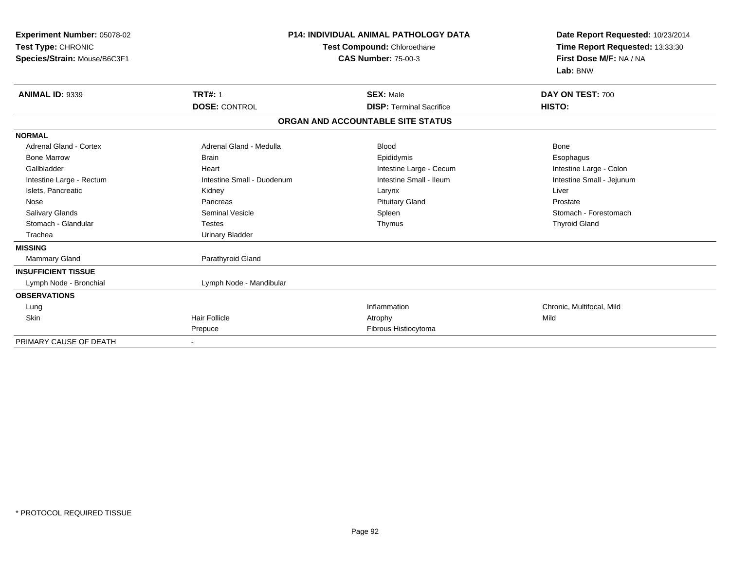| Experiment Number: 05078-02<br>Test Type: CHRONIC<br>Species/Strain: Mouse/B6C3F1 |                            | <b>P14: INDIVIDUAL ANIMAL PATHOLOGY DATA</b><br>Test Compound: Chloroethane<br><b>CAS Number: 75-00-3</b> | Date Report Requested: 10/23/2014<br>Time Report Requested: 13:33:30<br>First Dose M/F: NA / NA<br>Lab: BNW |
|-----------------------------------------------------------------------------------|----------------------------|-----------------------------------------------------------------------------------------------------------|-------------------------------------------------------------------------------------------------------------|
| <b>ANIMAL ID: 9339</b>                                                            | <b>TRT#: 1</b>             | <b>SEX: Male</b>                                                                                          | DAY ON TEST: 700                                                                                            |
|                                                                                   | <b>DOSE: CONTROL</b>       | <b>DISP: Terminal Sacrifice</b>                                                                           | HISTO:                                                                                                      |
|                                                                                   |                            | ORGAN AND ACCOUNTABLE SITE STATUS                                                                         |                                                                                                             |
| <b>NORMAL</b>                                                                     |                            |                                                                                                           |                                                                                                             |
| <b>Adrenal Gland - Cortex</b>                                                     | Adrenal Gland - Medulla    | <b>Blood</b>                                                                                              | Bone                                                                                                        |
| <b>Bone Marrow</b>                                                                | <b>Brain</b>               | Epididymis                                                                                                | Esophagus                                                                                                   |
| Gallbladder                                                                       | Heart                      | Intestine Large - Cecum                                                                                   | Intestine Large - Colon                                                                                     |
| Intestine Large - Rectum                                                          | Intestine Small - Duodenum | Intestine Small - Ileum                                                                                   | Intestine Small - Jejunum                                                                                   |
| Islets, Pancreatic                                                                | Kidney                     | Larynx                                                                                                    | Liver                                                                                                       |
| Nose                                                                              | Pancreas                   | <b>Pituitary Gland</b>                                                                                    | Prostate                                                                                                    |
| <b>Salivary Glands</b>                                                            | Seminal Vesicle            | Spleen                                                                                                    | Stomach - Forestomach                                                                                       |
| Stomach - Glandular                                                               | <b>Testes</b>              | Thymus                                                                                                    | <b>Thyroid Gland</b>                                                                                        |
| Trachea                                                                           | <b>Urinary Bladder</b>     |                                                                                                           |                                                                                                             |
| <b>MISSING</b>                                                                    |                            |                                                                                                           |                                                                                                             |
| Mammary Gland                                                                     | Parathyroid Gland          |                                                                                                           |                                                                                                             |
| <b>INSUFFICIENT TISSUE</b>                                                        |                            |                                                                                                           |                                                                                                             |
| Lymph Node - Bronchial                                                            | Lymph Node - Mandibular    |                                                                                                           |                                                                                                             |
| <b>OBSERVATIONS</b>                                                               |                            |                                                                                                           |                                                                                                             |
| Lung                                                                              |                            | Inflammation                                                                                              | Chronic, Multifocal, Mild                                                                                   |
| Skin                                                                              | <b>Hair Follicle</b>       | Atrophy                                                                                                   | Mild                                                                                                        |
|                                                                                   | Prepuce                    | Fibrous Histiocytoma                                                                                      |                                                                                                             |
| PRIMARY CAUSE OF DEATH                                                            |                            |                                                                                                           |                                                                                                             |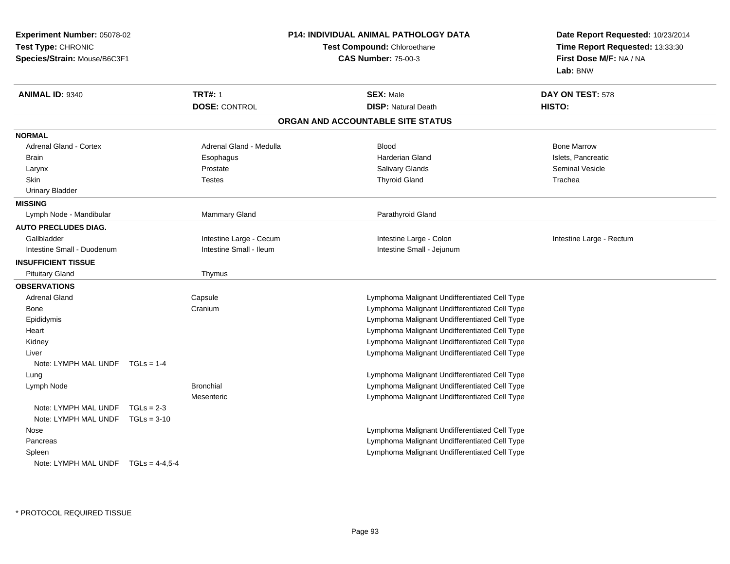| <b>Experiment Number: 05078-02</b><br>Test Type: CHRONIC<br>Species/Strain: Mouse/B6C3F1 |               |                         | <b>P14: INDIVIDUAL ANIMAL PATHOLOGY DATA</b><br>Test Compound: Chloroethane<br><b>CAS Number: 75-00-3</b> | Date Report Requested: 10/23/2014<br>Time Report Requested: 13:33:30<br>First Dose M/F: NA / NA<br>Lab: BNW |
|------------------------------------------------------------------------------------------|---------------|-------------------------|-----------------------------------------------------------------------------------------------------------|-------------------------------------------------------------------------------------------------------------|
| ANIMAL ID: 9340                                                                          |               | <b>TRT#: 1</b>          | <b>SEX: Male</b>                                                                                          | DAY ON TEST: 578                                                                                            |
|                                                                                          |               | <b>DOSE: CONTROL</b>    | <b>DISP: Natural Death</b>                                                                                | HISTO:                                                                                                      |
|                                                                                          |               |                         | ORGAN AND ACCOUNTABLE SITE STATUS                                                                         |                                                                                                             |
| <b>NORMAL</b>                                                                            |               |                         |                                                                                                           |                                                                                                             |
| <b>Adrenal Gland - Cortex</b>                                                            |               | Adrenal Gland - Medulla | <b>Blood</b>                                                                                              | <b>Bone Marrow</b>                                                                                          |
| <b>Brain</b>                                                                             |               | Esophagus               | <b>Harderian Gland</b>                                                                                    | Islets, Pancreatic                                                                                          |
| Larynx                                                                                   |               | Prostate                | Salivary Glands                                                                                           | <b>Seminal Vesicle</b>                                                                                      |
| Skin                                                                                     |               | <b>Testes</b>           | <b>Thyroid Gland</b>                                                                                      | Trachea                                                                                                     |
| <b>Urinary Bladder</b>                                                                   |               |                         |                                                                                                           |                                                                                                             |
| <b>MISSING</b>                                                                           |               |                         |                                                                                                           |                                                                                                             |
| Lymph Node - Mandibular                                                                  |               | <b>Mammary Gland</b>    | Parathyroid Gland                                                                                         |                                                                                                             |
| <b>AUTO PRECLUDES DIAG.</b>                                                              |               |                         |                                                                                                           |                                                                                                             |
| Gallbladder                                                                              |               | Intestine Large - Cecum | Intestine Large - Colon                                                                                   | Intestine Large - Rectum                                                                                    |
| Intestine Small - Duodenum                                                               |               | Intestine Small - Ileum | Intestine Small - Jejunum                                                                                 |                                                                                                             |
| <b>INSUFFICIENT TISSUE</b>                                                               |               |                         |                                                                                                           |                                                                                                             |
| <b>Pituitary Gland</b>                                                                   |               | Thymus                  |                                                                                                           |                                                                                                             |
| <b>OBSERVATIONS</b>                                                                      |               |                         |                                                                                                           |                                                                                                             |
| <b>Adrenal Gland</b>                                                                     |               | Capsule                 | Lymphoma Malignant Undifferentiated Cell Type                                                             |                                                                                                             |
| Bone                                                                                     |               | Cranium                 | Lymphoma Malignant Undifferentiated Cell Type                                                             |                                                                                                             |
| Epididymis                                                                               |               |                         | Lymphoma Malignant Undifferentiated Cell Type                                                             |                                                                                                             |
| Heart                                                                                    |               |                         | Lymphoma Malignant Undifferentiated Cell Type                                                             |                                                                                                             |
| Kidney                                                                                   |               |                         | Lymphoma Malignant Undifferentiated Cell Type                                                             |                                                                                                             |
| Liver                                                                                    |               |                         | Lymphoma Malignant Undifferentiated Cell Type                                                             |                                                                                                             |
| Note: LYMPH MAL UNDF                                                                     | $TGLs = 1-4$  |                         |                                                                                                           |                                                                                                             |
| Lung                                                                                     |               |                         | Lymphoma Malignant Undifferentiated Cell Type                                                             |                                                                                                             |
| Lymph Node                                                                               |               | <b>Bronchial</b>        | Lymphoma Malignant Undifferentiated Cell Type                                                             |                                                                                                             |
|                                                                                          |               | Mesenteric              | Lymphoma Malignant Undifferentiated Cell Type                                                             |                                                                                                             |
| Note: LYMPH MAL UNDF                                                                     | $TGLs = 2-3$  |                         |                                                                                                           |                                                                                                             |
| Note: LYMPH MAL UNDF                                                                     | $TGLs = 3-10$ |                         |                                                                                                           |                                                                                                             |
| Nose                                                                                     |               |                         | Lymphoma Malignant Undifferentiated Cell Type                                                             |                                                                                                             |
| Pancreas                                                                                 |               |                         | Lymphoma Malignant Undifferentiated Cell Type                                                             |                                                                                                             |
| Spleen                                                                                   |               |                         | Lymphoma Malignant Undifferentiated Cell Type                                                             |                                                                                                             |
| Note: LYMPH MAL UNDF $TGLs = 4-4,5-4$                                                    |               |                         |                                                                                                           |                                                                                                             |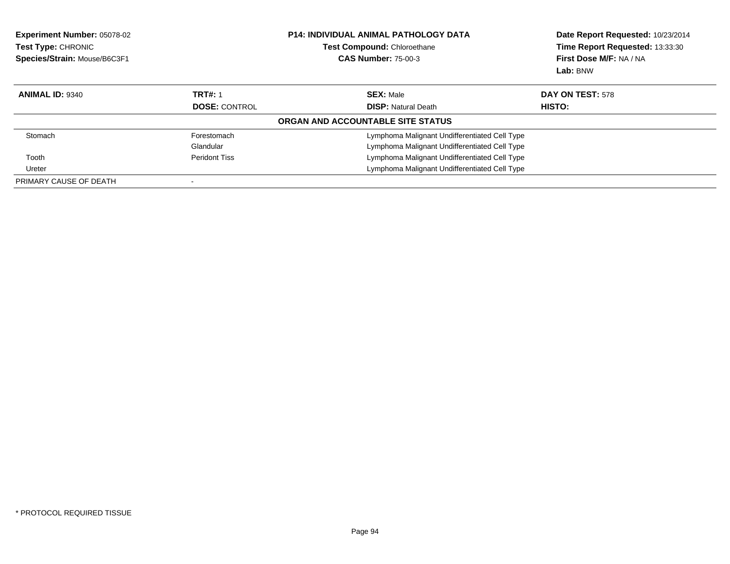| Experiment Number: 05078-02<br>Test Type: CHRONIC<br>Species/Strain: Mouse/B6C3F1 |                      | <b>P14: INDIVIDUAL ANIMAL PATHOLOGY DATA</b><br><b>Test Compound: Chloroethane</b><br><b>CAS Number: 75-00-3</b> | Date Report Requested: 10/23/2014<br>Time Report Requested: 13:33:30<br>First Dose M/F: NA / NA<br>Lab: BNW |
|-----------------------------------------------------------------------------------|----------------------|------------------------------------------------------------------------------------------------------------------|-------------------------------------------------------------------------------------------------------------|
| <b>ANIMAL ID: 9340</b>                                                            | <b>TRT#: 1</b>       | <b>SEX: Male</b>                                                                                                 | DAY ON TEST: 578                                                                                            |
|                                                                                   | <b>DOSE: CONTROL</b> | <b>DISP: Natural Death</b>                                                                                       | HISTO:                                                                                                      |
|                                                                                   |                      | <b>ORGAN AND ACCOUNTABLE SITE STATUS</b>                                                                         |                                                                                                             |
| Stomach                                                                           | Forestomach          | Lymphoma Malignant Undifferentiated Cell Type                                                                    |                                                                                                             |
|                                                                                   | Glandular            | Lymphoma Malignant Undifferentiated Cell Type                                                                    |                                                                                                             |
| Tooth                                                                             | Peridont Tiss        | Lymphoma Malignant Undifferentiated Cell Type                                                                    |                                                                                                             |
| Ureter                                                                            |                      | Lymphoma Malignant Undifferentiated Cell Type                                                                    |                                                                                                             |
| PRIMARY CAUSE OF DEATH                                                            |                      |                                                                                                                  |                                                                                                             |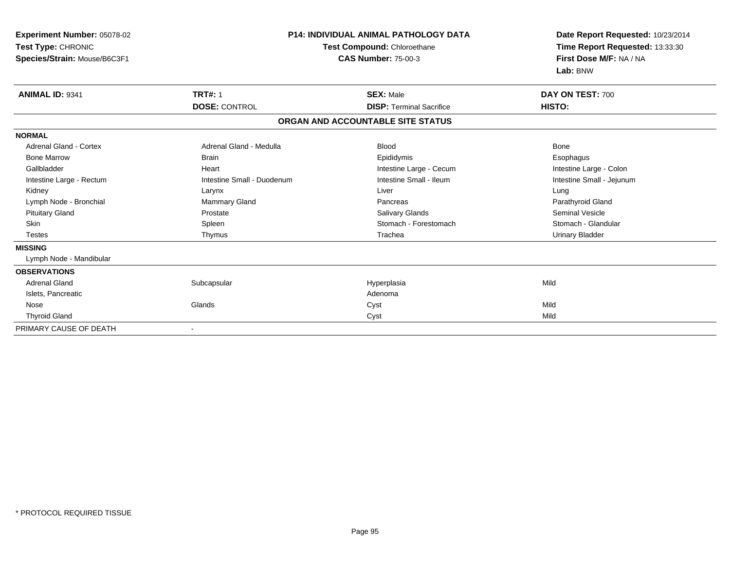| Experiment Number: 05078-02<br>Test Type: CHRONIC<br>Species/Strain: Mouse/B6C3F1 |                            | <b>P14: INDIVIDUAL ANIMAL PATHOLOGY DATA</b><br>Test Compound: Chloroethane<br><b>CAS Number: 75-00-3</b> | Date Report Requested: 10/23/2014<br>Time Report Requested: 13:33:30<br>First Dose M/F: NA / NA<br>Lab: BNW |  |
|-----------------------------------------------------------------------------------|----------------------------|-----------------------------------------------------------------------------------------------------------|-------------------------------------------------------------------------------------------------------------|--|
| <b>ANIMAL ID: 9341</b>                                                            | <b>TRT#: 1</b>             | <b>SEX: Male</b>                                                                                          | DAY ON TEST: 700                                                                                            |  |
|                                                                                   | <b>DOSE: CONTROL</b>       | <b>DISP: Terminal Sacrifice</b>                                                                           | HISTO:                                                                                                      |  |
|                                                                                   |                            | ORGAN AND ACCOUNTABLE SITE STATUS                                                                         |                                                                                                             |  |
| <b>NORMAL</b>                                                                     |                            |                                                                                                           |                                                                                                             |  |
| <b>Adrenal Gland - Cortex</b>                                                     | Adrenal Gland - Medulla    | <b>Blood</b>                                                                                              | <b>Bone</b>                                                                                                 |  |
| <b>Bone Marrow</b>                                                                | <b>Brain</b>               | Epididymis                                                                                                | Esophagus                                                                                                   |  |
| Gallbladder                                                                       | Heart                      | Intestine Large - Cecum                                                                                   | Intestine Large - Colon                                                                                     |  |
| Intestine Large - Rectum                                                          | Intestine Small - Duodenum | Intestine Small - Ileum                                                                                   | Intestine Small - Jejunum                                                                                   |  |
| Kidney                                                                            | Larynx                     | Liver                                                                                                     | Lung                                                                                                        |  |
| Lymph Node - Bronchial                                                            | <b>Mammary Gland</b>       | Pancreas                                                                                                  | Parathyroid Gland                                                                                           |  |
| <b>Pituitary Gland</b>                                                            | Prostate                   | Salivary Glands                                                                                           | <b>Seminal Vesicle</b>                                                                                      |  |
| <b>Skin</b>                                                                       | Spleen                     | Stomach - Forestomach                                                                                     | Stomach - Glandular                                                                                         |  |
| <b>Testes</b>                                                                     | Thymus                     | Trachea                                                                                                   | <b>Urinary Bladder</b>                                                                                      |  |
| <b>MISSING</b>                                                                    |                            |                                                                                                           |                                                                                                             |  |
| Lymph Node - Mandibular                                                           |                            |                                                                                                           |                                                                                                             |  |
| <b>OBSERVATIONS</b>                                                               |                            |                                                                                                           |                                                                                                             |  |
| <b>Adrenal Gland</b>                                                              | Subcapsular                | Hyperplasia                                                                                               | Mild                                                                                                        |  |
| Islets, Pancreatic                                                                |                            | Adenoma                                                                                                   |                                                                                                             |  |
| Nose                                                                              | Glands                     | Cyst                                                                                                      | Mild                                                                                                        |  |
| <b>Thyroid Gland</b>                                                              |                            | Cyst                                                                                                      | Mild                                                                                                        |  |
| PRIMARY CAUSE OF DEATH                                                            |                            |                                                                                                           |                                                                                                             |  |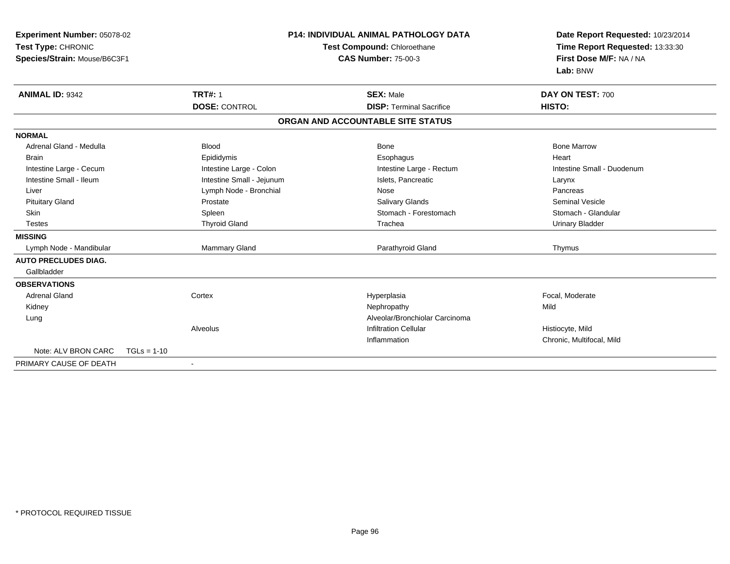| Experiment Number: 05078-02<br>Test Type: CHRONIC<br>Species/Strain: Mouse/B6C3F1<br><b>ANIMAL ID: 9342</b> |               | <b>TRT#: 1</b>            | <b>P14: INDIVIDUAL ANIMAL PATHOLOGY DATA</b><br><b>Test Compound: Chloroethane</b><br><b>CAS Number: 75-00-3</b><br><b>SEX: Male</b> |                                   | Date Report Requested: 10/23/2014<br>Time Report Requested: 13:33:30<br>First Dose M/F: NA / NA<br>Lab: BNW<br>DAY ON TEST: 700 |  |
|-------------------------------------------------------------------------------------------------------------|---------------|---------------------------|--------------------------------------------------------------------------------------------------------------------------------------|-----------------------------------|---------------------------------------------------------------------------------------------------------------------------------|--|
|                                                                                                             |               | <b>DOSE: CONTROL</b>      |                                                                                                                                      | <b>DISP: Terminal Sacrifice</b>   | HISTO:                                                                                                                          |  |
|                                                                                                             |               |                           |                                                                                                                                      | ORGAN AND ACCOUNTABLE SITE STATUS |                                                                                                                                 |  |
|                                                                                                             |               |                           |                                                                                                                                      |                                   |                                                                                                                                 |  |
| <b>NORMAL</b>                                                                                               |               |                           |                                                                                                                                      |                                   |                                                                                                                                 |  |
| Adrenal Gland - Medulla                                                                                     |               | <b>Blood</b>              |                                                                                                                                      | <b>Bone</b>                       | <b>Bone Marrow</b>                                                                                                              |  |
| <b>Brain</b>                                                                                                |               | Epididymis                |                                                                                                                                      | Esophagus                         | Heart                                                                                                                           |  |
| Intestine Large - Cecum                                                                                     |               | Intestine Large - Colon   |                                                                                                                                      | Intestine Large - Rectum          | Intestine Small - Duodenum                                                                                                      |  |
| Intestine Small - Ileum                                                                                     |               | Intestine Small - Jejunum |                                                                                                                                      | Islets, Pancreatic                | Larynx                                                                                                                          |  |
| Liver                                                                                                       |               | Lymph Node - Bronchial    |                                                                                                                                      | <b>Nose</b>                       | Pancreas                                                                                                                        |  |
| <b>Pituitary Gland</b>                                                                                      |               | Prostate                  |                                                                                                                                      | Salivary Glands                   | <b>Seminal Vesicle</b>                                                                                                          |  |
| Skin                                                                                                        |               | Spleen                    |                                                                                                                                      | Stomach - Forestomach             | Stomach - Glandular                                                                                                             |  |
| <b>Testes</b>                                                                                               |               | <b>Thyroid Gland</b>      |                                                                                                                                      | Trachea                           | <b>Urinary Bladder</b>                                                                                                          |  |
| <b>MISSING</b>                                                                                              |               |                           |                                                                                                                                      |                                   |                                                                                                                                 |  |
| Lymph Node - Mandibular                                                                                     |               | Mammary Gland             |                                                                                                                                      | Parathyroid Gland                 | Thymus                                                                                                                          |  |
| <b>AUTO PRECLUDES DIAG.</b>                                                                                 |               |                           |                                                                                                                                      |                                   |                                                                                                                                 |  |
| Gallbladder                                                                                                 |               |                           |                                                                                                                                      |                                   |                                                                                                                                 |  |
| <b>OBSERVATIONS</b>                                                                                         |               |                           |                                                                                                                                      |                                   |                                                                                                                                 |  |
| <b>Adrenal Gland</b>                                                                                        |               | Cortex                    |                                                                                                                                      | Hyperplasia                       | Focal, Moderate                                                                                                                 |  |
| Kidney                                                                                                      |               |                           |                                                                                                                                      | Nephropathy                       | Mild                                                                                                                            |  |
| Lung                                                                                                        |               |                           |                                                                                                                                      | Alveolar/Bronchiolar Carcinoma    |                                                                                                                                 |  |
|                                                                                                             |               | Alveolus                  |                                                                                                                                      | <b>Infiltration Cellular</b>      | Histiocyte, Mild                                                                                                                |  |
|                                                                                                             |               |                           |                                                                                                                                      | Inflammation                      | Chronic, Multifocal, Mild                                                                                                       |  |
| Note: ALV BRON CARC                                                                                         | $TGLs = 1-10$ |                           |                                                                                                                                      |                                   |                                                                                                                                 |  |
| PRIMARY CAUSE OF DEATH                                                                                      |               | $\blacksquare$            |                                                                                                                                      |                                   |                                                                                                                                 |  |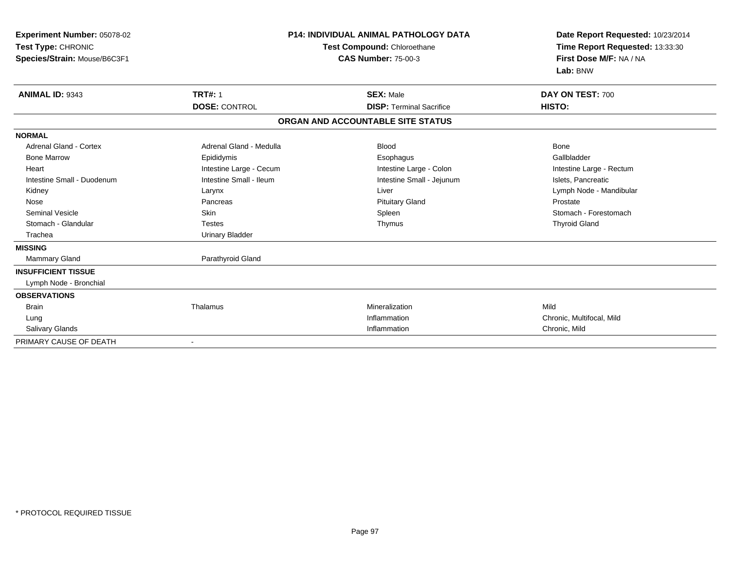| Experiment Number: 05078-02<br>Test Type: CHRONIC<br>Species/Strain: Mouse/B6C3F1 | <b>P14: INDIVIDUAL ANIMAL PATHOLOGY DATA</b><br>Test Compound: Chloroethane<br><b>CAS Number: 75-00-3</b> |                                   | Date Report Requested: 10/23/2014<br>Time Report Requested: 13:33:30<br>First Dose M/F: NA / NA<br>Lab: BNW |
|-----------------------------------------------------------------------------------|-----------------------------------------------------------------------------------------------------------|-----------------------------------|-------------------------------------------------------------------------------------------------------------|
| <b>ANIMAL ID: 9343</b>                                                            | <b>TRT#: 1</b>                                                                                            | <b>SEX: Male</b>                  | DAY ON TEST: 700                                                                                            |
|                                                                                   | <b>DOSE: CONTROL</b>                                                                                      | <b>DISP: Terminal Sacrifice</b>   | HISTO:                                                                                                      |
|                                                                                   |                                                                                                           | ORGAN AND ACCOUNTABLE SITE STATUS |                                                                                                             |
| <b>NORMAL</b>                                                                     |                                                                                                           |                                   |                                                                                                             |
| Adrenal Gland - Cortex                                                            | Adrenal Gland - Medulla                                                                                   | <b>Blood</b>                      | Bone                                                                                                        |
| <b>Bone Marrow</b>                                                                | Epididymis                                                                                                | Esophagus                         | Gallbladder                                                                                                 |
| Heart                                                                             | Intestine Large - Cecum                                                                                   | Intestine Large - Colon           | Intestine Large - Rectum                                                                                    |
| Intestine Small - Duodenum                                                        | Intestine Small - Ileum                                                                                   | Intestine Small - Jejunum         | Islets, Pancreatic                                                                                          |
| Kidney                                                                            | Larynx                                                                                                    | Liver                             | Lymph Node - Mandibular                                                                                     |
| Nose                                                                              | Pancreas                                                                                                  | <b>Pituitary Gland</b>            | Prostate                                                                                                    |
| <b>Seminal Vesicle</b>                                                            | Skin                                                                                                      | Spleen                            | Stomach - Forestomach                                                                                       |
| Stomach - Glandular                                                               | <b>Testes</b>                                                                                             | Thymus                            | <b>Thyroid Gland</b>                                                                                        |
| Trachea                                                                           | <b>Urinary Bladder</b>                                                                                    |                                   |                                                                                                             |
| <b>MISSING</b>                                                                    |                                                                                                           |                                   |                                                                                                             |
| Mammary Gland                                                                     | Parathyroid Gland                                                                                         |                                   |                                                                                                             |
| <b>INSUFFICIENT TISSUE</b>                                                        |                                                                                                           |                                   |                                                                                                             |
| Lymph Node - Bronchial                                                            |                                                                                                           |                                   |                                                                                                             |
| <b>OBSERVATIONS</b>                                                               |                                                                                                           |                                   |                                                                                                             |
| <b>Brain</b>                                                                      | Thalamus                                                                                                  | Mineralization                    | Mild                                                                                                        |
| Lung                                                                              |                                                                                                           | Inflammation                      | Chronic, Multifocal, Mild                                                                                   |
| <b>Salivary Glands</b>                                                            |                                                                                                           | Inflammation                      | Chronic, Mild                                                                                               |
| PRIMARY CAUSE OF DEATH                                                            | $\blacksquare$                                                                                            |                                   |                                                                                                             |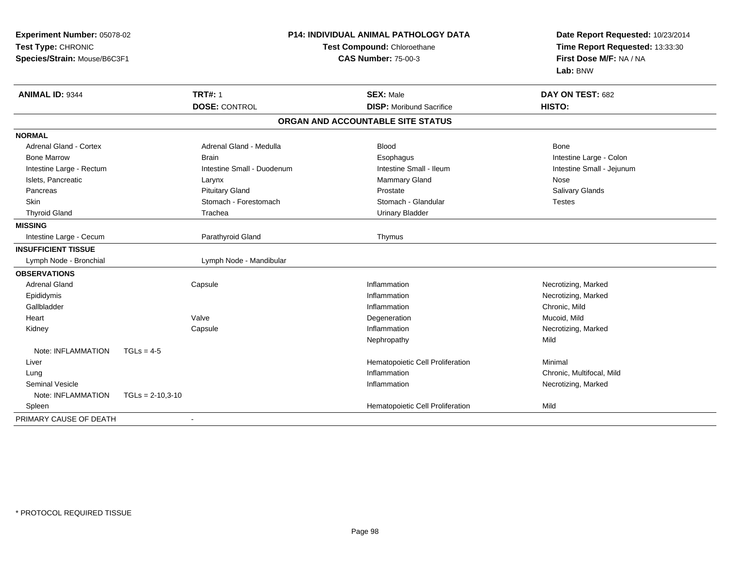| Experiment Number: 05078-02<br>Test Type: CHRONIC<br>Species/Strain: Mouse/B6C3F1 |                    |                                        | <b>P14: INDIVIDUAL ANIMAL PATHOLOGY DATA</b><br>Test Compound: Chloroethane<br><b>CAS Number: 75-00-3</b> | Date Report Requested: 10/23/2014<br>Time Report Requested: 13:33:30<br>First Dose M/F: NA / NA<br>Lab: BNW |
|-----------------------------------------------------------------------------------|--------------------|----------------------------------------|-----------------------------------------------------------------------------------------------------------|-------------------------------------------------------------------------------------------------------------|
| <b>ANIMAL ID: 9344</b>                                                            |                    | <b>TRT#: 1</b><br><b>DOSE: CONTROL</b> | <b>SEX: Male</b><br><b>DISP:</b> Moribund Sacrifice                                                       | DAY ON TEST: 682<br>HISTO:                                                                                  |
|                                                                                   |                    |                                        | ORGAN AND ACCOUNTABLE SITE STATUS                                                                         |                                                                                                             |
| <b>NORMAL</b>                                                                     |                    |                                        |                                                                                                           |                                                                                                             |
| <b>Adrenal Gland - Cortex</b>                                                     |                    | Adrenal Gland - Medulla                | <b>Blood</b>                                                                                              | Bone                                                                                                        |
| <b>Bone Marrow</b>                                                                |                    | <b>Brain</b>                           | Esophagus                                                                                                 | Intestine Large - Colon                                                                                     |
| Intestine Large - Rectum                                                          |                    | Intestine Small - Duodenum             | Intestine Small - Ileum                                                                                   | Intestine Small - Jejunum                                                                                   |
| Islets, Pancreatic                                                                |                    | Larynx                                 | Mammary Gland                                                                                             | Nose                                                                                                        |
| Pancreas                                                                          |                    | <b>Pituitary Gland</b>                 | Prostate                                                                                                  | Salivary Glands                                                                                             |
| <b>Skin</b>                                                                       |                    | Stomach - Forestomach                  | Stomach - Glandular                                                                                       | <b>Testes</b>                                                                                               |
| <b>Thyroid Gland</b>                                                              |                    | Trachea                                | <b>Urinary Bladder</b>                                                                                    |                                                                                                             |
| <b>MISSING</b>                                                                    |                    |                                        |                                                                                                           |                                                                                                             |
| Intestine Large - Cecum                                                           |                    | Parathyroid Gland                      | Thymus                                                                                                    |                                                                                                             |
| <b>INSUFFICIENT TISSUE</b>                                                        |                    |                                        |                                                                                                           |                                                                                                             |
| Lymph Node - Bronchial                                                            |                    | Lymph Node - Mandibular                |                                                                                                           |                                                                                                             |
| <b>OBSERVATIONS</b>                                                               |                    |                                        |                                                                                                           |                                                                                                             |
| <b>Adrenal Gland</b>                                                              |                    | Capsule                                | Inflammation                                                                                              | Necrotizing, Marked                                                                                         |
| Epididymis                                                                        |                    |                                        | Inflammation                                                                                              | Necrotizing, Marked                                                                                         |
| Gallbladder                                                                       |                    |                                        | Inflammation                                                                                              | Chronic, Mild                                                                                               |
| Heart                                                                             |                    | Valve                                  | Degeneration                                                                                              | Mucoid, Mild                                                                                                |
| Kidney                                                                            |                    | Capsule                                | Inflammation                                                                                              | Necrotizing, Marked                                                                                         |
|                                                                                   |                    |                                        | Nephropathy                                                                                               | Mild                                                                                                        |
| Note: INFLAMMATION                                                                | $TGLs = 4-5$       |                                        |                                                                                                           |                                                                                                             |
| Liver                                                                             |                    |                                        | Hematopoietic Cell Proliferation                                                                          | Minimal                                                                                                     |
| Lung                                                                              |                    |                                        | Inflammation                                                                                              | Chronic, Multifocal, Mild                                                                                   |
| <b>Seminal Vesicle</b>                                                            |                    |                                        | Inflammation                                                                                              | Necrotizing, Marked                                                                                         |
| Note: INFLAMMATION                                                                | $TGLs = 2-10,3-10$ |                                        |                                                                                                           |                                                                                                             |
| Spleen                                                                            |                    |                                        | Hematopoietic Cell Proliferation                                                                          | Mild                                                                                                        |
| PRIMARY CAUSE OF DEATH                                                            |                    |                                        |                                                                                                           |                                                                                                             |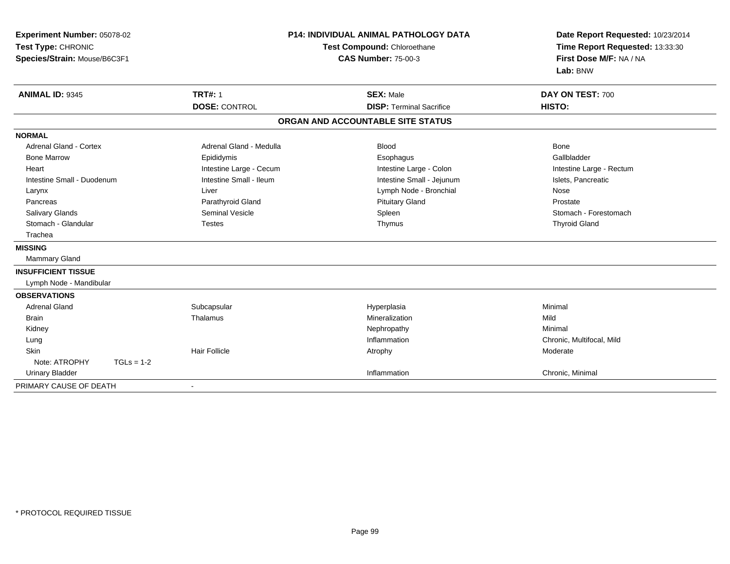| Experiment Number: 05078-02<br>Test Type: CHRONIC<br>Species/Strain: Mouse/B6C3F1 |                         | <b>P14: INDIVIDUAL ANIMAL PATHOLOGY DATA</b><br>Test Compound: Chloroethane<br><b>CAS Number: 75-00-3</b> | Date Report Requested: 10/23/2014<br>Time Report Requested: 13:33:30<br>First Dose M/F: NA / NA<br>Lab: BNW |
|-----------------------------------------------------------------------------------|-------------------------|-----------------------------------------------------------------------------------------------------------|-------------------------------------------------------------------------------------------------------------|
| <b>ANIMAL ID: 9345</b>                                                            | <b>TRT#: 1</b>          | <b>SEX: Male</b>                                                                                          | DAY ON TEST: 700                                                                                            |
|                                                                                   | <b>DOSE: CONTROL</b>    | <b>DISP: Terminal Sacrifice</b>                                                                           | HISTO:                                                                                                      |
|                                                                                   |                         | ORGAN AND ACCOUNTABLE SITE STATUS                                                                         |                                                                                                             |
| <b>NORMAL</b>                                                                     |                         |                                                                                                           |                                                                                                             |
| Adrenal Gland - Cortex                                                            | Adrenal Gland - Medulla | <b>Blood</b>                                                                                              | Bone                                                                                                        |
| <b>Bone Marrow</b>                                                                | Epididymis              | Esophagus                                                                                                 | Gallbladder                                                                                                 |
| Heart                                                                             | Intestine Large - Cecum | Intestine Large - Colon                                                                                   | Intestine Large - Rectum                                                                                    |
| Intestine Small - Duodenum                                                        | Intestine Small - Ileum | Intestine Small - Jejunum                                                                                 | Islets, Pancreatic                                                                                          |
| Larynx                                                                            | Liver                   | Lymph Node - Bronchial                                                                                    | Nose                                                                                                        |
| Pancreas                                                                          | Parathyroid Gland       | <b>Pituitary Gland</b>                                                                                    | Prostate                                                                                                    |
| Salivary Glands                                                                   | <b>Seminal Vesicle</b>  | Spleen                                                                                                    | Stomach - Forestomach                                                                                       |
| Stomach - Glandular                                                               | <b>Testes</b>           | Thymus                                                                                                    | <b>Thyroid Gland</b>                                                                                        |
| Trachea                                                                           |                         |                                                                                                           |                                                                                                             |
| <b>MISSING</b>                                                                    |                         |                                                                                                           |                                                                                                             |
| Mammary Gland                                                                     |                         |                                                                                                           |                                                                                                             |
| <b>INSUFFICIENT TISSUE</b>                                                        |                         |                                                                                                           |                                                                                                             |
| Lymph Node - Mandibular                                                           |                         |                                                                                                           |                                                                                                             |
| <b>OBSERVATIONS</b>                                                               |                         |                                                                                                           |                                                                                                             |
| <b>Adrenal Gland</b>                                                              | Subcapsular             | Hyperplasia                                                                                               | Minimal                                                                                                     |
| <b>Brain</b>                                                                      | Thalamus                | Mineralization                                                                                            | Mild                                                                                                        |
| Kidney                                                                            |                         | Nephropathy                                                                                               | Minimal                                                                                                     |
| Lung                                                                              |                         | Inflammation                                                                                              | Chronic, Multifocal, Mild                                                                                   |
| Skin                                                                              | <b>Hair Follicle</b>    | Atrophy                                                                                                   | Moderate                                                                                                    |
| Note: ATROPHY<br>$TGLs = 1-2$                                                     |                         |                                                                                                           |                                                                                                             |
| <b>Urinary Bladder</b>                                                            |                         | Inflammation                                                                                              | Chronic, Minimal                                                                                            |
| PRIMARY CAUSE OF DEATH                                                            |                         |                                                                                                           |                                                                                                             |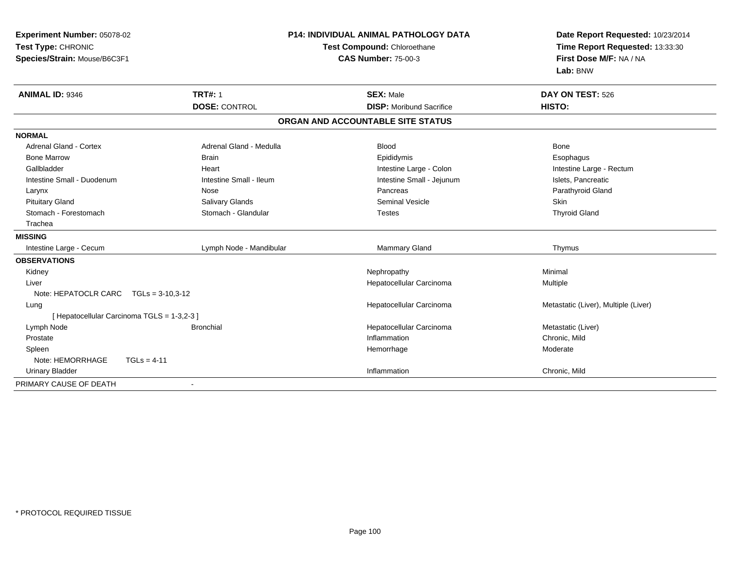| Experiment Number: 05078-02                 |                          | <b>P14: INDIVIDUAL ANIMAL PATHOLOGY DATA</b> | Date Report Requested: 10/23/2014                          |
|---------------------------------------------|--------------------------|----------------------------------------------|------------------------------------------------------------|
| Test Type: CHRONIC                          |                          | Test Compound: Chloroethane                  | Time Report Requested: 13:33:30<br>First Dose M/F: NA / NA |
| Species/Strain: Mouse/B6C3F1                |                          | <b>CAS Number: 75-00-3</b>                   |                                                            |
|                                             |                          |                                              | Lab: BNW                                                   |
| ANIMAL ID: 9346                             | <b>TRT#: 1</b>           | <b>SEX: Male</b>                             | DAY ON TEST: 526                                           |
|                                             | <b>DOSE: CONTROL</b>     | <b>DISP:</b> Moribund Sacrifice              | HISTO:                                                     |
|                                             |                          | ORGAN AND ACCOUNTABLE SITE STATUS            |                                                            |
| <b>NORMAL</b>                               |                          |                                              |                                                            |
| <b>Adrenal Gland - Cortex</b>               | Adrenal Gland - Medulla  | <b>Blood</b>                                 | Bone                                                       |
| <b>Bone Marrow</b>                          | <b>Brain</b>             | Epididymis                                   | Esophagus                                                  |
| Gallbladder                                 | Heart                    | Intestine Large - Colon                      | Intestine Large - Rectum                                   |
| Intestine Small - Duodenum                  | Intestine Small - Ileum  | Intestine Small - Jejunum                    | Islets, Pancreatic                                         |
| Larynx                                      | Nose                     | Pancreas                                     | Parathyroid Gland                                          |
| <b>Pituitary Gland</b>                      | Salivary Glands          | <b>Seminal Vesicle</b>                       | Skin                                                       |
| Stomach - Forestomach                       | Stomach - Glandular      | <b>Testes</b>                                | <b>Thyroid Gland</b>                                       |
| Trachea                                     |                          |                                              |                                                            |
| <b>MISSING</b>                              |                          |                                              |                                                            |
| Intestine Large - Cecum                     | Lymph Node - Mandibular  | Mammary Gland                                | Thymus                                                     |
| <b>OBSERVATIONS</b>                         |                          |                                              |                                                            |
| Kidney                                      |                          | Nephropathy                                  | Minimal                                                    |
| Liver                                       |                          | Hepatocellular Carcinoma                     | Multiple                                                   |
| Note: HEPATOCLR CARC                        | $TGLs = 3-10,3-12$       |                                              |                                                            |
| Lung                                        |                          | Hepatocellular Carcinoma                     | Metastatic (Liver), Multiple (Liver)                       |
| [ Hepatocellular Carcinoma TGLS = 1-3,2-3 ] |                          |                                              |                                                            |
| Lymph Node                                  | <b>Bronchial</b>         | Hepatocellular Carcinoma                     | Metastatic (Liver)                                         |
| Prostate                                    |                          | Inflammation                                 | Chronic, Mild                                              |
| Spleen                                      |                          | Hemorrhage                                   | Moderate                                                   |
| Note: HEMORRHAGE<br>$TGLs = 4-11$           |                          |                                              |                                                            |
| <b>Urinary Bladder</b>                      |                          | Inflammation                                 | Chronic, Mild                                              |
| PRIMARY CAUSE OF DEATH                      | $\overline{\phantom{0}}$ |                                              |                                                            |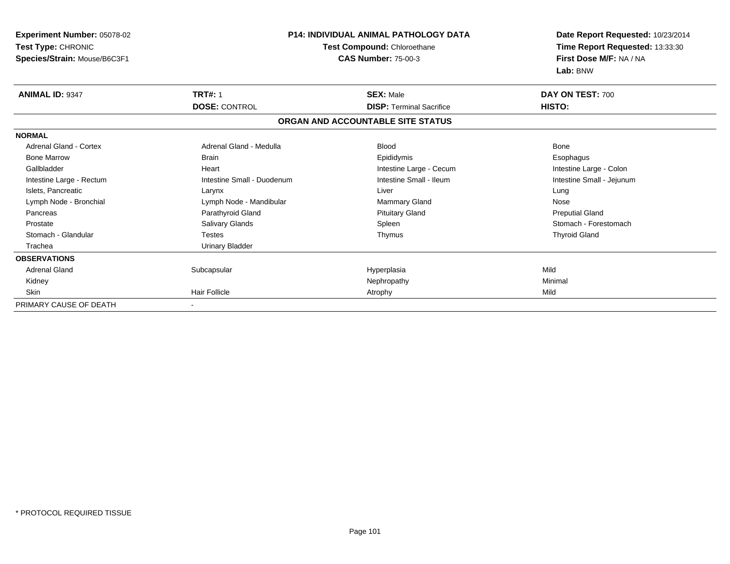| <b>Experiment Number: 05078-02</b>                 |                            | <b>P14: INDIVIDUAL ANIMAL PATHOLOGY DATA</b>              | Date Report Requested: 10/23/2014<br>Time Report Requested: 13:33:30<br>First Dose M/F: NA / NA<br>Lab: BNW |
|----------------------------------------------------|----------------------------|-----------------------------------------------------------|-------------------------------------------------------------------------------------------------------------|
| Test Type: CHRONIC<br>Species/Strain: Mouse/B6C3F1 |                            | Test Compound: Chloroethane<br><b>CAS Number: 75-00-3</b> |                                                                                                             |
| <b>ANIMAL ID: 9347</b>                             | <b>TRT#: 1</b>             | <b>SEX: Male</b>                                          | DAY ON TEST: 700                                                                                            |
|                                                    | <b>DOSE: CONTROL</b>       | <b>DISP: Terminal Sacrifice</b>                           | HISTO:                                                                                                      |
|                                                    |                            | ORGAN AND ACCOUNTABLE SITE STATUS                         |                                                                                                             |
| <b>NORMAL</b>                                      |                            |                                                           |                                                                                                             |
| <b>Adrenal Gland - Cortex</b>                      | Adrenal Gland - Medulla    | <b>Blood</b>                                              | <b>Bone</b>                                                                                                 |
| <b>Bone Marrow</b>                                 | <b>Brain</b>               | Epididymis                                                | Esophagus                                                                                                   |
| Gallbladder                                        | Heart                      | Intestine Large - Cecum                                   | Intestine Large - Colon                                                                                     |
| Intestine Large - Rectum                           | Intestine Small - Duodenum | Intestine Small - Ileum                                   | Intestine Small - Jejunum                                                                                   |
| Islets, Pancreatic                                 | Larynx                     | Liver                                                     | Lung                                                                                                        |
| Lymph Node - Bronchial                             | Lymph Node - Mandibular    | Mammary Gland                                             | Nose                                                                                                        |
| Pancreas                                           | Parathyroid Gland          | <b>Pituitary Gland</b>                                    | <b>Preputial Gland</b>                                                                                      |
| Prostate                                           | Salivary Glands            | Spleen                                                    | Stomach - Forestomach                                                                                       |
| Stomach - Glandular                                | <b>Testes</b>              | Thymus                                                    | <b>Thyroid Gland</b>                                                                                        |
| Trachea                                            | <b>Urinary Bladder</b>     |                                                           |                                                                                                             |
| <b>OBSERVATIONS</b>                                |                            |                                                           |                                                                                                             |
| <b>Adrenal Gland</b>                               | Subcapsular                | Hyperplasia                                               | Mild                                                                                                        |
| Kidney                                             |                            | Nephropathy                                               | Minimal                                                                                                     |
| Skin                                               | <b>Hair Follicle</b>       | Atrophy                                                   | Mild                                                                                                        |
| PRIMARY CAUSE OF DEATH                             |                            |                                                           |                                                                                                             |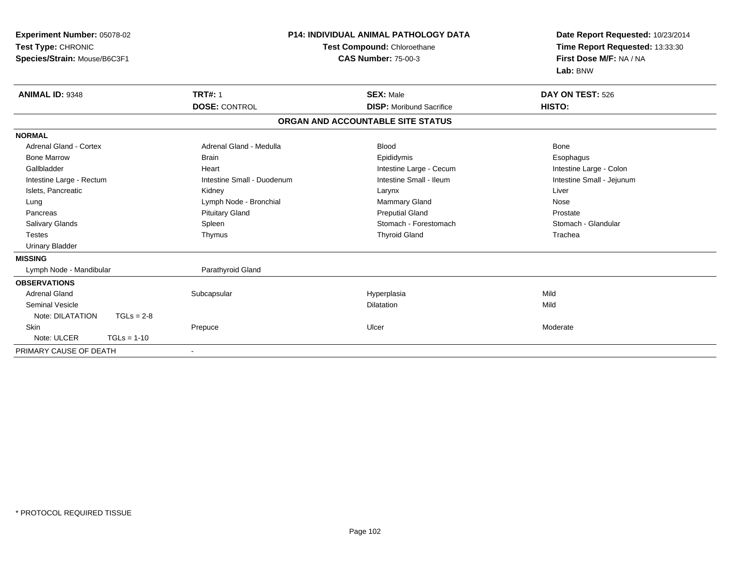| Experiment Number: 05078-02<br>Test Type: CHRONIC<br>Species/Strain: Mouse/B6C3F1 |                            | <b>P14: INDIVIDUAL ANIMAL PATHOLOGY DATA</b><br>Test Compound: Chloroethane<br><b>CAS Number: 75-00-3</b> | Date Report Requested: 10/23/2014<br>Time Report Requested: 13:33:30<br>First Dose M/F: NA / NA<br>Lab: BNW |
|-----------------------------------------------------------------------------------|----------------------------|-----------------------------------------------------------------------------------------------------------|-------------------------------------------------------------------------------------------------------------|
| <b>ANIMAL ID: 9348</b>                                                            | <b>TRT#: 1</b>             | <b>SEX: Male</b>                                                                                          | DAY ON TEST: 526                                                                                            |
|                                                                                   | <b>DOSE: CONTROL</b>       | <b>DISP:</b> Moribund Sacrifice                                                                           | HISTO:                                                                                                      |
|                                                                                   |                            | ORGAN AND ACCOUNTABLE SITE STATUS                                                                         |                                                                                                             |
| <b>NORMAL</b>                                                                     |                            |                                                                                                           |                                                                                                             |
| Adrenal Gland - Cortex                                                            | Adrenal Gland - Medulla    | <b>Blood</b>                                                                                              | <b>Bone</b>                                                                                                 |
| <b>Bone Marrow</b>                                                                | <b>Brain</b>               | Epididymis                                                                                                | Esophagus                                                                                                   |
| Gallbladder                                                                       | Heart                      | Intestine Large - Cecum                                                                                   | Intestine Large - Colon                                                                                     |
| Intestine Large - Rectum                                                          | Intestine Small - Duodenum | Intestine Small - Ileum                                                                                   | Intestine Small - Jejunum                                                                                   |
| Islets, Pancreatic                                                                | Kidney                     | Larynx                                                                                                    | Liver                                                                                                       |
| Lung                                                                              | Lymph Node - Bronchial     | <b>Mammary Gland</b>                                                                                      | Nose                                                                                                        |
| Pancreas                                                                          | <b>Pituitary Gland</b>     | <b>Preputial Gland</b>                                                                                    | Prostate                                                                                                    |
| Salivary Glands                                                                   | Spleen                     | Stomach - Forestomach                                                                                     | Stomach - Glandular                                                                                         |
| <b>Testes</b>                                                                     | Thymus                     | <b>Thyroid Gland</b>                                                                                      | Trachea                                                                                                     |
| <b>Urinary Bladder</b>                                                            |                            |                                                                                                           |                                                                                                             |
| <b>MISSING</b>                                                                    |                            |                                                                                                           |                                                                                                             |
| Lymph Node - Mandibular                                                           | Parathyroid Gland          |                                                                                                           |                                                                                                             |
| <b>OBSERVATIONS</b>                                                               |                            |                                                                                                           |                                                                                                             |
| <b>Adrenal Gland</b>                                                              | Subcapsular                | Hyperplasia                                                                                               | Mild                                                                                                        |
| <b>Seminal Vesicle</b>                                                            |                            | <b>Dilatation</b>                                                                                         | Mild                                                                                                        |
| Note: DILATATION<br>$TGLs = 2-8$                                                  |                            |                                                                                                           |                                                                                                             |
| Skin                                                                              | Prepuce                    | Ulcer                                                                                                     | Moderate                                                                                                    |
| Note: ULCER<br>$TGLs = 1-10$                                                      |                            |                                                                                                           |                                                                                                             |
| PRIMARY CAUSE OF DEATH                                                            |                            |                                                                                                           |                                                                                                             |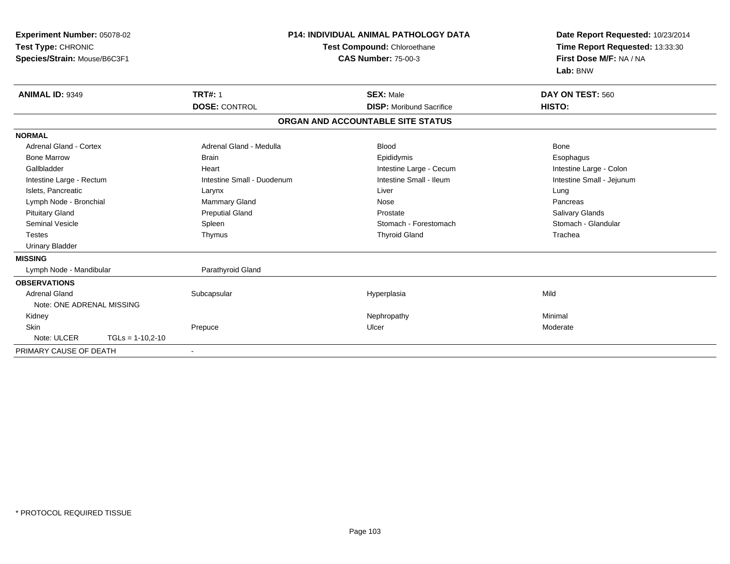| Experiment Number: 05078-02<br>Test Type: CHRONIC<br>Species/Strain: Mouse/B6C3F1 |                            | <b>P14: INDIVIDUAL ANIMAL PATHOLOGY DATA</b><br>Test Compound: Chloroethane<br><b>CAS Number: 75-00-3</b> | Date Report Requested: 10/23/2014<br>Time Report Requested: 13:33:30<br>First Dose M/F: NA / NA<br>Lab: BNW |
|-----------------------------------------------------------------------------------|----------------------------|-----------------------------------------------------------------------------------------------------------|-------------------------------------------------------------------------------------------------------------|
| ANIMAL ID: 9349                                                                   | <b>TRT#: 1</b>             | <b>SEX: Male</b>                                                                                          | DAY ON TEST: 560                                                                                            |
|                                                                                   | <b>DOSE: CONTROL</b>       | <b>DISP:</b> Moribund Sacrifice                                                                           | HISTO:                                                                                                      |
|                                                                                   |                            | ORGAN AND ACCOUNTABLE SITE STATUS                                                                         |                                                                                                             |
| <b>NORMAL</b>                                                                     |                            |                                                                                                           |                                                                                                             |
| Adrenal Gland - Cortex                                                            | Adrenal Gland - Medulla    | <b>Blood</b>                                                                                              | <b>Bone</b>                                                                                                 |
| <b>Bone Marrow</b>                                                                | <b>Brain</b>               | Epididymis                                                                                                | Esophagus                                                                                                   |
| Gallbladder                                                                       | Heart                      | Intestine Large - Cecum                                                                                   | Intestine Large - Colon                                                                                     |
| Intestine Large - Rectum                                                          | Intestine Small - Duodenum | Intestine Small - Ileum                                                                                   | Intestine Small - Jejunum                                                                                   |
| Islets, Pancreatic                                                                | Larynx                     | Liver                                                                                                     | Lung                                                                                                        |
| Lymph Node - Bronchial                                                            | Mammary Gland              | Nose                                                                                                      | Pancreas                                                                                                    |
| <b>Pituitary Gland</b>                                                            | <b>Preputial Gland</b>     | Prostate                                                                                                  | Salivary Glands                                                                                             |
| <b>Seminal Vesicle</b>                                                            | Spleen                     | Stomach - Forestomach                                                                                     | Stomach - Glandular                                                                                         |
| <b>Testes</b>                                                                     | Thymus                     | <b>Thyroid Gland</b>                                                                                      | Trachea                                                                                                     |
| <b>Urinary Bladder</b>                                                            |                            |                                                                                                           |                                                                                                             |
| <b>MISSING</b>                                                                    |                            |                                                                                                           |                                                                                                             |
| Lymph Node - Mandibular                                                           | Parathyroid Gland          |                                                                                                           |                                                                                                             |
| <b>OBSERVATIONS</b>                                                               |                            |                                                                                                           |                                                                                                             |
| <b>Adrenal Gland</b>                                                              | Subcapsular                | Hyperplasia                                                                                               | Mild                                                                                                        |
| Note: ONE ADRENAL MISSING                                                         |                            |                                                                                                           |                                                                                                             |
| Kidney                                                                            |                            | Nephropathy                                                                                               | Minimal                                                                                                     |
| <b>Skin</b>                                                                       | Prepuce                    | Ulcer                                                                                                     | Moderate                                                                                                    |
| Note: ULCER<br>$TGLs = 1-10,2-10$                                                 |                            |                                                                                                           |                                                                                                             |
| PRIMARY CAUSE OF DEATH                                                            | $\blacksquare$             |                                                                                                           |                                                                                                             |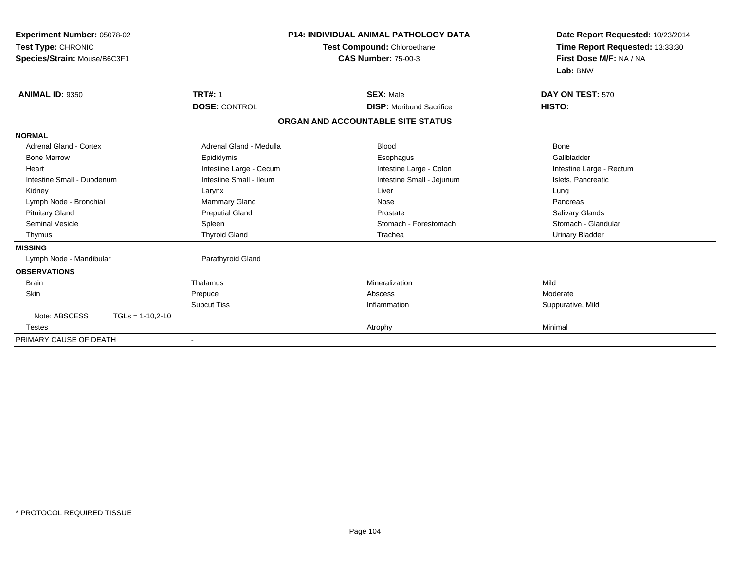| <b>Experiment Number: 05078-02</b><br>Test Type: CHRONIC<br>Species/Strain: Mouse/B6C3F1 | <b>P14: INDIVIDUAL ANIMAL PATHOLOGY DATA</b><br>Test Compound: Chloroethane<br><b>CAS Number: 75-00-3</b> |                                                     | Date Report Requested: 10/23/2014<br>Time Report Requested: 13:33:30<br>First Dose M/F: NA / NA |
|------------------------------------------------------------------------------------------|-----------------------------------------------------------------------------------------------------------|-----------------------------------------------------|-------------------------------------------------------------------------------------------------|
| <b>ANIMAL ID: 9350</b>                                                                   | <b>TRT#: 1</b><br><b>DOSE: CONTROL</b>                                                                    | <b>SEX: Male</b><br><b>DISP:</b> Moribund Sacrifice | Lab: BNW<br>DAY ON TEST: 570<br>HISTO:                                                          |
|                                                                                          |                                                                                                           | ORGAN AND ACCOUNTABLE SITE STATUS                   |                                                                                                 |
| <b>NORMAL</b>                                                                            |                                                                                                           |                                                     |                                                                                                 |
| Adrenal Gland - Cortex                                                                   | Adrenal Gland - Medulla                                                                                   | <b>Blood</b>                                        | <b>Bone</b>                                                                                     |
| <b>Bone Marrow</b>                                                                       | Epididymis                                                                                                | Esophagus                                           | Gallbladder                                                                                     |
| Heart                                                                                    | Intestine Large - Cecum                                                                                   | Intestine Large - Colon                             | Intestine Large - Rectum                                                                        |
| Intestine Small - Duodenum                                                               | Intestine Small - Ileum                                                                                   | Intestine Small - Jejunum                           | Islets, Pancreatic                                                                              |
| Kidney                                                                                   | Larynx                                                                                                    | Liver                                               | Lung                                                                                            |
| Lymph Node - Bronchial                                                                   | <b>Mammary Gland</b>                                                                                      | Nose                                                | Pancreas                                                                                        |
| <b>Pituitary Gland</b>                                                                   | <b>Preputial Gland</b>                                                                                    | Prostate                                            | Salivary Glands                                                                                 |
| <b>Seminal Vesicle</b>                                                                   | Spleen                                                                                                    | Stomach - Forestomach                               | Stomach - Glandular                                                                             |
| Thymus                                                                                   | <b>Thyroid Gland</b>                                                                                      | Trachea                                             | <b>Urinary Bladder</b>                                                                          |
| <b>MISSING</b>                                                                           |                                                                                                           |                                                     |                                                                                                 |
| Lymph Node - Mandibular                                                                  | Parathyroid Gland                                                                                         |                                                     |                                                                                                 |
| <b>OBSERVATIONS</b>                                                                      |                                                                                                           |                                                     |                                                                                                 |
| <b>Brain</b>                                                                             | Thalamus                                                                                                  | Mineralization                                      | Mild                                                                                            |
| Skin                                                                                     | Prepuce                                                                                                   | Abscess                                             | Moderate                                                                                        |
|                                                                                          | <b>Subcut Tiss</b>                                                                                        | Inflammation                                        | Suppurative, Mild                                                                               |
| Note: ABSCESS<br>$TGLs = 1-10,2-10$                                                      |                                                                                                           |                                                     |                                                                                                 |
| <b>Testes</b>                                                                            |                                                                                                           | Atrophy                                             | Minimal                                                                                         |
| PRIMARY CAUSE OF DEATH                                                                   |                                                                                                           |                                                     |                                                                                                 |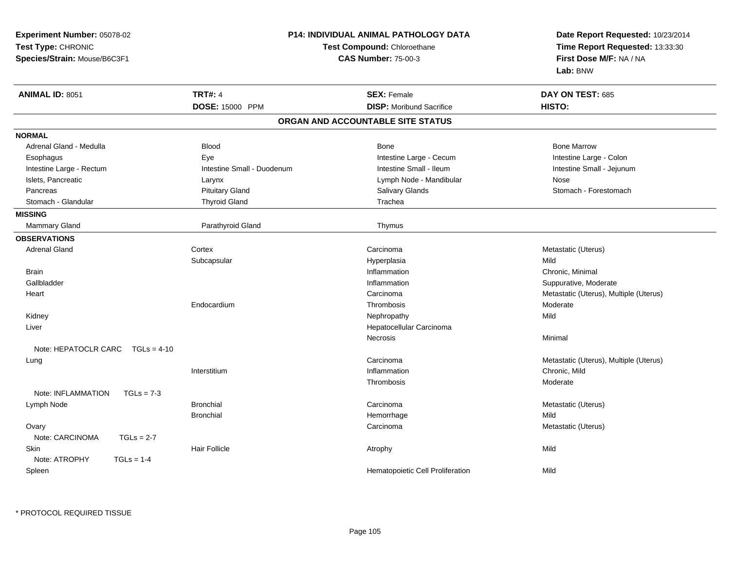| Experiment Number: 05078-02           | P14: INDIVIDUAL ANIMAL PATHOLOGY DATA<br>Test Compound: Chloroethane |                                   | Date Report Requested: 10/23/2014<br>Time Report Requested: 13:33:30 |
|---------------------------------------|----------------------------------------------------------------------|-----------------------------------|----------------------------------------------------------------------|
| Test Type: CHRONIC                    |                                                                      |                                   |                                                                      |
| Species/Strain: Mouse/B6C3F1          |                                                                      | <b>CAS Number: 75-00-3</b>        | First Dose M/F: NA / NA                                              |
|                                       |                                                                      |                                   | Lab: BNW                                                             |
| <b>ANIMAL ID: 8051</b>                | <b>TRT#: 4</b>                                                       | <b>SEX: Female</b>                | DAY ON TEST: 685                                                     |
|                                       | DOSE: 15000 PPM                                                      | <b>DISP:</b> Moribund Sacrifice   | HISTO:                                                               |
|                                       |                                                                      | ORGAN AND ACCOUNTABLE SITE STATUS |                                                                      |
| <b>NORMAL</b>                         |                                                                      |                                   |                                                                      |
| Adrenal Gland - Medulla               | <b>Blood</b>                                                         | <b>Bone</b>                       | <b>Bone Marrow</b>                                                   |
| Esophagus                             | Eye                                                                  | Intestine Large - Cecum           | Intestine Large - Colon                                              |
| Intestine Large - Rectum              | Intestine Small - Duodenum                                           | Intestine Small - Ileum           | Intestine Small - Jejunum                                            |
| Islets, Pancreatic                    | Larynx                                                               | Lymph Node - Mandibular           | Nose                                                                 |
| Pancreas                              | <b>Pituitary Gland</b>                                               | Salivary Glands                   | Stomach - Forestomach                                                |
| Stomach - Glandular                   | <b>Thyroid Gland</b>                                                 | Trachea                           |                                                                      |
| <b>MISSING</b>                        |                                                                      |                                   |                                                                      |
| Mammary Gland                         | Parathyroid Gland                                                    | Thymus                            |                                                                      |
| <b>OBSERVATIONS</b>                   |                                                                      |                                   |                                                                      |
| <b>Adrenal Gland</b>                  | Cortex                                                               | Carcinoma                         | Metastatic (Uterus)                                                  |
|                                       | Subcapsular                                                          | Hyperplasia                       | Mild                                                                 |
| <b>Brain</b>                          |                                                                      | Inflammation                      | Chronic, Minimal                                                     |
| Gallbladder                           |                                                                      | Inflammation                      | Suppurative, Moderate                                                |
| Heart                                 |                                                                      | Carcinoma                         | Metastatic (Uterus), Multiple (Uterus)                               |
|                                       | Endocardium                                                          | Thrombosis                        | Moderate                                                             |
| Kidney                                |                                                                      | Nephropathy                       | Mild                                                                 |
| Liver                                 |                                                                      | Hepatocellular Carcinoma          |                                                                      |
|                                       |                                                                      | Necrosis                          | Minimal                                                              |
| Note: HEPATOCLR CARC<br>$TGLs = 4-10$ |                                                                      |                                   |                                                                      |
| Lung                                  |                                                                      | Carcinoma                         | Metastatic (Uterus), Multiple (Uterus)                               |
|                                       | Interstitium                                                         | Inflammation                      | Chronic, Mild                                                        |
|                                       |                                                                      | Thrombosis                        | Moderate                                                             |
| Note: INFLAMMATION<br>$TGLs = 7-3$    |                                                                      |                                   |                                                                      |
| Lymph Node                            | <b>Bronchial</b>                                                     | Carcinoma                         | Metastatic (Uterus)                                                  |
|                                       | <b>Bronchial</b>                                                     | Hemorrhage                        | Mild                                                                 |
| Ovary                                 |                                                                      | Carcinoma                         | Metastatic (Uterus)                                                  |
| Note: CARCINOMA<br>$TGLs = 2-7$       |                                                                      |                                   |                                                                      |
| <b>Skin</b>                           | <b>Hair Follicle</b>                                                 | Atrophy                           | Mild                                                                 |
| Note: ATROPHY<br>$TGLs = 1-4$         |                                                                      |                                   |                                                                      |
| Spleen                                |                                                                      | Hematopoietic Cell Proliferation  | Mild                                                                 |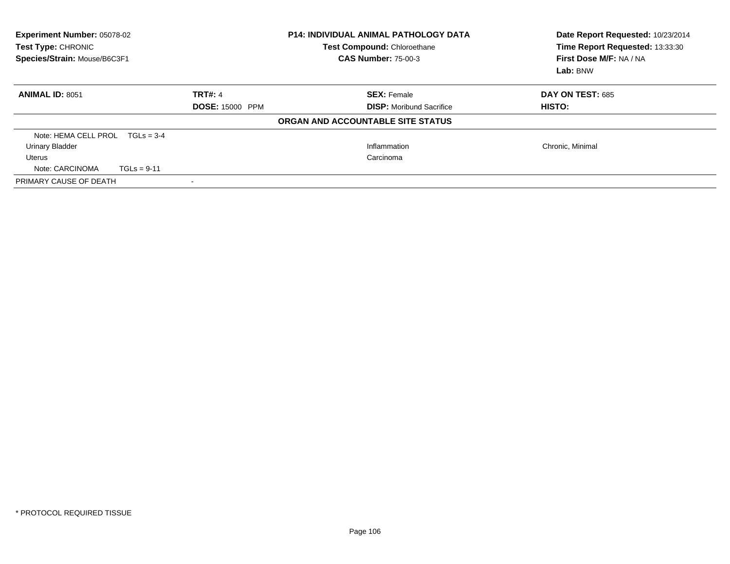| <b>Experiment Number: 05078-02</b><br>Test Type: CHRONIC<br>Species/Strain: Mouse/B6C3F1 | <b>P14: INDIVIDUAL ANIMAL PATHOLOGY DATA</b><br>Test Compound: Chloroethane<br><b>CAS Number: 75-00-3</b> |                                   | Date Report Requested: 10/23/2014<br>Time Report Requested: 13:33:30<br>First Dose M/F: NA / NA<br>Lab: BNW |
|------------------------------------------------------------------------------------------|-----------------------------------------------------------------------------------------------------------|-----------------------------------|-------------------------------------------------------------------------------------------------------------|
| <b>ANIMAL ID: 8051</b>                                                                   | <b>TRT#: 4</b>                                                                                            | <b>SEX: Female</b>                | <b>DAY ON TEST: 685</b>                                                                                     |
|                                                                                          | <b>DOSE: 15000 PPM</b>                                                                                    | <b>DISP:</b> Moribund Sacrifice   | HISTO:                                                                                                      |
|                                                                                          |                                                                                                           | ORGAN AND ACCOUNTABLE SITE STATUS |                                                                                                             |
| Note: HEMA CELL PROL $TGLs = 3-4$                                                        |                                                                                                           |                                   |                                                                                                             |
| <b>Urinary Bladder</b>                                                                   |                                                                                                           | Inflammation                      | Chronic, Minimal                                                                                            |
| Uterus                                                                                   |                                                                                                           | Carcinoma                         |                                                                                                             |
| Note: CARCINOMA<br>$TGLs = 9-11$                                                         |                                                                                                           |                                   |                                                                                                             |
| PRIMARY CAUSE OF DEATH                                                                   |                                                                                                           |                                   |                                                                                                             |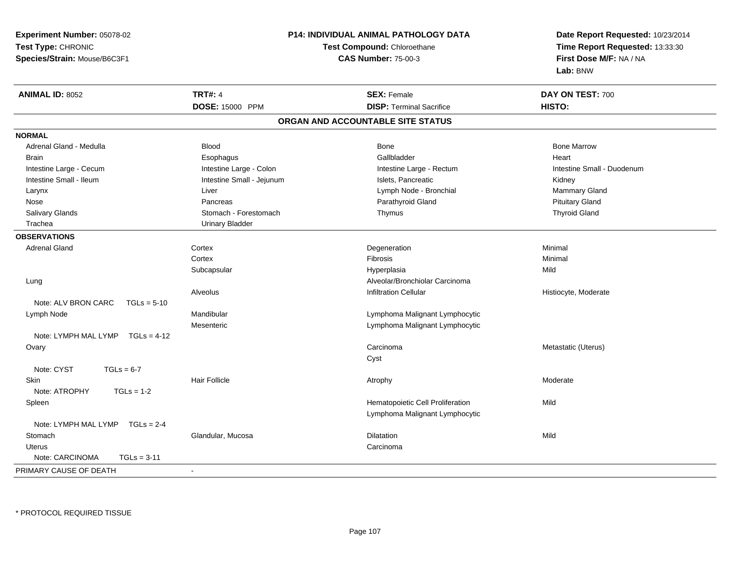**Experiment Number:** 05078-02**Test Type:** CHRONIC **Species/Strain:** Mouse/B6C3F1**P14: INDIVIDUAL ANIMAL PATHOLOGY DATATest Compound:** Chloroethane**CAS Number:** 75-00-3**Date Report Requested:** 10/23/2014**Time Report Requested:** 13:33:30**First Dose M/F:** NA / NA**Lab:** BNW**ANIMAL ID:** 8052**TRT#:** 4 **SEX:** Female **DAY ON TEST:** 700 **DOSE:** 15000 PPM**DISP:** Terminal Sacrifice **HISTO: ORGAN AND ACCOUNTABLE SITE STATUSNORMAL** Adrenal Gland - Medulla Blood Bone Bone MarrowBrain Esophagus Esophagus Gallbladder Gallbladder Gallbladder Heart Intestine Large - Cecum **Intestine Large - Colon** Intestine Large - Colon Intestine Large - Rectum Intestine Large - Rectum Intestine Small - Duodenum Intestine Small - Ileum **Intestine Small - Intestine Small - Jejunum** Intestine Islets, Pancreatic **Intestine Small - Islets**, Pancreatic Kidney Mammary Gland Larynx **Larynx** Charles Communication Charles Liver Charles Communication Charles Communication Charles Charles Charles Charles Charles Charles Charles Charles Charles Charles Charles Charles Charles Charles Charles Charle Nose Pancreas Parathyroid Gland Pituitary Gland**Thyroid Gland** Salivary Glands Stomach - Forestomach Stomach - Stomach - Stomach - Stomach - Stomach - Stomach - Thymus Thymus Trachea Urinary Bladder**OBSERVATIONS** Adrenal Glandd and the cortex contex of the context of the context of the context of the context of the context of the context of the context of the context of the context of the context of the context of the context of the context of **Cortex**  Fibrosis Minimal Subcapsular Hyperplasiaa Mild Lung Alveolar/Bronchiolar Carcinoma AlveolusInfiltration Cellular **Historyte**, Moderate Note: ALV BRON CARC TGLs = 5-10 Lymph NodeMandibular **Mandibular Mandibular Lymphoma Malignant Lymphocytic** Mesenteric Lymphoma Malignant Lymphocytic Note: LYMPH MAL LYMP TGLs = 4-12 Ovaryy contract to the contract of the contract of the contract of the contract of the contract of the contract of the contract of the contract of the contract of the contract of the contract of the contract of the contract of Carcinoma Metastatic (Uterus) CystNote:  $CYST$   $TGLs = 6-7$ **Skin** n and the Hair Follicle and the Moderate Atrophy Atrophy and the Moderate Moderate Moderate and the Moderate o Note: ATROPHY TGLs = 1-2 SpleenHematopoietic Cell Proliferation Mild Lymphoma Malignant LymphocyticNote: LYMPH MAL LYMP TGLs = 2-4**Stomach** h anns an Glandular, Mucosa anns an Dilatation anns an Dilatation anns an Mild Uteruss and the contract of the contract of the contract of the contract of the contract of the contract of the contract of the contract of the contract of the contract of the contract of the contract of the contract of the cont Note: CARCINOMA TGLs = 3-11PRIMARY CAUSE OF DEATH-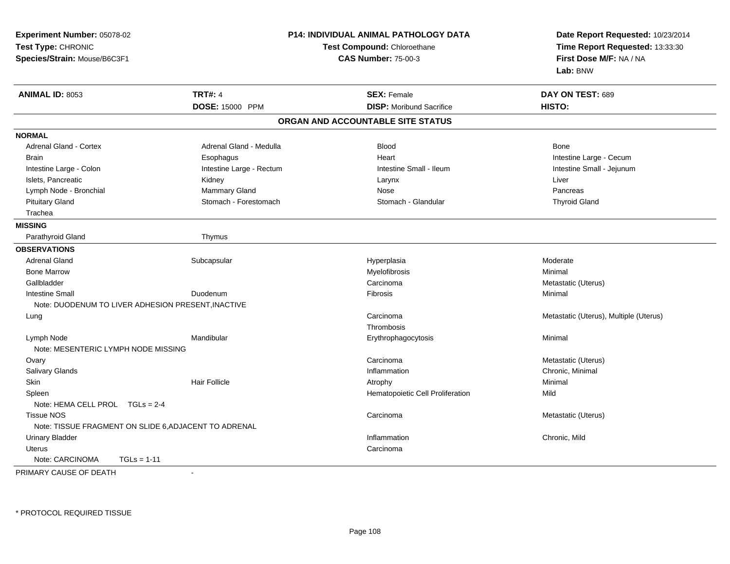| Experiment Number: 05078-02<br>Test Type: CHRONIC<br>Species/Strain: Mouse/B6C3F1 | <b>P14: INDIVIDUAL ANIMAL PATHOLOGY DATA</b><br>Test Compound: Chloroethane<br><b>CAS Number: 75-00-3</b> |                                   | Date Report Requested: 10/23/2014<br>Time Report Requested: 13:33:30<br>First Dose M/F: NA / NA<br>Lab: BNW |
|-----------------------------------------------------------------------------------|-----------------------------------------------------------------------------------------------------------|-----------------------------------|-------------------------------------------------------------------------------------------------------------|
| <b>ANIMAL ID: 8053</b>                                                            | <b>TRT#: 4</b>                                                                                            | <b>SEX: Female</b>                | DAY ON TEST: 689                                                                                            |
|                                                                                   | DOSE: 15000 PPM                                                                                           | <b>DISP:</b> Moribund Sacrifice   | HISTO:                                                                                                      |
|                                                                                   |                                                                                                           | ORGAN AND ACCOUNTABLE SITE STATUS |                                                                                                             |
| <b>NORMAL</b>                                                                     |                                                                                                           |                                   |                                                                                                             |
| <b>Adrenal Gland - Cortex</b>                                                     | Adrenal Gland - Medulla                                                                                   | <b>Blood</b>                      | Bone                                                                                                        |
| <b>Brain</b>                                                                      | Esophagus                                                                                                 | Heart                             | Intestine Large - Cecum                                                                                     |
| Intestine Large - Colon                                                           | Intestine Large - Rectum                                                                                  | Intestine Small - Ileum           | Intestine Small - Jejunum                                                                                   |
| Islets, Pancreatic                                                                | Kidney                                                                                                    | Larynx                            | Liver                                                                                                       |
| Lymph Node - Bronchial                                                            | Mammary Gland                                                                                             | Nose                              | Pancreas                                                                                                    |
| <b>Pituitary Gland</b>                                                            | Stomach - Forestomach                                                                                     | Stomach - Glandular               | <b>Thyroid Gland</b>                                                                                        |
| Trachea                                                                           |                                                                                                           |                                   |                                                                                                             |
| <b>MISSING</b>                                                                    |                                                                                                           |                                   |                                                                                                             |
| Parathyroid Gland                                                                 | Thymus                                                                                                    |                                   |                                                                                                             |
| <b>OBSERVATIONS</b>                                                               |                                                                                                           |                                   |                                                                                                             |
| <b>Adrenal Gland</b>                                                              | Subcapsular                                                                                               | Hyperplasia                       | Moderate                                                                                                    |
| <b>Bone Marrow</b>                                                                |                                                                                                           | Myelofibrosis                     | Minimal                                                                                                     |
| Gallbladder                                                                       |                                                                                                           | Carcinoma                         | Metastatic (Uterus)                                                                                         |
| <b>Intestine Small</b>                                                            | Duodenum                                                                                                  | Fibrosis                          | Minimal                                                                                                     |
| Note: DUODENUM TO LIVER ADHESION PRESENT, INACTIVE                                |                                                                                                           |                                   |                                                                                                             |
| Lung                                                                              |                                                                                                           | Carcinoma                         | Metastatic (Uterus), Multiple (Uterus)                                                                      |
|                                                                                   |                                                                                                           | Thrombosis                        |                                                                                                             |
| Lymph Node                                                                        | Mandibular                                                                                                | Erythrophagocytosis               | Minimal                                                                                                     |
| Note: MESENTERIC LYMPH NODE MISSING                                               |                                                                                                           |                                   |                                                                                                             |
| Ovary                                                                             |                                                                                                           | Carcinoma                         | Metastatic (Uterus)                                                                                         |
| Salivary Glands                                                                   |                                                                                                           | Inflammation                      | Chronic, Minimal                                                                                            |
| Skin                                                                              | <b>Hair Follicle</b>                                                                                      | Atrophy                           | Minimal                                                                                                     |
| Spleen                                                                            |                                                                                                           | Hematopoietic Cell Proliferation  | Mild                                                                                                        |
| Note: HEMA CELL PROL TGLs = 2-4                                                   |                                                                                                           |                                   |                                                                                                             |
| <b>Tissue NOS</b>                                                                 |                                                                                                           | Carcinoma                         | Metastatic (Uterus)                                                                                         |
| Note: TISSUE FRAGMENT ON SLIDE 6, ADJACENT TO ADRENAL                             |                                                                                                           |                                   |                                                                                                             |
| <b>Urinary Bladder</b>                                                            |                                                                                                           | Inflammation                      | Chronic, Mild                                                                                               |
| Uterus                                                                            |                                                                                                           | Carcinoma                         |                                                                                                             |
| Note: CARCINOMA<br>$TGLs = 1-11$                                                  |                                                                                                           |                                   |                                                                                                             |

PRIMARY CAUSE OF DEATH-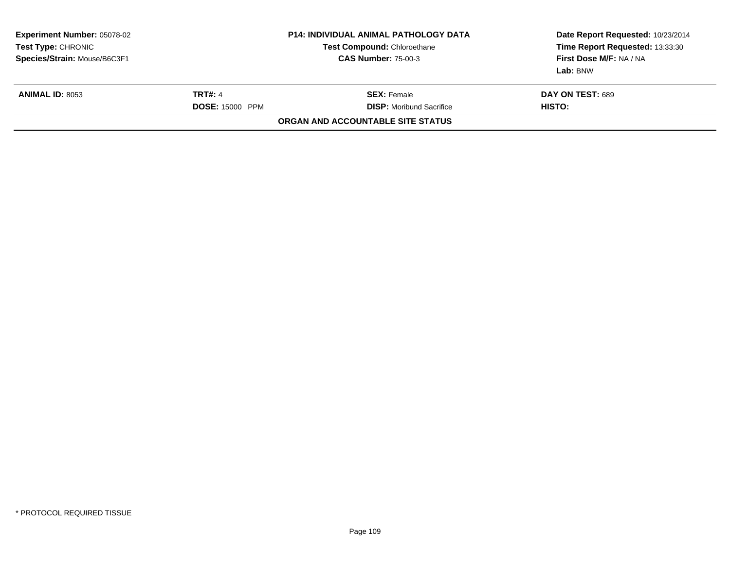| <b>CAS Number: 75-00-3</b>                            | Time Report Requested: 13:33:30<br>First Dose M/F: NA / NA<br>Lab: BNW |
|-------------------------------------------------------|------------------------------------------------------------------------|
| <b>SEX: Female</b><br><b>DISP:</b> Moribund Sacrifice | DAY ON TEST: 689<br>HISTO:                                             |
| ORGAN AND ACCOUNTABLE SITE STATUS                     |                                                                        |
|                                                       | <b>Test Compound: Chloroethane</b><br><b>DOSE: 15000 PPM</b>           |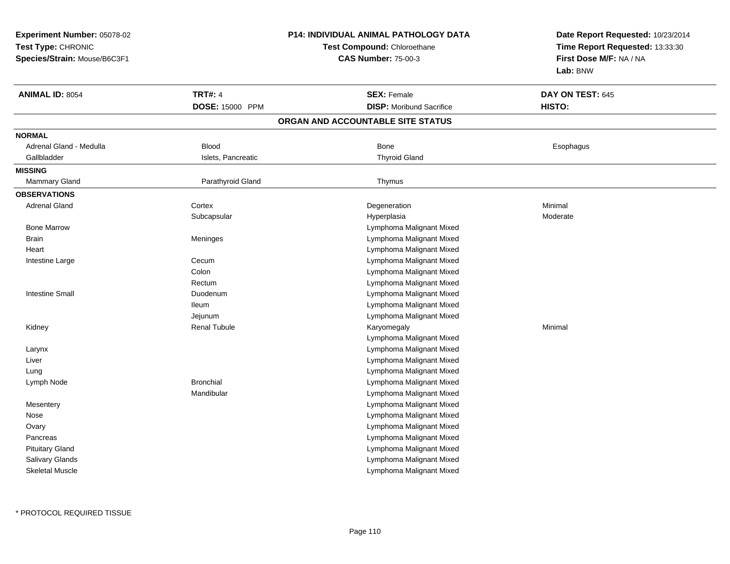**Experiment Number:** 05078-02**Test Type:** CHRONIC **Species/Strain:** Mouse/B6C3F1**P14: INDIVIDUAL ANIMAL PATHOLOGY DATATest Compound:** Chloroethane**CAS Number:** 75-00-3**Date Report Requested:** 10/23/2014**Time Report Requested:** 13:33:30**First Dose M/F:** NA / NA**Lab:** BNW**ANIMAL ID:** 8054**TRT#:** 4 **SEX:** Female **DAY ON TEST:** 645 **DOSE:** 15000 PPM**DISP:** Moribund Sacrifice **HISTO: ORGAN AND ACCOUNTABLE SITE STATUSNORMAL** Adrenal Gland - Medulla Blood Bone EsophagusGallbladder **Islets, Pancreatic Community Community** Islets, Pancreatic **Thyroid Gland MISSINGMammary Gland** Parathyroid Gland **Parathyroid Gland** Parathyroid Gland Thymus **OBSERVATIONS** Adrenal Glandd the cortex contex and the context of the cortext of the context of the context of  $\sim$  Degeneration  $\sim$  Minimal **Subcapsular**  Hyperplasiaa **Moderate**  Bone MarrowLymphoma Malignant Mixed<br>Lymphoma Malignant Mixed<br>Lymphoma Malignant Mixed **Brain** Lymphoma Malignant Mixed **Heart**  Lymphoma Malignant Mixed Lymphoma Malignant Mixed Intestine Largee Cecum Colon Lymphoma Malignant Mixed Rectum Lymphoma Malignant Mixed Intestine Small Duodenum Lymphoma Malignant Mixed Ileum Lymphoma Malignant Mixed Jejunum Lymphoma Malignant Mixed Kidney Renal Tubule Karyomegaly Minimal Lymphoma Malignant Mixed Lymphoma Malignant Mixed Larynx Lymphoma Malignant Mixed Liver Lymphoma Malignant Mixed Lung Lymph Node Bronchial Lymphoma Malignant Mixed Mandibular Lymphoma Malignant Mixed Lymphoma Malignant Mixed**Mesentery**  Lymphoma Malignant Mixed Nose**Ovary**  Lymphoma Malignant Mixed Lymphoma Malignant Mixed**Pancreas**  Lymphoma Malignant Mixed Pituitary Gland Salivary Glands Lymphoma Malignant Mixed Lymphoma Malignant MixedSkeletal Muscle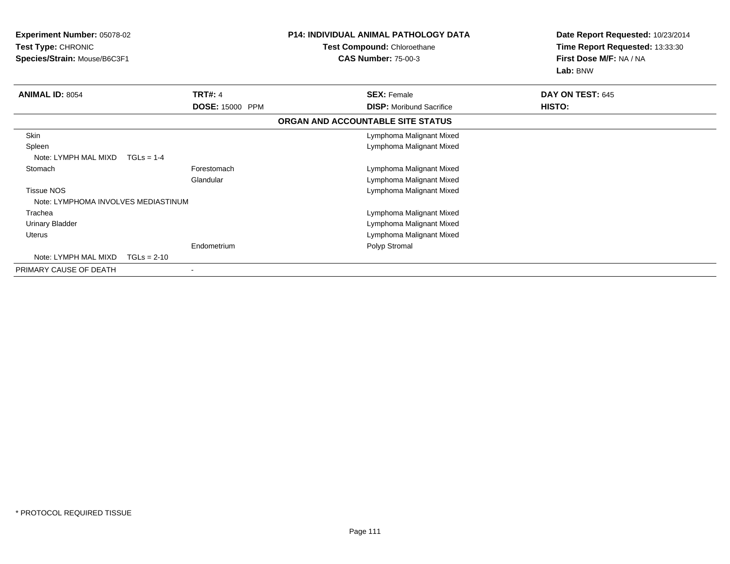| Experiment Number: 05078-02<br>Test Type: CHRONIC |                        | <b>P14: INDIVIDUAL ANIMAL PATHOLOGY DATA</b> | Date Report Requested: 10/23/2014 |
|---------------------------------------------------|------------------------|----------------------------------------------|-----------------------------------|
|                                                   |                        | Test Compound: Chloroethane                  | Time Report Requested: 13:33:30   |
| Species/Strain: Mouse/B6C3F1                      |                        | <b>CAS Number: 75-00-3</b>                   | First Dose M/F: NA / NA           |
|                                                   |                        |                                              | Lab: BNW                          |
| <b>ANIMAL ID: 8054</b>                            | <b>TRT#: 4</b>         | <b>SEX: Female</b>                           | DAY ON TEST: 645                  |
|                                                   | <b>DOSE: 15000 PPM</b> | <b>DISP:</b> Moribund Sacrifice              | HISTO:                            |
|                                                   |                        | ORGAN AND ACCOUNTABLE SITE STATUS            |                                   |
| Skin                                              |                        | Lymphoma Malignant Mixed                     |                                   |
| Spleen                                            |                        | Lymphoma Malignant Mixed                     |                                   |
| Note: LYMPH MAL MIXD                              | $TGLs = 1-4$           |                                              |                                   |
| Stomach                                           | Forestomach            | Lymphoma Malignant Mixed                     |                                   |
|                                                   | Glandular              | Lymphoma Malignant Mixed                     |                                   |
| <b>Tissue NOS</b>                                 |                        | Lymphoma Malignant Mixed                     |                                   |
| Note: LYMPHOMA INVOLVES MEDIASTINUM               |                        |                                              |                                   |
| Trachea                                           |                        | Lymphoma Malignant Mixed                     |                                   |
| Urinary Bladder                                   |                        | Lymphoma Malignant Mixed                     |                                   |
| <b>Uterus</b>                                     |                        | Lymphoma Malignant Mixed                     |                                   |
|                                                   | Endometrium            | Polyp Stromal                                |                                   |
| Note: LYMPH MAL MIXD                              | $TGLs = 2-10$          |                                              |                                   |
| PRIMARY CAUSE OF DEATH                            |                        |                                              |                                   |
|                                                   |                        |                                              |                                   |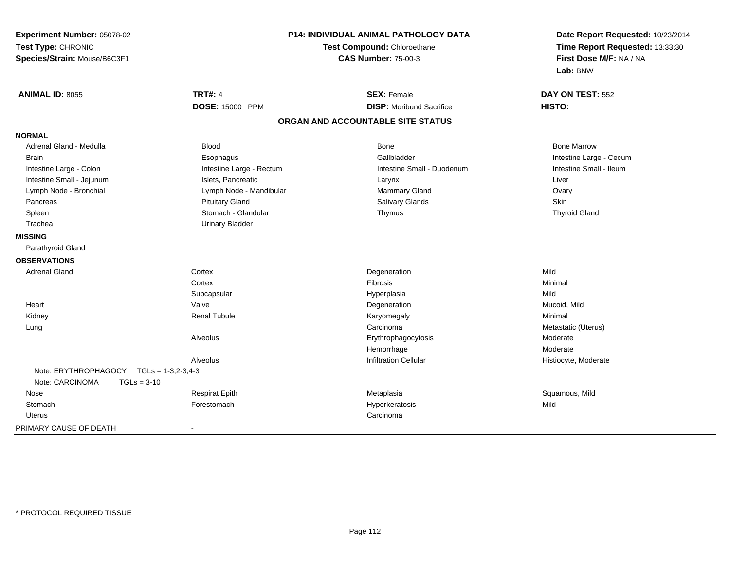| Experiment Number: 05078-02<br>Test Type: CHRONIC<br>Species/Strain: Mouse/B6C3F1 | P14: INDIVIDUAL ANIMAL PATHOLOGY DATA<br>Test Compound: Chloroethane<br><b>CAS Number: 75-00-3</b> |                                   | Date Report Requested: 10/23/2014<br>Time Report Requested: 13:33:30<br>First Dose M/F: NA / NA<br>Lab: BNW |
|-----------------------------------------------------------------------------------|----------------------------------------------------------------------------------------------------|-----------------------------------|-------------------------------------------------------------------------------------------------------------|
| <b>ANIMAL ID: 8055</b>                                                            | <b>TRT#: 4</b>                                                                                     | <b>SEX: Female</b>                | DAY ON TEST: 552                                                                                            |
|                                                                                   | DOSE: 15000 PPM                                                                                    | <b>DISP:</b> Moribund Sacrifice   | HISTO:                                                                                                      |
|                                                                                   |                                                                                                    | ORGAN AND ACCOUNTABLE SITE STATUS |                                                                                                             |
| <b>NORMAL</b>                                                                     |                                                                                                    |                                   |                                                                                                             |
| Adrenal Gland - Medulla                                                           | <b>Blood</b>                                                                                       | Bone                              | <b>Bone Marrow</b>                                                                                          |
| <b>Brain</b>                                                                      | Esophagus                                                                                          | Gallbladder                       | Intestine Large - Cecum                                                                                     |
| Intestine Large - Colon                                                           | Intestine Large - Rectum                                                                           | Intestine Small - Duodenum        | Intestine Small - Ileum                                                                                     |
| Intestine Small - Jejunum                                                         | Islets, Pancreatic                                                                                 | Larynx                            | Liver                                                                                                       |
| Lymph Node - Bronchial                                                            | Lymph Node - Mandibular                                                                            | <b>Mammary Gland</b>              | Ovary                                                                                                       |
| Pancreas                                                                          | <b>Pituitary Gland</b>                                                                             | Salivary Glands                   | <b>Skin</b>                                                                                                 |
| Spleen                                                                            | Stomach - Glandular                                                                                | Thymus                            | <b>Thyroid Gland</b>                                                                                        |
| Trachea                                                                           | <b>Urinary Bladder</b>                                                                             |                                   |                                                                                                             |
| <b>MISSING</b>                                                                    |                                                                                                    |                                   |                                                                                                             |
| Parathyroid Gland                                                                 |                                                                                                    |                                   |                                                                                                             |
| <b>OBSERVATIONS</b>                                                               |                                                                                                    |                                   |                                                                                                             |
| <b>Adrenal Gland</b>                                                              | Cortex                                                                                             | Degeneration                      | Mild                                                                                                        |
|                                                                                   | Cortex                                                                                             | Fibrosis                          | Minimal                                                                                                     |
|                                                                                   | Subcapsular                                                                                        | Hyperplasia                       | Mild                                                                                                        |
| Heart                                                                             | Valve                                                                                              | Degeneration                      | Mucoid, Mild                                                                                                |
| Kidney                                                                            | <b>Renal Tubule</b>                                                                                | Karyomegaly                       | Minimal                                                                                                     |
| Lung                                                                              |                                                                                                    | Carcinoma                         | Metastatic (Uterus)                                                                                         |
|                                                                                   | Alveolus                                                                                           | Erythrophagocytosis               | Moderate                                                                                                    |
|                                                                                   |                                                                                                    | Hemorrhage                        | Moderate                                                                                                    |
|                                                                                   | Alveolus                                                                                           | <b>Infiltration Cellular</b>      | Histiocyte, Moderate                                                                                        |
| Note: ERYTHROPHAGOCY                                                              | $TGLs = 1-3,2-3,4-3$                                                                               |                                   |                                                                                                             |
| Note: CARCINOMA<br>$TGLs = 3-10$                                                  |                                                                                                    |                                   |                                                                                                             |
| Nose                                                                              | <b>Respirat Epith</b>                                                                              | Metaplasia                        | Squamous, Mild                                                                                              |
| Stomach                                                                           | Forestomach                                                                                        | Hyperkeratosis                    | Mild                                                                                                        |
| <b>Uterus</b>                                                                     |                                                                                                    | Carcinoma                         |                                                                                                             |
| PRIMARY CAUSE OF DEATH                                                            | $\blacksquare$                                                                                     |                                   |                                                                                                             |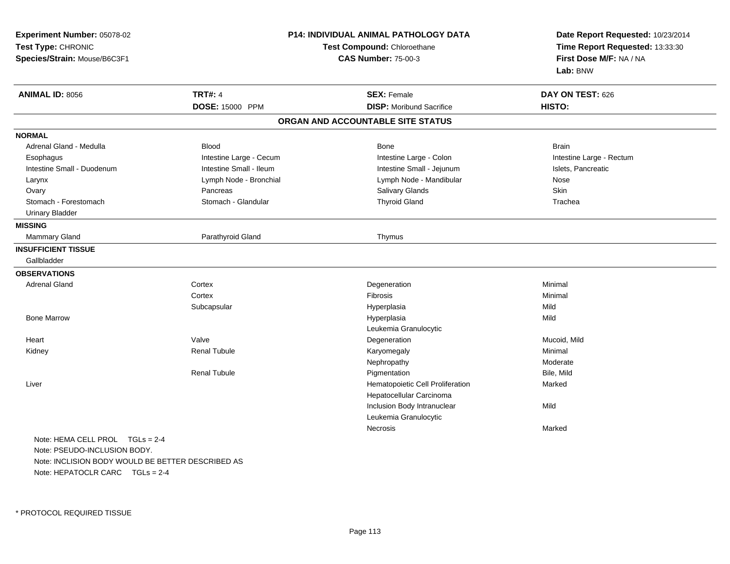| Experiment Number: 05078-02<br>Test Type: CHRONIC<br>Species/Strain: Mouse/B6C3F1 | <b>P14: INDIVIDUAL ANIMAL PATHOLOGY DATA</b><br>Test Compound: Chloroethane<br><b>CAS Number: 75-00-3</b> |                                   | Date Report Requested: 10/23/2014<br>Time Report Requested: 13:33:30<br>First Dose M/F: NA / NA<br>Lab: BNW |
|-----------------------------------------------------------------------------------|-----------------------------------------------------------------------------------------------------------|-----------------------------------|-------------------------------------------------------------------------------------------------------------|
| <b>ANIMAL ID: 8056</b>                                                            | <b>TRT#: 4</b>                                                                                            | <b>SEX: Female</b>                | DAY ON TEST: 626                                                                                            |
|                                                                                   | DOSE: 15000 PPM                                                                                           | <b>DISP:</b> Moribund Sacrifice   | <b>HISTO:</b>                                                                                               |
|                                                                                   |                                                                                                           | ORGAN AND ACCOUNTABLE SITE STATUS |                                                                                                             |
| <b>NORMAL</b>                                                                     |                                                                                                           |                                   |                                                                                                             |
| Adrenal Gland - Medulla                                                           | <b>Blood</b>                                                                                              | <b>Bone</b>                       | <b>Brain</b>                                                                                                |
| Esophagus                                                                         | Intestine Large - Cecum                                                                                   | Intestine Large - Colon           | Intestine Large - Rectum                                                                                    |
| Intestine Small - Duodenum                                                        | Intestine Small - Ileum                                                                                   | Intestine Small - Jejunum         | Islets, Pancreatic                                                                                          |
| Larynx                                                                            | Lymph Node - Bronchial                                                                                    | Lymph Node - Mandibular           | Nose                                                                                                        |
| Ovary                                                                             | Pancreas                                                                                                  | Salivary Glands                   | Skin                                                                                                        |
| Stomach - Forestomach                                                             | Stomach - Glandular                                                                                       | <b>Thyroid Gland</b>              | Trachea                                                                                                     |
| <b>Urinary Bladder</b>                                                            |                                                                                                           |                                   |                                                                                                             |
| <b>MISSING</b>                                                                    |                                                                                                           |                                   |                                                                                                             |
| <b>Mammary Gland</b>                                                              | Parathyroid Gland                                                                                         | Thymus                            |                                                                                                             |
| <b>INSUFFICIENT TISSUE</b>                                                        |                                                                                                           |                                   |                                                                                                             |
| Gallbladder                                                                       |                                                                                                           |                                   |                                                                                                             |
| <b>OBSERVATIONS</b>                                                               |                                                                                                           |                                   |                                                                                                             |
| <b>Adrenal Gland</b>                                                              | Cortex                                                                                                    | Degeneration                      | Minimal                                                                                                     |
|                                                                                   | Cortex                                                                                                    | Fibrosis                          | Minimal                                                                                                     |
|                                                                                   | Subcapsular                                                                                               | Hyperplasia                       | Mild                                                                                                        |
| <b>Bone Marrow</b>                                                                |                                                                                                           | Hyperplasia                       | Mild                                                                                                        |
|                                                                                   |                                                                                                           | Leukemia Granulocytic             |                                                                                                             |
| Heart                                                                             | Valve                                                                                                     | Degeneration                      | Mucoid, Mild                                                                                                |
| Kidney                                                                            | <b>Renal Tubule</b>                                                                                       | Karyomegaly                       | Minimal                                                                                                     |
|                                                                                   |                                                                                                           | Nephropathy                       | Moderate                                                                                                    |
|                                                                                   | <b>Renal Tubule</b>                                                                                       | Pigmentation                      | Bile, Mild                                                                                                  |
| Liver                                                                             |                                                                                                           | Hematopoietic Cell Proliferation  | Marked                                                                                                      |
|                                                                                   |                                                                                                           | Hepatocellular Carcinoma          |                                                                                                             |
|                                                                                   |                                                                                                           | Inclusion Body Intranuclear       | Mild                                                                                                        |
|                                                                                   |                                                                                                           | Leukemia Granulocytic             |                                                                                                             |
|                                                                                   |                                                                                                           | Necrosis                          | Marked                                                                                                      |
| Note: HEMA CELL PROL TGLs = 2-4                                                   |                                                                                                           |                                   |                                                                                                             |
| Note: PSEUDO-INCLUSION BODY.                                                      |                                                                                                           |                                   |                                                                                                             |
| Note: INCLISION BODY WOULD BE BETTER DESCRIBED AS                                 |                                                                                                           |                                   |                                                                                                             |

Note: HEPATOCLR CARC TGLs = 2-4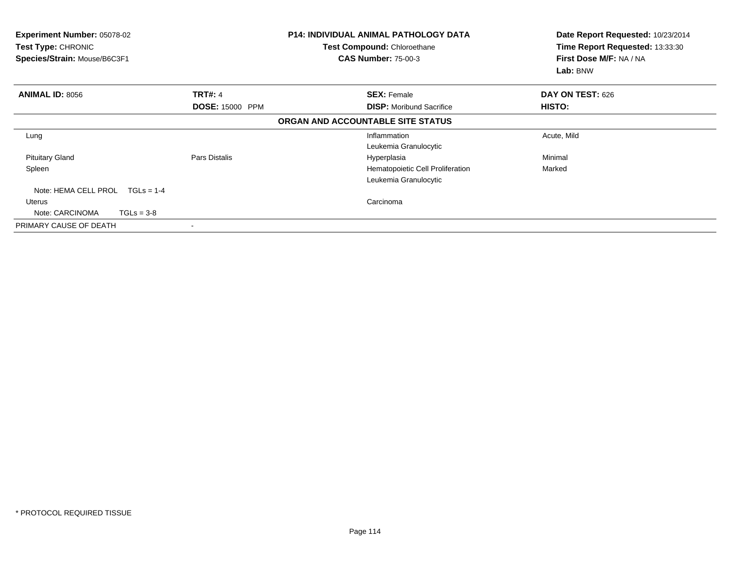| Experiment Number: 05078-02<br>Test Type: CHRONIC<br>Species/Strain: Mouse/B6C3F1 |                        | <b>P14: INDIVIDUAL ANIMAL PATHOLOGY DATA</b><br>Test Compound: Chloroethane<br><b>CAS Number: 75-00-3</b> | Date Report Requested: 10/23/2014<br>Time Report Requested: 13:33:30<br>First Dose M/F: NA / NA<br>Lab: BNW |
|-----------------------------------------------------------------------------------|------------------------|-----------------------------------------------------------------------------------------------------------|-------------------------------------------------------------------------------------------------------------|
| <b>ANIMAL ID: 8056</b>                                                            | <b>TRT#: 4</b>         | <b>SEX: Female</b>                                                                                        | DAY ON TEST: 626                                                                                            |
|                                                                                   | <b>DOSE: 15000 PPM</b> | <b>DISP:</b> Moribund Sacrifice                                                                           | HISTO:                                                                                                      |
|                                                                                   |                        | ORGAN AND ACCOUNTABLE SITE STATUS                                                                         |                                                                                                             |
| Lung                                                                              |                        | Inflammation                                                                                              | Acute, Mild                                                                                                 |
|                                                                                   |                        | Leukemia Granulocytic                                                                                     |                                                                                                             |
| <b>Pituitary Gland</b>                                                            | Pars Distalis          | Hyperplasia                                                                                               | Minimal                                                                                                     |
| Spleen                                                                            |                        | Hematopoietic Cell Proliferation                                                                          | Marked                                                                                                      |
|                                                                                   |                        | Leukemia Granulocytic                                                                                     |                                                                                                             |
| Note: HEMA CELL PROL<br>$TGLs = 1-4$                                              |                        |                                                                                                           |                                                                                                             |
| Uterus                                                                            |                        | Carcinoma                                                                                                 |                                                                                                             |
| Note: CARCINOMA<br>$TGLs = 3-8$                                                   |                        |                                                                                                           |                                                                                                             |
| PRIMARY CAUSE OF DEATH                                                            |                        |                                                                                                           |                                                                                                             |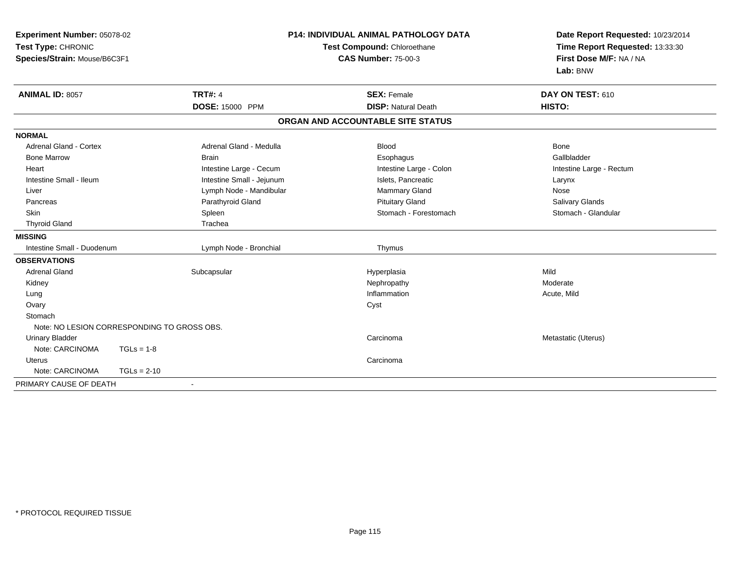| Experiment Number: 05078-02<br>Test Type: CHRONIC<br>Species/Strain: Mouse/B6C3F1 |                                             | <b>P14: INDIVIDUAL ANIMAL PATHOLOGY DATA</b><br>Test Compound: Chloroethane<br><b>CAS Number: 75-00-3</b> | Date Report Requested: 10/23/2014<br>Time Report Requested: 13:33:30<br>First Dose M/F: NA / NA<br>Lab: BNW |
|-----------------------------------------------------------------------------------|---------------------------------------------|-----------------------------------------------------------------------------------------------------------|-------------------------------------------------------------------------------------------------------------|
| <b>ANIMAL ID: 8057</b>                                                            | <b>TRT#: 4</b><br>DOSE: 15000 PPM           | <b>SEX: Female</b><br><b>DISP: Natural Death</b>                                                          | DAY ON TEST: 610<br>HISTO:                                                                                  |
|                                                                                   |                                             | ORGAN AND ACCOUNTABLE SITE STATUS                                                                         |                                                                                                             |
| <b>NORMAL</b>                                                                     |                                             |                                                                                                           |                                                                                                             |
| Adrenal Gland - Cortex                                                            | Adrenal Gland - Medulla                     | <b>Blood</b>                                                                                              | Bone                                                                                                        |
| <b>Bone Marrow</b>                                                                | <b>Brain</b>                                | Esophagus                                                                                                 | Gallbladder                                                                                                 |
| Heart                                                                             | Intestine Large - Cecum                     | Intestine Large - Colon                                                                                   | Intestine Large - Rectum                                                                                    |
| Intestine Small - Ileum                                                           | Intestine Small - Jejunum                   | Islets, Pancreatic                                                                                        | Larynx                                                                                                      |
| Liver                                                                             | Lymph Node - Mandibular                     | Mammary Gland                                                                                             | Nose                                                                                                        |
| Pancreas                                                                          | Parathyroid Gland                           | <b>Pituitary Gland</b>                                                                                    | Salivary Glands                                                                                             |
| <b>Skin</b>                                                                       | Spleen                                      | Stomach - Forestomach                                                                                     | Stomach - Glandular                                                                                         |
| <b>Thyroid Gland</b>                                                              | Trachea                                     |                                                                                                           |                                                                                                             |
| <b>MISSING</b>                                                                    |                                             |                                                                                                           |                                                                                                             |
| Intestine Small - Duodenum                                                        | Lymph Node - Bronchial                      | Thymus                                                                                                    |                                                                                                             |
| <b>OBSERVATIONS</b>                                                               |                                             |                                                                                                           |                                                                                                             |
| <b>Adrenal Gland</b>                                                              | Subcapsular                                 | Hyperplasia                                                                                               | Mild                                                                                                        |
| Kidney                                                                            |                                             | Nephropathy                                                                                               | Moderate                                                                                                    |
| Lung                                                                              |                                             | Inflammation                                                                                              | Acute, Mild                                                                                                 |
| Ovary                                                                             |                                             | Cyst                                                                                                      |                                                                                                             |
| Stomach                                                                           |                                             |                                                                                                           |                                                                                                             |
|                                                                                   | Note: NO LESION CORRESPONDING TO GROSS OBS. |                                                                                                           |                                                                                                             |
| <b>Urinary Bladder</b>                                                            |                                             | Carcinoma                                                                                                 | Metastatic (Uterus)                                                                                         |
| Note: CARCINOMA                                                                   | $TGLs = 1-8$                                |                                                                                                           |                                                                                                             |
| <b>Uterus</b>                                                                     |                                             | Carcinoma                                                                                                 |                                                                                                             |
| Note: CARCINOMA                                                                   | $TGLs = 2-10$                               |                                                                                                           |                                                                                                             |
| PRIMARY CAUSE OF DEATH                                                            | $\blacksquare$                              |                                                                                                           |                                                                                                             |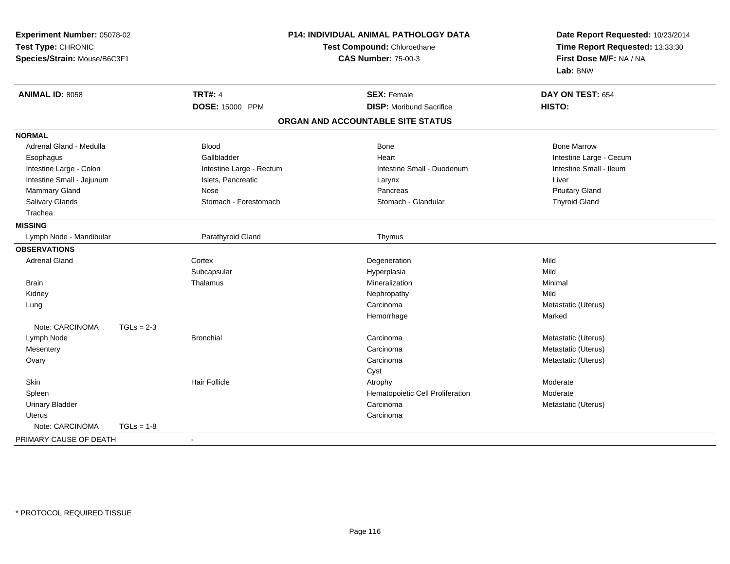| Experiment Number: 05078-02                        |              | <b>P14: INDIVIDUAL ANIMAL PATHOLOGY DATA</b> |                                   | Date Report Requested: 10/23/2014 |  |
|----------------------------------------------------|--------------|----------------------------------------------|-----------------------------------|-----------------------------------|--|
| Test Type: CHRONIC<br>Species/Strain: Mouse/B6C3F1 |              | Test Compound: Chloroethane                  |                                   | Time Report Requested: 13:33:30   |  |
|                                                    |              |                                              | <b>CAS Number: 75-00-3</b>        | First Dose M/F: NA / NA           |  |
|                                                    |              |                                              |                                   | Lab: BNW                          |  |
| <b>ANIMAL ID: 8058</b>                             |              | <b>TRT#: 4</b>                               | <b>SEX: Female</b>                | DAY ON TEST: 654                  |  |
|                                                    |              | DOSE: 15000 PPM                              | <b>DISP:</b> Moribund Sacrifice   | HISTO:                            |  |
|                                                    |              |                                              | ORGAN AND ACCOUNTABLE SITE STATUS |                                   |  |
| <b>NORMAL</b>                                      |              |                                              |                                   |                                   |  |
| Adrenal Gland - Medulla                            |              | <b>Blood</b>                                 | Bone                              | <b>Bone Marrow</b>                |  |
| Esophagus                                          |              | Gallbladder                                  | Heart                             | Intestine Large - Cecum           |  |
| Intestine Large - Colon                            |              | Intestine Large - Rectum                     | Intestine Small - Duodenum        | Intestine Small - Ileum           |  |
| Intestine Small - Jejunum                          |              | Islets, Pancreatic                           | Larynx                            | Liver                             |  |
| Mammary Gland                                      |              | Nose                                         | Pancreas                          | <b>Pituitary Gland</b>            |  |
| Salivary Glands                                    |              | Stomach - Forestomach                        | Stomach - Glandular               | <b>Thyroid Gland</b>              |  |
| Trachea                                            |              |                                              |                                   |                                   |  |
| <b>MISSING</b>                                     |              |                                              |                                   |                                   |  |
| Lymph Node - Mandibular                            |              | Parathyroid Gland                            | Thymus                            |                                   |  |
| <b>OBSERVATIONS</b>                                |              |                                              |                                   |                                   |  |
| <b>Adrenal Gland</b>                               |              | Cortex                                       | Degeneration                      | Mild                              |  |
|                                                    |              | Subcapsular                                  | Hyperplasia                       | Mild                              |  |
| <b>Brain</b>                                       |              | Thalamus                                     | Mineralization                    | Minimal                           |  |
| Kidney                                             |              |                                              | Nephropathy                       | Mild                              |  |
| Lung                                               |              |                                              | Carcinoma                         | Metastatic (Uterus)               |  |
|                                                    |              |                                              | Hemorrhage                        | Marked                            |  |
| Note: CARCINOMA                                    | $TGLs = 2-3$ |                                              |                                   |                                   |  |
| Lymph Node                                         |              | <b>Bronchial</b>                             | Carcinoma                         | Metastatic (Uterus)               |  |
| Mesentery                                          |              |                                              | Carcinoma                         | Metastatic (Uterus)               |  |
| Ovary                                              |              |                                              | Carcinoma                         | Metastatic (Uterus)               |  |
|                                                    |              |                                              | Cyst                              |                                   |  |
| Skin                                               |              | <b>Hair Follicle</b>                         | Atrophy                           | Moderate                          |  |
| Spleen                                             |              |                                              | Hematopoietic Cell Proliferation  | Moderate                          |  |
| <b>Urinary Bladder</b>                             |              |                                              | Carcinoma                         | Metastatic (Uterus)               |  |
| <b>Uterus</b>                                      |              |                                              | Carcinoma                         |                                   |  |
| Note: CARCINOMA                                    | $TGLs = 1-8$ |                                              |                                   |                                   |  |
| PRIMARY CAUSE OF DEATH                             |              |                                              |                                   |                                   |  |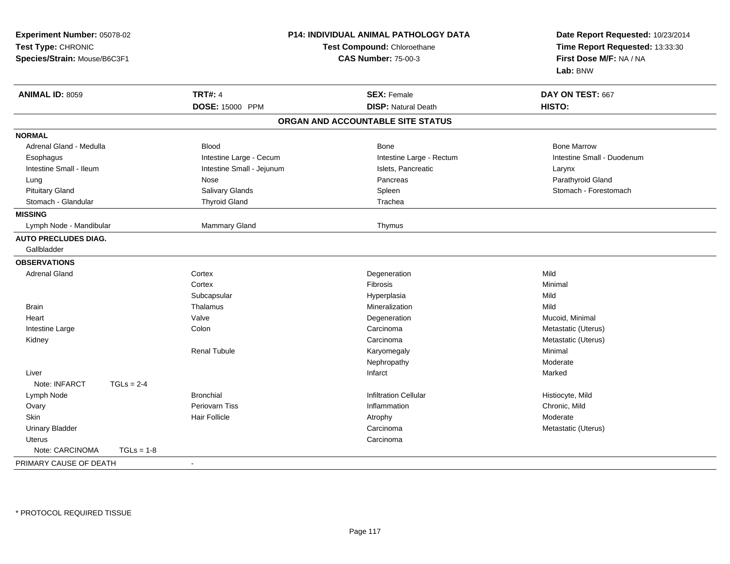| Experiment Number: 05078-02<br>Test Type: CHRONIC<br>Species/Strain: Mouse/B6C3F1 | <b>P14: INDIVIDUAL ANIMAL PATHOLOGY DATA</b><br>Test Compound: Chloroethane<br><b>CAS Number: 75-00-3</b> |                                   | Date Report Requested: 10/23/2014<br>Time Report Requested: 13:33:30<br>First Dose M/F: NA / NA<br>Lab: BNW |  |
|-----------------------------------------------------------------------------------|-----------------------------------------------------------------------------------------------------------|-----------------------------------|-------------------------------------------------------------------------------------------------------------|--|
| <b>ANIMAL ID: 8059</b>                                                            | <b>TRT#: 4</b>                                                                                            | <b>SEX: Female</b>                | DAY ON TEST: 667                                                                                            |  |
|                                                                                   | DOSE: 15000 PPM                                                                                           | <b>DISP: Natural Death</b>        | HISTO:                                                                                                      |  |
|                                                                                   |                                                                                                           | ORGAN AND ACCOUNTABLE SITE STATUS |                                                                                                             |  |
| <b>NORMAL</b>                                                                     |                                                                                                           |                                   |                                                                                                             |  |
| Adrenal Gland - Medulla                                                           | <b>Blood</b>                                                                                              | Bone                              | <b>Bone Marrow</b>                                                                                          |  |
| Esophagus                                                                         | Intestine Large - Cecum                                                                                   | Intestine Large - Rectum          | Intestine Small - Duodenum                                                                                  |  |
| Intestine Small - Ileum                                                           | Intestine Small - Jejunum                                                                                 | Islets, Pancreatic                | Larynx                                                                                                      |  |
| Lung                                                                              | Nose                                                                                                      | Pancreas                          | Parathyroid Gland                                                                                           |  |
| <b>Pituitary Gland</b>                                                            | Salivary Glands                                                                                           | Spleen                            | Stomach - Forestomach                                                                                       |  |
| Stomach - Glandular                                                               | <b>Thyroid Gland</b>                                                                                      | Trachea                           |                                                                                                             |  |
| <b>MISSING</b>                                                                    |                                                                                                           |                                   |                                                                                                             |  |
| Lymph Node - Mandibular                                                           | Mammary Gland                                                                                             | Thymus                            |                                                                                                             |  |
| <b>AUTO PRECLUDES DIAG.</b>                                                       |                                                                                                           |                                   |                                                                                                             |  |
| Gallbladder                                                                       |                                                                                                           |                                   |                                                                                                             |  |
| <b>OBSERVATIONS</b>                                                               |                                                                                                           |                                   |                                                                                                             |  |
| <b>Adrenal Gland</b>                                                              | Cortex                                                                                                    | Degeneration                      | Mild                                                                                                        |  |
|                                                                                   | Cortex                                                                                                    | Fibrosis                          | Minimal                                                                                                     |  |
|                                                                                   | Subcapsular                                                                                               | Hyperplasia                       | Mild                                                                                                        |  |
| Brain                                                                             | Thalamus                                                                                                  | Mineralization                    | Mild                                                                                                        |  |
| Heart                                                                             | Valve                                                                                                     | Degeneration                      | Mucoid, Minimal                                                                                             |  |
| Intestine Large                                                                   | Colon                                                                                                     | Carcinoma                         | Metastatic (Uterus)                                                                                         |  |
| Kidney                                                                            |                                                                                                           | Carcinoma                         | Metastatic (Uterus)                                                                                         |  |
|                                                                                   | <b>Renal Tubule</b>                                                                                       | Karyomegaly                       | Minimal                                                                                                     |  |
|                                                                                   |                                                                                                           | Nephropathy                       | Moderate                                                                                                    |  |
| Liver                                                                             |                                                                                                           | Infarct                           | Marked                                                                                                      |  |
| Note: INFARCT<br>$TGLs = 2-4$                                                     |                                                                                                           |                                   |                                                                                                             |  |
| Lymph Node                                                                        | <b>Bronchial</b>                                                                                          | <b>Infiltration Cellular</b>      | Histiocyte, Mild                                                                                            |  |
| Ovary                                                                             | Periovarn Tiss                                                                                            | Inflammation                      | Chronic, Mild                                                                                               |  |
| Skin                                                                              | <b>Hair Follicle</b>                                                                                      | Atrophy                           | Moderate                                                                                                    |  |
| <b>Urinary Bladder</b>                                                            |                                                                                                           | Carcinoma                         | Metastatic (Uterus)                                                                                         |  |
| <b>Uterus</b>                                                                     |                                                                                                           | Carcinoma                         |                                                                                                             |  |
| Note: CARCINOMA<br>$TGLs = 1-8$                                                   |                                                                                                           |                                   |                                                                                                             |  |
| PRIMARY CAUSE OF DEATH                                                            | $\sim$                                                                                                    |                                   |                                                                                                             |  |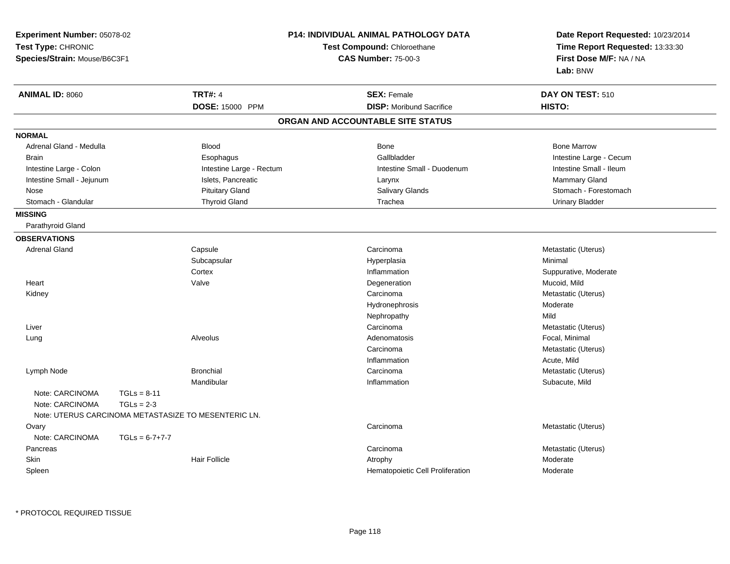| Experiment Number: 05078-02                        |                  |                                                                  | <b>P14: INDIVIDUAL ANIMAL PATHOLOGY DATA</b> | Date Report Requested: 10/23/2014 |  |
|----------------------------------------------------|------------------|------------------------------------------------------------------|----------------------------------------------|-----------------------------------|--|
| Test Type: CHRONIC<br>Species/Strain: Mouse/B6C3F1 |                  | <b>Test Compound: Chloroethane</b><br><b>CAS Number: 75-00-3</b> |                                              | Time Report Requested: 13:33:30   |  |
|                                                    |                  |                                                                  |                                              | First Dose M/F: NA / NA           |  |
|                                                    |                  |                                                                  |                                              | Lab: BNW                          |  |
| <b>ANIMAL ID: 8060</b>                             |                  | <b>TRT#: 4</b>                                                   | <b>SEX: Female</b>                           | DAY ON TEST: 510                  |  |
|                                                    |                  | DOSE: 15000 PPM                                                  | <b>DISP:</b> Moribund Sacrifice              | HISTO:                            |  |
|                                                    |                  |                                                                  | ORGAN AND ACCOUNTABLE SITE STATUS            |                                   |  |
| <b>NORMAL</b>                                      |                  |                                                                  |                                              |                                   |  |
| Adrenal Gland - Medulla                            |                  | <b>Blood</b>                                                     | <b>Bone</b>                                  | <b>Bone Marrow</b>                |  |
| <b>Brain</b>                                       |                  | Esophagus                                                        | Gallbladder                                  | Intestine Large - Cecum           |  |
| Intestine Large - Colon                            |                  | Intestine Large - Rectum                                         | Intestine Small - Duodenum                   | Intestine Small - Ileum           |  |
| Intestine Small - Jejunum                          |                  | Islets, Pancreatic                                               | Larynx                                       | <b>Mammary Gland</b>              |  |
| Nose                                               |                  | <b>Pituitary Gland</b>                                           | Salivary Glands                              | Stomach - Forestomach             |  |
| Stomach - Glandular                                |                  | <b>Thyroid Gland</b>                                             | Trachea                                      | <b>Urinary Bladder</b>            |  |
| <b>MISSING</b>                                     |                  |                                                                  |                                              |                                   |  |
| Parathyroid Gland                                  |                  |                                                                  |                                              |                                   |  |
| <b>OBSERVATIONS</b>                                |                  |                                                                  |                                              |                                   |  |
| <b>Adrenal Gland</b>                               |                  | Capsule                                                          | Carcinoma                                    | Metastatic (Uterus)               |  |
|                                                    |                  | Subcapsular                                                      | Hyperplasia                                  | Minimal                           |  |
|                                                    |                  | Cortex                                                           | Inflammation                                 | Suppurative, Moderate             |  |
| Heart                                              |                  | Valve                                                            | Degeneration                                 | Mucoid, Mild                      |  |
| Kidney                                             |                  |                                                                  | Carcinoma                                    | Metastatic (Uterus)               |  |
|                                                    |                  |                                                                  | Hydronephrosis                               | Moderate                          |  |
|                                                    |                  |                                                                  | Nephropathy                                  | Mild                              |  |
| Liver                                              |                  |                                                                  | Carcinoma                                    | Metastatic (Uterus)               |  |
| Lung                                               |                  | Alveolus                                                         | Adenomatosis                                 | Focal, Minimal                    |  |
|                                                    |                  |                                                                  | Carcinoma                                    | Metastatic (Uterus)               |  |
|                                                    |                  |                                                                  | Inflammation                                 | Acute, Mild                       |  |
| Lymph Node                                         |                  | <b>Bronchial</b>                                                 | Carcinoma                                    | Metastatic (Uterus)               |  |
|                                                    |                  | Mandibular                                                       | Inflammation                                 | Subacute, Mild                    |  |
| Note: CARCINOMA                                    | $TGLs = 8-11$    |                                                                  |                                              |                                   |  |
| Note: CARCINOMA                                    | $TGLs = 2-3$     |                                                                  |                                              |                                   |  |
|                                                    |                  | Note: UTERUS CARCINOMA METASTASIZE TO MESENTERIC LN.             |                                              |                                   |  |
| Ovary                                              |                  |                                                                  | Carcinoma                                    | Metastatic (Uterus)               |  |
| Note: CARCINOMA                                    | $TGLs = 6-7+7-7$ |                                                                  |                                              |                                   |  |
| Pancreas                                           |                  |                                                                  | Carcinoma                                    | Metastatic (Uterus)               |  |
| <b>Skin</b>                                        |                  | <b>Hair Follicle</b>                                             | Atrophy                                      | Moderate                          |  |
| Spleen                                             |                  |                                                                  | Hematopoietic Cell Proliferation             | Moderate                          |  |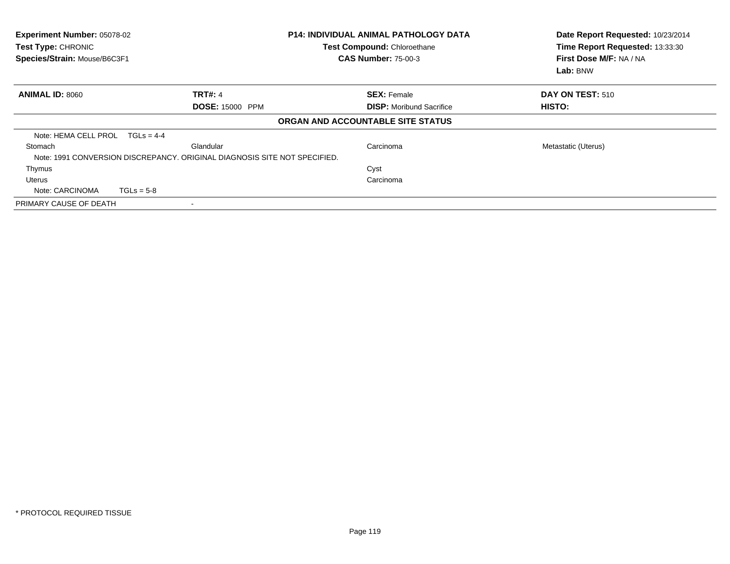| Experiment Number: 05078-02<br>Test Type: CHRONIC<br>Species/Strain: Mouse/B6C3F1 |                                                                           | <b>P14: INDIVIDUAL ANIMAL PATHOLOGY DATA</b><br>Test Compound: Chloroethane<br><b>CAS Number: 75-00-3</b> | Date Report Requested: 10/23/2014<br>Time Report Requested: 13:33:30<br>First Dose M/F: NA / NA<br>Lab: BNW |
|-----------------------------------------------------------------------------------|---------------------------------------------------------------------------|-----------------------------------------------------------------------------------------------------------|-------------------------------------------------------------------------------------------------------------|
| <b>ANIMAL ID: 8060</b>                                                            | <b>TRT#: 4</b>                                                            | <b>SEX: Female</b>                                                                                        | DAY ON TEST: 510                                                                                            |
|                                                                                   | <b>DOSE: 15000 PPM</b>                                                    | <b>DISP:</b> Moribund Sacrifice                                                                           | HISTO:                                                                                                      |
|                                                                                   |                                                                           | ORGAN AND ACCOUNTABLE SITE STATUS                                                                         |                                                                                                             |
| Note: HEMA CELL PROL TGLs = 4-4                                                   |                                                                           |                                                                                                           |                                                                                                             |
| Stomach                                                                           | Glandular                                                                 | Carcinoma                                                                                                 | Metastatic (Uterus)                                                                                         |
|                                                                                   | Note: 1991 CONVERSION DISCREPANCY, ORIGINAL DIAGNOSIS SITE NOT SPECIFIED. |                                                                                                           |                                                                                                             |
| Thymus                                                                            |                                                                           | Cyst                                                                                                      |                                                                                                             |
| Uterus                                                                            |                                                                           | Carcinoma                                                                                                 |                                                                                                             |
| Note: CARCINOMA                                                                   | $TGLs = 5-8$                                                              |                                                                                                           |                                                                                                             |
| PRIMARY CAUSE OF DEATH                                                            |                                                                           |                                                                                                           |                                                                                                             |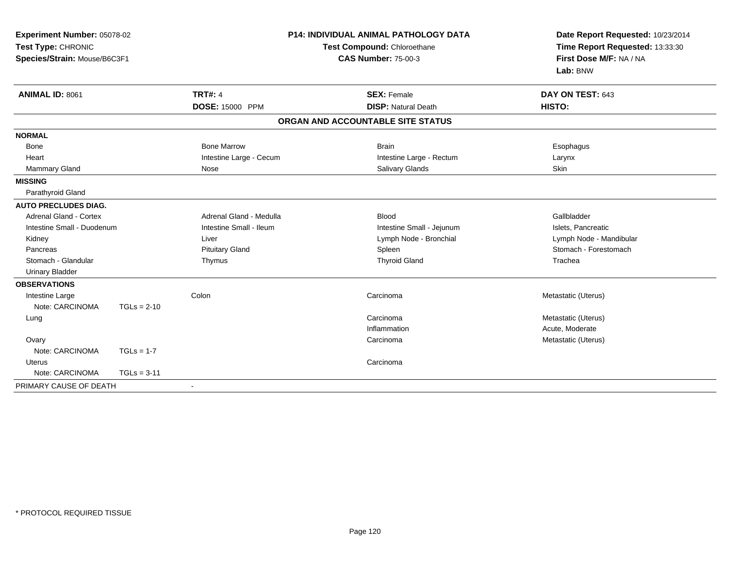| Experiment Number: 05078-02<br>Test Type: CHRONIC<br>Species/Strain: Mouse/B6C3F1 |               |                         | P14: INDIVIDUAL ANIMAL PATHOLOGY DATA<br>Test Compound: Chloroethane | Date Report Requested: 10/23/2014<br>Time Report Requested: 13:33:30 |
|-----------------------------------------------------------------------------------|---------------|-------------------------|----------------------------------------------------------------------|----------------------------------------------------------------------|
|                                                                                   |               |                         | <b>CAS Number: 75-00-3</b>                                           | First Dose M/F: NA / NA<br>Lab: BNW                                  |
| <b>ANIMAL ID: 8061</b>                                                            |               | <b>TRT#: 4</b>          | <b>SEX: Female</b>                                                   | DAY ON TEST: 643                                                     |
|                                                                                   |               | <b>DOSE: 15000 PPM</b>  | <b>DISP: Natural Death</b>                                           | HISTO:                                                               |
|                                                                                   |               |                         | ORGAN AND ACCOUNTABLE SITE STATUS                                    |                                                                      |
| <b>NORMAL</b>                                                                     |               |                         |                                                                      |                                                                      |
| <b>Bone</b>                                                                       |               | <b>Bone Marrow</b>      | <b>Brain</b>                                                         | Esophagus                                                            |
| Heart                                                                             |               | Intestine Large - Cecum | Intestine Large - Rectum                                             | Larynx                                                               |
| <b>Mammary Gland</b>                                                              |               | Nose                    | Salivary Glands                                                      | Skin                                                                 |
| <b>MISSING</b>                                                                    |               |                         |                                                                      |                                                                      |
| Parathyroid Gland                                                                 |               |                         |                                                                      |                                                                      |
| <b>AUTO PRECLUDES DIAG.</b>                                                       |               |                         |                                                                      |                                                                      |
| Adrenal Gland - Cortex                                                            |               | Adrenal Gland - Medulla | <b>Blood</b>                                                         | Gallbladder                                                          |
| Intestine Small - Duodenum                                                        |               | Intestine Small - Ileum | Intestine Small - Jejunum                                            | Islets, Pancreatic                                                   |
| Kidney                                                                            |               | Liver                   | Lymph Node - Bronchial                                               | Lymph Node - Mandibular                                              |
| Pancreas                                                                          |               | <b>Pituitary Gland</b>  | Spleen                                                               | Stomach - Forestomach                                                |
| Stomach - Glandular                                                               |               | Thymus                  | <b>Thyroid Gland</b>                                                 | Trachea                                                              |
| <b>Urinary Bladder</b>                                                            |               |                         |                                                                      |                                                                      |
| <b>OBSERVATIONS</b>                                                               |               |                         |                                                                      |                                                                      |
| Intestine Large                                                                   |               | Colon                   | Carcinoma                                                            | Metastatic (Uterus)                                                  |
| Note: CARCINOMA                                                                   | $TGLs = 2-10$ |                         |                                                                      |                                                                      |
| Lung                                                                              |               |                         | Carcinoma                                                            | Metastatic (Uterus)                                                  |
|                                                                                   |               |                         | Inflammation                                                         | Acute, Moderate                                                      |
| Ovary                                                                             |               |                         | Carcinoma                                                            | Metastatic (Uterus)                                                  |
| Note: CARCINOMA                                                                   | $TGLs = 1-7$  |                         |                                                                      |                                                                      |
| <b>Uterus</b>                                                                     |               |                         | Carcinoma                                                            |                                                                      |
| Note: CARCINOMA                                                                   | $TGLs = 3-11$ |                         |                                                                      |                                                                      |
| PRIMARY CAUSE OF DEATH                                                            |               | $\blacksquare$          |                                                                      |                                                                      |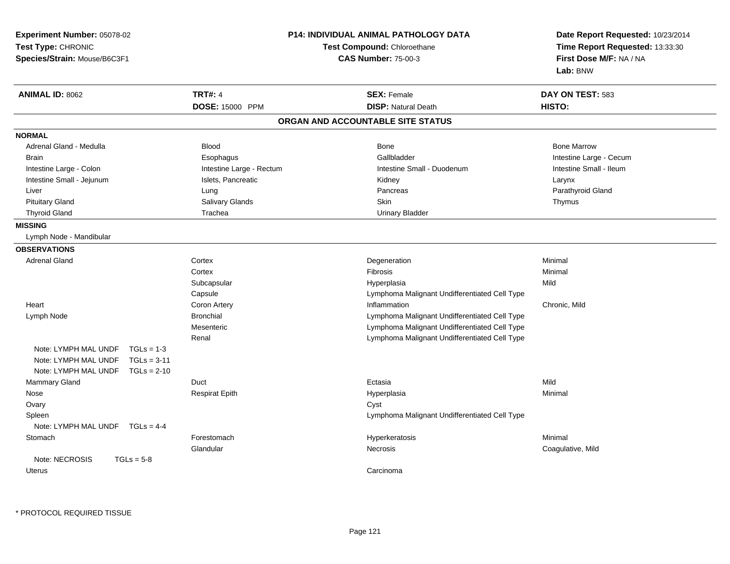| Experiment Number: 05078-02<br>Test Type: CHRONIC<br>Species/Strain: Mouse/B6C3F1 |                          | <b>P14: INDIVIDUAL ANIMAL PATHOLOGY DATA</b><br>Test Compound: Chloroethane<br><b>CAS Number: 75-00-3</b> | Date Report Requested: 10/23/2014<br>Time Report Requested: 13:33:30<br>First Dose M/F: NA / NA<br>Lab: BNW |
|-----------------------------------------------------------------------------------|--------------------------|-----------------------------------------------------------------------------------------------------------|-------------------------------------------------------------------------------------------------------------|
| ANIMAL ID: 8062                                                                   | <b>TRT#: 4</b>           | <b>SEX: Female</b>                                                                                        | DAY ON TEST: 583                                                                                            |
|                                                                                   | DOSE: 15000 PPM          | <b>DISP: Natural Death</b>                                                                                | HISTO:                                                                                                      |
|                                                                                   |                          | ORGAN AND ACCOUNTABLE SITE STATUS                                                                         |                                                                                                             |
| <b>NORMAL</b>                                                                     |                          |                                                                                                           |                                                                                                             |
| Adrenal Gland - Medulla                                                           | <b>Blood</b>             | <b>Bone</b>                                                                                               | <b>Bone Marrow</b>                                                                                          |
| Brain                                                                             | Esophagus                | Gallbladder                                                                                               | Intestine Large - Cecum                                                                                     |
| Intestine Large - Colon                                                           | Intestine Large - Rectum | Intestine Small - Duodenum                                                                                | Intestine Small - Ileum                                                                                     |
| Intestine Small - Jejunum                                                         | Islets, Pancreatic       | Kidney                                                                                                    | Larynx                                                                                                      |
| Liver                                                                             | Lung                     | Pancreas                                                                                                  | Parathyroid Gland                                                                                           |
| <b>Pituitary Gland</b>                                                            | Salivary Glands          | Skin                                                                                                      | Thymus                                                                                                      |
| <b>Thyroid Gland</b>                                                              | Trachea                  | <b>Urinary Bladder</b>                                                                                    |                                                                                                             |
| <b>MISSING</b>                                                                    |                          |                                                                                                           |                                                                                                             |
| Lymph Node - Mandibular                                                           |                          |                                                                                                           |                                                                                                             |
| <b>OBSERVATIONS</b>                                                               |                          |                                                                                                           |                                                                                                             |
| <b>Adrenal Gland</b>                                                              | Cortex                   | Degeneration                                                                                              | Minimal                                                                                                     |
|                                                                                   | Cortex                   | Fibrosis                                                                                                  | Minimal                                                                                                     |
|                                                                                   | Subcapsular              | Hyperplasia                                                                                               | Mild                                                                                                        |
|                                                                                   | Capsule                  | Lymphoma Malignant Undifferentiated Cell Type                                                             |                                                                                                             |
| Heart                                                                             | Coron Artery             | Inflammation                                                                                              | Chronic, Mild                                                                                               |
| Lymph Node                                                                        | <b>Bronchial</b>         | Lymphoma Malignant Undifferentiated Cell Type                                                             |                                                                                                             |
|                                                                                   | Mesenteric               | Lymphoma Malignant Undifferentiated Cell Type                                                             |                                                                                                             |
|                                                                                   | Renal                    | Lymphoma Malignant Undifferentiated Cell Type                                                             |                                                                                                             |
| Note: LYMPH MAL UNDF                                                              | $TGLs = 1-3$             |                                                                                                           |                                                                                                             |
| Note: LYMPH MAL UNDF                                                              | $TGLs = 3-11$            |                                                                                                           |                                                                                                             |
| Note: LYMPH MAL UNDF $TGLs = 2-10$                                                |                          |                                                                                                           |                                                                                                             |
| Mammary Gland                                                                     | Duct                     | Ectasia                                                                                                   | Mild                                                                                                        |
| Nose                                                                              | <b>Respirat Epith</b>    | Hyperplasia                                                                                               | Minimal                                                                                                     |
| Ovary                                                                             |                          | Cyst                                                                                                      |                                                                                                             |
| Spleen                                                                            |                          | Lymphoma Malignant Undifferentiated Cell Type                                                             |                                                                                                             |
| Note: LYMPH MAL UNDF $TGLs = 4-4$                                                 |                          |                                                                                                           |                                                                                                             |
| Stomach                                                                           | Forestomach              | Hyperkeratosis                                                                                            | Minimal                                                                                                     |
|                                                                                   | Glandular                | Necrosis                                                                                                  | Coagulative, Mild                                                                                           |
| Note: NECROSIS<br>$TGLs = 5-8$                                                    |                          |                                                                                                           |                                                                                                             |
| Uterus                                                                            |                          | Carcinoma                                                                                                 |                                                                                                             |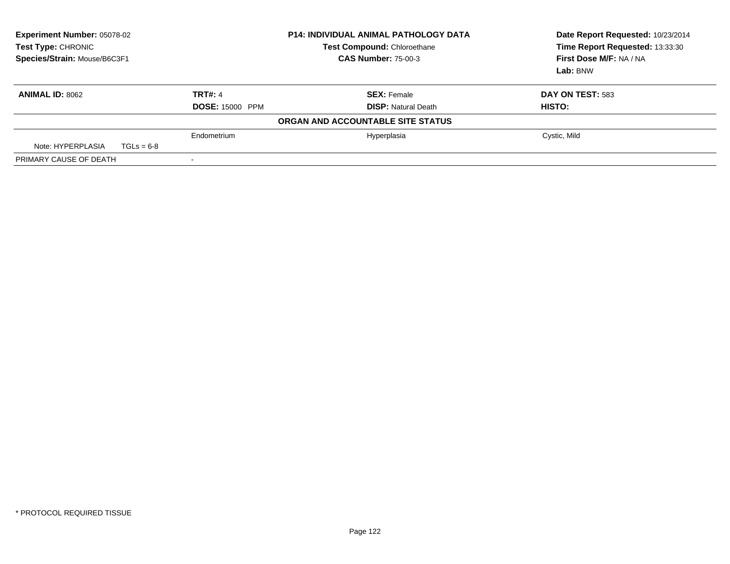| <b>Experiment Number: 05078-02</b><br>Test Type: CHRONIC<br>Species/Strain: Mouse/B6C3F1 |              | <b>P14: INDIVIDUAL ANIMAL PATHOLOGY DATA</b><br><b>Test Compound: Chloroethane</b><br><b>CAS Number: 75-00-3</b> |                                   | Date Report Requested: 10/23/2014<br>Time Report Requested: 13:33:30<br>First Dose M/F: NA / NA<br>Lab: BNW |
|------------------------------------------------------------------------------------------|--------------|------------------------------------------------------------------------------------------------------------------|-----------------------------------|-------------------------------------------------------------------------------------------------------------|
| <b>ANIMAL ID: 8062</b>                                                                   |              | <b>TRT#: 4</b>                                                                                                   | <b>SEX: Female</b>                | DAY ON TEST: 583                                                                                            |
|                                                                                          |              | <b>DOSE: 15000 PPM</b>                                                                                           | <b>DISP: Natural Death</b>        | HISTO:                                                                                                      |
|                                                                                          |              |                                                                                                                  | ORGAN AND ACCOUNTABLE SITE STATUS |                                                                                                             |
|                                                                                          |              | Endometrium                                                                                                      | Hyperplasia                       | Cystic, Mild                                                                                                |
| Note: HYPERPLASIA                                                                        | $TGLs = 6-8$ |                                                                                                                  |                                   |                                                                                                             |
| PRIMARY CAUSE OF DEATH                                                                   |              |                                                                                                                  |                                   |                                                                                                             |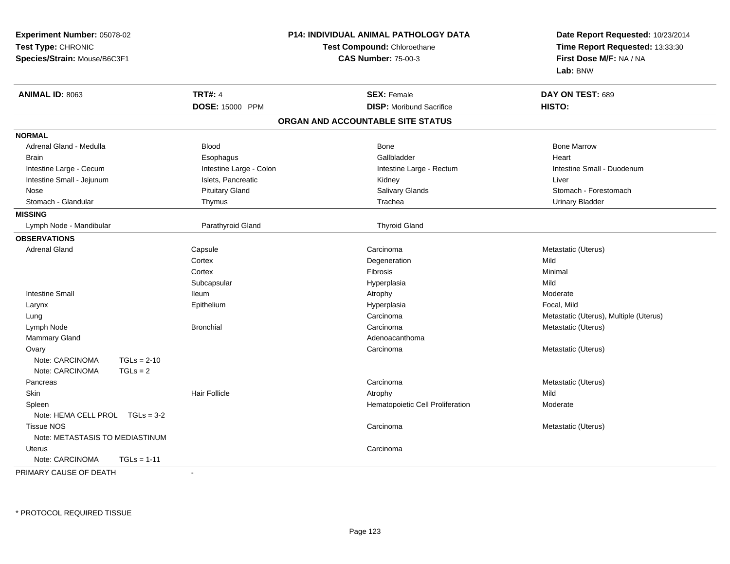| Experiment Number: 05078-02<br>Test Type: CHRONIC<br>Species/Strain: Mouse/B6C3F1 |                         | <b>P14: INDIVIDUAL ANIMAL PATHOLOGY DATA</b><br>Test Compound: Chloroethane<br><b>CAS Number: 75-00-3</b> | Date Report Requested: 10/23/2014<br>Time Report Requested: 13:33:30<br>First Dose M/F: NA / NA<br>Lab: BNW |
|-----------------------------------------------------------------------------------|-------------------------|-----------------------------------------------------------------------------------------------------------|-------------------------------------------------------------------------------------------------------------|
| <b>ANIMAL ID: 8063</b>                                                            | <b>TRT#: 4</b>          | <b>SEX: Female</b>                                                                                        | DAY ON TEST: 689                                                                                            |
|                                                                                   | DOSE: 15000 PPM         | <b>DISP:</b> Moribund Sacrifice                                                                           | HISTO:                                                                                                      |
|                                                                                   |                         | ORGAN AND ACCOUNTABLE SITE STATUS                                                                         |                                                                                                             |
| <b>NORMAL</b>                                                                     |                         |                                                                                                           |                                                                                                             |
| Adrenal Gland - Medulla                                                           | <b>Blood</b>            | Bone                                                                                                      | <b>Bone Marrow</b>                                                                                          |
| <b>Brain</b>                                                                      | Esophagus               | Gallbladder                                                                                               | Heart                                                                                                       |
| Intestine Large - Cecum                                                           | Intestine Large - Colon | Intestine Large - Rectum                                                                                  | Intestine Small - Duodenum                                                                                  |
| Intestine Small - Jejunum                                                         | Islets, Pancreatic      | Kidney                                                                                                    | Liver                                                                                                       |
| Nose                                                                              | <b>Pituitary Gland</b>  | Salivary Glands                                                                                           | Stomach - Forestomach                                                                                       |
| Stomach - Glandular                                                               | Thymus                  | Trachea                                                                                                   | <b>Urinary Bladder</b>                                                                                      |
| <b>MISSING</b>                                                                    |                         |                                                                                                           |                                                                                                             |
| Lymph Node - Mandibular                                                           | Parathyroid Gland       | <b>Thyroid Gland</b>                                                                                      |                                                                                                             |
| <b>OBSERVATIONS</b>                                                               |                         |                                                                                                           |                                                                                                             |
| <b>Adrenal Gland</b>                                                              | Capsule                 | Carcinoma                                                                                                 | Metastatic (Uterus)                                                                                         |
|                                                                                   | Cortex                  | Degeneration                                                                                              | Mild                                                                                                        |
|                                                                                   | Cortex                  | Fibrosis                                                                                                  | Minimal                                                                                                     |
|                                                                                   | Subcapsular             | Hyperplasia                                                                                               | Mild                                                                                                        |
| <b>Intestine Small</b>                                                            | <b>Ileum</b>            | Atrophy                                                                                                   | Moderate                                                                                                    |
| Larynx                                                                            | Epithelium              | Hyperplasia                                                                                               | Focal, Mild                                                                                                 |
| Lung                                                                              |                         | Carcinoma                                                                                                 | Metastatic (Uterus), Multiple (Uterus)                                                                      |
| Lymph Node                                                                        | <b>Bronchial</b>        | Carcinoma                                                                                                 | Metastatic (Uterus)                                                                                         |
| Mammary Gland                                                                     |                         | Adenoacanthoma                                                                                            |                                                                                                             |
| Ovary                                                                             |                         | Carcinoma                                                                                                 | Metastatic (Uterus)                                                                                         |
| Note: CARCINOMA<br>$TGLs = 2-10$                                                  |                         |                                                                                                           |                                                                                                             |
| Note: CARCINOMA<br>$TGLs = 2$                                                     |                         |                                                                                                           |                                                                                                             |
| Pancreas                                                                          |                         | Carcinoma                                                                                                 | Metastatic (Uterus)                                                                                         |
| Skin                                                                              | <b>Hair Follicle</b>    | Atrophy                                                                                                   | Mild                                                                                                        |
| Spleen                                                                            |                         | Hematopoietic Cell Proliferation                                                                          | Moderate                                                                                                    |
| Note: HEMA CELL PROL TGLs = 3-2                                                   |                         |                                                                                                           |                                                                                                             |
| <b>Tissue NOS</b>                                                                 |                         | Carcinoma                                                                                                 | Metastatic (Uterus)                                                                                         |
| Note: METASTASIS TO MEDIASTINUM                                                   |                         |                                                                                                           |                                                                                                             |
| Uterus                                                                            |                         | Carcinoma                                                                                                 |                                                                                                             |
| Note: CARCINOMA<br>$TGLs = 1-11$                                                  |                         |                                                                                                           |                                                                                                             |

PRIMARY CAUSE OF DEATH-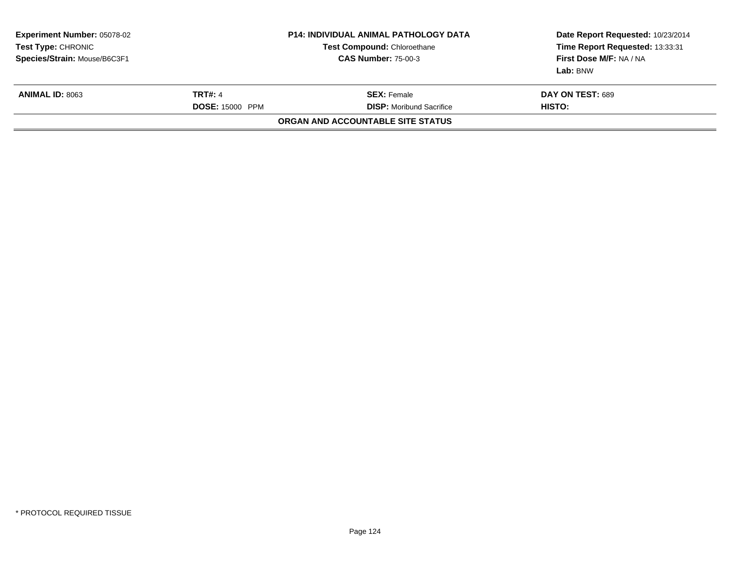| <b>Experiment Number: 05078-02</b><br>Test Type: CHRONIC<br>Species/Strain: Mouse/B6C3F1 |                                          | <b>P14: INDIVIDUAL ANIMAL PATHOLOGY DATA</b><br><b>Test Compound: Chloroethane</b><br><b>CAS Number: 75-00-3</b> | Date Report Requested: 10/23/2014<br>Time Report Requested: 13:33:31<br>First Dose M/F: NA / NA<br>Lab: BNW |
|------------------------------------------------------------------------------------------|------------------------------------------|------------------------------------------------------------------------------------------------------------------|-------------------------------------------------------------------------------------------------------------|
| <b>ANIMAL ID: 8063</b>                                                                   | <b>TRT#: 4</b><br><b>DOSE: 15000 PPM</b> | <b>SEX: Female</b><br><b>DISP:</b> Moribund Sacrifice                                                            | DAY ON TEST: 689<br>HISTO:                                                                                  |
|                                                                                          |                                          | ORGAN AND ACCOUNTABLE SITE STATUS                                                                                |                                                                                                             |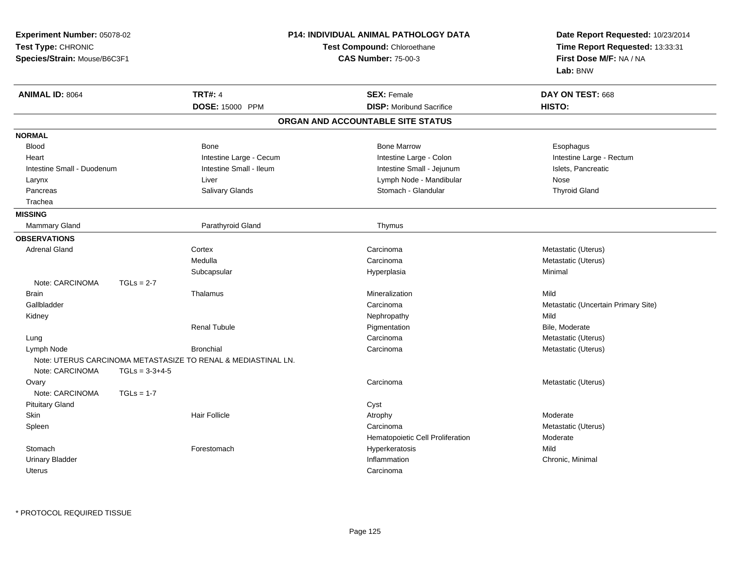| Experiment Number: 05078-02  |                  |                                                               | P14: INDIVIDUAL ANIMAL PATHOLOGY DATA | Date Report Requested: 10/23/2014   |
|------------------------------|------------------|---------------------------------------------------------------|---------------------------------------|-------------------------------------|
| Test Type: CHRONIC           |                  |                                                               | Test Compound: Chloroethane           | Time Report Requested: 13:33:31     |
| Species/Strain: Mouse/B6C3F1 |                  |                                                               | <b>CAS Number: 75-00-3</b>            | First Dose M/F: NA / NA             |
|                              |                  |                                                               |                                       | Lab: BNW                            |
| <b>ANIMAL ID: 8064</b>       |                  | <b>TRT#: 4</b>                                                | <b>SEX: Female</b>                    | DAY ON TEST: 668                    |
|                              |                  | DOSE: 15000 PPM                                               | <b>DISP:</b> Moribund Sacrifice       | HISTO:                              |
|                              |                  |                                                               | ORGAN AND ACCOUNTABLE SITE STATUS     |                                     |
| <b>NORMAL</b>                |                  |                                                               |                                       |                                     |
| <b>Blood</b>                 |                  | Bone                                                          | <b>Bone Marrow</b>                    | Esophagus                           |
| Heart                        |                  | Intestine Large - Cecum                                       | Intestine Large - Colon               | Intestine Large - Rectum            |
| Intestine Small - Duodenum   |                  | Intestine Small - Ileum                                       | Intestine Small - Jejunum             | Islets, Pancreatic                  |
| Larynx                       |                  | Liver                                                         | Lymph Node - Mandibular               | Nose                                |
| Pancreas                     |                  | Salivary Glands                                               | Stomach - Glandular                   | <b>Thyroid Gland</b>                |
| Trachea                      |                  |                                                               |                                       |                                     |
| <b>MISSING</b>               |                  |                                                               |                                       |                                     |
| <b>Mammary Gland</b>         |                  | Parathyroid Gland                                             | Thymus                                |                                     |
| <b>OBSERVATIONS</b>          |                  |                                                               |                                       |                                     |
| <b>Adrenal Gland</b>         |                  | Cortex                                                        | Carcinoma                             | Metastatic (Uterus)                 |
|                              |                  | Medulla                                                       | Carcinoma                             | Metastatic (Uterus)                 |
|                              |                  | Subcapsular                                                   | Hyperplasia                           | Minimal                             |
| Note: CARCINOMA              | $TGLs = 2-7$     |                                                               |                                       |                                     |
| <b>Brain</b>                 |                  | Thalamus                                                      | Mineralization                        | Mild                                |
| Gallbladder                  |                  |                                                               | Carcinoma                             | Metastatic (Uncertain Primary Site) |
| Kidney                       |                  |                                                               | Nephropathy                           | Mild                                |
|                              |                  | <b>Renal Tubule</b>                                           | Pigmentation                          | Bile, Moderate                      |
| Lung                         |                  |                                                               | Carcinoma                             | Metastatic (Uterus)                 |
| Lymph Node                   |                  | <b>Bronchial</b>                                              | Carcinoma                             | Metastatic (Uterus)                 |
|                              |                  | Note: UTERUS CARCINOMA METASTASIZE TO RENAL & MEDIASTINAL LN. |                                       |                                     |
| Note: CARCINOMA              | $TGLs = 3-3+4-5$ |                                                               |                                       |                                     |
| Ovary                        |                  |                                                               | Carcinoma                             | Metastatic (Uterus)                 |
| Note: CARCINOMA              | $TGLs = 1-7$     |                                                               |                                       |                                     |
| <b>Pituitary Gland</b>       |                  |                                                               | Cyst                                  |                                     |
| Skin                         |                  | <b>Hair Follicle</b>                                          | Atrophy                               | Moderate                            |
| Spleen                       |                  |                                                               | Carcinoma                             | Metastatic (Uterus)                 |
|                              |                  |                                                               | Hematopoietic Cell Proliferation      | Moderate                            |
| Stomach                      |                  | Forestomach                                                   | Hyperkeratosis                        | Mild                                |
| <b>Urinary Bladder</b>       |                  |                                                               | Inflammation                          | Chronic, Minimal                    |
| Uterus                       |                  |                                                               | Carcinoma                             |                                     |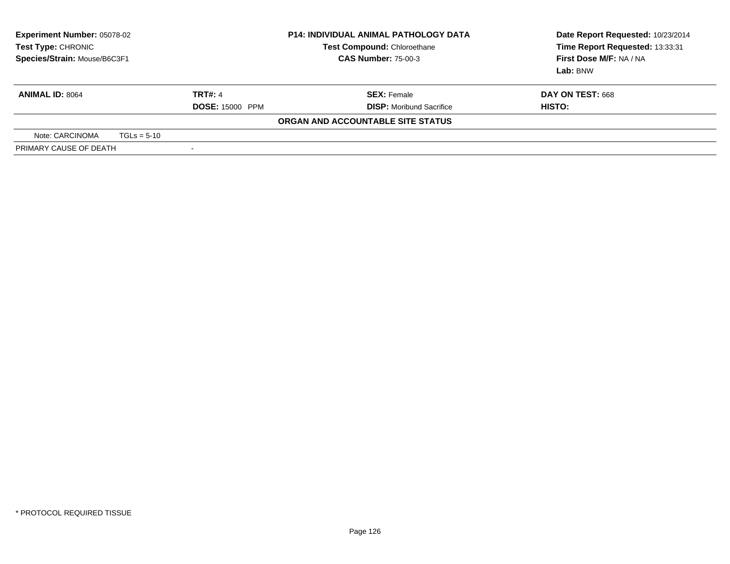| <b>Experiment Number: 05078-02</b><br>Test Type: CHRONIC<br>Species/Strain: Mouse/B6C3F1 |  |                          | <b>P14: INDIVIDUAL ANIMAL PATHOLOGY DATA</b><br>Test Compound: Chloroethane<br><b>CAS Number: 75-00-3</b> | Date Report Requested: 10/23/2014<br>Time Report Requested: 13:33:31<br>First Dose M/F: NA / NA<br><b>Lab:</b> BNW |  |
|------------------------------------------------------------------------------------------|--|--------------------------|-----------------------------------------------------------------------------------------------------------|--------------------------------------------------------------------------------------------------------------------|--|
| <b>ANIMAL ID: 8064</b>                                                                   |  | <b>TRT#: 4</b>           | <b>SEX:</b> Female                                                                                        | DAY ON TEST: 668                                                                                                   |  |
|                                                                                          |  | <b>DOSE: 15000 PPM</b>   | <b>DISP:</b> Moribund Sacrifice                                                                           | HISTO:                                                                                                             |  |
|                                                                                          |  |                          | ORGAN AND ACCOUNTABLE SITE STATUS                                                                         |                                                                                                                    |  |
| Note: CARCINOMA<br>$TGLs = 5-10$                                                         |  |                          |                                                                                                           |                                                                                                                    |  |
| PRIMARY CAUSE OF DEATH                                                                   |  | $\overline{\phantom{a}}$ |                                                                                                           |                                                                                                                    |  |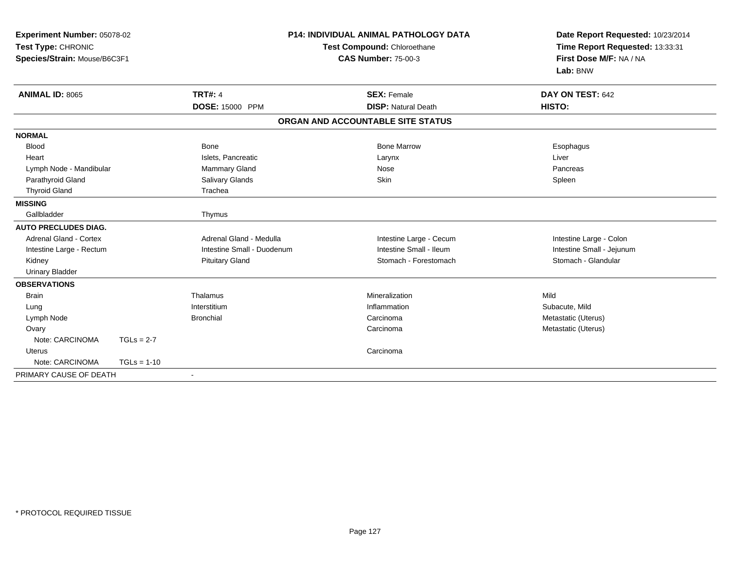| Experiment Number: 05078-02<br>Test Type: CHRONIC<br>Species/Strain: Mouse/B6C3F1 |               |                            | <b>P14: INDIVIDUAL ANIMAL PATHOLOGY DATA</b><br>Test Compound: Chloroethane<br><b>CAS Number: 75-00-3</b> |                         | Date Report Requested: 10/23/2014<br>Time Report Requested: 13:33:31<br>First Dose M/F: NA / NA<br>Lab: BNW |
|-----------------------------------------------------------------------------------|---------------|----------------------------|-----------------------------------------------------------------------------------------------------------|-------------------------|-------------------------------------------------------------------------------------------------------------|
| <b>ANIMAL ID: 8065</b>                                                            |               | <b>TRT#: 4</b>             | <b>SEX: Female</b>                                                                                        |                         | DAY ON TEST: 642                                                                                            |
|                                                                                   |               | <b>DOSE: 15000 PPM</b>     | <b>DISP: Natural Death</b>                                                                                |                         | HISTO:                                                                                                      |
|                                                                                   |               |                            | ORGAN AND ACCOUNTABLE SITE STATUS                                                                         |                         |                                                                                                             |
| <b>NORMAL</b>                                                                     |               |                            |                                                                                                           |                         |                                                                                                             |
| <b>Blood</b>                                                                      |               | Bone                       | <b>Bone Marrow</b>                                                                                        |                         | Esophagus                                                                                                   |
| Heart                                                                             |               | Islets, Pancreatic         | Larynx                                                                                                    |                         | Liver                                                                                                       |
| Lymph Node - Mandibular                                                           |               | Mammary Gland              | Nose                                                                                                      |                         | Pancreas                                                                                                    |
| Parathyroid Gland                                                                 |               | <b>Salivary Glands</b>     | Skin                                                                                                      |                         | Spleen                                                                                                      |
| <b>Thyroid Gland</b>                                                              |               | Trachea                    |                                                                                                           |                         |                                                                                                             |
| <b>MISSING</b>                                                                    |               |                            |                                                                                                           |                         |                                                                                                             |
| Gallbladder                                                                       |               | Thymus                     |                                                                                                           |                         |                                                                                                             |
| <b>AUTO PRECLUDES DIAG.</b>                                                       |               |                            |                                                                                                           |                         |                                                                                                             |
| <b>Adrenal Gland - Cortex</b>                                                     |               | Adrenal Gland - Medulla    |                                                                                                           | Intestine Large - Cecum | Intestine Large - Colon                                                                                     |
| Intestine Large - Rectum                                                          |               | Intestine Small - Duodenum |                                                                                                           | Intestine Small - Ileum | Intestine Small - Jejunum                                                                                   |
| Kidney                                                                            |               | <b>Pituitary Gland</b>     |                                                                                                           | Stomach - Forestomach   | Stomach - Glandular                                                                                         |
| <b>Urinary Bladder</b>                                                            |               |                            |                                                                                                           |                         |                                                                                                             |
| <b>OBSERVATIONS</b>                                                               |               |                            |                                                                                                           |                         |                                                                                                             |
| <b>Brain</b>                                                                      |               | Thalamus                   | Mineralization                                                                                            |                         | Mild                                                                                                        |
| Lung                                                                              |               | Interstitium               | Inflammation                                                                                              |                         | Subacute, Mild                                                                                              |
| Lymph Node                                                                        |               | <b>Bronchial</b>           | Carcinoma                                                                                                 |                         | Metastatic (Uterus)                                                                                         |
| Ovary                                                                             |               |                            | Carcinoma                                                                                                 |                         | Metastatic (Uterus)                                                                                         |
| Note: CARCINOMA                                                                   | $TGLs = 2-7$  |                            |                                                                                                           |                         |                                                                                                             |
| Uterus                                                                            |               |                            | Carcinoma                                                                                                 |                         |                                                                                                             |
| Note: CARCINOMA                                                                   | $TGLs = 1-10$ |                            |                                                                                                           |                         |                                                                                                             |
| PRIMARY CAUSE OF DEATH                                                            |               | $\sim$                     |                                                                                                           |                         |                                                                                                             |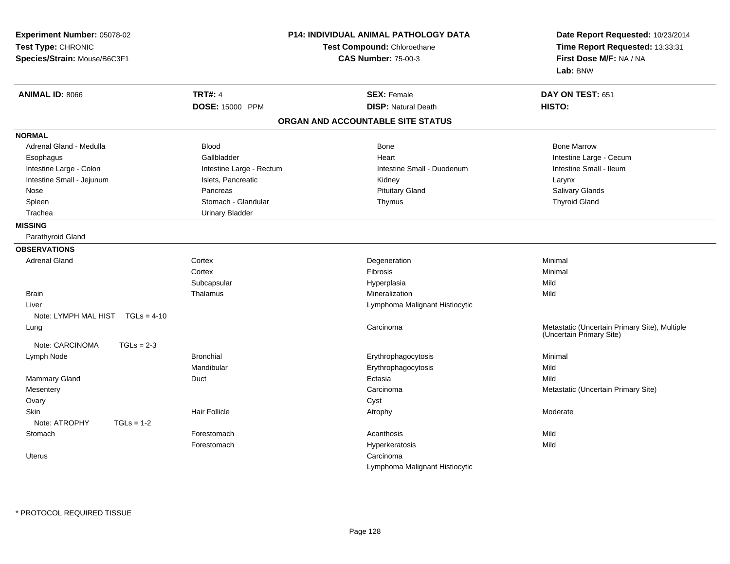| Experiment Number: 05078-02<br>Test Type: CHRONIC<br>Species/Strain: Mouse/B6C3F1 |                          | <b>P14: INDIVIDUAL ANIMAL PATHOLOGY DATA</b><br>Test Compound: Chloroethane<br><b>CAS Number: 75-00-3</b> |                                                                           |
|-----------------------------------------------------------------------------------|--------------------------|-----------------------------------------------------------------------------------------------------------|---------------------------------------------------------------------------|
| <b>ANIMAL ID: 8066</b>                                                            | <b>TRT#: 4</b>           | <b>SEX: Female</b>                                                                                        | DAY ON TEST: 651                                                          |
|                                                                                   | DOSE: 15000 PPM          | <b>DISP: Natural Death</b>                                                                                | HISTO:                                                                    |
|                                                                                   |                          | ORGAN AND ACCOUNTABLE SITE STATUS                                                                         |                                                                           |
| <b>NORMAL</b>                                                                     |                          |                                                                                                           |                                                                           |
| Adrenal Gland - Medulla                                                           | <b>Blood</b>             | Bone                                                                                                      | <b>Bone Marrow</b>                                                        |
| Esophagus                                                                         | Gallbladder              | Heart                                                                                                     | Intestine Large - Cecum                                                   |
| Intestine Large - Colon                                                           | Intestine Large - Rectum | Intestine Small - Duodenum                                                                                | Intestine Small - Ileum                                                   |
| Intestine Small - Jejunum                                                         | Islets, Pancreatic       | Kidney                                                                                                    | Larynx                                                                    |
| Nose                                                                              | Pancreas                 | <b>Pituitary Gland</b>                                                                                    | Salivary Glands                                                           |
| Spleen                                                                            | Stomach - Glandular      | Thymus                                                                                                    | <b>Thyroid Gland</b>                                                      |
| Trachea                                                                           | <b>Urinary Bladder</b>   |                                                                                                           |                                                                           |
| <b>MISSING</b>                                                                    |                          |                                                                                                           |                                                                           |
| Parathyroid Gland                                                                 |                          |                                                                                                           |                                                                           |
| <b>OBSERVATIONS</b>                                                               |                          |                                                                                                           |                                                                           |
| <b>Adrenal Gland</b>                                                              | Cortex                   | Degeneration                                                                                              | Minimal                                                                   |
|                                                                                   | Cortex                   | Fibrosis                                                                                                  | Minimal                                                                   |
|                                                                                   | Subcapsular              | Hyperplasia                                                                                               | Mild                                                                      |
| <b>Brain</b>                                                                      | Thalamus                 | Mineralization                                                                                            | Mild                                                                      |
| Liver                                                                             |                          | Lymphoma Malignant Histiocytic                                                                            |                                                                           |
| Note: LYMPH MAL HIST TGLs = 4-10                                                  |                          |                                                                                                           |                                                                           |
| Lung                                                                              |                          | Carcinoma                                                                                                 | Metastatic (Uncertain Primary Site), Multiple<br>(Uncertain Primary Site) |
| Note: CARCINOMA<br>$TGLs = 2-3$                                                   |                          |                                                                                                           |                                                                           |
| Lymph Node                                                                        | <b>Bronchial</b>         | Erythrophagocytosis                                                                                       | Minimal                                                                   |
|                                                                                   | Mandibular               | Erythrophagocytosis                                                                                       | Mild                                                                      |
| <b>Mammary Gland</b>                                                              | Duct                     | Ectasia                                                                                                   | Mild                                                                      |
| Mesentery                                                                         |                          | Carcinoma                                                                                                 | Metastatic (Uncertain Primary Site)                                       |
| Ovary                                                                             |                          | Cyst                                                                                                      |                                                                           |
| <b>Skin</b>                                                                       | Hair Follicle            | Atrophy                                                                                                   | Moderate                                                                  |
| Note: ATROPHY<br>$TGLs = 1-2$                                                     |                          |                                                                                                           |                                                                           |
| Stomach                                                                           | Forestomach              | Acanthosis                                                                                                | Mild                                                                      |
|                                                                                   | Forestomach              | Hyperkeratosis                                                                                            | Mild                                                                      |
| <b>Uterus</b>                                                                     |                          | Carcinoma                                                                                                 |                                                                           |
|                                                                                   |                          | Lymphoma Malignant Histiocytic                                                                            |                                                                           |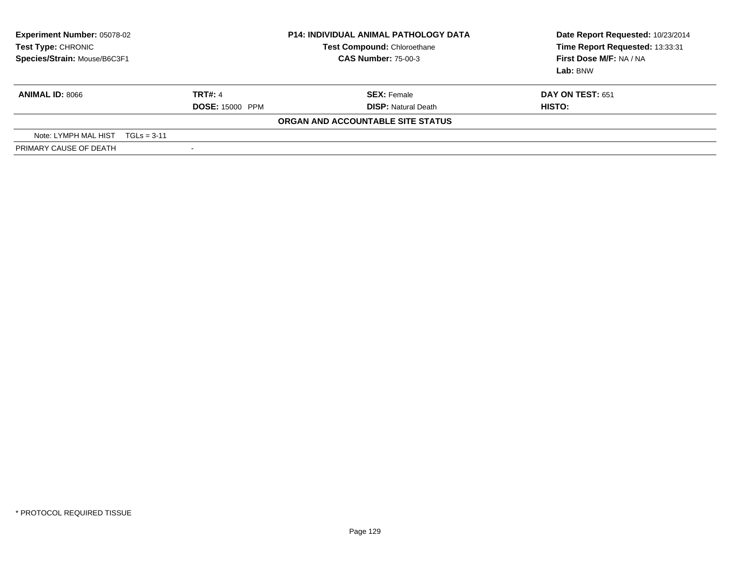| <b>Experiment Number: 05078-02</b><br>Test Type: CHRONIC<br>Species/Strain: Mouse/B6C3F1 |                          | <b>P14: INDIVIDUAL ANIMAL PATHOLOGY DATA</b><br>Test Compound: Chloroethane<br><b>CAS Number: 75-00-3</b> | Date Report Requested: 10/23/2014<br>Time Report Requested: 13:33:31<br>First Dose M/F: NA / NA<br><b>Lab:</b> BNW |
|------------------------------------------------------------------------------------------|--------------------------|-----------------------------------------------------------------------------------------------------------|--------------------------------------------------------------------------------------------------------------------|
| <b>ANIMAL ID: 8066</b>                                                                   | <b>TRT#: 4</b>           | <b>SEX:</b> Female                                                                                        | <b>DAY ON TEST: 651</b>                                                                                            |
|                                                                                          | <b>DOSE: 15000 PPM</b>   | <b>DISP:</b> Natural Death                                                                                | HISTO:                                                                                                             |
|                                                                                          |                          | ORGAN AND ACCOUNTABLE SITE STATUS                                                                         |                                                                                                                    |
| Note: LYMPH MAL HIST<br>$TGLs = 3-11$                                                    |                          |                                                                                                           |                                                                                                                    |
| PRIMARY CAUSE OF DEATH                                                                   | $\overline{\phantom{a}}$ |                                                                                                           |                                                                                                                    |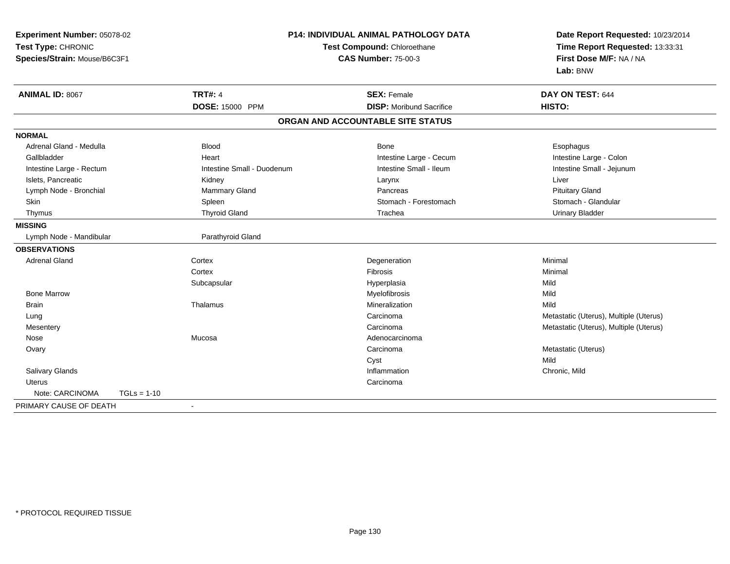| <b>Experiment Number: 05078-02</b> |                            | <b>P14: INDIVIDUAL ANIMAL PATHOLOGY DATA</b> | Date Report Requested: 10/23/2014      |
|------------------------------------|----------------------------|----------------------------------------------|----------------------------------------|
| Test Type: CHRONIC                 |                            | Test Compound: Chloroethane                  | Time Report Requested: 13:33:31        |
| Species/Strain: Mouse/B6C3F1       |                            | <b>CAS Number: 75-00-3</b>                   | First Dose M/F: NA / NA                |
|                                    |                            |                                              | Lab: BNW                               |
| ANIMAL ID: 8067                    | <b>TRT#: 4</b>             | <b>SEX: Female</b>                           | DAY ON TEST: 644                       |
|                                    | DOSE: 15000 PPM            | <b>DISP:</b> Moribund Sacrifice              | HISTO:                                 |
|                                    |                            | ORGAN AND ACCOUNTABLE SITE STATUS            |                                        |
| <b>NORMAL</b>                      |                            |                                              |                                        |
| Adrenal Gland - Medulla            | <b>Blood</b>               | <b>Bone</b>                                  | Esophagus                              |
| Gallbladder                        | Heart                      | Intestine Large - Cecum                      | Intestine Large - Colon                |
| Intestine Large - Rectum           | Intestine Small - Duodenum | Intestine Small - Ileum                      | Intestine Small - Jejunum              |
| Islets, Pancreatic                 | Kidney                     | Larynx                                       | Liver                                  |
| Lymph Node - Bronchial             | <b>Mammary Gland</b>       | Pancreas                                     | <b>Pituitary Gland</b>                 |
| <b>Skin</b>                        | Spleen                     | Stomach - Forestomach                        | Stomach - Glandular                    |
| Thymus                             | <b>Thyroid Gland</b>       | Trachea                                      | <b>Urinary Bladder</b>                 |
| <b>MISSING</b>                     |                            |                                              |                                        |
| Lymph Node - Mandibular            | Parathyroid Gland          |                                              |                                        |
| <b>OBSERVATIONS</b>                |                            |                                              |                                        |
| <b>Adrenal Gland</b>               | Cortex                     | Degeneration                                 | Minimal                                |
|                                    | Cortex                     | <b>Fibrosis</b>                              | Minimal                                |
|                                    | Subcapsular                | Hyperplasia                                  | Mild                                   |
| <b>Bone Marrow</b>                 |                            | Myelofibrosis                                | Mild                                   |
| <b>Brain</b>                       | Thalamus                   | Mineralization                               | Mild                                   |
| Lung                               |                            | Carcinoma                                    | Metastatic (Uterus), Multiple (Uterus) |
| Mesentery                          |                            | Carcinoma                                    | Metastatic (Uterus), Multiple (Uterus) |
| Nose                               | Mucosa                     | Adenocarcinoma                               |                                        |
| Ovary                              |                            | Carcinoma                                    | Metastatic (Uterus)                    |
|                                    |                            | Cyst                                         | Mild                                   |
| <b>Salivary Glands</b>             |                            | Inflammation                                 | Chronic, Mild                          |
| <b>Uterus</b>                      |                            | Carcinoma                                    |                                        |
| Note: CARCINOMA<br>$TGLs = 1-10$   |                            |                                              |                                        |
| PRIMARY CAUSE OF DEATH             | $\blacksquare$             |                                              |                                        |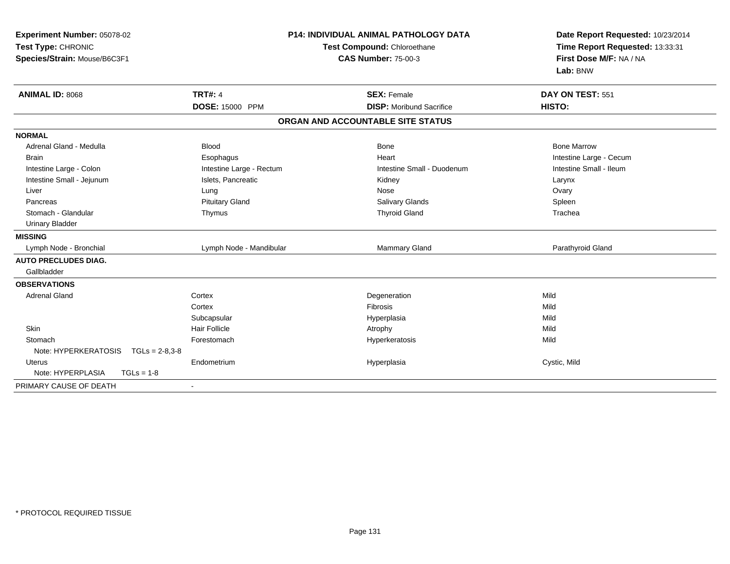| Experiment Number: 05078-02<br>Test Type: CHRONIC<br>Species/Strain: Mouse/B6C3F1 | <b>P14: INDIVIDUAL ANIMAL PATHOLOGY DATA</b><br>Test Compound: Chloroethane<br><b>CAS Number: 75-00-3</b> |                                   | Date Report Requested: 10/23/2014<br>Time Report Requested: 13:33:31<br>First Dose M/F: NA / NA<br>Lab: BNW |
|-----------------------------------------------------------------------------------|-----------------------------------------------------------------------------------------------------------|-----------------------------------|-------------------------------------------------------------------------------------------------------------|
| <b>ANIMAL ID: 8068</b>                                                            | <b>TRT#: 4</b>                                                                                            | <b>SEX: Female</b>                | DAY ON TEST: 551                                                                                            |
|                                                                                   | DOSE: 15000 PPM                                                                                           | <b>DISP:</b> Moribund Sacrifice   | HISTO:                                                                                                      |
|                                                                                   |                                                                                                           | ORGAN AND ACCOUNTABLE SITE STATUS |                                                                                                             |
| <b>NORMAL</b>                                                                     |                                                                                                           |                                   |                                                                                                             |
| Adrenal Gland - Medulla                                                           | <b>Blood</b>                                                                                              | <b>Bone</b>                       | <b>Bone Marrow</b>                                                                                          |
| <b>Brain</b>                                                                      | Esophagus                                                                                                 | Heart                             | Intestine Large - Cecum                                                                                     |
| Intestine Large - Colon                                                           | Intestine Large - Rectum                                                                                  | Intestine Small - Duodenum        | Intestine Small - Ileum                                                                                     |
| Intestine Small - Jejunum                                                         | Islets, Pancreatic                                                                                        | Kidney                            | Larynx                                                                                                      |
| Liver                                                                             | Lung                                                                                                      | Nose                              | Ovary                                                                                                       |
| Pancreas                                                                          | <b>Pituitary Gland</b>                                                                                    | Salivary Glands                   | Spleen                                                                                                      |
| Stomach - Glandular                                                               | Thymus                                                                                                    | <b>Thyroid Gland</b>              | Trachea                                                                                                     |
| <b>Urinary Bladder</b>                                                            |                                                                                                           |                                   |                                                                                                             |
| <b>MISSING</b>                                                                    |                                                                                                           |                                   |                                                                                                             |
| Lymph Node - Bronchial                                                            | Lymph Node - Mandibular                                                                                   | Mammary Gland                     | Parathyroid Gland                                                                                           |
| <b>AUTO PRECLUDES DIAG.</b>                                                       |                                                                                                           |                                   |                                                                                                             |
| Gallbladder                                                                       |                                                                                                           |                                   |                                                                                                             |
| <b>OBSERVATIONS</b>                                                               |                                                                                                           |                                   |                                                                                                             |
| <b>Adrenal Gland</b>                                                              | Cortex                                                                                                    | Degeneration                      | Mild                                                                                                        |
|                                                                                   | Cortex                                                                                                    | Fibrosis                          | Mild                                                                                                        |
|                                                                                   | Subcapsular                                                                                               | Hyperplasia                       | Mild                                                                                                        |
| <b>Skin</b>                                                                       | <b>Hair Follicle</b>                                                                                      | Atrophy                           | Mild                                                                                                        |
| Stomach                                                                           | Forestomach                                                                                               | Hyperkeratosis                    | Mild                                                                                                        |
| Note: HYPERKERATOSIS<br>$TGLs = 2-8,3-8$                                          |                                                                                                           |                                   |                                                                                                             |
| <b>Uterus</b>                                                                     | Endometrium                                                                                               | Hyperplasia                       | Cystic, Mild                                                                                                |
| Note: HYPERPLASIA<br>$TGLs = 1-8$                                                 |                                                                                                           |                                   |                                                                                                             |
| PRIMARY CAUSE OF DEATH                                                            | ٠                                                                                                         |                                   |                                                                                                             |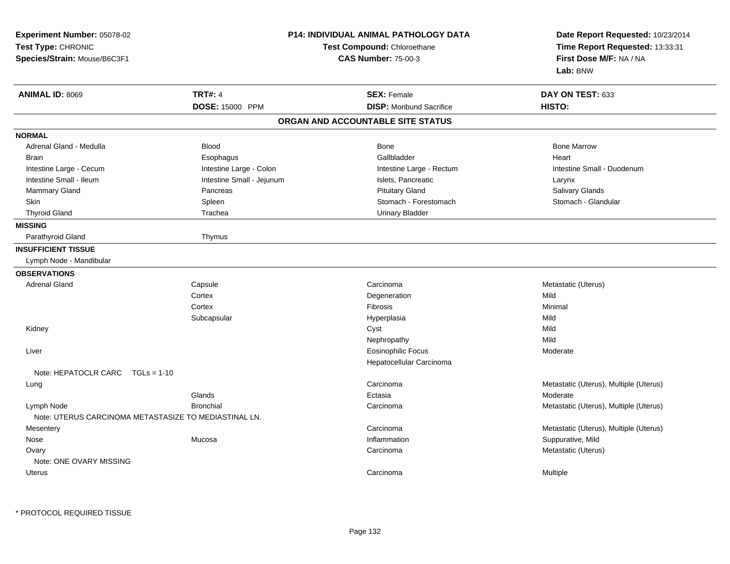| Experiment Number: 05078-02<br>Test Type: CHRONIC<br>Species/Strain: Mouse/B6C3F1 |                           | <b>P14: INDIVIDUAL ANIMAL PATHOLOGY DATA</b><br>Test Compound: Chloroethane<br><b>CAS Number: 75-00-3</b> | Date Report Requested: 10/23/2014<br>Time Report Requested: 13:33:31<br>First Dose M/F: NA / NA<br>Lab: BNW |
|-----------------------------------------------------------------------------------|---------------------------|-----------------------------------------------------------------------------------------------------------|-------------------------------------------------------------------------------------------------------------|
| <b>ANIMAL ID: 8069</b>                                                            | <b>TRT#: 4</b>            | <b>SEX: Female</b>                                                                                        | DAY ON TEST: 633                                                                                            |
|                                                                                   | DOSE: 15000 PPM           | <b>DISP:</b> Moribund Sacrifice                                                                           | HISTO:                                                                                                      |
|                                                                                   |                           | ORGAN AND ACCOUNTABLE SITE STATUS                                                                         |                                                                                                             |
| <b>NORMAL</b>                                                                     |                           |                                                                                                           |                                                                                                             |
| Adrenal Gland - Medulla                                                           | <b>Blood</b>              | Bone                                                                                                      | <b>Bone Marrow</b>                                                                                          |
| <b>Brain</b>                                                                      | Esophagus                 | Gallbladder                                                                                               | Heart                                                                                                       |
| Intestine Large - Cecum                                                           | Intestine Large - Colon   | Intestine Large - Rectum                                                                                  | Intestine Small - Duodenum                                                                                  |
| Intestine Small - Ileum                                                           | Intestine Small - Jejunum | Islets, Pancreatic                                                                                        | Larynx                                                                                                      |
| Mammary Gland                                                                     | Pancreas                  | <b>Pituitary Gland</b>                                                                                    | Salivary Glands                                                                                             |
| Skin                                                                              | Spleen                    | Stomach - Forestomach                                                                                     | Stomach - Glandular                                                                                         |
| <b>Thyroid Gland</b>                                                              | Trachea                   | <b>Urinary Bladder</b>                                                                                    |                                                                                                             |
| <b>MISSING</b>                                                                    |                           |                                                                                                           |                                                                                                             |
| Parathyroid Gland                                                                 | Thymus                    |                                                                                                           |                                                                                                             |
| <b>INSUFFICIENT TISSUE</b>                                                        |                           |                                                                                                           |                                                                                                             |
| Lymph Node - Mandibular                                                           |                           |                                                                                                           |                                                                                                             |
| <b>OBSERVATIONS</b>                                                               |                           |                                                                                                           |                                                                                                             |
| <b>Adrenal Gland</b>                                                              | Capsule                   | Carcinoma                                                                                                 | Metastatic (Uterus)                                                                                         |
|                                                                                   | Cortex                    | Degeneration                                                                                              | Mild                                                                                                        |
|                                                                                   | Cortex                    | <b>Fibrosis</b>                                                                                           | Minimal                                                                                                     |
|                                                                                   | Subcapsular               | Hyperplasia                                                                                               | Mild                                                                                                        |
| Kidney                                                                            |                           | Cyst                                                                                                      | Mild                                                                                                        |
|                                                                                   |                           | Nephropathy                                                                                               | Mild                                                                                                        |
| Liver                                                                             |                           | <b>Eosinophilic Focus</b>                                                                                 | Moderate                                                                                                    |
|                                                                                   |                           | Hepatocellular Carcinoma                                                                                  |                                                                                                             |
| Note: HEPATOCLR CARC<br>$TGLs = 1-10$                                             |                           |                                                                                                           |                                                                                                             |
| Lung                                                                              |                           | Carcinoma                                                                                                 | Metastatic (Uterus), Multiple (Uterus)                                                                      |
|                                                                                   | Glands                    | Ectasia                                                                                                   | Moderate                                                                                                    |
| Lymph Node                                                                        | <b>Bronchial</b>          | Carcinoma                                                                                                 | Metastatic (Uterus), Multiple (Uterus)                                                                      |
| Note: UTERUS CARCINOMA METASTASIZE TO MEDIASTINAL LN.                             |                           |                                                                                                           |                                                                                                             |
| Mesentery                                                                         |                           | Carcinoma                                                                                                 | Metastatic (Uterus), Multiple (Uterus)                                                                      |
| Nose                                                                              | Mucosa                    | Inflammation                                                                                              | Suppurative, Mild                                                                                           |
| Ovary                                                                             |                           | Carcinoma                                                                                                 | Metastatic (Uterus)                                                                                         |
| Note: ONE OVARY MISSING                                                           |                           |                                                                                                           |                                                                                                             |
| <b>Uterus</b>                                                                     |                           | Carcinoma                                                                                                 | Multiple                                                                                                    |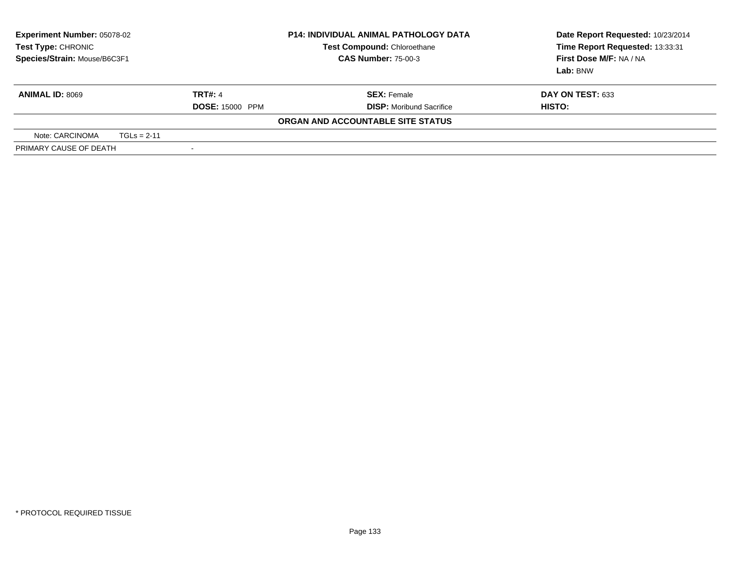| <b>Experiment Number: 05078-02</b><br>Test Type: CHRONIC<br>Species/Strain: Mouse/B6C3F1 |  |                          | <b>P14: INDIVIDUAL ANIMAL PATHOLOGY DATA</b><br>Test Compound: Chloroethane<br><b>CAS Number: 75-00-3</b> | Date Report Requested: 10/23/2014<br>Time Report Requested: 13:33:31<br>First Dose M/F: NA / NA<br><b>Lab:</b> BNW |
|------------------------------------------------------------------------------------------|--|--------------------------|-----------------------------------------------------------------------------------------------------------|--------------------------------------------------------------------------------------------------------------------|
| <b>ANIMAL ID: 8069</b>                                                                   |  | <b>TRT#: 4</b>           | <b>SEX:</b> Female                                                                                        | <b>DAY ON TEST: 633</b>                                                                                            |
|                                                                                          |  | <b>DOSE: 15000 PPM</b>   | <b>DISP:</b> Moribund Sacrifice                                                                           | HISTO:                                                                                                             |
|                                                                                          |  |                          | ORGAN AND ACCOUNTABLE SITE STATUS                                                                         |                                                                                                                    |
| Note: CARCINOMA<br>$TGLs = 2-11$                                                         |  |                          |                                                                                                           |                                                                                                                    |
| PRIMARY CAUSE OF DEATH                                                                   |  | $\overline{\phantom{a}}$ |                                                                                                           |                                                                                                                    |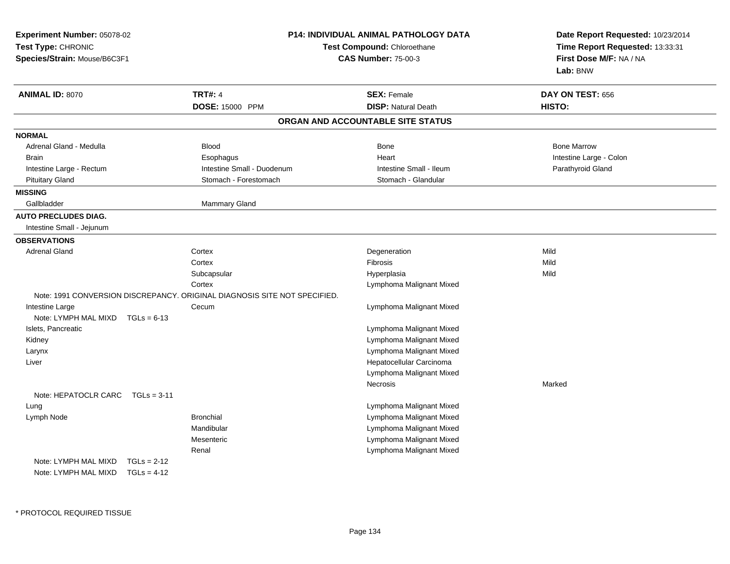| Experiment Number: 05078-02<br>Test Type: CHRONIC<br>Species/Strain: Mouse/B6C3F1 |                                                                           | P14: INDIVIDUAL ANIMAL PATHOLOGY DATA<br>Test Compound: Chloroethane<br><b>CAS Number: 75-00-3</b> | Date Report Requested: 10/23/2014<br>Time Report Requested: 13:33:31<br>First Dose M/F: NA / NA<br>Lab: BNW |
|-----------------------------------------------------------------------------------|---------------------------------------------------------------------------|----------------------------------------------------------------------------------------------------|-------------------------------------------------------------------------------------------------------------|
| ANIMAL ID: 8070                                                                   | <b>TRT#: 4</b>                                                            | <b>SEX: Female</b>                                                                                 | DAY ON TEST: 656                                                                                            |
|                                                                                   | DOSE: 15000 PPM                                                           | <b>DISP: Natural Death</b>                                                                         | HISTO:                                                                                                      |
|                                                                                   |                                                                           | ORGAN AND ACCOUNTABLE SITE STATUS                                                                  |                                                                                                             |
| <b>NORMAL</b>                                                                     |                                                                           |                                                                                                    |                                                                                                             |
| Adrenal Gland - Medulla                                                           | <b>Blood</b>                                                              | Bone                                                                                               | <b>Bone Marrow</b>                                                                                          |
| <b>Brain</b>                                                                      | Esophagus                                                                 | Heart                                                                                              | Intestine Large - Colon                                                                                     |
| Intestine Large - Rectum                                                          | Intestine Small - Duodenum                                                | Intestine Small - Ileum                                                                            | Parathyroid Gland                                                                                           |
| <b>Pituitary Gland</b>                                                            | Stomach - Forestomach                                                     | Stomach - Glandular                                                                                |                                                                                                             |
| <b>MISSING</b>                                                                    |                                                                           |                                                                                                    |                                                                                                             |
| Gallbladder                                                                       | <b>Mammary Gland</b>                                                      |                                                                                                    |                                                                                                             |
| <b>AUTO PRECLUDES DIAG.</b>                                                       |                                                                           |                                                                                                    |                                                                                                             |
| Intestine Small - Jejunum                                                         |                                                                           |                                                                                                    |                                                                                                             |
| <b>OBSERVATIONS</b>                                                               |                                                                           |                                                                                                    |                                                                                                             |
| <b>Adrenal Gland</b>                                                              | Cortex                                                                    | Degeneration                                                                                       | Mild                                                                                                        |
|                                                                                   | Cortex                                                                    | Fibrosis                                                                                           | Mild                                                                                                        |
|                                                                                   | Subcapsular                                                               | Hyperplasia                                                                                        | Mild                                                                                                        |
|                                                                                   | Cortex                                                                    | Lymphoma Malignant Mixed                                                                           |                                                                                                             |
|                                                                                   | Note: 1991 CONVERSION DISCREPANCY. ORIGINAL DIAGNOSIS SITE NOT SPECIFIED. |                                                                                                    |                                                                                                             |
| Intestine Large                                                                   | Cecum                                                                     | Lymphoma Malignant Mixed                                                                           |                                                                                                             |
| Note: LYMPH MAL MIXD $TGLs = 6-13$                                                |                                                                           |                                                                                                    |                                                                                                             |
| Islets, Pancreatic                                                                |                                                                           | Lymphoma Malignant Mixed                                                                           |                                                                                                             |
| Kidney                                                                            |                                                                           | Lymphoma Malignant Mixed                                                                           |                                                                                                             |
| Larynx                                                                            |                                                                           | Lymphoma Malignant Mixed                                                                           |                                                                                                             |
| Liver                                                                             |                                                                           | Hepatocellular Carcinoma                                                                           |                                                                                                             |
|                                                                                   |                                                                           | Lymphoma Malignant Mixed                                                                           |                                                                                                             |
|                                                                                   |                                                                           | Necrosis                                                                                           | Marked                                                                                                      |
| Note: HEPATOCLR CARC TGLs = 3-11                                                  |                                                                           |                                                                                                    |                                                                                                             |
| Lung                                                                              |                                                                           | Lymphoma Malignant Mixed                                                                           |                                                                                                             |
| Lymph Node                                                                        | <b>Bronchial</b>                                                          | Lymphoma Malignant Mixed                                                                           |                                                                                                             |
|                                                                                   | Mandibular                                                                | Lymphoma Malignant Mixed                                                                           |                                                                                                             |
|                                                                                   | Mesenteric                                                                | Lymphoma Malignant Mixed                                                                           |                                                                                                             |
|                                                                                   | Renal                                                                     | Lymphoma Malignant Mixed                                                                           |                                                                                                             |
| Note: LYMPH MAL MIXD                                                              | $TGLs = 2-12$                                                             |                                                                                                    |                                                                                                             |
| Note: LYMPH MAL MIXD                                                              | $TGLs = 4-12$                                                             |                                                                                                    |                                                                                                             |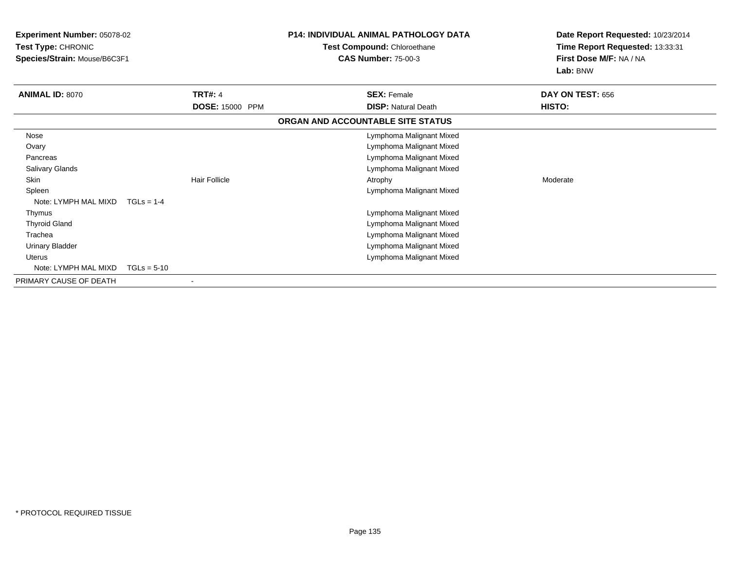| <b>Experiment Number: 05078-02</b><br>Test Type: CHRONIC<br>Species/Strain: Mouse/B6C3F1 |                        | <b>P14: INDIVIDUAL ANIMAL PATHOLOGY DATA</b><br>Test Compound: Chloroethane<br><b>CAS Number: 75-00-3</b> | Date Report Requested: 10/23/2014<br>Time Report Requested: 13:33:31<br>First Dose M/F: NA / NA<br>Lab: BNW |
|------------------------------------------------------------------------------------------|------------------------|-----------------------------------------------------------------------------------------------------------|-------------------------------------------------------------------------------------------------------------|
| <b>ANIMAL ID: 8070</b>                                                                   | <b>TRT#: 4</b>         | <b>SEX: Female</b>                                                                                        | DAY ON TEST: 656                                                                                            |
|                                                                                          | <b>DOSE: 15000 PPM</b> | <b>DISP: Natural Death</b>                                                                                | <b>HISTO:</b>                                                                                               |
|                                                                                          |                        | ORGAN AND ACCOUNTABLE SITE STATUS                                                                         |                                                                                                             |
| Nose                                                                                     |                        | Lymphoma Malignant Mixed                                                                                  |                                                                                                             |
| Ovary                                                                                    |                        | Lymphoma Malignant Mixed                                                                                  |                                                                                                             |
| Pancreas                                                                                 |                        | Lymphoma Malignant Mixed                                                                                  |                                                                                                             |
| Salivary Glands                                                                          |                        | Lymphoma Malignant Mixed                                                                                  |                                                                                                             |
| <b>Skin</b>                                                                              | <b>Hair Follicle</b>   | Atrophy                                                                                                   | Moderate                                                                                                    |
| Spleen                                                                                   |                        | Lymphoma Malignant Mixed                                                                                  |                                                                                                             |
| Note: LYMPH MAL MIXD                                                                     | $TGLs = 1-4$           |                                                                                                           |                                                                                                             |
| Thymus                                                                                   |                        | Lymphoma Malignant Mixed                                                                                  |                                                                                                             |
| <b>Thyroid Gland</b>                                                                     |                        | Lymphoma Malignant Mixed                                                                                  |                                                                                                             |
| Trachea                                                                                  |                        | Lymphoma Malignant Mixed                                                                                  |                                                                                                             |
| <b>Urinary Bladder</b>                                                                   |                        | Lymphoma Malignant Mixed                                                                                  |                                                                                                             |
| <b>Uterus</b>                                                                            |                        | Lymphoma Malignant Mixed                                                                                  |                                                                                                             |
| Note: LYMPH MAL MIXD                                                                     | $TGLs = 5-10$          |                                                                                                           |                                                                                                             |
| PRIMARY CAUSE OF DEATH                                                                   |                        |                                                                                                           |                                                                                                             |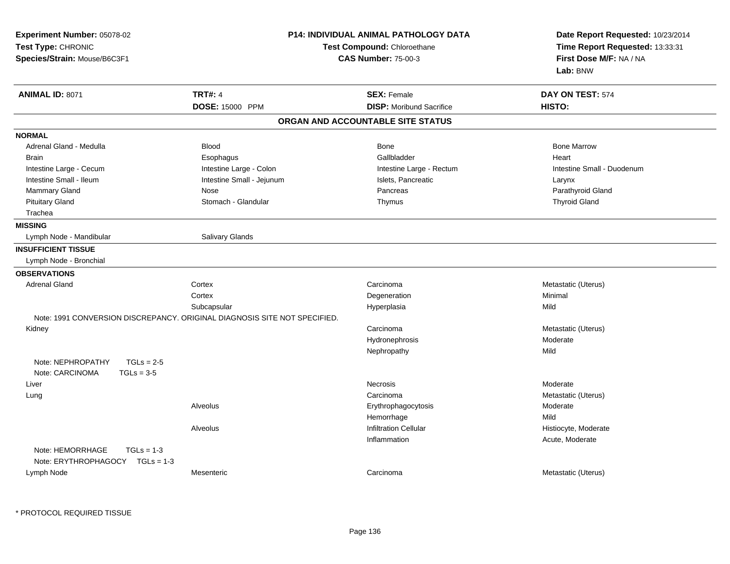| Experiment Number: 05078-02<br>Test Type: CHRONIC<br>Species/Strain: Mouse/B6C3F1 |                                                                           | <b>P14: INDIVIDUAL ANIMAL PATHOLOGY DATA</b><br>Test Compound: Chloroethane<br><b>CAS Number: 75-00-3</b> | Date Report Requested: 10/23/2014<br>Time Report Requested: 13:33:31<br>First Dose M/F: NA / NA<br>Lab: BNW |
|-----------------------------------------------------------------------------------|---------------------------------------------------------------------------|-----------------------------------------------------------------------------------------------------------|-------------------------------------------------------------------------------------------------------------|
| <b>ANIMAL ID: 8071</b>                                                            | <b>TRT#: 4</b><br>DOSE: 15000 PPM                                         | <b>SEX: Female</b><br><b>DISP:</b> Moribund Sacrifice                                                     | DAY ON TEST: 574<br>HISTO:                                                                                  |
|                                                                                   |                                                                           | ORGAN AND ACCOUNTABLE SITE STATUS                                                                         |                                                                                                             |
| <b>NORMAL</b>                                                                     |                                                                           |                                                                                                           |                                                                                                             |
| Adrenal Gland - Medulla                                                           | <b>Blood</b>                                                              | Bone                                                                                                      | <b>Bone Marrow</b>                                                                                          |
| <b>Brain</b>                                                                      | Esophagus                                                                 | Gallbladder                                                                                               | Heart                                                                                                       |
| Intestine Large - Cecum                                                           | Intestine Large - Colon                                                   | Intestine Large - Rectum                                                                                  | Intestine Small - Duodenum                                                                                  |
| Intestine Small - Ileum                                                           | Intestine Small - Jejunum                                                 | Islets, Pancreatic                                                                                        | Larynx                                                                                                      |
| Mammary Gland                                                                     | Nose                                                                      | Pancreas                                                                                                  | Parathyroid Gland                                                                                           |
| <b>Pituitary Gland</b>                                                            | Stomach - Glandular                                                       | Thymus                                                                                                    | <b>Thyroid Gland</b>                                                                                        |
| Trachea                                                                           |                                                                           |                                                                                                           |                                                                                                             |
| <b>MISSING</b>                                                                    |                                                                           |                                                                                                           |                                                                                                             |
| Lymph Node - Mandibular                                                           | Salivary Glands                                                           |                                                                                                           |                                                                                                             |
| <b>INSUFFICIENT TISSUE</b>                                                        |                                                                           |                                                                                                           |                                                                                                             |
| Lymph Node - Bronchial                                                            |                                                                           |                                                                                                           |                                                                                                             |
| <b>OBSERVATIONS</b>                                                               |                                                                           |                                                                                                           |                                                                                                             |
| <b>Adrenal Gland</b>                                                              | Cortex                                                                    | Carcinoma                                                                                                 | Metastatic (Uterus)                                                                                         |
|                                                                                   | Cortex                                                                    | Degeneration                                                                                              | Minimal                                                                                                     |
|                                                                                   | Subcapsular                                                               | Hyperplasia                                                                                               | Mild                                                                                                        |
|                                                                                   | Note: 1991 CONVERSION DISCREPANCY. ORIGINAL DIAGNOSIS SITE NOT SPECIFIED. |                                                                                                           |                                                                                                             |
| Kidney                                                                            |                                                                           | Carcinoma                                                                                                 | Metastatic (Uterus)                                                                                         |
|                                                                                   |                                                                           | Hydronephrosis                                                                                            | Moderate                                                                                                    |
|                                                                                   |                                                                           | Nephropathy                                                                                               | Mild                                                                                                        |
| Note: NEPHROPATHY<br>$TGLs = 2-5$                                                 |                                                                           |                                                                                                           |                                                                                                             |
| Note: CARCINOMA<br>$TGLs = 3-5$                                                   |                                                                           |                                                                                                           |                                                                                                             |
| Liver                                                                             |                                                                           | Necrosis                                                                                                  | Moderate                                                                                                    |
| Lung                                                                              |                                                                           | Carcinoma                                                                                                 | Metastatic (Uterus)                                                                                         |
|                                                                                   | Alveolus                                                                  | Erythrophagocytosis                                                                                       | Moderate                                                                                                    |
|                                                                                   |                                                                           | Hemorrhage                                                                                                | Mild                                                                                                        |
|                                                                                   | Alveolus                                                                  | <b>Infiltration Cellular</b>                                                                              | Histiocyte, Moderate                                                                                        |
|                                                                                   |                                                                           | Inflammation                                                                                              | Acute, Moderate                                                                                             |
| Note: HEMORRHAGE<br>$TGLs = 1-3$                                                  |                                                                           |                                                                                                           |                                                                                                             |
| Note: ERYTHROPHAGOCY<br>$TGLs = 1-3$                                              |                                                                           |                                                                                                           |                                                                                                             |
| Lymph Node                                                                        | Mesenteric                                                                | Carcinoma                                                                                                 | Metastatic (Uterus)                                                                                         |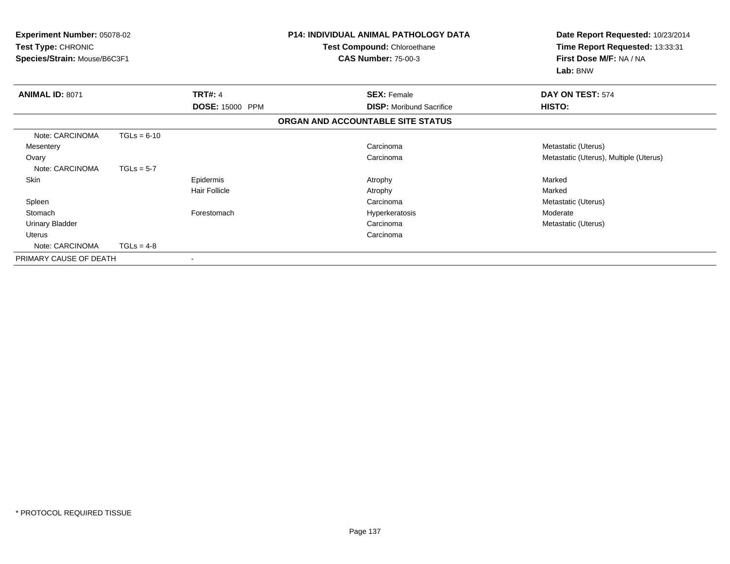| Experiment Number: 05078-02<br>Test Type: CHRONIC<br>Species/Strain: Mouse/B6C3F1 |               |                      | <b>P14: INDIVIDUAL ANIMAL PATHOLOGY DATA</b><br>Test Compound: Chloroethane<br><b>CAS Number: 75-00-3</b> | Date Report Requested: 10/23/2014<br>Time Report Requested: 13:33:31<br>First Dose M/F: NA / NA<br>Lab: BNW |
|-----------------------------------------------------------------------------------|---------------|----------------------|-----------------------------------------------------------------------------------------------------------|-------------------------------------------------------------------------------------------------------------|
| <b>ANIMAL ID: 8071</b>                                                            |               | <b>TRT#: 4</b>       | <b>SEX: Female</b>                                                                                        | DAY ON TEST: 574                                                                                            |
|                                                                                   |               | DOSE: 15000 PPM      | <b>DISP:</b> Moribund Sacrifice                                                                           | HISTO:                                                                                                      |
|                                                                                   |               |                      | ORGAN AND ACCOUNTABLE SITE STATUS                                                                         |                                                                                                             |
| Note: CARCINOMA                                                                   | $TGLs = 6-10$ |                      |                                                                                                           |                                                                                                             |
| Mesentery                                                                         |               |                      | Carcinoma                                                                                                 | Metastatic (Uterus)                                                                                         |
| Ovary                                                                             |               |                      | Carcinoma                                                                                                 | Metastatic (Uterus), Multiple (Uterus)                                                                      |
| Note: CARCINOMA                                                                   | $TGLs = 5-7$  |                      |                                                                                                           |                                                                                                             |
| Skin                                                                              |               | Epidermis            | Atrophy                                                                                                   | Marked                                                                                                      |
|                                                                                   |               | <b>Hair Follicle</b> | Atrophy                                                                                                   | Marked                                                                                                      |
| Spleen                                                                            |               |                      | Carcinoma                                                                                                 | Metastatic (Uterus)                                                                                         |
| Stomach                                                                           |               | Forestomach          | Hyperkeratosis                                                                                            | Moderate                                                                                                    |
| <b>Urinary Bladder</b>                                                            |               |                      | Carcinoma                                                                                                 | Metastatic (Uterus)                                                                                         |
| Uterus                                                                            |               |                      | Carcinoma                                                                                                 |                                                                                                             |
| Note: CARCINOMA                                                                   | $TGLs = 4-8$  |                      |                                                                                                           |                                                                                                             |
| PRIMARY CAUSE OF DEATH                                                            |               |                      |                                                                                                           |                                                                                                             |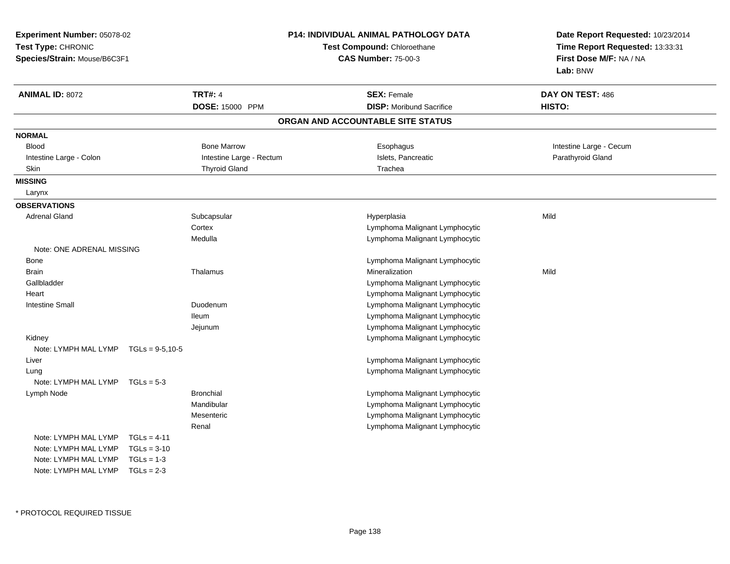| Experiment Number: 05078-02                        |               |                          | P14: INDIVIDUAL ANIMAL PATHOLOGY DATA | Date Report Requested: 10/23/2014 |  |
|----------------------------------------------------|---------------|--------------------------|---------------------------------------|-----------------------------------|--|
| Test Type: CHRONIC<br>Species/Strain: Mouse/B6C3F1 |               |                          | Test Compound: Chloroethane           | Time Report Requested: 13:33:31   |  |
|                                                    |               |                          | <b>CAS Number: 75-00-3</b>            | First Dose M/F: NA / NA           |  |
|                                                    |               |                          |                                       | Lab: BNW                          |  |
| <b>ANIMAL ID: 8072</b>                             |               | <b>TRT#: 4</b>           | <b>SEX: Female</b>                    | DAY ON TEST: 486                  |  |
|                                                    |               | DOSE: 15000 PPM          | <b>DISP:</b> Moribund Sacrifice       | <b>HISTO:</b>                     |  |
|                                                    |               |                          | ORGAN AND ACCOUNTABLE SITE STATUS     |                                   |  |
| <b>NORMAL</b>                                      |               |                          |                                       |                                   |  |
| <b>Blood</b>                                       |               | <b>Bone Marrow</b>       | Esophagus                             | Intestine Large - Cecum           |  |
| Intestine Large - Colon                            |               | Intestine Large - Rectum | Islets, Pancreatic                    | Parathyroid Gland                 |  |
| <b>Skin</b>                                        |               | <b>Thyroid Gland</b>     | Trachea                               |                                   |  |
| <b>MISSING</b>                                     |               |                          |                                       |                                   |  |
| Larynx                                             |               |                          |                                       |                                   |  |
| <b>OBSERVATIONS</b>                                |               |                          |                                       |                                   |  |
| <b>Adrenal Gland</b>                               |               | Subcapsular              | Hyperplasia                           | Mild                              |  |
|                                                    |               | Cortex                   | Lymphoma Malignant Lymphocytic        |                                   |  |
|                                                    |               | Medulla                  | Lymphoma Malignant Lymphocytic        |                                   |  |
| Note: ONE ADRENAL MISSING                          |               |                          |                                       |                                   |  |
| Bone                                               |               |                          | Lymphoma Malignant Lymphocytic        |                                   |  |
| <b>Brain</b>                                       |               | Thalamus                 | Mineralization                        | Mild                              |  |
| Gallbladder                                        |               |                          | Lymphoma Malignant Lymphocytic        |                                   |  |
| Heart                                              |               |                          | Lymphoma Malignant Lymphocytic        |                                   |  |
| <b>Intestine Small</b>                             |               | Duodenum                 | Lymphoma Malignant Lymphocytic        |                                   |  |
|                                                    |               | <b>Ileum</b>             | Lymphoma Malignant Lymphocytic        |                                   |  |
|                                                    |               | Jejunum                  | Lymphoma Malignant Lymphocytic        |                                   |  |
| Kidney                                             |               |                          | Lymphoma Malignant Lymphocytic        |                                   |  |
| Note: LYMPH MAL LYMP $TGLs = 9-5, 10-5$            |               |                          |                                       |                                   |  |
| Liver                                              |               |                          | Lymphoma Malignant Lymphocytic        |                                   |  |
| Lung                                               |               |                          | Lymphoma Malignant Lymphocytic        |                                   |  |
| Note: LYMPH MAL LYMP                               | $TGLs = 5-3$  |                          |                                       |                                   |  |
| Lymph Node                                         |               | <b>Bronchial</b>         | Lymphoma Malignant Lymphocytic        |                                   |  |
|                                                    |               | Mandibular               | Lymphoma Malignant Lymphocytic        |                                   |  |
|                                                    |               | Mesenteric               | Lymphoma Malignant Lymphocytic        |                                   |  |
|                                                    |               | Renal                    | Lymphoma Malignant Lymphocytic        |                                   |  |
| Note: LYMPH MAL LYMP                               | $TGLs = 4-11$ |                          |                                       |                                   |  |
| Note: LYMPH MAL LYMP                               | $TGLs = 3-10$ |                          |                                       |                                   |  |
| Note: LYMPH MAL LYMP                               | $TGLs = 1-3$  |                          |                                       |                                   |  |
| Note: LYMPH MAL LYMP                               | $TGLs = 2-3$  |                          |                                       |                                   |  |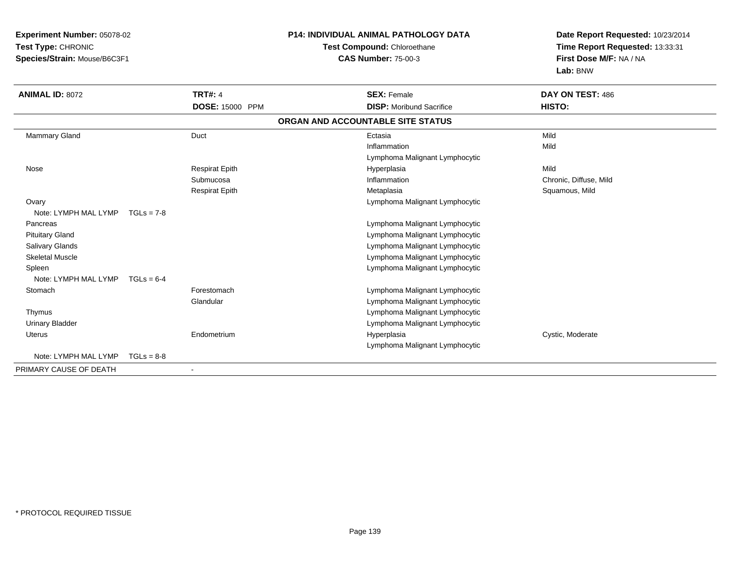**Experiment Number:** 05078-02**Test Type:** CHRONIC **Species/Strain:** Mouse/B6C3F1**P14: INDIVIDUAL ANIMAL PATHOLOGY DATATest Compound:** Chloroethane**CAS Number:** 75-00-3**Date Report Requested:** 10/23/2014**Time Report Requested:** 13:33:31**First Dose M/F:** NA / NA**Lab:** BNW**ANIMAL ID:** 8072**TRT#:** 4 **SEX:** Female **DAY ON TEST:** 486 **DOSE:** 15000 PPM**DISP:** Moribund Sacrifice **HISTO: ORGAN AND ACCOUNTABLE SITE STATUS** Mammary Gland Duct Ectasia Mild Inflammationn Mild Lymphoma Malignant Lymphocytic Nose Respirat Epith Hyperplasia Mild Submucosa Inflammation Chronic, Diffuse, Mild Respirat Epith Metaplasia Squamous, Mild **Ovary**  Lymphoma Malignant Lymphocytic Note: LYMPH MAL LYMP TGLs = 7-8 Pancreas Lymphoma Malignant Lymphocytic Pituitary Gland Lymphoma Malignant Lymphocytic Salivary Glands Lymphoma Malignant Lymphocytic Skeletal Muscle Lymphoma Malignant Lymphocytic Spleen Lymphoma Malignant Lymphocytic Note: LYMPH MAL LYMP TGLs = 6-4**Stomach**  Forestomach Lymphoma Malignant Lymphocytic Glandular Lymphoma Malignant Lymphocytics and the contract of the contract of the contract of the contract of the contract of the contract of the contract of the contract of the contract of the contract of the contract of the contract of the contract of the cont Thymus Urinary Bladder Lymphoma Malignant Lymphocytic Uterus Endometriumm and the Hyperplasia Cystic, Moderate Cystic, Moderate Cystic, Moderate Cystic, Moderate Cystic, Moderate Cystic, Moderate  $\sim$ Lymphoma Malignant LymphocyticNote: LYMPH MAL LYMP TGLs = 8-8PRIMARY CAUSE OF DEATH-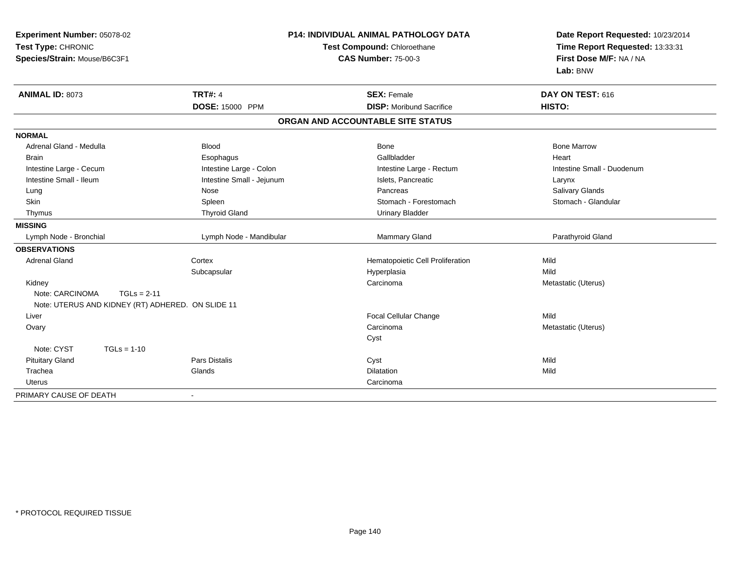| Experiment Number: 05078-02<br>Test Type: CHRONIC<br>Species/Strain: Mouse/B6C3F1 |                                                   |                           | P14: INDIVIDUAL ANIMAL PATHOLOGY DATA<br>Test Compound: Chloroethane<br><b>CAS Number: 75-00-3</b> | Date Report Requested: 10/23/2014<br>Time Report Requested: 13:33:31<br>First Dose M/F: NA / NA<br>Lab: BNW |  |
|-----------------------------------------------------------------------------------|---------------------------------------------------|---------------------------|----------------------------------------------------------------------------------------------------|-------------------------------------------------------------------------------------------------------------|--|
| ANIMAL ID: 8073                                                                   |                                                   | <b>TRT#: 4</b>            | <b>SEX: Female</b>                                                                                 | DAY ON TEST: 616                                                                                            |  |
|                                                                                   |                                                   | DOSE: 15000 PPM           | <b>DISP:</b> Moribund Sacrifice                                                                    | HISTO:                                                                                                      |  |
|                                                                                   |                                                   |                           | ORGAN AND ACCOUNTABLE SITE STATUS                                                                  |                                                                                                             |  |
| <b>NORMAL</b>                                                                     |                                                   |                           |                                                                                                    |                                                                                                             |  |
| Adrenal Gland - Medulla                                                           |                                                   | <b>Blood</b>              | Bone                                                                                               | <b>Bone Marrow</b>                                                                                          |  |
| <b>Brain</b>                                                                      |                                                   | Esophagus                 | Gallbladder                                                                                        | Heart                                                                                                       |  |
| Intestine Large - Cecum                                                           |                                                   | Intestine Large - Colon   | Intestine Large - Rectum                                                                           | Intestine Small - Duodenum                                                                                  |  |
| Intestine Small - Ileum                                                           |                                                   | Intestine Small - Jejunum | Islets, Pancreatic                                                                                 | Larynx                                                                                                      |  |
| Lung                                                                              |                                                   | Nose                      | Pancreas                                                                                           | <b>Salivary Glands</b>                                                                                      |  |
| Skin                                                                              |                                                   | Spleen                    | Stomach - Forestomach                                                                              | Stomach - Glandular                                                                                         |  |
| Thymus                                                                            |                                                   | <b>Thyroid Gland</b>      | <b>Urinary Bladder</b>                                                                             |                                                                                                             |  |
| <b>MISSING</b>                                                                    |                                                   |                           |                                                                                                    |                                                                                                             |  |
| Lymph Node - Bronchial                                                            |                                                   | Lymph Node - Mandibular   | Mammary Gland                                                                                      | Parathyroid Gland                                                                                           |  |
| <b>OBSERVATIONS</b>                                                               |                                                   |                           |                                                                                                    |                                                                                                             |  |
| <b>Adrenal Gland</b>                                                              |                                                   | Cortex                    | Hematopoietic Cell Proliferation                                                                   | Mild                                                                                                        |  |
|                                                                                   |                                                   | Subcapsular               | Hyperplasia                                                                                        | Mild                                                                                                        |  |
| Kidney                                                                            |                                                   |                           | Carcinoma                                                                                          | Metastatic (Uterus)                                                                                         |  |
| Note: CARCINOMA                                                                   | $TGLs = 2-11$                                     |                           |                                                                                                    |                                                                                                             |  |
|                                                                                   | Note: UTERUS AND KIDNEY (RT) ADHERED. ON SLIDE 11 |                           |                                                                                                    |                                                                                                             |  |
| Liver                                                                             |                                                   |                           | Focal Cellular Change                                                                              | Mild                                                                                                        |  |
| Ovary                                                                             |                                                   |                           | Carcinoma                                                                                          | Metastatic (Uterus)                                                                                         |  |
|                                                                                   |                                                   |                           | Cyst                                                                                               |                                                                                                             |  |
| Note: CYST                                                                        | $TGLs = 1-10$                                     |                           |                                                                                                    |                                                                                                             |  |
| <b>Pituitary Gland</b>                                                            |                                                   | <b>Pars Distalis</b>      | Cyst                                                                                               | Mild                                                                                                        |  |
| Trachea                                                                           |                                                   | Glands                    | Dilatation                                                                                         | Mild                                                                                                        |  |
| <b>Uterus</b>                                                                     |                                                   |                           | Carcinoma                                                                                          |                                                                                                             |  |
| PRIMARY CAUSE OF DEATH                                                            |                                                   |                           |                                                                                                    |                                                                                                             |  |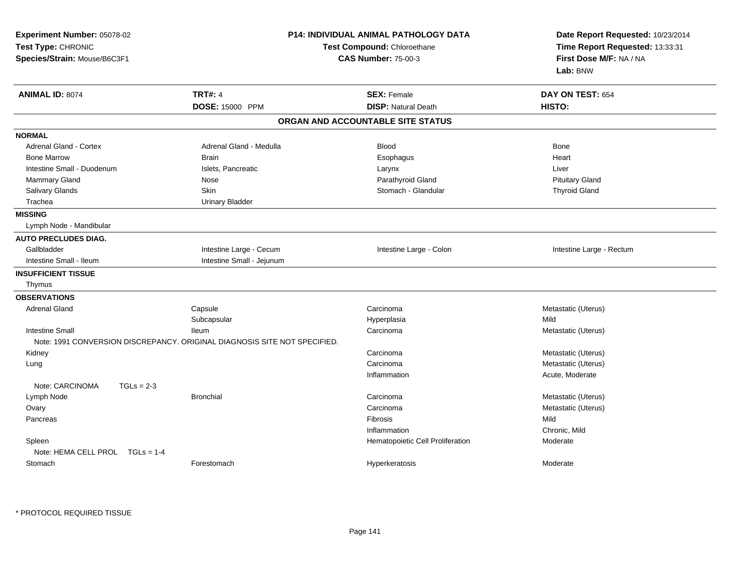| Experiment Number: 05078-02<br>Test Type: CHRONIC<br>Species/Strain: Mouse/B6C3F1 |                                                                           | <b>P14: INDIVIDUAL ANIMAL PATHOLOGY DATA</b><br>Test Compound: Chloroethane<br><b>CAS Number: 75-00-3</b> | Date Report Requested: 10/23/2014<br>Time Report Requested: 13:33:31<br>First Dose M/F: NA / NA<br>Lab: BNW |  |
|-----------------------------------------------------------------------------------|---------------------------------------------------------------------------|-----------------------------------------------------------------------------------------------------------|-------------------------------------------------------------------------------------------------------------|--|
| <b>ANIMAL ID: 8074</b>                                                            | <b>TRT#: 4</b>                                                            | <b>SEX: Female</b>                                                                                        | DAY ON TEST: 654                                                                                            |  |
|                                                                                   | DOSE: 15000 PPM                                                           | <b>DISP: Natural Death</b>                                                                                | HISTO:                                                                                                      |  |
|                                                                                   |                                                                           | ORGAN AND ACCOUNTABLE SITE STATUS                                                                         |                                                                                                             |  |
| <b>NORMAL</b>                                                                     |                                                                           |                                                                                                           |                                                                                                             |  |
| <b>Adrenal Gland - Cortex</b>                                                     | Adrenal Gland - Medulla                                                   | <b>Blood</b>                                                                                              | <b>Bone</b>                                                                                                 |  |
| <b>Bone Marrow</b>                                                                | <b>Brain</b>                                                              | Esophagus                                                                                                 | Heart                                                                                                       |  |
| Intestine Small - Duodenum                                                        | Islets, Pancreatic                                                        | Larynx                                                                                                    | Liver                                                                                                       |  |
| <b>Mammary Gland</b>                                                              | Nose                                                                      | Parathyroid Gland                                                                                         | <b>Pituitary Gland</b>                                                                                      |  |
| Salivary Glands                                                                   | <b>Skin</b>                                                               | Stomach - Glandular                                                                                       | <b>Thyroid Gland</b>                                                                                        |  |
| Trachea                                                                           | <b>Urinary Bladder</b>                                                    |                                                                                                           |                                                                                                             |  |
| <b>MISSING</b>                                                                    |                                                                           |                                                                                                           |                                                                                                             |  |
| Lymph Node - Mandibular                                                           |                                                                           |                                                                                                           |                                                                                                             |  |
| <b>AUTO PRECLUDES DIAG.</b>                                                       |                                                                           |                                                                                                           |                                                                                                             |  |
| Gallbladder                                                                       | Intestine Large - Cecum                                                   | Intestine Large - Colon                                                                                   | Intestine Large - Rectum                                                                                    |  |
| Intestine Small - Ileum                                                           | Intestine Small - Jejunum                                                 |                                                                                                           |                                                                                                             |  |
| <b>INSUFFICIENT TISSUE</b>                                                        |                                                                           |                                                                                                           |                                                                                                             |  |
| Thymus                                                                            |                                                                           |                                                                                                           |                                                                                                             |  |
| <b>OBSERVATIONS</b>                                                               |                                                                           |                                                                                                           |                                                                                                             |  |
| <b>Adrenal Gland</b>                                                              | Capsule                                                                   | Carcinoma                                                                                                 | Metastatic (Uterus)                                                                                         |  |
|                                                                                   | Subcapsular                                                               | Hyperplasia                                                                                               | Mild                                                                                                        |  |
| <b>Intestine Small</b>                                                            | lleum                                                                     | Carcinoma                                                                                                 | Metastatic (Uterus)                                                                                         |  |
|                                                                                   | Note: 1991 CONVERSION DISCREPANCY. ORIGINAL DIAGNOSIS SITE NOT SPECIFIED. |                                                                                                           |                                                                                                             |  |
| Kidney                                                                            |                                                                           | Carcinoma                                                                                                 | Metastatic (Uterus)                                                                                         |  |
| Lung                                                                              |                                                                           | Carcinoma                                                                                                 | Metastatic (Uterus)                                                                                         |  |
|                                                                                   |                                                                           | Inflammation                                                                                              | Acute, Moderate                                                                                             |  |
| Note: CARCINOMA<br>$TGLs = 2-3$                                                   |                                                                           |                                                                                                           |                                                                                                             |  |
| Lymph Node                                                                        | <b>Bronchial</b>                                                          | Carcinoma                                                                                                 | Metastatic (Uterus)                                                                                         |  |
| Ovary                                                                             |                                                                           | Carcinoma                                                                                                 | Metastatic (Uterus)                                                                                         |  |
| Pancreas                                                                          |                                                                           | Fibrosis                                                                                                  | Mild                                                                                                        |  |
|                                                                                   |                                                                           | Inflammation                                                                                              | Chronic, Mild                                                                                               |  |
| Spleen                                                                            |                                                                           | Hematopoietic Cell Proliferation                                                                          | Moderate                                                                                                    |  |
| Note: HEMA CELL PROL TGLs = 1-4                                                   |                                                                           |                                                                                                           |                                                                                                             |  |
| Stomach                                                                           | Forestomach                                                               | Hyperkeratosis                                                                                            | Moderate                                                                                                    |  |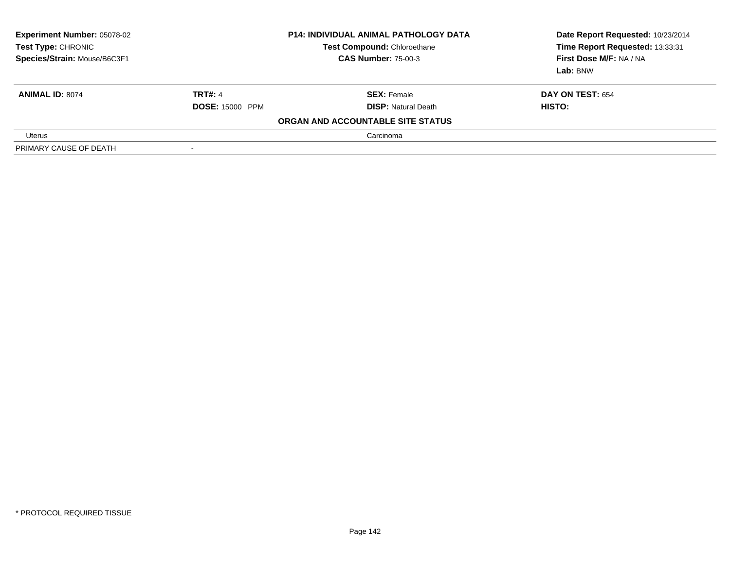| <b>Experiment Number: 05078-02</b><br>Test Type: CHRONIC<br>Species/Strain: Mouse/B6C3F1 |                          | <b>P14: INDIVIDUAL ANIMAL PATHOLOGY DATA</b><br><b>Test Compound: Chloroethane</b><br><b>CAS Number: 75-00-3</b> | Date Report Requested: 10/23/2014<br>Time Report Requested: 13:33:31<br>First Dose M/F: NA / NA<br>Lab: BNW |
|------------------------------------------------------------------------------------------|--------------------------|------------------------------------------------------------------------------------------------------------------|-------------------------------------------------------------------------------------------------------------|
| <b>ANIMAL ID: 8074</b>                                                                   | <b>TRT#: 4</b>           | <b>SEX: Female</b>                                                                                               | <b>DAY ON TEST: 654</b>                                                                                     |
|                                                                                          | <b>DOSE: 15000 PPM</b>   | <b>DISP: Natural Death</b>                                                                                       | HISTO:                                                                                                      |
|                                                                                          |                          | ORGAN AND ACCOUNTABLE SITE STATUS                                                                                |                                                                                                             |
| Uterus                                                                                   |                          | Carcinoma                                                                                                        |                                                                                                             |
| PRIMARY CAUSE OF DEATH                                                                   | $\overline{\phantom{a}}$ |                                                                                                                  |                                                                                                             |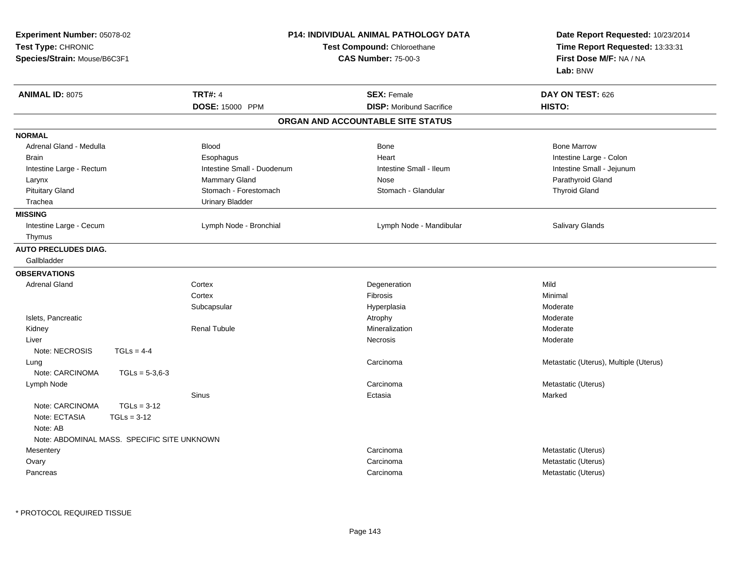| Experiment Number: 05078-02<br>Test Type: CHRONIC<br>Species/Strain: Mouse/B6C3F1 |                                             |                            | <b>P14: INDIVIDUAL ANIMAL PATHOLOGY DATA</b><br>Test Compound: Chloroethane<br><b>CAS Number: 75-00-3</b> | Date Report Requested: 10/23/2014<br>Time Report Requested: 13:33:31<br>First Dose M/F: NA / NA<br>Lab: BNW |
|-----------------------------------------------------------------------------------|---------------------------------------------|----------------------------|-----------------------------------------------------------------------------------------------------------|-------------------------------------------------------------------------------------------------------------|
| <b>ANIMAL ID: 8075</b>                                                            |                                             | <b>TRT#: 4</b>             | <b>SEX: Female</b>                                                                                        | DAY ON TEST: 626                                                                                            |
|                                                                                   |                                             | DOSE: 15000 PPM            | <b>DISP: Moribund Sacrifice</b>                                                                           | HISTO:                                                                                                      |
|                                                                                   |                                             |                            | ORGAN AND ACCOUNTABLE SITE STATUS                                                                         |                                                                                                             |
| <b>NORMAL</b>                                                                     |                                             |                            |                                                                                                           |                                                                                                             |
| Adrenal Gland - Medulla                                                           |                                             | <b>Blood</b>               | Bone                                                                                                      | <b>Bone Marrow</b>                                                                                          |
| Brain                                                                             |                                             | Esophagus                  | Heart                                                                                                     | Intestine Large - Colon                                                                                     |
| Intestine Large - Rectum                                                          |                                             | Intestine Small - Duodenum | Intestine Small - Ileum                                                                                   | Intestine Small - Jejunum                                                                                   |
| Larynx                                                                            |                                             | Mammary Gland              | Nose                                                                                                      | Parathyroid Gland                                                                                           |
| <b>Pituitary Gland</b>                                                            |                                             | Stomach - Forestomach      | Stomach - Glandular                                                                                       | <b>Thyroid Gland</b>                                                                                        |
| Trachea                                                                           |                                             | <b>Urinary Bladder</b>     |                                                                                                           |                                                                                                             |
| <b>MISSING</b>                                                                    |                                             |                            |                                                                                                           |                                                                                                             |
| Intestine Large - Cecum                                                           |                                             | Lymph Node - Bronchial     | Lymph Node - Mandibular                                                                                   | <b>Salivary Glands</b>                                                                                      |
| Thymus                                                                            |                                             |                            |                                                                                                           |                                                                                                             |
| <b>AUTO PRECLUDES DIAG.</b>                                                       |                                             |                            |                                                                                                           |                                                                                                             |
| Gallbladder                                                                       |                                             |                            |                                                                                                           |                                                                                                             |
| <b>OBSERVATIONS</b>                                                               |                                             |                            |                                                                                                           |                                                                                                             |
| <b>Adrenal Gland</b>                                                              |                                             | Cortex                     | Degeneration                                                                                              | Mild                                                                                                        |
|                                                                                   |                                             | Cortex                     | Fibrosis                                                                                                  | Minimal                                                                                                     |
|                                                                                   |                                             | Subcapsular                | Hyperplasia                                                                                               | Moderate                                                                                                    |
| Islets, Pancreatic                                                                |                                             |                            | Atrophy                                                                                                   | Moderate                                                                                                    |
| Kidney                                                                            |                                             | <b>Renal Tubule</b>        | Mineralization                                                                                            | Moderate                                                                                                    |
| Liver                                                                             |                                             |                            | Necrosis                                                                                                  | Moderate                                                                                                    |
| Note: NECROSIS                                                                    | $TGLs = 4-4$                                |                            |                                                                                                           |                                                                                                             |
| Lung                                                                              |                                             |                            | Carcinoma                                                                                                 | Metastatic (Uterus), Multiple (Uterus)                                                                      |
| Note: CARCINOMA                                                                   | $TGLs = 5-3,6-3$                            |                            |                                                                                                           |                                                                                                             |
| Lymph Node                                                                        |                                             |                            | Carcinoma                                                                                                 | Metastatic (Uterus)                                                                                         |
|                                                                                   |                                             | <b>Sinus</b>               | Ectasia                                                                                                   | Marked                                                                                                      |
| Note: CARCINOMA                                                                   | $TGLs = 3-12$                               |                            |                                                                                                           |                                                                                                             |
| Note: ECTASIA                                                                     | $TGLS = 3-12$                               |                            |                                                                                                           |                                                                                                             |
| Note: AB                                                                          |                                             |                            |                                                                                                           |                                                                                                             |
|                                                                                   | Note: ABDOMINAL MASS. SPECIFIC SITE UNKNOWN |                            |                                                                                                           |                                                                                                             |
| Mesentery                                                                         |                                             |                            | Carcinoma                                                                                                 | Metastatic (Uterus)                                                                                         |
| Ovary                                                                             |                                             |                            | Carcinoma                                                                                                 | Metastatic (Uterus)                                                                                         |
| Pancreas                                                                          |                                             |                            | Carcinoma                                                                                                 | Metastatic (Uterus)                                                                                         |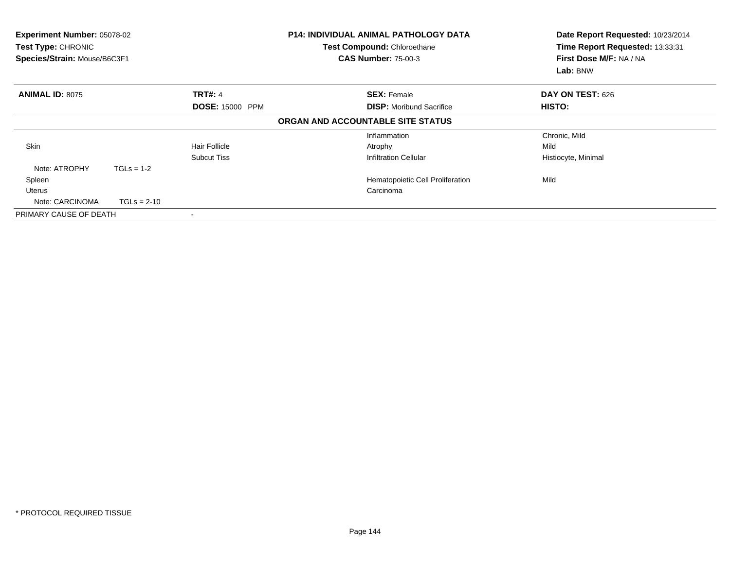| Experiment Number: 05078-02<br>Test Type: CHRONIC<br>Species/Strain: Mouse/B6C3F1 |               |                        | <b>P14: INDIVIDUAL ANIMAL PATHOLOGY DATA</b><br><b>Test Compound: Chloroethane</b><br><b>CAS Number: 75-00-3</b> | Date Report Requested: 10/23/2014<br>Time Report Requested: 13:33:31<br>First Dose M/F: NA / NA<br>Lab: BNW |
|-----------------------------------------------------------------------------------|---------------|------------------------|------------------------------------------------------------------------------------------------------------------|-------------------------------------------------------------------------------------------------------------|
| <b>ANIMAL ID: 8075</b>                                                            |               | <b>TRT#: 4</b>         | <b>SEX: Female</b>                                                                                               | DAY ON TEST: 626                                                                                            |
|                                                                                   |               | <b>DOSE: 15000 PPM</b> | <b>DISP:</b> Moribund Sacrifice                                                                                  | HISTO:                                                                                                      |
|                                                                                   |               |                        | ORGAN AND ACCOUNTABLE SITE STATUS                                                                                |                                                                                                             |
|                                                                                   |               |                        | Inflammation                                                                                                     | Chronic, Mild                                                                                               |
| <b>Skin</b>                                                                       |               | <b>Hair Follicle</b>   | Atrophy                                                                                                          | Mild                                                                                                        |
|                                                                                   |               | <b>Subcut Tiss</b>     | <b>Infiltration Cellular</b>                                                                                     | Histiocyte, Minimal                                                                                         |
| Note: ATROPHY                                                                     | $TGLs = 1-2$  |                        |                                                                                                                  |                                                                                                             |
| Spleen                                                                            |               |                        | Hematopoietic Cell Proliferation                                                                                 | Mild                                                                                                        |
| Uterus                                                                            |               |                        | Carcinoma                                                                                                        |                                                                                                             |
| Note: CARCINOMA                                                                   | $TGLs = 2-10$ |                        |                                                                                                                  |                                                                                                             |
| PRIMARY CAUSE OF DEATH                                                            |               |                        |                                                                                                                  |                                                                                                             |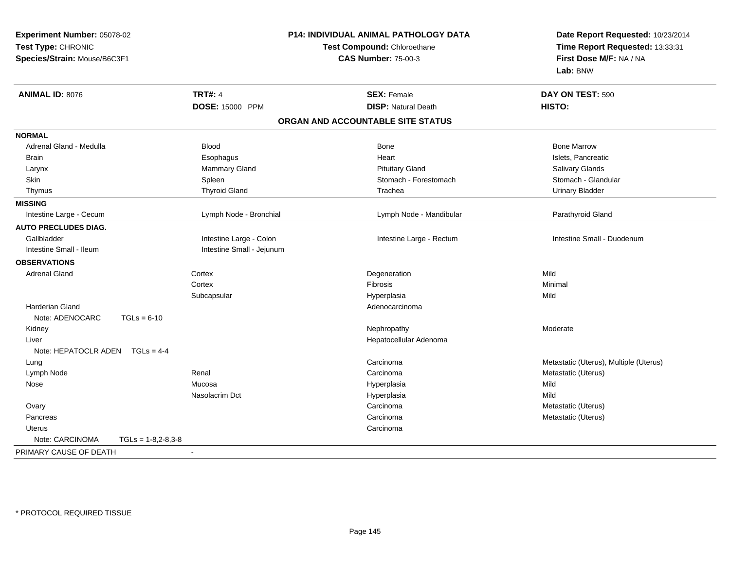| Experiment Number: 05078-02             |                            | P14: INDIVIDUAL ANIMAL PATHOLOGY DATA | Date Report Requested: 10/23/2014      |  |
|-----------------------------------------|----------------------------|---------------------------------------|----------------------------------------|--|
| Test Type: CHRONIC                      |                            | Test Compound: Chloroethane           | Time Report Requested: 13:33:31        |  |
| Species/Strain: Mouse/B6C3F1            | <b>CAS Number: 75-00-3</b> |                                       | First Dose M/F: NA / NA                |  |
|                                         |                            |                                       | Lab: BNW                               |  |
| <b>ANIMAL ID: 8076</b>                  | <b>TRT#: 4</b>             | <b>SEX: Female</b>                    | DAY ON TEST: 590                       |  |
|                                         | DOSE: 15000 PPM            | <b>DISP: Natural Death</b>            | HISTO:                                 |  |
|                                         |                            | ORGAN AND ACCOUNTABLE SITE STATUS     |                                        |  |
| <b>NORMAL</b>                           |                            |                                       |                                        |  |
| Adrenal Gland - Medulla                 | <b>Blood</b>               | Bone                                  | <b>Bone Marrow</b>                     |  |
| <b>Brain</b>                            | Esophagus                  | Heart                                 | Islets, Pancreatic                     |  |
| Larynx                                  | Mammary Gland              | <b>Pituitary Gland</b>                | Salivary Glands                        |  |
| Skin                                    | Spleen                     | Stomach - Forestomach                 | Stomach - Glandular                    |  |
| Thymus                                  | <b>Thyroid Gland</b>       | Trachea                               | <b>Urinary Bladder</b>                 |  |
| <b>MISSING</b>                          |                            |                                       |                                        |  |
| Intestine Large - Cecum                 | Lymph Node - Bronchial     | Lymph Node - Mandibular               | Parathyroid Gland                      |  |
| <b>AUTO PRECLUDES DIAG.</b>             |                            |                                       |                                        |  |
| Gallbladder                             | Intestine Large - Colon    | Intestine Large - Rectum              | Intestine Small - Duodenum             |  |
| Intestine Small - Ileum                 | Intestine Small - Jejunum  |                                       |                                        |  |
| <b>OBSERVATIONS</b>                     |                            |                                       |                                        |  |
| <b>Adrenal Gland</b>                    | Cortex                     | Degeneration                          | Mild                                   |  |
|                                         | Cortex                     | Fibrosis                              | Minimal                                |  |
|                                         | Subcapsular                | Hyperplasia                           | Mild                                   |  |
| <b>Harderian Gland</b>                  |                            | Adenocarcinoma                        |                                        |  |
| Note: ADENOCARC<br>$TGLs = 6-10$        |                            |                                       |                                        |  |
| Kidney                                  |                            | Nephropathy                           | Moderate                               |  |
| Liver                                   |                            | Hepatocellular Adenoma                |                                        |  |
| Note: HEPATOCLR ADEN TGLs = 4-4         |                            |                                       |                                        |  |
| Lung                                    |                            | Carcinoma                             | Metastatic (Uterus), Multiple (Uterus) |  |
| Lymph Node                              | Renal                      | Carcinoma                             | Metastatic (Uterus)                    |  |
| Nose                                    | Mucosa                     | Hyperplasia                           | Mild                                   |  |
|                                         | Nasolacrim Dct             | Hyperplasia                           | Mild                                   |  |
| Ovary                                   |                            | Carcinoma                             | Metastatic (Uterus)                    |  |
| Pancreas                                |                            | Carcinoma                             | Metastatic (Uterus)                    |  |
| Uterus                                  |                            | Carcinoma                             |                                        |  |
| Note: CARCINOMA<br>$TGLs = 1-8,2-8,3-8$ |                            |                                       |                                        |  |
| PRIMARY CAUSE OF DEATH                  | $\overline{\phantom{a}}$   |                                       |                                        |  |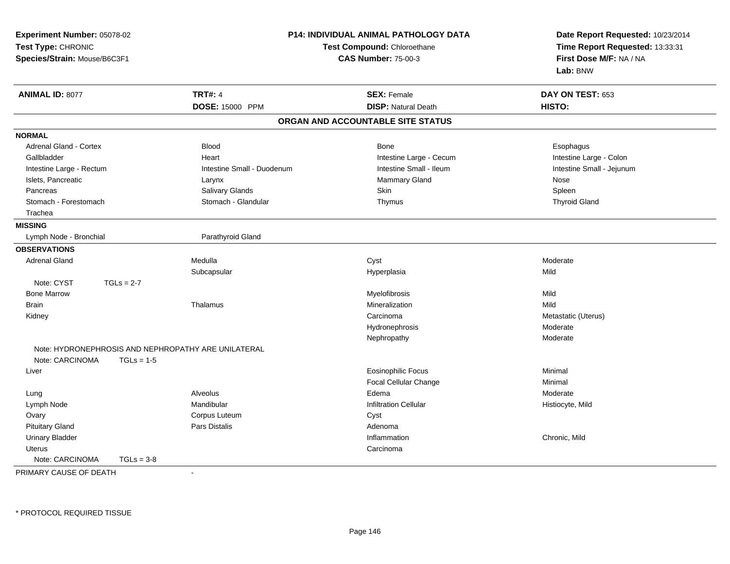| Experiment Number: 05078-02  |                                                     | <b>P14: INDIVIDUAL ANIMAL PATHOLOGY DATA</b> |                                 |  |
|------------------------------|-----------------------------------------------------|----------------------------------------------|---------------------------------|--|
| Test Type: CHRONIC           |                                                     | Test Compound: Chloroethane                  | Time Report Requested: 13:33:31 |  |
| Species/Strain: Mouse/B6C3F1 |                                                     | <b>CAS Number: 75-00-3</b>                   | First Dose M/F: NA / NA         |  |
|                              |                                                     |                                              | Lab: BNW                        |  |
| <b>ANIMAL ID: 8077</b>       | <b>TRT#: 4</b>                                      | <b>SEX: Female</b>                           | DAY ON TEST: 653                |  |
|                              | DOSE: 15000 PPM                                     | <b>DISP: Natural Death</b>                   | HISTO:                          |  |
|                              |                                                     | ORGAN AND ACCOUNTABLE SITE STATUS            |                                 |  |
| <b>NORMAL</b>                |                                                     |                                              |                                 |  |
| Adrenal Gland - Cortex       | <b>Blood</b>                                        | <b>Bone</b>                                  | Esophagus                       |  |
| Gallbladder                  | Heart                                               | Intestine Large - Cecum                      | Intestine Large - Colon         |  |
| Intestine Large - Rectum     | Intestine Small - Duodenum                          | Intestine Small - Ileum                      | Intestine Small - Jejunum       |  |
| Islets, Pancreatic           | Larynx                                              | Mammary Gland                                | Nose                            |  |
| Pancreas                     | Salivary Glands                                     | Skin                                         | Spleen                          |  |
| Stomach - Forestomach        | Stomach - Glandular                                 | Thymus                                       | <b>Thyroid Gland</b>            |  |
| Trachea                      |                                                     |                                              |                                 |  |
| <b>MISSING</b>               |                                                     |                                              |                                 |  |
| Lymph Node - Bronchial       | Parathyroid Gland                                   |                                              |                                 |  |
| <b>OBSERVATIONS</b>          |                                                     |                                              |                                 |  |
| <b>Adrenal Gland</b>         | Medulla                                             | Cyst                                         | Moderate                        |  |
|                              | Subcapsular                                         | Hyperplasia                                  | Mild                            |  |
| Note: CYST<br>$TGLs = 2-7$   |                                                     |                                              |                                 |  |
| <b>Bone Marrow</b>           |                                                     | Myelofibrosis                                | Mild                            |  |
| Brain                        | Thalamus                                            | Mineralization                               | Mild                            |  |
| Kidney                       |                                                     | Carcinoma                                    | Metastatic (Uterus)             |  |
|                              |                                                     | Hydronephrosis                               | Moderate                        |  |
|                              |                                                     | Nephropathy                                  | Moderate                        |  |
|                              | Note: HYDRONEPHROSIS AND NEPHROPATHY ARE UNILATERAL |                                              |                                 |  |
| Note: CARCINOMA              | $TGLs = 1-5$                                        |                                              |                                 |  |
| Liver                        |                                                     | <b>Eosinophilic Focus</b>                    | Minimal                         |  |
|                              |                                                     | Focal Cellular Change                        | Minimal                         |  |
| Lung                         | Alveolus                                            | Edema                                        | Moderate                        |  |
| Lymph Node                   | Mandibular                                          | <b>Infiltration Cellular</b>                 | Histiocyte, Mild                |  |
| Ovary                        | Corpus Luteum                                       | Cyst                                         |                                 |  |
| <b>Pituitary Gland</b>       | Pars Distalis                                       | Adenoma                                      |                                 |  |
| <b>Urinary Bladder</b>       |                                                     | Inflammation                                 | Chronic, Mild                   |  |
| <b>Uterus</b>                |                                                     | Carcinoma                                    |                                 |  |
| Note: CARCINOMA              | $TGLs = 3-8$                                        |                                              |                                 |  |
| PRIMARY CAUSE OF DEATH       | $\blacksquare$                                      |                                              |                                 |  |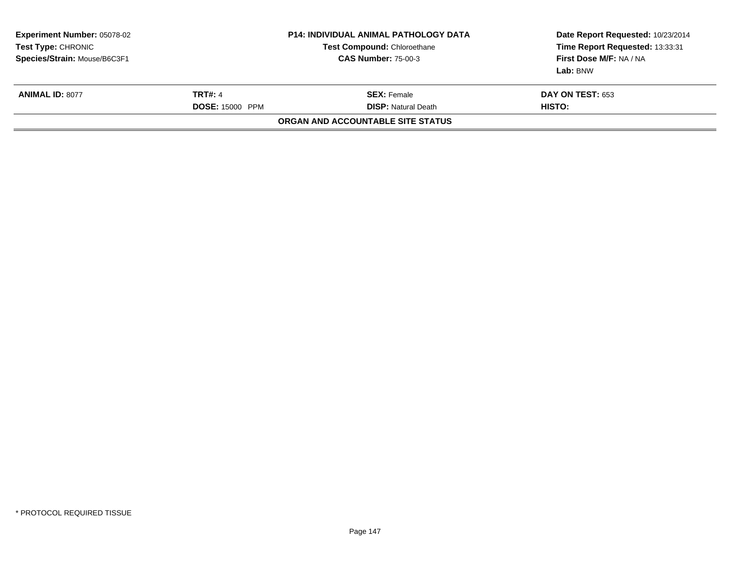| <b>Experiment Number: 05078-02</b><br>Test Type: CHRONIC<br>Species/Strain: Mouse/B6C3F1 |                                          | P14: INDIVIDUAL ANIMAL PATHOLOGY DATA<br><b>Test Compound: Chloroethane</b><br><b>CAS Number: 75-00-3</b> | Date Report Requested: 10/23/2014<br>Time Report Requested: 13:33:31<br>First Dose M/F: NA / NA<br>Lab: BNW |
|------------------------------------------------------------------------------------------|------------------------------------------|-----------------------------------------------------------------------------------------------------------|-------------------------------------------------------------------------------------------------------------|
| <b>ANIMAL ID: 8077</b>                                                                   | <b>TRT#: 4</b><br><b>DOSE: 15000 PPM</b> | <b>SEX: Female</b><br><b>DISP:</b> Natural Death                                                          | <b>DAY ON TEST: 653</b><br><b>HISTO:</b>                                                                    |
|                                                                                          |                                          | ORGAN AND ACCOUNTABLE SITE STATUS                                                                         |                                                                                                             |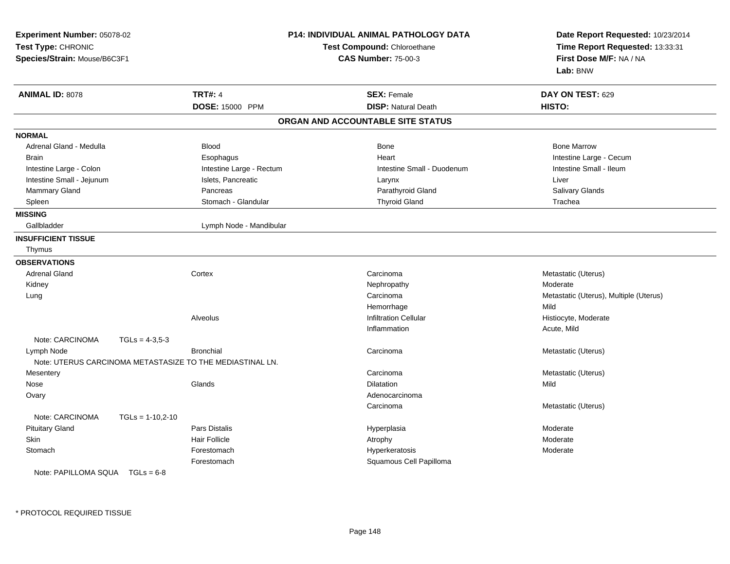| Experiment Number: 05078-02<br>Test Type: CHRONIC<br>Species/Strain: Mouse/B6C3F1 |                    |                                                           | P14: INDIVIDUAL ANIMAL PATHOLOGY DATA<br>Test Compound: Chloroethane<br><b>CAS Number: 75-00-3</b> | Date Report Requested: 10/23/2014<br>Time Report Requested: 13:33:31<br>First Dose M/F: NA / NA<br>Lab: BNW |
|-----------------------------------------------------------------------------------|--------------------|-----------------------------------------------------------|----------------------------------------------------------------------------------------------------|-------------------------------------------------------------------------------------------------------------|
| <b>ANIMAL ID: 8078</b>                                                            |                    | <b>TRT#: 4</b>                                            | <b>SEX: Female</b>                                                                                 | DAY ON TEST: 629                                                                                            |
|                                                                                   |                    | DOSE: 15000 PPM                                           | <b>DISP: Natural Death</b>                                                                         | HISTO:                                                                                                      |
|                                                                                   |                    |                                                           | ORGAN AND ACCOUNTABLE SITE STATUS                                                                  |                                                                                                             |
| <b>NORMAL</b>                                                                     |                    |                                                           |                                                                                                    |                                                                                                             |
| Adrenal Gland - Medulla                                                           |                    | <b>Blood</b>                                              | <b>Bone</b>                                                                                        | <b>Bone Marrow</b>                                                                                          |
| <b>Brain</b>                                                                      |                    | Esophagus                                                 | Heart                                                                                              | Intestine Large - Cecum                                                                                     |
| Intestine Large - Colon                                                           |                    | Intestine Large - Rectum                                  | Intestine Small - Duodenum                                                                         | Intestine Small - Ileum                                                                                     |
| Intestine Small - Jejunum                                                         |                    | Islets, Pancreatic                                        | Larynx                                                                                             | Liver                                                                                                       |
| Mammary Gland                                                                     |                    | Pancreas                                                  | Parathyroid Gland                                                                                  | Salivary Glands                                                                                             |
| Spleen                                                                            |                    | Stomach - Glandular                                       | <b>Thyroid Gland</b>                                                                               | Trachea                                                                                                     |
| <b>MISSING</b>                                                                    |                    |                                                           |                                                                                                    |                                                                                                             |
| Gallbladder                                                                       |                    | Lymph Node - Mandibular                                   |                                                                                                    |                                                                                                             |
| <b>INSUFFICIENT TISSUE</b>                                                        |                    |                                                           |                                                                                                    |                                                                                                             |
| Thymus                                                                            |                    |                                                           |                                                                                                    |                                                                                                             |
| <b>OBSERVATIONS</b>                                                               |                    |                                                           |                                                                                                    |                                                                                                             |
| <b>Adrenal Gland</b>                                                              |                    | Cortex                                                    | Carcinoma                                                                                          | Metastatic (Uterus)                                                                                         |
| Kidney                                                                            |                    |                                                           | Nephropathy                                                                                        | Moderate                                                                                                    |
| Lung                                                                              |                    |                                                           | Carcinoma                                                                                          | Metastatic (Uterus), Multiple (Uterus)                                                                      |
|                                                                                   |                    |                                                           | Hemorrhage                                                                                         | Mild                                                                                                        |
|                                                                                   |                    | Alveolus                                                  | Infiltration Cellular                                                                              | Histiocyte, Moderate                                                                                        |
|                                                                                   |                    |                                                           | Inflammation                                                                                       | Acute, Mild                                                                                                 |
| Note: CARCINOMA                                                                   | $TGLs = 4-3,5-3$   |                                                           |                                                                                                    |                                                                                                             |
| Lymph Node                                                                        |                    | <b>Bronchial</b>                                          | Carcinoma                                                                                          | Metastatic (Uterus)                                                                                         |
|                                                                                   |                    | Note: UTERUS CARCINOMA METASTASIZE TO THE MEDIASTINAL LN. |                                                                                                    |                                                                                                             |
| Mesentery                                                                         |                    |                                                           | Carcinoma                                                                                          | Metastatic (Uterus)                                                                                         |
| Nose                                                                              |                    | Glands                                                    | <b>Dilatation</b>                                                                                  | Mild                                                                                                        |
| Ovary                                                                             |                    |                                                           | Adenocarcinoma                                                                                     |                                                                                                             |
|                                                                                   |                    |                                                           | Carcinoma                                                                                          | Metastatic (Uterus)                                                                                         |
| Note: CARCINOMA                                                                   | $TGLs = 1-10,2-10$ |                                                           |                                                                                                    |                                                                                                             |
| <b>Pituitary Gland</b>                                                            |                    | Pars Distalis                                             | Hyperplasia                                                                                        | Moderate                                                                                                    |
| Skin                                                                              |                    | <b>Hair Follicle</b>                                      | Atrophy                                                                                            | Moderate                                                                                                    |
| Stomach                                                                           |                    | Forestomach                                               | Hyperkeratosis                                                                                     | Moderate                                                                                                    |
|                                                                                   |                    | Forestomach                                               | Squamous Cell Papilloma                                                                            |                                                                                                             |
| Note: PAPILLOMA SQUA $TGLs = 6-8$                                                 |                    |                                                           |                                                                                                    |                                                                                                             |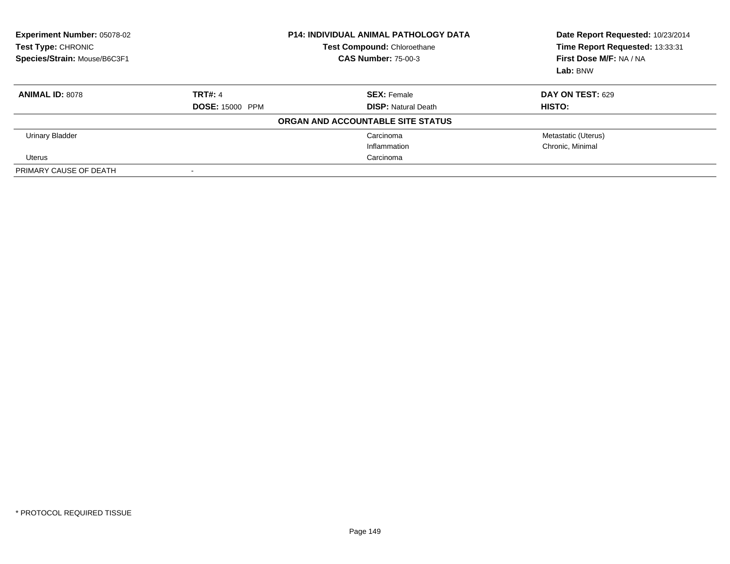| <b>Experiment Number: 05078-02</b><br>Test Type: CHRONIC<br>Species/Strain: Mouse/B6C3F1 | <b>P14: INDIVIDUAL ANIMAL PATHOLOGY DATA</b><br><b>Test Compound: Chloroethane</b><br><b>CAS Number: 75-00-3</b> |                                   | Date Report Requested: 10/23/2014<br>Time Report Requested: 13:33:31<br>First Dose M/F: NA / NA<br>Lab: BNW |
|------------------------------------------------------------------------------------------|------------------------------------------------------------------------------------------------------------------|-----------------------------------|-------------------------------------------------------------------------------------------------------------|
| <b>ANIMAL ID: 8078</b>                                                                   | <b>TRT#: 4</b>                                                                                                   | <b>SEX: Female</b>                | DAY ON TEST: 629                                                                                            |
|                                                                                          | <b>DOSE: 15000 PPM</b>                                                                                           | <b>DISP: Natural Death</b>        | <b>HISTO:</b>                                                                                               |
|                                                                                          |                                                                                                                  | ORGAN AND ACCOUNTABLE SITE STATUS |                                                                                                             |
| <b>Urinary Bladder</b>                                                                   |                                                                                                                  | Carcinoma                         | Metastatic (Uterus)                                                                                         |
|                                                                                          |                                                                                                                  | Inflammation                      | Chronic, Minimal                                                                                            |
| Uterus                                                                                   |                                                                                                                  | Carcinoma                         |                                                                                                             |
| PRIMARY CAUSE OF DEATH                                                                   | $\,$                                                                                                             |                                   |                                                                                                             |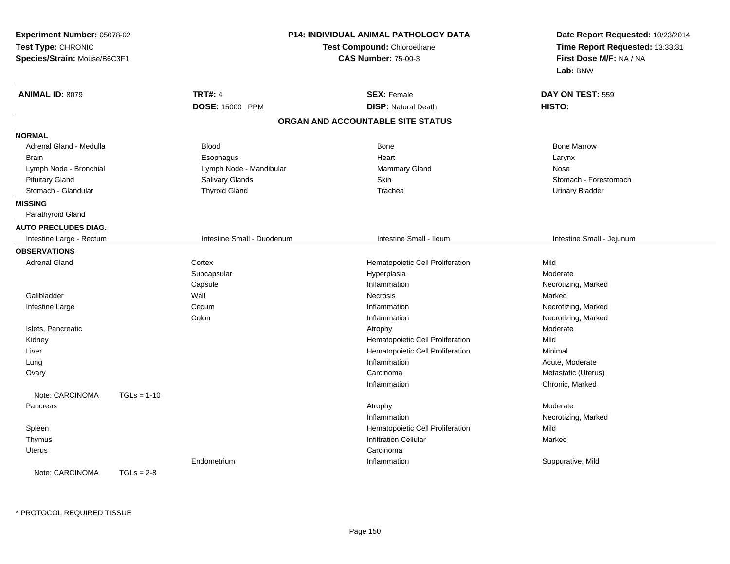| Experiment Number: 05078-02<br>Test Type: CHRONIC<br>Species/Strain: Mouse/B6C3F1 |               |                            | <b>P14: INDIVIDUAL ANIMAL PATHOLOGY DATA</b><br>Test Compound: Chloroethane<br><b>CAS Number: 75-00-3</b> | Date Report Requested: 10/23/2014<br>Time Report Requested: 13:33:31<br>First Dose M/F: NA / NA<br>Lab: BNW |
|-----------------------------------------------------------------------------------|---------------|----------------------------|-----------------------------------------------------------------------------------------------------------|-------------------------------------------------------------------------------------------------------------|
| ANIMAL ID: 8079                                                                   |               | <b>TRT#: 4</b>             | <b>SEX: Female</b>                                                                                        | DAY ON TEST: 559                                                                                            |
|                                                                                   |               | DOSE: 15000 PPM            | <b>DISP: Natural Death</b>                                                                                | HISTO:                                                                                                      |
|                                                                                   |               |                            | ORGAN AND ACCOUNTABLE SITE STATUS                                                                         |                                                                                                             |
| <b>NORMAL</b>                                                                     |               |                            |                                                                                                           |                                                                                                             |
| Adrenal Gland - Medulla                                                           |               | <b>Blood</b>               | Bone                                                                                                      | <b>Bone Marrow</b>                                                                                          |
| Brain                                                                             |               | Esophagus                  | Heart                                                                                                     | Larynx                                                                                                      |
| Lymph Node - Bronchial                                                            |               | Lymph Node - Mandibular    | <b>Mammary Gland</b>                                                                                      | Nose                                                                                                        |
| <b>Pituitary Gland</b>                                                            |               | Salivary Glands            | Skin                                                                                                      | Stomach - Forestomach                                                                                       |
| Stomach - Glandular                                                               |               | <b>Thyroid Gland</b>       | Trachea                                                                                                   | <b>Urinary Bladder</b>                                                                                      |
| <b>MISSING</b>                                                                    |               |                            |                                                                                                           |                                                                                                             |
| Parathyroid Gland                                                                 |               |                            |                                                                                                           |                                                                                                             |
| <b>AUTO PRECLUDES DIAG.</b>                                                       |               |                            |                                                                                                           |                                                                                                             |
| Intestine Large - Rectum                                                          |               | Intestine Small - Duodenum | Intestine Small - Ileum                                                                                   | Intestine Small - Jejunum                                                                                   |
| <b>OBSERVATIONS</b>                                                               |               |                            |                                                                                                           |                                                                                                             |
| <b>Adrenal Gland</b>                                                              |               | Cortex                     | Hematopoietic Cell Proliferation                                                                          | Mild                                                                                                        |
|                                                                                   |               | Subcapsular                | Hyperplasia                                                                                               | Moderate                                                                                                    |
|                                                                                   |               | Capsule                    | Inflammation                                                                                              | Necrotizing, Marked                                                                                         |
| Gallbladder                                                                       |               | Wall                       | Necrosis                                                                                                  | Marked                                                                                                      |
| Intestine Large                                                                   |               | Cecum                      | Inflammation                                                                                              | Necrotizing, Marked                                                                                         |
|                                                                                   |               | Colon                      | Inflammation                                                                                              | Necrotizing, Marked                                                                                         |
| Islets, Pancreatic                                                                |               |                            | Atrophy                                                                                                   | Moderate                                                                                                    |
| Kidney                                                                            |               |                            | Hematopoietic Cell Proliferation                                                                          | Mild                                                                                                        |
| Liver                                                                             |               |                            | Hematopoietic Cell Proliferation                                                                          | Minimal                                                                                                     |
| Lung                                                                              |               |                            | Inflammation                                                                                              | Acute, Moderate                                                                                             |
| Ovary                                                                             |               |                            | Carcinoma                                                                                                 | Metastatic (Uterus)                                                                                         |
|                                                                                   |               |                            | Inflammation                                                                                              | Chronic, Marked                                                                                             |
| Note: CARCINOMA                                                                   | $TGLs = 1-10$ |                            |                                                                                                           |                                                                                                             |
| Pancreas                                                                          |               |                            | Atrophy                                                                                                   | Moderate                                                                                                    |
|                                                                                   |               |                            | Inflammation                                                                                              | Necrotizing, Marked                                                                                         |
| Spleen                                                                            |               |                            | Hematopoietic Cell Proliferation                                                                          | Mild                                                                                                        |
| Thymus                                                                            |               |                            | <b>Infiltration Cellular</b>                                                                              | Marked                                                                                                      |
| Uterus                                                                            |               |                            | Carcinoma                                                                                                 |                                                                                                             |
|                                                                                   |               | Endometrium                | Inflammation                                                                                              | Suppurative, Mild                                                                                           |
| Note: CARCINOMA                                                                   | $TGLs = 2-8$  |                            |                                                                                                           |                                                                                                             |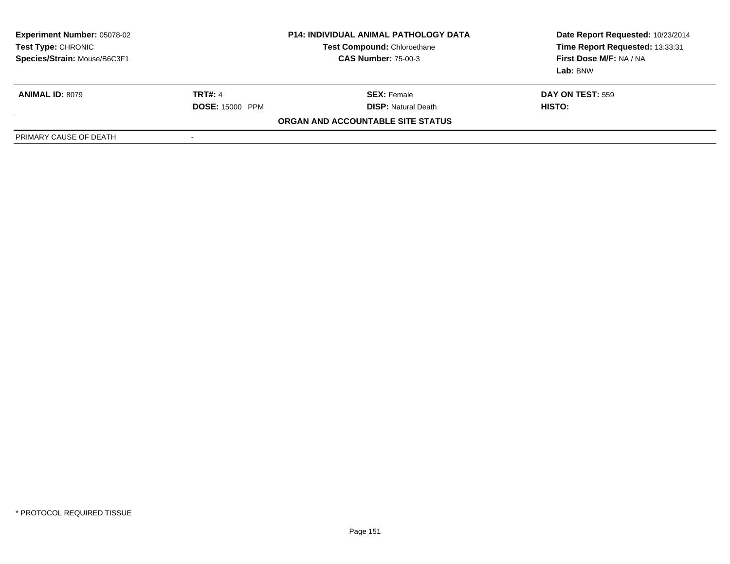| <b>Experiment Number: 05078-02</b><br>Test Type: CHRONIC<br>Species/Strain: Mouse/B6C3F1 |                        | <b>P14: INDIVIDUAL ANIMAL PATHOLOGY DATA</b><br>Test Compound: Chloroethane<br><b>CAS Number: 75-00-3</b> | Date Report Requested: 10/23/2014<br>Time Report Requested: 13:33:31<br>First Dose M/F: NA / NA<br>Lab: BNW |
|------------------------------------------------------------------------------------------|------------------------|-----------------------------------------------------------------------------------------------------------|-------------------------------------------------------------------------------------------------------------|
| <b>ANIMAL ID: 8079</b>                                                                   | <b>TRT#: 4</b>         | <b>SEX:</b> Female                                                                                        | <b>DAY ON TEST: 559</b>                                                                                     |
|                                                                                          | <b>DOSE: 15000 PPM</b> | <b>DISP: Natural Death</b>                                                                                | HISTO:                                                                                                      |
|                                                                                          |                        | ORGAN AND ACCOUNTABLE SITE STATUS                                                                         |                                                                                                             |
| PRIMARY CAUSE OF DEATH                                                                   | $\,$                   |                                                                                                           |                                                                                                             |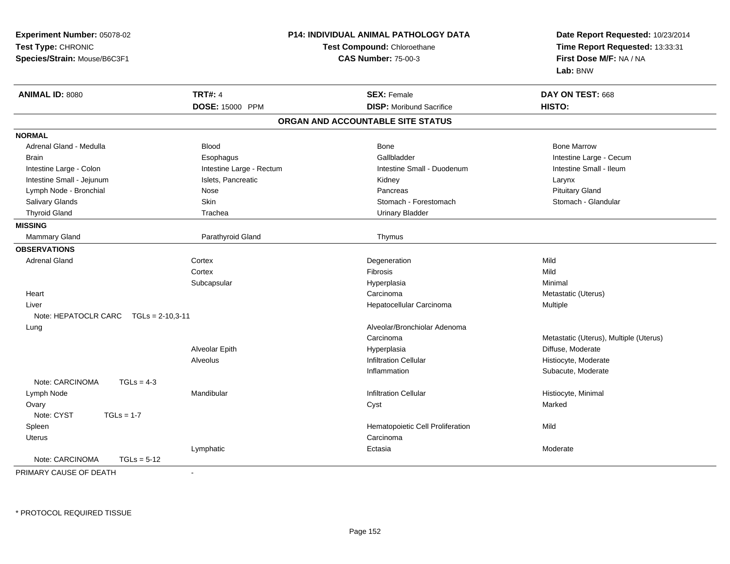| Experiment Number: 05078-02<br>Test Type: CHRONIC<br>Species/Strain: Mouse/B6C3F1 |                          | <b>P14: INDIVIDUAL ANIMAL PATHOLOGY DATA</b><br>Test Compound: Chloroethane<br><b>CAS Number: 75-00-3</b> | Date Report Requested: 10/23/2014<br>Time Report Requested: 13:33:31<br>First Dose M/F: NA / NA<br>Lab: BNW |
|-----------------------------------------------------------------------------------|--------------------------|-----------------------------------------------------------------------------------------------------------|-------------------------------------------------------------------------------------------------------------|
| <b>ANIMAL ID: 8080</b>                                                            | <b>TRT#: 4</b>           | <b>SEX: Female</b>                                                                                        | DAY ON TEST: 668                                                                                            |
|                                                                                   | DOSE: 15000 PPM          | <b>DISP:</b> Moribund Sacrifice                                                                           | HISTO:                                                                                                      |
|                                                                                   |                          | ORGAN AND ACCOUNTABLE SITE STATUS                                                                         |                                                                                                             |
| <b>NORMAL</b>                                                                     |                          |                                                                                                           |                                                                                                             |
| Adrenal Gland - Medulla                                                           | <b>Blood</b>             | Bone                                                                                                      | <b>Bone Marrow</b>                                                                                          |
| <b>Brain</b>                                                                      | Esophagus                | Gallbladder                                                                                               | Intestine Large - Cecum                                                                                     |
| Intestine Large - Colon                                                           | Intestine Large - Rectum | Intestine Small - Duodenum                                                                                | Intestine Small - Ileum                                                                                     |
| Intestine Small - Jejunum                                                         | Islets, Pancreatic       | Kidney                                                                                                    | Larynx                                                                                                      |
| Lymph Node - Bronchial                                                            | <b>Nose</b>              | Pancreas                                                                                                  | <b>Pituitary Gland</b>                                                                                      |
| Salivary Glands                                                                   | Skin                     | Stomach - Forestomach                                                                                     | Stomach - Glandular                                                                                         |
| <b>Thyroid Gland</b>                                                              | Trachea                  | <b>Urinary Bladder</b>                                                                                    |                                                                                                             |
| <b>MISSING</b>                                                                    |                          |                                                                                                           |                                                                                                             |
| Mammary Gland                                                                     | Parathyroid Gland        | Thymus                                                                                                    |                                                                                                             |
| <b>OBSERVATIONS</b>                                                               |                          |                                                                                                           |                                                                                                             |
| <b>Adrenal Gland</b>                                                              | Cortex                   | Degeneration                                                                                              | Mild                                                                                                        |
|                                                                                   | Cortex                   | Fibrosis                                                                                                  | Mild                                                                                                        |
|                                                                                   | Subcapsular              | Hyperplasia                                                                                               | Minimal                                                                                                     |
| Heart                                                                             |                          | Carcinoma                                                                                                 | Metastatic (Uterus)                                                                                         |
| Liver                                                                             |                          | Hepatocellular Carcinoma                                                                                  | Multiple                                                                                                    |
| Note: HEPATOCLR CARC $TGLs = 2-10.3-11$                                           |                          |                                                                                                           |                                                                                                             |
| Lung                                                                              |                          | Alveolar/Bronchiolar Adenoma                                                                              |                                                                                                             |
|                                                                                   |                          | Carcinoma                                                                                                 | Metastatic (Uterus), Multiple (Uterus)                                                                      |
|                                                                                   | Alveolar Epith           | Hyperplasia                                                                                               | Diffuse, Moderate                                                                                           |
|                                                                                   | Alveolus                 | <b>Infiltration Cellular</b>                                                                              | Histiocyte, Moderate                                                                                        |
|                                                                                   |                          | Inflammation                                                                                              | Subacute, Moderate                                                                                          |
| Note: CARCINOMA<br>$TGLs = 4-3$                                                   |                          |                                                                                                           |                                                                                                             |
| Lymph Node                                                                        | Mandibular               | <b>Infiltration Cellular</b>                                                                              | Histiocyte, Minimal                                                                                         |
| Ovary                                                                             |                          | Cyst                                                                                                      | Marked                                                                                                      |
| Note: CYST<br>$TGLs = 1-7$                                                        |                          |                                                                                                           |                                                                                                             |
| Spleen                                                                            |                          | Hematopoietic Cell Proliferation                                                                          | Mild                                                                                                        |
| <b>Uterus</b>                                                                     |                          | Carcinoma                                                                                                 |                                                                                                             |
|                                                                                   | Lymphatic                | Ectasia                                                                                                   | Moderate                                                                                                    |
| Note: CARCINOMA<br>$TGLs = 5-12$                                                  |                          |                                                                                                           |                                                                                                             |

PRIMARY CAUSE OF DEATH-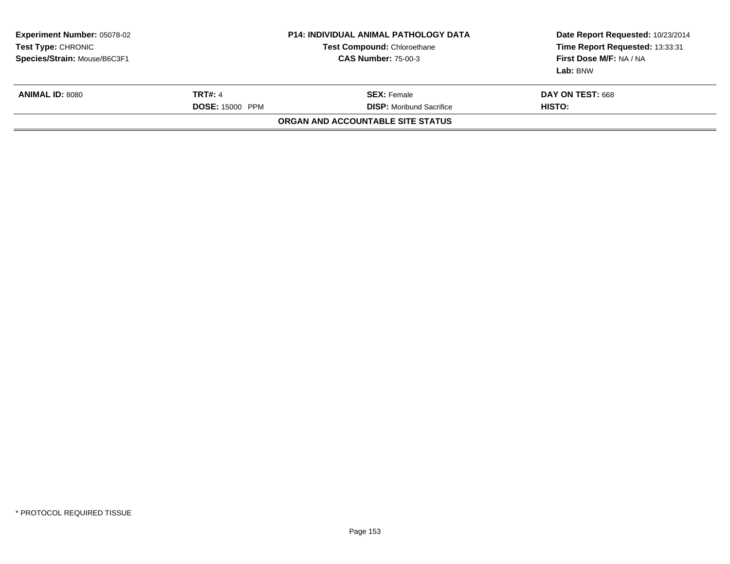| <b>P14: INDIVIDUAL ANIMAL PATHOLOGY DATA</b><br><b>Test Compound: Chloroethane</b><br><b>CAS Number: 75-00-3</b> |                                                       | Date Report Requested: 10/23/2014<br>Time Report Requested: 13:33:31<br>First Dose M/F: NA / NA<br>Lab: BNW |
|------------------------------------------------------------------------------------------------------------------|-------------------------------------------------------|-------------------------------------------------------------------------------------------------------------|
|                                                                                                                  | <b>SEX: Female</b><br><b>DISP:</b> Moribund Sacrifice | <b>DAY ON TEST: 668</b><br>HISTO:                                                                           |
|                                                                                                                  |                                                       |                                                                                                             |
|                                                                                                                  | <b>TRT#: 4</b><br><b>DOSE: 15000 PPM</b>              | ORGAN AND ACCOUNTABLE SITE STATUS                                                                           |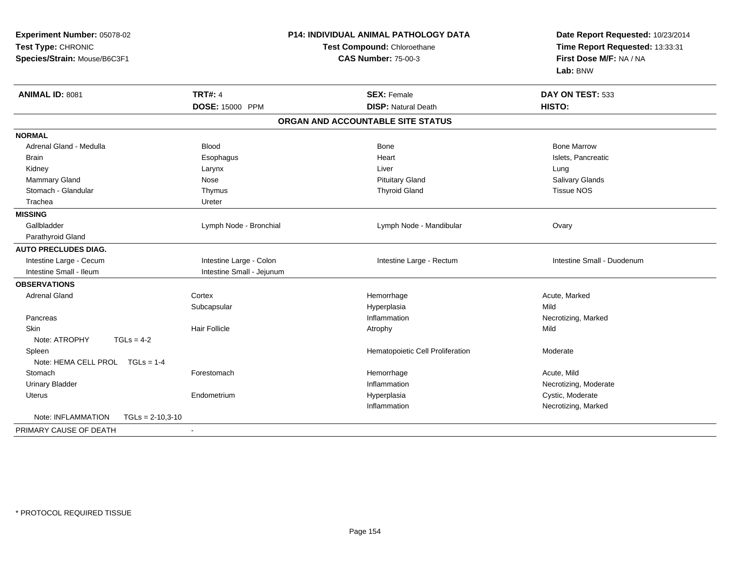| Experiment Number: 05078-02<br>Test Type: CHRONIC<br>Species/Strain: Mouse/B6C3F1 |                           | P14: INDIVIDUAL ANIMAL PATHOLOGY DATA<br>Test Compound: Chloroethane<br><b>CAS Number: 75-00-3</b> | Date Report Requested: 10/23/2014<br>Time Report Requested: 13:33:31<br>First Dose M/F: NA / NA<br>Lab: BNW |
|-----------------------------------------------------------------------------------|---------------------------|----------------------------------------------------------------------------------------------------|-------------------------------------------------------------------------------------------------------------|
| ANIMAL ID: 8081                                                                   | <b>TRT#: 4</b>            | <b>SEX: Female</b>                                                                                 | DAY ON TEST: 533                                                                                            |
|                                                                                   | DOSE: 15000 PPM           | <b>DISP: Natural Death</b>                                                                         | HISTO:                                                                                                      |
|                                                                                   |                           | ORGAN AND ACCOUNTABLE SITE STATUS                                                                  |                                                                                                             |
| <b>NORMAL</b>                                                                     |                           |                                                                                                    |                                                                                                             |
| Adrenal Gland - Medulla                                                           | <b>Blood</b>              | Bone                                                                                               | <b>Bone Marrow</b>                                                                                          |
| Brain                                                                             | Esophagus                 | Heart                                                                                              | Islets, Pancreatic                                                                                          |
| Kidney                                                                            | Larynx                    | Liver                                                                                              | Lung                                                                                                        |
| <b>Mammary Gland</b>                                                              | Nose                      | <b>Pituitary Gland</b>                                                                             | Salivary Glands                                                                                             |
| Stomach - Glandular                                                               | Thymus                    | <b>Thyroid Gland</b>                                                                               | <b>Tissue NOS</b>                                                                                           |
| Trachea                                                                           | Ureter                    |                                                                                                    |                                                                                                             |
| <b>MISSING</b>                                                                    |                           |                                                                                                    |                                                                                                             |
| Gallbladder                                                                       | Lymph Node - Bronchial    | Lymph Node - Mandibular                                                                            | Ovary                                                                                                       |
| Parathyroid Gland                                                                 |                           |                                                                                                    |                                                                                                             |
| <b>AUTO PRECLUDES DIAG.</b>                                                       |                           |                                                                                                    |                                                                                                             |
| Intestine Large - Cecum                                                           | Intestine Large - Colon   | Intestine Large - Rectum                                                                           | Intestine Small - Duodenum                                                                                  |
| Intestine Small - Ileum                                                           | Intestine Small - Jejunum |                                                                                                    |                                                                                                             |
| <b>OBSERVATIONS</b>                                                               |                           |                                                                                                    |                                                                                                             |
| <b>Adrenal Gland</b>                                                              | Cortex                    | Hemorrhage                                                                                         | Acute, Marked                                                                                               |
|                                                                                   | Subcapsular               | Hyperplasia                                                                                        | Mild                                                                                                        |
| Pancreas                                                                          |                           | Inflammation                                                                                       | Necrotizing, Marked                                                                                         |
| Skin                                                                              | <b>Hair Follicle</b>      | Atrophy                                                                                            | Mild                                                                                                        |
| Note: ATROPHY<br>$TGLs = 4-2$                                                     |                           |                                                                                                    |                                                                                                             |
| Spleen                                                                            |                           | Hematopoietic Cell Proliferation                                                                   | Moderate                                                                                                    |
| Note: HEMA CELL PROL TGLs = 1-4                                                   |                           |                                                                                                    |                                                                                                             |
| Stomach                                                                           | Forestomach               | Hemorrhage                                                                                         | Acute, Mild                                                                                                 |
| <b>Urinary Bladder</b>                                                            |                           | Inflammation                                                                                       | Necrotizing, Moderate                                                                                       |
| <b>Uterus</b>                                                                     | Endometrium               | Hyperplasia                                                                                        | Cystic, Moderate                                                                                            |
|                                                                                   |                           | Inflammation                                                                                       | Necrotizing, Marked                                                                                         |
| Note: INFLAMMATION<br>$TGLs = 2-10,3-10$                                          |                           |                                                                                                    |                                                                                                             |
| PRIMARY CAUSE OF DEATH                                                            | $\blacksquare$            |                                                                                                    |                                                                                                             |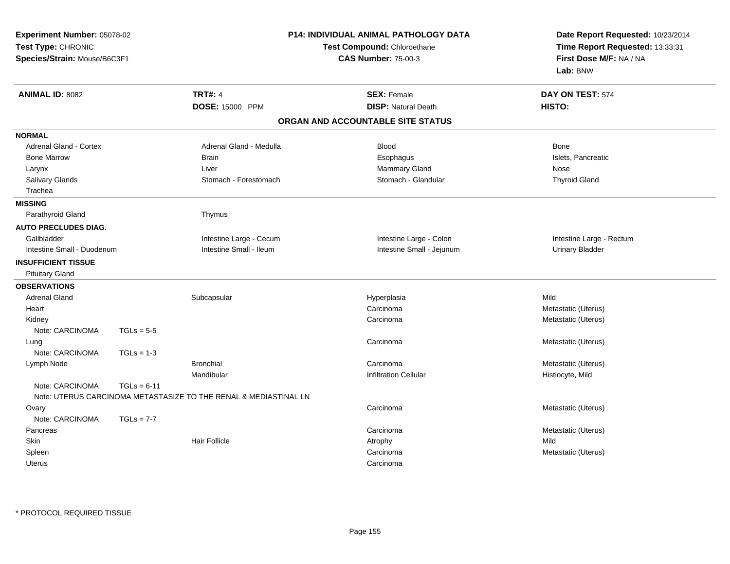| Experiment Number: 05078-02<br>Test Type: CHRONIC<br>Species/Strain: Mouse/B6C3F1 |               |                                                                  | <b>P14: INDIVIDUAL ANIMAL PATHOLOGY DATA</b><br>Test Compound: Chloroethane<br><b>CAS Number: 75-00-3</b> | Date Report Requested: 10/23/2014<br>Time Report Requested: 13:33:31<br>First Dose M/F: NA / NA<br>Lab: BNW |
|-----------------------------------------------------------------------------------|---------------|------------------------------------------------------------------|-----------------------------------------------------------------------------------------------------------|-------------------------------------------------------------------------------------------------------------|
| <b>ANIMAL ID: 8082</b>                                                            |               | <b>TRT#: 4</b>                                                   | <b>SEX: Female</b>                                                                                        | DAY ON TEST: 574                                                                                            |
|                                                                                   |               | DOSE: 15000 PPM                                                  | <b>DISP: Natural Death</b>                                                                                | HISTO:                                                                                                      |
|                                                                                   |               |                                                                  | ORGAN AND ACCOUNTABLE SITE STATUS                                                                         |                                                                                                             |
| <b>NORMAL</b>                                                                     |               |                                                                  |                                                                                                           |                                                                                                             |
| <b>Adrenal Gland - Cortex</b>                                                     |               | Adrenal Gland - Medulla                                          | <b>Blood</b>                                                                                              | Bone                                                                                                        |
| <b>Bone Marrow</b>                                                                |               | <b>Brain</b>                                                     | Esophagus                                                                                                 | Islets, Pancreatic                                                                                          |
| Larynx                                                                            |               | Liver                                                            | <b>Mammary Gland</b>                                                                                      | Nose                                                                                                        |
| Salivary Glands                                                                   |               | Stomach - Forestomach                                            | Stomach - Glandular                                                                                       | <b>Thyroid Gland</b>                                                                                        |
| Trachea                                                                           |               |                                                                  |                                                                                                           |                                                                                                             |
| <b>MISSING</b>                                                                    |               |                                                                  |                                                                                                           |                                                                                                             |
| Parathyroid Gland                                                                 |               | Thymus                                                           |                                                                                                           |                                                                                                             |
| <b>AUTO PRECLUDES DIAG.</b>                                                       |               |                                                                  |                                                                                                           |                                                                                                             |
| Gallbladder                                                                       |               | Intestine Large - Cecum                                          | Intestine Large - Colon                                                                                   | Intestine Large - Rectum                                                                                    |
| Intestine Small - Duodenum                                                        |               | Intestine Small - Ileum                                          | Intestine Small - Jejunum                                                                                 | <b>Urinary Bladder</b>                                                                                      |
| <b>INSUFFICIENT TISSUE</b>                                                        |               |                                                                  |                                                                                                           |                                                                                                             |
| <b>Pituitary Gland</b>                                                            |               |                                                                  |                                                                                                           |                                                                                                             |
| <b>OBSERVATIONS</b>                                                               |               |                                                                  |                                                                                                           |                                                                                                             |
| <b>Adrenal Gland</b>                                                              |               | Subcapsular                                                      | Hyperplasia                                                                                               | Mild                                                                                                        |
| Heart                                                                             |               |                                                                  | Carcinoma                                                                                                 | Metastatic (Uterus)                                                                                         |
| Kidney                                                                            |               |                                                                  | Carcinoma                                                                                                 | Metastatic (Uterus)                                                                                         |
| Note: CARCINOMA                                                                   | $TGLs = 5-5$  |                                                                  |                                                                                                           |                                                                                                             |
| Lung                                                                              |               |                                                                  | Carcinoma                                                                                                 | Metastatic (Uterus)                                                                                         |
| Note: CARCINOMA                                                                   | $TGLs = 1-3$  |                                                                  |                                                                                                           |                                                                                                             |
| Lymph Node                                                                        |               | <b>Bronchial</b>                                                 | Carcinoma                                                                                                 | Metastatic (Uterus)                                                                                         |
|                                                                                   |               | Mandibular                                                       | <b>Infiltration Cellular</b>                                                                              | Histiocyte, Mild                                                                                            |
| Note: CARCINOMA                                                                   | $TGLs = 6-11$ | Note: UTERUS CARCINOMA METASTASIZE TO THE RENAL & MEDIASTINAL LN |                                                                                                           |                                                                                                             |
| Ovary                                                                             |               |                                                                  | Carcinoma                                                                                                 | Metastatic (Uterus)                                                                                         |
| Note: CARCINOMA                                                                   | $TGLs = 7-7$  |                                                                  |                                                                                                           |                                                                                                             |
| Pancreas                                                                          |               |                                                                  | Carcinoma                                                                                                 | Metastatic (Uterus)                                                                                         |
| Skin                                                                              |               | <b>Hair Follicle</b>                                             | Atrophy                                                                                                   | Mild                                                                                                        |
| Spleen                                                                            |               |                                                                  | Carcinoma                                                                                                 | Metastatic (Uterus)                                                                                         |
| <b>Uterus</b>                                                                     |               |                                                                  | Carcinoma                                                                                                 |                                                                                                             |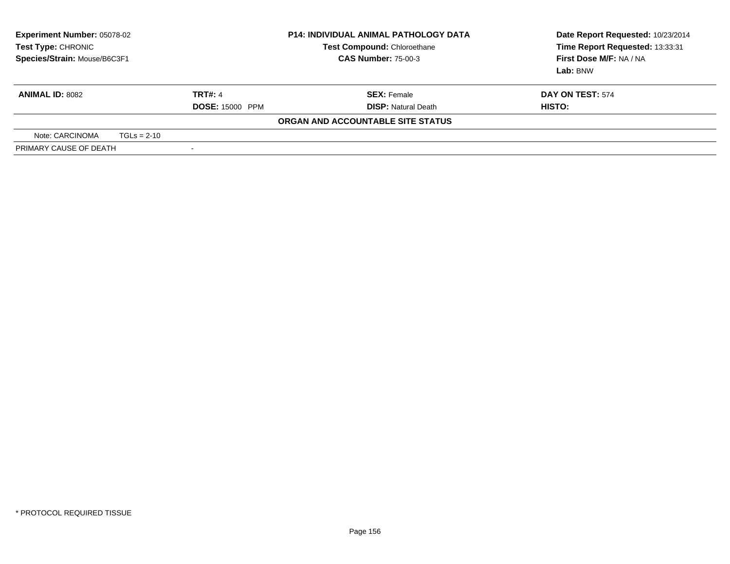| <b>Experiment Number: 05078-02</b><br><b>P14: INDIVIDUAL ANIMAL PATHOLOGY DATA</b><br>Test Compound: Chloroethane<br>Test Type: CHRONIC<br>Species/Strain: Mouse/B6C3F1<br><b>CAS Number: 75-00-3</b> |               |                          | Date Report Requested: 10/23/2014<br>Time Report Requested: 13:33:31<br>First Dose M/F: NA / NA<br><b>Lab:</b> BNW |                  |
|-------------------------------------------------------------------------------------------------------------------------------------------------------------------------------------------------------|---------------|--------------------------|--------------------------------------------------------------------------------------------------------------------|------------------|
| <b>ANIMAL ID: 8082</b>                                                                                                                                                                                |               | <b>TRT#: 4</b>           | <b>SEX:</b> Female                                                                                                 | DAY ON TEST: 574 |
|                                                                                                                                                                                                       |               | <b>DOSE: 15000 PPM</b>   | <b>DISP:</b> Natural Death                                                                                         | HISTO:           |
|                                                                                                                                                                                                       |               |                          | ORGAN AND ACCOUNTABLE SITE STATUS                                                                                  |                  |
| Note: CARCINOMA                                                                                                                                                                                       | $TGLs = 2-10$ |                          |                                                                                                                    |                  |
| PRIMARY CAUSE OF DEATH                                                                                                                                                                                |               | $\overline{\phantom{a}}$ |                                                                                                                    |                  |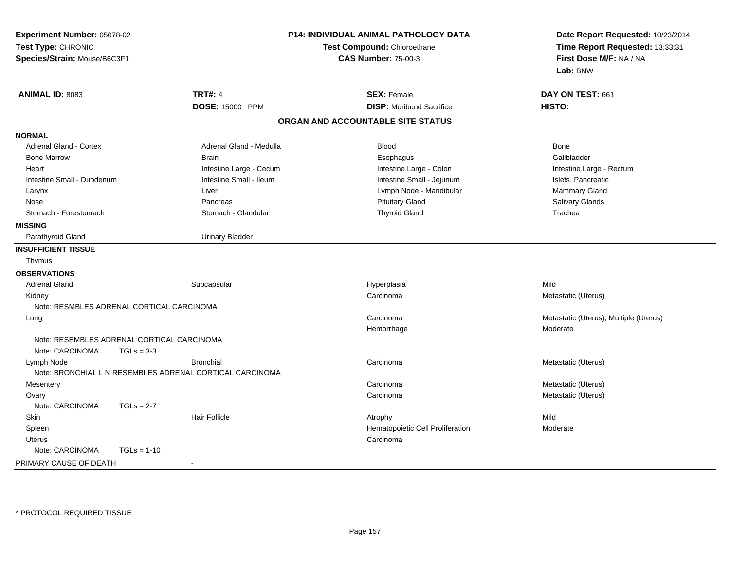| Experiment Number: 05078-02<br>Test Type: CHRONIC<br>Species/Strain: Mouse/B6C3F1 |                                                            | P14: INDIVIDUAL ANIMAL PATHOLOGY DATA<br>Test Compound: Chloroethane<br><b>CAS Number: 75-00-3</b> | Date Report Requested: 10/23/2014<br>Time Report Requested: 13:33:31<br>First Dose M/F: NA / NA<br>Lab: BNW |
|-----------------------------------------------------------------------------------|------------------------------------------------------------|----------------------------------------------------------------------------------------------------|-------------------------------------------------------------------------------------------------------------|
| <b>ANIMAL ID: 8083</b>                                                            | <b>TRT#: 4</b>                                             | <b>SEX: Female</b>                                                                                 | DAY ON TEST: 661                                                                                            |
|                                                                                   | DOSE: 15000 PPM                                            | <b>DISP:</b> Moribund Sacrifice                                                                    | HISTO:                                                                                                      |
|                                                                                   |                                                            | ORGAN AND ACCOUNTABLE SITE STATUS                                                                  |                                                                                                             |
| <b>NORMAL</b>                                                                     |                                                            |                                                                                                    |                                                                                                             |
| <b>Adrenal Gland - Cortex</b>                                                     | Adrenal Gland - Medulla                                    | <b>Blood</b>                                                                                       | Bone                                                                                                        |
| <b>Bone Marrow</b>                                                                | <b>Brain</b>                                               | Esophagus                                                                                          | Gallbladder                                                                                                 |
| Heart                                                                             | Intestine Large - Cecum                                    | Intestine Large - Colon                                                                            | Intestine Large - Rectum                                                                                    |
| Intestine Small - Duodenum                                                        | Intestine Small - Ileum                                    | Intestine Small - Jejunum                                                                          | Islets, Pancreatic                                                                                          |
| Larynx                                                                            | Liver                                                      | Lymph Node - Mandibular                                                                            | Mammary Gland                                                                                               |
| Nose                                                                              | Pancreas                                                   | <b>Pituitary Gland</b>                                                                             | Salivary Glands                                                                                             |
| Stomach - Forestomach                                                             | Stomach - Glandular                                        | <b>Thyroid Gland</b>                                                                               | Trachea                                                                                                     |
| <b>MISSING</b>                                                                    |                                                            |                                                                                                    |                                                                                                             |
| Parathyroid Gland                                                                 | <b>Urinary Bladder</b>                                     |                                                                                                    |                                                                                                             |
| <b>INSUFFICIENT TISSUE</b>                                                        |                                                            |                                                                                                    |                                                                                                             |
| Thymus                                                                            |                                                            |                                                                                                    |                                                                                                             |
| <b>OBSERVATIONS</b>                                                               |                                                            |                                                                                                    |                                                                                                             |
| <b>Adrenal Gland</b>                                                              | Subcapsular                                                | Hyperplasia                                                                                        | Mild                                                                                                        |
| Kidney                                                                            |                                                            | Carcinoma                                                                                          | Metastatic (Uterus)                                                                                         |
|                                                                                   | Note: RESMBLES ADRENAL CORTICAL CARCINOMA                  |                                                                                                    |                                                                                                             |
| Lung                                                                              |                                                            | Carcinoma                                                                                          | Metastatic (Uterus), Multiple (Uterus)                                                                      |
|                                                                                   |                                                            | Hemorrhage                                                                                         | Moderate                                                                                                    |
| Note: CARCINOMA                                                                   | Note: RESEMBLES ADRENAL CORTICAL CARCINOMA<br>$TGLs = 3-3$ |                                                                                                    |                                                                                                             |
| Lymph Node                                                                        | <b>Bronchial</b>                                           | Carcinoma                                                                                          | Metastatic (Uterus)                                                                                         |
|                                                                                   | Note: BRONCHIAL L N RESEMBLES ADRENAL CORTICAL CARCINOMA   |                                                                                                    |                                                                                                             |
| Mesentery                                                                         |                                                            | Carcinoma                                                                                          | Metastatic (Uterus)                                                                                         |
| Ovary                                                                             |                                                            | Carcinoma                                                                                          | Metastatic (Uterus)                                                                                         |
| Note: CARCINOMA                                                                   | $TGLs = 2-7$                                               |                                                                                                    |                                                                                                             |
| Skin                                                                              | <b>Hair Follicle</b>                                       | Atrophy                                                                                            | Mild                                                                                                        |
| Spleen                                                                            |                                                            | Hematopoietic Cell Proliferation                                                                   | Moderate                                                                                                    |
| <b>Uterus</b>                                                                     |                                                            | Carcinoma                                                                                          |                                                                                                             |
| Note: CARCINOMA                                                                   | $TGLs = 1-10$                                              |                                                                                                    |                                                                                                             |
| PRIMARY CAUSE OF DEATH                                                            |                                                            |                                                                                                    |                                                                                                             |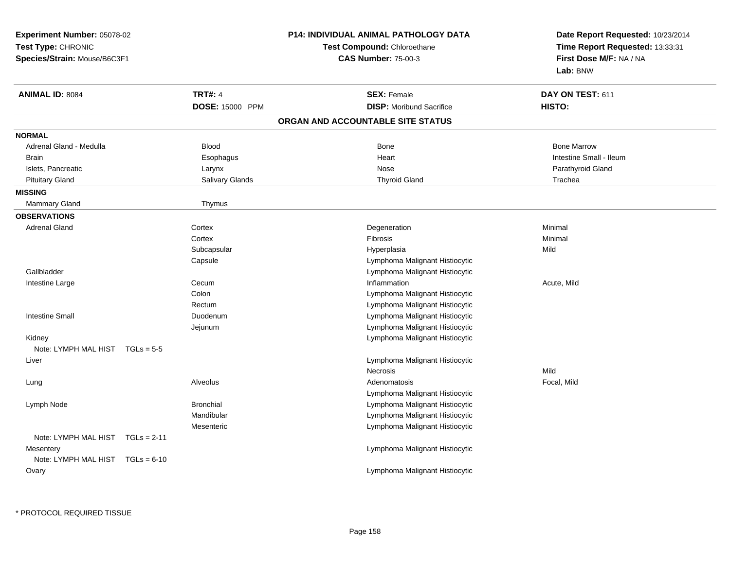| Experiment Number: 05078-02<br>Test Type: CHRONIC<br>Species/Strain: Mouse/B6C3F1 |                  | P14: INDIVIDUAL ANIMAL PATHOLOGY DATA | Date Report Requested: 10/23/2014<br>Time Report Requested: 13:33:31<br>First Dose M/F: NA / NA<br>Lab: BNW |  |
|-----------------------------------------------------------------------------------|------------------|---------------------------------------|-------------------------------------------------------------------------------------------------------------|--|
|                                                                                   |                  | Test Compound: Chloroethane           |                                                                                                             |  |
|                                                                                   |                  | <b>CAS Number: 75-00-3</b>            |                                                                                                             |  |
| <b>ANIMAL ID: 8084</b>                                                            | <b>TRT#: 4</b>   | <b>SEX: Female</b>                    | DAY ON TEST: 611                                                                                            |  |
|                                                                                   | DOSE: 15000 PPM  | <b>DISP:</b> Moribund Sacrifice       | HISTO:                                                                                                      |  |
|                                                                                   |                  | ORGAN AND ACCOUNTABLE SITE STATUS     |                                                                                                             |  |
| <b>NORMAL</b>                                                                     |                  |                                       |                                                                                                             |  |
| Adrenal Gland - Medulla                                                           | <b>Blood</b>     | <b>Bone</b>                           | <b>Bone Marrow</b>                                                                                          |  |
| <b>Brain</b>                                                                      | Esophagus        | Heart                                 | Intestine Small - Ileum                                                                                     |  |
| Islets, Pancreatic                                                                | Larynx           | Nose                                  | Parathyroid Gland                                                                                           |  |
| <b>Pituitary Gland</b>                                                            | Salivary Glands  | <b>Thyroid Gland</b>                  | Trachea                                                                                                     |  |
| <b>MISSING</b>                                                                    |                  |                                       |                                                                                                             |  |
| <b>Mammary Gland</b>                                                              | Thymus           |                                       |                                                                                                             |  |
| <b>OBSERVATIONS</b>                                                               |                  |                                       |                                                                                                             |  |
| <b>Adrenal Gland</b>                                                              | Cortex           | Degeneration                          | Minimal                                                                                                     |  |
|                                                                                   | Cortex           | Fibrosis                              | Minimal                                                                                                     |  |
|                                                                                   | Subcapsular      | Hyperplasia                           | Mild                                                                                                        |  |
|                                                                                   | Capsule          | Lymphoma Malignant Histiocytic        |                                                                                                             |  |
| Gallbladder                                                                       |                  | Lymphoma Malignant Histiocytic        |                                                                                                             |  |
| Intestine Large                                                                   | Cecum            | Inflammation                          | Acute, Mild                                                                                                 |  |
|                                                                                   | Colon            | Lymphoma Malignant Histiocytic        |                                                                                                             |  |
|                                                                                   | Rectum           | Lymphoma Malignant Histiocytic        |                                                                                                             |  |
| <b>Intestine Small</b>                                                            | Duodenum         | Lymphoma Malignant Histiocytic        |                                                                                                             |  |
|                                                                                   | Jejunum          | Lymphoma Malignant Histiocytic        |                                                                                                             |  |
| Kidney                                                                            |                  | Lymphoma Malignant Histiocytic        |                                                                                                             |  |
| Note: LYMPH MAL HIST $TGLs = 5-5$                                                 |                  |                                       |                                                                                                             |  |
| Liver                                                                             |                  | Lymphoma Malignant Histiocytic        |                                                                                                             |  |
|                                                                                   |                  | Necrosis                              | Mild                                                                                                        |  |
| Lung                                                                              | Alveolus         | Adenomatosis                          | Focal, Mild                                                                                                 |  |
|                                                                                   |                  | Lymphoma Malignant Histiocytic        |                                                                                                             |  |
| Lymph Node                                                                        | <b>Bronchial</b> | Lymphoma Malignant Histiocytic        |                                                                                                             |  |
|                                                                                   | Mandibular       | Lymphoma Malignant Histiocytic        |                                                                                                             |  |
|                                                                                   | Mesenteric       | Lymphoma Malignant Histiocytic        |                                                                                                             |  |
| Note: LYMPH MAL HIST TGLs = 2-11                                                  |                  |                                       |                                                                                                             |  |
| Mesentery                                                                         |                  | Lymphoma Malignant Histiocytic        |                                                                                                             |  |
| Note: LYMPH MAL HIST $TGLs = 6-10$                                                |                  |                                       |                                                                                                             |  |
| Ovary                                                                             |                  | Lymphoma Malignant Histiocytic        |                                                                                                             |  |
|                                                                                   |                  |                                       |                                                                                                             |  |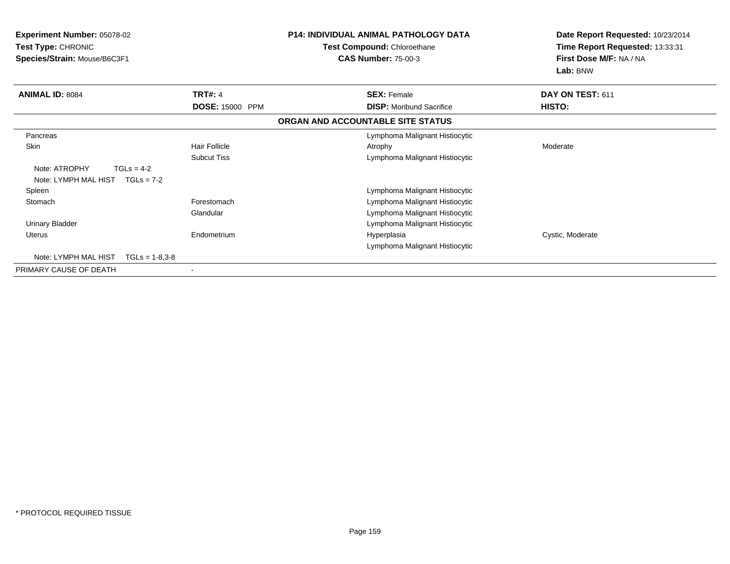| <b>Experiment Number: 05078-02</b><br>Test Type: CHRONIC<br>Species/Strain: Mouse/B6C3F1 |                      | <b>P14: INDIVIDUAL ANIMAL PATHOLOGY DATA</b><br>Test Compound: Chloroethane<br><b>CAS Number: 75-00-3</b> | Date Report Requested: 10/23/2014<br>Time Report Requested: 13:33:31<br>First Dose M/F: NA / NA<br>Lab: BNW |  |
|------------------------------------------------------------------------------------------|----------------------|-----------------------------------------------------------------------------------------------------------|-------------------------------------------------------------------------------------------------------------|--|
| <b>ANIMAL ID: 8084</b>                                                                   | <b>TRT#: 4</b>       | <b>SEX: Female</b>                                                                                        | DAY ON TEST: 611                                                                                            |  |
|                                                                                          | DOSE: 15000 PPM      | <b>DISP:</b> Moribund Sacrifice                                                                           | HISTO:                                                                                                      |  |
|                                                                                          |                      | ORGAN AND ACCOUNTABLE SITE STATUS                                                                         |                                                                                                             |  |
| Pancreas                                                                                 |                      | Lymphoma Malignant Histiocytic                                                                            |                                                                                                             |  |
| Skin                                                                                     | <b>Hair Follicle</b> | Atrophy                                                                                                   | Moderate                                                                                                    |  |
|                                                                                          | <b>Subcut Tiss</b>   | Lymphoma Malignant Histiocytic                                                                            |                                                                                                             |  |
| Note: ATROPHY<br>$TGLs = 4-2$                                                            |                      |                                                                                                           |                                                                                                             |  |
| Note: LYMPH MAL HIST $TGLs = 7-2$                                                        |                      |                                                                                                           |                                                                                                             |  |
| Spleen                                                                                   |                      | Lymphoma Malignant Histiocytic                                                                            |                                                                                                             |  |
| Stomach                                                                                  | Forestomach          | Lymphoma Malignant Histiocytic                                                                            |                                                                                                             |  |
|                                                                                          | Glandular            | Lymphoma Malignant Histiocytic                                                                            |                                                                                                             |  |
| <b>Urinary Bladder</b>                                                                   |                      | Lymphoma Malignant Histiocytic                                                                            |                                                                                                             |  |
| <b>Uterus</b>                                                                            | Endometrium          | Hyperplasia                                                                                               | Cystic, Moderate                                                                                            |  |
|                                                                                          |                      | Lymphoma Malignant Histiocytic                                                                            |                                                                                                             |  |
| Note: LYMPH MAL HIST<br>$TGLs = 1-8.3-8$                                                 |                      |                                                                                                           |                                                                                                             |  |
| PRIMARY CAUSE OF DEATH                                                                   |                      |                                                                                                           |                                                                                                             |  |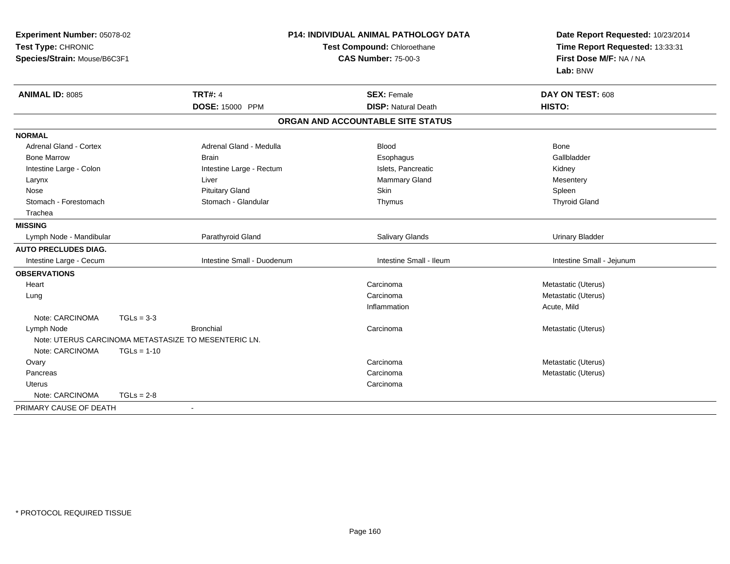| Experiment Number: 05078-02<br>Test Type: CHRONIC<br>Species/Strain: Mouse/B6C3F1 |                                                      | <b>P14: INDIVIDUAL ANIMAL PATHOLOGY DATA</b><br>Test Compound: Chloroethane<br><b>CAS Number: 75-00-3</b> | Date Report Requested: 10/23/2014<br>Time Report Requested: 13:33:31<br>First Dose M/F: NA / NA<br>Lab: BNW |
|-----------------------------------------------------------------------------------|------------------------------------------------------|-----------------------------------------------------------------------------------------------------------|-------------------------------------------------------------------------------------------------------------|
| <b>ANIMAL ID: 8085</b>                                                            | <b>TRT#: 4</b>                                       | <b>SEX: Female</b>                                                                                        | DAY ON TEST: 608                                                                                            |
|                                                                                   | DOSE: 15000 PPM                                      | <b>DISP: Natural Death</b>                                                                                | HISTO:                                                                                                      |
|                                                                                   |                                                      | ORGAN AND ACCOUNTABLE SITE STATUS                                                                         |                                                                                                             |
| <b>NORMAL</b>                                                                     |                                                      |                                                                                                           |                                                                                                             |
| <b>Adrenal Gland - Cortex</b>                                                     | Adrenal Gland - Medulla                              | Blood                                                                                                     | Bone                                                                                                        |
| <b>Bone Marrow</b>                                                                | <b>Brain</b>                                         | Esophagus                                                                                                 | Gallbladder                                                                                                 |
| Intestine Large - Colon                                                           | Intestine Large - Rectum                             | Islets, Pancreatic                                                                                        | Kidney                                                                                                      |
| Larynx                                                                            | Liver                                                | Mammary Gland                                                                                             | Mesentery                                                                                                   |
| Nose                                                                              | <b>Pituitary Gland</b>                               | Skin                                                                                                      | Spleen                                                                                                      |
| Stomach - Forestomach                                                             | Stomach - Glandular                                  | Thymus                                                                                                    | <b>Thyroid Gland</b>                                                                                        |
| Trachea                                                                           |                                                      |                                                                                                           |                                                                                                             |
| <b>MISSING</b>                                                                    |                                                      |                                                                                                           |                                                                                                             |
| Lymph Node - Mandibular                                                           | Parathyroid Gland                                    | Salivary Glands                                                                                           | <b>Urinary Bladder</b>                                                                                      |
| <b>AUTO PRECLUDES DIAG.</b>                                                       |                                                      |                                                                                                           |                                                                                                             |
| Intestine Large - Cecum                                                           | Intestine Small - Duodenum                           | Intestine Small - Ileum                                                                                   | Intestine Small - Jejunum                                                                                   |
| <b>OBSERVATIONS</b>                                                               |                                                      |                                                                                                           |                                                                                                             |
| Heart                                                                             |                                                      | Carcinoma                                                                                                 | Metastatic (Uterus)                                                                                         |
| Lung                                                                              |                                                      | Carcinoma                                                                                                 | Metastatic (Uterus)                                                                                         |
|                                                                                   |                                                      | Inflammation                                                                                              | Acute, Mild                                                                                                 |
| Note: CARCINOMA                                                                   | $TGLs = 3-3$                                         |                                                                                                           |                                                                                                             |
| Lymph Node                                                                        | <b>Bronchial</b>                                     | Carcinoma                                                                                                 | Metastatic (Uterus)                                                                                         |
|                                                                                   | Note: UTERUS CARCINOMA METASTASIZE TO MESENTERIC LN. |                                                                                                           |                                                                                                             |
| Note: CARCINOMA                                                                   | $TGLs = 1-10$                                        |                                                                                                           |                                                                                                             |
| Ovary                                                                             |                                                      | Carcinoma                                                                                                 | Metastatic (Uterus)                                                                                         |
| Pancreas                                                                          |                                                      | Carcinoma                                                                                                 | Metastatic (Uterus)                                                                                         |
| Uterus                                                                            |                                                      | Carcinoma                                                                                                 |                                                                                                             |
| Note: CARCINOMA                                                                   | $TGLs = 2-8$                                         |                                                                                                           |                                                                                                             |
| PRIMARY CAUSE OF DEATH                                                            | $\sim$                                               |                                                                                                           |                                                                                                             |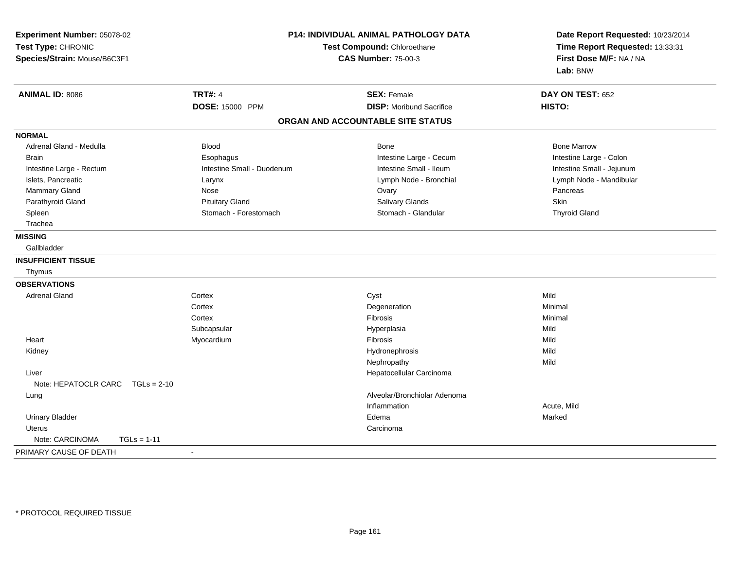| Experiment Number: 05078-02<br>Test Type: CHRONIC<br>Species/Strain: Mouse/B6C3F1 | P14: INDIVIDUAL ANIMAL PATHOLOGY DATA<br>Test Compound: Chloroethane<br><b>CAS Number: 75-00-3</b> |                                   | Date Report Requested: 10/23/2014<br>Time Report Requested: 13:33:31<br>First Dose M/F: NA / NA<br>Lab: BNW |  |
|-----------------------------------------------------------------------------------|----------------------------------------------------------------------------------------------------|-----------------------------------|-------------------------------------------------------------------------------------------------------------|--|
| <b>ANIMAL ID: 8086</b>                                                            | <b>TRT#: 4</b>                                                                                     | <b>SEX: Female</b>                | DAY ON TEST: 652                                                                                            |  |
|                                                                                   | <b>DOSE: 15000 PPM</b>                                                                             | <b>DISP:</b> Moribund Sacrifice   | HISTO:                                                                                                      |  |
|                                                                                   |                                                                                                    | ORGAN AND ACCOUNTABLE SITE STATUS |                                                                                                             |  |
| <b>NORMAL</b>                                                                     |                                                                                                    |                                   |                                                                                                             |  |
| Adrenal Gland - Medulla                                                           | <b>Blood</b>                                                                                       | <b>Bone</b>                       | <b>Bone Marrow</b>                                                                                          |  |
| <b>Brain</b>                                                                      | Esophagus                                                                                          | Intestine Large - Cecum           | Intestine Large - Colon                                                                                     |  |
| Intestine Large - Rectum                                                          | Intestine Small - Duodenum                                                                         | Intestine Small - Ileum           | Intestine Small - Jejunum                                                                                   |  |
| Islets, Pancreatic                                                                | Larynx                                                                                             | Lymph Node - Bronchial            | Lymph Node - Mandibular                                                                                     |  |
| Mammary Gland                                                                     | Nose                                                                                               | Ovary                             | Pancreas                                                                                                    |  |
| Parathyroid Gland                                                                 | <b>Pituitary Gland</b>                                                                             | Salivary Glands                   | <b>Skin</b>                                                                                                 |  |
| Spleen                                                                            | Stomach - Forestomach                                                                              | Stomach - Glandular               | <b>Thyroid Gland</b>                                                                                        |  |
| Trachea                                                                           |                                                                                                    |                                   |                                                                                                             |  |
| <b>MISSING</b>                                                                    |                                                                                                    |                                   |                                                                                                             |  |
| Gallbladder                                                                       |                                                                                                    |                                   |                                                                                                             |  |
| <b>INSUFFICIENT TISSUE</b>                                                        |                                                                                                    |                                   |                                                                                                             |  |
| Thymus                                                                            |                                                                                                    |                                   |                                                                                                             |  |
| <b>OBSERVATIONS</b>                                                               |                                                                                                    |                                   |                                                                                                             |  |
| <b>Adrenal Gland</b>                                                              | Cortex                                                                                             | Cyst                              | Mild                                                                                                        |  |
|                                                                                   | Cortex                                                                                             | Degeneration                      | Minimal                                                                                                     |  |
|                                                                                   | Cortex                                                                                             | Fibrosis                          | Minimal                                                                                                     |  |
|                                                                                   | Subcapsular                                                                                        | Hyperplasia                       | Mild                                                                                                        |  |
| Heart                                                                             | Myocardium                                                                                         | Fibrosis                          | Mild                                                                                                        |  |
| Kidney                                                                            |                                                                                                    | Hydronephrosis                    | Mild                                                                                                        |  |
|                                                                                   |                                                                                                    | Nephropathy                       | Mild                                                                                                        |  |
| Liver                                                                             |                                                                                                    | Hepatocellular Carcinoma          |                                                                                                             |  |
| Note: HEPATOCLR CARC TGLs = 2-10                                                  |                                                                                                    |                                   |                                                                                                             |  |
| Lung                                                                              |                                                                                                    | Alveolar/Bronchiolar Adenoma      |                                                                                                             |  |
|                                                                                   |                                                                                                    | Inflammation                      | Acute, Mild                                                                                                 |  |
| <b>Urinary Bladder</b>                                                            |                                                                                                    | Edema                             | Marked                                                                                                      |  |
| <b>Uterus</b>                                                                     |                                                                                                    | Carcinoma                         |                                                                                                             |  |
| Note: CARCINOMA<br>$TGLs = 1-11$                                                  |                                                                                                    |                                   |                                                                                                             |  |
| PRIMARY CAUSE OF DEATH                                                            | $\overline{a}$                                                                                     |                                   |                                                                                                             |  |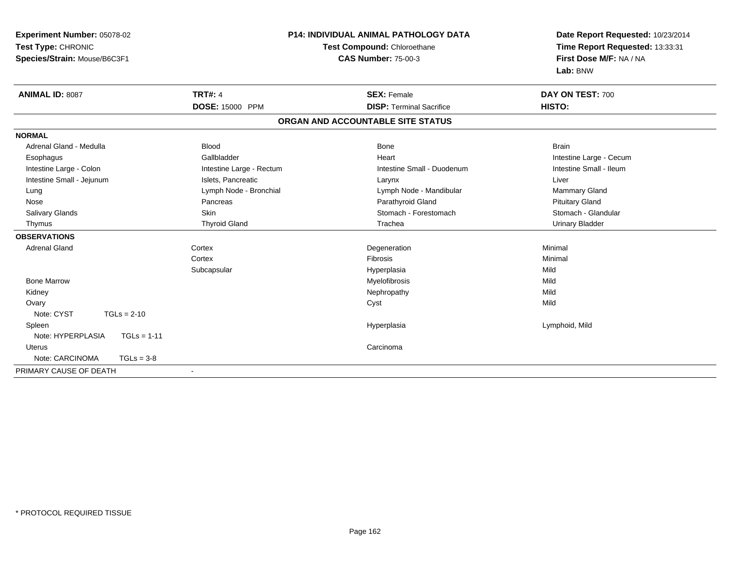| Experiment Number: 05078-02        |                             | P14: INDIVIDUAL ANIMAL PATHOLOGY DATA | Date Report Requested: 10/23/2014 |  |
|------------------------------------|-----------------------------|---------------------------------------|-----------------------------------|--|
| Test Type: CHRONIC                 | Test Compound: Chloroethane |                                       | Time Report Requested: 13:33:31   |  |
| Species/Strain: Mouse/B6C3F1       |                             | <b>CAS Number: 75-00-3</b>            | First Dose M/F: NA / NA           |  |
|                                    |                             |                                       | Lab: BNW                          |  |
| <b>ANIMAL ID: 8087</b>             | <b>TRT#: 4</b>              | <b>SEX: Female</b>                    | DAY ON TEST: 700                  |  |
|                                    | <b>DOSE: 15000 PPM</b>      | <b>DISP: Terminal Sacrifice</b>       | HISTO:                            |  |
|                                    |                             | ORGAN AND ACCOUNTABLE SITE STATUS     |                                   |  |
| <b>NORMAL</b>                      |                             |                                       |                                   |  |
| Adrenal Gland - Medulla            | <b>Blood</b>                | <b>Bone</b>                           | <b>Brain</b>                      |  |
| Esophagus                          | Gallbladder                 | Heart                                 | Intestine Large - Cecum           |  |
| Intestine Large - Colon            | Intestine Large - Rectum    | Intestine Small - Duodenum            | Intestine Small - Ileum           |  |
| Intestine Small - Jejunum          | Islets, Pancreatic          | Larynx                                | Liver                             |  |
| Lung                               | Lymph Node - Bronchial      | Lymph Node - Mandibular               | <b>Mammary Gland</b>              |  |
| Nose                               | Pancreas                    | Parathyroid Gland                     | <b>Pituitary Gland</b>            |  |
| Salivary Glands                    | Skin                        | Stomach - Forestomach                 | Stomach - Glandular               |  |
| Thymus                             | <b>Thyroid Gland</b>        | Trachea                               | <b>Urinary Bladder</b>            |  |
| <b>OBSERVATIONS</b>                |                             |                                       |                                   |  |
| <b>Adrenal Gland</b>               | Cortex                      | Degeneration                          | Minimal                           |  |
|                                    | Cortex                      | <b>Fibrosis</b>                       | Minimal                           |  |
|                                    | Subcapsular                 | Hyperplasia                           | Mild                              |  |
| <b>Bone Marrow</b>                 |                             | Myelofibrosis                         | Mild                              |  |
| Kidney                             |                             | Nephropathy                           | Mild                              |  |
| Ovary                              |                             | Cyst                                  | Mild                              |  |
| Note: CYST<br>$TGLs = 2-10$        |                             |                                       |                                   |  |
| Spleen                             |                             | Hyperplasia                           | Lymphoid, Mild                    |  |
| Note: HYPERPLASIA<br>$TGLs = 1-11$ |                             |                                       |                                   |  |
| Uterus                             |                             | Carcinoma                             |                                   |  |
| Note: CARCINOMA<br>$TGLs = 3-8$    |                             |                                       |                                   |  |
| PRIMARY CAUSE OF DEATH             | $\blacksquare$              |                                       |                                   |  |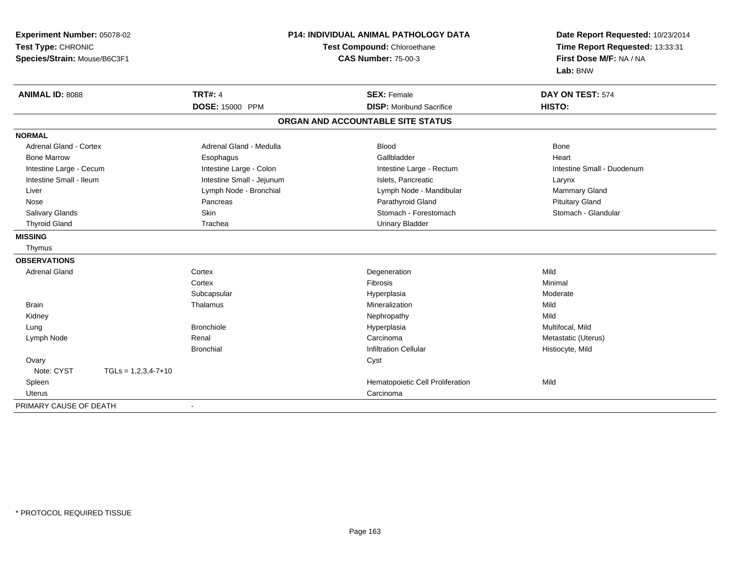| Experiment Number: 05078-02<br>Test Type: CHRONIC<br>Species/Strain: Mouse/B6C3F1 |                       | <b>P14: INDIVIDUAL ANIMAL PATHOLOGY DATA</b><br>Test Compound: Chloroethane<br><b>CAS Number: 75-00-3</b> |                                   | Date Report Requested: 10/23/2014<br>Time Report Requested: 13:33:31<br>First Dose M/F: NA / NA<br>Lab: BNW |  |
|-----------------------------------------------------------------------------------|-----------------------|-----------------------------------------------------------------------------------------------------------|-----------------------------------|-------------------------------------------------------------------------------------------------------------|--|
| <b>ANIMAL ID: 8088</b>                                                            |                       | <b>TRT#: 4</b>                                                                                            | <b>SEX: Female</b>                | DAY ON TEST: 574                                                                                            |  |
|                                                                                   |                       | DOSE: 15000 PPM                                                                                           | <b>DISP:</b> Moribund Sacrifice   | HISTO:                                                                                                      |  |
|                                                                                   |                       |                                                                                                           | ORGAN AND ACCOUNTABLE SITE STATUS |                                                                                                             |  |
| <b>NORMAL</b>                                                                     |                       |                                                                                                           |                                   |                                                                                                             |  |
| <b>Adrenal Gland - Cortex</b>                                                     |                       | Adrenal Gland - Medulla                                                                                   | <b>Blood</b>                      | <b>Bone</b>                                                                                                 |  |
| <b>Bone Marrow</b>                                                                |                       | Esophagus                                                                                                 | Gallbladder                       | Heart                                                                                                       |  |
| Intestine Large - Cecum                                                           |                       | Intestine Large - Colon                                                                                   | Intestine Large - Rectum          | Intestine Small - Duodenum                                                                                  |  |
| Intestine Small - Ileum                                                           |                       | Intestine Small - Jejunum                                                                                 | Islets. Pancreatic                | Larynx                                                                                                      |  |
| Liver                                                                             |                       | Lymph Node - Bronchial                                                                                    | Lymph Node - Mandibular           | Mammary Gland                                                                                               |  |
| Nose                                                                              |                       | Pancreas                                                                                                  | Parathyroid Gland                 | <b>Pituitary Gland</b>                                                                                      |  |
| Salivary Glands                                                                   |                       | Skin                                                                                                      | Stomach - Forestomach             | Stomach - Glandular                                                                                         |  |
| <b>Thyroid Gland</b>                                                              |                       | Trachea                                                                                                   | <b>Urinary Bladder</b>            |                                                                                                             |  |
| <b>MISSING</b>                                                                    |                       |                                                                                                           |                                   |                                                                                                             |  |
| Thymus                                                                            |                       |                                                                                                           |                                   |                                                                                                             |  |
| <b>OBSERVATIONS</b>                                                               |                       |                                                                                                           |                                   |                                                                                                             |  |
| <b>Adrenal Gland</b>                                                              |                       | Cortex                                                                                                    | Degeneration                      | Mild                                                                                                        |  |
|                                                                                   |                       | Cortex                                                                                                    | <b>Fibrosis</b>                   | Minimal                                                                                                     |  |
|                                                                                   |                       | Subcapsular                                                                                               | Hyperplasia                       | Moderate                                                                                                    |  |
| <b>Brain</b>                                                                      |                       | Thalamus                                                                                                  | Mineralization                    | Mild                                                                                                        |  |
| Kidney                                                                            |                       |                                                                                                           | Nephropathy                       | Mild                                                                                                        |  |
| Lung                                                                              |                       | <b>Bronchiole</b>                                                                                         | Hyperplasia                       | Multifocal, Mild                                                                                            |  |
| Lymph Node                                                                        |                       | Renal                                                                                                     | Carcinoma                         | Metastatic (Uterus)                                                                                         |  |
|                                                                                   |                       | <b>Bronchial</b>                                                                                          | <b>Infiltration Cellular</b>      | Histiocyte, Mild                                                                                            |  |
| Ovary                                                                             |                       |                                                                                                           | Cyst                              |                                                                                                             |  |
| Note: CYST                                                                        | $TGLs = 1,2,3,4-7+10$ |                                                                                                           |                                   |                                                                                                             |  |
| Spleen                                                                            |                       |                                                                                                           | Hematopoietic Cell Proliferation  | Mild                                                                                                        |  |
| Uterus                                                                            |                       |                                                                                                           | Carcinoma                         |                                                                                                             |  |
| PRIMARY CAUSE OF DEATH                                                            |                       | $\blacksquare$                                                                                            |                                   |                                                                                                             |  |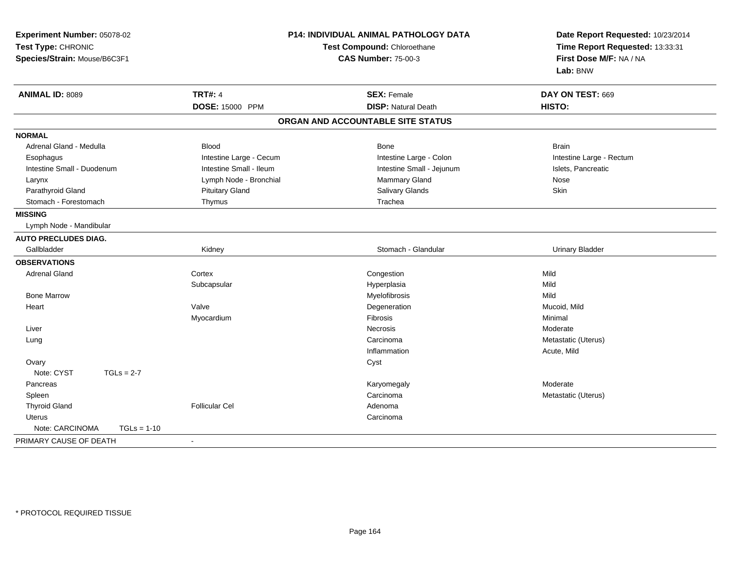| Experiment Number: 05078-02<br>Test Type: CHRONIC<br>Species/Strain: Mouse/B6C3F1 |                         | P14: INDIVIDUAL ANIMAL PATHOLOGY DATA<br>Test Compound: Chloroethane<br><b>CAS Number: 75-00-3</b> | Date Report Requested: 10/23/2014<br>Time Report Requested: 13:33:31<br>First Dose M/F: NA / NA<br>Lab: BNW |  |
|-----------------------------------------------------------------------------------|-------------------------|----------------------------------------------------------------------------------------------------|-------------------------------------------------------------------------------------------------------------|--|
| <b>ANIMAL ID: 8089</b>                                                            | <b>TRT#: 4</b>          | <b>SEX: Female</b>                                                                                 | DAY ON TEST: 669                                                                                            |  |
|                                                                                   | DOSE: 15000 PPM         | <b>DISP: Natural Death</b>                                                                         | HISTO:                                                                                                      |  |
|                                                                                   |                         | ORGAN AND ACCOUNTABLE SITE STATUS                                                                  |                                                                                                             |  |
| <b>NORMAL</b>                                                                     |                         |                                                                                                    |                                                                                                             |  |
| Adrenal Gland - Medulla                                                           | <b>Blood</b>            | Bone                                                                                               | <b>Brain</b>                                                                                                |  |
| Esophagus                                                                         | Intestine Large - Cecum | Intestine Large - Colon                                                                            | Intestine Large - Rectum                                                                                    |  |
| Intestine Small - Duodenum                                                        | Intestine Small - Ileum | Intestine Small - Jejunum                                                                          | Islets, Pancreatic                                                                                          |  |
| Larynx                                                                            | Lymph Node - Bronchial  | Mammary Gland                                                                                      | Nose                                                                                                        |  |
| Parathyroid Gland                                                                 | <b>Pituitary Gland</b>  | Salivary Glands                                                                                    | Skin                                                                                                        |  |
| Stomach - Forestomach                                                             | Thymus                  | Trachea                                                                                            |                                                                                                             |  |
| <b>MISSING</b>                                                                    |                         |                                                                                                    |                                                                                                             |  |
| Lymph Node - Mandibular                                                           |                         |                                                                                                    |                                                                                                             |  |
| <b>AUTO PRECLUDES DIAG.</b>                                                       |                         |                                                                                                    |                                                                                                             |  |
| Gallbladder                                                                       | Kidney                  | Stomach - Glandular                                                                                | <b>Urinary Bladder</b>                                                                                      |  |
| <b>OBSERVATIONS</b>                                                               |                         |                                                                                                    |                                                                                                             |  |
| <b>Adrenal Gland</b>                                                              | Cortex                  | Congestion                                                                                         | Mild                                                                                                        |  |
|                                                                                   | Subcapsular             | Hyperplasia                                                                                        | Mild                                                                                                        |  |
| <b>Bone Marrow</b>                                                                |                         | Myelofibrosis                                                                                      | Mild                                                                                                        |  |
| Heart                                                                             | Valve                   | Degeneration                                                                                       | Mucoid, Mild                                                                                                |  |
|                                                                                   | Myocardium              | Fibrosis                                                                                           | Minimal                                                                                                     |  |
| Liver                                                                             |                         | <b>Necrosis</b>                                                                                    | Moderate                                                                                                    |  |
| Lung                                                                              |                         | Carcinoma                                                                                          | Metastatic (Uterus)                                                                                         |  |
|                                                                                   |                         | Inflammation                                                                                       | Acute, Mild                                                                                                 |  |
| Ovary                                                                             |                         | Cyst                                                                                               |                                                                                                             |  |
| Note: CYST<br>$TGLs = 2-7$                                                        |                         |                                                                                                    |                                                                                                             |  |
| Pancreas                                                                          |                         | Karyomegaly                                                                                        | Moderate                                                                                                    |  |
| Spleen                                                                            |                         | Carcinoma                                                                                          | Metastatic (Uterus)                                                                                         |  |
| <b>Thyroid Gland</b>                                                              | <b>Follicular Cel</b>   | Adenoma                                                                                            |                                                                                                             |  |
| <b>Uterus</b>                                                                     |                         | Carcinoma                                                                                          |                                                                                                             |  |
| Note: CARCINOMA<br>$TGLs = 1-10$                                                  |                         |                                                                                                    |                                                                                                             |  |
| PRIMARY CAUSE OF DEATH                                                            | $\sim$                  |                                                                                                    |                                                                                                             |  |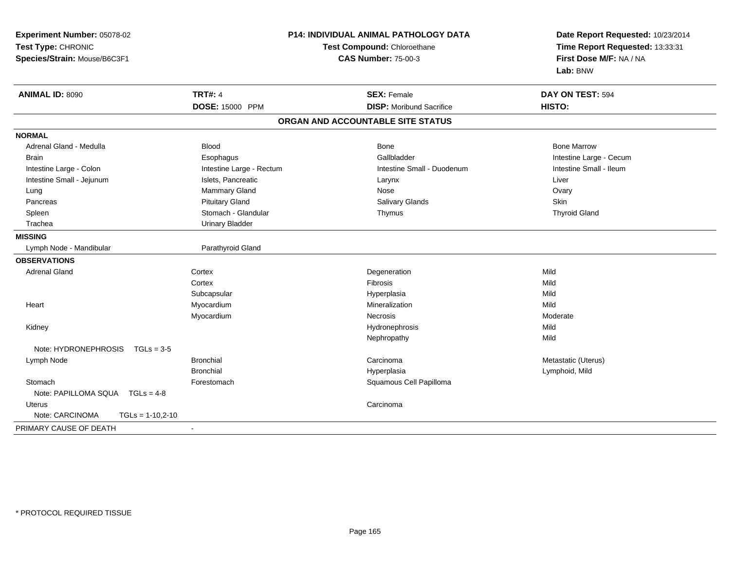| Experiment Number: 05078-02<br>Test Type: CHRONIC<br>Species/Strain: Mouse/B6C3F1 |                          | P14: INDIVIDUAL ANIMAL PATHOLOGY DATA<br>Test Compound: Chloroethane<br><b>CAS Number: 75-00-3</b> | Date Report Requested: 10/23/2014<br>Time Report Requested: 13:33:31<br>First Dose M/F: NA / NA<br>Lab: BNW |  |
|-----------------------------------------------------------------------------------|--------------------------|----------------------------------------------------------------------------------------------------|-------------------------------------------------------------------------------------------------------------|--|
| <b>ANIMAL ID: 8090</b>                                                            | <b>TRT#: 4</b>           | <b>SEX: Female</b>                                                                                 | DAY ON TEST: 594                                                                                            |  |
|                                                                                   | DOSE: 15000 PPM          | <b>DISP:</b> Moribund Sacrifice                                                                    | HISTO:                                                                                                      |  |
|                                                                                   |                          | ORGAN AND ACCOUNTABLE SITE STATUS                                                                  |                                                                                                             |  |
| <b>NORMAL</b>                                                                     |                          |                                                                                                    |                                                                                                             |  |
| Adrenal Gland - Medulla                                                           | <b>Blood</b>             | Bone                                                                                               | <b>Bone Marrow</b>                                                                                          |  |
| Brain                                                                             | Esophagus                | Gallbladder                                                                                        | Intestine Large - Cecum                                                                                     |  |
| Intestine Large - Colon                                                           | Intestine Large - Rectum | Intestine Small - Duodenum                                                                         | Intestine Small - Ileum                                                                                     |  |
| Intestine Small - Jejunum                                                         | Islets, Pancreatic       | Larynx                                                                                             | Liver                                                                                                       |  |
| Lung                                                                              | Mammary Gland            | Nose                                                                                               | Ovary                                                                                                       |  |
| Pancreas                                                                          | <b>Pituitary Gland</b>   | Salivary Glands                                                                                    | Skin                                                                                                        |  |
| Spleen                                                                            | Stomach - Glandular      | Thymus                                                                                             | <b>Thyroid Gland</b>                                                                                        |  |
| Trachea                                                                           | <b>Urinary Bladder</b>   |                                                                                                    |                                                                                                             |  |
| <b>MISSING</b>                                                                    |                          |                                                                                                    |                                                                                                             |  |
| Lymph Node - Mandibular                                                           | Parathyroid Gland        |                                                                                                    |                                                                                                             |  |
| <b>OBSERVATIONS</b>                                                               |                          |                                                                                                    |                                                                                                             |  |
| <b>Adrenal Gland</b>                                                              | Cortex                   | Degeneration                                                                                       | Mild                                                                                                        |  |
|                                                                                   | Cortex                   | Fibrosis                                                                                           | Mild                                                                                                        |  |
|                                                                                   | Subcapsular              | Hyperplasia                                                                                        | Mild                                                                                                        |  |
| Heart                                                                             | Myocardium               | Mineralization                                                                                     | Mild                                                                                                        |  |
|                                                                                   | Myocardium               | <b>Necrosis</b>                                                                                    | Moderate                                                                                                    |  |
| Kidney                                                                            |                          | Hydronephrosis                                                                                     | Mild                                                                                                        |  |
|                                                                                   |                          | Nephropathy                                                                                        | Mild                                                                                                        |  |
| Note: HYDRONEPHROSIS<br>$TGLs = 3-5$                                              |                          |                                                                                                    |                                                                                                             |  |
| Lymph Node                                                                        | <b>Bronchial</b>         | Carcinoma                                                                                          | Metastatic (Uterus)                                                                                         |  |
|                                                                                   | <b>Bronchial</b>         | Hyperplasia                                                                                        | Lymphoid, Mild                                                                                              |  |
| Stomach                                                                           | Forestomach              | Squamous Cell Papilloma                                                                            |                                                                                                             |  |
| Note: PAPILLOMA SQUA TGLs = 4-8                                                   |                          |                                                                                                    |                                                                                                             |  |
| Uterus                                                                            |                          | Carcinoma                                                                                          |                                                                                                             |  |
| Note: CARCINOMA<br>$TGLs = 1-10,2-10$                                             |                          |                                                                                                    |                                                                                                             |  |
| PRIMARY CAUSE OF DEATH                                                            | $\blacksquare$           |                                                                                                    |                                                                                                             |  |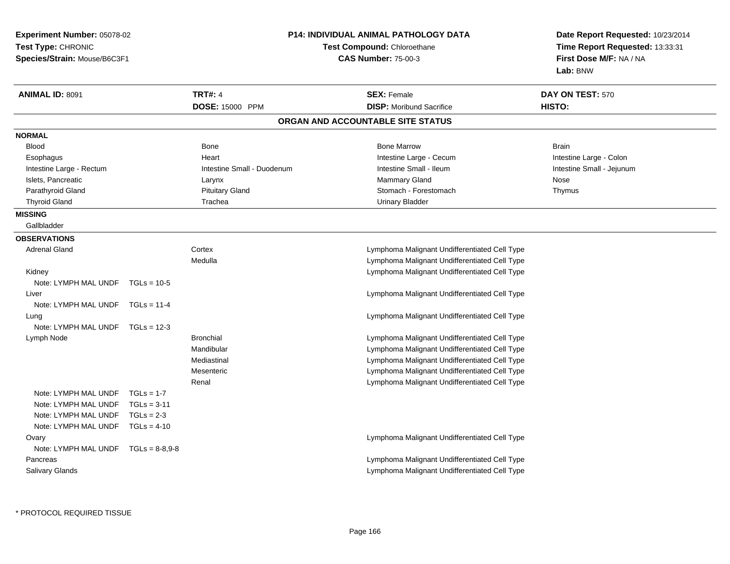| <b>Experiment Number: 05078-02</b>                 |               | <b>P14: INDIVIDUAL ANIMAL PATHOLOGY DATA</b> |                                                                  | Date Report Requested: 10/23/2014<br>Time Report Requested: 13:33:31 |
|----------------------------------------------------|---------------|----------------------------------------------|------------------------------------------------------------------|----------------------------------------------------------------------|
| Test Type: CHRONIC<br>Species/Strain: Mouse/B6C3F1 |               |                                              | <b>Test Compound: Chloroethane</b><br><b>CAS Number: 75-00-3</b> |                                                                      |
| <b>ANIMAL ID: 8091</b>                             |               | <b>TRT#: 4</b>                               | <b>SEX: Female</b>                                               | DAY ON TEST: 570                                                     |
|                                                    |               | DOSE: 15000 PPM                              | <b>DISP:</b> Moribund Sacrifice                                  | HISTO:                                                               |
|                                                    |               |                                              | ORGAN AND ACCOUNTABLE SITE STATUS                                |                                                                      |
| <b>NORMAL</b>                                      |               |                                              |                                                                  |                                                                      |
| <b>Blood</b>                                       |               | Bone                                         | <b>Bone Marrow</b>                                               | Brain                                                                |
| Esophagus                                          |               | Heart                                        | Intestine Large - Cecum                                          | Intestine Large - Colon                                              |
| Intestine Large - Rectum                           |               | Intestine Small - Duodenum                   | Intestine Small - Ileum                                          | Intestine Small - Jejunum                                            |
| Islets, Pancreatic                                 |               | Larynx                                       | <b>Mammary Gland</b>                                             | Nose                                                                 |
| Parathyroid Gland                                  |               | <b>Pituitary Gland</b>                       | Stomach - Forestomach                                            | Thymus                                                               |
| <b>Thyroid Gland</b>                               |               | Trachea                                      | <b>Urinary Bladder</b>                                           |                                                                      |
| <b>MISSING</b>                                     |               |                                              |                                                                  |                                                                      |
| Gallbladder                                        |               |                                              |                                                                  |                                                                      |
| <b>OBSERVATIONS</b>                                |               |                                              |                                                                  |                                                                      |
| <b>Adrenal Gland</b>                               |               | Cortex                                       | Lymphoma Malignant Undifferentiated Cell Type                    |                                                                      |
|                                                    |               | Medulla                                      | Lymphoma Malignant Undifferentiated Cell Type                    |                                                                      |
| Kidney                                             |               |                                              | Lymphoma Malignant Undifferentiated Cell Type                    |                                                                      |
| Note: LYMPH MAL UNDF $TGLs = 10-5$                 |               |                                              |                                                                  |                                                                      |
| Liver                                              |               |                                              | Lymphoma Malignant Undifferentiated Cell Type                    |                                                                      |
| Note: LYMPH MAL UNDF TGLs = 11-4                   |               |                                              |                                                                  |                                                                      |
| Lung                                               |               |                                              | Lymphoma Malignant Undifferentiated Cell Type                    |                                                                      |
| Note: LYMPH MAL UNDF TGLs = 12-3                   |               |                                              |                                                                  |                                                                      |
| Lymph Node                                         |               | <b>Bronchial</b>                             | Lymphoma Malignant Undifferentiated Cell Type                    |                                                                      |
|                                                    |               | Mandibular                                   | Lymphoma Malignant Undifferentiated Cell Type                    |                                                                      |
|                                                    |               | Mediastinal                                  | Lymphoma Malignant Undifferentiated Cell Type                    |                                                                      |
|                                                    |               | Mesenteric                                   | Lymphoma Malignant Undifferentiated Cell Type                    |                                                                      |
|                                                    |               | Renal                                        | Lymphoma Malignant Undifferentiated Cell Type                    |                                                                      |
| Note: LYMPH MAL UNDF                               | $TGLs = 1-7$  |                                              |                                                                  |                                                                      |
| Note: LYMPH MAL UNDF                               | $TGLs = 3-11$ |                                              |                                                                  |                                                                      |
| Note: LYMPH MAL UNDF                               | $TGLs = 2-3$  |                                              |                                                                  |                                                                      |
| Note: LYMPH MAL UNDF TGLs = 4-10                   |               |                                              |                                                                  |                                                                      |
| Ovary                                              |               |                                              | Lymphoma Malignant Undifferentiated Cell Type                    |                                                                      |
| Note: LYMPH MAL UNDF $TGLs = 8-8.9-8$              |               |                                              |                                                                  |                                                                      |
| Pancreas                                           |               |                                              | Lymphoma Malignant Undifferentiated Cell Type                    |                                                                      |
| <b>Salivary Glands</b>                             |               |                                              | Lymphoma Malignant Undifferentiated Cell Type                    |                                                                      |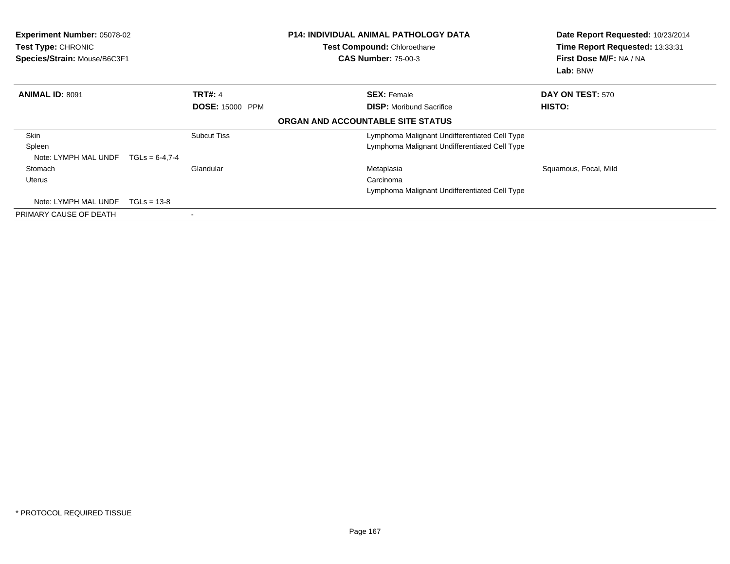| <b>Experiment Number: 05078-02</b><br>Test Type: CHRONIC<br>Species/Strain: Mouse/B6C3F1 |                        | <b>P14: INDIVIDUAL ANIMAL PATHOLOGY DATA</b><br>Test Compound: Chloroethane<br><b>CAS Number: 75-00-3</b> | Date Report Requested: 10/23/2014<br>Time Report Requested: 13:33:31<br>First Dose M/F: NA / NA<br>Lab: BNW |  |
|------------------------------------------------------------------------------------------|------------------------|-----------------------------------------------------------------------------------------------------------|-------------------------------------------------------------------------------------------------------------|--|
| <b>ANIMAL ID: 8091</b>                                                                   | <b>TRT#: 4</b>         | <b>SEX: Female</b>                                                                                        | DAY ON TEST: 570                                                                                            |  |
|                                                                                          | <b>DOSE: 15000 PPM</b> | <b>DISP:</b> Moribund Sacrifice                                                                           | HISTO:                                                                                                      |  |
|                                                                                          |                        | ORGAN AND ACCOUNTABLE SITE STATUS                                                                         |                                                                                                             |  |
| Skin                                                                                     | <b>Subcut Tiss</b>     | Lymphoma Malignant Undifferentiated Cell Type                                                             |                                                                                                             |  |
| Spleen                                                                                   |                        | Lymphoma Malignant Undifferentiated Cell Type                                                             |                                                                                                             |  |
| Note: LYMPH MAL UNDF                                                                     | $TGLs = 6-4.7-4$       |                                                                                                           |                                                                                                             |  |
| Stomach                                                                                  | Glandular              | Metaplasia                                                                                                | Squamous, Focal, Mild                                                                                       |  |
| Uterus                                                                                   |                        | Carcinoma                                                                                                 |                                                                                                             |  |
|                                                                                          |                        | Lymphoma Malignant Undifferentiated Cell Type                                                             |                                                                                                             |  |
| Note: LYMPH MAL UNDF                                                                     | $TGLs = 13-8$          |                                                                                                           |                                                                                                             |  |
| PRIMARY CAUSE OF DEATH                                                                   |                        |                                                                                                           |                                                                                                             |  |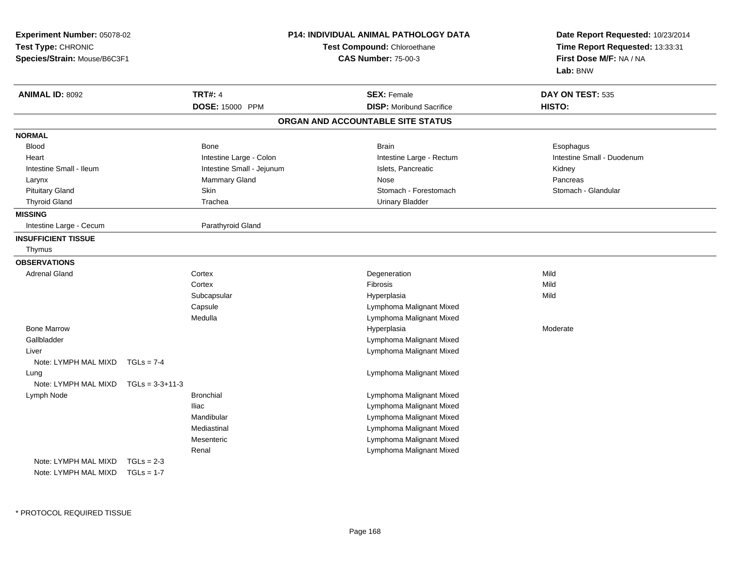| Experiment Number: 05078-02<br>Test Type: CHRONIC<br>Species/Strain: Mouse/B6C3F1 |                   |                           | <b>P14: INDIVIDUAL ANIMAL PATHOLOGY DATA</b><br>Test Compound: Chloroethane<br><b>CAS Number: 75-00-3</b> |           | Date Report Requested: 10/23/2014<br>Time Report Requested: 13:33:31<br>First Dose M/F: NA / NA<br>Lab: BNW |
|-----------------------------------------------------------------------------------|-------------------|---------------------------|-----------------------------------------------------------------------------------------------------------|-----------|-------------------------------------------------------------------------------------------------------------|
| <b>ANIMAL ID: 8092</b>                                                            |                   | <b>TRT#: 4</b>            | <b>SEX: Female</b>                                                                                        |           | DAY ON TEST: 535                                                                                            |
|                                                                                   |                   | DOSE: 15000 PPM           | <b>DISP:</b> Moribund Sacrifice                                                                           | HISTO:    |                                                                                                             |
|                                                                                   |                   |                           | ORGAN AND ACCOUNTABLE SITE STATUS                                                                         |           |                                                                                                             |
| <b>NORMAL</b>                                                                     |                   |                           |                                                                                                           |           |                                                                                                             |
| <b>Blood</b>                                                                      |                   | Bone                      | <b>Brain</b>                                                                                              | Esophagus |                                                                                                             |
| Heart                                                                             |                   | Intestine Large - Colon   | Intestine Large - Rectum                                                                                  |           | Intestine Small - Duodenum                                                                                  |
| Intestine Small - Ileum                                                           |                   | Intestine Small - Jejunum | Islets, Pancreatic                                                                                        | Kidney    |                                                                                                             |
| Larynx                                                                            |                   | Mammary Gland             | <b>Nose</b>                                                                                               | Pancreas  |                                                                                                             |
| <b>Pituitary Gland</b>                                                            |                   | Skin                      | Stomach - Forestomach                                                                                     |           | Stomach - Glandular                                                                                         |
| <b>Thyroid Gland</b>                                                              |                   | Trachea                   | <b>Urinary Bladder</b>                                                                                    |           |                                                                                                             |
| <b>MISSING</b>                                                                    |                   |                           |                                                                                                           |           |                                                                                                             |
| Intestine Large - Cecum                                                           |                   | Parathyroid Gland         |                                                                                                           |           |                                                                                                             |
| <b>INSUFFICIENT TISSUE</b>                                                        |                   |                           |                                                                                                           |           |                                                                                                             |
| Thymus                                                                            |                   |                           |                                                                                                           |           |                                                                                                             |
| <b>OBSERVATIONS</b>                                                               |                   |                           |                                                                                                           |           |                                                                                                             |
| <b>Adrenal Gland</b>                                                              |                   | Cortex                    | Degeneration                                                                                              | Mild      |                                                                                                             |
|                                                                                   |                   | Cortex                    | Fibrosis                                                                                                  | Mild      |                                                                                                             |
|                                                                                   |                   | Subcapsular               | Hyperplasia                                                                                               | Mild      |                                                                                                             |
|                                                                                   |                   | Capsule                   | Lymphoma Malignant Mixed                                                                                  |           |                                                                                                             |
|                                                                                   |                   | Medulla                   | Lymphoma Malignant Mixed                                                                                  |           |                                                                                                             |
| <b>Bone Marrow</b>                                                                |                   |                           | Hyperplasia                                                                                               | Moderate  |                                                                                                             |
| Gallbladder                                                                       |                   |                           | Lymphoma Malignant Mixed                                                                                  |           |                                                                                                             |
| Liver                                                                             |                   |                           | Lymphoma Malignant Mixed                                                                                  |           |                                                                                                             |
| Note: LYMPH MAL MIXD                                                              | $TGLs = 7-4$      |                           |                                                                                                           |           |                                                                                                             |
| Lung                                                                              |                   |                           | Lymphoma Malignant Mixed                                                                                  |           |                                                                                                             |
| Note: LYMPH MAL MIXD                                                              | $TGLs = 3-3+11-3$ |                           |                                                                                                           |           |                                                                                                             |
| Lymph Node                                                                        |                   | <b>Bronchial</b>          | Lymphoma Malignant Mixed                                                                                  |           |                                                                                                             |
|                                                                                   |                   | <b>Iliac</b>              | Lymphoma Malignant Mixed                                                                                  |           |                                                                                                             |
|                                                                                   |                   | Mandibular                | Lymphoma Malignant Mixed                                                                                  |           |                                                                                                             |
|                                                                                   |                   | Mediastinal               | Lymphoma Malignant Mixed                                                                                  |           |                                                                                                             |
|                                                                                   |                   | Mesenteric                | Lymphoma Malignant Mixed                                                                                  |           |                                                                                                             |
|                                                                                   |                   | Renal                     | Lymphoma Malignant Mixed                                                                                  |           |                                                                                                             |
| Note: LYMPH MAL MIXD                                                              | $TGLs = 2-3$      |                           |                                                                                                           |           |                                                                                                             |
| Note: LYMPH MAL MIXD                                                              | $TGLs = 1-7$      |                           |                                                                                                           |           |                                                                                                             |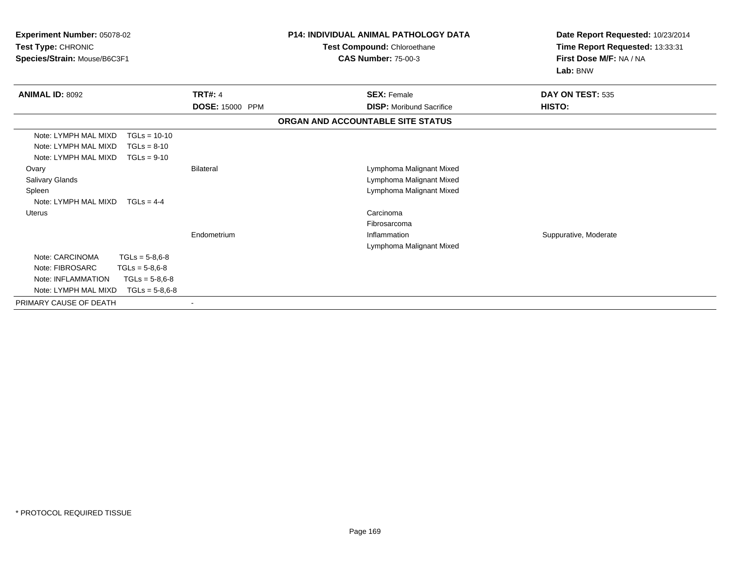|                        | Test Compound: Chloroethane<br><b>CAS Number: 75-00-3</b>                        | Date Report Requested: 10/23/2014<br>Time Report Requested: 13:33:31<br>First Dose M/F: NA / NA<br>Lab: BNW   |  |
|------------------------|----------------------------------------------------------------------------------|---------------------------------------------------------------------------------------------------------------|--|
| <b>TRT#: 4</b>         | <b>SEX: Female</b>                                                               | DAY ON TEST: 535                                                                                              |  |
| <b>DOSE: 15000 PPM</b> | <b>DISP:</b> Moribund Sacrifice                                                  | HISTO:                                                                                                        |  |
|                        |                                                                                  |                                                                                                               |  |
|                        |                                                                                  |                                                                                                               |  |
| <b>Bilateral</b>       | Lymphoma Malignant Mixed<br>Lymphoma Malignant Mixed<br>Lymphoma Malignant Mixed |                                                                                                               |  |
| Endometrium            | Carcinoma<br>Fibrosarcoma<br>Inflammation                                        | Suppurative, Moderate                                                                                         |  |
|                        |                                                                                  |                                                                                                               |  |
|                        | $\blacksquare$                                                                   | <b>P14: INDIVIDUAL ANIMAL PATHOLOGY DATA</b><br>ORGAN AND ACCOUNTABLE SITE STATUS<br>Lymphoma Malignant Mixed |  |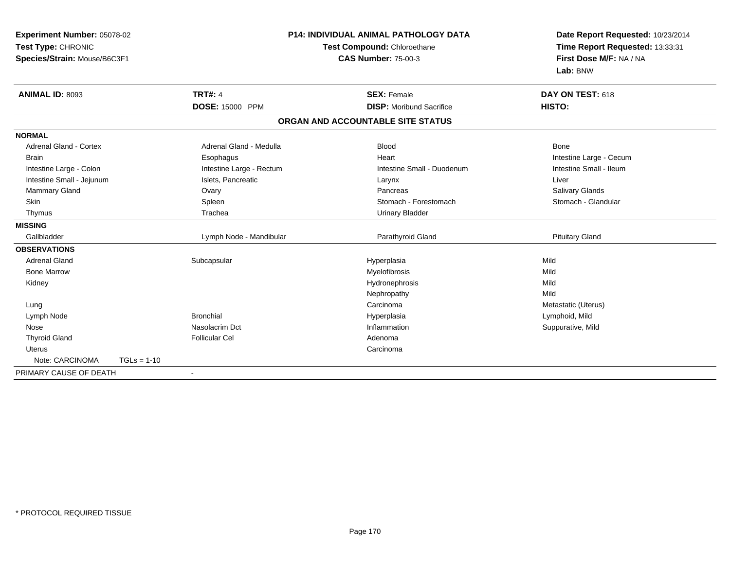| Experiment Number: 05078-02<br>Test Type: CHRONIC<br>Species/Strain: Mouse/B6C3F1 |               | <b>P14: INDIVIDUAL ANIMAL PATHOLOGY DATA</b><br>Test Compound: Chloroethane<br><b>CAS Number: 75-00-3</b> |                                   | Date Report Requested: 10/23/2014<br>Time Report Requested: 13:33:31<br>First Dose M/F: NA / NA<br>Lab: BNW |  |
|-----------------------------------------------------------------------------------|---------------|-----------------------------------------------------------------------------------------------------------|-----------------------------------|-------------------------------------------------------------------------------------------------------------|--|
| ANIMAL ID: 8093                                                                   |               | <b>TRT#: 4</b>                                                                                            | <b>SEX: Female</b>                | DAY ON TEST: 618                                                                                            |  |
|                                                                                   |               | <b>DOSE: 15000 PPM</b>                                                                                    | <b>DISP:</b> Moribund Sacrifice   | HISTO:                                                                                                      |  |
|                                                                                   |               |                                                                                                           | ORGAN AND ACCOUNTABLE SITE STATUS |                                                                                                             |  |
| <b>NORMAL</b>                                                                     |               |                                                                                                           |                                   |                                                                                                             |  |
| <b>Adrenal Gland - Cortex</b>                                                     |               | Adrenal Gland - Medulla                                                                                   | <b>Blood</b>                      | Bone                                                                                                        |  |
| <b>Brain</b>                                                                      |               | Esophagus                                                                                                 | Heart                             | Intestine Large - Cecum                                                                                     |  |
| Intestine Large - Colon                                                           |               | Intestine Large - Rectum                                                                                  | Intestine Small - Duodenum        | Intestine Small - Ileum                                                                                     |  |
| Intestine Small - Jejunum                                                         |               | Islets, Pancreatic                                                                                        | Larynx                            | Liver                                                                                                       |  |
| Mammary Gland                                                                     |               | Ovary                                                                                                     | Pancreas                          | Salivary Glands                                                                                             |  |
| Skin                                                                              |               | Spleen                                                                                                    | Stomach - Forestomach             | Stomach - Glandular                                                                                         |  |
| Thymus                                                                            |               | Trachea                                                                                                   | <b>Urinary Bladder</b>            |                                                                                                             |  |
| <b>MISSING</b>                                                                    |               |                                                                                                           |                                   |                                                                                                             |  |
| Gallbladder                                                                       |               | Lymph Node - Mandibular                                                                                   | Parathyroid Gland                 | <b>Pituitary Gland</b>                                                                                      |  |
| <b>OBSERVATIONS</b>                                                               |               |                                                                                                           |                                   |                                                                                                             |  |
| <b>Adrenal Gland</b>                                                              |               | Subcapsular                                                                                               | Hyperplasia                       | Mild                                                                                                        |  |
| <b>Bone Marrow</b>                                                                |               |                                                                                                           | Myelofibrosis                     | Mild                                                                                                        |  |
| Kidney                                                                            |               |                                                                                                           | Hydronephrosis                    | Mild                                                                                                        |  |
|                                                                                   |               |                                                                                                           | Nephropathy                       | Mild                                                                                                        |  |
| Lung                                                                              |               |                                                                                                           | Carcinoma                         | Metastatic (Uterus)                                                                                         |  |
| Lymph Node                                                                        |               | <b>Bronchial</b>                                                                                          | Hyperplasia                       | Lymphoid, Mild                                                                                              |  |
| Nose                                                                              |               | Nasolacrim Dct                                                                                            | Inflammation                      | Suppurative, Mild                                                                                           |  |
| <b>Thyroid Gland</b>                                                              |               | <b>Follicular Cel</b>                                                                                     | Adenoma                           |                                                                                                             |  |
| <b>Uterus</b>                                                                     |               |                                                                                                           | Carcinoma                         |                                                                                                             |  |
| Note: CARCINOMA                                                                   | $TGLs = 1-10$ |                                                                                                           |                                   |                                                                                                             |  |
| PRIMARY CAUSE OF DEATH                                                            |               | ٠                                                                                                         |                                   |                                                                                                             |  |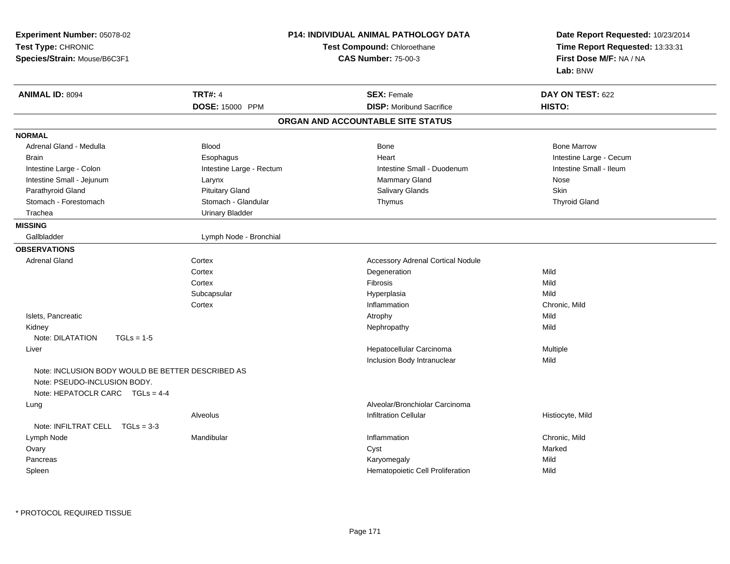| <b>TRT#: 4</b><br><b>ANIMAL ID: 8094</b><br><b>SEX: Female</b><br>DAY ON TEST: 622<br>DOSE: 15000 PPM<br><b>DISP:</b> Moribund Sacrifice<br><b>HISTO:</b><br>ORGAN AND ACCOUNTABLE SITE STATUS<br><b>NORMAL</b><br>Adrenal Gland - Medulla<br><b>Blood</b><br>Bone<br><b>Bone Marrow</b><br>Esophagus<br>Heart<br>Intestine Large - Cecum<br><b>Brain</b><br>Intestine Small - Ileum<br>Intestine Large - Colon<br>Intestine Large - Rectum<br>Intestine Small - Duodenum<br>Intestine Small - Jejunum<br><b>Mammary Gland</b><br>Nose<br>Larynx<br><b>Pituitary Gland</b><br><b>Salivary Glands</b><br>Skin<br>Parathyroid Gland<br>Stomach - Forestomach<br>Stomach - Glandular<br><b>Thyroid Gland</b><br>Thymus<br>Trachea<br><b>Urinary Bladder</b><br><b>MISSING</b><br>Lymph Node - Bronchial<br>Gallbladder<br><b>OBSERVATIONS</b><br><b>Adrenal Gland</b><br><b>Accessory Adrenal Cortical Nodule</b><br>Cortex<br>Cortex<br>Degeneration<br>Mild<br>Cortex<br>Fibrosis<br>Mild<br>Subcapsular<br>Mild<br>Hyperplasia<br>Cortex<br>Inflammation<br>Chronic, Mild<br>Islets, Pancreatic<br>Mild<br>Atrophy<br>Mild<br>Kidney<br>Nephropathy<br>Note: DILATATION<br>$TGLs = 1-5$<br>Hepatocellular Carcinoma<br>Multiple<br>Liver<br>Inclusion Body Intranuclear<br>Mild<br>Note: INCLUSION BODY WOULD BE BETTER DESCRIBED AS<br>Note: PSEUDO-INCLUSION BODY.<br>Note: HEPATOCLR CARC $TGLs = 4-4$ | Date Report Requested: 10/23/2014<br>Time Report Requested: 13:33:31<br>First Dose M/F: NA / NA<br>Lab: BNW |  | <b>P14: INDIVIDUAL ANIMAL PATHOLOGY DATA</b><br>Test Compound: Chloroethane<br><b>CAS Number: 75-00-3</b> | Experiment Number: 05078-02<br>Test Type: CHRONIC<br>Species/Strain: Mouse/B6C3F1 |  |
|-----------------------------------------------------------------------------------------------------------------------------------------------------------------------------------------------------------------------------------------------------------------------------------------------------------------------------------------------------------------------------------------------------------------------------------------------------------------------------------------------------------------------------------------------------------------------------------------------------------------------------------------------------------------------------------------------------------------------------------------------------------------------------------------------------------------------------------------------------------------------------------------------------------------------------------------------------------------------------------------------------------------------------------------------------------------------------------------------------------------------------------------------------------------------------------------------------------------------------------------------------------------------------------------------------------------------------------------------------------------------------------------------------------|-------------------------------------------------------------------------------------------------------------|--|-----------------------------------------------------------------------------------------------------------|-----------------------------------------------------------------------------------|--|
|                                                                                                                                                                                                                                                                                                                                                                                                                                                                                                                                                                                                                                                                                                                                                                                                                                                                                                                                                                                                                                                                                                                                                                                                                                                                                                                                                                                                           |                                                                                                             |  |                                                                                                           |                                                                                   |  |
|                                                                                                                                                                                                                                                                                                                                                                                                                                                                                                                                                                                                                                                                                                                                                                                                                                                                                                                                                                                                                                                                                                                                                                                                                                                                                                                                                                                                           |                                                                                                             |  |                                                                                                           |                                                                                   |  |
|                                                                                                                                                                                                                                                                                                                                                                                                                                                                                                                                                                                                                                                                                                                                                                                                                                                                                                                                                                                                                                                                                                                                                                                                                                                                                                                                                                                                           |                                                                                                             |  |                                                                                                           |                                                                                   |  |
|                                                                                                                                                                                                                                                                                                                                                                                                                                                                                                                                                                                                                                                                                                                                                                                                                                                                                                                                                                                                                                                                                                                                                                                                                                                                                                                                                                                                           |                                                                                                             |  |                                                                                                           |                                                                                   |  |
|                                                                                                                                                                                                                                                                                                                                                                                                                                                                                                                                                                                                                                                                                                                                                                                                                                                                                                                                                                                                                                                                                                                                                                                                                                                                                                                                                                                                           |                                                                                                             |  |                                                                                                           |                                                                                   |  |
|                                                                                                                                                                                                                                                                                                                                                                                                                                                                                                                                                                                                                                                                                                                                                                                                                                                                                                                                                                                                                                                                                                                                                                                                                                                                                                                                                                                                           |                                                                                                             |  |                                                                                                           |                                                                                   |  |
|                                                                                                                                                                                                                                                                                                                                                                                                                                                                                                                                                                                                                                                                                                                                                                                                                                                                                                                                                                                                                                                                                                                                                                                                                                                                                                                                                                                                           |                                                                                                             |  |                                                                                                           |                                                                                   |  |
|                                                                                                                                                                                                                                                                                                                                                                                                                                                                                                                                                                                                                                                                                                                                                                                                                                                                                                                                                                                                                                                                                                                                                                                                                                                                                                                                                                                                           |                                                                                                             |  |                                                                                                           |                                                                                   |  |
|                                                                                                                                                                                                                                                                                                                                                                                                                                                                                                                                                                                                                                                                                                                                                                                                                                                                                                                                                                                                                                                                                                                                                                                                                                                                                                                                                                                                           |                                                                                                             |  |                                                                                                           |                                                                                   |  |
|                                                                                                                                                                                                                                                                                                                                                                                                                                                                                                                                                                                                                                                                                                                                                                                                                                                                                                                                                                                                                                                                                                                                                                                                                                                                                                                                                                                                           |                                                                                                             |  |                                                                                                           |                                                                                   |  |
|                                                                                                                                                                                                                                                                                                                                                                                                                                                                                                                                                                                                                                                                                                                                                                                                                                                                                                                                                                                                                                                                                                                                                                                                                                                                                                                                                                                                           |                                                                                                             |  |                                                                                                           |                                                                                   |  |
|                                                                                                                                                                                                                                                                                                                                                                                                                                                                                                                                                                                                                                                                                                                                                                                                                                                                                                                                                                                                                                                                                                                                                                                                                                                                                                                                                                                                           |                                                                                                             |  |                                                                                                           |                                                                                   |  |
|                                                                                                                                                                                                                                                                                                                                                                                                                                                                                                                                                                                                                                                                                                                                                                                                                                                                                                                                                                                                                                                                                                                                                                                                                                                                                                                                                                                                           |                                                                                                             |  |                                                                                                           |                                                                                   |  |
|                                                                                                                                                                                                                                                                                                                                                                                                                                                                                                                                                                                                                                                                                                                                                                                                                                                                                                                                                                                                                                                                                                                                                                                                                                                                                                                                                                                                           |                                                                                                             |  |                                                                                                           |                                                                                   |  |
|                                                                                                                                                                                                                                                                                                                                                                                                                                                                                                                                                                                                                                                                                                                                                                                                                                                                                                                                                                                                                                                                                                                                                                                                                                                                                                                                                                                                           |                                                                                                             |  |                                                                                                           |                                                                                   |  |
|                                                                                                                                                                                                                                                                                                                                                                                                                                                                                                                                                                                                                                                                                                                                                                                                                                                                                                                                                                                                                                                                                                                                                                                                                                                                                                                                                                                                           |                                                                                                             |  |                                                                                                           |                                                                                   |  |
|                                                                                                                                                                                                                                                                                                                                                                                                                                                                                                                                                                                                                                                                                                                                                                                                                                                                                                                                                                                                                                                                                                                                                                                                                                                                                                                                                                                                           |                                                                                                             |  |                                                                                                           |                                                                                   |  |
|                                                                                                                                                                                                                                                                                                                                                                                                                                                                                                                                                                                                                                                                                                                                                                                                                                                                                                                                                                                                                                                                                                                                                                                                                                                                                                                                                                                                           |                                                                                                             |  |                                                                                                           |                                                                                   |  |
|                                                                                                                                                                                                                                                                                                                                                                                                                                                                                                                                                                                                                                                                                                                                                                                                                                                                                                                                                                                                                                                                                                                                                                                                                                                                                                                                                                                                           |                                                                                                             |  |                                                                                                           |                                                                                   |  |
|                                                                                                                                                                                                                                                                                                                                                                                                                                                                                                                                                                                                                                                                                                                                                                                                                                                                                                                                                                                                                                                                                                                                                                                                                                                                                                                                                                                                           |                                                                                                             |  |                                                                                                           |                                                                                   |  |
|                                                                                                                                                                                                                                                                                                                                                                                                                                                                                                                                                                                                                                                                                                                                                                                                                                                                                                                                                                                                                                                                                                                                                                                                                                                                                                                                                                                                           |                                                                                                             |  |                                                                                                           |                                                                                   |  |
|                                                                                                                                                                                                                                                                                                                                                                                                                                                                                                                                                                                                                                                                                                                                                                                                                                                                                                                                                                                                                                                                                                                                                                                                                                                                                                                                                                                                           |                                                                                                             |  |                                                                                                           |                                                                                   |  |
|                                                                                                                                                                                                                                                                                                                                                                                                                                                                                                                                                                                                                                                                                                                                                                                                                                                                                                                                                                                                                                                                                                                                                                                                                                                                                                                                                                                                           |                                                                                                             |  |                                                                                                           |                                                                                   |  |
|                                                                                                                                                                                                                                                                                                                                                                                                                                                                                                                                                                                                                                                                                                                                                                                                                                                                                                                                                                                                                                                                                                                                                                                                                                                                                                                                                                                                           |                                                                                                             |  |                                                                                                           |                                                                                   |  |
|                                                                                                                                                                                                                                                                                                                                                                                                                                                                                                                                                                                                                                                                                                                                                                                                                                                                                                                                                                                                                                                                                                                                                                                                                                                                                                                                                                                                           |                                                                                                             |  |                                                                                                           |                                                                                   |  |
|                                                                                                                                                                                                                                                                                                                                                                                                                                                                                                                                                                                                                                                                                                                                                                                                                                                                                                                                                                                                                                                                                                                                                                                                                                                                                                                                                                                                           |                                                                                                             |  | Alveolar/Bronchiolar Carcinoma                                                                            | Lung                                                                              |  |
| Infiltration Cellular<br>Alveolus<br>Histiocyte, Mild<br>Note: INFILTRAT CELL $TGLs = 3-3$                                                                                                                                                                                                                                                                                                                                                                                                                                                                                                                                                                                                                                                                                                                                                                                                                                                                                                                                                                                                                                                                                                                                                                                                                                                                                                                |                                                                                                             |  |                                                                                                           |                                                                                   |  |
| Mandibular<br>Inflammation<br>Chronic, Mild<br>Lymph Node                                                                                                                                                                                                                                                                                                                                                                                                                                                                                                                                                                                                                                                                                                                                                                                                                                                                                                                                                                                                                                                                                                                                                                                                                                                                                                                                                 |                                                                                                             |  |                                                                                                           |                                                                                   |  |
| Ovary<br>Cyst<br>Marked                                                                                                                                                                                                                                                                                                                                                                                                                                                                                                                                                                                                                                                                                                                                                                                                                                                                                                                                                                                                                                                                                                                                                                                                                                                                                                                                                                                   |                                                                                                             |  |                                                                                                           |                                                                                   |  |
| Mild<br>Pancreas<br>Karyomegaly                                                                                                                                                                                                                                                                                                                                                                                                                                                                                                                                                                                                                                                                                                                                                                                                                                                                                                                                                                                                                                                                                                                                                                                                                                                                                                                                                                           |                                                                                                             |  |                                                                                                           |                                                                                   |  |
| Hematopoietic Cell Proliferation<br>Mild<br>Spleen                                                                                                                                                                                                                                                                                                                                                                                                                                                                                                                                                                                                                                                                                                                                                                                                                                                                                                                                                                                                                                                                                                                                                                                                                                                                                                                                                        |                                                                                                             |  |                                                                                                           |                                                                                   |  |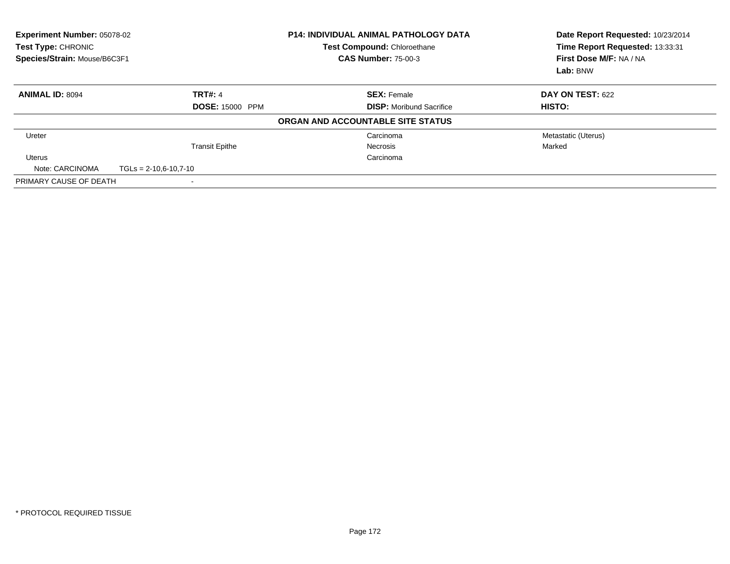| Experiment Number: 05078-02<br>Test Type: CHRONIC<br>Species/Strain: Mouse/B6C3F1 |                         | <b>P14: INDIVIDUAL ANIMAL PATHOLOGY DATA</b><br>Test Compound: Chloroethane<br><b>CAS Number: 75-00-3</b> | Date Report Requested: 10/23/2014<br>Time Report Requested: 13:33:31<br>First Dose M/F: NA / NA<br>Lab: BNW |
|-----------------------------------------------------------------------------------|-------------------------|-----------------------------------------------------------------------------------------------------------|-------------------------------------------------------------------------------------------------------------|
| <b>ANIMAL ID: 8094</b>                                                            | <b>TRT#: 4</b>          | <b>SEX: Female</b>                                                                                        | <b>DAY ON TEST: 622</b>                                                                                     |
|                                                                                   | <b>DOSE: 15000 PPM</b>  | <b>DISP:</b> Moribund Sacrifice                                                                           | HISTO:                                                                                                      |
|                                                                                   |                         | ORGAN AND ACCOUNTABLE SITE STATUS                                                                         |                                                                                                             |
| Ureter                                                                            |                         | Carcinoma                                                                                                 | Metastatic (Uterus)                                                                                         |
|                                                                                   | <b>Transit Epithe</b>   | <b>Necrosis</b>                                                                                           | Marked                                                                                                      |
| <b>Uterus</b>                                                                     |                         | Carcinoma                                                                                                 |                                                                                                             |
| Note: CARCINOMA                                                                   | $TGLs = 2-10.6-10.7-10$ |                                                                                                           |                                                                                                             |
| PRIMARY CAUSE OF DEATH                                                            |                         |                                                                                                           |                                                                                                             |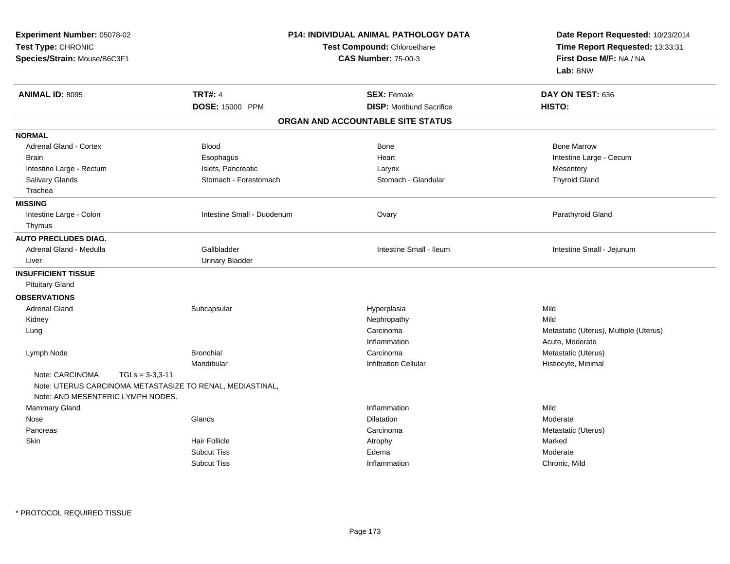| Experiment Number: 05078-02<br>Test Type: CHRONIC<br>Species/Strain: Mouse/B6C3F1                                                      |                            | <b>P14: INDIVIDUAL ANIMAL PATHOLOGY DATA</b><br>Test Compound: Chloroethane<br><b>CAS Number: 75-00-3</b> |                                        |  |
|----------------------------------------------------------------------------------------------------------------------------------------|----------------------------|-----------------------------------------------------------------------------------------------------------|----------------------------------------|--|
| <b>ANIMAL ID: 8095</b>                                                                                                                 | <b>TRT#: 4</b>             | <b>SEX: Female</b>                                                                                        | DAY ON TEST: 636                       |  |
|                                                                                                                                        | <b>DOSE: 15000 PPM</b>     | <b>DISP:</b> Moribund Sacrifice                                                                           | HISTO:                                 |  |
|                                                                                                                                        |                            | ORGAN AND ACCOUNTABLE SITE STATUS                                                                         |                                        |  |
| <b>NORMAL</b>                                                                                                                          |                            |                                                                                                           |                                        |  |
| Adrenal Gland - Cortex                                                                                                                 | <b>Blood</b>               | Bone                                                                                                      | <b>Bone Marrow</b>                     |  |
| <b>Brain</b>                                                                                                                           | Esophagus                  | Heart                                                                                                     | Intestine Large - Cecum                |  |
| Intestine Large - Rectum                                                                                                               | Islets, Pancreatic         | Larynx                                                                                                    | Mesentery                              |  |
| Salivary Glands                                                                                                                        | Stomach - Forestomach      | Stomach - Glandular                                                                                       | <b>Thyroid Gland</b>                   |  |
| Trachea                                                                                                                                |                            |                                                                                                           |                                        |  |
| <b>MISSING</b>                                                                                                                         |                            |                                                                                                           |                                        |  |
| Intestine Large - Colon                                                                                                                | Intestine Small - Duodenum | Ovary                                                                                                     | Parathyroid Gland                      |  |
| Thymus                                                                                                                                 |                            |                                                                                                           |                                        |  |
| <b>AUTO PRECLUDES DIAG.</b>                                                                                                            |                            |                                                                                                           |                                        |  |
| Adrenal Gland - Medulla                                                                                                                | Gallbladder                | Intestine Small - Ileum                                                                                   | Intestine Small - Jejunum              |  |
| Liver                                                                                                                                  | <b>Urinary Bladder</b>     |                                                                                                           |                                        |  |
| <b>INSUFFICIENT TISSUE</b>                                                                                                             |                            |                                                                                                           |                                        |  |
| <b>Pituitary Gland</b>                                                                                                                 |                            |                                                                                                           |                                        |  |
| <b>OBSERVATIONS</b>                                                                                                                    |                            |                                                                                                           |                                        |  |
| <b>Adrenal Gland</b>                                                                                                                   | Subcapsular                | Hyperplasia                                                                                               | Mild                                   |  |
| Kidney                                                                                                                                 |                            | Nephropathy                                                                                               | Mild                                   |  |
| Lung                                                                                                                                   |                            | Carcinoma                                                                                                 | Metastatic (Uterus), Multiple (Uterus) |  |
|                                                                                                                                        |                            | Inflammation                                                                                              | Acute, Moderate                        |  |
| Lymph Node                                                                                                                             | <b>Bronchial</b>           | Carcinoma                                                                                                 | Metastatic (Uterus)                    |  |
|                                                                                                                                        | Mandibular                 | <b>Infiltration Cellular</b>                                                                              | Histiocyte, Minimal                    |  |
| Note: CARCINOMA<br>$TGLs = 3-3,3-11$<br>Note: UTERUS CARCINOMA METASTASIZE TO RENAL, MEDIASTINAL,<br>Note: AND MESENTERIC LYMPH NODES. |                            |                                                                                                           |                                        |  |
| Mammary Gland                                                                                                                          |                            | Inflammation                                                                                              | Mild                                   |  |
| Nose                                                                                                                                   | Glands                     | Dilatation                                                                                                | Moderate                               |  |
| Pancreas                                                                                                                               |                            | Carcinoma                                                                                                 | Metastatic (Uterus)                    |  |
| Skin                                                                                                                                   | <b>Hair Follicle</b>       | Atrophy                                                                                                   | Marked                                 |  |
|                                                                                                                                        | <b>Subcut Tiss</b>         | Edema                                                                                                     | Moderate                               |  |
|                                                                                                                                        | <b>Subcut Tiss</b>         | Inflammation                                                                                              | Chronic, Mild                          |  |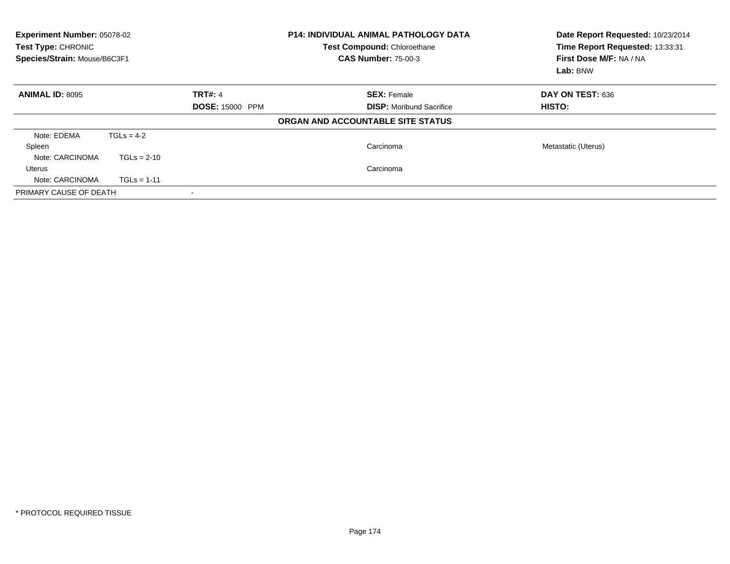| Experiment Number: 05078-02<br>Test Type: CHRONIC<br>Species/Strain: Mouse/B6C3F1 |                        |                          | <b>P14: INDIVIDUAL ANIMAL PATHOLOGY DATA</b><br>Test Compound: Chloroethane<br><b>CAS Number: 75-00-3</b> | Date Report Requested: 10/23/2014<br>Time Report Requested: 13:33:31<br>First Dose M/F: NA / NA<br>Lab: BNW |  |
|-----------------------------------------------------------------------------------|------------------------|--------------------------|-----------------------------------------------------------------------------------------------------------|-------------------------------------------------------------------------------------------------------------|--|
| <b>ANIMAL ID: 8095</b>                                                            |                        | TRT#: 4                  | <b>SEX: Female</b>                                                                                        | DAY ON TEST: 636                                                                                            |  |
|                                                                                   | <b>DOSE: 15000 PPM</b> |                          | <b>DISP:</b> Moribund Sacrifice                                                                           | <b>HISTO:</b>                                                                                               |  |
|                                                                                   |                        |                          | ORGAN AND ACCOUNTABLE SITE STATUS                                                                         |                                                                                                             |  |
| Note: EDEMA                                                                       | $TGLs = 4-2$           |                          |                                                                                                           |                                                                                                             |  |
| Spleen                                                                            |                        |                          | Carcinoma                                                                                                 | Metastatic (Uterus)                                                                                         |  |
| Note: CARCINOMA                                                                   | $TGLs = 2-10$          |                          |                                                                                                           |                                                                                                             |  |
| Uterus                                                                            |                        |                          | Carcinoma                                                                                                 |                                                                                                             |  |
| Note: CARCINOMA                                                                   | $TGLs = 1-11$          |                          |                                                                                                           |                                                                                                             |  |
| PRIMARY CAUSE OF DEATH                                                            |                        | $\overline{\phantom{a}}$ |                                                                                                           |                                                                                                             |  |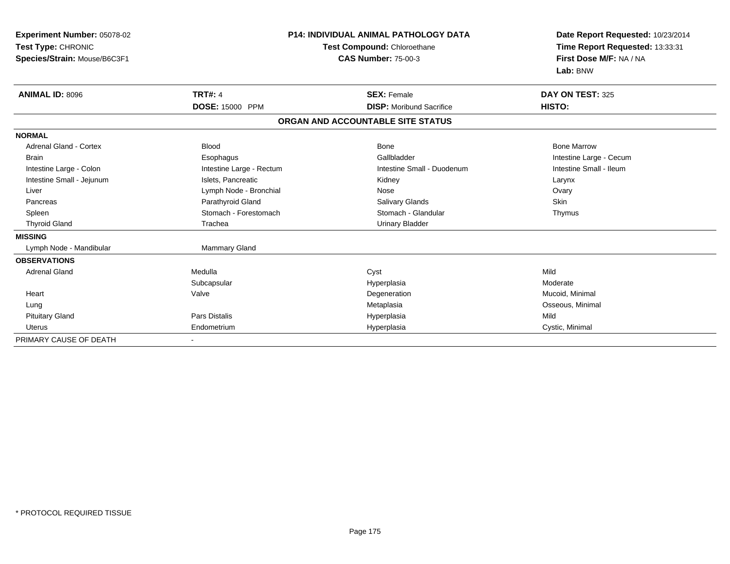| Experiment Number: 05078-02<br>Test Type: CHRONIC<br>Species/Strain: Mouse/B6C3F1 | P14: INDIVIDUAL ANIMAL PATHOLOGY DATA<br>Test Compound: Chloroethane<br><b>CAS Number: 75-00-3</b> |                                   | Date Report Requested: 10/23/2014<br>Time Report Requested: 13:33:31<br>First Dose M/F: NA / NA<br>Lab: BNW |
|-----------------------------------------------------------------------------------|----------------------------------------------------------------------------------------------------|-----------------------------------|-------------------------------------------------------------------------------------------------------------|
| <b>ANIMAL ID: 8096</b>                                                            | <b>TRT#: 4</b>                                                                                     | <b>SEX: Female</b>                | DAY ON TEST: 325                                                                                            |
|                                                                                   | DOSE: 15000 PPM                                                                                    | <b>DISP:</b> Moribund Sacrifice   | HISTO:                                                                                                      |
|                                                                                   |                                                                                                    | ORGAN AND ACCOUNTABLE SITE STATUS |                                                                                                             |
| <b>NORMAL</b>                                                                     |                                                                                                    |                                   |                                                                                                             |
| <b>Adrenal Gland - Cortex</b>                                                     | <b>Blood</b>                                                                                       | <b>Bone</b>                       | <b>Bone Marrow</b>                                                                                          |
| <b>Brain</b>                                                                      | Esophagus                                                                                          | Gallbladder                       | Intestine Large - Cecum                                                                                     |
| Intestine Large - Colon                                                           | Intestine Large - Rectum                                                                           | Intestine Small - Duodenum        | Intestine Small - Ileum                                                                                     |
| Intestine Small - Jejunum                                                         | Islets, Pancreatic                                                                                 | Kidney                            | Larynx                                                                                                      |
| Liver                                                                             | Lymph Node - Bronchial                                                                             | Nose                              | Ovary                                                                                                       |
| Pancreas                                                                          | Parathyroid Gland                                                                                  | <b>Salivary Glands</b>            | Skin                                                                                                        |
| Spleen                                                                            | Stomach - Forestomach                                                                              | Stomach - Glandular               | Thymus                                                                                                      |
| <b>Thyroid Gland</b>                                                              | Trachea                                                                                            | <b>Urinary Bladder</b>            |                                                                                                             |
| <b>MISSING</b>                                                                    |                                                                                                    |                                   |                                                                                                             |
| Lymph Node - Mandibular                                                           | Mammary Gland                                                                                      |                                   |                                                                                                             |
| <b>OBSERVATIONS</b>                                                               |                                                                                                    |                                   |                                                                                                             |
| <b>Adrenal Gland</b>                                                              | Medulla                                                                                            | Cyst                              | Mild                                                                                                        |
|                                                                                   | Subcapsular                                                                                        | Hyperplasia                       | Moderate                                                                                                    |
| Heart                                                                             | Valve                                                                                              | Degeneration                      | Mucoid, Minimal                                                                                             |
| Lung                                                                              |                                                                                                    | Metaplasia                        | Osseous, Minimal                                                                                            |
| <b>Pituitary Gland</b>                                                            | <b>Pars Distalis</b>                                                                               | Hyperplasia                       | Mild                                                                                                        |
| <b>Uterus</b>                                                                     | Endometrium                                                                                        | Hyperplasia                       | Cystic, Minimal                                                                                             |
| PRIMARY CAUSE OF DEATH                                                            | $\blacksquare$                                                                                     |                                   |                                                                                                             |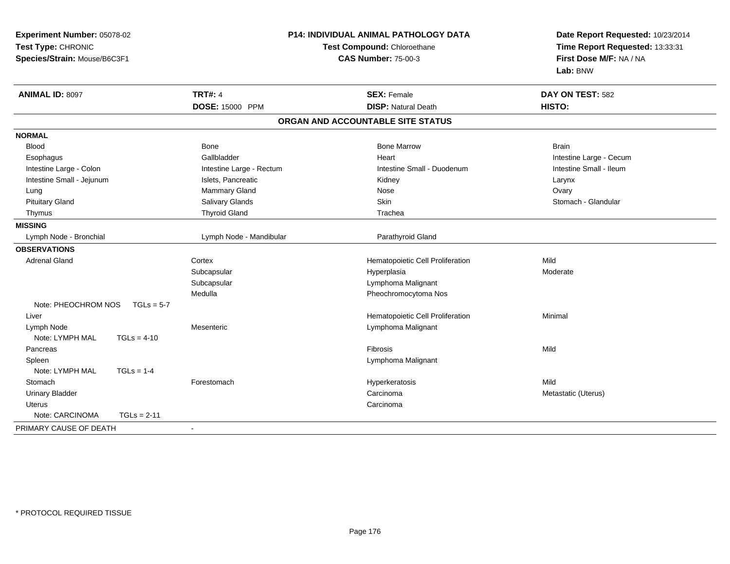| Experiment Number: 05078-02         |                          | <b>P14: INDIVIDUAL ANIMAL PATHOLOGY DATA</b> | Date Report Requested: 10/23/2014 |  |
|-------------------------------------|--------------------------|----------------------------------------------|-----------------------------------|--|
| Test Type: CHRONIC                  |                          | Test Compound: Chloroethane                  | Time Report Requested: 13:33:31   |  |
| Species/Strain: Mouse/B6C3F1        |                          | <b>CAS Number: 75-00-3</b>                   | First Dose M/F: NA / NA           |  |
|                                     |                          |                                              | Lab: BNW                          |  |
| ANIMAL ID: 8097                     | <b>TRT#: 4</b>           | <b>SEX: Female</b>                           | DAY ON TEST: 582                  |  |
|                                     | DOSE: 15000 PPM          | <b>DISP: Natural Death</b>                   | HISTO:                            |  |
|                                     |                          | ORGAN AND ACCOUNTABLE SITE STATUS            |                                   |  |
| <b>NORMAL</b>                       |                          |                                              |                                   |  |
| <b>Blood</b>                        | Bone                     | <b>Bone Marrow</b>                           | <b>Brain</b>                      |  |
| Esophagus                           | Gallbladder              | Heart                                        | Intestine Large - Cecum           |  |
| Intestine Large - Colon             | Intestine Large - Rectum | Intestine Small - Duodenum                   | Intestine Small - Ileum           |  |
| Intestine Small - Jejunum           | Islets, Pancreatic       | Kidney                                       | Larynx                            |  |
| Lung                                | Mammary Gland            | Nose                                         | Ovary                             |  |
| <b>Pituitary Gland</b>              | Salivary Glands          | Skin                                         | Stomach - Glandular               |  |
| Thymus                              | <b>Thyroid Gland</b>     | Trachea                                      |                                   |  |
| <b>MISSING</b>                      |                          |                                              |                                   |  |
| Lymph Node - Bronchial              | Lymph Node - Mandibular  | Parathyroid Gland                            |                                   |  |
| <b>OBSERVATIONS</b>                 |                          |                                              |                                   |  |
| <b>Adrenal Gland</b>                | Cortex                   | Hematopoietic Cell Proliferation             | Mild                              |  |
|                                     | Subcapsular              | Hyperplasia                                  | Moderate                          |  |
|                                     | Subcapsular              | Lymphoma Malignant                           |                                   |  |
|                                     | Medulla                  | Pheochromocytoma Nos                         |                                   |  |
| Note: PHEOCHROM NOS<br>$TGLs = 5-7$ |                          |                                              |                                   |  |
| Liver                               |                          | Hematopoietic Cell Proliferation             | Minimal                           |  |
| Lymph Node                          | Mesenteric               | Lymphoma Malignant                           |                                   |  |
| Note: LYMPH MAL<br>$TGLs = 4-10$    |                          |                                              |                                   |  |
| Pancreas                            |                          | Fibrosis                                     | Mild                              |  |
| Spleen                              |                          | Lymphoma Malignant                           |                                   |  |
| Note: LYMPH MAL<br>$TGLs = 1-4$     |                          |                                              |                                   |  |
| Stomach                             | Forestomach              | Hyperkeratosis                               | Mild                              |  |
| Urinary Bladder                     |                          | Carcinoma                                    | Metastatic (Uterus)               |  |
| Uterus                              |                          | Carcinoma                                    |                                   |  |
| Note: CARCINOMA<br>$TGLs = 2-11$    |                          |                                              |                                   |  |
| PRIMARY CAUSE OF DEATH              |                          |                                              |                                   |  |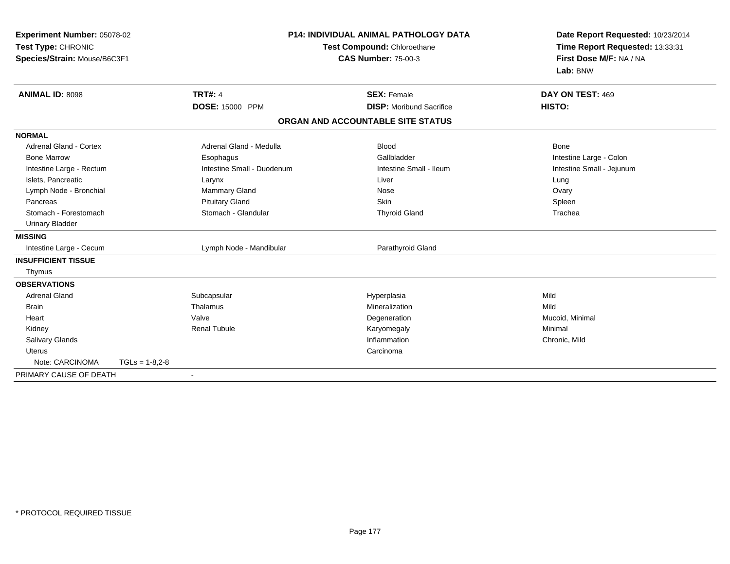| Experiment Number: 05078-02<br>Test Type: CHRONIC<br>Species/Strain: Mouse/B6C3F1 |                  |                            | <b>P14: INDIVIDUAL ANIMAL PATHOLOGY DATA</b><br>Test Compound: Chloroethane<br><b>CAS Number: 75-00-3</b> |                                   | Date Report Requested: 10/23/2014<br>Time Report Requested: 13:33:31<br>First Dose M/F: NA / NA<br>Lab: BNW |  |
|-----------------------------------------------------------------------------------|------------------|----------------------------|-----------------------------------------------------------------------------------------------------------|-----------------------------------|-------------------------------------------------------------------------------------------------------------|--|
| ANIMAL ID: 8098                                                                   |                  | <b>TRT#: 4</b>             |                                                                                                           | <b>SEX: Female</b>                | DAY ON TEST: 469                                                                                            |  |
|                                                                                   |                  | DOSE: 15000 PPM            |                                                                                                           | <b>DISP:</b> Moribund Sacrifice   | HISTO:                                                                                                      |  |
|                                                                                   |                  |                            |                                                                                                           | ORGAN AND ACCOUNTABLE SITE STATUS |                                                                                                             |  |
| <b>NORMAL</b>                                                                     |                  |                            |                                                                                                           |                                   |                                                                                                             |  |
| <b>Adrenal Gland - Cortex</b>                                                     |                  | Adrenal Gland - Medulla    |                                                                                                           | <b>Blood</b>                      | Bone                                                                                                        |  |
| <b>Bone Marrow</b>                                                                |                  | Esophagus                  |                                                                                                           | Gallbladder                       | Intestine Large - Colon                                                                                     |  |
| Intestine Large - Rectum                                                          |                  | Intestine Small - Duodenum |                                                                                                           | Intestine Small - Ileum           | Intestine Small - Jejunum                                                                                   |  |
| Islets, Pancreatic                                                                |                  | Larynx                     |                                                                                                           | Liver                             | Lung                                                                                                        |  |
| Lymph Node - Bronchial                                                            |                  | Mammary Gland              |                                                                                                           | Nose                              | Ovary                                                                                                       |  |
| Pancreas                                                                          |                  | <b>Pituitary Gland</b>     |                                                                                                           | Skin                              | Spleen                                                                                                      |  |
| Stomach - Forestomach                                                             |                  | Stomach - Glandular        |                                                                                                           | <b>Thyroid Gland</b>              | Trachea                                                                                                     |  |
| <b>Urinary Bladder</b>                                                            |                  |                            |                                                                                                           |                                   |                                                                                                             |  |
| <b>MISSING</b>                                                                    |                  |                            |                                                                                                           |                                   |                                                                                                             |  |
| Intestine Large - Cecum                                                           |                  | Lymph Node - Mandibular    |                                                                                                           | Parathyroid Gland                 |                                                                                                             |  |
| <b>INSUFFICIENT TISSUE</b>                                                        |                  |                            |                                                                                                           |                                   |                                                                                                             |  |
| Thymus                                                                            |                  |                            |                                                                                                           |                                   |                                                                                                             |  |
| <b>OBSERVATIONS</b>                                                               |                  |                            |                                                                                                           |                                   |                                                                                                             |  |
| <b>Adrenal Gland</b>                                                              |                  | Subcapsular                |                                                                                                           | Hyperplasia                       | Mild                                                                                                        |  |
| <b>Brain</b>                                                                      |                  | Thalamus                   |                                                                                                           | Mineralization                    | Mild                                                                                                        |  |
| Heart                                                                             |                  | Valve                      |                                                                                                           | Degeneration                      | Mucoid, Minimal                                                                                             |  |
| Kidney                                                                            |                  | <b>Renal Tubule</b>        |                                                                                                           | Karyomegaly                       | Minimal                                                                                                     |  |
| <b>Salivary Glands</b>                                                            |                  |                            |                                                                                                           | Inflammation                      | Chronic, Mild                                                                                               |  |
| <b>Uterus</b>                                                                     |                  |                            |                                                                                                           | Carcinoma                         |                                                                                                             |  |
| Note: CARCINOMA                                                                   | $TGLs = 1-8.2-8$ |                            |                                                                                                           |                                   |                                                                                                             |  |
| PRIMARY CAUSE OF DEATH                                                            |                  | $\blacksquare$             |                                                                                                           |                                   |                                                                                                             |  |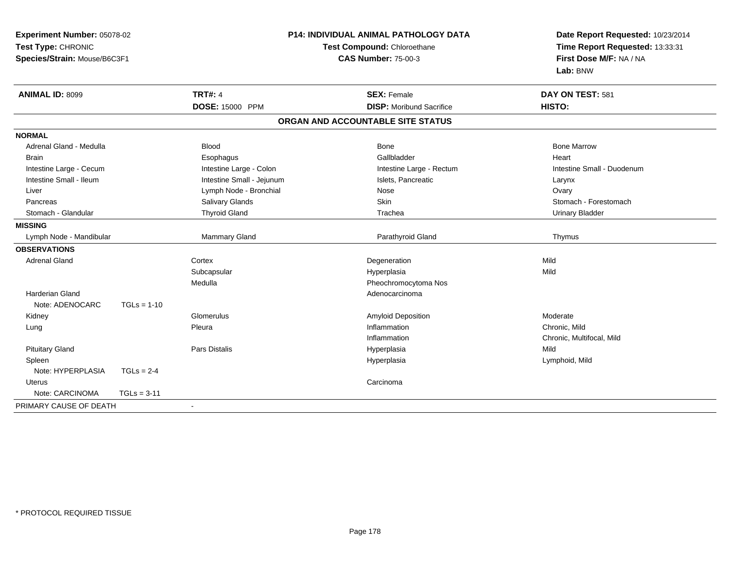| <b>Experiment Number: 05078-02</b><br>Test Type: CHRONIC |               |                           | <b>P14: INDIVIDUAL ANIMAL PATHOLOGY DATA</b><br>Test Compound: Chloroethane | Date Report Requested: 10/23/2014<br>Time Report Requested: 13:33:31 |
|----------------------------------------------------------|---------------|---------------------------|-----------------------------------------------------------------------------|----------------------------------------------------------------------|
| Species/Strain: Mouse/B6C3F1                             |               |                           | <b>CAS Number: 75-00-3</b>                                                  | First Dose M/F: NA / NA                                              |
|                                                          |               |                           |                                                                             | Lab: BNW                                                             |
| <b>ANIMAL ID: 8099</b>                                   |               | <b>TRT#: 4</b>            | <b>SEX: Female</b>                                                          | DAY ON TEST: 581                                                     |
|                                                          |               | DOSE: 15000 PPM           | <b>DISP:</b> Moribund Sacrifice                                             | HISTO:                                                               |
|                                                          |               |                           | ORGAN AND ACCOUNTABLE SITE STATUS                                           |                                                                      |
| <b>NORMAL</b>                                            |               |                           |                                                                             |                                                                      |
| Adrenal Gland - Medulla                                  |               | <b>Blood</b>              | Bone                                                                        | <b>Bone Marrow</b>                                                   |
| Brain                                                    |               | Esophagus                 | Gallbladder                                                                 | Heart                                                                |
| Intestine Large - Cecum                                  |               | Intestine Large - Colon   | Intestine Large - Rectum                                                    | Intestine Small - Duodenum                                           |
| Intestine Small - Ileum                                  |               | Intestine Small - Jejunum | Islets, Pancreatic                                                          | Larynx                                                               |
| Liver                                                    |               | Lymph Node - Bronchial    | Nose                                                                        | Ovary                                                                |
| Pancreas                                                 |               | Salivary Glands           | Skin                                                                        | Stomach - Forestomach                                                |
| Stomach - Glandular                                      |               | <b>Thyroid Gland</b>      | Trachea                                                                     | <b>Urinary Bladder</b>                                               |
| <b>MISSING</b>                                           |               |                           |                                                                             |                                                                      |
| Lymph Node - Mandibular                                  |               | Mammary Gland             | Parathyroid Gland                                                           | Thymus                                                               |
| <b>OBSERVATIONS</b>                                      |               |                           |                                                                             |                                                                      |
| <b>Adrenal Gland</b>                                     |               | Cortex                    | Degeneration                                                                | Mild                                                                 |
|                                                          |               | Subcapsular               | Hyperplasia                                                                 | Mild                                                                 |
|                                                          |               | Medulla                   | Pheochromocytoma Nos                                                        |                                                                      |
| Harderian Gland                                          |               |                           | Adenocarcinoma                                                              |                                                                      |
| Note: ADENOCARC                                          | $TGLs = 1-10$ |                           |                                                                             |                                                                      |
| Kidney                                                   |               | Glomerulus                | Amyloid Deposition                                                          | Moderate                                                             |
| Lung                                                     |               | Pleura                    | Inflammation                                                                | Chronic, Mild                                                        |
|                                                          |               |                           | Inflammation                                                                | Chronic, Multifocal, Mild                                            |
| <b>Pituitary Gland</b>                                   |               | Pars Distalis             | Hyperplasia                                                                 | Mild                                                                 |
| Spleen                                                   |               |                           | Hyperplasia                                                                 | Lymphoid, Mild                                                       |
| Note: HYPERPLASIA                                        | $TGLs = 2-4$  |                           |                                                                             |                                                                      |
| <b>Uterus</b>                                            |               |                           | Carcinoma                                                                   |                                                                      |
| Note: CARCINOMA                                          | $TGLs = 3-11$ |                           |                                                                             |                                                                      |
| PRIMARY CAUSE OF DEATH                                   |               | $\blacksquare$            |                                                                             |                                                                      |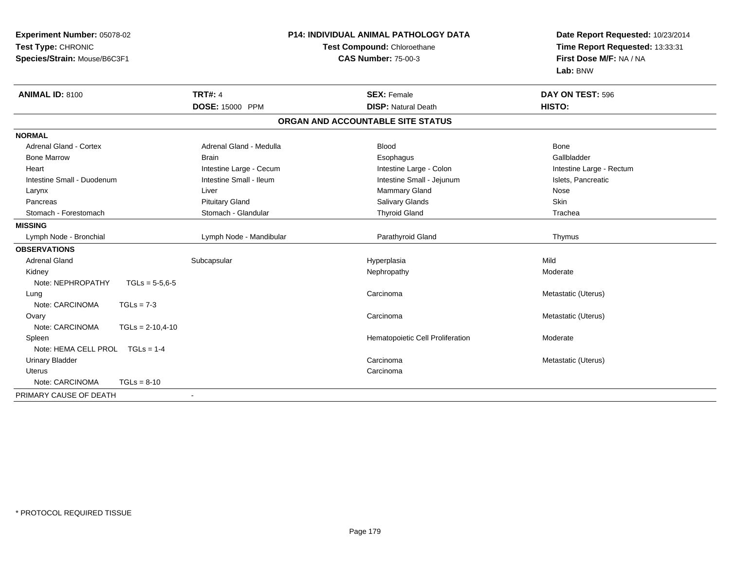| Experiment Number: 05078-02<br>Test Type: CHRONIC<br>Species/Strain: Mouse/B6C3F1 |                         | <b>P14: INDIVIDUAL ANIMAL PATHOLOGY DATA</b><br>Test Compound: Chloroethane<br><b>CAS Number: 75-00-3</b> | Date Report Requested: 10/23/2014<br>Time Report Requested: 13:33:31<br>First Dose M/F: NA / NA |
|-----------------------------------------------------------------------------------|-------------------------|-----------------------------------------------------------------------------------------------------------|-------------------------------------------------------------------------------------------------|
|                                                                                   |                         |                                                                                                           | Lab: BNW                                                                                        |
| <b>ANIMAL ID: 8100</b>                                                            | <b>TRT#: 4</b>          | <b>SEX: Female</b>                                                                                        | DAY ON TEST: 596                                                                                |
|                                                                                   | DOSE: 15000 PPM         | <b>DISP: Natural Death</b>                                                                                | HISTO:                                                                                          |
|                                                                                   |                         | ORGAN AND ACCOUNTABLE SITE STATUS                                                                         |                                                                                                 |
| <b>NORMAL</b>                                                                     |                         |                                                                                                           |                                                                                                 |
| Adrenal Gland - Cortex                                                            | Adrenal Gland - Medulla | <b>Blood</b>                                                                                              | Bone                                                                                            |
| <b>Bone Marrow</b>                                                                | <b>Brain</b>            | Esophagus                                                                                                 | Gallbladder                                                                                     |
| Heart                                                                             | Intestine Large - Cecum | Intestine Large - Colon                                                                                   | Intestine Large - Rectum                                                                        |
| Intestine Small - Duodenum                                                        | Intestine Small - Ileum | Intestine Small - Jejunum                                                                                 | Islets, Pancreatic                                                                              |
| Larynx                                                                            | Liver                   | Mammary Gland                                                                                             | Nose                                                                                            |
| Pancreas                                                                          | <b>Pituitary Gland</b>  | Salivary Glands                                                                                           | Skin                                                                                            |
| Stomach - Forestomach                                                             | Stomach - Glandular     | <b>Thyroid Gland</b>                                                                                      | Trachea                                                                                         |
| <b>MISSING</b>                                                                    |                         |                                                                                                           |                                                                                                 |
| Lymph Node - Bronchial                                                            | Lymph Node - Mandibular | Parathyroid Gland                                                                                         | Thymus                                                                                          |
| <b>OBSERVATIONS</b>                                                               |                         |                                                                                                           |                                                                                                 |
| <b>Adrenal Gland</b>                                                              | Subcapsular             | Hyperplasia                                                                                               | Mild                                                                                            |
| Kidney                                                                            |                         | Nephropathy                                                                                               | Moderate                                                                                        |
| Note: NEPHROPATHY<br>$TGLs = 5-5,6-5$                                             |                         |                                                                                                           |                                                                                                 |
| Lung                                                                              |                         | Carcinoma                                                                                                 | Metastatic (Uterus)                                                                             |
| Note: CARCINOMA<br>$TGLs = 7-3$                                                   |                         |                                                                                                           |                                                                                                 |
| Ovary                                                                             |                         | Carcinoma                                                                                                 | Metastatic (Uterus)                                                                             |
| Note: CARCINOMA<br>$TGLs = 2-10,4-10$                                             |                         |                                                                                                           |                                                                                                 |
| Spleen                                                                            |                         | Hematopoietic Cell Proliferation                                                                          | Moderate                                                                                        |
| Note: HEMA CELL PROL<br>$TGLs = 1-4$                                              |                         |                                                                                                           |                                                                                                 |
| <b>Urinary Bladder</b>                                                            |                         | Carcinoma                                                                                                 | Metastatic (Uterus)                                                                             |
| <b>Uterus</b>                                                                     |                         | Carcinoma                                                                                                 |                                                                                                 |
| Note: CARCINOMA<br>$TGLs = 8-10$                                                  |                         |                                                                                                           |                                                                                                 |
| PRIMARY CAUSE OF DEATH                                                            |                         |                                                                                                           |                                                                                                 |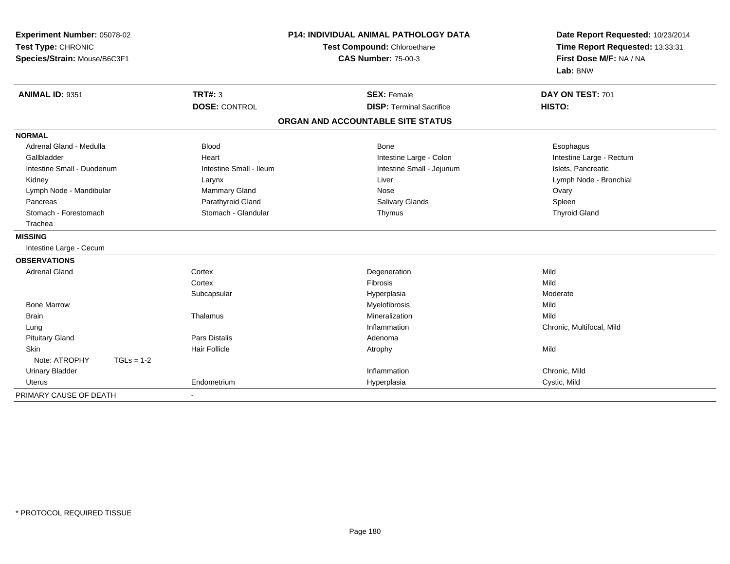| Experiment Number: 05078-02   | P14: INDIVIDUAL ANIMAL PATHOLOGY DATA |                                   | Date Report Requested: 10/23/2014 |
|-------------------------------|---------------------------------------|-----------------------------------|-----------------------------------|
| Test Type: CHRONIC            |                                       | Test Compound: Chloroethane       | Time Report Requested: 13:33:31   |
| Species/Strain: Mouse/B6C3F1  |                                       | <b>CAS Number: 75-00-3</b>        | First Dose M/F: NA / NA           |
|                               |                                       |                                   | Lab: BNW                          |
| ANIMAL ID: 9351               | <b>TRT#: 3</b>                        | <b>SEX: Female</b>                | DAY ON TEST: 701                  |
|                               | <b>DOSE: CONTROL</b>                  | <b>DISP: Terminal Sacrifice</b>   | HISTO:                            |
|                               |                                       | ORGAN AND ACCOUNTABLE SITE STATUS |                                   |
| <b>NORMAL</b>                 |                                       |                                   |                                   |
| Adrenal Gland - Medulla       | <b>Blood</b>                          | <b>Bone</b>                       | Esophagus                         |
| Gallbladder                   | Heart                                 | Intestine Large - Colon           | Intestine Large - Rectum          |
| Intestine Small - Duodenum    | Intestine Small - Ileum               | Intestine Small - Jejunum         | Islets, Pancreatic                |
| Kidney                        | Larynx                                | Liver                             | Lymph Node - Bronchial            |
| Lymph Node - Mandibular       | Mammary Gland                         | Nose                              | Ovary                             |
| Pancreas                      | Parathyroid Gland                     | <b>Salivary Glands</b>            | Spleen                            |
| Stomach - Forestomach         | Stomach - Glandular                   | Thymus                            | <b>Thyroid Gland</b>              |
| Trachea                       |                                       |                                   |                                   |
| <b>MISSING</b>                |                                       |                                   |                                   |
| Intestine Large - Cecum       |                                       |                                   |                                   |
| <b>OBSERVATIONS</b>           |                                       |                                   |                                   |
| <b>Adrenal Gland</b>          | Cortex                                | Degeneration                      | Mild                              |
|                               | Cortex                                | Fibrosis                          | Mild                              |
|                               | Subcapsular                           | Hyperplasia                       | Moderate                          |
| <b>Bone Marrow</b>            |                                       | Myelofibrosis                     | Mild                              |
| <b>Brain</b>                  | Thalamus                              | Mineralization                    | Mild                              |
| Lung                          |                                       | Inflammation                      | Chronic, Multifocal, Mild         |
| <b>Pituitary Gland</b>        | <b>Pars Distalis</b>                  | Adenoma                           |                                   |
| Skin                          | <b>Hair Follicle</b>                  | Atrophy                           | Mild                              |
| Note: ATROPHY<br>$TGLs = 1-2$ |                                       |                                   |                                   |
| <b>Urinary Bladder</b>        |                                       | Inflammation                      | Chronic, Mild                     |
| <b>Uterus</b>                 | Endometrium                           | Hyperplasia                       | Cystic, Mild                      |
| PRIMARY CAUSE OF DEATH        |                                       |                                   |                                   |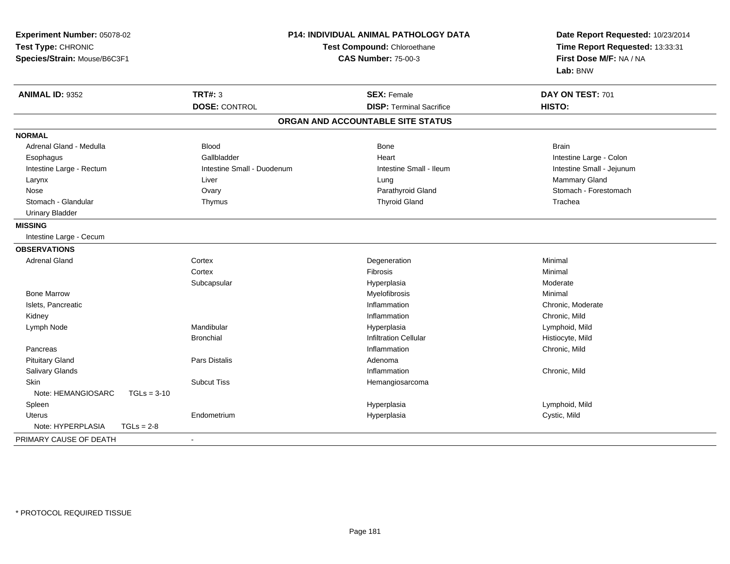| Experiment Number: 05078-02         | <b>P14: INDIVIDUAL ANIMAL PATHOLOGY DATA</b><br>Test Compound: Chloroethane |                                   | Date Report Requested: 10/23/2014<br>Time Report Requested: 13:33:31 |
|-------------------------------------|-----------------------------------------------------------------------------|-----------------------------------|----------------------------------------------------------------------|
| Test Type: CHRONIC                  |                                                                             |                                   |                                                                      |
| Species/Strain: Mouse/B6C3F1        |                                                                             | <b>CAS Number: 75-00-3</b>        | First Dose M/F: NA / NA                                              |
|                                     |                                                                             |                                   | Lab: BNW                                                             |
| <b>ANIMAL ID: 9352</b>              | <b>TRT#: 3</b>                                                              | <b>SEX: Female</b>                | DAY ON TEST: 701                                                     |
|                                     | <b>DOSE: CONTROL</b>                                                        | <b>DISP: Terminal Sacrifice</b>   | HISTO:                                                               |
|                                     |                                                                             | ORGAN AND ACCOUNTABLE SITE STATUS |                                                                      |
| <b>NORMAL</b>                       |                                                                             |                                   |                                                                      |
| Adrenal Gland - Medulla             | <b>Blood</b>                                                                | Bone                              | <b>Brain</b>                                                         |
| Esophagus                           | Gallbladder                                                                 | Heart                             | Intestine Large - Colon                                              |
| Intestine Large - Rectum            | Intestine Small - Duodenum                                                  | Intestine Small - Ileum           | Intestine Small - Jejunum                                            |
| Larynx                              | Liver                                                                       | Lung                              | Mammary Gland                                                        |
| Nose                                | Ovary                                                                       | Parathyroid Gland                 | Stomach - Forestomach                                                |
| Stomach - Glandular                 | Thymus                                                                      | <b>Thyroid Gland</b>              | Trachea                                                              |
| <b>Urinary Bladder</b>              |                                                                             |                                   |                                                                      |
| <b>MISSING</b>                      |                                                                             |                                   |                                                                      |
| Intestine Large - Cecum             |                                                                             |                                   |                                                                      |
| <b>OBSERVATIONS</b>                 |                                                                             |                                   |                                                                      |
| <b>Adrenal Gland</b>                | Cortex                                                                      | Degeneration                      | Minimal                                                              |
|                                     | Cortex                                                                      | Fibrosis                          | Minimal                                                              |
|                                     | Subcapsular                                                                 | Hyperplasia                       | Moderate                                                             |
| <b>Bone Marrow</b>                  |                                                                             | Myelofibrosis                     | Minimal                                                              |
| Islets, Pancreatic                  |                                                                             | Inflammation                      | Chronic, Moderate                                                    |
| Kidney                              |                                                                             | Inflammation                      | Chronic, Mild                                                        |
| Lymph Node                          | Mandibular                                                                  | Hyperplasia                       | Lymphoid, Mild                                                       |
|                                     | <b>Bronchial</b>                                                            | <b>Infiltration Cellular</b>      | Histiocyte, Mild                                                     |
| Pancreas                            |                                                                             | Inflammation                      | Chronic, Mild                                                        |
| <b>Pituitary Gland</b>              | Pars Distalis                                                               | Adenoma                           |                                                                      |
| Salivary Glands                     |                                                                             | Inflammation                      | Chronic, Mild                                                        |
| <b>Skin</b>                         | <b>Subcut Tiss</b>                                                          | Hemangiosarcoma                   |                                                                      |
| Note: HEMANGIOSARC<br>$TGLs = 3-10$ |                                                                             |                                   |                                                                      |
| Spleen                              |                                                                             | Hyperplasia                       | Lymphoid, Mild                                                       |
| <b>Uterus</b>                       | Endometrium                                                                 | Hyperplasia                       | Cystic, Mild                                                         |
| Note: HYPERPLASIA<br>$TGLs = 2-8$   |                                                                             |                                   |                                                                      |
| PRIMARY CAUSE OF DEATH              | $\blacksquare$                                                              |                                   |                                                                      |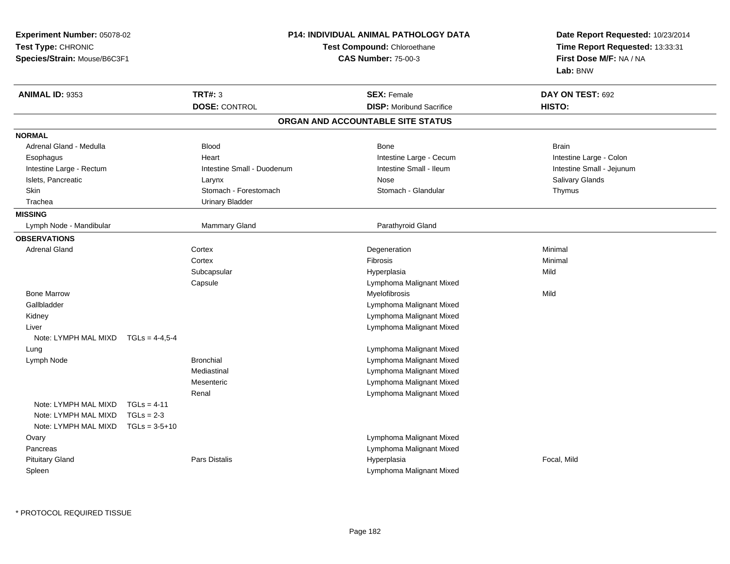| Experiment Number: 05078-02  |                  |                             | P14: INDIVIDUAL ANIMAL PATHOLOGY DATA | Date Report Requested: 10/23/2014 |
|------------------------------|------------------|-----------------------------|---------------------------------------|-----------------------------------|
| Test Type: CHRONIC           |                  | Test Compound: Chloroethane |                                       | Time Report Requested: 13:33:31   |
| Species/Strain: Mouse/B6C3F1 |                  |                             | <b>CAS Number: 75-00-3</b>            | First Dose M/F: NA / NA           |
|                              |                  |                             |                                       | Lab: BNW                          |
| ANIMAL ID: 9353              |                  | <b>TRT#: 3</b>              | <b>SEX: Female</b>                    | DAY ON TEST: 692                  |
|                              |                  | <b>DOSE: CONTROL</b>        | <b>DISP: Moribund Sacrifice</b>       | HISTO:                            |
|                              |                  |                             | ORGAN AND ACCOUNTABLE SITE STATUS     |                                   |
| <b>NORMAL</b>                |                  |                             |                                       |                                   |
| Adrenal Gland - Medulla      |                  | <b>Blood</b>                | <b>Bone</b>                           | <b>Brain</b>                      |
| Esophagus                    |                  | Heart                       | Intestine Large - Cecum               | Intestine Large - Colon           |
| Intestine Large - Rectum     |                  | Intestine Small - Duodenum  | Intestine Small - Ileum               | Intestine Small - Jejunum         |
| Islets, Pancreatic           |                  | Larynx                      | Nose                                  | Salivary Glands                   |
| Skin                         |                  | Stomach - Forestomach       | Stomach - Glandular                   | Thymus                            |
| Trachea                      |                  | <b>Urinary Bladder</b>      |                                       |                                   |
| <b>MISSING</b>               |                  |                             |                                       |                                   |
| Lymph Node - Mandibular      |                  | Mammary Gland               | Parathyroid Gland                     |                                   |
| <b>OBSERVATIONS</b>          |                  |                             |                                       |                                   |
| <b>Adrenal Gland</b>         |                  | Cortex                      | Degeneration                          | Minimal                           |
|                              |                  | Cortex                      | Fibrosis                              | Minimal                           |
|                              |                  | Subcapsular                 | Hyperplasia                           | Mild                              |
|                              |                  | Capsule                     | Lymphoma Malignant Mixed              |                                   |
| <b>Bone Marrow</b>           |                  |                             | Myelofibrosis                         | Mild                              |
| Gallbladder                  |                  |                             | Lymphoma Malignant Mixed              |                                   |
| Kidney                       |                  |                             | Lymphoma Malignant Mixed              |                                   |
| Liver                        |                  |                             | Lymphoma Malignant Mixed              |                                   |
| Note: LYMPH MAL MIXD         | $TGLS = 4-4.5-4$ |                             |                                       |                                   |
| Lung                         |                  |                             | Lymphoma Malignant Mixed              |                                   |
| Lymph Node                   |                  | <b>Bronchial</b>            | Lymphoma Malignant Mixed              |                                   |
|                              |                  | Mediastinal                 | Lymphoma Malignant Mixed              |                                   |
|                              |                  | Mesenteric                  | Lymphoma Malignant Mixed              |                                   |
|                              |                  | Renal                       | Lymphoma Malignant Mixed              |                                   |
| Note: LYMPH MAL MIXD         | $TGLs = 4-11$    |                             |                                       |                                   |
| Note: LYMPH MAL MIXD         | $TGLs = 2-3$     |                             |                                       |                                   |
| Note: LYMPH MAL MIXD         | $TGLs = 3-5+10$  |                             |                                       |                                   |
| Ovary                        |                  |                             | Lymphoma Malignant Mixed              |                                   |
| Pancreas                     |                  |                             | Lymphoma Malignant Mixed              |                                   |
| <b>Pituitary Gland</b>       |                  | Pars Distalis               | Hyperplasia                           | Focal, Mild                       |
| Spleen                       |                  |                             | Lymphoma Malignant Mixed              |                                   |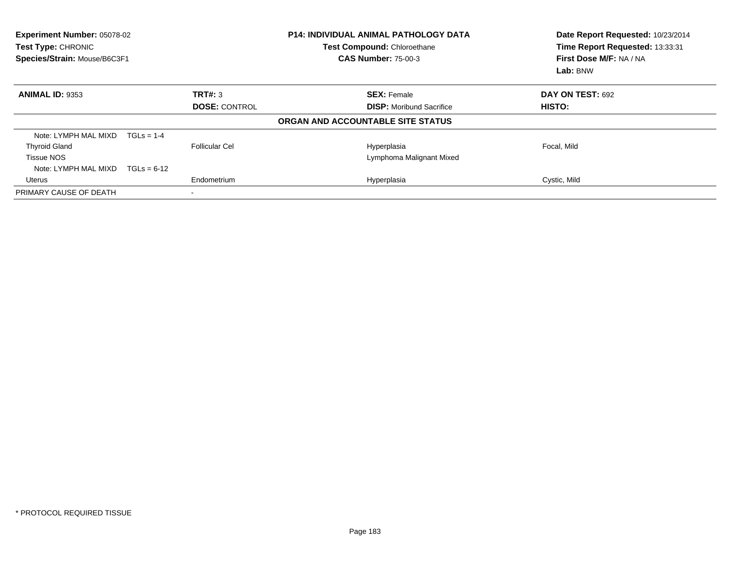| Experiment Number: 05078-02<br>Test Type: CHRONIC<br>Species/Strain: Mouse/B6C3F1 |               |                          | <b>P14: INDIVIDUAL ANIMAL PATHOLOGY DATA</b><br>Test Compound: Chloroethane<br><b>CAS Number: 75-00-3</b> | Date Report Requested: 10/23/2014<br>Time Report Requested: 13:33:31<br>First Dose M/F: NA / NA<br>Lab: BNW |
|-----------------------------------------------------------------------------------|---------------|--------------------------|-----------------------------------------------------------------------------------------------------------|-------------------------------------------------------------------------------------------------------------|
| <b>ANIMAL ID: 9353</b>                                                            |               | TRT#: 3                  | <b>SEX: Female</b>                                                                                        | <b>DAY ON TEST: 692</b>                                                                                     |
|                                                                                   |               | <b>DOSE: CONTROL</b>     | <b>DISP:</b> Moribund Sacrifice                                                                           | HISTO:                                                                                                      |
|                                                                                   |               |                          | ORGAN AND ACCOUNTABLE SITE STATUS                                                                         |                                                                                                             |
| Note: LYMPH MAL MIXD                                                              | $TGLs = 1-4$  |                          |                                                                                                           |                                                                                                             |
| <b>Thyroid Gland</b>                                                              |               | Follicular Cel           | Hyperplasia                                                                                               | Focal, Mild                                                                                                 |
| <b>Tissue NOS</b>                                                                 |               |                          | Lymphoma Malignant Mixed                                                                                  |                                                                                                             |
| Note: LYMPH MAL MIXD                                                              | $TGLs = 6-12$ |                          |                                                                                                           |                                                                                                             |
| Uterus                                                                            |               | Endometrium              | Hyperplasia                                                                                               | Cystic, Mild                                                                                                |
| PRIMARY CAUSE OF DEATH                                                            |               | $\overline{\phantom{a}}$ |                                                                                                           |                                                                                                             |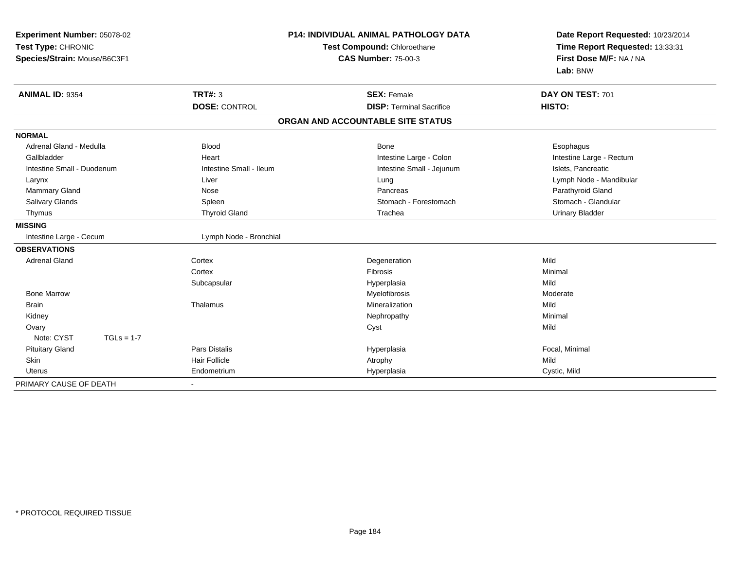| Experiment Number: 05078-02<br>Test Type: CHRONIC<br>Species/Strain: Mouse/B6C3F1 |                         | <b>P14: INDIVIDUAL ANIMAL PATHOLOGY DATA</b><br>Test Compound: Chloroethane<br><b>CAS Number: 75-00-3</b> | Date Report Requested: 10/23/2014<br>Time Report Requested: 13:33:31<br>First Dose M/F: NA / NA<br>Lab: BNW |
|-----------------------------------------------------------------------------------|-------------------------|-----------------------------------------------------------------------------------------------------------|-------------------------------------------------------------------------------------------------------------|
| <b>ANIMAL ID: 9354</b>                                                            | <b>TRT#: 3</b>          | <b>SEX: Female</b>                                                                                        | DAY ON TEST: 701                                                                                            |
|                                                                                   | <b>DOSE: CONTROL</b>    | <b>DISP: Terminal Sacrifice</b>                                                                           | HISTO:                                                                                                      |
|                                                                                   |                         | ORGAN AND ACCOUNTABLE SITE STATUS                                                                         |                                                                                                             |
| <b>NORMAL</b>                                                                     |                         |                                                                                                           |                                                                                                             |
| Adrenal Gland - Medulla                                                           | <b>Blood</b>            | Bone                                                                                                      | Esophagus                                                                                                   |
| Gallbladder                                                                       | Heart                   | Intestine Large - Colon                                                                                   | Intestine Large - Rectum                                                                                    |
| Intestine Small - Duodenum                                                        | Intestine Small - Ileum | Intestine Small - Jejunum                                                                                 | Islets, Pancreatic                                                                                          |
| Larynx                                                                            | Liver                   | Lung                                                                                                      | Lymph Node - Mandibular                                                                                     |
| <b>Mammary Gland</b>                                                              | Nose                    | Pancreas                                                                                                  | Parathyroid Gland                                                                                           |
| Salivary Glands                                                                   | Spleen                  | Stomach - Forestomach                                                                                     | Stomach - Glandular                                                                                         |
| Thymus                                                                            | <b>Thyroid Gland</b>    | Trachea                                                                                                   | <b>Urinary Bladder</b>                                                                                      |
| <b>MISSING</b>                                                                    |                         |                                                                                                           |                                                                                                             |
| Intestine Large - Cecum                                                           | Lymph Node - Bronchial  |                                                                                                           |                                                                                                             |
| <b>OBSERVATIONS</b>                                                               |                         |                                                                                                           |                                                                                                             |
| <b>Adrenal Gland</b>                                                              | Cortex                  | Degeneration                                                                                              | Mild                                                                                                        |
|                                                                                   | Cortex                  | <b>Fibrosis</b>                                                                                           | Minimal                                                                                                     |
|                                                                                   | Subcapsular             | Hyperplasia                                                                                               | Mild                                                                                                        |
| <b>Bone Marrow</b>                                                                |                         | Myelofibrosis                                                                                             | Moderate                                                                                                    |
| <b>Brain</b>                                                                      | Thalamus                | Mineralization                                                                                            | Mild                                                                                                        |
| Kidney                                                                            |                         | Nephropathy                                                                                               | Minimal                                                                                                     |
| Ovary                                                                             |                         | Cyst                                                                                                      | Mild                                                                                                        |
| Note: CYST<br>$TGLs = 1-7$                                                        |                         |                                                                                                           |                                                                                                             |
| <b>Pituitary Gland</b>                                                            | <b>Pars Distalis</b>    | Hyperplasia                                                                                               | Focal, Minimal                                                                                              |
| Skin                                                                              | <b>Hair Follicle</b>    | Atrophy                                                                                                   | Mild                                                                                                        |
| <b>Uterus</b>                                                                     | Endometrium             | Hyperplasia                                                                                               | Cystic, Mild                                                                                                |
| PRIMARY CAUSE OF DEATH                                                            | $\blacksquare$          |                                                                                                           |                                                                                                             |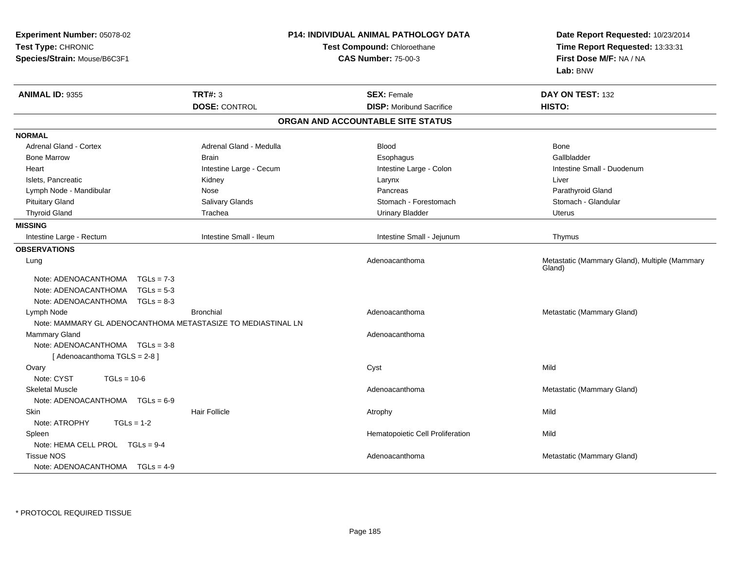| Experiment Number: 05078-02<br>Test Type: CHRONIC<br>Species/Strain: Mouse/B6C3F1                                            |                         | P14: INDIVIDUAL ANIMAL PATHOLOGY DATA<br>Test Compound: Chloroethane<br><b>CAS Number: 75-00-3</b> | Date Report Requested: 10/23/2014<br>Time Report Requested: 13:33:31<br>First Dose M/F: NA / NA<br>Lab: BNW |
|------------------------------------------------------------------------------------------------------------------------------|-------------------------|----------------------------------------------------------------------------------------------------|-------------------------------------------------------------------------------------------------------------|
| <b>ANIMAL ID: 9355</b>                                                                                                       | <b>TRT#: 3</b>          | <b>SEX: Female</b>                                                                                 | DAY ON TEST: 132                                                                                            |
|                                                                                                                              | <b>DOSE: CONTROL</b>    | <b>DISP:</b> Moribund Sacrifice                                                                    | HISTO:                                                                                                      |
|                                                                                                                              |                         | ORGAN AND ACCOUNTABLE SITE STATUS                                                                  |                                                                                                             |
| <b>NORMAL</b>                                                                                                                |                         |                                                                                                    |                                                                                                             |
| <b>Adrenal Gland - Cortex</b>                                                                                                | Adrenal Gland - Medulla | <b>Blood</b>                                                                                       | Bone                                                                                                        |
| <b>Bone Marrow</b>                                                                                                           | <b>Brain</b>            | Esophagus                                                                                          | Gallbladder                                                                                                 |
| Heart                                                                                                                        | Intestine Large - Cecum | Intestine Large - Colon                                                                            | Intestine Small - Duodenum                                                                                  |
| Islets, Pancreatic                                                                                                           | Kidney                  | Larynx                                                                                             | Liver                                                                                                       |
| Lymph Node - Mandibular                                                                                                      | Nose                    | Pancreas                                                                                           | Parathyroid Gland                                                                                           |
| <b>Pituitary Gland</b>                                                                                                       | Salivary Glands         | Stomach - Forestomach                                                                              | Stomach - Glandular                                                                                         |
| <b>Thyroid Gland</b>                                                                                                         | Trachea                 | <b>Urinary Bladder</b>                                                                             | <b>Uterus</b>                                                                                               |
| <b>MISSING</b>                                                                                                               |                         |                                                                                                    |                                                                                                             |
| Intestine Large - Rectum                                                                                                     | Intestine Small - Ileum | Intestine Small - Jejunum                                                                          | Thymus                                                                                                      |
| <b>OBSERVATIONS</b><br>Lung                                                                                                  |                         | Adenoacanthoma                                                                                     | Metastatic (Mammary Gland), Multiple (Mammary<br>Gland)                                                     |
| Note: ADENOACANTHOMA<br>$TGLs = 7-3$<br>Note: ADENOACANTHOMA   TGLs = 5-3<br>Note: ADENOACANTHOMA $TGLs = 8-3$<br>Lymph Node | <b>Bronchial</b>        | Adenoacanthoma                                                                                     | Metastatic (Mammary Gland)                                                                                  |
| Note: MAMMARY GL ADENOCANTHOMA METASTASIZE TO MEDIASTINAL LN                                                                 |                         |                                                                                                    |                                                                                                             |
| <b>Mammary Gland</b><br>Note: ADENOACANTHOMA   TGLs = 3-8<br>[Adenoacanthoma TGLS = 2-8]                                     |                         | Adenoacanthoma                                                                                     |                                                                                                             |
| Ovary                                                                                                                        |                         | Cyst                                                                                               | Mild                                                                                                        |
| Note: CYST<br>$TGLs = 10-6$                                                                                                  |                         |                                                                                                    |                                                                                                             |
| <b>Skeletal Muscle</b><br>Note: ADENOACANTHOMA $TGLs = 6-9$                                                                  |                         | Adenoacanthoma                                                                                     | Metastatic (Mammary Gland)                                                                                  |
| Skin                                                                                                                         | <b>Hair Follicle</b>    | Atrophy                                                                                            | Mild                                                                                                        |
| Note: ATROPHY<br>$TGLs = 1-2$                                                                                                |                         |                                                                                                    |                                                                                                             |
| Spleen                                                                                                                       |                         | Hematopoietic Cell Proliferation                                                                   | Mild                                                                                                        |
| Note: HEMA CELL PROL TGLs = 9-4                                                                                              |                         |                                                                                                    |                                                                                                             |
| <b>Tissue NOS</b><br>Note: ADENOACANTHOMA $TGLs = 4-9$                                                                       |                         | Adenoacanthoma                                                                                     | Metastatic (Mammary Gland)                                                                                  |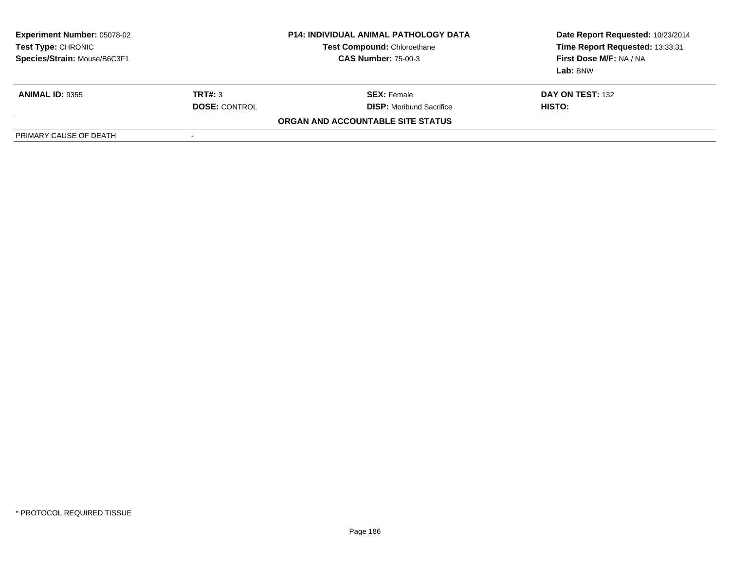| <b>Experiment Number: 05078-02</b><br>Test Type: CHRONIC<br>Species/Strain: Mouse/B6C3F1 |                      | <b>P14: INDIVIDUAL ANIMAL PATHOLOGY DATA</b><br><b>Test Compound: Chloroethane</b><br><b>CAS Number: 75-00-3</b> | Date Report Requested: 10/23/2014<br>Time Report Requested: 13:33:31<br>First Dose M/F: NA / NA<br>Lab: BNW |
|------------------------------------------------------------------------------------------|----------------------|------------------------------------------------------------------------------------------------------------------|-------------------------------------------------------------------------------------------------------------|
| <b>ANIMAL ID: 9355</b>                                                                   | TRT#: 3              | <b>SEX:</b> Female                                                                                               | DAY ON TEST: 132                                                                                            |
|                                                                                          | <b>DOSE: CONTROL</b> | <b>DISP:</b> Moribund Sacrifice                                                                                  | HISTO:                                                                                                      |
|                                                                                          |                      | ORGAN AND ACCOUNTABLE SITE STATUS                                                                                |                                                                                                             |
| PRIMARY CAUSE OF DEATH                                                                   | -                    |                                                                                                                  |                                                                                                             |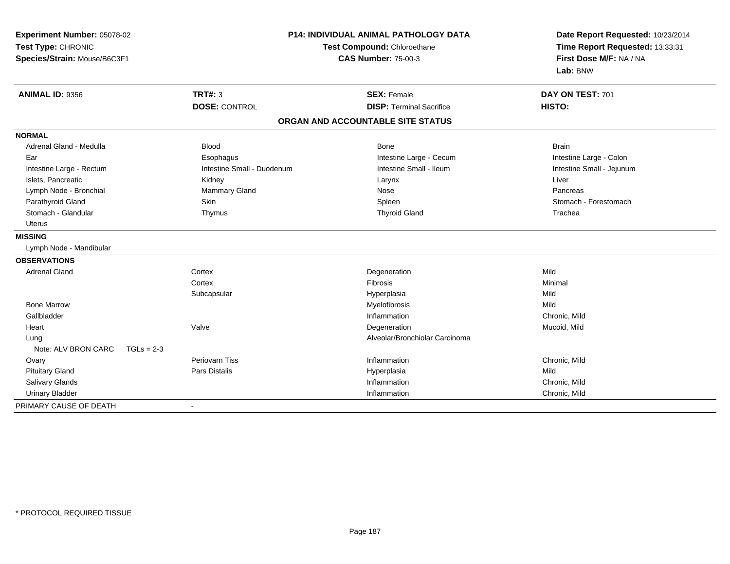| Experiment Number: 05078-02<br>Test Type: CHRONIC<br>Species/Strain: Mouse/B6C3F1 | P14: INDIVIDUAL ANIMAL PATHOLOGY DATA<br>Test Compound: Chloroethane<br><b>CAS Number: 75-00-3</b> |                                   | Date Report Requested: 10/23/2014<br>Time Report Requested: 13:33:31<br>First Dose M/F: NA / NA<br>Lab: BNW |
|-----------------------------------------------------------------------------------|----------------------------------------------------------------------------------------------------|-----------------------------------|-------------------------------------------------------------------------------------------------------------|
| <b>ANIMAL ID: 9356</b>                                                            | <b>TRT#: 3</b>                                                                                     | <b>SEX: Female</b>                | DAY ON TEST: 701                                                                                            |
|                                                                                   | <b>DOSE: CONTROL</b>                                                                               | <b>DISP: Terminal Sacrifice</b>   | HISTO:                                                                                                      |
|                                                                                   |                                                                                                    | ORGAN AND ACCOUNTABLE SITE STATUS |                                                                                                             |
| <b>NORMAL</b>                                                                     |                                                                                                    |                                   |                                                                                                             |
| Adrenal Gland - Medulla                                                           | <b>Blood</b>                                                                                       | Bone                              | <b>Brain</b>                                                                                                |
| Ear                                                                               | Esophagus                                                                                          | Intestine Large - Cecum           | Intestine Large - Colon                                                                                     |
| Intestine Large - Rectum                                                          | Intestine Small - Duodenum                                                                         | Intestine Small - Ileum           | Intestine Small - Jejunum                                                                                   |
| Islets, Pancreatic                                                                | Kidney                                                                                             | Larynx                            | Liver                                                                                                       |
| Lymph Node - Bronchial                                                            | Mammary Gland                                                                                      | Nose                              | Pancreas                                                                                                    |
| Parathyroid Gland                                                                 | Skin                                                                                               | Spleen                            | Stomach - Forestomach                                                                                       |
| Stomach - Glandular                                                               | Thymus                                                                                             | <b>Thyroid Gland</b>              | Trachea                                                                                                     |
| <b>Uterus</b>                                                                     |                                                                                                    |                                   |                                                                                                             |
| <b>MISSING</b>                                                                    |                                                                                                    |                                   |                                                                                                             |
| Lymph Node - Mandibular                                                           |                                                                                                    |                                   |                                                                                                             |
| <b>OBSERVATIONS</b>                                                               |                                                                                                    |                                   |                                                                                                             |
| <b>Adrenal Gland</b>                                                              | Cortex                                                                                             | Degeneration                      | Mild                                                                                                        |
|                                                                                   | Cortex                                                                                             | Fibrosis                          | Minimal                                                                                                     |
|                                                                                   | Subcapsular                                                                                        | Hyperplasia                       | Mild                                                                                                        |
| <b>Bone Marrow</b>                                                                |                                                                                                    | Myelofibrosis                     | Mild                                                                                                        |
| Gallbladder                                                                       |                                                                                                    | Inflammation                      | Chronic, Mild                                                                                               |
| Heart                                                                             | Valve                                                                                              | Degeneration                      | Mucoid, Mild                                                                                                |
| Lung                                                                              |                                                                                                    | Alveolar/Bronchiolar Carcinoma    |                                                                                                             |
| Note: ALV BRON CARC<br>$TGLs = 2-3$                                               |                                                                                                    |                                   |                                                                                                             |
| Ovary                                                                             | Periovarn Tiss                                                                                     | Inflammation                      | Chronic, Mild                                                                                               |
| <b>Pituitary Gland</b>                                                            | <b>Pars Distalis</b>                                                                               | Hyperplasia                       | Mild                                                                                                        |
| Salivary Glands                                                                   |                                                                                                    | Inflammation                      | Chronic, Mild                                                                                               |
| <b>Urinary Bladder</b>                                                            |                                                                                                    | Inflammation                      | Chronic, Mild                                                                                               |
| PRIMARY CAUSE OF DEATH                                                            | $\blacksquare$                                                                                     |                                   |                                                                                                             |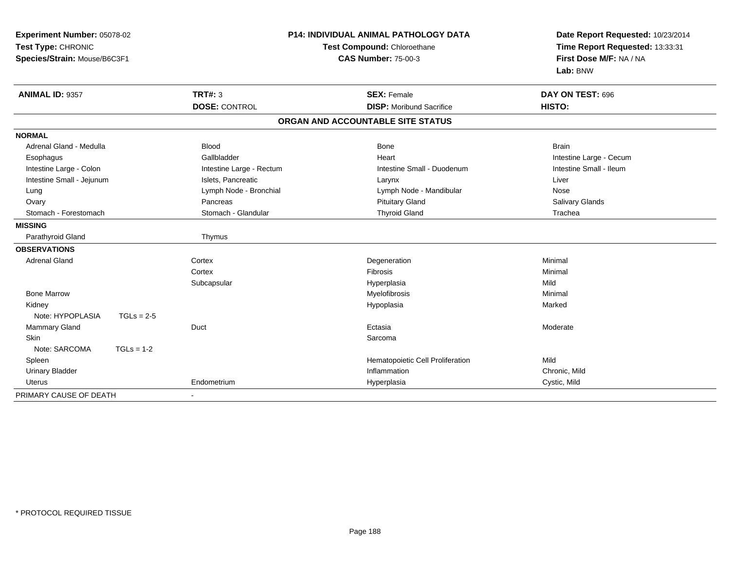| Experiment Number: 05078-02<br>Test Type: CHRONIC<br>Species/Strain: Mouse/B6C3F1 |                          | <b>P14: INDIVIDUAL ANIMAL PATHOLOGY DATA</b><br>Test Compound: Chloroethane<br><b>CAS Number: 75-00-3</b> | Date Report Requested: 10/23/2014<br>Time Report Requested: 13:33:31<br>First Dose M/F: NA / NA<br>Lab: BNW |
|-----------------------------------------------------------------------------------|--------------------------|-----------------------------------------------------------------------------------------------------------|-------------------------------------------------------------------------------------------------------------|
| ANIMAL ID: 9357                                                                   | TRT#: 3                  | <b>SEX: Female</b>                                                                                        | DAY ON TEST: 696                                                                                            |
|                                                                                   | <b>DOSE: CONTROL</b>     | <b>DISP:</b> Moribund Sacrifice                                                                           | HISTO:                                                                                                      |
|                                                                                   |                          | ORGAN AND ACCOUNTABLE SITE STATUS                                                                         |                                                                                                             |
| <b>NORMAL</b>                                                                     |                          |                                                                                                           |                                                                                                             |
| Adrenal Gland - Medulla                                                           | <b>Blood</b>             | <b>Bone</b>                                                                                               | <b>Brain</b>                                                                                                |
| Esophagus                                                                         | Gallbladder              | Heart                                                                                                     | Intestine Large - Cecum                                                                                     |
| Intestine Large - Colon                                                           | Intestine Large - Rectum | Intestine Small - Duodenum                                                                                | Intestine Small - Ileum                                                                                     |
| Intestine Small - Jejunum                                                         | Islets, Pancreatic       | Larynx                                                                                                    | Liver                                                                                                       |
| Lung                                                                              | Lymph Node - Bronchial   | Lymph Node - Mandibular                                                                                   | Nose                                                                                                        |
| Ovary                                                                             | Pancreas                 | <b>Pituitary Gland</b>                                                                                    | Salivary Glands                                                                                             |
| Stomach - Forestomach                                                             | Stomach - Glandular      | <b>Thyroid Gland</b>                                                                                      | Trachea                                                                                                     |
| <b>MISSING</b>                                                                    |                          |                                                                                                           |                                                                                                             |
| Parathyroid Gland                                                                 | Thymus                   |                                                                                                           |                                                                                                             |
| <b>OBSERVATIONS</b>                                                               |                          |                                                                                                           |                                                                                                             |
| <b>Adrenal Gland</b>                                                              | Cortex                   | Degeneration                                                                                              | Minimal                                                                                                     |
|                                                                                   | Cortex                   | Fibrosis                                                                                                  | Minimal                                                                                                     |
|                                                                                   | Subcapsular              | Hyperplasia                                                                                               | Mild                                                                                                        |
| <b>Bone Marrow</b>                                                                |                          | Myelofibrosis                                                                                             | Minimal                                                                                                     |
| Kidney                                                                            |                          | Hypoplasia                                                                                                | Marked                                                                                                      |
| Note: HYPOPLASIA<br>$TGLs = 2-5$                                                  |                          |                                                                                                           |                                                                                                             |
| Mammary Gland                                                                     | Duct                     | Ectasia                                                                                                   | Moderate                                                                                                    |
| <b>Skin</b>                                                                       |                          | Sarcoma                                                                                                   |                                                                                                             |
| Note: SARCOMA<br>$TGLs = 1-2$                                                     |                          |                                                                                                           |                                                                                                             |
| Spleen                                                                            |                          | Hematopoietic Cell Proliferation                                                                          | Mild                                                                                                        |
| <b>Urinary Bladder</b>                                                            |                          | Inflammation                                                                                              | Chronic, Mild                                                                                               |
| <b>Uterus</b>                                                                     | Endometrium              | Hyperplasia                                                                                               | Cystic, Mild                                                                                                |
| PRIMARY CAUSE OF DEATH                                                            | $\blacksquare$           |                                                                                                           |                                                                                                             |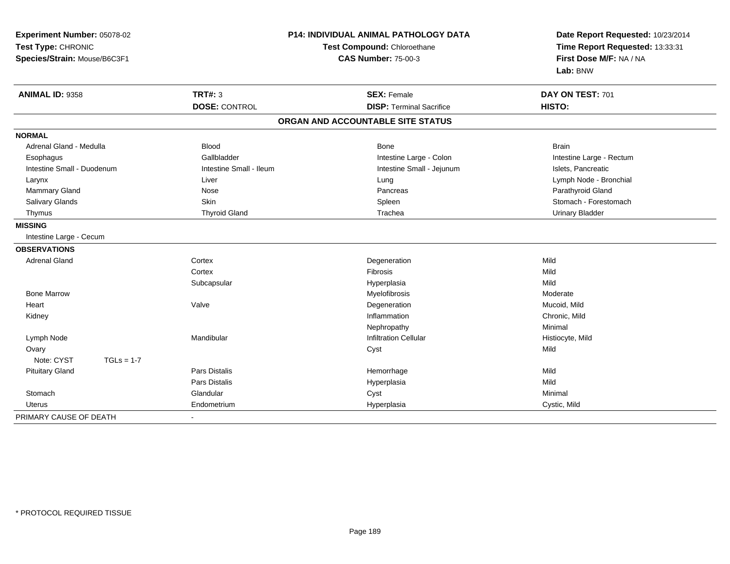| Experiment Number: 05078-02<br>Test Type: CHRONIC<br>Species/Strain: Mouse/B6C3F1 |                         | <b>P14: INDIVIDUAL ANIMAL PATHOLOGY DATA</b><br>Test Compound: Chloroethane<br><b>CAS Number: 75-00-3</b> | Date Report Requested: 10/23/2014<br>Time Report Requested: 13:33:31<br>First Dose M/F: NA / NA<br>Lab: BNW |
|-----------------------------------------------------------------------------------|-------------------------|-----------------------------------------------------------------------------------------------------------|-------------------------------------------------------------------------------------------------------------|
| <b>ANIMAL ID: 9358</b>                                                            | <b>TRT#: 3</b>          | <b>SEX: Female</b>                                                                                        | DAY ON TEST: 701                                                                                            |
|                                                                                   | <b>DOSE: CONTROL</b>    | <b>DISP: Terminal Sacrifice</b>                                                                           | HISTO:                                                                                                      |
|                                                                                   |                         | ORGAN AND ACCOUNTABLE SITE STATUS                                                                         |                                                                                                             |
| <b>NORMAL</b>                                                                     |                         |                                                                                                           |                                                                                                             |
| Adrenal Gland - Medulla                                                           | Blood                   | Bone                                                                                                      | <b>Brain</b>                                                                                                |
| Esophagus                                                                         | Gallbladder             | Intestine Large - Colon                                                                                   | Intestine Large - Rectum                                                                                    |
| Intestine Small - Duodenum                                                        | Intestine Small - Ileum | Intestine Small - Jejunum                                                                                 | Islets, Pancreatic                                                                                          |
| Larynx                                                                            | Liver                   | Lung                                                                                                      | Lymph Node - Bronchial                                                                                      |
| Mammary Gland                                                                     | Nose                    | Pancreas                                                                                                  | Parathyroid Gland                                                                                           |
| Salivary Glands                                                                   | Skin                    | Spleen                                                                                                    | Stomach - Forestomach                                                                                       |
| Thymus                                                                            | <b>Thyroid Gland</b>    | Trachea                                                                                                   | <b>Urinary Bladder</b>                                                                                      |
| <b>MISSING</b>                                                                    |                         |                                                                                                           |                                                                                                             |
| Intestine Large - Cecum                                                           |                         |                                                                                                           |                                                                                                             |
| <b>OBSERVATIONS</b>                                                               |                         |                                                                                                           |                                                                                                             |
| <b>Adrenal Gland</b>                                                              | Cortex                  | Degeneration                                                                                              | Mild                                                                                                        |
|                                                                                   | Cortex                  | <b>Fibrosis</b>                                                                                           | Mild                                                                                                        |
|                                                                                   | Subcapsular             | Hyperplasia                                                                                               | Mild                                                                                                        |
| <b>Bone Marrow</b>                                                                |                         | Myelofibrosis                                                                                             | Moderate                                                                                                    |
| Heart                                                                             | Valve                   | Degeneration                                                                                              | Mucoid, Mild                                                                                                |
| Kidney                                                                            |                         | Inflammation                                                                                              | Chronic, Mild                                                                                               |
|                                                                                   |                         | Nephropathy                                                                                               | Minimal                                                                                                     |
| Lymph Node                                                                        | Mandibular              | <b>Infiltration Cellular</b>                                                                              | Histiocyte, Mild                                                                                            |
| Ovary                                                                             |                         | Cyst                                                                                                      | Mild                                                                                                        |
| Note: CYST<br>$TGLs = 1-7$                                                        |                         |                                                                                                           |                                                                                                             |
| <b>Pituitary Gland</b>                                                            | Pars Distalis           | Hemorrhage                                                                                                | Mild                                                                                                        |
|                                                                                   | Pars Distalis           | Hyperplasia                                                                                               | Mild                                                                                                        |
| Stomach                                                                           | Glandular               | Cyst                                                                                                      | Minimal                                                                                                     |
| <b>Uterus</b>                                                                     | Endometrium             | Hyperplasia                                                                                               | Cystic, Mild                                                                                                |
| PRIMARY CAUSE OF DEATH                                                            |                         |                                                                                                           |                                                                                                             |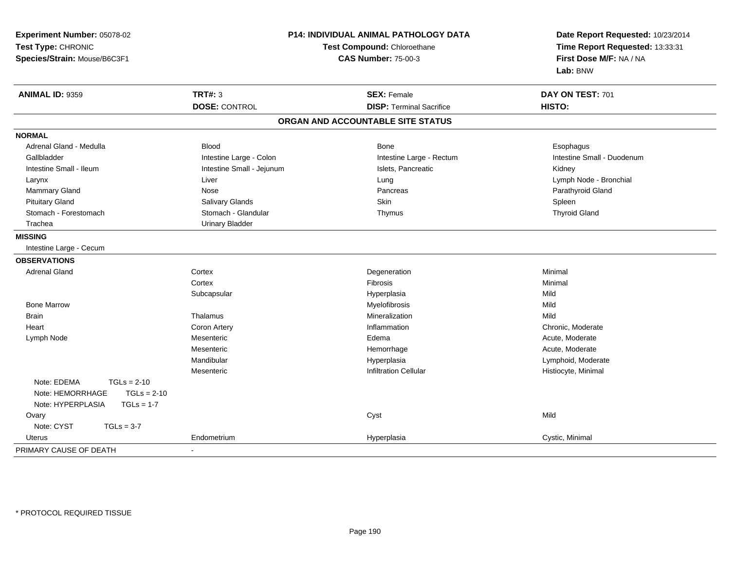| Experiment Number: 05078-02<br>Test Type: CHRONIC | <b>P14: INDIVIDUAL ANIMAL PATHOLOGY DATA</b><br><b>Test Compound: Chloroethane</b> |                                   | Date Report Requested: 10/23/2014<br>Time Report Requested: 13:33:31 |
|---------------------------------------------------|------------------------------------------------------------------------------------|-----------------------------------|----------------------------------------------------------------------|
| Species/Strain: Mouse/B6C3F1                      |                                                                                    | <b>CAS Number: 75-00-3</b>        | First Dose M/F: NA / NA<br>Lab: BNW                                  |
| ANIMAL ID: 9359                                   | <b>TRT#: 3</b>                                                                     | <b>SEX: Female</b>                | DAY ON TEST: 701                                                     |
|                                                   | <b>DOSE: CONTROL</b>                                                               | <b>DISP: Terminal Sacrifice</b>   | HISTO:                                                               |
|                                                   |                                                                                    | ORGAN AND ACCOUNTABLE SITE STATUS |                                                                      |
| <b>NORMAL</b>                                     |                                                                                    |                                   |                                                                      |
| Adrenal Gland - Medulla                           | <b>Blood</b>                                                                       | <b>Bone</b>                       | Esophagus                                                            |
| Gallbladder                                       | Intestine Large - Colon                                                            | Intestine Large - Rectum          | Intestine Small - Duodenum                                           |
| Intestine Small - Ileum                           | Intestine Small - Jejunum                                                          | Islets, Pancreatic                | Kidney                                                               |
| Larynx                                            | Liver                                                                              | Lung                              | Lymph Node - Bronchial                                               |
| Mammary Gland                                     | Nose                                                                               | Pancreas                          | Parathyroid Gland                                                    |
| <b>Pituitary Gland</b>                            | <b>Salivary Glands</b>                                                             | <b>Skin</b>                       | Spleen                                                               |
| Stomach - Forestomach                             | Stomach - Glandular                                                                | Thymus                            | <b>Thyroid Gland</b>                                                 |
| Trachea                                           | <b>Urinary Bladder</b>                                                             |                                   |                                                                      |
| <b>MISSING</b>                                    |                                                                                    |                                   |                                                                      |
| Intestine Large - Cecum                           |                                                                                    |                                   |                                                                      |
| <b>OBSERVATIONS</b>                               |                                                                                    |                                   |                                                                      |
| <b>Adrenal Gland</b>                              | Cortex                                                                             | Degeneration                      | Minimal                                                              |
|                                                   | Cortex                                                                             | Fibrosis                          | Minimal                                                              |
|                                                   | Subcapsular                                                                        | Hyperplasia                       | Mild                                                                 |
| <b>Bone Marrow</b>                                |                                                                                    | Myelofibrosis                     | Mild                                                                 |
| Brain                                             | Thalamus                                                                           | Mineralization                    | Mild                                                                 |
| Heart                                             | Coron Artery                                                                       | Inflammation                      | Chronic, Moderate                                                    |
| Lymph Node                                        | Mesenteric                                                                         | Edema                             | Acute, Moderate                                                      |
|                                                   | Mesenteric                                                                         | Hemorrhage                        | Acute, Moderate                                                      |
|                                                   | Mandibular                                                                         | Hyperplasia                       | Lymphoid, Moderate                                                   |
|                                                   | Mesenteric                                                                         | <b>Infiltration Cellular</b>      | Histiocyte, Minimal                                                  |
| Note: EDEMA<br>$TGLs = 2-10$                      |                                                                                    |                                   |                                                                      |
| Note: HEMORRHAGE<br>$TGLs = 2-10$                 |                                                                                    |                                   |                                                                      |
| Note: HYPERPLASIA<br>$TGLs = 1-7$                 |                                                                                    |                                   |                                                                      |
| Ovary                                             |                                                                                    | Cyst                              | Mild                                                                 |
| Note: CYST<br>$TGLs = 3-7$                        |                                                                                    |                                   |                                                                      |
| Uterus                                            | Endometrium                                                                        | Hyperplasia                       | Cystic, Minimal                                                      |
| PRIMARY CAUSE OF DEATH                            | $\overline{\phantom{a}}$                                                           |                                   |                                                                      |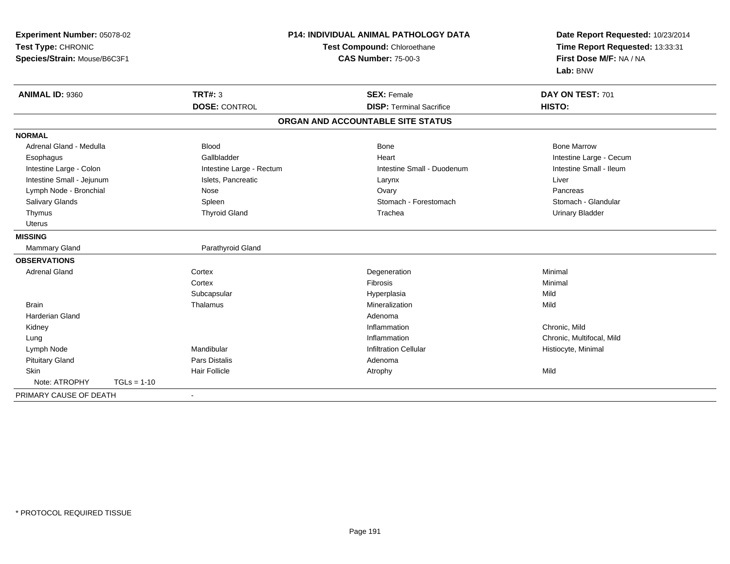| Experiment Number: 05078-02<br>Test Type: CHRONIC<br>Species/Strain: Mouse/B6C3F1 |                          | <b>P14: INDIVIDUAL ANIMAL PATHOLOGY DATA</b><br>Test Compound: Chloroethane<br><b>CAS Number: 75-00-3</b> | Date Report Requested: 10/23/2014<br>Time Report Requested: 13:33:31<br>First Dose M/F: NA / NA<br>Lab: BNW |
|-----------------------------------------------------------------------------------|--------------------------|-----------------------------------------------------------------------------------------------------------|-------------------------------------------------------------------------------------------------------------|
| ANIMAL ID: 9360                                                                   | <b>TRT#: 3</b>           | <b>SEX: Female</b>                                                                                        | DAY ON TEST: 701                                                                                            |
|                                                                                   | <b>DOSE: CONTROL</b>     | <b>DISP: Terminal Sacrifice</b>                                                                           | HISTO:                                                                                                      |
|                                                                                   |                          | ORGAN AND ACCOUNTABLE SITE STATUS                                                                         |                                                                                                             |
| <b>NORMAL</b>                                                                     |                          |                                                                                                           |                                                                                                             |
| Adrenal Gland - Medulla                                                           | <b>Blood</b>             | <b>Bone</b>                                                                                               | <b>Bone Marrow</b>                                                                                          |
| Esophagus                                                                         | Gallbladder              | Heart                                                                                                     | Intestine Large - Cecum                                                                                     |
| Intestine Large - Colon                                                           | Intestine Large - Rectum | Intestine Small - Duodenum                                                                                | Intestine Small - Ileum                                                                                     |
| Intestine Small - Jejunum                                                         | Islets, Pancreatic       | Larynx                                                                                                    | Liver                                                                                                       |
| Lymph Node - Bronchial                                                            | Nose                     | Ovary                                                                                                     | Pancreas                                                                                                    |
| Salivary Glands                                                                   | Spleen                   | Stomach - Forestomach                                                                                     | Stomach - Glandular                                                                                         |
| Thymus                                                                            | <b>Thyroid Gland</b>     | Trachea                                                                                                   | <b>Urinary Bladder</b>                                                                                      |
| <b>Uterus</b>                                                                     |                          |                                                                                                           |                                                                                                             |
| <b>MISSING</b>                                                                    |                          |                                                                                                           |                                                                                                             |
| Mammary Gland                                                                     | Parathyroid Gland        |                                                                                                           |                                                                                                             |
| <b>OBSERVATIONS</b>                                                               |                          |                                                                                                           |                                                                                                             |
| <b>Adrenal Gland</b>                                                              | Cortex                   | Degeneration                                                                                              | Minimal                                                                                                     |
|                                                                                   | Cortex                   | <b>Fibrosis</b>                                                                                           | Minimal                                                                                                     |
|                                                                                   | Subcapsular              | Hyperplasia                                                                                               | Mild                                                                                                        |
| <b>Brain</b>                                                                      | Thalamus                 | Mineralization                                                                                            | Mild                                                                                                        |
| <b>Harderian Gland</b>                                                            |                          | Adenoma                                                                                                   |                                                                                                             |
| Kidney                                                                            |                          | Inflammation                                                                                              | Chronic, Mild                                                                                               |
| Lung                                                                              |                          | Inflammation                                                                                              | Chronic, Multifocal, Mild                                                                                   |
| Lymph Node                                                                        | Mandibular               | <b>Infiltration Cellular</b>                                                                              | Histiocyte, Minimal                                                                                         |
| <b>Pituitary Gland</b>                                                            | <b>Pars Distalis</b>     | Adenoma                                                                                                   |                                                                                                             |
| <b>Skin</b>                                                                       | <b>Hair Follicle</b>     | Atrophy                                                                                                   | Mild                                                                                                        |
| Note: ATROPHY<br>$TGLs = 1-10$                                                    |                          |                                                                                                           |                                                                                                             |
| PRIMARY CAUSE OF DEATH                                                            |                          |                                                                                                           |                                                                                                             |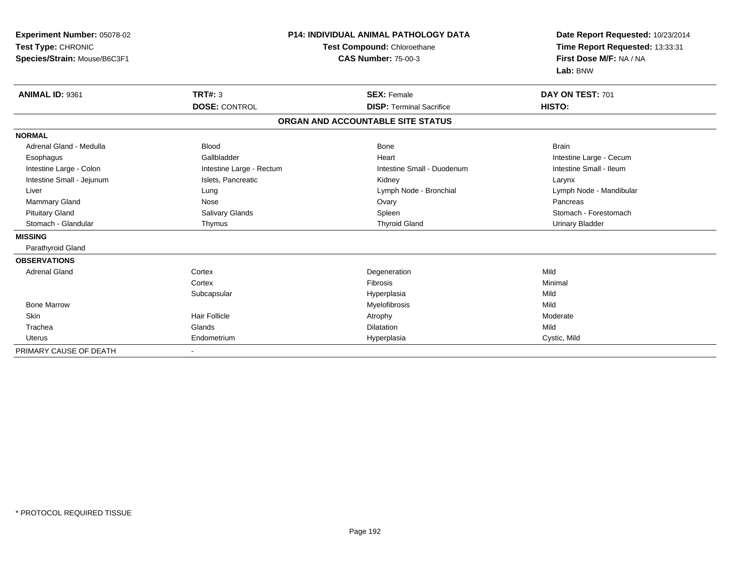| Experiment Number: 05078-02<br>Test Type: CHRONIC<br>Species/Strain: Mouse/B6C3F1 |                                        | <b>P14: INDIVIDUAL ANIMAL PATHOLOGY DATA</b><br>Test Compound: Chloroethane<br><b>CAS Number: 75-00-3</b> | Date Report Requested: 10/23/2014<br>Time Report Requested: 13:33:31<br>First Dose M/F: NA / NA<br>Lab: BNW |
|-----------------------------------------------------------------------------------|----------------------------------------|-----------------------------------------------------------------------------------------------------------|-------------------------------------------------------------------------------------------------------------|
| ANIMAL ID: 9361                                                                   | <b>TRT#: 3</b><br><b>DOSE: CONTROL</b> | <b>SEX: Female</b><br><b>DISP: Terminal Sacrifice</b>                                                     | DAY ON TEST: 701<br>HISTO:                                                                                  |
|                                                                                   |                                        |                                                                                                           |                                                                                                             |
|                                                                                   |                                        | ORGAN AND ACCOUNTABLE SITE STATUS                                                                         |                                                                                                             |
| <b>NORMAL</b>                                                                     |                                        |                                                                                                           |                                                                                                             |
| Adrenal Gland - Medulla                                                           | <b>Blood</b>                           | <b>Bone</b>                                                                                               | <b>Brain</b>                                                                                                |
| Esophagus                                                                         | Gallbladder                            | Heart                                                                                                     | Intestine Large - Cecum                                                                                     |
| Intestine Large - Colon                                                           | Intestine Large - Rectum               | Intestine Small - Duodenum                                                                                | Intestine Small - Ileum                                                                                     |
| Intestine Small - Jejunum                                                         | Islets, Pancreatic                     | Kidney                                                                                                    | Larynx                                                                                                      |
| Liver                                                                             | Lung                                   | Lymph Node - Bronchial                                                                                    | Lymph Node - Mandibular                                                                                     |
| <b>Mammary Gland</b>                                                              | Nose                                   | Ovary                                                                                                     | Pancreas                                                                                                    |
| <b>Pituitary Gland</b>                                                            | Salivary Glands                        | Spleen                                                                                                    | Stomach - Forestomach                                                                                       |
| Stomach - Glandular                                                               | Thymus                                 | <b>Thyroid Gland</b>                                                                                      | <b>Urinary Bladder</b>                                                                                      |
| <b>MISSING</b>                                                                    |                                        |                                                                                                           |                                                                                                             |
| Parathyroid Gland                                                                 |                                        |                                                                                                           |                                                                                                             |
| <b>OBSERVATIONS</b>                                                               |                                        |                                                                                                           |                                                                                                             |
| <b>Adrenal Gland</b>                                                              | Cortex                                 | Degeneration                                                                                              | Mild                                                                                                        |
|                                                                                   | Cortex                                 | <b>Fibrosis</b>                                                                                           | Minimal                                                                                                     |
|                                                                                   | Subcapsular                            | Hyperplasia                                                                                               | Mild                                                                                                        |
| <b>Bone Marrow</b>                                                                |                                        | Myelofibrosis                                                                                             | Mild                                                                                                        |
| Skin                                                                              | <b>Hair Follicle</b>                   | Atrophy                                                                                                   | Moderate                                                                                                    |
| Trachea                                                                           | Glands                                 | Dilatation                                                                                                | Mild                                                                                                        |
| <b>Uterus</b>                                                                     | Endometrium                            | Hyperplasia                                                                                               | Cystic, Mild                                                                                                |
| PRIMARY CAUSE OF DEATH                                                            |                                        |                                                                                                           |                                                                                                             |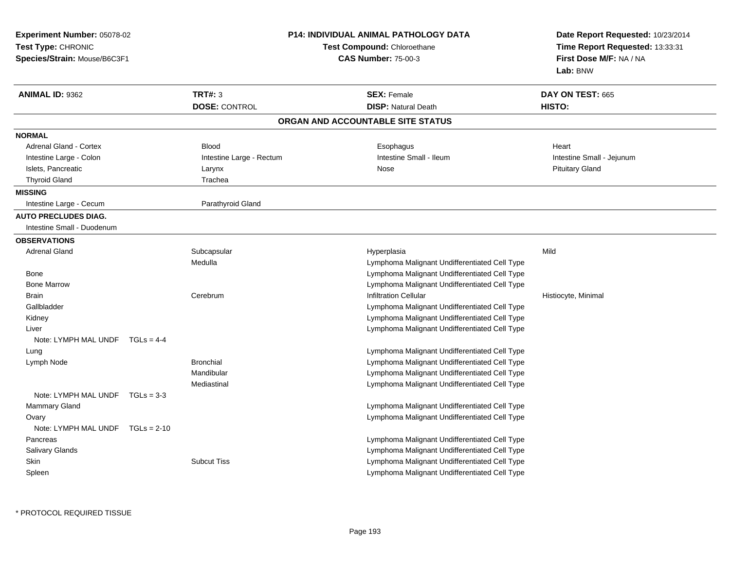| Experiment Number: 05078-02<br>Test Type: CHRONIC<br>Species/Strain: Mouse/B6C3F1 |                           | <b>P14: INDIVIDUAL ANIMAL PATHOLOGY DATA</b><br><b>Test Compound: Chloroethane</b><br><b>CAS Number: 75-00-3</b> | Date Report Requested: 10/23/2014<br>Time Report Requested: 13:33:31<br>First Dose M/F: NA / NA<br>Lab: BNW |
|-----------------------------------------------------------------------------------|---------------------------|------------------------------------------------------------------------------------------------------------------|-------------------------------------------------------------------------------------------------------------|
| <b>ANIMAL ID: 9362</b>                                                            | <b>TRT#: 3</b>            | <b>SEX: Female</b>                                                                                               | DAY ON TEST: 665                                                                                            |
|                                                                                   | <b>DOSE: CONTROL</b>      | <b>DISP: Natural Death</b>                                                                                       | HISTO:                                                                                                      |
|                                                                                   |                           | ORGAN AND ACCOUNTABLE SITE STATUS                                                                                |                                                                                                             |
| <b>NORMAL</b>                                                                     |                           |                                                                                                                  |                                                                                                             |
| Adrenal Gland - Cortex                                                            | <b>Blood</b>              | Esophagus                                                                                                        | Heart                                                                                                       |
| Intestine Large - Colon                                                           | Intestine Large - Rectum  | Intestine Small - Ileum                                                                                          | Intestine Small - Jejunum                                                                                   |
| Islets, Pancreatic                                                                | Larynx                    | Nose                                                                                                             | <b>Pituitary Gland</b>                                                                                      |
| <b>Thyroid Gland</b>                                                              | Trachea                   |                                                                                                                  |                                                                                                             |
| <b>MISSING</b>                                                                    |                           |                                                                                                                  |                                                                                                             |
| Intestine Large - Cecum                                                           | Parathyroid Gland         |                                                                                                                  |                                                                                                             |
| <b>AUTO PRECLUDES DIAG.</b>                                                       |                           |                                                                                                                  |                                                                                                             |
| Intestine Small - Duodenum                                                        |                           |                                                                                                                  |                                                                                                             |
| <b>OBSERVATIONS</b>                                                               |                           |                                                                                                                  |                                                                                                             |
| <b>Adrenal Gland</b>                                                              | Subcapsular               | Hyperplasia                                                                                                      | Mild                                                                                                        |
|                                                                                   | Medulla                   | Lymphoma Malignant Undifferentiated Cell Type                                                                    |                                                                                                             |
| Bone                                                                              |                           | Lymphoma Malignant Undifferentiated Cell Type                                                                    |                                                                                                             |
| <b>Bone Marrow</b>                                                                |                           | Lymphoma Malignant Undifferentiated Cell Type                                                                    |                                                                                                             |
| Brain                                                                             | Cerebrum                  | <b>Infiltration Cellular</b>                                                                                     | Histiocyte, Minimal                                                                                         |
| Gallbladder                                                                       |                           | Lymphoma Malignant Undifferentiated Cell Type                                                                    |                                                                                                             |
| Kidney                                                                            |                           | Lymphoma Malignant Undifferentiated Cell Type                                                                    |                                                                                                             |
| Liver                                                                             |                           | Lymphoma Malignant Undifferentiated Cell Type                                                                    |                                                                                                             |
| Note: LYMPH MAL UNDF $TGLs = 4-4$                                                 |                           |                                                                                                                  |                                                                                                             |
| Lung                                                                              |                           | Lymphoma Malignant Undifferentiated Cell Type                                                                    |                                                                                                             |
| Lymph Node                                                                        | <b>Bronchial</b>          | Lymphoma Malignant Undifferentiated Cell Type                                                                    |                                                                                                             |
|                                                                                   | Mandibular<br>Mediastinal | Lymphoma Malignant Undifferentiated Cell Type<br>Lymphoma Malignant Undifferentiated Cell Type                   |                                                                                                             |
| Note: LYMPH MAL UNDF $TGLs = 3-3$                                                 |                           |                                                                                                                  |                                                                                                             |
| Mammary Gland                                                                     |                           | Lymphoma Malignant Undifferentiated Cell Type                                                                    |                                                                                                             |
| Ovary                                                                             |                           | Lymphoma Malignant Undifferentiated Cell Type                                                                    |                                                                                                             |
| Note: LYMPH MAL UNDF TGLs = 2-10                                                  |                           |                                                                                                                  |                                                                                                             |
| Pancreas                                                                          |                           | Lymphoma Malignant Undifferentiated Cell Type                                                                    |                                                                                                             |
| Salivary Glands                                                                   |                           | Lymphoma Malignant Undifferentiated Cell Type                                                                    |                                                                                                             |
| Skin                                                                              | <b>Subcut Tiss</b>        | Lymphoma Malignant Undifferentiated Cell Type                                                                    |                                                                                                             |
| Spleen                                                                            |                           | Lymphoma Malignant Undifferentiated Cell Type                                                                    |                                                                                                             |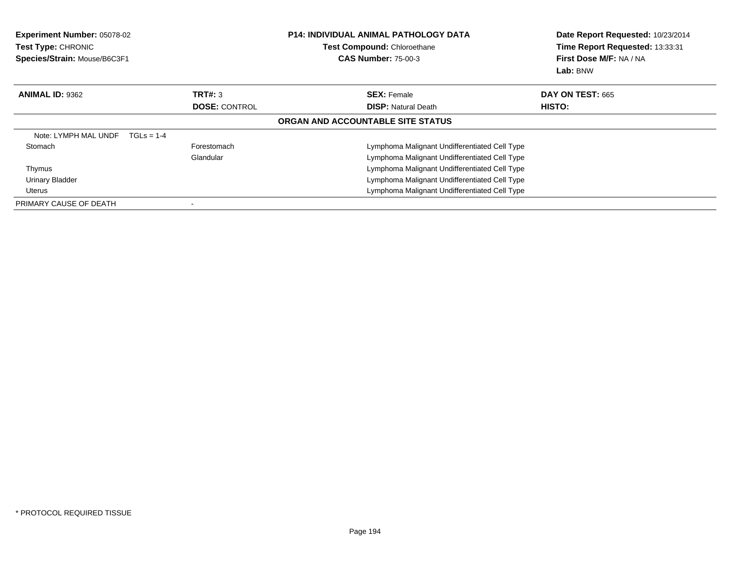| <b>Experiment Number: 05078-02</b><br>Test Type: CHRONIC<br>Species/Strain: Mouse/B6C3F1 |                      | <b>P14: INDIVIDUAL ANIMAL PATHOLOGY DATA</b><br>Test Compound: Chloroethane<br><b>CAS Number: 75-00-3</b> | Date Report Requested: 10/23/2014<br>Time Report Requested: 13:33:31<br>First Dose M/F: NA / NA<br>Lab: BNW |
|------------------------------------------------------------------------------------------|----------------------|-----------------------------------------------------------------------------------------------------------|-------------------------------------------------------------------------------------------------------------|
| <b>ANIMAL ID: 9362</b>                                                                   | TRT#: 3              | <b>SEX: Female</b>                                                                                        | <b>DAY ON TEST: 665</b>                                                                                     |
|                                                                                          | <b>DOSE: CONTROL</b> | <b>DISP:</b> Natural Death                                                                                | HISTO:                                                                                                      |
|                                                                                          |                      | ORGAN AND ACCOUNTABLE SITE STATUS                                                                         |                                                                                                             |
| Note: LYMPH MAL UNDF                                                                     | $TGLs = 1-4$         |                                                                                                           |                                                                                                             |
| Stomach                                                                                  | Forestomach          | Lymphoma Malignant Undifferentiated Cell Type                                                             |                                                                                                             |
|                                                                                          | Glandular            | Lymphoma Malignant Undifferentiated Cell Type                                                             |                                                                                                             |
| Thymus                                                                                   |                      | Lymphoma Malignant Undifferentiated Cell Type                                                             |                                                                                                             |
| <b>Urinary Bladder</b>                                                                   |                      | Lymphoma Malignant Undifferentiated Cell Type                                                             |                                                                                                             |
| Uterus                                                                                   |                      | Lymphoma Malignant Undifferentiated Cell Type                                                             |                                                                                                             |
| PRIMARY CAUSE OF DEATH                                                                   |                      |                                                                                                           |                                                                                                             |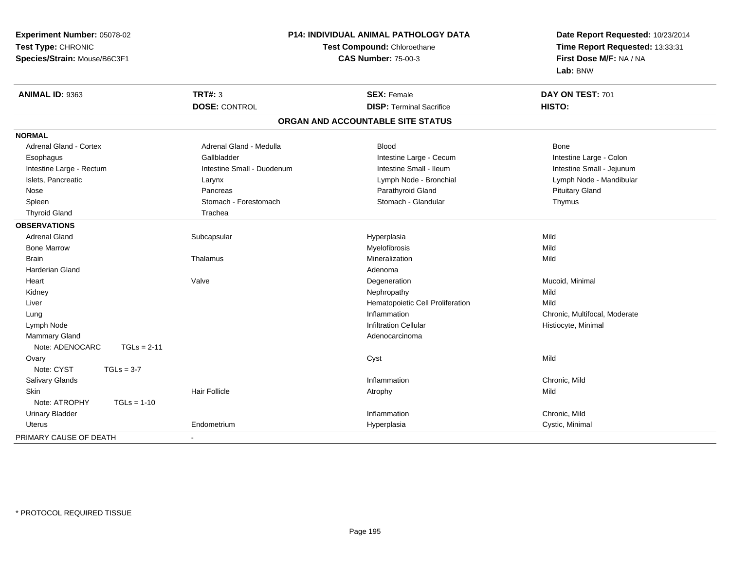| Experiment Number: 05078-02      |                            | <b>P14: INDIVIDUAL ANIMAL PATHOLOGY DATA</b> | Date Report Requested: 10/23/2014 |  |
|----------------------------------|----------------------------|----------------------------------------------|-----------------------------------|--|
| Test Type: CHRONIC               |                            | <b>Test Compound: Chloroethane</b>           | Time Report Requested: 13:33:31   |  |
| Species/Strain: Mouse/B6C3F1     |                            | <b>CAS Number: 75-00-3</b>                   | First Dose M/F: NA / NA           |  |
|                                  |                            |                                              | Lab: BNW                          |  |
| ANIMAL ID: 9363                  | <b>TRT#: 3</b>             | <b>SEX: Female</b>                           | DAY ON TEST: 701                  |  |
|                                  | <b>DOSE: CONTROL</b>       | <b>DISP: Terminal Sacrifice</b>              | HISTO:                            |  |
|                                  |                            | ORGAN AND ACCOUNTABLE SITE STATUS            |                                   |  |
| <b>NORMAL</b>                    |                            |                                              |                                   |  |
| Adrenal Gland - Cortex           | Adrenal Gland - Medulla    | <b>Blood</b>                                 | <b>Bone</b>                       |  |
| Esophagus                        | Gallbladder                | Intestine Large - Cecum                      | Intestine Large - Colon           |  |
| Intestine Large - Rectum         | Intestine Small - Duodenum | Intestine Small - Ileum                      | Intestine Small - Jejunum         |  |
| Islets, Pancreatic               | Larynx                     | Lymph Node - Bronchial                       | Lymph Node - Mandibular           |  |
| Nose                             | Pancreas                   | Parathyroid Gland                            | <b>Pituitary Gland</b>            |  |
| Spleen                           | Stomach - Forestomach      | Stomach - Glandular                          | Thymus                            |  |
| <b>Thyroid Gland</b>             | Trachea                    |                                              |                                   |  |
| <b>OBSERVATIONS</b>              |                            |                                              |                                   |  |
| <b>Adrenal Gland</b>             | Subcapsular                | Hyperplasia                                  | Mild                              |  |
| <b>Bone Marrow</b>               |                            | Myelofibrosis                                | Mild                              |  |
| <b>Brain</b>                     | Thalamus                   | Mineralization                               | Mild                              |  |
| Harderian Gland                  |                            | Adenoma                                      |                                   |  |
| Heart                            | Valve                      | Degeneration                                 | Mucoid, Minimal                   |  |
| Kidney                           |                            | Nephropathy                                  | Mild                              |  |
| Liver                            |                            | Hematopoietic Cell Proliferation             | Mild                              |  |
| Lung                             |                            | Inflammation                                 | Chronic, Multifocal, Moderate     |  |
| Lymph Node                       |                            | <b>Infiltration Cellular</b>                 | Histiocyte, Minimal               |  |
| <b>Mammary Gland</b>             |                            | Adenocarcinoma                               |                                   |  |
| Note: ADENOCARC<br>$TGLs = 2-11$ |                            |                                              |                                   |  |
| Ovary                            |                            | Cyst                                         | Mild                              |  |
| Note: CYST<br>$TGLs = 3-7$       |                            |                                              |                                   |  |
| Salivary Glands                  |                            | Inflammation                                 | Chronic, Mild                     |  |
| <b>Skin</b>                      | <b>Hair Follicle</b>       | Atrophy                                      | Mild                              |  |
| Note: ATROPHY<br>$TGLs = 1-10$   |                            |                                              |                                   |  |
| <b>Urinary Bladder</b>           |                            | Inflammation                                 | Chronic, Mild                     |  |
| <b>Uterus</b>                    | Endometrium                | Hyperplasia                                  | Cystic, Minimal                   |  |
| PRIMARY CAUSE OF DEATH           | $\blacksquare$             |                                              |                                   |  |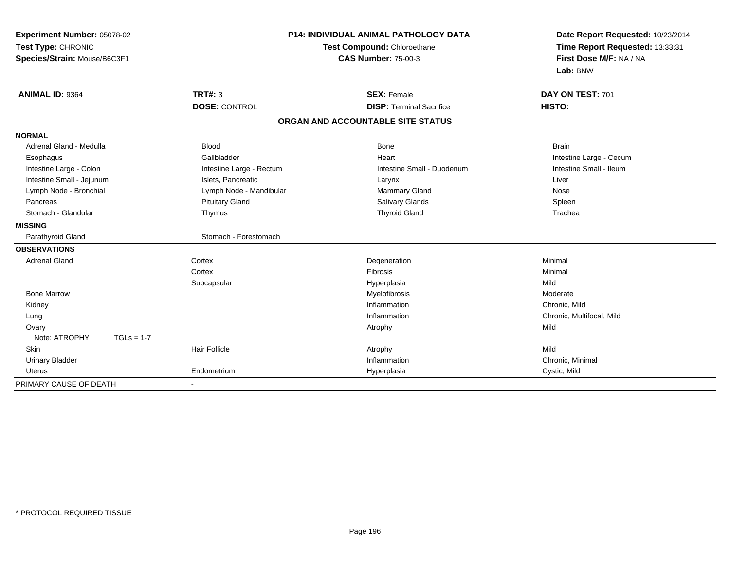| Experiment Number: 05078-02<br>Test Type: CHRONIC<br>Species/Strain: Mouse/B6C3F1 | <b>P14: INDIVIDUAL ANIMAL PATHOLOGY DATA</b><br>Test Compound: Chloroethane<br><b>CAS Number: 75-00-3</b> |                                                       | Date Report Requested: 10/23/2014<br>Time Report Requested: 13:33:31<br>First Dose M/F: NA / NA<br>Lab: BNW |  |
|-----------------------------------------------------------------------------------|-----------------------------------------------------------------------------------------------------------|-------------------------------------------------------|-------------------------------------------------------------------------------------------------------------|--|
| <b>ANIMAL ID: 9364</b>                                                            | TRT#: 3<br><b>DOSE: CONTROL</b>                                                                           | <b>SEX: Female</b><br><b>DISP: Terminal Sacrifice</b> | DAY ON TEST: 701<br>HISTO:                                                                                  |  |
|                                                                                   |                                                                                                           | ORGAN AND ACCOUNTABLE SITE STATUS                     |                                                                                                             |  |
| <b>NORMAL</b>                                                                     |                                                                                                           |                                                       |                                                                                                             |  |
| Adrenal Gland - Medulla                                                           | <b>Blood</b>                                                                                              | Bone                                                  | <b>Brain</b>                                                                                                |  |
| Esophagus                                                                         | Gallbladder                                                                                               | Heart                                                 | Intestine Large - Cecum                                                                                     |  |
| Intestine Large - Colon                                                           | Intestine Large - Rectum                                                                                  | Intestine Small - Duodenum                            | Intestine Small - Ileum                                                                                     |  |
| Intestine Small - Jejunum                                                         | Islets, Pancreatic                                                                                        | Larynx                                                | Liver                                                                                                       |  |
| Lymph Node - Bronchial                                                            | Lymph Node - Mandibular                                                                                   | Mammary Gland                                         | Nose                                                                                                        |  |
| Pancreas                                                                          | <b>Pituitary Gland</b>                                                                                    | Salivary Glands                                       | Spleen                                                                                                      |  |
| Stomach - Glandular                                                               | Thymus                                                                                                    | <b>Thyroid Gland</b>                                  | Trachea                                                                                                     |  |
| <b>MISSING</b>                                                                    |                                                                                                           |                                                       |                                                                                                             |  |
| Parathyroid Gland                                                                 | Stomach - Forestomach                                                                                     |                                                       |                                                                                                             |  |
| <b>OBSERVATIONS</b>                                                               |                                                                                                           |                                                       |                                                                                                             |  |
| <b>Adrenal Gland</b>                                                              | Cortex                                                                                                    | Degeneration                                          | Minimal                                                                                                     |  |
|                                                                                   | Cortex                                                                                                    | Fibrosis                                              | Minimal                                                                                                     |  |
|                                                                                   | Subcapsular                                                                                               | Hyperplasia                                           | Mild                                                                                                        |  |
| <b>Bone Marrow</b>                                                                |                                                                                                           | Myelofibrosis                                         | Moderate                                                                                                    |  |
| Kidney                                                                            |                                                                                                           | Inflammation                                          | Chronic, Mild                                                                                               |  |
| Lung                                                                              |                                                                                                           | Inflammation                                          | Chronic, Multifocal, Mild                                                                                   |  |
| Ovary                                                                             |                                                                                                           | Atrophy                                               | Mild                                                                                                        |  |
| Note: ATROPHY<br>$TGLs = 1-7$                                                     |                                                                                                           |                                                       |                                                                                                             |  |
| <b>Skin</b>                                                                       | <b>Hair Follicle</b>                                                                                      | Atrophy                                               | Mild                                                                                                        |  |
| <b>Urinary Bladder</b>                                                            |                                                                                                           | Inflammation                                          | Chronic, Minimal                                                                                            |  |
| Uterus                                                                            | Endometrium                                                                                               | Hyperplasia                                           | Cystic, Mild                                                                                                |  |
| PRIMARY CAUSE OF DEATH                                                            |                                                                                                           |                                                       |                                                                                                             |  |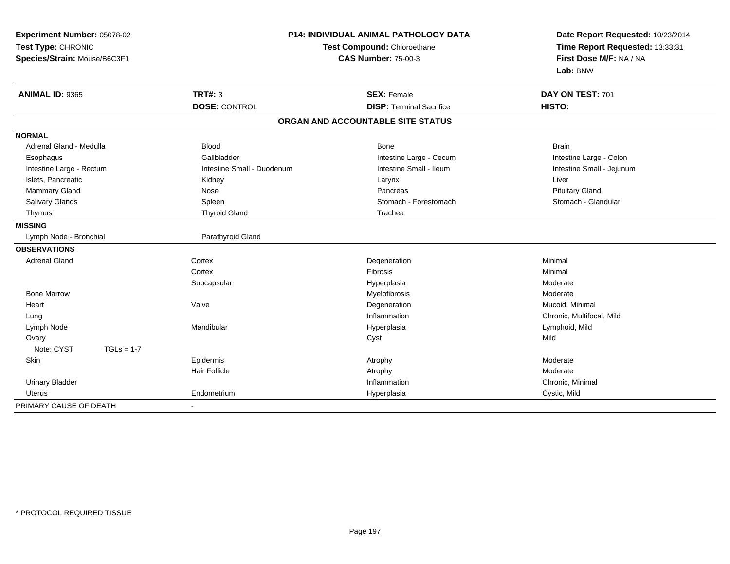| Experiment Number: 05078-02<br>Test Type: CHRONIC<br>Species/Strain: Mouse/B6C3F1 | P14: INDIVIDUAL ANIMAL PATHOLOGY DATA<br>Test Compound: Chloroethane<br><b>CAS Number: 75-00-3</b> |                                   | Date Report Requested: 10/23/2014<br>Time Report Requested: 13:33:31<br>First Dose M/F: NA / NA<br>Lab: BNW |
|-----------------------------------------------------------------------------------|----------------------------------------------------------------------------------------------------|-----------------------------------|-------------------------------------------------------------------------------------------------------------|
| ANIMAL ID: 9365                                                                   | <b>TRT#: 3</b>                                                                                     | <b>SEX: Female</b>                | DAY ON TEST: 701                                                                                            |
|                                                                                   | <b>DOSE: CONTROL</b>                                                                               | <b>DISP: Terminal Sacrifice</b>   | HISTO:                                                                                                      |
|                                                                                   |                                                                                                    | ORGAN AND ACCOUNTABLE SITE STATUS |                                                                                                             |
| <b>NORMAL</b>                                                                     |                                                                                                    |                                   |                                                                                                             |
| Adrenal Gland - Medulla                                                           | <b>Blood</b>                                                                                       | Bone                              | <b>Brain</b>                                                                                                |
| Esophagus                                                                         | Gallbladder                                                                                        | Intestine Large - Cecum           | Intestine Large - Colon                                                                                     |
| Intestine Large - Rectum                                                          | Intestine Small - Duodenum                                                                         | Intestine Small - Ileum           | Intestine Small - Jejunum                                                                                   |
| Islets, Pancreatic                                                                | Kidney                                                                                             | Larynx                            | Liver                                                                                                       |
| Mammary Gland                                                                     | Nose                                                                                               | Pancreas                          | <b>Pituitary Gland</b>                                                                                      |
| Salivary Glands                                                                   | Spleen                                                                                             | Stomach - Forestomach             | Stomach - Glandular                                                                                         |
| Thymus                                                                            | <b>Thyroid Gland</b>                                                                               | Trachea                           |                                                                                                             |
| <b>MISSING</b>                                                                    |                                                                                                    |                                   |                                                                                                             |
| Lymph Node - Bronchial                                                            | Parathyroid Gland                                                                                  |                                   |                                                                                                             |
| <b>OBSERVATIONS</b>                                                               |                                                                                                    |                                   |                                                                                                             |
| <b>Adrenal Gland</b>                                                              | Cortex                                                                                             | Degeneration                      | Minimal                                                                                                     |
|                                                                                   | Cortex                                                                                             | Fibrosis                          | Minimal                                                                                                     |
|                                                                                   | Subcapsular                                                                                        | Hyperplasia                       | Moderate                                                                                                    |
| <b>Bone Marrow</b>                                                                |                                                                                                    | Myelofibrosis                     | Moderate                                                                                                    |
| Heart                                                                             | Valve                                                                                              | Degeneration                      | Mucoid, Minimal                                                                                             |
| Lung                                                                              |                                                                                                    | Inflammation                      | Chronic, Multifocal, Mild                                                                                   |
| Lymph Node                                                                        | Mandibular                                                                                         | Hyperplasia                       | Lymphoid, Mild                                                                                              |
| Ovary                                                                             |                                                                                                    | Cyst                              | Mild                                                                                                        |
| Note: CYST<br>$TGLs = 1-7$                                                        |                                                                                                    |                                   |                                                                                                             |
| Skin                                                                              | Epidermis                                                                                          | Atrophy                           | Moderate                                                                                                    |
|                                                                                   | <b>Hair Follicle</b>                                                                               | Atrophy                           | Moderate                                                                                                    |
| <b>Urinary Bladder</b>                                                            |                                                                                                    | Inflammation                      | Chronic, Minimal                                                                                            |
| Uterus                                                                            | Endometrium                                                                                        | Hyperplasia                       | Cystic, Mild                                                                                                |
| PRIMARY CAUSE OF DEATH                                                            |                                                                                                    |                                   |                                                                                                             |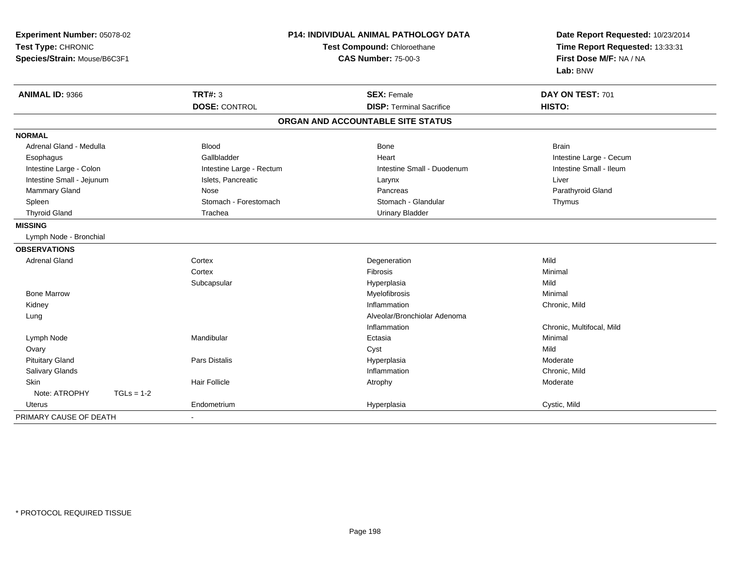| Experiment Number: 05078-02<br>Test Type: CHRONIC<br>Species/Strain: Mouse/B6C3F1 |              |                          | P14: INDIVIDUAL ANIMAL PATHOLOGY DATA<br>Test Compound: Chloroethane<br><b>CAS Number: 75-00-3</b> | Date Report Requested: 10/23/2014<br>Time Report Requested: 13:33:31<br>First Dose M/F: NA / NA<br>Lab: BNW |
|-----------------------------------------------------------------------------------|--------------|--------------------------|----------------------------------------------------------------------------------------------------|-------------------------------------------------------------------------------------------------------------|
| ANIMAL ID: 9366                                                                   |              | <b>TRT#: 3</b>           | <b>SEX: Female</b>                                                                                 | DAY ON TEST: 701                                                                                            |
|                                                                                   |              | <b>DOSE: CONTROL</b>     | <b>DISP: Terminal Sacrifice</b>                                                                    | HISTO:                                                                                                      |
|                                                                                   |              |                          | ORGAN AND ACCOUNTABLE SITE STATUS                                                                  |                                                                                                             |
| <b>NORMAL</b>                                                                     |              |                          |                                                                                                    |                                                                                                             |
| Adrenal Gland - Medulla                                                           |              | Blood                    | <b>Bone</b>                                                                                        | <b>Brain</b>                                                                                                |
| Esophagus                                                                         |              | Gallbladder              | Heart                                                                                              | Intestine Large - Cecum                                                                                     |
| Intestine Large - Colon                                                           |              | Intestine Large - Rectum | Intestine Small - Duodenum                                                                         | Intestine Small - Ileum                                                                                     |
| Intestine Small - Jejunum                                                         |              | Islets, Pancreatic       | Larynx                                                                                             | Liver                                                                                                       |
| <b>Mammary Gland</b>                                                              |              | Nose                     | Pancreas                                                                                           | Parathyroid Gland                                                                                           |
| Spleen                                                                            |              | Stomach - Forestomach    | Stomach - Glandular                                                                                | Thymus                                                                                                      |
| <b>Thyroid Gland</b>                                                              |              | Trachea                  | <b>Urinary Bladder</b>                                                                             |                                                                                                             |
| <b>MISSING</b>                                                                    |              |                          |                                                                                                    |                                                                                                             |
| Lymph Node - Bronchial                                                            |              |                          |                                                                                                    |                                                                                                             |
| <b>OBSERVATIONS</b>                                                               |              |                          |                                                                                                    |                                                                                                             |
| <b>Adrenal Gland</b>                                                              |              | Cortex                   | Degeneration                                                                                       | Mild                                                                                                        |
|                                                                                   |              | Cortex                   | Fibrosis                                                                                           | Minimal                                                                                                     |
|                                                                                   |              | Subcapsular              | Hyperplasia                                                                                        | Mild                                                                                                        |
| <b>Bone Marrow</b>                                                                |              |                          | Myelofibrosis                                                                                      | Minimal                                                                                                     |
| Kidney                                                                            |              |                          | Inflammation                                                                                       | Chronic, Mild                                                                                               |
| Lung                                                                              |              |                          | Alveolar/Bronchiolar Adenoma                                                                       |                                                                                                             |
|                                                                                   |              |                          | Inflammation                                                                                       | Chronic, Multifocal, Mild                                                                                   |
| Lymph Node                                                                        |              | Mandibular               | Ectasia                                                                                            | Minimal                                                                                                     |
| Ovary                                                                             |              |                          | Cyst                                                                                               | Mild                                                                                                        |
| <b>Pituitary Gland</b>                                                            |              | <b>Pars Distalis</b>     | Hyperplasia                                                                                        | Moderate                                                                                                    |
| Salivary Glands                                                                   |              |                          | Inflammation                                                                                       | Chronic, Mild                                                                                               |
| Skin                                                                              |              | <b>Hair Follicle</b>     | Atrophy                                                                                            | Moderate                                                                                                    |
| Note: ATROPHY                                                                     | $TGLs = 1-2$ |                          |                                                                                                    |                                                                                                             |
| Uterus                                                                            |              | Endometrium              | Hyperplasia                                                                                        | Cystic, Mild                                                                                                |
| PRIMARY CAUSE OF DEATH                                                            |              |                          |                                                                                                    |                                                                                                             |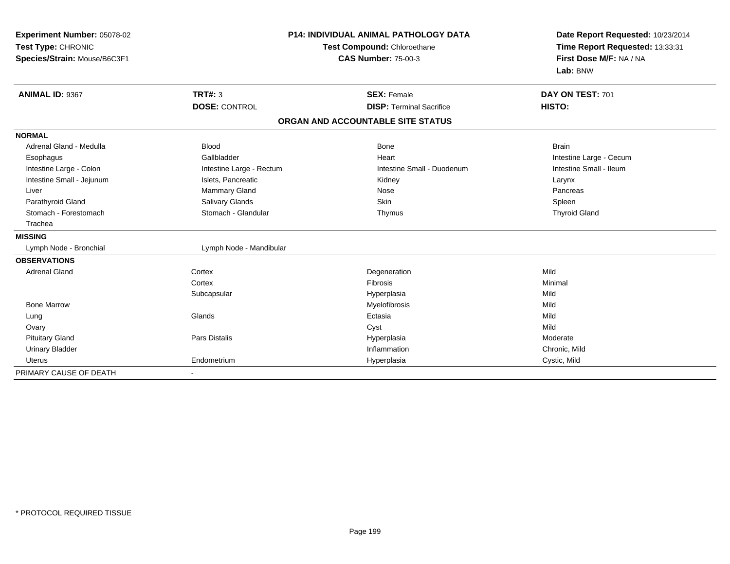| Experiment Number: 05078-02<br>Test Type: CHRONIC<br>Species/Strain: Mouse/B6C3F1 | <b>P14: INDIVIDUAL ANIMAL PATHOLOGY DATA</b><br>Test Compound: Chloroethane<br><b>CAS Number: 75-00-3</b> |                                   | Date Report Requested: 10/23/2014<br>Time Report Requested: 13:33:31<br>First Dose M/F: NA / NA<br>Lab: BNW |  |
|-----------------------------------------------------------------------------------|-----------------------------------------------------------------------------------------------------------|-----------------------------------|-------------------------------------------------------------------------------------------------------------|--|
| <b>ANIMAL ID: 9367</b>                                                            | <b>TRT#: 3</b>                                                                                            | <b>SEX: Female</b>                | DAY ON TEST: 701                                                                                            |  |
|                                                                                   | <b>DOSE: CONTROL</b>                                                                                      | <b>DISP: Terminal Sacrifice</b>   | HISTO:                                                                                                      |  |
|                                                                                   |                                                                                                           | ORGAN AND ACCOUNTABLE SITE STATUS |                                                                                                             |  |
| <b>NORMAL</b>                                                                     |                                                                                                           |                                   |                                                                                                             |  |
| Adrenal Gland - Medulla                                                           | <b>Blood</b>                                                                                              | <b>Bone</b>                       | <b>Brain</b>                                                                                                |  |
| Esophagus                                                                         | Gallbladder                                                                                               | Heart                             | Intestine Large - Cecum                                                                                     |  |
| Intestine Large - Colon                                                           | Intestine Large - Rectum                                                                                  | Intestine Small - Duodenum        | Intestine Small - Ileum                                                                                     |  |
| Intestine Small - Jejunum                                                         | Islets, Pancreatic                                                                                        | Kidney                            | Larynx                                                                                                      |  |
| Liver                                                                             | Mammary Gland                                                                                             | Nose                              | Pancreas                                                                                                    |  |
| Parathyroid Gland                                                                 | Salivary Glands                                                                                           | <b>Skin</b>                       | Spleen                                                                                                      |  |
| Stomach - Forestomach                                                             | Stomach - Glandular                                                                                       | Thymus                            | <b>Thyroid Gland</b>                                                                                        |  |
| Trachea                                                                           |                                                                                                           |                                   |                                                                                                             |  |
| <b>MISSING</b>                                                                    |                                                                                                           |                                   |                                                                                                             |  |
| Lymph Node - Bronchial                                                            | Lymph Node - Mandibular                                                                                   |                                   |                                                                                                             |  |
| <b>OBSERVATIONS</b>                                                               |                                                                                                           |                                   |                                                                                                             |  |
| <b>Adrenal Gland</b>                                                              | Cortex                                                                                                    | Degeneration                      | Mild                                                                                                        |  |
|                                                                                   | Cortex                                                                                                    | Fibrosis                          | Minimal                                                                                                     |  |
|                                                                                   | Subcapsular                                                                                               | Hyperplasia                       | Mild                                                                                                        |  |
| <b>Bone Marrow</b>                                                                |                                                                                                           | Myelofibrosis                     | Mild                                                                                                        |  |
| Lung                                                                              | Glands                                                                                                    | Ectasia                           | Mild                                                                                                        |  |
| Ovary                                                                             |                                                                                                           | Cyst                              | Mild                                                                                                        |  |
| <b>Pituitary Gland</b>                                                            | <b>Pars Distalis</b>                                                                                      | Hyperplasia                       | Moderate                                                                                                    |  |
| <b>Urinary Bladder</b>                                                            |                                                                                                           | Inflammation                      | Chronic, Mild                                                                                               |  |
| <b>Uterus</b>                                                                     | Endometrium                                                                                               | Hyperplasia                       | Cystic, Mild                                                                                                |  |
| PRIMARY CAUSE OF DEATH                                                            |                                                                                                           |                                   |                                                                                                             |  |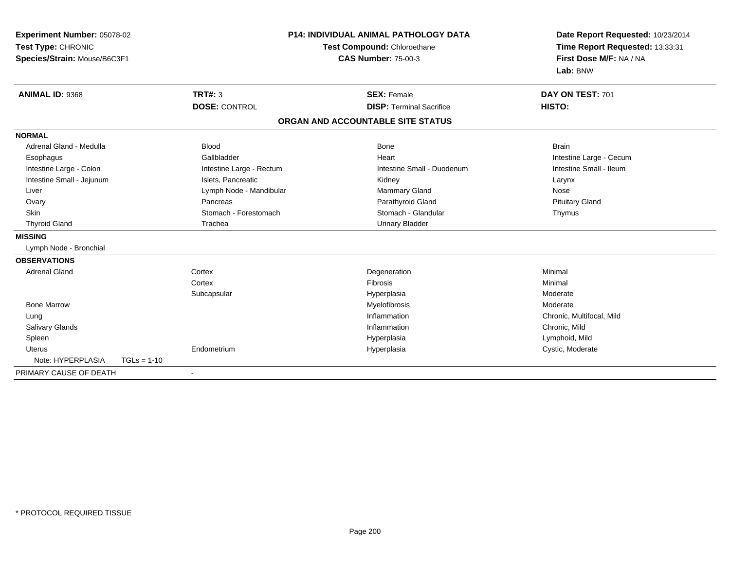| <b>Experiment Number: 05078-02</b><br>Test Type: CHRONIC<br>Species/Strain: Mouse/B6C3F1 |                          | <b>P14: INDIVIDUAL ANIMAL PATHOLOGY DATA</b><br>Test Compound: Chloroethane<br><b>CAS Number: 75-00-3</b> | Date Report Requested: 10/23/2014<br>Time Report Requested: 13:33:31<br>First Dose M/F: NA / NA<br>Lab: BNW |
|------------------------------------------------------------------------------------------|--------------------------|-----------------------------------------------------------------------------------------------------------|-------------------------------------------------------------------------------------------------------------|
| <b>ANIMAL ID: 9368</b>                                                                   | <b>TRT#: 3</b>           | <b>SEX: Female</b>                                                                                        | DAY ON TEST: 701                                                                                            |
|                                                                                          | <b>DOSE: CONTROL</b>     | <b>DISP: Terminal Sacrifice</b>                                                                           | HISTO:                                                                                                      |
|                                                                                          |                          | ORGAN AND ACCOUNTABLE SITE STATUS                                                                         |                                                                                                             |
| <b>NORMAL</b>                                                                            |                          |                                                                                                           |                                                                                                             |
| Adrenal Gland - Medulla                                                                  | <b>Blood</b>             | <b>Bone</b>                                                                                               | <b>Brain</b>                                                                                                |
| Esophagus                                                                                | Gallbladder              | Heart                                                                                                     | Intestine Large - Cecum                                                                                     |
| Intestine Large - Colon                                                                  | Intestine Large - Rectum | Intestine Small - Duodenum                                                                                | Intestine Small - Ileum                                                                                     |
| Intestine Small - Jejunum                                                                | Islets, Pancreatic       | Kidney                                                                                                    | Larynx                                                                                                      |
| Liver                                                                                    | Lymph Node - Mandibular  | <b>Mammary Gland</b>                                                                                      | Nose                                                                                                        |
| Ovary                                                                                    | Pancreas                 | Parathyroid Gland                                                                                         | <b>Pituitary Gland</b>                                                                                      |
| <b>Skin</b>                                                                              | Stomach - Forestomach    | Stomach - Glandular                                                                                       | Thymus                                                                                                      |
| <b>Thyroid Gland</b>                                                                     | Trachea                  | <b>Urinary Bladder</b>                                                                                    |                                                                                                             |
| <b>MISSING</b>                                                                           |                          |                                                                                                           |                                                                                                             |
| Lymph Node - Bronchial                                                                   |                          |                                                                                                           |                                                                                                             |
| <b>OBSERVATIONS</b>                                                                      |                          |                                                                                                           |                                                                                                             |
| <b>Adrenal Gland</b>                                                                     | Cortex                   | Degeneration                                                                                              | Minimal                                                                                                     |
|                                                                                          | Cortex                   | Fibrosis                                                                                                  | Minimal                                                                                                     |
|                                                                                          | Subcapsular              | Hyperplasia                                                                                               | Moderate                                                                                                    |
| <b>Bone Marrow</b>                                                                       |                          | Myelofibrosis                                                                                             | Moderate                                                                                                    |
| Lung                                                                                     |                          | Inflammation                                                                                              | Chronic, Multifocal, Mild                                                                                   |
| Salivary Glands                                                                          |                          | Inflammation                                                                                              | Chronic, Mild                                                                                               |
| Spleen                                                                                   |                          | Hyperplasia                                                                                               | Lymphoid, Mild                                                                                              |
| <b>Uterus</b>                                                                            | Endometrium              | Hyperplasia                                                                                               | Cystic, Moderate                                                                                            |
| Note: HYPERPLASIA                                                                        | $TGLs = 1-10$            |                                                                                                           |                                                                                                             |
| PRIMARY CAUSE OF DEATH                                                                   |                          |                                                                                                           |                                                                                                             |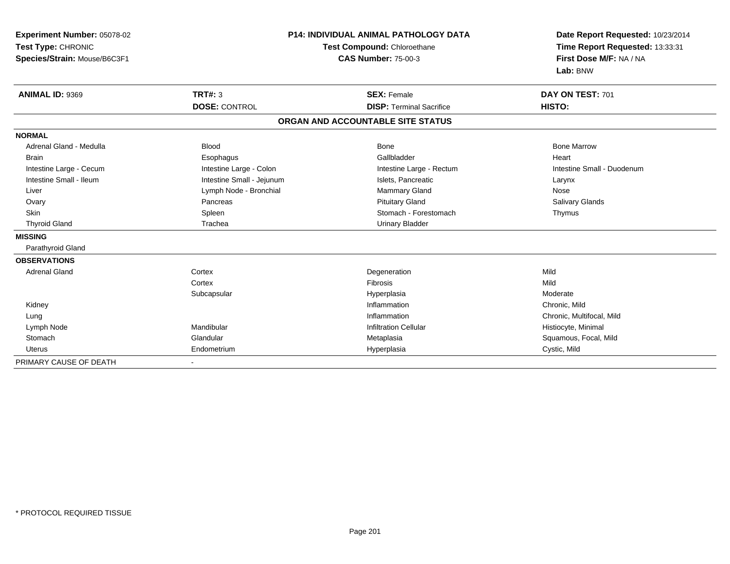| Experiment Number: 05078-02<br>Test Type: CHRONIC<br>Species/Strain: Mouse/B6C3F1 | <b>P14: INDIVIDUAL ANIMAL PATHOLOGY DATA</b><br>Test Compound: Chloroethane<br><b>CAS Number: 75-00-3</b> |                                   | Date Report Requested: 10/23/2014<br>Time Report Requested: 13:33:31<br>First Dose M/F: NA / NA<br>Lab: BNW |
|-----------------------------------------------------------------------------------|-----------------------------------------------------------------------------------------------------------|-----------------------------------|-------------------------------------------------------------------------------------------------------------|
| <b>ANIMAL ID: 9369</b>                                                            | <b>TRT#: 3</b>                                                                                            | <b>SEX: Female</b>                | DAY ON TEST: 701                                                                                            |
|                                                                                   | <b>DOSE: CONTROL</b>                                                                                      | <b>DISP: Terminal Sacrifice</b>   | HISTO:                                                                                                      |
|                                                                                   |                                                                                                           | ORGAN AND ACCOUNTABLE SITE STATUS |                                                                                                             |
| <b>NORMAL</b>                                                                     |                                                                                                           |                                   |                                                                                                             |
| Adrenal Gland - Medulla                                                           | <b>Blood</b>                                                                                              | <b>Bone</b>                       | <b>Bone Marrow</b>                                                                                          |
| <b>Brain</b>                                                                      | Esophagus                                                                                                 | Gallbladder                       | Heart                                                                                                       |
| Intestine Large - Cecum                                                           | Intestine Large - Colon                                                                                   | Intestine Large - Rectum          | Intestine Small - Duodenum                                                                                  |
| Intestine Small - Ileum                                                           | Intestine Small - Jejunum                                                                                 | Islets, Pancreatic                | Larynx                                                                                                      |
| Liver                                                                             | Lymph Node - Bronchial                                                                                    | Mammary Gland                     | Nose                                                                                                        |
| Ovary                                                                             | Pancreas                                                                                                  | <b>Pituitary Gland</b>            | Salivary Glands                                                                                             |
| Skin                                                                              | Spleen                                                                                                    | Stomach - Forestomach             | Thymus                                                                                                      |
| <b>Thyroid Gland</b>                                                              | Trachea                                                                                                   | <b>Urinary Bladder</b>            |                                                                                                             |
| <b>MISSING</b>                                                                    |                                                                                                           |                                   |                                                                                                             |
| Parathyroid Gland                                                                 |                                                                                                           |                                   |                                                                                                             |
| <b>OBSERVATIONS</b>                                                               |                                                                                                           |                                   |                                                                                                             |
| <b>Adrenal Gland</b>                                                              | Cortex                                                                                                    | Degeneration                      | Mild                                                                                                        |
|                                                                                   | Cortex                                                                                                    | <b>Fibrosis</b>                   | Mild                                                                                                        |
|                                                                                   | Subcapsular                                                                                               | Hyperplasia                       | Moderate                                                                                                    |
| Kidney                                                                            |                                                                                                           | Inflammation                      | Chronic, Mild                                                                                               |
| Lung                                                                              |                                                                                                           | Inflammation                      | Chronic, Multifocal, Mild                                                                                   |
| Lymph Node                                                                        | Mandibular                                                                                                | <b>Infiltration Cellular</b>      | Histiocyte, Minimal                                                                                         |
| Stomach                                                                           | Glandular                                                                                                 | Metaplasia                        | Squamous, Focal, Mild                                                                                       |
| <b>Uterus</b>                                                                     | Endometrium                                                                                               | Hyperplasia                       | Cystic, Mild                                                                                                |
| PRIMARY CAUSE OF DEATH                                                            |                                                                                                           |                                   |                                                                                                             |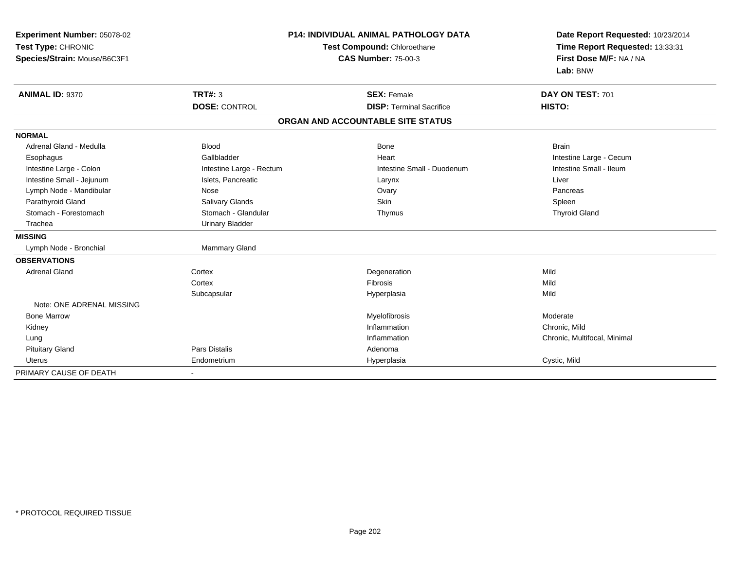| Experiment Number: 05078-02<br>Test Type: CHRONIC<br>Species/Strain: Mouse/B6C3F1 |                          | <b>P14: INDIVIDUAL ANIMAL PATHOLOGY DATA</b><br>Test Compound: Chloroethane<br><b>CAS Number: 75-00-3</b> | Date Report Requested: 10/23/2014<br>Time Report Requested: 13:33:31<br>First Dose M/F: NA / NA<br>Lab: BNW |
|-----------------------------------------------------------------------------------|--------------------------|-----------------------------------------------------------------------------------------------------------|-------------------------------------------------------------------------------------------------------------|
| ANIMAL ID: 9370                                                                   | <b>TRT#: 3</b>           | <b>SEX: Female</b>                                                                                        | DAY ON TEST: 701                                                                                            |
|                                                                                   | <b>DOSE: CONTROL</b>     | <b>DISP: Terminal Sacrifice</b>                                                                           | HISTO:                                                                                                      |
|                                                                                   |                          | ORGAN AND ACCOUNTABLE SITE STATUS                                                                         |                                                                                                             |
| <b>NORMAL</b>                                                                     |                          |                                                                                                           |                                                                                                             |
| Adrenal Gland - Medulla                                                           | <b>Blood</b>             | <b>Bone</b>                                                                                               | <b>Brain</b>                                                                                                |
| Esophagus                                                                         | Gallbladder              | Heart                                                                                                     | Intestine Large - Cecum                                                                                     |
| Intestine Large - Colon                                                           | Intestine Large - Rectum | Intestine Small - Duodenum                                                                                | Intestine Small - Ileum                                                                                     |
| Intestine Small - Jejunum                                                         | Islets, Pancreatic       | Larynx                                                                                                    | Liver                                                                                                       |
| Lymph Node - Mandibular                                                           | Nose                     | Ovary                                                                                                     | Pancreas                                                                                                    |
| Parathyroid Gland                                                                 | <b>Salivary Glands</b>   | Skin                                                                                                      | Spleen                                                                                                      |
| Stomach - Forestomach                                                             | Stomach - Glandular      | Thymus                                                                                                    | <b>Thyroid Gland</b>                                                                                        |
| Trachea                                                                           | <b>Urinary Bladder</b>   |                                                                                                           |                                                                                                             |
| <b>MISSING</b>                                                                    |                          |                                                                                                           |                                                                                                             |
| Lymph Node - Bronchial                                                            | <b>Mammary Gland</b>     |                                                                                                           |                                                                                                             |
| <b>OBSERVATIONS</b>                                                               |                          |                                                                                                           |                                                                                                             |
| <b>Adrenal Gland</b>                                                              | Cortex                   | Degeneration                                                                                              | Mild                                                                                                        |
|                                                                                   | Cortex                   | <b>Fibrosis</b>                                                                                           | Mild                                                                                                        |
|                                                                                   | Subcapsular              | Hyperplasia                                                                                               | Mild                                                                                                        |
| Note: ONE ADRENAL MISSING                                                         |                          |                                                                                                           |                                                                                                             |
| <b>Bone Marrow</b>                                                                |                          | Myelofibrosis                                                                                             | Moderate                                                                                                    |
| Kidney                                                                            |                          | Inflammation                                                                                              | Chronic, Mild                                                                                               |
| Lung                                                                              |                          | Inflammation                                                                                              | Chronic, Multifocal, Minimal                                                                                |
| <b>Pituitary Gland</b>                                                            | Pars Distalis            | Adenoma                                                                                                   |                                                                                                             |
| Uterus                                                                            | Endometrium              | Hyperplasia                                                                                               | Cystic, Mild                                                                                                |
| PRIMARY CAUSE OF DEATH                                                            |                          |                                                                                                           |                                                                                                             |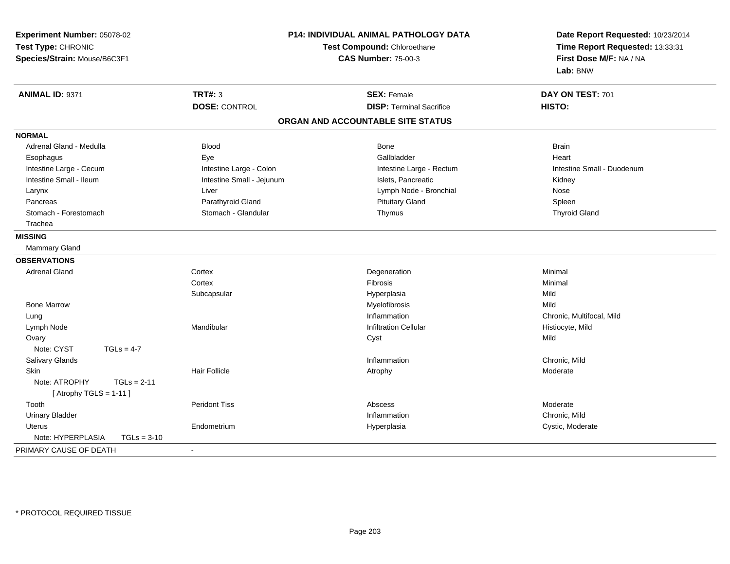| Experiment Number: 05078-02<br>Test Type: CHRONIC<br>Species/Strain: Mouse/B6C3F1 | P14: INDIVIDUAL ANIMAL PATHOLOGY DATA<br>Test Compound: Chloroethane<br><b>CAS Number: 75-00-3</b> |                                   | Date Report Requested: 10/23/2014<br>Time Report Requested: 13:33:31<br>First Dose M/F: NA / NA<br>Lab: BNW |
|-----------------------------------------------------------------------------------|----------------------------------------------------------------------------------------------------|-----------------------------------|-------------------------------------------------------------------------------------------------------------|
| ANIMAL ID: 9371                                                                   | <b>TRT#: 3</b>                                                                                     | <b>SEX: Female</b>                | DAY ON TEST: 701                                                                                            |
|                                                                                   | <b>DOSE: CONTROL</b>                                                                               | <b>DISP: Terminal Sacrifice</b>   | HISTO:                                                                                                      |
|                                                                                   |                                                                                                    | ORGAN AND ACCOUNTABLE SITE STATUS |                                                                                                             |
| <b>NORMAL</b>                                                                     |                                                                                                    |                                   |                                                                                                             |
| Adrenal Gland - Medulla                                                           | <b>Blood</b>                                                                                       | <b>Bone</b>                       | <b>Brain</b>                                                                                                |
| Esophagus                                                                         | Eye                                                                                                | Gallbladder                       | Heart                                                                                                       |
| Intestine Large - Cecum                                                           | Intestine Large - Colon                                                                            | Intestine Large - Rectum          | Intestine Small - Duodenum                                                                                  |
| Intestine Small - Ileum                                                           | Intestine Small - Jejunum                                                                          | Islets, Pancreatic                | Kidney                                                                                                      |
| Larynx                                                                            | Liver                                                                                              | Lymph Node - Bronchial            | Nose                                                                                                        |
| Pancreas                                                                          | Parathyroid Gland                                                                                  | <b>Pituitary Gland</b>            | Spleen                                                                                                      |
| Stomach - Forestomach                                                             | Stomach - Glandular                                                                                | Thymus                            | <b>Thyroid Gland</b>                                                                                        |
| Trachea                                                                           |                                                                                                    |                                   |                                                                                                             |
| <b>MISSING</b>                                                                    |                                                                                                    |                                   |                                                                                                             |
| Mammary Gland                                                                     |                                                                                                    |                                   |                                                                                                             |
| <b>OBSERVATIONS</b>                                                               |                                                                                                    |                                   |                                                                                                             |
| <b>Adrenal Gland</b>                                                              | Cortex                                                                                             | Degeneration                      | Minimal                                                                                                     |
|                                                                                   | Cortex                                                                                             | Fibrosis                          | Minimal                                                                                                     |
|                                                                                   | Subcapsular                                                                                        | Hyperplasia                       | Mild                                                                                                        |
| <b>Bone Marrow</b>                                                                |                                                                                                    | Myelofibrosis                     | Mild                                                                                                        |
| Lung                                                                              |                                                                                                    | Inflammation                      | Chronic, Multifocal, Mild                                                                                   |
| Lymph Node                                                                        | Mandibular                                                                                         | <b>Infiltration Cellular</b>      | Histiocyte, Mild                                                                                            |
| Ovary                                                                             |                                                                                                    | Cyst                              | Mild                                                                                                        |
| Note: CYST<br>$TGLs = 4-7$                                                        |                                                                                                    |                                   |                                                                                                             |
| Salivary Glands                                                                   |                                                                                                    | Inflammation                      | Chronic, Mild                                                                                               |
| <b>Skin</b>                                                                       | Hair Follicle                                                                                      | Atrophy                           | Moderate                                                                                                    |
| Note: ATROPHY<br>$TGLs = 2-11$                                                    |                                                                                                    |                                   |                                                                                                             |
| [Atrophy TGLS = $1-11$ ]                                                          |                                                                                                    |                                   |                                                                                                             |
| Tooth                                                                             | <b>Peridont Tiss</b>                                                                               | Abscess                           | Moderate                                                                                                    |
| <b>Urinary Bladder</b>                                                            |                                                                                                    | Inflammation                      | Chronic, Mild                                                                                               |
| <b>Uterus</b>                                                                     | Endometrium                                                                                        | Hyperplasia                       | Cystic, Moderate                                                                                            |
| Note: HYPERPLASIA<br>$TGLs = 3-10$                                                |                                                                                                    |                                   |                                                                                                             |
| PRIMARY CAUSE OF DEATH                                                            | $\blacksquare$                                                                                     |                                   |                                                                                                             |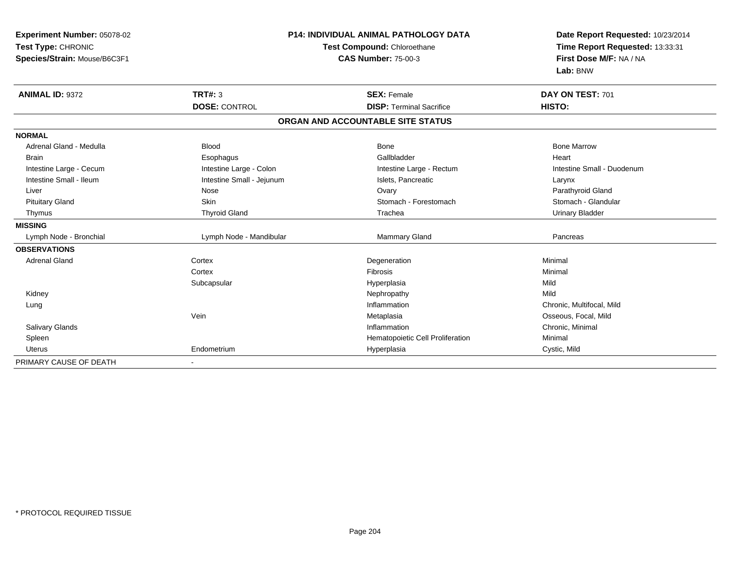| Experiment Number: 05078-02<br>Test Type: CHRONIC<br>Species/Strain: Mouse/B6C3F1 |                           | <b>P14: INDIVIDUAL ANIMAL PATHOLOGY DATA</b><br>Test Compound: Chloroethane<br><b>CAS Number: 75-00-3</b> | Date Report Requested: 10/23/2014<br>Time Report Requested: 13:33:31<br>First Dose M/F: NA / NA<br>Lab: BNW |
|-----------------------------------------------------------------------------------|---------------------------|-----------------------------------------------------------------------------------------------------------|-------------------------------------------------------------------------------------------------------------|
| <b>ANIMAL ID: 9372</b>                                                            | <b>TRT#: 3</b>            | <b>SEX: Female</b>                                                                                        | DAY ON TEST: 701                                                                                            |
|                                                                                   | <b>DOSE: CONTROL</b>      | <b>DISP: Terminal Sacrifice</b>                                                                           | HISTO:                                                                                                      |
|                                                                                   |                           | ORGAN AND ACCOUNTABLE SITE STATUS                                                                         |                                                                                                             |
| <b>NORMAL</b>                                                                     |                           |                                                                                                           |                                                                                                             |
| Adrenal Gland - Medulla                                                           | <b>Blood</b>              | Bone                                                                                                      | <b>Bone Marrow</b>                                                                                          |
| <b>Brain</b>                                                                      | Esophagus                 | Gallbladder                                                                                               | Heart                                                                                                       |
| Intestine Large - Cecum                                                           | Intestine Large - Colon   | Intestine Large - Rectum                                                                                  | Intestine Small - Duodenum                                                                                  |
| Intestine Small - Ileum                                                           | Intestine Small - Jejunum | Islets, Pancreatic                                                                                        | Larynx                                                                                                      |
| Liver                                                                             | Nose                      | Ovary                                                                                                     | Parathyroid Gland                                                                                           |
| <b>Pituitary Gland</b>                                                            | Skin                      | Stomach - Forestomach                                                                                     | Stomach - Glandular                                                                                         |
| Thymus                                                                            | <b>Thyroid Gland</b>      | Trachea                                                                                                   | <b>Urinary Bladder</b>                                                                                      |
| <b>MISSING</b>                                                                    |                           |                                                                                                           |                                                                                                             |
| Lymph Node - Bronchial                                                            | Lymph Node - Mandibular   | Mammary Gland                                                                                             | Pancreas                                                                                                    |
| <b>OBSERVATIONS</b>                                                               |                           |                                                                                                           |                                                                                                             |
| <b>Adrenal Gland</b>                                                              | Cortex                    | Degeneration                                                                                              | Minimal                                                                                                     |
|                                                                                   | Cortex                    | Fibrosis                                                                                                  | Minimal                                                                                                     |
|                                                                                   | Subcapsular               | Hyperplasia                                                                                               | Mild                                                                                                        |
| Kidney                                                                            |                           | Nephropathy                                                                                               | Mild                                                                                                        |
| Lung                                                                              |                           | Inflammation                                                                                              | Chronic, Multifocal, Mild                                                                                   |
|                                                                                   | Vein                      | Metaplasia                                                                                                | Osseous, Focal, Mild                                                                                        |
| Salivary Glands                                                                   |                           | Inflammation                                                                                              | Chronic, Minimal                                                                                            |
| Spleen                                                                            |                           | Hematopoietic Cell Proliferation                                                                          | Minimal                                                                                                     |
| <b>Uterus</b>                                                                     | Endometrium               | Hyperplasia                                                                                               | Cystic, Mild                                                                                                |
| PRIMARY CAUSE OF DEATH                                                            |                           |                                                                                                           |                                                                                                             |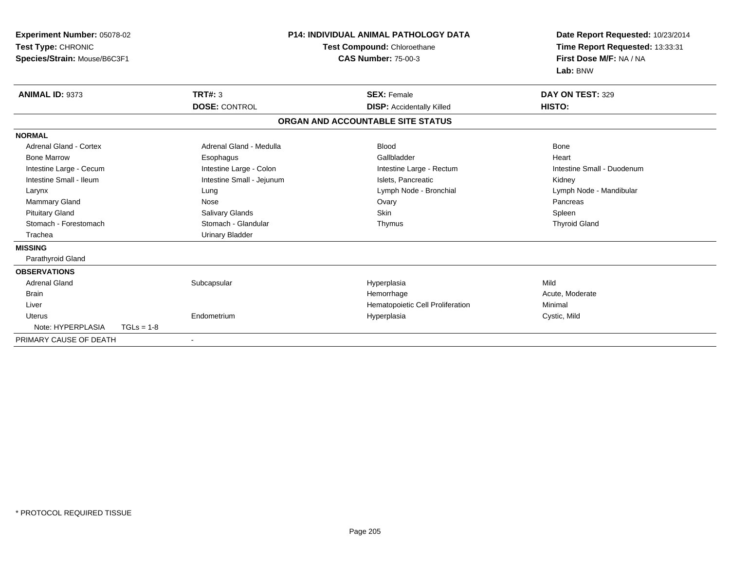| <b>Experiment Number: 05078-02</b><br>Test Type: CHRONIC<br>Species/Strain: Mouse/B6C3F1 |              |                           | <b>P14: INDIVIDUAL ANIMAL PATHOLOGY DATA</b><br><b>Test Compound: Chloroethane</b><br><b>CAS Number: 75-00-3</b> |                                   | Date Report Requested: 10/23/2014<br>Time Report Requested: 13:33:31<br>First Dose M/F: NA / NA<br>Lab: BNW |  |
|------------------------------------------------------------------------------------------|--------------|---------------------------|------------------------------------------------------------------------------------------------------------------|-----------------------------------|-------------------------------------------------------------------------------------------------------------|--|
| ANIMAL ID: 9373                                                                          |              | <b>TRT#: 3</b>            |                                                                                                                  | <b>SEX: Female</b>                | DAY ON TEST: 329                                                                                            |  |
|                                                                                          |              | <b>DOSE: CONTROL</b>      |                                                                                                                  | <b>DISP: Accidentally Killed</b>  | HISTO:                                                                                                      |  |
|                                                                                          |              |                           |                                                                                                                  | ORGAN AND ACCOUNTABLE SITE STATUS |                                                                                                             |  |
| <b>NORMAL</b>                                                                            |              |                           |                                                                                                                  |                                   |                                                                                                             |  |
| <b>Adrenal Gland - Cortex</b>                                                            |              | Adrenal Gland - Medulla   |                                                                                                                  | <b>Blood</b>                      | Bone                                                                                                        |  |
| <b>Bone Marrow</b>                                                                       |              | Esophagus                 |                                                                                                                  | Gallbladder                       | Heart                                                                                                       |  |
| Intestine Large - Cecum                                                                  |              | Intestine Large - Colon   |                                                                                                                  | Intestine Large - Rectum          | Intestine Small - Duodenum                                                                                  |  |
| Intestine Small - Ileum                                                                  |              | Intestine Small - Jejunum |                                                                                                                  | Islets, Pancreatic                | Kidney                                                                                                      |  |
| Larynx                                                                                   |              | Lung                      |                                                                                                                  | Lymph Node - Bronchial            | Lymph Node - Mandibular                                                                                     |  |
| Mammary Gland                                                                            |              | Nose                      |                                                                                                                  | Ovary                             | Pancreas                                                                                                    |  |
| <b>Pituitary Gland</b>                                                                   |              | Salivary Glands           |                                                                                                                  | <b>Skin</b>                       | Spleen                                                                                                      |  |
| Stomach - Forestomach                                                                    |              | Stomach - Glandular       |                                                                                                                  | Thymus                            | <b>Thyroid Gland</b>                                                                                        |  |
| Trachea                                                                                  |              | <b>Urinary Bladder</b>    |                                                                                                                  |                                   |                                                                                                             |  |
| <b>MISSING</b>                                                                           |              |                           |                                                                                                                  |                                   |                                                                                                             |  |
| Parathyroid Gland                                                                        |              |                           |                                                                                                                  |                                   |                                                                                                             |  |
| <b>OBSERVATIONS</b>                                                                      |              |                           |                                                                                                                  |                                   |                                                                                                             |  |
| <b>Adrenal Gland</b>                                                                     |              | Subcapsular               |                                                                                                                  | Hyperplasia                       | Mild                                                                                                        |  |
| <b>Brain</b>                                                                             |              |                           |                                                                                                                  | Hemorrhage                        | Acute, Moderate                                                                                             |  |
| Liver                                                                                    |              |                           |                                                                                                                  | Hematopoietic Cell Proliferation  | Minimal                                                                                                     |  |
| Uterus                                                                                   |              | Endometrium               |                                                                                                                  | Hyperplasia                       | Cystic, Mild                                                                                                |  |
| Note: HYPERPLASIA                                                                        | $TGLs = 1-8$ |                           |                                                                                                                  |                                   |                                                                                                             |  |
| PRIMARY CAUSE OF DEATH                                                                   |              | $\blacksquare$            |                                                                                                                  |                                   |                                                                                                             |  |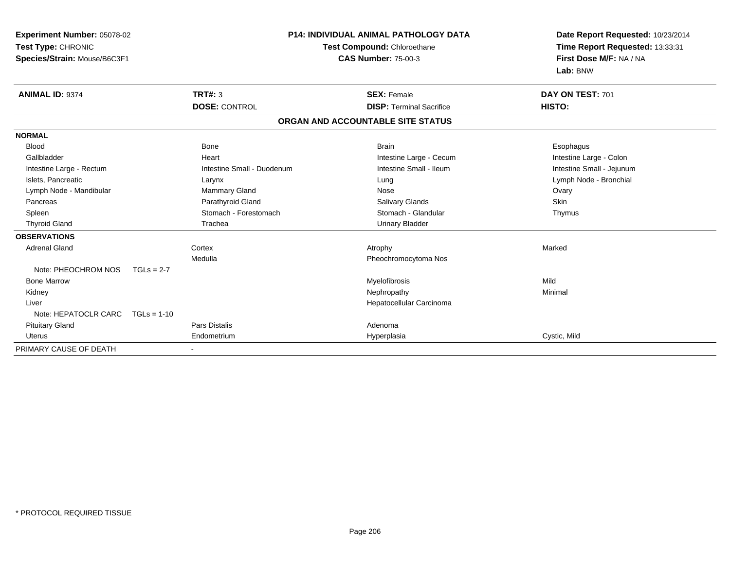| Experiment Number: 05078-02<br>Test Type: CHRONIC<br>Species/Strain: Mouse/B6C3F1 |               |                            | <b>P14: INDIVIDUAL ANIMAL PATHOLOGY DATA</b><br>Test Compound: Chloroethane<br><b>CAS Number: 75-00-3</b> | Date Report Requested: 10/23/2014<br>Time Report Requested: 13:33:31<br>First Dose M/F: NA / NA<br>Lab: BNW |
|-----------------------------------------------------------------------------------|---------------|----------------------------|-----------------------------------------------------------------------------------------------------------|-------------------------------------------------------------------------------------------------------------|
| <b>ANIMAL ID: 9374</b>                                                            |               | <b>TRT#: 3</b>             | <b>SEX: Female</b>                                                                                        | DAY ON TEST: 701                                                                                            |
|                                                                                   |               | <b>DOSE: CONTROL</b>       | <b>DISP: Terminal Sacrifice</b>                                                                           | HISTO:                                                                                                      |
|                                                                                   |               |                            | ORGAN AND ACCOUNTABLE SITE STATUS                                                                         |                                                                                                             |
| <b>NORMAL</b>                                                                     |               |                            |                                                                                                           |                                                                                                             |
| <b>Blood</b>                                                                      |               | <b>Bone</b>                | <b>Brain</b>                                                                                              | Esophagus                                                                                                   |
| Gallbladder                                                                       |               | Heart                      | Intestine Large - Cecum                                                                                   | Intestine Large - Colon                                                                                     |
| Intestine Large - Rectum                                                          |               | Intestine Small - Duodenum | Intestine Small - Ileum                                                                                   | Intestine Small - Jejunum                                                                                   |
| Islets, Pancreatic                                                                |               | Larynx                     | Lung                                                                                                      | Lymph Node - Bronchial                                                                                      |
| Lymph Node - Mandibular                                                           |               | Mammary Gland              | Nose                                                                                                      | Ovary                                                                                                       |
| Pancreas                                                                          |               | Parathyroid Gland          | <b>Salivary Glands</b>                                                                                    | Skin                                                                                                        |
| Spleen                                                                            |               | Stomach - Forestomach      | Stomach - Glandular                                                                                       | Thymus                                                                                                      |
| <b>Thyroid Gland</b>                                                              |               | Trachea                    | <b>Urinary Bladder</b>                                                                                    |                                                                                                             |
| <b>OBSERVATIONS</b>                                                               |               |                            |                                                                                                           |                                                                                                             |
| <b>Adrenal Gland</b>                                                              |               | Cortex                     | Atrophy                                                                                                   | Marked                                                                                                      |
|                                                                                   |               | Medulla                    | Pheochromocytoma Nos                                                                                      |                                                                                                             |
| Note: PHEOCHROM NOS                                                               | $TGLs = 2-7$  |                            |                                                                                                           |                                                                                                             |
| <b>Bone Marrow</b>                                                                |               |                            | Myelofibrosis                                                                                             | Mild                                                                                                        |
| Kidney                                                                            |               |                            | Nephropathy                                                                                               | Minimal                                                                                                     |
| Liver                                                                             |               |                            | Hepatocellular Carcinoma                                                                                  |                                                                                                             |
| Note: HEPATOCLR CARC                                                              | $TGLs = 1-10$ |                            |                                                                                                           |                                                                                                             |
| <b>Pituitary Gland</b>                                                            |               | <b>Pars Distalis</b>       | Adenoma                                                                                                   |                                                                                                             |
| <b>Uterus</b>                                                                     |               | Endometrium                | Hyperplasia                                                                                               | Cystic, Mild                                                                                                |
| PRIMARY CAUSE OF DEATH                                                            |               |                            |                                                                                                           |                                                                                                             |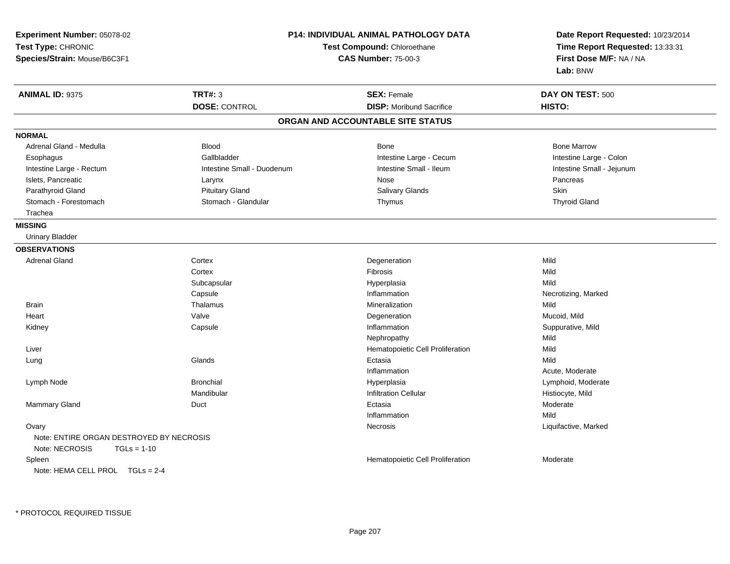| Experiment Number: 05078-02<br>Test Type: CHRONIC<br>Species/Strain: Mouse/B6C3F1 | <b>P14: INDIVIDUAL ANIMAL PATHOLOGY DATA</b><br>Test Compound: Chloroethane<br><b>CAS Number: 75-00-3</b> |                                   | Date Report Requested: 10/23/2014<br>Time Report Requested: 13:33:31<br>First Dose M/F: NA / NA<br>Lab: BNW |  |
|-----------------------------------------------------------------------------------|-----------------------------------------------------------------------------------------------------------|-----------------------------------|-------------------------------------------------------------------------------------------------------------|--|
| <b>ANIMAL ID: 9375</b>                                                            | <b>TRT#: 3</b>                                                                                            | <b>SEX: Female</b>                | DAY ON TEST: 500                                                                                            |  |
|                                                                                   | <b>DOSE: CONTROL</b>                                                                                      | <b>DISP:</b> Moribund Sacrifice   | HISTO:                                                                                                      |  |
|                                                                                   |                                                                                                           | ORGAN AND ACCOUNTABLE SITE STATUS |                                                                                                             |  |
| <b>NORMAL</b>                                                                     |                                                                                                           |                                   |                                                                                                             |  |
| Adrenal Gland - Medulla                                                           | <b>Blood</b>                                                                                              | Bone                              | <b>Bone Marrow</b>                                                                                          |  |
| Esophagus                                                                         | Gallbladder                                                                                               | Intestine Large - Cecum           | Intestine Large - Colon                                                                                     |  |
| Intestine Large - Rectum                                                          | Intestine Small - Duodenum                                                                                | Intestine Small - Ileum           | Intestine Small - Jejunum                                                                                   |  |
| Islets, Pancreatic                                                                | Larynx                                                                                                    | Nose                              | Pancreas                                                                                                    |  |
| Parathyroid Gland                                                                 | <b>Pituitary Gland</b>                                                                                    | <b>Salivary Glands</b>            | Skin                                                                                                        |  |
| Stomach - Forestomach                                                             | Stomach - Glandular                                                                                       | Thymus                            | <b>Thyroid Gland</b>                                                                                        |  |
| Trachea                                                                           |                                                                                                           |                                   |                                                                                                             |  |
| <b>MISSING</b>                                                                    |                                                                                                           |                                   |                                                                                                             |  |
| <b>Urinary Bladder</b>                                                            |                                                                                                           |                                   |                                                                                                             |  |
| <b>OBSERVATIONS</b>                                                               |                                                                                                           |                                   |                                                                                                             |  |
| <b>Adrenal Gland</b>                                                              | Cortex                                                                                                    | Degeneration                      | Mild                                                                                                        |  |
|                                                                                   | Cortex                                                                                                    | Fibrosis                          | Mild                                                                                                        |  |
|                                                                                   | Subcapsular                                                                                               | Hyperplasia                       | Mild                                                                                                        |  |
|                                                                                   | Capsule                                                                                                   | Inflammation                      | Necrotizing, Marked                                                                                         |  |
| <b>Brain</b>                                                                      | Thalamus                                                                                                  | Mineralization                    | Mild                                                                                                        |  |
| Heart                                                                             | Valve                                                                                                     | Degeneration                      | Mucoid, Mild                                                                                                |  |
| Kidney                                                                            | Capsule                                                                                                   | Inflammation                      | Suppurative, Mild                                                                                           |  |
|                                                                                   |                                                                                                           | Nephropathy                       | Mild                                                                                                        |  |
| Liver                                                                             |                                                                                                           | Hematopoietic Cell Proliferation  | Mild                                                                                                        |  |
| Lung                                                                              | Glands                                                                                                    | Ectasia                           | Mild                                                                                                        |  |
|                                                                                   |                                                                                                           | Inflammation                      | Acute, Moderate                                                                                             |  |
| Lymph Node                                                                        | <b>Bronchial</b>                                                                                          | Hyperplasia                       | Lymphoid, Moderate                                                                                          |  |
|                                                                                   | Mandibular                                                                                                | <b>Infiltration Cellular</b>      | Histiocyte, Mild                                                                                            |  |
| Mammary Gland                                                                     | Duct                                                                                                      | Ectasia                           | Moderate                                                                                                    |  |
|                                                                                   |                                                                                                           | Inflammation                      | Mild                                                                                                        |  |
| Ovary                                                                             |                                                                                                           | Necrosis                          | Liquifactive, Marked                                                                                        |  |
| Note: ENTIRE ORGAN DESTROYED BY NECROSIS<br>Note: NECROSIS<br>$TGLs = 1-10$       |                                                                                                           |                                   |                                                                                                             |  |
| Spleen<br>Note: HEMA CELL PROL TGLs = 2-4                                         |                                                                                                           | Hematopoietic Cell Proliferation  | Moderate                                                                                                    |  |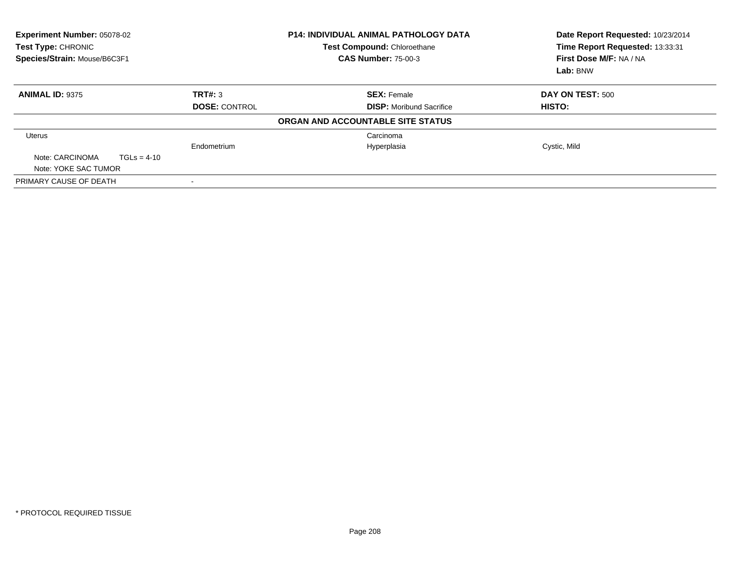| <b>Experiment Number: 05078-02</b><br>Test Type: CHRONIC<br>Species/Strain: Mouse/B6C3F1 |                          | <b>P14: INDIVIDUAL ANIMAL PATHOLOGY DATA</b><br>Test Compound: Chloroethane<br><b>CAS Number: 75-00-3</b> | Date Report Requested: 10/23/2014<br>Time Report Requested: 13:33:31<br>First Dose M/F: NA / NA<br>Lab: BNW |  |
|------------------------------------------------------------------------------------------|--------------------------|-----------------------------------------------------------------------------------------------------------|-------------------------------------------------------------------------------------------------------------|--|
| <b>ANIMAL ID: 9375</b>                                                                   | TRT#: 3                  | <b>SEX: Female</b>                                                                                        | DAY ON TEST: 500                                                                                            |  |
|                                                                                          | <b>DOSE: CONTROL</b>     | <b>DISP:</b> Moribund Sacrifice                                                                           | HISTO:                                                                                                      |  |
|                                                                                          |                          | ORGAN AND ACCOUNTABLE SITE STATUS                                                                         |                                                                                                             |  |
| <b>Uterus</b>                                                                            |                          | Carcinoma                                                                                                 |                                                                                                             |  |
|                                                                                          | Endometrium              | Hyperplasia                                                                                               | Cystic, Mild                                                                                                |  |
| Note: CARCINOMA<br>$TGLs = 4-10$<br>Note: YOKE SAC TUMOR                                 |                          |                                                                                                           |                                                                                                             |  |
| PRIMARY CAUSE OF DEATH                                                                   | $\overline{\phantom{a}}$ |                                                                                                           |                                                                                                             |  |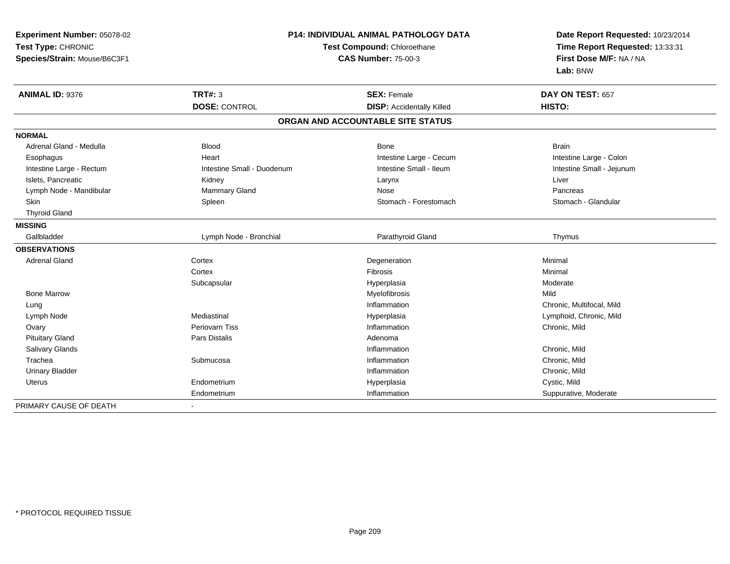| Experiment Number: 05078-02  |                            | <b>P14: INDIVIDUAL ANIMAL PATHOLOGY DATA</b> | Date Report Requested: 10/23/2014 |  |
|------------------------------|----------------------------|----------------------------------------------|-----------------------------------|--|
| Test Type: CHRONIC           |                            | Test Compound: Chloroethane                  | Time Report Requested: 13:33:31   |  |
| Species/Strain: Mouse/B6C3F1 | <b>CAS Number: 75-00-3</b> |                                              | First Dose M/F: NA / NA           |  |
|                              |                            |                                              | Lab: BNW                          |  |
| ANIMAL ID: 9376              | <b>TRT#: 3</b>             | <b>SEX: Female</b>                           | DAY ON TEST: 657                  |  |
|                              | <b>DOSE: CONTROL</b>       | <b>DISP:</b> Accidentally Killed             | HISTO:                            |  |
|                              |                            | ORGAN AND ACCOUNTABLE SITE STATUS            |                                   |  |
| <b>NORMAL</b>                |                            |                                              |                                   |  |
| Adrenal Gland - Medulla      | <b>Blood</b>               | <b>Bone</b>                                  | <b>Brain</b>                      |  |
| Esophagus                    | Heart                      | Intestine Large - Cecum                      | Intestine Large - Colon           |  |
| Intestine Large - Rectum     | Intestine Small - Duodenum | Intestine Small - Ileum                      | Intestine Small - Jejunum         |  |
| Islets, Pancreatic           | Kidney                     | Larynx                                       | Liver                             |  |
| Lymph Node - Mandibular      | Mammary Gland              | Nose                                         | Pancreas                          |  |
| <b>Skin</b>                  | Spleen                     | Stomach - Forestomach                        | Stomach - Glandular               |  |
| <b>Thyroid Gland</b>         |                            |                                              |                                   |  |
| <b>MISSING</b>               |                            |                                              |                                   |  |
| Gallbladder                  | Lymph Node - Bronchial     | Parathyroid Gland                            | Thymus                            |  |
| <b>OBSERVATIONS</b>          |                            |                                              |                                   |  |
| <b>Adrenal Gland</b>         | Cortex                     | Degeneration                                 | Minimal                           |  |
|                              | Cortex                     | Fibrosis                                     | Minimal                           |  |
|                              | Subcapsular                | Hyperplasia                                  | Moderate                          |  |
| <b>Bone Marrow</b>           |                            | Myelofibrosis                                | Mild                              |  |
| Lung                         |                            | Inflammation                                 | Chronic, Multifocal, Mild         |  |
| Lymph Node                   | Mediastinal                | Hyperplasia                                  | Lymphoid, Chronic, Mild           |  |
| Ovary                        | Periovarn Tiss             | Inflammation                                 | Chronic, Mild                     |  |
| <b>Pituitary Gland</b>       | Pars Distalis              | Adenoma                                      |                                   |  |
| Salivary Glands              |                            | Inflammation                                 | Chronic, Mild                     |  |
| Trachea                      | Submucosa                  | Inflammation                                 | Chronic, Mild                     |  |
| <b>Urinary Bladder</b>       |                            | Inflammation                                 | Chronic, Mild                     |  |
| Uterus                       | Endometrium                | Hyperplasia                                  | Cystic, Mild                      |  |
|                              | Endometrium                | Inflammation                                 | Suppurative, Moderate             |  |
| PRIMARY CAUSE OF DEATH       |                            |                                              |                                   |  |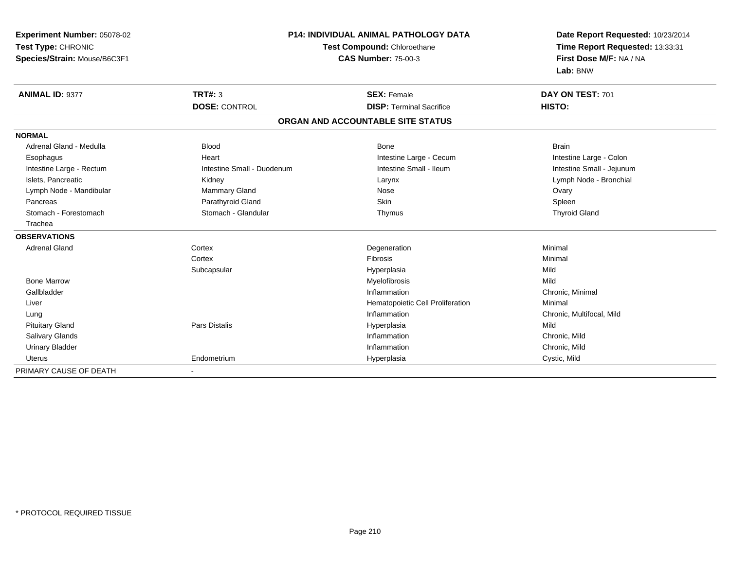| Experiment Number: 05078-02  |                            | <b>P14: INDIVIDUAL ANIMAL PATHOLOGY DATA</b> | Date Report Requested: 10/23/2014 |
|------------------------------|----------------------------|----------------------------------------------|-----------------------------------|
| Test Type: CHRONIC           |                            | Test Compound: Chloroethane                  | Time Report Requested: 13:33:31   |
| Species/Strain: Mouse/B6C3F1 | <b>CAS Number: 75-00-3</b> |                                              | First Dose M/F: NA / NA           |
|                              |                            |                                              | Lab: BNW                          |
| <b>ANIMAL ID: 9377</b>       | TRT#: 3                    | <b>SEX: Female</b>                           | DAY ON TEST: 701                  |
|                              | <b>DOSE: CONTROL</b>       | <b>DISP: Terminal Sacrifice</b>              | HISTO:                            |
|                              |                            | ORGAN AND ACCOUNTABLE SITE STATUS            |                                   |
| <b>NORMAL</b>                |                            |                                              |                                   |
| Adrenal Gland - Medulla      | <b>Blood</b>               | Bone                                         | <b>Brain</b>                      |
| Esophagus                    | Heart                      | Intestine Large - Cecum                      | Intestine Large - Colon           |
| Intestine Large - Rectum     | Intestine Small - Duodenum | Intestine Small - Ileum                      | Intestine Small - Jejunum         |
| Islets, Pancreatic           | Kidney                     | Larynx                                       | Lymph Node - Bronchial            |
| Lymph Node - Mandibular      | Mammary Gland              | Nose                                         | Ovary                             |
| Pancreas                     | Parathyroid Gland          | Skin                                         | Spleen                            |
| Stomach - Forestomach        | Stomach - Glandular        | Thymus                                       | <b>Thyroid Gland</b>              |
| Trachea                      |                            |                                              |                                   |
| <b>OBSERVATIONS</b>          |                            |                                              |                                   |
| Adrenal Gland                | Cortex                     | Degeneration                                 | Minimal                           |
|                              | Cortex                     | Fibrosis                                     | Minimal                           |
|                              | Subcapsular                | Hyperplasia                                  | Mild                              |
| <b>Bone Marrow</b>           |                            | Myelofibrosis                                | Mild                              |
| Gallbladder                  |                            | Inflammation                                 | Chronic, Minimal                  |
| Liver                        |                            | Hematopoietic Cell Proliferation             | Minimal                           |
| Lung                         |                            | Inflammation                                 | Chronic, Multifocal, Mild         |
| <b>Pituitary Gland</b>       | Pars Distalis              | Hyperplasia                                  | Mild                              |
| Salivary Glands              |                            | Inflammation                                 | Chronic, Mild                     |
| <b>Urinary Bladder</b>       |                            | Inflammation                                 | Chronic, Mild                     |
| <b>Uterus</b>                | Endometrium                | Hyperplasia                                  | Cystic, Mild                      |
| PRIMARY CAUSE OF DEATH       | $\sim$                     |                                              |                                   |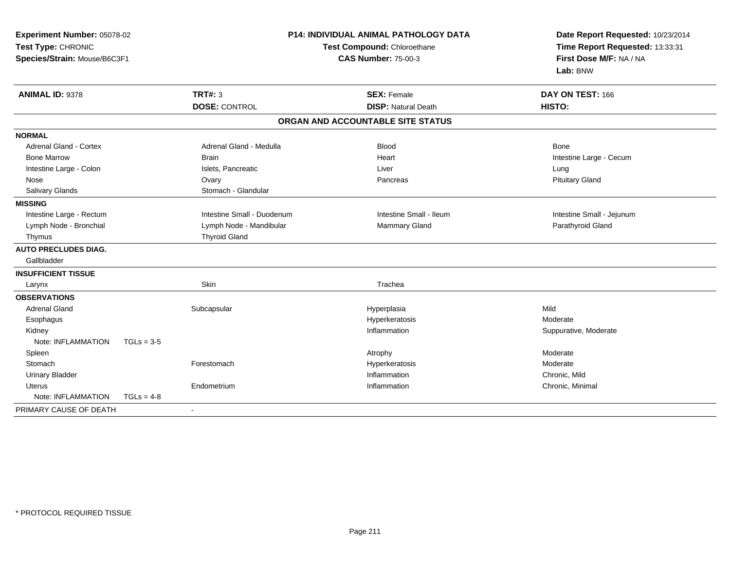| Experiment Number: 05078-02<br>Test Type: CHRONIC<br>Species/Strain: Mouse/B6C3F1<br>ANIMAL ID: 9378 |              |                            | <b>P14: INDIVIDUAL ANIMAL PATHOLOGY DATA</b><br>Test Compound: Chloroethane<br><b>CAS Number: 75-00-3</b> | Date Report Requested: 10/23/2014<br>Time Report Requested: 13:33:31<br>First Dose M/F: NA / NA<br>Lab: BNW |  |
|------------------------------------------------------------------------------------------------------|--------------|----------------------------|-----------------------------------------------------------------------------------------------------------|-------------------------------------------------------------------------------------------------------------|--|
|                                                                                                      |              | <b>TRT#: 3</b>             | <b>SEX: Female</b>                                                                                        | DAY ON TEST: 166                                                                                            |  |
|                                                                                                      |              | <b>DOSE: CONTROL</b>       | <b>DISP: Natural Death</b>                                                                                | HISTO:                                                                                                      |  |
|                                                                                                      |              |                            | ORGAN AND ACCOUNTABLE SITE STATUS                                                                         |                                                                                                             |  |
| <b>NORMAL</b>                                                                                        |              |                            |                                                                                                           |                                                                                                             |  |
| <b>Adrenal Gland - Cortex</b>                                                                        |              | Adrenal Gland - Medulla    | <b>Blood</b>                                                                                              | Bone                                                                                                        |  |
| <b>Bone Marrow</b>                                                                                   |              | <b>Brain</b>               | Heart                                                                                                     | Intestine Large - Cecum                                                                                     |  |
| Intestine Large - Colon                                                                              |              | Islets, Pancreatic         | Liver                                                                                                     | Lung                                                                                                        |  |
| Nose                                                                                                 |              | Ovary                      | Pancreas                                                                                                  | <b>Pituitary Gland</b>                                                                                      |  |
| Salivary Glands                                                                                      |              | Stomach - Glandular        |                                                                                                           |                                                                                                             |  |
| <b>MISSING</b>                                                                                       |              |                            |                                                                                                           |                                                                                                             |  |
| Intestine Large - Rectum                                                                             |              | Intestine Small - Duodenum | Intestine Small - Ileum                                                                                   | Intestine Small - Jejunum                                                                                   |  |
| Lymph Node - Bronchial                                                                               |              | Lymph Node - Mandibular    | Mammary Gland                                                                                             | Parathyroid Gland                                                                                           |  |
| Thymus                                                                                               |              | <b>Thyroid Gland</b>       |                                                                                                           |                                                                                                             |  |
| <b>AUTO PRECLUDES DIAG.</b><br>Gallbladder                                                           |              |                            |                                                                                                           |                                                                                                             |  |
| <b>INSUFFICIENT TISSUE</b>                                                                           |              |                            |                                                                                                           |                                                                                                             |  |
| Larynx                                                                                               |              | Skin                       | Trachea                                                                                                   |                                                                                                             |  |
| <b>OBSERVATIONS</b>                                                                                  |              |                            |                                                                                                           |                                                                                                             |  |
| <b>Adrenal Gland</b>                                                                                 |              | Subcapsular                | Hyperplasia                                                                                               | Mild                                                                                                        |  |
| Esophagus                                                                                            |              |                            | Hyperkeratosis                                                                                            | Moderate                                                                                                    |  |
| Kidney                                                                                               |              |                            | Inflammation                                                                                              | Suppurative, Moderate                                                                                       |  |
| Note: INFLAMMATION                                                                                   | $TGLs = 3-5$ |                            |                                                                                                           |                                                                                                             |  |
| Spleen                                                                                               |              |                            | Atrophy                                                                                                   | Moderate                                                                                                    |  |
| Stomach                                                                                              |              | Forestomach                | Hyperkeratosis                                                                                            | Moderate                                                                                                    |  |
| <b>Urinary Bladder</b>                                                                               |              |                            | Inflammation                                                                                              | Chronic, Mild                                                                                               |  |
| <b>Uterus</b>                                                                                        |              | Endometrium                | Inflammation                                                                                              | Chronic, Minimal                                                                                            |  |
| Note: INFLAMMATION                                                                                   | $TGLs = 4-8$ |                            |                                                                                                           |                                                                                                             |  |
| PRIMARY CAUSE OF DEATH                                                                               |              |                            |                                                                                                           |                                                                                                             |  |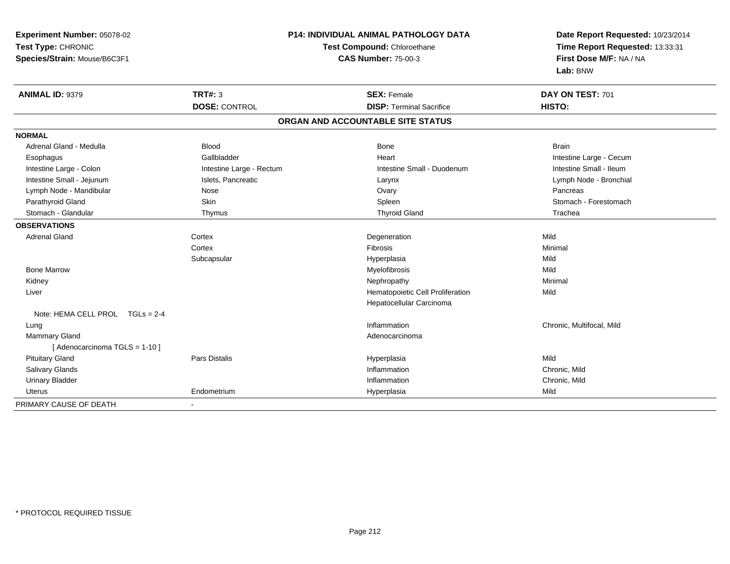| Experiment Number: 05078-02<br>Test Type: CHRONIC<br>Species/Strain: Mouse/B6C3F1 |                          | P14: INDIVIDUAL ANIMAL PATHOLOGY DATA<br>Test Compound: Chloroethane<br><b>CAS Number: 75-00-3</b> | Date Report Requested: 10/23/2014<br>Time Report Requested: 13:33:31<br>First Dose M/F: NA / NA<br>Lab: BNW |
|-----------------------------------------------------------------------------------|--------------------------|----------------------------------------------------------------------------------------------------|-------------------------------------------------------------------------------------------------------------|
| <b>ANIMAL ID: 9379</b>                                                            | TRT#: 3                  | <b>SEX: Female</b>                                                                                 | DAY ON TEST: 701                                                                                            |
|                                                                                   | <b>DOSE: CONTROL</b>     | <b>DISP: Terminal Sacrifice</b>                                                                    | HISTO:                                                                                                      |
|                                                                                   |                          | ORGAN AND ACCOUNTABLE SITE STATUS                                                                  |                                                                                                             |
| <b>NORMAL</b>                                                                     |                          |                                                                                                    |                                                                                                             |
| Adrenal Gland - Medulla                                                           | <b>Blood</b>             | Bone                                                                                               | <b>Brain</b>                                                                                                |
| Esophagus                                                                         | Gallbladder              | Heart                                                                                              | Intestine Large - Cecum                                                                                     |
| Intestine Large - Colon                                                           | Intestine Large - Rectum | Intestine Small - Duodenum                                                                         | Intestine Small - Ileum                                                                                     |
| Intestine Small - Jejunum                                                         | Islets, Pancreatic       | Larynx                                                                                             | Lymph Node - Bronchial                                                                                      |
| Lymph Node - Mandibular                                                           | Nose                     | Ovary                                                                                              | Pancreas                                                                                                    |
| Parathyroid Gland                                                                 | Skin                     | Spleen                                                                                             | Stomach - Forestomach                                                                                       |
| Stomach - Glandular                                                               | Thymus                   | <b>Thyroid Gland</b>                                                                               | Trachea                                                                                                     |
| <b>OBSERVATIONS</b>                                                               |                          |                                                                                                    |                                                                                                             |
| <b>Adrenal Gland</b>                                                              | Cortex                   | Degeneration                                                                                       | Mild                                                                                                        |
|                                                                                   | Cortex                   | Fibrosis                                                                                           | Minimal                                                                                                     |
|                                                                                   | Subcapsular              | Hyperplasia                                                                                        | Mild                                                                                                        |
| <b>Bone Marrow</b>                                                                |                          | Myelofibrosis                                                                                      | Mild                                                                                                        |
| Kidney                                                                            |                          | Nephropathy                                                                                        | Minimal                                                                                                     |
| Liver                                                                             |                          | Hematopoietic Cell Proliferation                                                                   | Mild                                                                                                        |
|                                                                                   |                          | Hepatocellular Carcinoma                                                                           |                                                                                                             |
| Note: HEMA CELL PROL TGLs = 2-4                                                   |                          |                                                                                                    |                                                                                                             |
| Lung                                                                              |                          | Inflammation                                                                                       | Chronic, Multifocal, Mild                                                                                   |
| <b>Mammary Gland</b>                                                              |                          | Adenocarcinoma                                                                                     |                                                                                                             |
| [ Adenocarcinoma TGLS = 1-10 ]                                                    |                          |                                                                                                    |                                                                                                             |
| <b>Pituitary Gland</b>                                                            | <b>Pars Distalis</b>     | Hyperplasia                                                                                        | Mild                                                                                                        |
| Salivary Glands                                                                   |                          | Inflammation                                                                                       | Chronic, Mild                                                                                               |
| <b>Urinary Bladder</b>                                                            |                          | Inflammation                                                                                       | Chronic, Mild                                                                                               |
| <b>Uterus</b>                                                                     | Endometrium              | Hyperplasia                                                                                        | Mild                                                                                                        |
| PRIMARY CAUSE OF DEATH                                                            | $\blacksquare$           |                                                                                                    |                                                                                                             |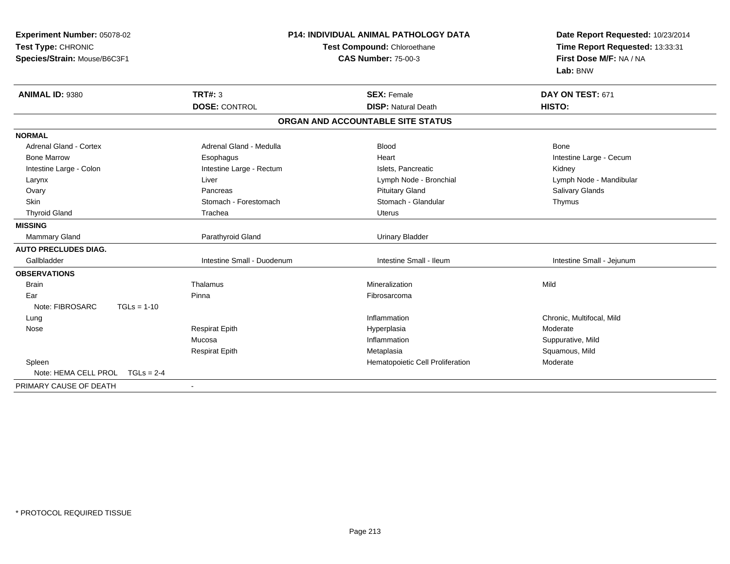| Experiment Number: 05078-02<br>Test Type: CHRONIC | <b>P14: INDIVIDUAL ANIMAL PATHOLOGY DATA</b><br>Test Compound: Chloroethane |                                   | Date Report Requested: 10/23/2014<br>Time Report Requested: 13:33:31<br>First Dose M/F: NA / NA |  |
|---------------------------------------------------|-----------------------------------------------------------------------------|-----------------------------------|-------------------------------------------------------------------------------------------------|--|
| Species/Strain: Mouse/B6C3F1                      |                                                                             | <b>CAS Number: 75-00-3</b>        | Lab: BNW                                                                                        |  |
| ANIMAL ID: 9380                                   | TRT#: 3                                                                     | <b>SEX: Female</b>                | DAY ON TEST: 671                                                                                |  |
|                                                   | <b>DOSE: CONTROL</b>                                                        | <b>DISP: Natural Death</b>        | HISTO:                                                                                          |  |
|                                                   |                                                                             | ORGAN AND ACCOUNTABLE SITE STATUS |                                                                                                 |  |
| <b>NORMAL</b>                                     |                                                                             |                                   |                                                                                                 |  |
| <b>Adrenal Gland - Cortex</b>                     | Adrenal Gland - Medulla                                                     | <b>Blood</b>                      | Bone                                                                                            |  |
| <b>Bone Marrow</b>                                | Esophagus                                                                   | Heart                             | Intestine Large - Cecum                                                                         |  |
| Intestine Large - Colon                           | Intestine Large - Rectum                                                    | Islets, Pancreatic                | Kidney                                                                                          |  |
| Larynx                                            | Liver                                                                       | Lymph Node - Bronchial            | Lymph Node - Mandibular                                                                         |  |
| Ovary                                             | Pancreas                                                                    | <b>Pituitary Gland</b>            | Salivary Glands                                                                                 |  |
| <b>Skin</b>                                       | Stomach - Forestomach                                                       | Stomach - Glandular               | Thymus                                                                                          |  |
| <b>Thyroid Gland</b>                              | Trachea                                                                     | Uterus                            |                                                                                                 |  |
| <b>MISSING</b>                                    |                                                                             |                                   |                                                                                                 |  |
| Mammary Gland                                     | Parathyroid Gland                                                           | <b>Urinary Bladder</b>            |                                                                                                 |  |
| <b>AUTO PRECLUDES DIAG.</b>                       |                                                                             |                                   |                                                                                                 |  |
| Gallbladder                                       | Intestine Small - Duodenum                                                  | Intestine Small - Ileum           | Intestine Small - Jejunum                                                                       |  |
| <b>OBSERVATIONS</b>                               |                                                                             |                                   |                                                                                                 |  |
| <b>Brain</b>                                      | Thalamus                                                                    | Mineralization                    | Mild                                                                                            |  |
| Ear                                               | Pinna                                                                       | Fibrosarcoma                      |                                                                                                 |  |
| Note: FIBROSARC<br>$TGLs = 1-10$                  |                                                                             |                                   |                                                                                                 |  |
| Lung                                              |                                                                             | Inflammation                      | Chronic, Multifocal, Mild                                                                       |  |
| Nose                                              | <b>Respirat Epith</b>                                                       | Hyperplasia                       | Moderate                                                                                        |  |
|                                                   | Mucosa                                                                      | Inflammation                      | Suppurative, Mild                                                                               |  |
|                                                   | <b>Respirat Epith</b>                                                       | Metaplasia                        | Squamous, Mild                                                                                  |  |
| Spleen                                            |                                                                             | Hematopoietic Cell Proliferation  | Moderate                                                                                        |  |
| Note: HEMA CELL PROL<br>$TGLs = 2-4$              |                                                                             |                                   |                                                                                                 |  |
| PRIMARY CAUSE OF DEATH                            | $\blacksquare$                                                              |                                   |                                                                                                 |  |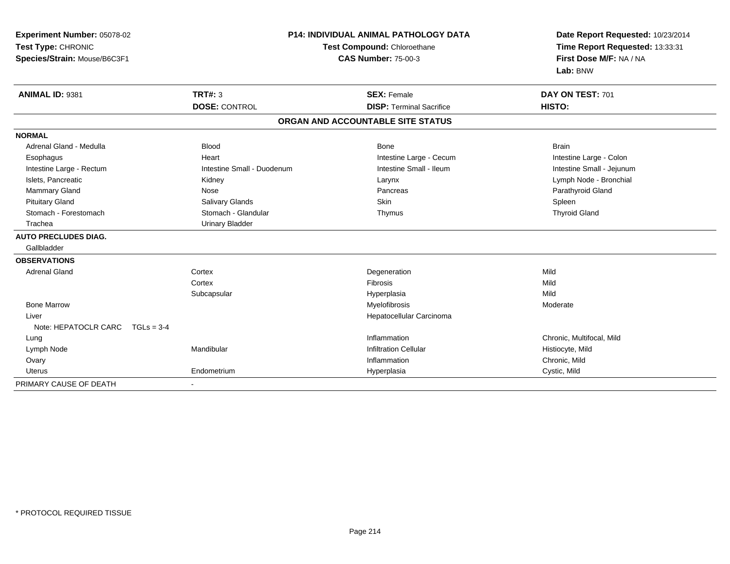| Experiment Number: 05078-02<br>Test Type: CHRONIC |                            | <b>P14: INDIVIDUAL ANIMAL PATHOLOGY DATA</b><br>Test Compound: Chloroethane | Date Report Requested: 10/23/2014<br>Time Report Requested: 13:33:31 |
|---------------------------------------------------|----------------------------|-----------------------------------------------------------------------------|----------------------------------------------------------------------|
| Species/Strain: Mouse/B6C3F1                      |                            | <b>CAS Number: 75-00-3</b>                                                  | First Dose M/F: NA / NA<br>Lab: BNW                                  |
| ANIMAL ID: 9381                                   | TRT#: 3                    | <b>SEX: Female</b>                                                          | DAY ON TEST: 701                                                     |
|                                                   | <b>DOSE: CONTROL</b>       | <b>DISP: Terminal Sacrifice</b>                                             | HISTO:                                                               |
|                                                   |                            | ORGAN AND ACCOUNTABLE SITE STATUS                                           |                                                                      |
| <b>NORMAL</b>                                     |                            |                                                                             |                                                                      |
| Adrenal Gland - Medulla                           | <b>Blood</b>               | <b>Bone</b>                                                                 | <b>Brain</b>                                                         |
| Esophagus                                         | Heart                      | Intestine Large - Cecum                                                     | Intestine Large - Colon                                              |
| Intestine Large - Rectum                          | Intestine Small - Duodenum | Intestine Small - Ileum                                                     | Intestine Small - Jejunum                                            |
| Islets, Pancreatic                                | Kidney                     | Larynx                                                                      | Lymph Node - Bronchial                                               |
| Mammary Gland                                     | Nose                       | Pancreas                                                                    | Parathyroid Gland                                                    |
| <b>Pituitary Gland</b>                            | <b>Salivary Glands</b>     | Skin                                                                        | Spleen                                                               |
| Stomach - Forestomach                             | Stomach - Glandular        | Thymus                                                                      | <b>Thyroid Gland</b>                                                 |
| Trachea                                           | <b>Urinary Bladder</b>     |                                                                             |                                                                      |
| <b>AUTO PRECLUDES DIAG.</b>                       |                            |                                                                             |                                                                      |
| Gallbladder                                       |                            |                                                                             |                                                                      |
| <b>OBSERVATIONS</b>                               |                            |                                                                             |                                                                      |
| <b>Adrenal Gland</b>                              | Cortex                     | Degeneration                                                                | Mild                                                                 |
|                                                   | Cortex                     | <b>Fibrosis</b>                                                             | Mild                                                                 |
|                                                   | Subcapsular                | Hyperplasia                                                                 | Mild                                                                 |
| <b>Bone Marrow</b>                                |                            | Myelofibrosis                                                               | Moderate                                                             |
| Liver                                             |                            | Hepatocellular Carcinoma                                                    |                                                                      |
| Note: HEPATOCLR CARC<br>$TGLs = 3-4$              |                            |                                                                             |                                                                      |
| Lung                                              |                            | Inflammation                                                                | Chronic, Multifocal, Mild                                            |
| Lymph Node                                        | Mandibular                 | <b>Infiltration Cellular</b>                                                | Histiocyte, Mild                                                     |
| Ovary                                             |                            | Inflammation                                                                | Chronic, Mild                                                        |
| <b>Uterus</b>                                     | Endometrium                | Hyperplasia                                                                 | Cystic, Mild                                                         |
| PRIMARY CAUSE OF DEATH                            | $\blacksquare$             |                                                                             |                                                                      |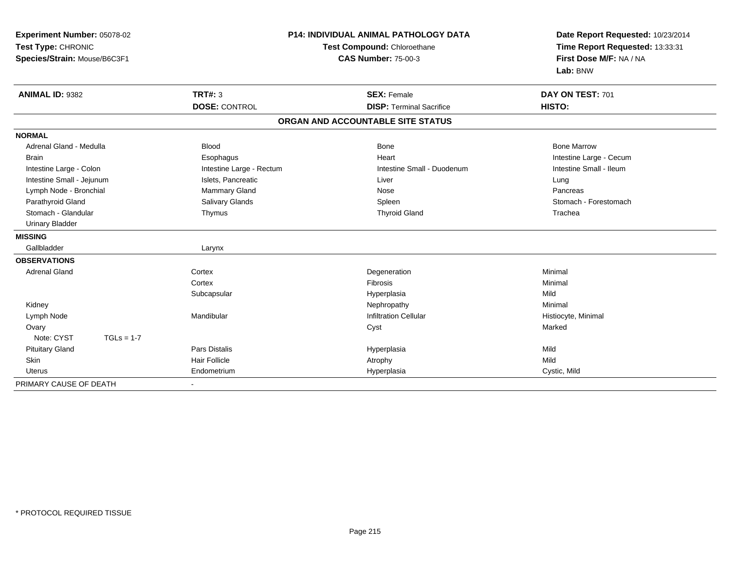| Experiment Number: 05078-02<br>Test Type: CHRONIC<br>Species/Strain: Mouse/B6C3F1 |                          | <b>P14: INDIVIDUAL ANIMAL PATHOLOGY DATA</b><br>Test Compound: Chloroethane<br><b>CAS Number: 75-00-3</b> | Date Report Requested: 10/23/2014<br>Time Report Requested: 13:33:31<br>First Dose M/F: NA / NA<br>Lab: BNW |  |
|-----------------------------------------------------------------------------------|--------------------------|-----------------------------------------------------------------------------------------------------------|-------------------------------------------------------------------------------------------------------------|--|
| <b>ANIMAL ID: 9382</b>                                                            | <b>TRT#: 3</b>           | <b>SEX: Female</b>                                                                                        | DAY ON TEST: 701                                                                                            |  |
|                                                                                   | <b>DOSE: CONTROL</b>     | <b>DISP: Terminal Sacrifice</b>                                                                           | HISTO:                                                                                                      |  |
|                                                                                   |                          | ORGAN AND ACCOUNTABLE SITE STATUS                                                                         |                                                                                                             |  |
| <b>NORMAL</b>                                                                     |                          |                                                                                                           |                                                                                                             |  |
| Adrenal Gland - Medulla                                                           | <b>Blood</b>             | <b>Bone</b>                                                                                               | <b>Bone Marrow</b>                                                                                          |  |
| <b>Brain</b>                                                                      | Esophagus                | Heart                                                                                                     | Intestine Large - Cecum                                                                                     |  |
| Intestine Large - Colon                                                           | Intestine Large - Rectum | Intestine Small - Duodenum                                                                                | Intestine Small - Ileum                                                                                     |  |
| Intestine Small - Jejunum                                                         | Islets, Pancreatic       | Liver                                                                                                     | Lung                                                                                                        |  |
| Lymph Node - Bronchial                                                            | Mammary Gland            | Nose                                                                                                      | Pancreas                                                                                                    |  |
| Parathyroid Gland                                                                 | Salivary Glands          | Spleen                                                                                                    | Stomach - Forestomach                                                                                       |  |
| Stomach - Glandular                                                               | Thymus                   | <b>Thyroid Gland</b>                                                                                      | Trachea                                                                                                     |  |
| <b>Urinary Bladder</b>                                                            |                          |                                                                                                           |                                                                                                             |  |
| <b>MISSING</b>                                                                    |                          |                                                                                                           |                                                                                                             |  |
| Gallbladder                                                                       | Larynx                   |                                                                                                           |                                                                                                             |  |
| <b>OBSERVATIONS</b>                                                               |                          |                                                                                                           |                                                                                                             |  |
| <b>Adrenal Gland</b>                                                              | Cortex                   | Degeneration                                                                                              | Minimal                                                                                                     |  |
|                                                                                   | Cortex                   | <b>Fibrosis</b>                                                                                           | Minimal                                                                                                     |  |
|                                                                                   | Subcapsular              | Hyperplasia                                                                                               | Mild                                                                                                        |  |
| Kidney                                                                            |                          | Nephropathy                                                                                               | Minimal                                                                                                     |  |
| Lymph Node                                                                        | Mandibular               | <b>Infiltration Cellular</b>                                                                              | Histiocyte, Minimal                                                                                         |  |
| Ovary                                                                             |                          | Cyst                                                                                                      | Marked                                                                                                      |  |
| Note: CYST<br>$TGLs = 1-7$                                                        |                          |                                                                                                           |                                                                                                             |  |
| <b>Pituitary Gland</b>                                                            | <b>Pars Distalis</b>     | Hyperplasia                                                                                               | Mild                                                                                                        |  |
| Skin                                                                              | <b>Hair Follicle</b>     | Atrophy                                                                                                   | Mild                                                                                                        |  |
| <b>Uterus</b>                                                                     | Endometrium              | Hyperplasia                                                                                               | Cystic, Mild                                                                                                |  |
| PRIMARY CAUSE OF DEATH                                                            | $\blacksquare$           |                                                                                                           |                                                                                                             |  |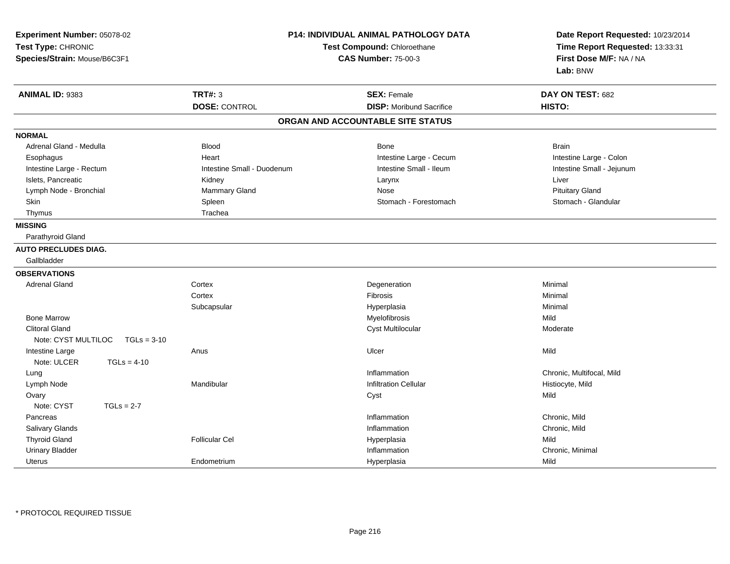| Experiment Number: 05078-02<br>Test Type: CHRONIC<br>Species/Strain: Mouse/B6C3F1 |                            | <b>P14: INDIVIDUAL ANIMAL PATHOLOGY DATA</b><br>Test Compound: Chloroethane<br><b>CAS Number: 75-00-3</b> | Date Report Requested: 10/23/2014<br>Time Report Requested: 13:33:31<br>First Dose M/F: NA / NA<br>Lab: BNW |
|-----------------------------------------------------------------------------------|----------------------------|-----------------------------------------------------------------------------------------------------------|-------------------------------------------------------------------------------------------------------------|
| ANIMAL ID: 9383                                                                   | <b>TRT#: 3</b>             | <b>SEX: Female</b>                                                                                        | DAY ON TEST: 682                                                                                            |
|                                                                                   | <b>DOSE: CONTROL</b>       | <b>DISP:</b> Moribund Sacrifice                                                                           | HISTO:                                                                                                      |
|                                                                                   |                            | ORGAN AND ACCOUNTABLE SITE STATUS                                                                         |                                                                                                             |
| <b>NORMAL</b>                                                                     |                            |                                                                                                           |                                                                                                             |
| Adrenal Gland - Medulla                                                           | <b>Blood</b>               | Bone                                                                                                      | <b>Brain</b>                                                                                                |
| Esophagus                                                                         | Heart                      | Intestine Large - Cecum                                                                                   | Intestine Large - Colon                                                                                     |
| Intestine Large - Rectum                                                          | Intestine Small - Duodenum | Intestine Small - Ileum                                                                                   | Intestine Small - Jejunum                                                                                   |
| Islets, Pancreatic                                                                | Kidney                     | Larynx                                                                                                    | Liver                                                                                                       |
| Lymph Node - Bronchial                                                            | Mammary Gland              | Nose                                                                                                      | <b>Pituitary Gland</b>                                                                                      |
| Skin                                                                              | Spleen                     | Stomach - Forestomach                                                                                     | Stomach - Glandular                                                                                         |
| Thymus                                                                            | Trachea                    |                                                                                                           |                                                                                                             |
| <b>MISSING</b>                                                                    |                            |                                                                                                           |                                                                                                             |
| Parathyroid Gland                                                                 |                            |                                                                                                           |                                                                                                             |
| <b>AUTO PRECLUDES DIAG.</b>                                                       |                            |                                                                                                           |                                                                                                             |
| Gallbladder                                                                       |                            |                                                                                                           |                                                                                                             |
| <b>OBSERVATIONS</b>                                                               |                            |                                                                                                           |                                                                                                             |
| <b>Adrenal Gland</b>                                                              | Cortex                     | Degeneration                                                                                              | Minimal                                                                                                     |
|                                                                                   | Cortex                     | Fibrosis                                                                                                  | Minimal                                                                                                     |
|                                                                                   | Subcapsular                | Hyperplasia                                                                                               | Minimal                                                                                                     |
| <b>Bone Marrow</b>                                                                |                            | Myelofibrosis                                                                                             | Mild                                                                                                        |
| <b>Clitoral Gland</b>                                                             |                            | <b>Cyst Multilocular</b>                                                                                  | Moderate                                                                                                    |
| Note: CYST MULTILOC<br>$TGLs = 3-10$                                              |                            |                                                                                                           |                                                                                                             |
| Intestine Large                                                                   | Anus                       | Ulcer                                                                                                     | Mild                                                                                                        |
| Note: ULCER<br>$TGLs = 4-10$                                                      |                            |                                                                                                           |                                                                                                             |
| Lung                                                                              |                            | Inflammation                                                                                              | Chronic, Multifocal, Mild                                                                                   |
| Lymph Node                                                                        | Mandibular                 | <b>Infiltration Cellular</b>                                                                              | Histiocyte, Mild                                                                                            |
| Ovary                                                                             |                            | Cyst                                                                                                      | Mild                                                                                                        |
| Note: CYST<br>$TGLs = 2-7$                                                        |                            |                                                                                                           |                                                                                                             |
| Pancreas                                                                          |                            | Inflammation                                                                                              | Chronic, Mild                                                                                               |
| Salivary Glands                                                                   |                            | Inflammation                                                                                              | Chronic, Mild                                                                                               |
| <b>Thyroid Gland</b>                                                              | <b>Follicular Cel</b>      | Hyperplasia                                                                                               | Mild                                                                                                        |
| <b>Urinary Bladder</b>                                                            |                            | Inflammation                                                                                              | Chronic, Minimal                                                                                            |
| Uterus                                                                            | Endometrium                | Hyperplasia                                                                                               | Mild                                                                                                        |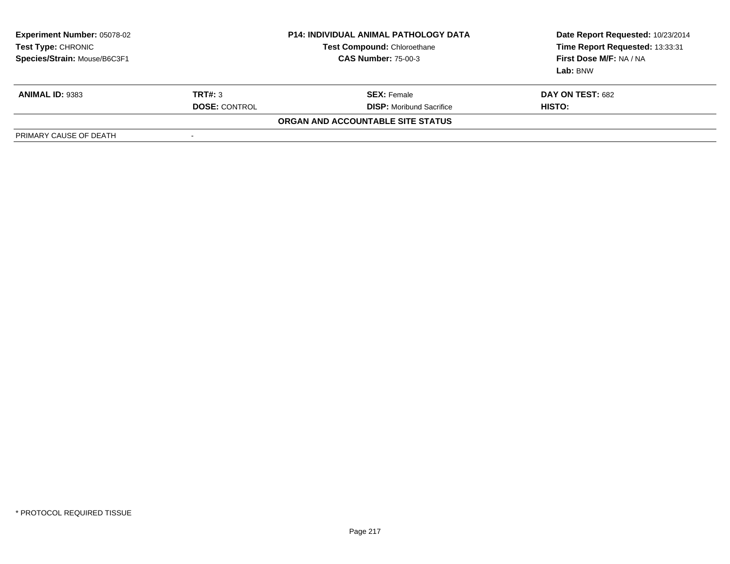| <b>Experiment Number: 05078-02</b><br>Test Type: CHRONIC<br>Species/Strain: Mouse/B6C3F1 |                      | <b>P14: INDIVIDUAL ANIMAL PATHOLOGY DATA</b><br><b>Test Compound: Chloroethane</b><br><b>CAS Number: 75-00-3</b> | Date Report Requested: 10/23/2014<br>Time Report Requested: 13:33:31<br>First Dose M/F: NA / NA<br>Lab: BNW |
|------------------------------------------------------------------------------------------|----------------------|------------------------------------------------------------------------------------------------------------------|-------------------------------------------------------------------------------------------------------------|
| <b>ANIMAL ID: 9383</b>                                                                   | TRT#: 3              | <b>SEX:</b> Female                                                                                               | DAY ON TEST: 682                                                                                            |
|                                                                                          | <b>DOSE: CONTROL</b> | <b>DISP:</b> Moribund Sacrifice                                                                                  | HISTO:                                                                                                      |
|                                                                                          |                      | ORGAN AND ACCOUNTABLE SITE STATUS                                                                                |                                                                                                             |
| PRIMARY CAUSE OF DEATH                                                                   | -                    |                                                                                                                  |                                                                                                             |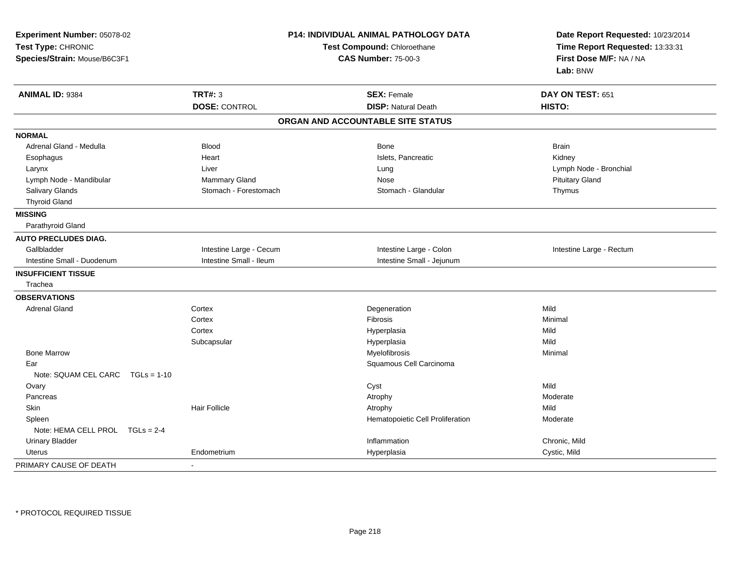| Experiment Number: 05078-02<br>Test Type: CHRONIC<br>Species/Strain: Mouse/B6C3F1 | <b>P14: INDIVIDUAL ANIMAL PATHOLOGY DATA</b><br>Test Compound: Chloroethane<br><b>CAS Number: 75-00-3</b> |                                   | Date Report Requested: 10/23/2014<br>Time Report Requested: 13:33:31<br>First Dose M/F: NA / NA<br>Lab: BNW |  |
|-----------------------------------------------------------------------------------|-----------------------------------------------------------------------------------------------------------|-----------------------------------|-------------------------------------------------------------------------------------------------------------|--|
| ANIMAL ID: 9384                                                                   | <b>TRT#: 3</b>                                                                                            | <b>SEX: Female</b>                | DAY ON TEST: 651                                                                                            |  |
|                                                                                   | <b>DOSE: CONTROL</b>                                                                                      | <b>DISP: Natural Death</b>        | HISTO:                                                                                                      |  |
|                                                                                   |                                                                                                           | ORGAN AND ACCOUNTABLE SITE STATUS |                                                                                                             |  |
| <b>NORMAL</b>                                                                     |                                                                                                           |                                   |                                                                                                             |  |
| Adrenal Gland - Medulla                                                           | <b>Blood</b>                                                                                              | Bone                              | <b>Brain</b>                                                                                                |  |
| Esophagus                                                                         | Heart                                                                                                     | Islets, Pancreatic                | Kidney                                                                                                      |  |
| Larynx                                                                            | Liver                                                                                                     | Lung                              | Lymph Node - Bronchial                                                                                      |  |
| Lymph Node - Mandibular                                                           | Mammary Gland                                                                                             | Nose                              | <b>Pituitary Gland</b>                                                                                      |  |
| Salivary Glands                                                                   | Stomach - Forestomach                                                                                     | Stomach - Glandular               | Thymus                                                                                                      |  |
| <b>Thyroid Gland</b>                                                              |                                                                                                           |                                   |                                                                                                             |  |
| <b>MISSING</b>                                                                    |                                                                                                           |                                   |                                                                                                             |  |
| Parathyroid Gland                                                                 |                                                                                                           |                                   |                                                                                                             |  |
| <b>AUTO PRECLUDES DIAG.</b>                                                       |                                                                                                           |                                   |                                                                                                             |  |
| Gallbladder                                                                       | Intestine Large - Cecum                                                                                   | Intestine Large - Colon           | Intestine Large - Rectum                                                                                    |  |
| Intestine Small - Duodenum                                                        | Intestine Small - Ileum                                                                                   | Intestine Small - Jejunum         |                                                                                                             |  |
| <b>INSUFFICIENT TISSUE</b>                                                        |                                                                                                           |                                   |                                                                                                             |  |
| Trachea                                                                           |                                                                                                           |                                   |                                                                                                             |  |
| <b>OBSERVATIONS</b>                                                               |                                                                                                           |                                   |                                                                                                             |  |
| <b>Adrenal Gland</b>                                                              | Cortex                                                                                                    | Degeneration                      | Mild                                                                                                        |  |
|                                                                                   | Cortex                                                                                                    | Fibrosis                          | Minimal                                                                                                     |  |
|                                                                                   | Cortex                                                                                                    | Hyperplasia                       | Mild                                                                                                        |  |
|                                                                                   | Subcapsular                                                                                               | Hyperplasia                       | Mild                                                                                                        |  |
| <b>Bone Marrow</b>                                                                |                                                                                                           | Myelofibrosis                     | Minimal                                                                                                     |  |
| Ear                                                                               |                                                                                                           | Squamous Cell Carcinoma           |                                                                                                             |  |
| Note: SQUAM CEL CARC<br>$TGLs = 1-10$                                             |                                                                                                           |                                   |                                                                                                             |  |
| Ovary                                                                             |                                                                                                           | Cyst                              | Mild                                                                                                        |  |
| Pancreas                                                                          |                                                                                                           | Atrophy                           | Moderate                                                                                                    |  |
| <b>Skin</b>                                                                       | <b>Hair Follicle</b>                                                                                      | Atrophy                           | Mild                                                                                                        |  |
| Spleen                                                                            |                                                                                                           | Hematopoietic Cell Proliferation  | Moderate                                                                                                    |  |
| Note: HEMA CELL PROL TGLs = 2-4                                                   |                                                                                                           |                                   |                                                                                                             |  |
| <b>Urinary Bladder</b>                                                            |                                                                                                           | Inflammation                      | Chronic, Mild                                                                                               |  |
| <b>Uterus</b>                                                                     | Endometrium                                                                                               | Hyperplasia                       | Cystic, Mild                                                                                                |  |
| PRIMARY CAUSE OF DEATH                                                            |                                                                                                           |                                   |                                                                                                             |  |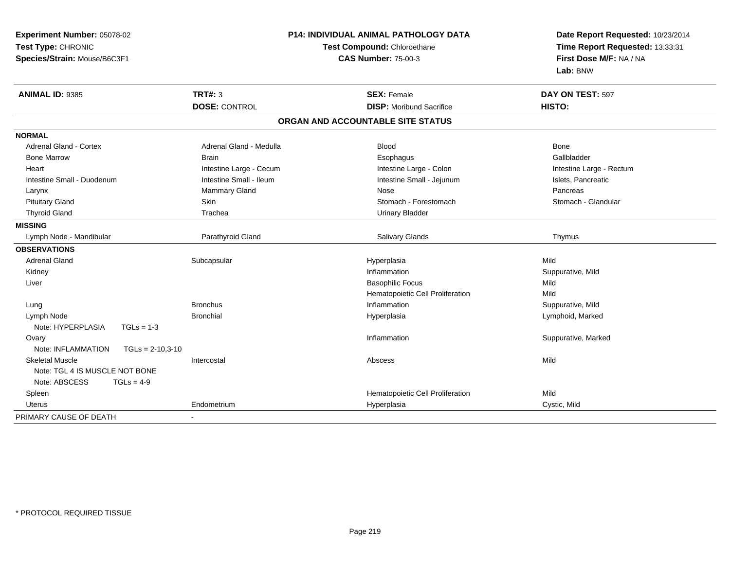| Experiment Number: 05078-02              | P14: INDIVIDUAL ANIMAL PATHOLOGY DATA<br>Test Compound: Chloroethane |                                   | Date Report Requested: 10/23/2014<br>Time Report Requested: 13:33:31 |  |
|------------------------------------------|----------------------------------------------------------------------|-----------------------------------|----------------------------------------------------------------------|--|
| Test Type: CHRONIC                       |                                                                      |                                   |                                                                      |  |
| Species/Strain: Mouse/B6C3F1             |                                                                      | <b>CAS Number: 75-00-3</b>        | First Dose M/F: NA / NA                                              |  |
|                                          |                                                                      |                                   | Lab: BNW                                                             |  |
| ANIMAL ID: 9385                          | <b>TRT#: 3</b>                                                       | <b>SEX: Female</b>                | DAY ON TEST: 597                                                     |  |
|                                          | <b>DOSE: CONTROL</b>                                                 | <b>DISP: Moribund Sacrifice</b>   | HISTO:                                                               |  |
|                                          |                                                                      | ORGAN AND ACCOUNTABLE SITE STATUS |                                                                      |  |
| <b>NORMAL</b>                            |                                                                      |                                   |                                                                      |  |
| <b>Adrenal Gland - Cortex</b>            | Adrenal Gland - Medulla                                              | <b>Blood</b>                      | <b>Bone</b>                                                          |  |
| <b>Bone Marrow</b>                       | <b>Brain</b>                                                         | Esophagus                         | Gallbladder                                                          |  |
| Heart                                    | Intestine Large - Cecum                                              | Intestine Large - Colon           | Intestine Large - Rectum                                             |  |
| Intestine Small - Duodenum               | Intestine Small - Ileum                                              | Intestine Small - Jejunum         | Islets, Pancreatic                                                   |  |
| Larynx                                   | <b>Mammary Gland</b>                                                 | Nose                              | Pancreas                                                             |  |
| <b>Pituitary Gland</b>                   | Skin                                                                 | Stomach - Forestomach             | Stomach - Glandular                                                  |  |
| <b>Thyroid Gland</b>                     | Trachea                                                              | <b>Urinary Bladder</b>            |                                                                      |  |
| <b>MISSING</b>                           |                                                                      |                                   |                                                                      |  |
| Lymph Node - Mandibular                  | Parathyroid Gland                                                    | Salivary Glands                   | Thymus                                                               |  |
| <b>OBSERVATIONS</b>                      |                                                                      |                                   |                                                                      |  |
| <b>Adrenal Gland</b>                     | Subcapsular                                                          | Hyperplasia                       | Mild                                                                 |  |
| Kidney                                   |                                                                      | Inflammation                      | Suppurative, Mild                                                    |  |
| Liver                                    |                                                                      | <b>Basophilic Focus</b>           | Mild                                                                 |  |
|                                          |                                                                      | Hematopoietic Cell Proliferation  | Mild                                                                 |  |
| Lung                                     | <b>Bronchus</b>                                                      | Inflammation                      | Suppurative, Mild                                                    |  |
| Lymph Node                               | <b>Bronchial</b>                                                     | Hyperplasia                       | Lymphoid, Marked                                                     |  |
| Note: HYPERPLASIA<br>$TGLs = 1-3$        |                                                                      |                                   |                                                                      |  |
| Ovary                                    |                                                                      | Inflammation                      | Suppurative, Marked                                                  |  |
| Note: INFLAMMATION<br>$TGLs = 2-10,3-10$ |                                                                      |                                   |                                                                      |  |
| <b>Skeletal Muscle</b>                   | Intercostal                                                          | Abscess                           | Mild                                                                 |  |
| Note: TGL 4 IS MUSCLE NOT BONE           |                                                                      |                                   |                                                                      |  |
| Note: ABSCESS<br>$TGLs = 4-9$            |                                                                      |                                   |                                                                      |  |
| Spleen                                   |                                                                      | Hematopoietic Cell Proliferation  | Mild                                                                 |  |
| Uterus                                   | Endometrium                                                          | Hyperplasia                       | Cystic, Mild                                                         |  |
| PRIMARY CAUSE OF DEATH                   |                                                                      |                                   |                                                                      |  |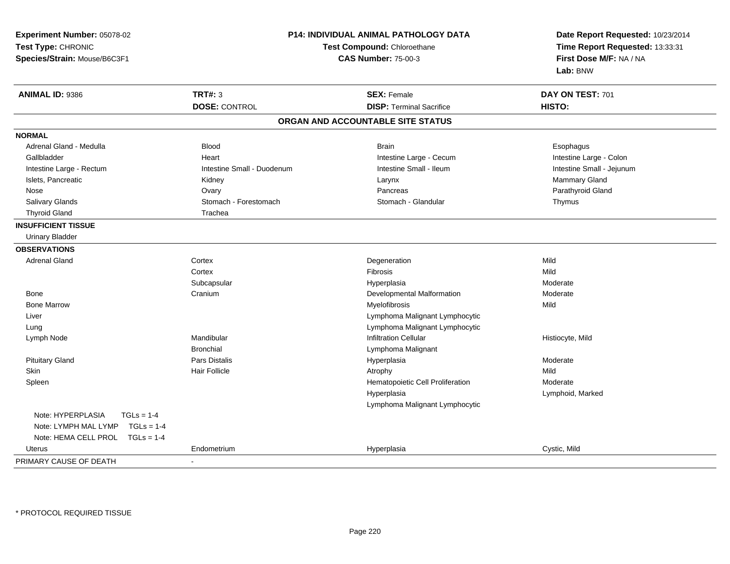| Experiment Number: 05078-02          |                                                           | P14: INDIVIDUAL ANIMAL PATHOLOGY DATA | Date Report Requested: 10/23/2014                          |  |
|--------------------------------------|-----------------------------------------------------------|---------------------------------------|------------------------------------------------------------|--|
| Test Type: CHRONIC                   | Test Compound: Chloroethane<br><b>CAS Number: 75-00-3</b> |                                       | Time Report Requested: 13:33:31<br>First Dose M/F: NA / NA |  |
| Species/Strain: Mouse/B6C3F1         |                                                           |                                       |                                                            |  |
|                                      |                                                           |                                       | Lab: BNW                                                   |  |
| ANIMAL ID: 9386                      | <b>TRT#: 3</b>                                            | <b>SEX: Female</b>                    | DAY ON TEST: 701                                           |  |
|                                      | <b>DOSE: CONTROL</b>                                      | <b>DISP: Terminal Sacrifice</b>       | HISTO:                                                     |  |
|                                      |                                                           | ORGAN AND ACCOUNTABLE SITE STATUS     |                                                            |  |
| <b>NORMAL</b>                        |                                                           |                                       |                                                            |  |
| Adrenal Gland - Medulla              | <b>Blood</b>                                              | <b>Brain</b>                          | Esophagus                                                  |  |
| Gallbladder                          | Heart                                                     | Intestine Large - Cecum               | Intestine Large - Colon                                    |  |
| Intestine Large - Rectum             | Intestine Small - Duodenum                                | Intestine Small - Ileum               | Intestine Small - Jejunum                                  |  |
| Islets, Pancreatic                   | Kidney                                                    | Larynx                                | Mammary Gland                                              |  |
| Nose                                 | Ovary                                                     | Pancreas                              | Parathyroid Gland                                          |  |
| Salivary Glands                      | Stomach - Forestomach                                     | Stomach - Glandular                   | Thymus                                                     |  |
| <b>Thyroid Gland</b>                 | Trachea                                                   |                                       |                                                            |  |
| <b>INSUFFICIENT TISSUE</b>           |                                                           |                                       |                                                            |  |
| <b>Urinary Bladder</b>               |                                                           |                                       |                                                            |  |
| <b>OBSERVATIONS</b>                  |                                                           |                                       |                                                            |  |
| <b>Adrenal Gland</b>                 | Cortex                                                    | Degeneration                          | Mild                                                       |  |
|                                      | Cortex                                                    | Fibrosis                              | Mild                                                       |  |
|                                      | Subcapsular                                               | Hyperplasia                           | Moderate                                                   |  |
| Bone                                 | Cranium                                                   | Developmental Malformation            | Moderate                                                   |  |
| <b>Bone Marrow</b>                   |                                                           | Myelofibrosis                         | Mild                                                       |  |
| Liver                                |                                                           | Lymphoma Malignant Lymphocytic        |                                                            |  |
| Lung                                 |                                                           | Lymphoma Malignant Lymphocytic        |                                                            |  |
| Lymph Node                           | Mandibular                                                | <b>Infiltration Cellular</b>          | Histiocyte, Mild                                           |  |
|                                      | <b>Bronchial</b>                                          | Lymphoma Malignant                    |                                                            |  |
| <b>Pituitary Gland</b>               | <b>Pars Distalis</b>                                      | Hyperplasia                           | Moderate                                                   |  |
| Skin                                 | <b>Hair Follicle</b>                                      | Atrophy                               | Mild                                                       |  |
| Spleen                               |                                                           | Hematopoietic Cell Proliferation      | Moderate                                                   |  |
|                                      |                                                           | Hyperplasia                           | Lymphoid, Marked                                           |  |
|                                      |                                                           | Lymphoma Malignant Lymphocytic        |                                                            |  |
| Note: HYPERPLASIA<br>$TGLs = 1-4$    |                                                           |                                       |                                                            |  |
| Note: LYMPH MAL LYMP<br>$TGLs = 1-4$ |                                                           |                                       |                                                            |  |
| Note: HEMA CELL PROL<br>$TGLs = 1-4$ |                                                           |                                       |                                                            |  |
| Uterus                               | Endometrium                                               | Hyperplasia                           | Cystic, Mild                                               |  |
| PRIMARY CAUSE OF DEATH               |                                                           |                                       |                                                            |  |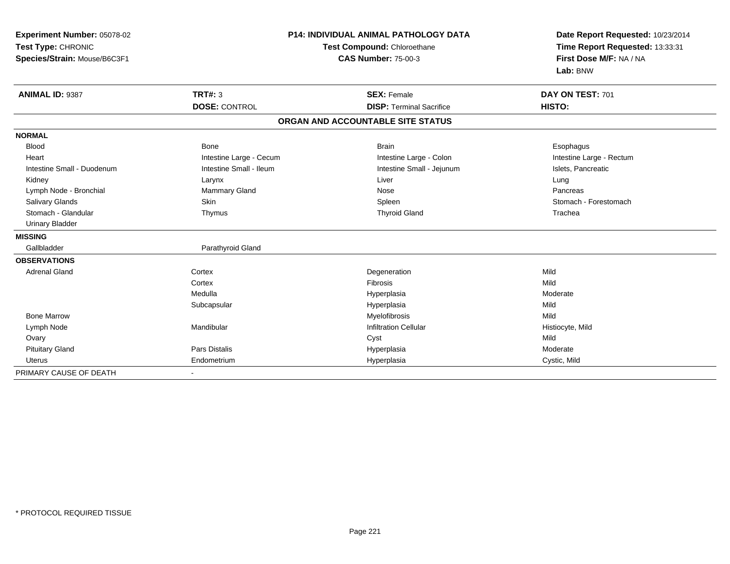| Experiment Number: 05078-02<br>Test Type: CHRONIC<br>Species/Strain: Mouse/B6C3F1 | <b>P14: INDIVIDUAL ANIMAL PATHOLOGY DATA</b><br>Test Compound: Chloroethane<br><b>CAS Number: 75-00-3</b> |                                   | Date Report Requested: 10/23/2014<br>Time Report Requested: 13:33:31<br>First Dose M/F: NA / NA<br>Lab: BNW |
|-----------------------------------------------------------------------------------|-----------------------------------------------------------------------------------------------------------|-----------------------------------|-------------------------------------------------------------------------------------------------------------|
| ANIMAL ID: 9387                                                                   | <b>TRT#: 3</b>                                                                                            | <b>SEX: Female</b>                | DAY ON TEST: 701                                                                                            |
|                                                                                   | <b>DOSE: CONTROL</b>                                                                                      | <b>DISP: Terminal Sacrifice</b>   | HISTO:                                                                                                      |
|                                                                                   |                                                                                                           | ORGAN AND ACCOUNTABLE SITE STATUS |                                                                                                             |
| <b>NORMAL</b>                                                                     |                                                                                                           |                                   |                                                                                                             |
| <b>Blood</b>                                                                      | <b>Bone</b>                                                                                               | <b>Brain</b>                      | Esophagus                                                                                                   |
| Heart                                                                             | Intestine Large - Cecum                                                                                   | Intestine Large - Colon           | Intestine Large - Rectum                                                                                    |
| Intestine Small - Duodenum                                                        | Intestine Small - Ileum                                                                                   | Intestine Small - Jejunum         | Islets, Pancreatic                                                                                          |
| Kidney                                                                            | Larynx                                                                                                    | Liver                             | Lung                                                                                                        |
| Lymph Node - Bronchial                                                            | Mammary Gland                                                                                             | Nose                              | Pancreas                                                                                                    |
| <b>Salivary Glands</b>                                                            | Skin                                                                                                      | Spleen                            | Stomach - Forestomach                                                                                       |
| Stomach - Glandular                                                               | Thymus                                                                                                    | <b>Thyroid Gland</b>              | Trachea                                                                                                     |
| <b>Urinary Bladder</b>                                                            |                                                                                                           |                                   |                                                                                                             |
| <b>MISSING</b>                                                                    |                                                                                                           |                                   |                                                                                                             |
| Gallbladder                                                                       | Parathyroid Gland                                                                                         |                                   |                                                                                                             |
| <b>OBSERVATIONS</b>                                                               |                                                                                                           |                                   |                                                                                                             |
| <b>Adrenal Gland</b>                                                              | Cortex                                                                                                    | Degeneration                      | Mild                                                                                                        |
|                                                                                   | Cortex                                                                                                    | Fibrosis                          | Mild                                                                                                        |
|                                                                                   | Medulla                                                                                                   | Hyperplasia                       | Moderate                                                                                                    |
|                                                                                   | Subcapsular                                                                                               | Hyperplasia                       | Mild                                                                                                        |
| <b>Bone Marrow</b>                                                                |                                                                                                           | Myelofibrosis                     | Mild                                                                                                        |
| Lymph Node                                                                        | Mandibular                                                                                                | <b>Infiltration Cellular</b>      | Histiocyte, Mild                                                                                            |
| Ovary                                                                             |                                                                                                           | Cyst                              | Mild                                                                                                        |
| <b>Pituitary Gland</b>                                                            | Pars Distalis                                                                                             | Hyperplasia                       | Moderate                                                                                                    |
| <b>Uterus</b>                                                                     | Endometrium                                                                                               | Hyperplasia                       | Cystic, Mild                                                                                                |
| PRIMARY CAUSE OF DEATH                                                            |                                                                                                           |                                   |                                                                                                             |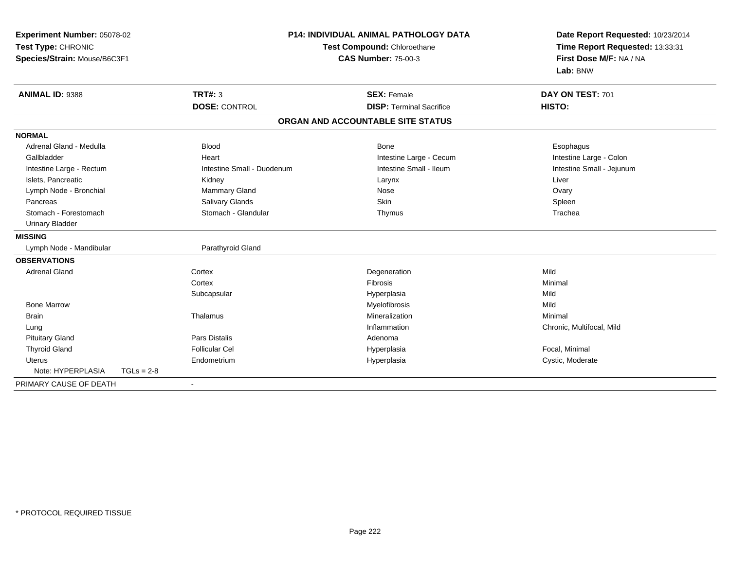| Experiment Number: 05078-02<br>Test Type: CHRONIC<br>Species/Strain: Mouse/B6C3F1 |                            | <b>P14: INDIVIDUAL ANIMAL PATHOLOGY DATA</b><br>Test Compound: Chloroethane<br><b>CAS Number: 75-00-3</b> | Date Report Requested: 10/23/2014<br>Time Report Requested: 13:33:31<br>First Dose M/F: NA / NA<br>Lab: BNW |
|-----------------------------------------------------------------------------------|----------------------------|-----------------------------------------------------------------------------------------------------------|-------------------------------------------------------------------------------------------------------------|
| ANIMAL ID: 9388                                                                   | <b>TRT#: 3</b>             | <b>SEX: Female</b>                                                                                        | DAY ON TEST: 701                                                                                            |
|                                                                                   | <b>DOSE: CONTROL</b>       | <b>DISP: Terminal Sacrifice</b>                                                                           | HISTO:                                                                                                      |
|                                                                                   |                            | ORGAN AND ACCOUNTABLE SITE STATUS                                                                         |                                                                                                             |
| <b>NORMAL</b>                                                                     |                            |                                                                                                           |                                                                                                             |
| Adrenal Gland - Medulla                                                           | <b>Blood</b>               | <b>Bone</b>                                                                                               | Esophagus                                                                                                   |
| Gallbladder                                                                       | Heart                      | Intestine Large - Cecum                                                                                   | Intestine Large - Colon                                                                                     |
| Intestine Large - Rectum                                                          | Intestine Small - Duodenum | Intestine Small - Ileum                                                                                   | Intestine Small - Jejunum                                                                                   |
| Islets, Pancreatic                                                                | Kidney                     | Larynx                                                                                                    | Liver                                                                                                       |
| Lymph Node - Bronchial                                                            | Mammary Gland              | Nose                                                                                                      | Ovary                                                                                                       |
| Pancreas                                                                          | <b>Salivary Glands</b>     | Skin                                                                                                      | Spleen                                                                                                      |
| Stomach - Forestomach                                                             | Stomach - Glandular        | Thymus                                                                                                    | Trachea                                                                                                     |
| <b>Urinary Bladder</b>                                                            |                            |                                                                                                           |                                                                                                             |
| <b>MISSING</b>                                                                    |                            |                                                                                                           |                                                                                                             |
| Lymph Node - Mandibular                                                           | Parathyroid Gland          |                                                                                                           |                                                                                                             |
| <b>OBSERVATIONS</b>                                                               |                            |                                                                                                           |                                                                                                             |
| <b>Adrenal Gland</b>                                                              | Cortex                     | Degeneration                                                                                              | Mild                                                                                                        |
|                                                                                   | Cortex                     | <b>Fibrosis</b>                                                                                           | Minimal                                                                                                     |
|                                                                                   | Subcapsular                | Hyperplasia                                                                                               | Mild                                                                                                        |
| <b>Bone Marrow</b>                                                                |                            | Myelofibrosis                                                                                             | Mild                                                                                                        |
| <b>Brain</b>                                                                      | Thalamus                   | Mineralization                                                                                            | Minimal                                                                                                     |
| Lung                                                                              |                            | Inflammation                                                                                              | Chronic, Multifocal, Mild                                                                                   |
| <b>Pituitary Gland</b>                                                            | <b>Pars Distalis</b>       | Adenoma                                                                                                   |                                                                                                             |
| <b>Thyroid Gland</b>                                                              | <b>Follicular Cel</b>      | Hyperplasia                                                                                               | Focal, Minimal                                                                                              |
| <b>Uterus</b>                                                                     | Endometrium                | Hyperplasia                                                                                               | Cystic, Moderate                                                                                            |
| Note: HYPERPLASIA<br>$TGLs = 2-8$                                                 |                            |                                                                                                           |                                                                                                             |
| PRIMARY CAUSE OF DEATH                                                            |                            |                                                                                                           |                                                                                                             |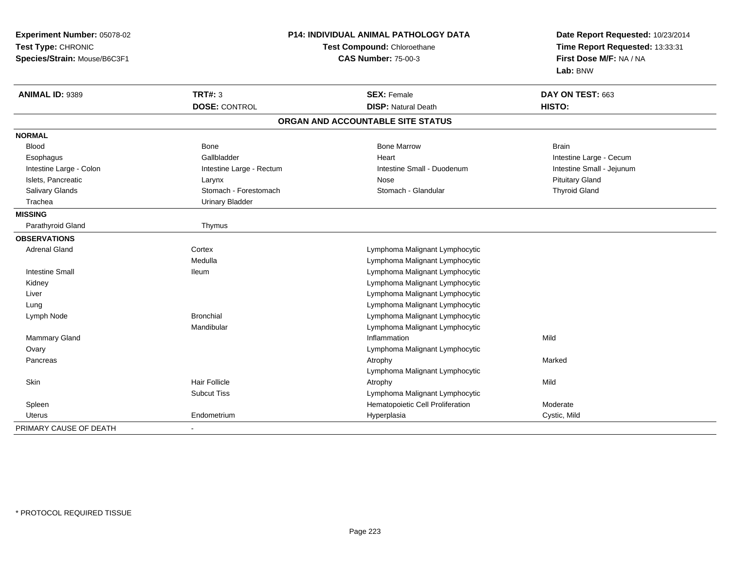| Experiment Number: 05078-02<br>Test Type: CHRONIC<br>Species/Strain: Mouse/B6C3F1 | P14: INDIVIDUAL ANIMAL PATHOLOGY DATA<br>Test Compound: Chloroethane<br><b>CAS Number: 75-00-3</b> |                                   | Date Report Requested: 10/23/2014<br>Time Report Requested: 13:33:31<br>First Dose M/F: NA / NA<br>Lab: BNW |
|-----------------------------------------------------------------------------------|----------------------------------------------------------------------------------------------------|-----------------------------------|-------------------------------------------------------------------------------------------------------------|
| <b>ANIMAL ID: 9389</b>                                                            | <b>TRT#: 3</b>                                                                                     | <b>SEX: Female</b>                | DAY ON TEST: 663                                                                                            |
|                                                                                   | <b>DOSE: CONTROL</b>                                                                               | <b>DISP: Natural Death</b>        | HISTO:                                                                                                      |
|                                                                                   |                                                                                                    | ORGAN AND ACCOUNTABLE SITE STATUS |                                                                                                             |
| <b>NORMAL</b>                                                                     |                                                                                                    |                                   |                                                                                                             |
| <b>Blood</b>                                                                      | <b>Bone</b>                                                                                        | <b>Bone Marrow</b>                | <b>Brain</b>                                                                                                |
| Esophagus                                                                         | Gallbladder                                                                                        | Heart                             | Intestine Large - Cecum                                                                                     |
| Intestine Large - Colon                                                           | Intestine Large - Rectum                                                                           | Intestine Small - Duodenum        | Intestine Small - Jejunum                                                                                   |
| Islets, Pancreatic                                                                | Larynx                                                                                             | Nose                              | <b>Pituitary Gland</b>                                                                                      |
| Salivary Glands                                                                   | Stomach - Forestomach                                                                              | Stomach - Glandular               | <b>Thyroid Gland</b>                                                                                        |
| Trachea                                                                           | <b>Urinary Bladder</b>                                                                             |                                   |                                                                                                             |
| <b>MISSING</b>                                                                    |                                                                                                    |                                   |                                                                                                             |
| Parathyroid Gland                                                                 | Thymus                                                                                             |                                   |                                                                                                             |
| <b>OBSERVATIONS</b>                                                               |                                                                                                    |                                   |                                                                                                             |
| <b>Adrenal Gland</b>                                                              | Cortex                                                                                             | Lymphoma Malignant Lymphocytic    |                                                                                                             |
|                                                                                   | Medulla                                                                                            | Lymphoma Malignant Lymphocytic    |                                                                                                             |
| <b>Intestine Small</b>                                                            | <b>Ileum</b>                                                                                       | Lymphoma Malignant Lymphocytic    |                                                                                                             |
| Kidney                                                                            |                                                                                                    | Lymphoma Malignant Lymphocytic    |                                                                                                             |
| Liver                                                                             |                                                                                                    | Lymphoma Malignant Lymphocytic    |                                                                                                             |
| Lung                                                                              |                                                                                                    | Lymphoma Malignant Lymphocytic    |                                                                                                             |
| Lymph Node                                                                        | <b>Bronchial</b>                                                                                   | Lymphoma Malignant Lymphocytic    |                                                                                                             |
|                                                                                   | Mandibular                                                                                         | Lymphoma Malignant Lymphocytic    |                                                                                                             |
| Mammary Gland                                                                     |                                                                                                    | Inflammation                      | Mild                                                                                                        |
| Ovary                                                                             |                                                                                                    | Lymphoma Malignant Lymphocytic    |                                                                                                             |
| Pancreas                                                                          |                                                                                                    | Atrophy                           | Marked                                                                                                      |
|                                                                                   |                                                                                                    | Lymphoma Malignant Lymphocytic    |                                                                                                             |
| <b>Skin</b>                                                                       | <b>Hair Follicle</b>                                                                               | Atrophy                           | Mild                                                                                                        |
|                                                                                   | <b>Subcut Tiss</b>                                                                                 | Lymphoma Malignant Lymphocytic    |                                                                                                             |
| Spleen                                                                            |                                                                                                    | Hematopoietic Cell Proliferation  | Moderate                                                                                                    |
| Uterus                                                                            | Endometrium                                                                                        | Hyperplasia                       | Cystic, Mild                                                                                                |
| PRIMARY CAUSE OF DEATH                                                            | ÷,                                                                                                 |                                   |                                                                                                             |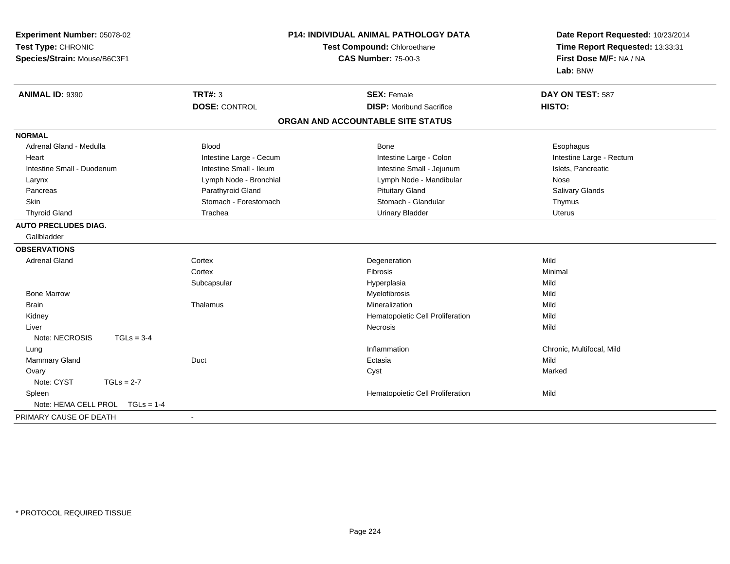| Experiment Number: 05078-02<br>Test Type: CHRONIC<br><b>CAS Number: 75-00-3</b><br>Species/Strain: Mouse/B6C3F1 |                         | <b>P14: INDIVIDUAL ANIMAL PATHOLOGY DATA</b><br>Test Compound: Chloroethane | Date Report Requested: 10/23/2014<br>Time Report Requested: 13:33:31<br>First Dose M/F: NA / NA<br>Lab: BNW |
|-----------------------------------------------------------------------------------------------------------------|-------------------------|-----------------------------------------------------------------------------|-------------------------------------------------------------------------------------------------------------|
| <b>ANIMAL ID: 9390</b>                                                                                          | <b>TRT#: 3</b>          | <b>SEX: Female</b>                                                          | DAY ON TEST: 587                                                                                            |
|                                                                                                                 | <b>DOSE: CONTROL</b>    | <b>DISP:</b> Moribund Sacrifice                                             | HISTO:                                                                                                      |
|                                                                                                                 |                         | ORGAN AND ACCOUNTABLE SITE STATUS                                           |                                                                                                             |
| <b>NORMAL</b>                                                                                                   |                         |                                                                             |                                                                                                             |
| Adrenal Gland - Medulla                                                                                         | <b>Blood</b>            | <b>Bone</b>                                                                 | Esophagus                                                                                                   |
| Heart                                                                                                           | Intestine Large - Cecum | Intestine Large - Colon                                                     | Intestine Large - Rectum                                                                                    |
| Intestine Small - Duodenum                                                                                      | Intestine Small - Ileum | Intestine Small - Jejunum                                                   | Islets, Pancreatic                                                                                          |
| Larynx                                                                                                          | Lymph Node - Bronchial  | Lymph Node - Mandibular                                                     | Nose                                                                                                        |
| Pancreas                                                                                                        | Parathyroid Gland       | <b>Pituitary Gland</b>                                                      | Salivary Glands                                                                                             |
| <b>Skin</b>                                                                                                     | Stomach - Forestomach   | Stomach - Glandular                                                         | Thymus                                                                                                      |
| <b>Thyroid Gland</b>                                                                                            | Trachea                 | <b>Urinary Bladder</b>                                                      | <b>Uterus</b>                                                                                               |
| <b>AUTO PRECLUDES DIAG.</b>                                                                                     |                         |                                                                             |                                                                                                             |
| Gallbladder                                                                                                     |                         |                                                                             |                                                                                                             |
| <b>OBSERVATIONS</b>                                                                                             |                         |                                                                             |                                                                                                             |
| <b>Adrenal Gland</b>                                                                                            | Cortex                  | Degeneration                                                                | Mild                                                                                                        |
|                                                                                                                 | Cortex                  | Fibrosis                                                                    | Minimal                                                                                                     |
|                                                                                                                 | Subcapsular             | Hyperplasia                                                                 | Mild                                                                                                        |
| <b>Bone Marrow</b>                                                                                              |                         | Myelofibrosis                                                               | Mild                                                                                                        |
| <b>Brain</b>                                                                                                    | Thalamus                | Mineralization                                                              | Mild                                                                                                        |
| Kidney                                                                                                          |                         | Hematopoietic Cell Proliferation                                            | Mild                                                                                                        |
| Liver                                                                                                           |                         | <b>Necrosis</b>                                                             | Mild                                                                                                        |
| Note: NECROSIS<br>$TGLs = 3-4$                                                                                  |                         |                                                                             |                                                                                                             |
| Lung                                                                                                            |                         | Inflammation                                                                | Chronic, Multifocal, Mild                                                                                   |
| Mammary Gland                                                                                                   | Duct                    | Ectasia                                                                     | Mild                                                                                                        |
| Ovary                                                                                                           |                         | Cyst                                                                        | Marked                                                                                                      |
| Note: CYST<br>$TGLs = 2-7$                                                                                      |                         |                                                                             |                                                                                                             |
| Spleen                                                                                                          |                         | Hematopoietic Cell Proliferation                                            | Mild                                                                                                        |
| Note: HEMA CELL PROL<br>$TGLs = 1-4$                                                                            |                         |                                                                             |                                                                                                             |
| PRIMARY CAUSE OF DEATH                                                                                          | $\mathbf{r}$            |                                                                             |                                                                                                             |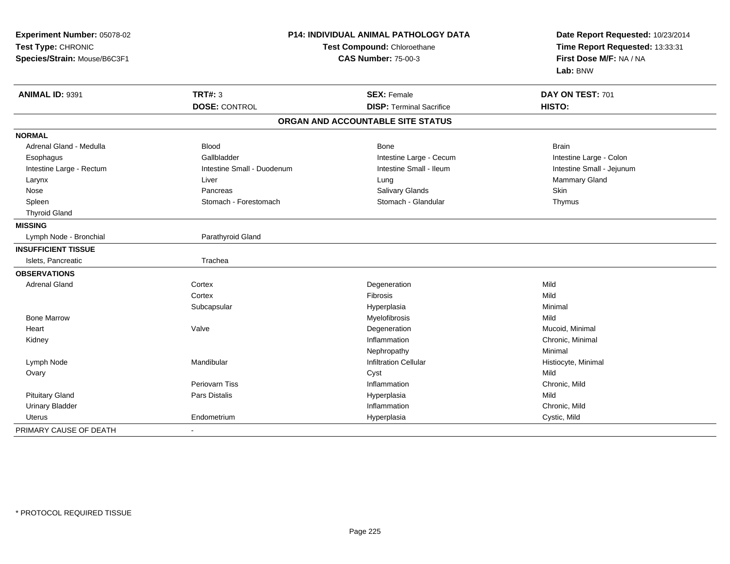| Experiment Number: 05078-02<br>Test Type: CHRONIC<br>Species/Strain: Mouse/B6C3F1 | P14: INDIVIDUAL ANIMAL PATHOLOGY DATA<br>Test Compound: Chloroethane<br><b>CAS Number: 75-00-3</b> |                                   | Date Report Requested: 10/23/2014<br>Time Report Requested: 13:33:31<br>First Dose M/F: NA / NA<br>Lab: BNW |  |
|-----------------------------------------------------------------------------------|----------------------------------------------------------------------------------------------------|-----------------------------------|-------------------------------------------------------------------------------------------------------------|--|
| ANIMAL ID: 9391                                                                   | <b>TRT#: 3</b>                                                                                     | <b>SEX: Female</b>                | DAY ON TEST: 701                                                                                            |  |
|                                                                                   | <b>DOSE: CONTROL</b>                                                                               | <b>DISP: Terminal Sacrifice</b>   | HISTO:                                                                                                      |  |
|                                                                                   |                                                                                                    | ORGAN AND ACCOUNTABLE SITE STATUS |                                                                                                             |  |
| <b>NORMAL</b>                                                                     |                                                                                                    |                                   |                                                                                                             |  |
| Adrenal Gland - Medulla                                                           | <b>Blood</b>                                                                                       | Bone                              | <b>Brain</b>                                                                                                |  |
| Esophagus                                                                         | Gallbladder                                                                                        | Intestine Large - Cecum           | Intestine Large - Colon                                                                                     |  |
| Intestine Large - Rectum                                                          | Intestine Small - Duodenum                                                                         | Intestine Small - Ileum           | Intestine Small - Jejunum                                                                                   |  |
| Larynx                                                                            | Liver                                                                                              | Lung                              | Mammary Gland                                                                                               |  |
| Nose                                                                              | Pancreas                                                                                           | Salivary Glands                   | Skin                                                                                                        |  |
| Spleen                                                                            | Stomach - Forestomach                                                                              | Stomach - Glandular               | Thymus                                                                                                      |  |
| <b>Thyroid Gland</b>                                                              |                                                                                                    |                                   |                                                                                                             |  |
| <b>MISSING</b>                                                                    |                                                                                                    |                                   |                                                                                                             |  |
| Lymph Node - Bronchial                                                            | Parathyroid Gland                                                                                  |                                   |                                                                                                             |  |
| <b>INSUFFICIENT TISSUE</b>                                                        |                                                                                                    |                                   |                                                                                                             |  |
| Islets, Pancreatic                                                                | Trachea                                                                                            |                                   |                                                                                                             |  |
| <b>OBSERVATIONS</b>                                                               |                                                                                                    |                                   |                                                                                                             |  |
| <b>Adrenal Gland</b>                                                              | Cortex                                                                                             | Degeneration                      | Mild                                                                                                        |  |
|                                                                                   | Cortex                                                                                             | Fibrosis                          | Mild                                                                                                        |  |
|                                                                                   | Subcapsular                                                                                        | Hyperplasia                       | Minimal                                                                                                     |  |
| <b>Bone Marrow</b>                                                                |                                                                                                    | Myelofibrosis                     | Mild                                                                                                        |  |
| Heart                                                                             | Valve                                                                                              | Degeneration                      | Mucoid, Minimal                                                                                             |  |
| Kidney                                                                            |                                                                                                    | Inflammation                      | Chronic, Minimal                                                                                            |  |
|                                                                                   |                                                                                                    | Nephropathy                       | Minimal                                                                                                     |  |
| Lymph Node                                                                        | Mandibular                                                                                         | <b>Infiltration Cellular</b>      | Histiocyte, Minimal                                                                                         |  |
| Ovary                                                                             |                                                                                                    | Cyst                              | Mild                                                                                                        |  |
|                                                                                   | <b>Periovarn Tiss</b>                                                                              | Inflammation                      | Chronic, Mild                                                                                               |  |
| <b>Pituitary Gland</b>                                                            | Pars Distalis                                                                                      | Hyperplasia                       | Mild                                                                                                        |  |
| <b>Urinary Bladder</b>                                                            |                                                                                                    | Inflammation                      | Chronic, Mild                                                                                               |  |
| <b>Uterus</b>                                                                     | Endometrium                                                                                        | Hyperplasia                       | Cystic, Mild                                                                                                |  |
| PRIMARY CAUSE OF DEATH                                                            | $\blacksquare$                                                                                     |                                   |                                                                                                             |  |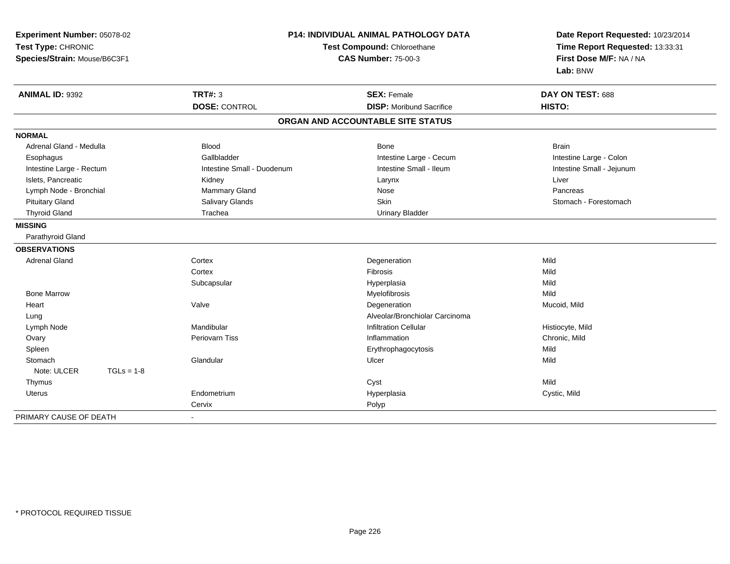| Experiment Number: 05078-02<br>Test Type: CHRONIC<br>Species/Strain: Mouse/B6C3F1 | P14: INDIVIDUAL ANIMAL PATHOLOGY DATA<br>Test Compound: Chloroethane<br><b>CAS Number: 75-00-3</b> |                                   | Date Report Requested: 10/23/2014<br>Time Report Requested: 13:33:31<br>First Dose M/F: NA / NA<br>Lab: BNW |
|-----------------------------------------------------------------------------------|----------------------------------------------------------------------------------------------------|-----------------------------------|-------------------------------------------------------------------------------------------------------------|
| ANIMAL ID: 9392                                                                   | <b>TRT#: 3</b>                                                                                     | <b>SEX: Female</b>                | DAY ON TEST: 688                                                                                            |
|                                                                                   | <b>DOSE: CONTROL</b>                                                                               | <b>DISP:</b> Moribund Sacrifice   | HISTO:                                                                                                      |
|                                                                                   |                                                                                                    | ORGAN AND ACCOUNTABLE SITE STATUS |                                                                                                             |
| <b>NORMAL</b>                                                                     |                                                                                                    |                                   |                                                                                                             |
| Adrenal Gland - Medulla                                                           | <b>Blood</b>                                                                                       | Bone                              | <b>Brain</b>                                                                                                |
| Esophagus                                                                         | Gallbladder                                                                                        | Intestine Large - Cecum           | Intestine Large - Colon                                                                                     |
| Intestine Large - Rectum                                                          | Intestine Small - Duodenum                                                                         | Intestine Small - Ileum           | Intestine Small - Jejunum                                                                                   |
| Islets, Pancreatic                                                                | Kidney                                                                                             | Larynx                            | Liver                                                                                                       |
| Lymph Node - Bronchial                                                            | Mammary Gland                                                                                      | Nose                              | Pancreas                                                                                                    |
| <b>Pituitary Gland</b>                                                            | Salivary Glands                                                                                    | Skin                              | Stomach - Forestomach                                                                                       |
| <b>Thyroid Gland</b>                                                              | Trachea                                                                                            | <b>Urinary Bladder</b>            |                                                                                                             |
| <b>MISSING</b>                                                                    |                                                                                                    |                                   |                                                                                                             |
| Parathyroid Gland                                                                 |                                                                                                    |                                   |                                                                                                             |
| <b>OBSERVATIONS</b>                                                               |                                                                                                    |                                   |                                                                                                             |
| <b>Adrenal Gland</b>                                                              | Cortex                                                                                             | Degeneration                      | Mild                                                                                                        |
|                                                                                   | Cortex                                                                                             | Fibrosis                          | Mild                                                                                                        |
|                                                                                   | Subcapsular                                                                                        | Hyperplasia                       | Mild                                                                                                        |
| <b>Bone Marrow</b>                                                                |                                                                                                    | Myelofibrosis                     | Mild                                                                                                        |
| Heart                                                                             | Valve                                                                                              | Degeneration                      | Mucoid, Mild                                                                                                |
| Lung                                                                              |                                                                                                    | Alveolar/Bronchiolar Carcinoma    |                                                                                                             |
| Lymph Node                                                                        | Mandibular                                                                                         | <b>Infiltration Cellular</b>      | Histiocyte, Mild                                                                                            |
| Ovary                                                                             | Periovarn Tiss                                                                                     | Inflammation                      | Chronic, Mild                                                                                               |
| Spleen                                                                            |                                                                                                    | Erythrophagocytosis               | Mild                                                                                                        |
| Stomach                                                                           | Glandular                                                                                          | Ulcer                             | Mild                                                                                                        |
| Note: ULCER<br>$TGLs = 1-8$                                                       |                                                                                                    |                                   |                                                                                                             |
| Thymus                                                                            |                                                                                                    | Cyst                              | Mild                                                                                                        |
| <b>Uterus</b>                                                                     | Endometrium                                                                                        | Hyperplasia                       | Cystic, Mild                                                                                                |
|                                                                                   | Cervix                                                                                             | Polyp                             |                                                                                                             |
| PRIMARY CAUSE OF DEATH                                                            |                                                                                                    |                                   |                                                                                                             |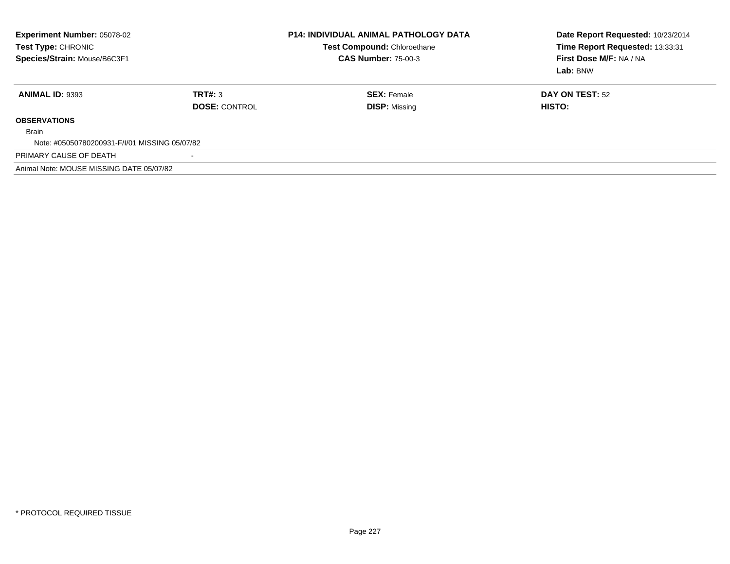| Experiment Number: 05078-02<br><b>Test Type: CHRONIC</b><br>Species/Strain: Mouse/B6C3F1 |                                 | <b>P14: INDIVIDUAL ANIMAL PATHOLOGY DATA</b><br>Test Compound: Chloroethane<br><b>CAS Number: 75-00-3</b> | Date Report Requested: 10/23/2014<br>Time Report Requested: 13:33:31<br>First Dose M/F: NA / NA<br>Lab: BNW |  |
|------------------------------------------------------------------------------------------|---------------------------------|-----------------------------------------------------------------------------------------------------------|-------------------------------------------------------------------------------------------------------------|--|
| <b>ANIMAL ID: 9393</b>                                                                   | TRT#: 3<br><b>DOSE: CONTROL</b> | <b>SEX: Female</b><br><b>DISP: Missing</b>                                                                | <b>DAY ON TEST: 52</b><br>HISTO:                                                                            |  |
| <b>OBSERVATIONS</b>                                                                      |                                 |                                                                                                           |                                                                                                             |  |
| <b>Brain</b>                                                                             |                                 |                                                                                                           |                                                                                                             |  |
| Note: #05050780200931-F/I/01 MISSING 05/07/82                                            |                                 |                                                                                                           |                                                                                                             |  |
| PRIMARY CAUSE OF DEATH                                                                   |                                 |                                                                                                           |                                                                                                             |  |
| Animal Note: MOUSE MISSING DATE 05/07/82                                                 |                                 |                                                                                                           |                                                                                                             |  |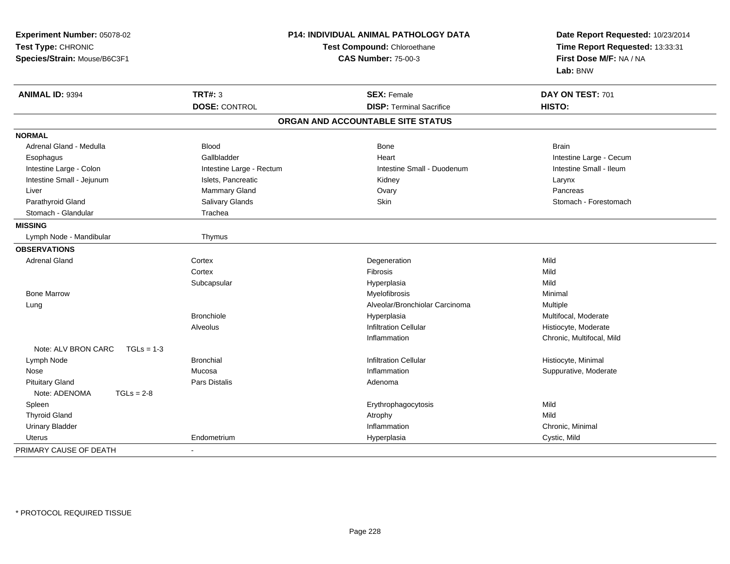| Experiment Number: 05078-02<br>Test Type: CHRONIC<br>Species/Strain: Mouse/B6C3F1 | P14: INDIVIDUAL ANIMAL PATHOLOGY DATA<br>Test Compound: Chloroethane<br><b>CAS Number: 75-00-3</b> |                                   | Date Report Requested: 10/23/2014<br>Time Report Requested: 13:33:31<br>First Dose M/F: NA / NA<br>Lab: BNW |  |
|-----------------------------------------------------------------------------------|----------------------------------------------------------------------------------------------------|-----------------------------------|-------------------------------------------------------------------------------------------------------------|--|
| <b>ANIMAL ID: 9394</b>                                                            | <b>TRT#: 3</b>                                                                                     | <b>SEX: Female</b>                | DAY ON TEST: 701                                                                                            |  |
|                                                                                   | <b>DOSE: CONTROL</b>                                                                               | <b>DISP: Terminal Sacrifice</b>   | HISTO:                                                                                                      |  |
|                                                                                   |                                                                                                    | ORGAN AND ACCOUNTABLE SITE STATUS |                                                                                                             |  |
| <b>NORMAL</b>                                                                     |                                                                                                    |                                   |                                                                                                             |  |
| Adrenal Gland - Medulla                                                           | <b>Blood</b>                                                                                       | <b>Bone</b>                       | <b>Brain</b>                                                                                                |  |
| Esophagus                                                                         | Gallbladder                                                                                        | Heart                             | Intestine Large - Cecum                                                                                     |  |
| Intestine Large - Colon                                                           | Intestine Large - Rectum                                                                           | Intestine Small - Duodenum        | Intestine Small - Ileum                                                                                     |  |
| Intestine Small - Jejunum                                                         | Islets, Pancreatic                                                                                 | Kidney                            | Larynx                                                                                                      |  |
| Liver                                                                             | Mammary Gland                                                                                      | Ovary                             | Pancreas                                                                                                    |  |
| Parathyroid Gland                                                                 | Salivary Glands                                                                                    | Skin                              | Stomach - Forestomach                                                                                       |  |
| Stomach - Glandular                                                               | Trachea                                                                                            |                                   |                                                                                                             |  |
| <b>MISSING</b>                                                                    |                                                                                                    |                                   |                                                                                                             |  |
| Lymph Node - Mandibular                                                           | Thymus                                                                                             |                                   |                                                                                                             |  |
| <b>OBSERVATIONS</b>                                                               |                                                                                                    |                                   |                                                                                                             |  |
| <b>Adrenal Gland</b>                                                              | Cortex                                                                                             | Degeneration                      | Mild                                                                                                        |  |
|                                                                                   | Cortex                                                                                             | Fibrosis                          | Mild                                                                                                        |  |
|                                                                                   | Subcapsular                                                                                        | Hyperplasia                       | Mild                                                                                                        |  |
| <b>Bone Marrow</b>                                                                |                                                                                                    | Myelofibrosis                     | Minimal                                                                                                     |  |
| Lung                                                                              |                                                                                                    | Alveolar/Bronchiolar Carcinoma    | Multiple                                                                                                    |  |
|                                                                                   | <b>Bronchiole</b>                                                                                  | Hyperplasia                       | Multifocal, Moderate                                                                                        |  |
|                                                                                   | Alveolus                                                                                           | <b>Infiltration Cellular</b>      | Histiocyte, Moderate                                                                                        |  |
|                                                                                   |                                                                                                    | Inflammation                      | Chronic, Multifocal, Mild                                                                                   |  |
| Note: ALV BRON CARC<br>$TGLs = 1-3$                                               |                                                                                                    |                                   |                                                                                                             |  |
| Lymph Node                                                                        | <b>Bronchial</b>                                                                                   | <b>Infiltration Cellular</b>      | Histiocyte, Minimal                                                                                         |  |
| Nose                                                                              | Mucosa                                                                                             | Inflammation                      | Suppurative, Moderate                                                                                       |  |
| <b>Pituitary Gland</b>                                                            | <b>Pars Distalis</b>                                                                               | Adenoma                           |                                                                                                             |  |
| Note: ADENOMA<br>$TGLs = 2-8$                                                     |                                                                                                    |                                   |                                                                                                             |  |
| Spleen                                                                            |                                                                                                    | Erythrophagocytosis               | Mild                                                                                                        |  |
| <b>Thyroid Gland</b>                                                              |                                                                                                    | Atrophy                           | Mild                                                                                                        |  |
| <b>Urinary Bladder</b>                                                            |                                                                                                    | Inflammation                      | Chronic, Minimal                                                                                            |  |
| Uterus                                                                            | Endometrium                                                                                        | Hyperplasia                       | Cystic, Mild                                                                                                |  |
| PRIMARY CAUSE OF DEATH                                                            |                                                                                                    |                                   |                                                                                                             |  |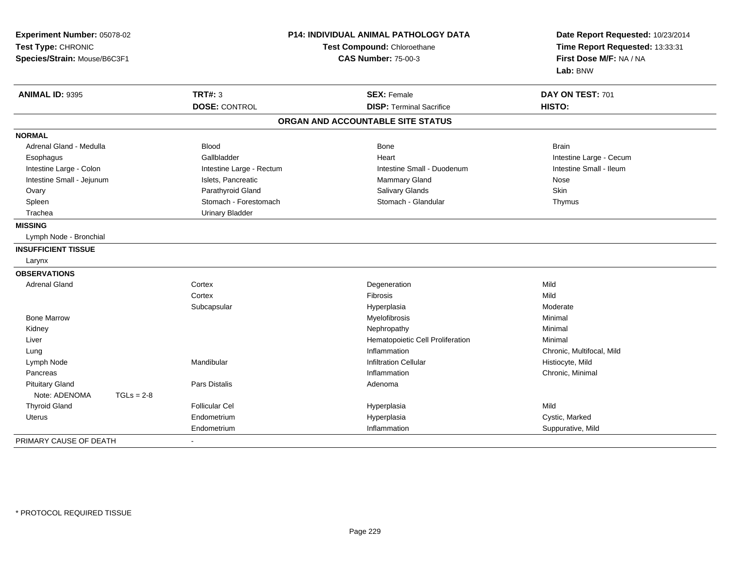| Experiment Number: 05078-02<br>Test Type: CHRONIC<br>Species/Strain: Mouse/B6C3F1 |                          | P14: INDIVIDUAL ANIMAL PATHOLOGY DATA<br>Test Compound: Chloroethane<br><b>CAS Number: 75-00-3</b> |                           |
|-----------------------------------------------------------------------------------|--------------------------|----------------------------------------------------------------------------------------------------|---------------------------|
| <b>ANIMAL ID: 9395</b>                                                            | <b>TRT#: 3</b>           | <b>SEX: Female</b>                                                                                 | DAY ON TEST: 701          |
|                                                                                   | <b>DOSE: CONTROL</b>     | <b>DISP: Terminal Sacrifice</b>                                                                    | HISTO:                    |
|                                                                                   |                          | ORGAN AND ACCOUNTABLE SITE STATUS                                                                  |                           |
| <b>NORMAL</b>                                                                     |                          |                                                                                                    |                           |
| Adrenal Gland - Medulla                                                           | <b>Blood</b>             | Bone                                                                                               | <b>Brain</b>              |
| Esophagus                                                                         | Gallbladder              | Heart                                                                                              | Intestine Large - Cecum   |
| Intestine Large - Colon                                                           | Intestine Large - Rectum | Intestine Small - Duodenum                                                                         | Intestine Small - Ileum   |
| Intestine Small - Jejunum                                                         | Islets, Pancreatic       | Mammary Gland                                                                                      | Nose                      |
| Ovary                                                                             | Parathyroid Gland        | <b>Salivary Glands</b>                                                                             | Skin                      |
| Spleen                                                                            | Stomach - Forestomach    | Stomach - Glandular                                                                                | Thymus                    |
| Trachea                                                                           | <b>Urinary Bladder</b>   |                                                                                                    |                           |
| <b>MISSING</b>                                                                    |                          |                                                                                                    |                           |
| Lymph Node - Bronchial                                                            |                          |                                                                                                    |                           |
| <b>INSUFFICIENT TISSUE</b>                                                        |                          |                                                                                                    |                           |
| Larynx                                                                            |                          |                                                                                                    |                           |
| <b>OBSERVATIONS</b>                                                               |                          |                                                                                                    |                           |
| <b>Adrenal Gland</b>                                                              | Cortex                   | Degeneration                                                                                       | Mild                      |
|                                                                                   | Cortex                   | Fibrosis                                                                                           | Mild                      |
|                                                                                   | Subcapsular              | Hyperplasia                                                                                        | Moderate                  |
| <b>Bone Marrow</b>                                                                |                          | Myelofibrosis                                                                                      | Minimal                   |
| Kidney                                                                            |                          | Nephropathy                                                                                        | Minimal                   |
| Liver                                                                             |                          | Hematopoietic Cell Proliferation                                                                   | Minimal                   |
| Lung                                                                              |                          | Inflammation                                                                                       | Chronic, Multifocal, Mild |
| Lymph Node                                                                        | Mandibular               | <b>Infiltration Cellular</b>                                                                       | Histiocyte, Mild          |
| Pancreas                                                                          |                          | Inflammation                                                                                       | Chronic, Minimal          |
| <b>Pituitary Gland</b>                                                            | <b>Pars Distalis</b>     | Adenoma                                                                                            |                           |
| Note: ADENOMA<br>$TGLs = 2-8$                                                     |                          |                                                                                                    |                           |
| <b>Thyroid Gland</b>                                                              | <b>Follicular Cel</b>    | Hyperplasia                                                                                        | Mild                      |
| Uterus                                                                            | Endometrium              | Hyperplasia                                                                                        | Cystic, Marked            |
|                                                                                   | Endometrium              | Inflammation                                                                                       | Suppurative, Mild         |
| PRIMARY CAUSE OF DEATH                                                            |                          |                                                                                                    |                           |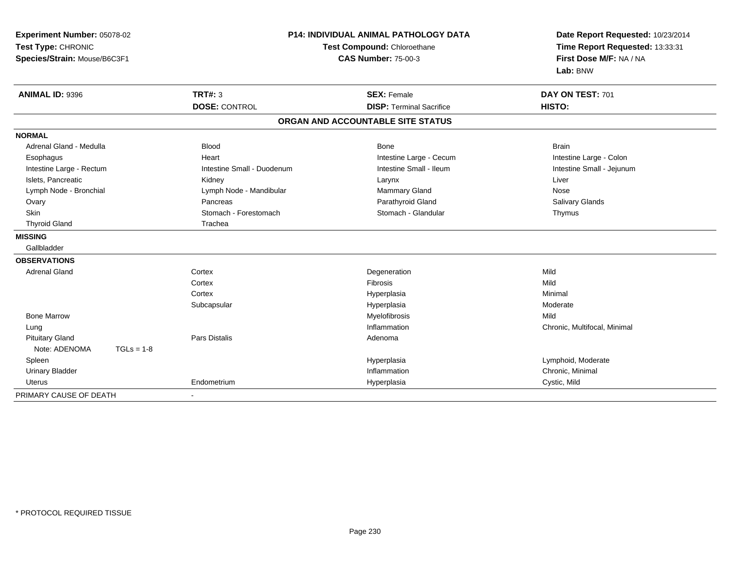| Experiment Number: 05078-02<br>Test Type: CHRONIC<br>Species/Strain: Mouse/B6C3F1 |              | P14: INDIVIDUAL ANIMAL PATHOLOGY DATA<br>Test Compound: Chloroethane<br><b>CAS Number: 75-00-3</b> |                                   | Date Report Requested: 10/23/2014<br>Time Report Requested: 13:33:31<br>First Dose M/F: NA / NA<br>Lab: BNW |
|-----------------------------------------------------------------------------------|--------------|----------------------------------------------------------------------------------------------------|-----------------------------------|-------------------------------------------------------------------------------------------------------------|
| <b>ANIMAL ID: 9396</b>                                                            |              | <b>TRT#: 3</b>                                                                                     | <b>SEX: Female</b>                | DAY ON TEST: 701                                                                                            |
|                                                                                   |              | <b>DOSE: CONTROL</b>                                                                               | <b>DISP: Terminal Sacrifice</b>   | HISTO:                                                                                                      |
|                                                                                   |              |                                                                                                    | ORGAN AND ACCOUNTABLE SITE STATUS |                                                                                                             |
| <b>NORMAL</b>                                                                     |              |                                                                                                    |                                   |                                                                                                             |
| Adrenal Gland - Medulla                                                           |              | <b>Blood</b>                                                                                       | Bone                              | <b>Brain</b>                                                                                                |
| Esophagus                                                                         |              | Heart                                                                                              | Intestine Large - Cecum           | Intestine Large - Colon                                                                                     |
| Intestine Large - Rectum                                                          |              | Intestine Small - Duodenum                                                                         | Intestine Small - Ileum           | Intestine Small - Jejunum                                                                                   |
| Islets, Pancreatic                                                                |              | Kidney                                                                                             | Larynx                            | Liver                                                                                                       |
| Lymph Node - Bronchial                                                            |              | Lymph Node - Mandibular                                                                            | Mammary Gland                     | Nose                                                                                                        |
| Ovary                                                                             |              | Pancreas                                                                                           | Parathyroid Gland                 | <b>Salivary Glands</b>                                                                                      |
| Skin                                                                              |              | Stomach - Forestomach                                                                              | Stomach - Glandular               | Thymus                                                                                                      |
| <b>Thyroid Gland</b>                                                              |              | Trachea                                                                                            |                                   |                                                                                                             |
| <b>MISSING</b>                                                                    |              |                                                                                                    |                                   |                                                                                                             |
| Gallbladder                                                                       |              |                                                                                                    |                                   |                                                                                                             |
| <b>OBSERVATIONS</b>                                                               |              |                                                                                                    |                                   |                                                                                                             |
| <b>Adrenal Gland</b>                                                              |              | Cortex                                                                                             | Degeneration                      | Mild                                                                                                        |
|                                                                                   |              | Cortex                                                                                             | Fibrosis                          | Mild                                                                                                        |
|                                                                                   |              | Cortex                                                                                             | Hyperplasia                       | Minimal                                                                                                     |
|                                                                                   |              | Subcapsular                                                                                        | Hyperplasia                       | Moderate                                                                                                    |
| <b>Bone Marrow</b>                                                                |              |                                                                                                    | Myelofibrosis                     | Mild                                                                                                        |
| Lung                                                                              |              |                                                                                                    | Inflammation                      | Chronic, Multifocal, Minimal                                                                                |
| <b>Pituitary Gland</b>                                                            |              | Pars Distalis                                                                                      | Adenoma                           |                                                                                                             |
| Note: ADENOMA                                                                     | $TGLs = 1-8$ |                                                                                                    |                                   |                                                                                                             |
| Spleen                                                                            |              |                                                                                                    | Hyperplasia                       | Lymphoid, Moderate                                                                                          |
| <b>Urinary Bladder</b>                                                            |              |                                                                                                    | Inflammation                      | Chronic, Minimal                                                                                            |
| <b>Uterus</b>                                                                     |              | Endometrium                                                                                        | Hyperplasia                       | Cystic, Mild                                                                                                |
| PRIMARY CAUSE OF DEATH                                                            |              | $\sim$                                                                                             |                                   |                                                                                                             |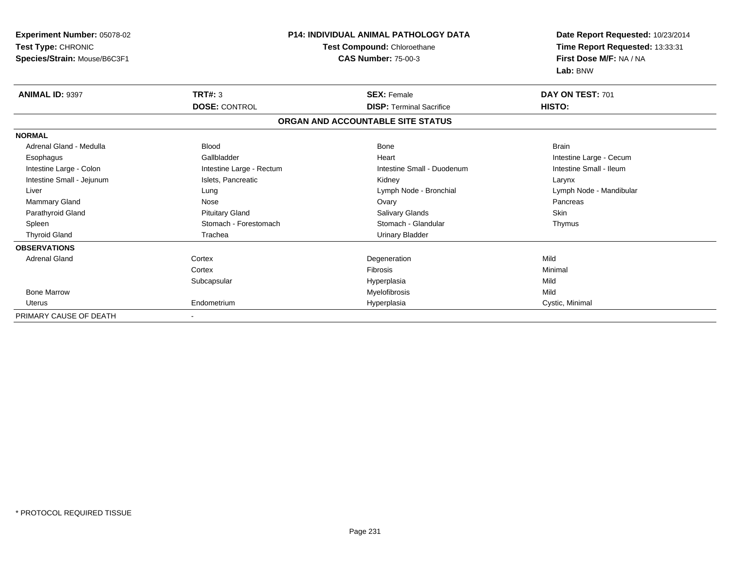| <b>Experiment Number: 05078-02</b><br>Test Type: CHRONIC<br>Species/Strain: Mouse/B6C3F1 |                          | <b>P14: INDIVIDUAL ANIMAL PATHOLOGY DATA</b><br>Test Compound: Chloroethane<br><b>CAS Number: 75-00-3</b> | Date Report Requested: 10/23/2014<br>Time Report Requested: 13:33:31<br>First Dose M/F: NA / NA<br>Lab: BNW |
|------------------------------------------------------------------------------------------|--------------------------|-----------------------------------------------------------------------------------------------------------|-------------------------------------------------------------------------------------------------------------|
| <b>ANIMAL ID: 9397</b>                                                                   | TRT#: 3                  | <b>SEX: Female</b>                                                                                        | DAY ON TEST: 701                                                                                            |
|                                                                                          | <b>DOSE: CONTROL</b>     | <b>DISP: Terminal Sacrifice</b>                                                                           | HISTO:                                                                                                      |
|                                                                                          |                          | ORGAN AND ACCOUNTABLE SITE STATUS                                                                         |                                                                                                             |
| <b>NORMAL</b>                                                                            |                          |                                                                                                           |                                                                                                             |
| Adrenal Gland - Medulla                                                                  | <b>Blood</b>             | <b>Bone</b>                                                                                               | <b>Brain</b>                                                                                                |
| Esophagus                                                                                | Gallbladder              | Heart                                                                                                     | Intestine Large - Cecum                                                                                     |
| Intestine Large - Colon                                                                  | Intestine Large - Rectum | Intestine Small - Duodenum                                                                                | Intestine Small - Ileum                                                                                     |
| Intestine Small - Jejunum                                                                | Islets, Pancreatic       | Kidney                                                                                                    | Larynx                                                                                                      |
| Liver                                                                                    | Lung                     | Lymph Node - Bronchial                                                                                    | Lymph Node - Mandibular                                                                                     |
| Mammary Gland                                                                            | Nose                     | Ovary                                                                                                     | Pancreas                                                                                                    |
| Parathyroid Gland                                                                        | <b>Pituitary Gland</b>   | Salivary Glands                                                                                           | Skin                                                                                                        |
| Spleen                                                                                   | Stomach - Forestomach    | Stomach - Glandular                                                                                       | Thymus                                                                                                      |
| <b>Thyroid Gland</b>                                                                     | Trachea                  | <b>Urinary Bladder</b>                                                                                    |                                                                                                             |
| <b>OBSERVATIONS</b>                                                                      |                          |                                                                                                           |                                                                                                             |
| <b>Adrenal Gland</b>                                                                     | Cortex                   | Degeneration                                                                                              | Mild                                                                                                        |
|                                                                                          | Cortex                   | <b>Fibrosis</b>                                                                                           | Minimal                                                                                                     |
|                                                                                          | Subcapsular              | Hyperplasia                                                                                               | Mild                                                                                                        |
| <b>Bone Marrow</b>                                                                       |                          | Myelofibrosis                                                                                             | Mild                                                                                                        |
| <b>Uterus</b>                                                                            | Endometrium              | Hyperplasia                                                                                               | Cystic, Minimal                                                                                             |
| PRIMARY CAUSE OF DEATH                                                                   |                          |                                                                                                           |                                                                                                             |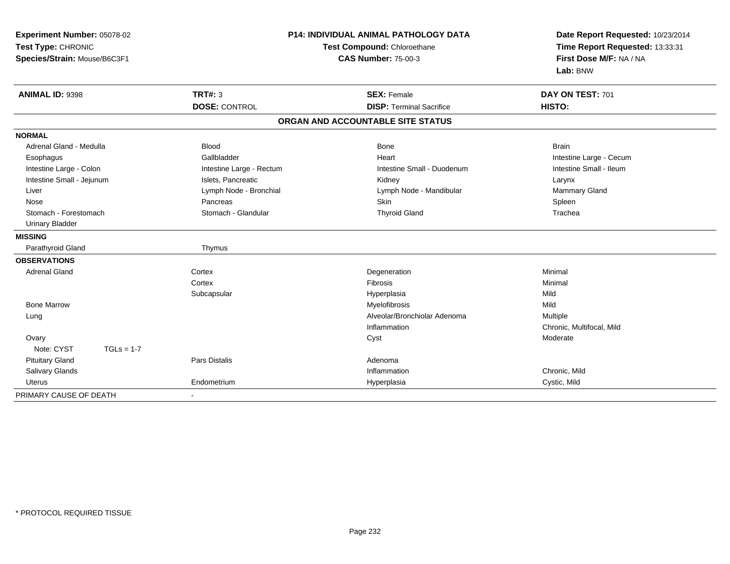| Experiment Number: 05078-02<br>Test Type: CHRONIC<br>Species/Strain: Mouse/B6C3F1 |                          | P14: INDIVIDUAL ANIMAL PATHOLOGY DATA<br>Test Compound: Chloroethane<br><b>CAS Number: 75-00-3</b> | Date Report Requested: 10/23/2014<br>Time Report Requested: 13:33:31<br>First Dose M/F: NA / NA<br>Lab: BNW |
|-----------------------------------------------------------------------------------|--------------------------|----------------------------------------------------------------------------------------------------|-------------------------------------------------------------------------------------------------------------|
| ANIMAL ID: 9398                                                                   | <b>TRT#: 3</b>           | <b>SEX: Female</b>                                                                                 | DAY ON TEST: 701                                                                                            |
|                                                                                   | <b>DOSE: CONTROL</b>     | <b>DISP: Terminal Sacrifice</b>                                                                    | HISTO:                                                                                                      |
|                                                                                   |                          | ORGAN AND ACCOUNTABLE SITE STATUS                                                                  |                                                                                                             |
| <b>NORMAL</b>                                                                     |                          |                                                                                                    |                                                                                                             |
| Adrenal Gland - Medulla                                                           | <b>Blood</b>             | <b>Bone</b>                                                                                        | <b>Brain</b>                                                                                                |
| Esophagus                                                                         | Gallbladder              | Heart                                                                                              | Intestine Large - Cecum                                                                                     |
| Intestine Large - Colon                                                           | Intestine Large - Rectum | Intestine Small - Duodenum                                                                         | Intestine Small - Ileum                                                                                     |
| Intestine Small - Jejunum                                                         | Islets, Pancreatic       | Kidney                                                                                             | Larynx                                                                                                      |
| Liver                                                                             | Lymph Node - Bronchial   | Lymph Node - Mandibular                                                                            | Mammary Gland                                                                                               |
| Nose                                                                              | Pancreas                 | Skin                                                                                               | Spleen                                                                                                      |
| Stomach - Forestomach                                                             | Stomach - Glandular      | <b>Thyroid Gland</b>                                                                               | Trachea                                                                                                     |
| <b>Urinary Bladder</b>                                                            |                          |                                                                                                    |                                                                                                             |
| <b>MISSING</b>                                                                    |                          |                                                                                                    |                                                                                                             |
| Parathyroid Gland                                                                 | Thymus                   |                                                                                                    |                                                                                                             |
| <b>OBSERVATIONS</b>                                                               |                          |                                                                                                    |                                                                                                             |
| <b>Adrenal Gland</b>                                                              | Cortex                   | Degeneration                                                                                       | Minimal                                                                                                     |
|                                                                                   | Cortex                   | Fibrosis                                                                                           | Minimal                                                                                                     |
|                                                                                   | Subcapsular              | Hyperplasia                                                                                        | Mild                                                                                                        |
| <b>Bone Marrow</b>                                                                |                          | Myelofibrosis                                                                                      | Mild                                                                                                        |
| Lung                                                                              |                          | Alveolar/Bronchiolar Adenoma                                                                       | Multiple                                                                                                    |
|                                                                                   |                          | Inflammation                                                                                       | Chronic, Multifocal, Mild                                                                                   |
| Ovary                                                                             |                          | Cyst                                                                                               | Moderate                                                                                                    |
| Note: CYST<br>$TGLs = 1-7$                                                        |                          |                                                                                                    |                                                                                                             |
| <b>Pituitary Gland</b>                                                            | Pars Distalis            | Adenoma                                                                                            |                                                                                                             |
| Salivary Glands                                                                   |                          | Inflammation                                                                                       | Chronic, Mild                                                                                               |
| <b>Uterus</b>                                                                     | Endometrium              | Hyperplasia                                                                                        | Cystic, Mild                                                                                                |
| PRIMARY CAUSE OF DEATH                                                            |                          |                                                                                                    |                                                                                                             |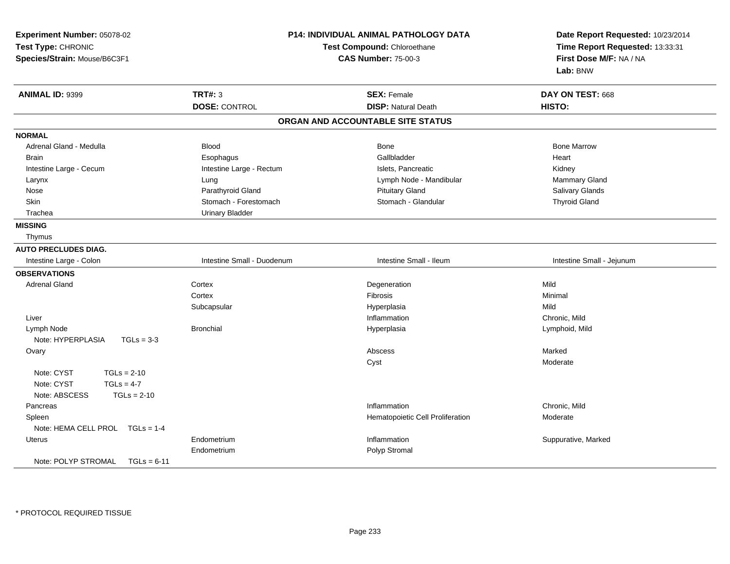| Experiment Number: 05078-02<br>Test Type: CHRONIC<br>Species/Strain: Mouse/B6C3F1 | <b>P14: INDIVIDUAL ANIMAL PATHOLOGY DATA</b><br>Test Compound: Chloroethane<br><b>CAS Number: 75-00-3</b> |                                   | Date Report Requested: 10/23/2014<br>Time Report Requested: 13:33:31<br>First Dose M/F: NA / NA<br>Lab: BNW |
|-----------------------------------------------------------------------------------|-----------------------------------------------------------------------------------------------------------|-----------------------------------|-------------------------------------------------------------------------------------------------------------|
| ANIMAL ID: 9399                                                                   | <b>TRT#: 3</b>                                                                                            | <b>SEX: Female</b>                | DAY ON TEST: 668                                                                                            |
|                                                                                   | <b>DOSE: CONTROL</b>                                                                                      | <b>DISP: Natural Death</b>        | HISTO:                                                                                                      |
|                                                                                   |                                                                                                           | ORGAN AND ACCOUNTABLE SITE STATUS |                                                                                                             |
| <b>NORMAL</b>                                                                     |                                                                                                           |                                   |                                                                                                             |
| Adrenal Gland - Medulla                                                           | <b>Blood</b>                                                                                              | <b>Bone</b>                       | <b>Bone Marrow</b>                                                                                          |
| <b>Brain</b>                                                                      | Esophagus                                                                                                 | Gallbladder                       | Heart                                                                                                       |
| Intestine Large - Cecum                                                           | Intestine Large - Rectum                                                                                  | Islets, Pancreatic                | Kidney                                                                                                      |
| Larynx                                                                            | Lung                                                                                                      | Lymph Node - Mandibular           | Mammary Gland                                                                                               |
| Nose                                                                              | Parathyroid Gland                                                                                         | <b>Pituitary Gland</b>            | Salivary Glands                                                                                             |
| Skin                                                                              | Stomach - Forestomach                                                                                     | Stomach - Glandular               | <b>Thyroid Gland</b>                                                                                        |
| Trachea                                                                           | <b>Urinary Bladder</b>                                                                                    |                                   |                                                                                                             |
| <b>MISSING</b>                                                                    |                                                                                                           |                                   |                                                                                                             |
| Thymus                                                                            |                                                                                                           |                                   |                                                                                                             |
| <b>AUTO PRECLUDES DIAG.</b>                                                       |                                                                                                           |                                   |                                                                                                             |
| Intestine Large - Colon                                                           | Intestine Small - Duodenum                                                                                | Intestine Small - Ileum           | Intestine Small - Jejunum                                                                                   |
| <b>OBSERVATIONS</b>                                                               |                                                                                                           |                                   |                                                                                                             |
| <b>Adrenal Gland</b>                                                              | Cortex                                                                                                    | Degeneration                      | Mild                                                                                                        |
|                                                                                   | Cortex                                                                                                    | Fibrosis                          | Minimal                                                                                                     |
|                                                                                   | Subcapsular                                                                                               | Hyperplasia                       | Mild                                                                                                        |
| Liver                                                                             |                                                                                                           | Inflammation                      | Chronic, Mild                                                                                               |
| Lymph Node                                                                        | <b>Bronchial</b>                                                                                          | Hyperplasia                       | Lymphoid, Mild                                                                                              |
| Note: HYPERPLASIA<br>$TGLs = 3-3$                                                 |                                                                                                           |                                   |                                                                                                             |
| Ovary                                                                             |                                                                                                           | Abscess                           | Marked                                                                                                      |
|                                                                                   |                                                                                                           | Cyst                              | Moderate                                                                                                    |
| Note: CYST<br>$TGLs = 2-10$                                                       |                                                                                                           |                                   |                                                                                                             |
| Note: CYST<br>$TGLs = 4-7$                                                        |                                                                                                           |                                   |                                                                                                             |
| Note: ABSCESS<br>$TGLs = 2-10$                                                    |                                                                                                           |                                   |                                                                                                             |
| Pancreas                                                                          |                                                                                                           | Inflammation                      | Chronic, Mild                                                                                               |
| Spleen                                                                            |                                                                                                           | Hematopoietic Cell Proliferation  | Moderate                                                                                                    |
| Note: HEMA CELL PROL TGLs = 1-4                                                   |                                                                                                           |                                   |                                                                                                             |
| <b>Uterus</b>                                                                     | Endometrium                                                                                               | Inflammation                      | Suppurative, Marked                                                                                         |
|                                                                                   | Endometrium                                                                                               | Polyp Stromal                     |                                                                                                             |
| Note: POLYP STROMAL<br>$TGLs = 6-11$                                              |                                                                                                           |                                   |                                                                                                             |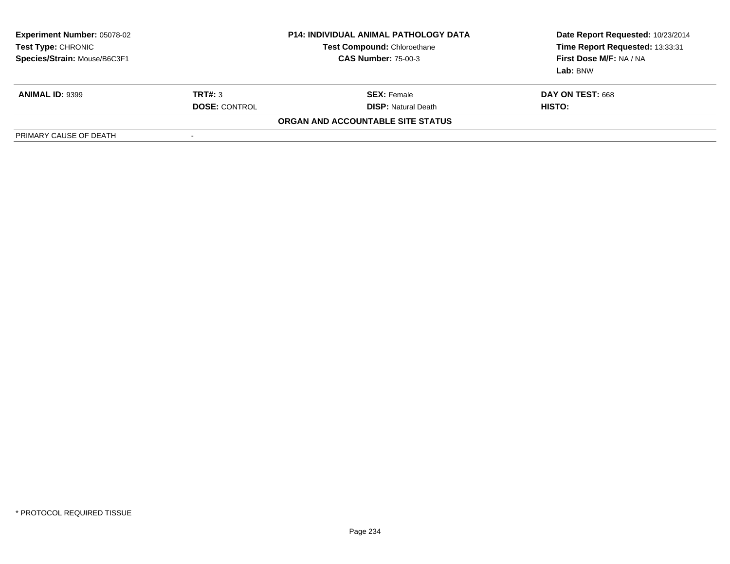| <b>Experiment Number: 05078-02</b><br>Test Type: CHRONIC<br>Species/Strain: Mouse/B6C3F1 |                      | <b>P14: INDIVIDUAL ANIMAL PATHOLOGY DATA</b><br><b>Test Compound: Chloroethane</b><br><b>CAS Number: 75-00-3</b> | Date Report Requested: 10/23/2014<br>Time Report Requested: 13:33:31<br>First Dose M/F: NA / NA<br>Lab: BNW |
|------------------------------------------------------------------------------------------|----------------------|------------------------------------------------------------------------------------------------------------------|-------------------------------------------------------------------------------------------------------------|
| <b>ANIMAL ID: 9399</b>                                                                   | TRT#: 3              | <b>SEX:</b> Female                                                                                               | DAY ON TEST: 668                                                                                            |
|                                                                                          | <b>DOSE: CONTROL</b> | <b>DISP:</b> Natural Death                                                                                       | HISTO:                                                                                                      |
|                                                                                          |                      | ORGAN AND ACCOUNTABLE SITE STATUS                                                                                |                                                                                                             |
| PRIMARY CAUSE OF DEATH                                                                   | ٠                    |                                                                                                                  |                                                                                                             |